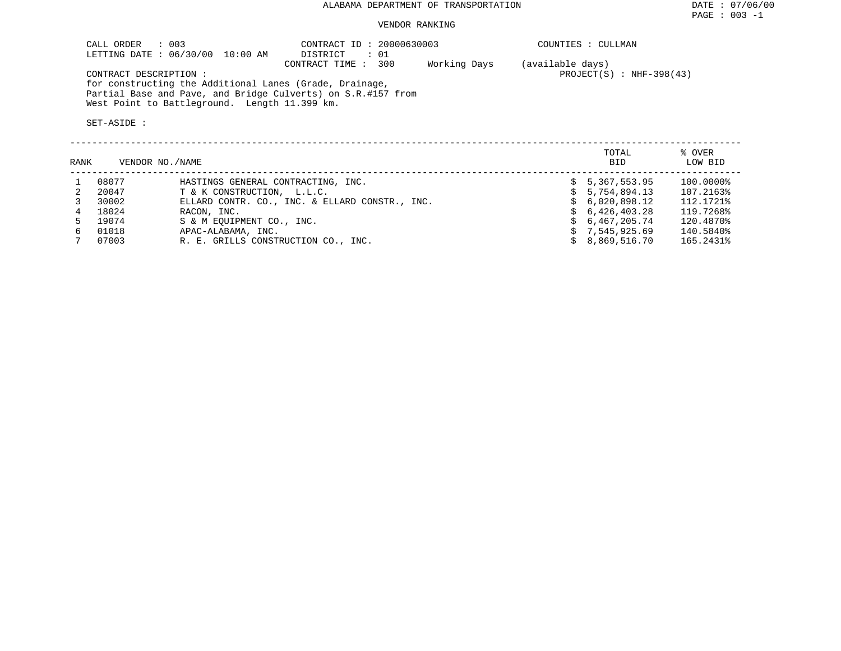#### VENDOR RANKING

| COUNTIES : CULLMAN         |
|----------------------------|
|                            |
| $PROJECT(S)$ : NHF-398(43) |
|                            |
|                            |
|                            |
|                            |

| RANK |       | VENDOR NO./NAME                                | TOTAL<br>BID | % OVER<br>LOW BID |
|------|-------|------------------------------------------------|--------------|-------------------|
|      | 08077 | HASTINGS GENERAL CONTRACTING, INC.             | 5,367,553.95 | 100.0000%         |
|      | 20047 | T & K CONSTRUCTION, L.L.C.                     | 5,754,894.13 | 107.2163%         |
|      | 30002 | ELLARD CONTR. CO., INC. & ELLARD CONSTR., INC. | 6,020,898.12 | 112.1721%         |
| 4    | 18024 | RACON, INC.                                    | 6,426,403.28 | 119.7268%         |
|      | 19074 | S & M EOUIPMENT CO., INC.                      | 6,467,205.74 | 120.4870%         |
| 6.   | 01018 | APAC-ALABAMA, INC.                             | 7,545,925.69 | 140.5840%         |
|      | 07003 | R. E. GRILLS CONSTRUCTION CO., INC.            | 8,869,516.70 | 165.2431%         |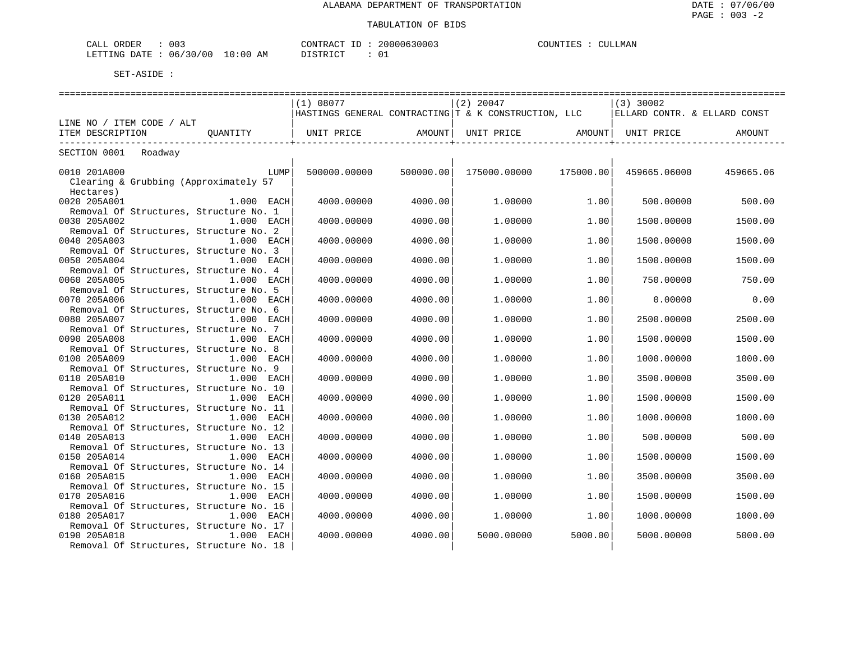| 003<br>ORDER<br>البلطات                                             |         | חידוג∩ר<br>$\sim$                 | - < UUU | 'INI'<br>4. Pr. 3 | MAN |
|---------------------------------------------------------------------|---------|-----------------------------------|---------|-------------------|-----|
| <b>FTTING</b><br>ּים ידי ידי<br>06.<br>. U L<br>.3U<br>$\mathsf{L}$ | ΑM<br>. | $\sim$<br>n <del>r</del> amr<br>. | ິ້      |                   |     |

|                                         |                                                                                                               | (1) 08077    |           | $(2)$ 20047                                          |           | $(3)$ 30002                  |           |
|-----------------------------------------|---------------------------------------------------------------------------------------------------------------|--------------|-----------|------------------------------------------------------|-----------|------------------------------|-----------|
|                                         |                                                                                                               |              |           | HASTINGS GENERAL CONTRACTING T & K CONSTRUCTION, LLC |           | ELLARD CONTR. & ELLARD CONST |           |
| LINE NO / ITEM CODE / ALT               |                                                                                                               |              |           |                                                      |           |                              |           |
| ITEM DESCRIPTION                        | OUANTITY                                                                                                      | UNIT PRICE   | AMOUNT    | UNIT PRICE                                           |           | AMOUNT  UNIT PRICE           | AMOUNT    |
|                                         |                                                                                                               |              |           |                                                      |           |                              |           |
| SECTION 0001 Roadway                    |                                                                                                               |              |           |                                                      |           |                              |           |
|                                         |                                                                                                               |              |           |                                                      |           |                              |           |
| 0010 201A000                            | LUMP                                                                                                          | 500000.00000 | 500000.00 | 175000.00000                                         | 175000.00 | 459665.06000                 | 459665.06 |
| Clearing & Grubbing (Approximately 57   |                                                                                                               |              |           |                                                      |           |                              |           |
| Hectares)                               |                                                                                                               |              |           |                                                      |           |                              |           |
| 0020 205A001                            | 1.000 EACH                                                                                                    | 4000.00000   | 4000.00   | 1,00000                                              | 1.00      | 500.00000                    | 500.00    |
| Removal Of Structures, Structure No. 1  |                                                                                                               |              |           |                                                      |           |                              |           |
| 0030 205A002                            | 1.000 EACH                                                                                                    | 4000.00000   | 4000.00   | 1,00000                                              | 1.00      | 1500.00000                   | 1500.00   |
| Removal Of Structures, Structure No. 2  |                                                                                                               |              |           |                                                      |           |                              |           |
| 0040 205A003                            | 1.000 EACH                                                                                                    | 4000,00000   | 4000.00   | 1,00000                                              | 1.00      | 1500.00000                   | 1500.00   |
| Removal Of Structures, Structure No. 3  |                                                                                                               |              |           |                                                      |           |                              |           |
| 0050 205A004                            | $1.000$ EACH                                                                                                  | 4000.00000   | 4000.00   | 1.00000                                              | 1.00      | 1500.00000                   | 1500.00   |
| Removal Of Structures, Structure No. 4  |                                                                                                               |              |           |                                                      |           |                              |           |
| 0060 205A005                            | 1.000 EACH                                                                                                    | 4000.00000   | 4000.00   | 1,00000                                              | 1.00      | 750.00000                    | 750.00    |
| Removal Of Structures, Structure No. 5  |                                                                                                               |              |           |                                                      |           |                              |           |
| 0070 205A006                            | 1.000 EACH                                                                                                    | 4000.00000   | 4000.00   | 1,00000                                              | 1.00      | 0.00000                      | 0.00      |
| Removal Of Structures, Structure No. 6  |                                                                                                               |              |           |                                                      |           |                              |           |
| 0080 205A007                            | 1.000 EACH                                                                                                    | 4000.00000   | 4000.00   | 1,00000                                              | 1.00      | 2500.00000                   | 2500.00   |
| Removal Of Structures, Structure No. 7  |                                                                                                               |              |           |                                                      |           |                              |           |
| 0090 205A008                            | $1.000$ EACH                                                                                                  | 4000.00000   | 4000.00   | 1,00000                                              | 1.00      | 1500.00000                   | 1500.00   |
| Removal Of Structures, Structure No. 8  |                                                                                                               |              |           |                                                      |           |                              |           |
| 0100 205A009                            | 1.000 EACH                                                                                                    | 4000.00000   | 4000.00   | 1,00000                                              | 1.00      | 1000.00000                   | 1000.00   |
| Removal Of Structures, Structure No. 9  |                                                                                                               |              |           |                                                      |           |                              |           |
| 0110 205A010                            | 1.000 EACH                                                                                                    | 4000.00000   | 4000.00   | 1,00000                                              | 1.00      | 3500.00000                   | 3500.00   |
| Removal Of Structures, Structure No. 10 |                                                                                                               |              |           |                                                      |           |                              |           |
| 0120 205A011                            | $1.000$ EACH                                                                                                  | 4000.00000   | 4000.00   | 1,00000                                              | 1.00      | 1500.00000                   | 1500.00   |
| Removal Of Structures, Structure No. 11 |                                                                                                               |              |           |                                                      |           |                              |           |
| 0130 205A012                            | 1.000 EACH                                                                                                    | 4000.00000   | 4000.00   | 1,00000                                              | 1.00      | 1000.00000                   | 1000.00   |
| Removal Of Structures, Structure No. 12 |                                                                                                               |              |           |                                                      |           |                              |           |
| 0140 205A013                            | 1.000 EACH                                                                                                    | 4000.00000   | 4000.00   | 1,00000                                              | 1.00      | 500.00000                    | 500.00    |
| Removal Of Structures, Structure No. 13 |                                                                                                               |              |           |                                                      |           |                              |           |
| 0150 205A014                            | 1.000 EACH                                                                                                    | 4000.00000   | 4000.00   | 1,00000                                              | 1.00      | 1500.00000                   | 1500.00   |
| Removal Of Structures, Structure No. 14 |                                                                                                               |              |           |                                                      |           |                              |           |
| 0160 205A015                            | $1.000$ EACH                                                                                                  | 4000.00000   | 4000.00   | 1,00000                                              | 1.00      | 3500.00000                   | 3500.00   |
| Removal Of Structures, Structure No. 15 |                                                                                                               |              |           |                                                      |           |                              |           |
| 0170 205A016                            | 1.000 EACH                                                                                                    | 4000.00000   | 4000.00   | 1,00000                                              | 1.00      | 1500.00000                   | 1500.00   |
| Removal Of Structures, Structure No. 16 |                                                                                                               |              |           |                                                      |           |                              |           |
| 0180 205A017                            | 1.000 EACH                                                                                                    | 4000.00000   | 4000.00   | 1,00000                                              | 1.00      | 1000.00000                   | 1000.00   |
| Removal Of Structures, Structure No. 17 |                                                                                                               |              |           |                                                      |           |                              |           |
| 0190 205A018                            | ли пространите в 1.000 г. п.н.е. на приема в 1.000 г. п.н.е. на приема в 1.000 г. п.н.е. на приема в 1.000 г. | 4000.00000   | 4000.00   | 5000.00000                                           | 5000.00   | 5000.00000                   | 5000.00   |
| Removal Of Structures, Structure No. 18 |                                                                                                               |              |           |                                                      |           |                              |           |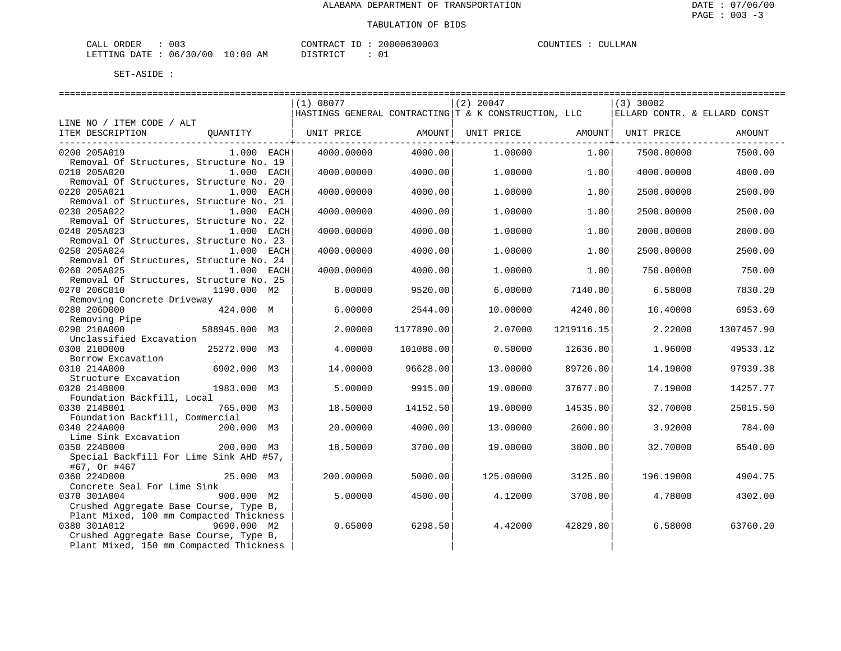| ORDER<br>CALL (        | 003 |                   | CONTRACT | - TD | 20000630003 | COUNTIES | CULLMAN |
|------------------------|-----|-------------------|----------|------|-------------|----------|---------|
| LETTING DATE: 06/30/00 |     | $J = 10:00$<br>AΜ | DISTRICT |      |             |          |         |

|                                                                       | (1) 08077  |            | $(2)$ 20047                                          |            | $(3)$ 30002                  |            |
|-----------------------------------------------------------------------|------------|------------|------------------------------------------------------|------------|------------------------------|------------|
|                                                                       |            |            | HASTINGS GENERAL CONTRACTING T & K CONSTRUCTION, LLC |            | ELLARD CONTR. & ELLARD CONST |            |
| LINE NO / ITEM CODE / ALT                                             |            |            |                                                      |            |                              |            |
| ITEM DESCRIPTION<br>OUANTITY                                          |            |            |                                                      |            |                              | AMOUNT     |
| 0200 205A019<br>$1.000$ EACH                                          | 4000.00000 | 4000.00    | 1,00000                                              | 1.00       | 7500.00000                   | 7500.00    |
| Removal Of Structures, Structure No. 19                               |            |            |                                                      |            |                              |            |
| 0210 205A020<br>1.000 EACH                                            | 4000.00000 | 4000.00    | 1,00000                                              | 1.00       | 4000.00000                   | 4000.00    |
| Removal Of Structures, Structure No. 20                               |            |            |                                                      |            |                              |            |
| 0220 205A021<br>1.000 EACH                                            | 4000.00000 | 4000.00    | 1,00000                                              | 1.00       | 2500.00000                   | 2500.00    |
| Removal of Structures, Structure No. 21                               |            |            |                                                      |            |                              |            |
| 0230 205A022<br>$1.000$ EACH                                          | 4000.00000 | 4000.00    | 1,00000                                              | 1.00       | 2500.00000                   | 2500.00    |
| Removal Of Structures, Structure No. 22<br>0240 205A023<br>1.000 EACH | 4000.00000 | 4000.00    | 1,00000                                              | 1.00       | 2000.00000                   | 2000.00    |
| Removal Of Structures, Structure No. 23                               |            |            |                                                      |            |                              |            |
| 0250 205A024<br>$1.000$ EACH                                          | 4000.00000 | 4000.00    | 1,00000                                              | 1.00       | 2500.00000                   | 2500.00    |
| Removal Of Structures, Structure No. 24                               |            |            |                                                      |            |                              |            |
| 0260 205A025<br>1.000 EACH                                            | 4000.00000 | 4000.00    | 1,00000                                              | 1.00       | 750.00000                    | 750.00     |
| Removal Of Structures, Structure No. 25                               |            |            |                                                      |            |                              |            |
| 0270 206C010<br>1190.000 M2                                           | 8,00000    | 9520.00    | 6,00000                                              | 7140.00    | 6.58000                      | 7830.20    |
| Removing Concrete Driveway                                            |            |            |                                                      |            |                              |            |
| 0280 206D000<br>424.000 M<br>Removing Pipe                            | 6.00000    | 2544.00    | 10.00000                                             | 4240.00    | 16.40000                     | 6953.60    |
| 0290 210A000<br>588945.000 M3                                         | 2.00000    | 1177890.00 | 2.07000                                              | 1219116.15 | 2.22000                      | 1307457.90 |
| Unclassified Excavation                                               |            |            |                                                      |            |                              |            |
| 0300 210D000<br>25272.000 M3                                          | 4.00000    | 101088.00  | 0.50000                                              | 12636.00   | 1.96000                      | 49533.12   |
| Borrow Excavation                                                     |            |            |                                                      |            |                              |            |
| 0310 214A000<br>6902.000 M3                                           | 14,00000   | 96628.00   | 13,00000                                             | 89726.00   | 14.19000                     | 97939.38   |
| Structure Excavation                                                  |            |            |                                                      |            |                              |            |
| 0320 214B000<br>1983.000 M3                                           | 5.00000    | 9915.00    | 19,00000                                             | 37677.00   | 7.19000                      | 14257.77   |
| Foundation Backfill, Local<br>765.000 M3<br>0330 214B001              | 18.50000   | 14152.50   | 19,00000                                             | 14535.00   | 32.70000                     | 25015.50   |
| Foundation Backfill, Commercial                                       |            |            |                                                      |            |                              |            |
| 0340 224A000<br>200.000 M3                                            | 20,00000   | 4000.00    | 13,00000                                             | 2600.00    | 3.92000                      | 784.00     |
| Lime Sink Excavation                                                  |            |            |                                                      |            |                              |            |
| 0350 224B000<br>200.000 M3                                            | 18.50000   | 3700.00    | 19.00000                                             | 3800.00    | 32.70000                     | 6540.00    |
| Special Backfill For Lime Sink AHD #57,                               |            |            |                                                      |            |                              |            |
| #67, Or #467                                                          |            |            |                                                      |            |                              |            |
| 0360 224D000<br>25.000 M3                                             | 200,00000  | 5000.00    | 125,00000                                            | 3125.00    | 196.19000                    | 4904.75    |
| Concrete Seal For Lime Sink<br>0370 301A004<br>900.000 M2             |            |            |                                                      |            |                              |            |
| Crushed Aggregate Base Course, Type B,                                | 5.00000    | 4500.00    | 4.12000                                              | 3708.00    | 4.78000                      | 4302.00    |
| Plant Mixed, 100 mm Compacted Thickness                               |            |            |                                                      |            |                              |            |
| 0380 301A012<br>9690.000 M2                                           | 0.65000    | 6298.50    | 4.42000                                              | 42829.80   | 6.58000                      | 63760.20   |
| Crushed Aggregate Base Course, Type B,                                |            |            |                                                      |            |                              |            |
| Plant Mixed, 150 mm Compacted Thickness                               |            |            |                                                      |            |                              |            |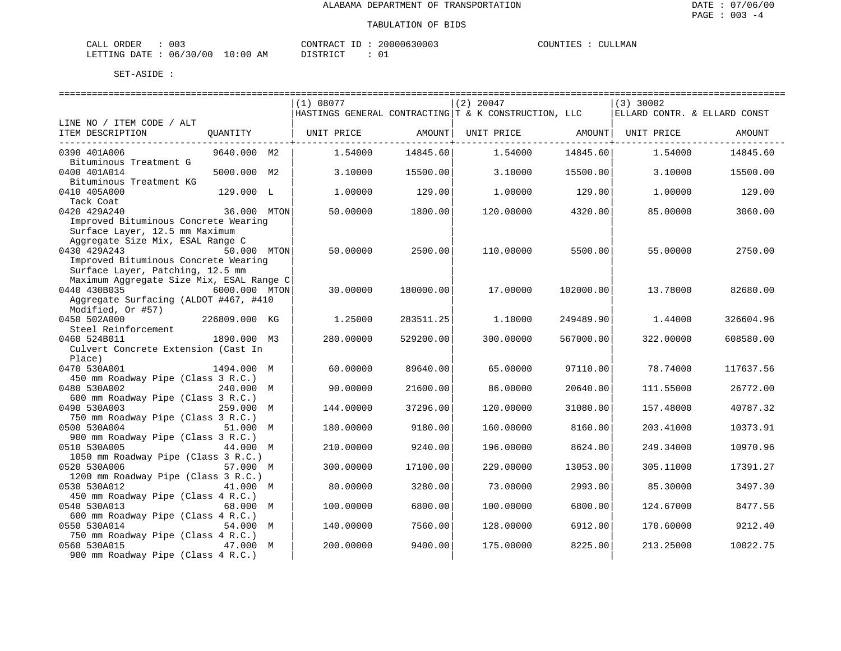| ORDER<br>CALI | $\sim$<br>U U 3 |                         | CONTRACT | ТD | 20000630003   | COUNTIES |  | CULLMAN |
|---------------|-----------------|-------------------------|----------|----|---------------|----------|--|---------|
| LETTING DATE  | 06/30/00        | LO : 00<br>ΆM<br>$\sim$ | ` STR ∟  |    | $\sim$ $\sim$ |          |  |         |

|                                                    |               | (1) 08077  |           | $(2)$ 20047                                            |           | $(3)$ 30002 |                              |
|----------------------------------------------------|---------------|------------|-----------|--------------------------------------------------------|-----------|-------------|------------------------------|
|                                                    |               |            |           | HASTINGS GENERAL CONTRACTING   T & K CONSTRUCTION, LLC |           |             | ELLARD CONTR. & ELLARD CONST |
| LINE NO / ITEM CODE / ALT                          |               |            |           |                                                        |           |             |                              |
| ITEM DESCRIPTION                                   | OUANTITY      | UNIT PRICE | AMOUNT    | UNIT PRICE                                             | AMOUNT    | UNIT PRICE  | AMOUNT                       |
|                                                    |               |            |           |                                                        | --------+ |             |                              |
| 0390 401A006                                       | 9640.000 M2   | 1.54000    | 14845.60  | 1.54000                                                | 14845.60  | 1.54000     | 14845.60                     |
| Bituminous Treatment G                             |               |            |           |                                                        |           |             |                              |
| 0400 401A014                                       | 5000.000 M2   | 3.10000    | 15500.00  | 3.10000                                                | 15500.00  | 3.10000     | 15500.00                     |
| Bituminous Treatment KG                            |               |            |           |                                                        |           |             |                              |
| 0410 405A000<br>Tack Coat                          | 129.000 L     | 1.00000    | 129.00    | 1.00000                                                | 129.00    | 1.00000     | 129.00                       |
| 0420 429A240                                       | 36.000 MTON   | 50.00000   | 1800.00   | 120.00000                                              | 4320.00   | 85.00000    | 3060.00                      |
| Improved Bituminous Concrete Wearing               |               |            |           |                                                        |           |             |                              |
| Surface Layer, 12.5 mm Maximum                     |               |            |           |                                                        |           |             |                              |
| Aggregate Size Mix, ESAL Range C                   |               |            |           |                                                        |           |             |                              |
| 0430 429A243                                       | 50.000 MTON   | 50.00000   | 2500.00   | 110.00000                                              | 5500.00   | 55.00000    | 2750.00                      |
| Improved Bituminous Concrete Wearing               |               |            |           |                                                        |           |             |                              |
| Surface Layer, Patching, 12.5 mm                   |               |            |           |                                                        |           |             |                              |
| Maximum Aggregate Size Mix, ESAL Range C           |               |            |           |                                                        |           |             |                              |
| 0440 430B035                                       | 6000.000 MTON | 30.00000   | 180000.00 | 17.00000                                               | 102000.00 | 13.78000    | 82680.00                     |
| Aggregate Surfacing (ALDOT #467, #410              |               |            |           |                                                        |           |             |                              |
| Modified, Or #57)                                  |               |            |           |                                                        |           |             |                              |
| 0450 502A000                                       | 226809.000 KG | 1.25000    | 283511.25 | 1,10000                                                | 249489.90 | 1.44000     | 326604.96                    |
| Steel Reinforcement                                |               |            |           |                                                        |           |             |                              |
| 0460 524B011                                       | 1890.000 M3   | 280.00000  | 529200.00 | 300,00000                                              | 567000.00 | 322.00000   | 608580.00                    |
| Culvert Concrete Extension (Cast In                |               |            |           |                                                        |           |             |                              |
| Place)<br>0470 530A001                             | 1494.000 M    | 60.00000   | 89640.00  | 65.00000                                               | 97110.00  | 78.74000    | 117637.56                    |
| 450 mm Roadway Pipe (Class 3 R.C.)                 |               |            |           |                                                        |           |             |                              |
| 0480 530A002                                       | 240.000 M     | 90.00000   | 21600.00  | 86.00000                                               | 20640.00  | 111.55000   | 26772.00                     |
| 600 mm Roadway Pipe (Class 3 R.C.)                 |               |            |           |                                                        |           |             |                              |
| 0490 530A003                                       | 259.000 M     | 144.00000  | 37296.00  | 120.00000                                              | 31080.00  | 157.48000   | 40787.32                     |
| 750 mm Roadway Pipe (Class 3 R.C.)                 |               |            |           |                                                        |           |             |                              |
| 0500 530A004                                       | 51.000 M      | 180.00000  | 9180.00   | 160.00000                                              | 8160.00   | 203.41000   | 10373.91                     |
| 900 mm Roadway Pipe (Class 3 R.C.)                 |               |            |           |                                                        |           |             |                              |
| 0510 530A005                                       | 44.000 M      | 210.00000  | 9240.00   | 196.00000                                              | 8624.00   | 249.34000   | 10970.96                     |
| 1050 mm Roadway Pipe (Class 3 R.C.)                |               |            |           |                                                        |           |             |                              |
| 0520 530A006                                       | 57.000 M      | 300.00000  | 17100.00  | 229.00000                                              | 13053.00  | 305.11000   | 17391.27                     |
| 1200 mm Roadway Pipe (Class 3 R.C.)                |               |            |           |                                                        |           |             |                              |
| 0530 530A012                                       | 41.000 M      | 80.00000   | 3280.00   | 73.00000                                               | 2993.00   | 85.30000    | 3497.30                      |
| 450 mm Roadway Pipe (Class 4 R.C.)                 |               |            |           |                                                        |           |             |                              |
| 0540 530A013                                       | 68.000 M      | 100.00000  | 6800.00   | 100.00000                                              | 6800.00   | 124.67000   | 8477.56                      |
| 600 mm Roadway Pipe (Class 4 R.C.)                 |               |            |           |                                                        |           |             |                              |
| 0550 530A014<br>750 mm Roadway Pipe (Class 4 R.C.) | 54.000 M      | 140.00000  | 7560.00   | 128.00000                                              | 6912.00   | 170.60000   | 9212.40                      |
| 0560 530A015                                       | 47.000 M      | 200.00000  | 9400.00   | 175.00000                                              | 8225.00   | 213.25000   | 10022.75                     |
| 900 mm Roadway Pipe (Class 4 R.C.)                 |               |            |           |                                                        |           |             |                              |
|                                                    |               |            |           |                                                        |           |             |                              |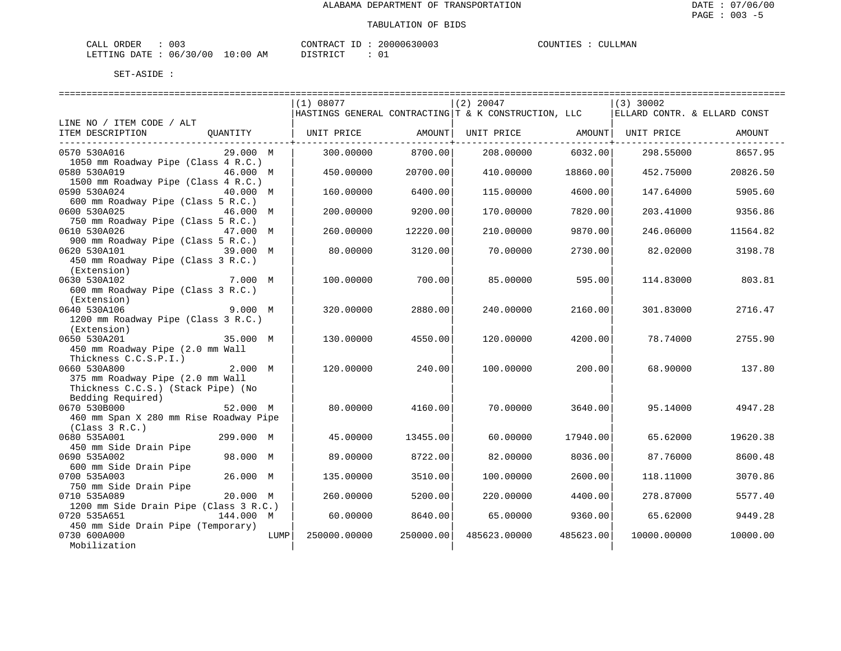| ORDER<br>CALL          | 003 |          | 'ONTRACT | TD. | 20000630003 | COUNTIES | CULLMAN |
|------------------------|-----|----------|----------|-----|-------------|----------|---------|
| LETTING DATE: 06/30/00 |     | 10:00 AM | DISTRICT |     |             |          |         |

|                                                                        |              | ------------------------- |                                                      |           |                              |          |
|------------------------------------------------------------------------|--------------|---------------------------|------------------------------------------------------|-----------|------------------------------|----------|
|                                                                        | (1) 08077    |                           | $(2)$ 20047                                          |           | $(3)$ 30002                  |          |
|                                                                        |              |                           | HASTINGS GENERAL CONTRACTING T & K CONSTRUCTION, LLC |           | ELLARD CONTR. & ELLARD CONST |          |
| LINE NO / ITEM CODE / ALT                                              |              |                           |                                                      |           |                              |          |
| ITEM DESCRIPTION<br>QUANTITY                                           | UNIT PRICE   | AMOUNT                    | UNIT PRICE                                           | AMOUNT    | UNIT PRICE                   | AMOUNT   |
| 0570 530A016<br>29.000 M                                               | 300,00000    | 8700.00                   | 208.00000                                            | 6032.00   | 298.55000                    | 8657.95  |
| 1050 mm Roadway Pipe (Class 4 R.C.)                                    |              |                           |                                                      |           |                              |          |
| 0580 530A019<br>46.000 M                                               | 450.00000    | 20700.00                  | 410.00000                                            | 18860.00  | 452.75000                    | 20826.50 |
| 1500 mm Roadway Pipe (Class 4 R.C.)<br>0590 530A024<br>40.000 M        | 160.00000    | 6400.00                   | 115,00000                                            | 4600.00   | 147.64000                    | 5905.60  |
| 600 mm Roadway Pipe (Class 5 R.C.)                                     |              |                           |                                                      |           |                              |          |
| 0600 530A025<br>46.000 M                                               | 200.00000    | 9200.00                   | 170.00000                                            | 7820.00   | 203.41000                    | 9356.86  |
| 750 mm Roadway Pipe (Class 5 R.C.)<br>0610 530A026<br>47.000 M         | 260.00000    | 12220.00                  | 210.00000                                            | 9870.00   | 246.06000                    | 11564.82 |
| 900 mm Roadway Pipe (Class 5 R.C.)                                     |              |                           |                                                      |           |                              |          |
| 0620 530A101<br>39.000 M                                               | 80.00000     | 3120.00                   | 70.00000                                             | 2730.00   | 82.02000                     | 3198.78  |
| 450 mm Roadway Pipe (Class 3 R.C.)                                     |              |                           |                                                      |           |                              |          |
| (Extension)<br>0630 530A102<br>7.000 M                                 | 100.00000    | 700.00                    | 85.00000                                             | 595.00    | 114.83000                    | 803.81   |
| 600 mm Roadway Pipe (Class 3 R.C.)                                     |              |                           |                                                      |           |                              |          |
| (Extension)                                                            |              |                           |                                                      |           |                              |          |
| 0640 530A106<br>9.000 M                                                | 320.00000    | 2880.00                   | 240.00000                                            | 2160.00   | 301.83000                    | 2716.47  |
| 1200 mm Roadway Pipe (Class 3 R.C.)                                    |              |                           |                                                      |           |                              |          |
| (Extension)                                                            |              |                           |                                                      |           |                              |          |
| 0650 530A201<br>35.000 M                                               | 130.00000    | 4550.00                   | 120.00000                                            | 4200.00   | 78.74000                     | 2755.90  |
| 450 mm Roadway Pipe (2.0 mm Wall                                       |              |                           |                                                      |           |                              |          |
| Thickness C.C.S.P.I.)                                                  |              |                           |                                                      |           |                              |          |
| 0660 530A800<br>2.000 M                                                | 120.00000    | 240.00                    | 100.00000                                            | 200.00    | 68.90000                     | 137.80   |
| 375 mm Roadway Pipe (2.0 mm Wall<br>Thickness C.C.S.) (Stack Pipe) (No |              |                           |                                                      |           |                              |          |
| Bedding Required)                                                      |              |                           |                                                      |           |                              |          |
| 0670 530B000<br>52.000 M                                               | 80,00000     | 4160.00                   | 70.00000                                             | 3640.00   | 95.14000                     | 4947.28  |
| 460 mm Span X 280 mm Rise Roadway Pipe                                 |              |                           |                                                      |           |                              |          |
| (Class 3 R.C.)                                                         |              |                           |                                                      |           |                              |          |
| 0680 535A001<br>299.000 M                                              | 45.00000     | 13455.00                  | 60.00000                                             | 17940.00  | 65.62000                     | 19620.38 |
| 450 mm Side Drain Pipe                                                 |              |                           |                                                      |           |                              |          |
| 98.000 M<br>0690 535A002                                               | 89.00000     | 8722.00                   | 82.00000                                             | 8036.00   | 87.76000                     | 8600.48  |
| 600 mm Side Drain Pipe                                                 |              |                           |                                                      |           |                              |          |
| 0700 535A003<br>26.000 M<br>750 mm Side Drain Pipe                     | 135.00000    | 3510.00                   | 100.00000                                            | 2600.00   | 118.11000                    | 3070.86  |
| 0710 535A089<br>20.000 M                                               | 260.00000    | 5200.00                   | 220.00000                                            | 4400.00   | 278.87000                    | 5577.40  |
| 1200 mm Side Drain Pipe (Class 3 R.C.)                                 |              |                           |                                                      |           |                              |          |
| 0720 535A651<br>144.000 M                                              | 60.00000     | 8640.00                   | 65.00000                                             | 9360.00   | 65.62000                     | 9449.28  |
| 450 mm Side Drain Pipe (Temporary)                                     |              |                           |                                                      |           |                              |          |
| 0730 600A000<br>LUMP                                                   | 250000.00000 | 250000.00                 | 485623.00000                                         | 485623.00 | 10000.00000                  | 10000.00 |
| Mobilization                                                           |              |                           |                                                      |           |                              |          |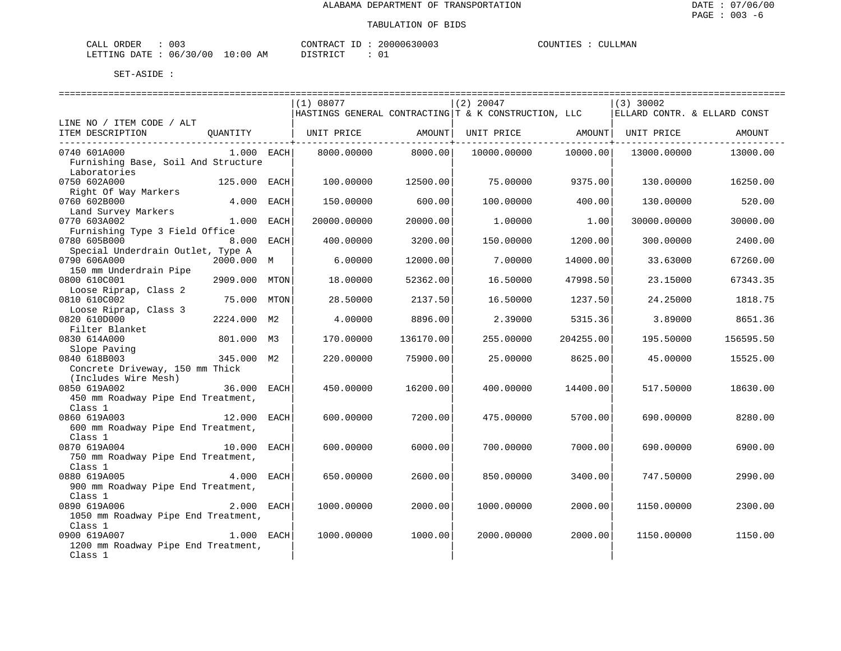| ORDER<br>CALL                   | 003 | CONTRACT ID | 20000630003 | COUNTIES | <b>CULLMAN</b> |  |
|---------------------------------|-----|-------------|-------------|----------|----------------|--|
| LETTING DATE: 06/30/00 10:00 AM |     | DISTRICT    |             |          |                |  |

|                                     |               |      | (1) 08077             |           | $(2)$ 20047                                          |           | $(3)$ 30002 |                              |
|-------------------------------------|---------------|------|-----------------------|-----------|------------------------------------------------------|-----------|-------------|------------------------------|
|                                     |               |      |                       |           | HASTINGS GENERAL CONTRACTING T & K CONSTRUCTION, LLC |           |             | ELLARD CONTR. & ELLARD CONST |
| LINE NO / ITEM CODE / ALT           |               |      |                       |           |                                                      |           |             |                              |
| ITEM DESCRIPTION                    |               |      | QUANTITY   UNIT PRICE | AMOUNT    | UNIT PRICE AMOUNT                                    |           | UNIT PRICE  | AMOUNT                       |
|                                     |               |      |                       |           |                                                      |           |             |                              |
| 0740 601A000                        | 1.000 EACH    |      | 8000.00000            | 8000.00   | 10000.00000                                          | 10000.00  | 13000.00000 | 13000.00                     |
| Furnishing Base, Soil And Structure |               |      |                       |           |                                                      |           |             |                              |
| Laboratories                        |               |      |                       |           |                                                      |           |             |                              |
| 0750 602A000                        | 125.000 EACH  |      | 100.00000             | 12500.00  | 75.00000                                             | 9375.00   | 130.00000   | 16250.00                     |
| Right Of Way Markers                |               |      |                       |           |                                                      |           |             |                              |
| 0760 602B000                        | 4.000 EACH    |      | 150.00000             | 600.00    | 100.00000                                            | 400.00    | 130.00000   | 520.00                       |
| Land Survey Markers                 |               |      |                       |           |                                                      |           |             |                              |
| 0770 603A002                        | 1.000 EACH    |      | 20000.00000           | 20000.00  | 1,00000                                              | 1.00      | 30000.00000 | 30000.00                     |
| Furnishing Type 3 Field Office      |               |      |                       |           |                                                      |           |             |                              |
| 0780 605B000                        | 8.000 EACH    |      | 400.00000             | 3200.00   | 150.00000                                            | 1200.00   | 300.00000   | 2400.00                      |
| Special Underdrain Outlet, Type A   |               |      |                       |           |                                                      |           |             |                              |
| 0790 606A000                        | 2000.000 M    |      | 6,00000               | 12000.00  | 7.00000                                              | 14000.00  | 33.63000    | 67260.00                     |
| 150 mm Underdrain Pipe              |               |      |                       |           |                                                      |           |             |                              |
| 0800 610C001                        | 2909.000 MTON |      | 18,00000              | 52362.00  | 16.50000                                             | 47998.50  | 23.15000    | 67343.35                     |
| Loose Riprap, Class 2               |               |      |                       |           |                                                      |           |             |                              |
| 0810 610C002                        | 75.000        | MTON | 28.50000              | 2137.50   | 16.50000                                             | 1237.50   | 24.25000    | 1818.75                      |
| Loose Riprap, Class 3               |               |      |                       |           |                                                      |           |             |                              |
| 0820 610D000                        | 2224.000 M2   |      | 4.00000               | 8896.00   | 2.39000                                              | 5315.36   | 3.89000     | 8651.36                      |
| Filter Blanket                      |               |      |                       |           |                                                      |           |             |                              |
| 0830 614A000                        | 801.000 M3    |      | 170.00000             | 136170.00 | 255.00000                                            | 204255.00 | 195.50000   | 156595.50                    |
| Slope Paving                        |               |      |                       |           |                                                      |           |             |                              |
| 0840 618B003                        | 345.000 M2    |      | 220,00000             | 75900.00  | 25.00000                                             | 8625.00   | 45.00000    | 15525.00                     |
| Concrete Driveway, 150 mm Thick     |               |      |                       |           |                                                      |           |             |                              |
| (Includes Wire Mesh)                |               |      |                       |           |                                                      |           |             |                              |
| 0850 619A002                        | 36.000 EACH   |      | 450.00000             | 16200.00  | 400.00000                                            | 14400.00  | 517.50000   | 18630.00                     |
| 450 mm Roadway Pipe End Treatment,  |               |      |                       |           |                                                      |           |             |                              |
| Class 1                             |               |      |                       |           |                                                      |           |             |                              |
| 12.000 EACH<br>0860 619A003         |               |      | 600.00000             | 7200.00   | 475.00000                                            | 5700.00   | 690.00000   | 8280.00                      |
| 600 mm Roadway Pipe End Treatment,  |               |      |                       |           |                                                      |           |             |                              |
| Class 1                             |               |      |                       |           |                                                      |           |             |                              |
| 0870 619A004                        | 10.000 EACH   |      | 600,00000             | 6000.00   | 700.00000                                            | 7000.00   | 690.00000   | 6900.00                      |
| 750 mm Roadway Pipe End Treatment,  |               |      |                       |           |                                                      |           |             |                              |
| Class 1                             |               |      |                       |           |                                                      |           |             |                              |
| 0880 619A005                        | 4.000         | EACH | 650.00000             | 2600.00   | 850.00000                                            | 3400.00   | 747.50000   | 2990.00                      |
| 900 mm Roadway Pipe End Treatment,  |               |      |                       |           |                                                      |           |             |                              |
| Class 1                             |               |      |                       |           |                                                      |           |             |                              |
| 2.000 EACH<br>0890 619A006          |               |      | 1000.00000            | 2000.00   | 1000.00000                                           | 2000.00   | 1150.00000  | 2300.00                      |
| 1050 mm Roadway Pipe End Treatment, |               |      |                       |           |                                                      |           |             |                              |
| Class 1                             |               |      |                       |           |                                                      |           |             |                              |
| 0900 619A007                        | 1.000 EACH    |      | 1000.00000            | 1000.00   | 2000.00000                                           | 2000.00   | 1150.00000  | 1150.00                      |
| 1200 mm Roadway Pipe End Treatment, |               |      |                       |           |                                                      |           |             |                              |
| Class 1                             |               |      |                       |           |                                                      |           |             |                              |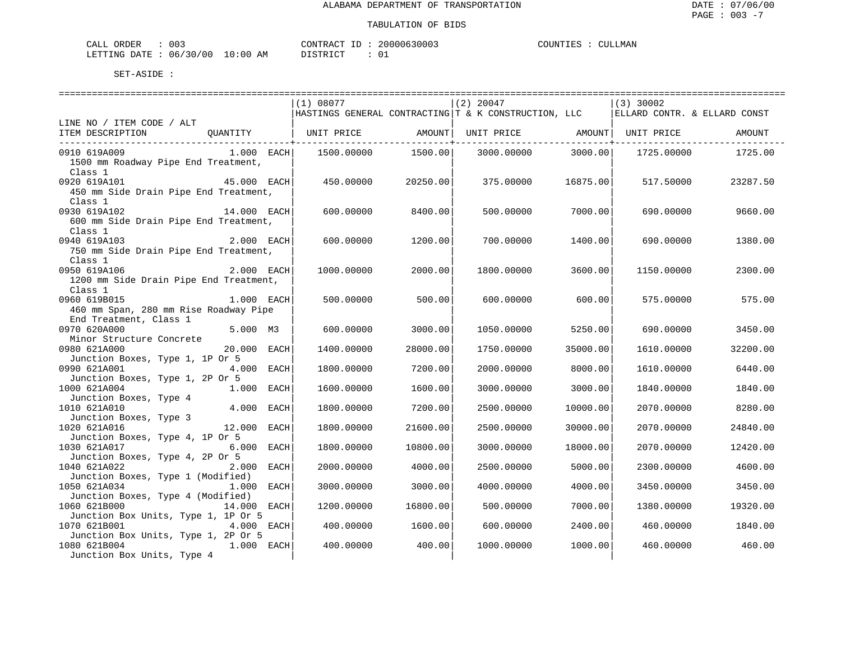| CALL ORDER                      | 003 | CONTRACT ID | 20000630003 | COUNTIES | . | CULLMAN |
|---------------------------------|-----|-------------|-------------|----------|---|---------|
| LETTING DATE: 06/30/00 10:00 AM |     | DISTRICT    |             |          |   |         |

|                                                                              |               | (1) 08077  |                                       | $(2)$ 20047                                          |                                                 | $(3)$ 30002                  |          |
|------------------------------------------------------------------------------|---------------|------------|---------------------------------------|------------------------------------------------------|-------------------------------------------------|------------------------------|----------|
|                                                                              |               |            |                                       | HASTINGS GENERAL CONTRACTING T & K CONSTRUCTION, LLC |                                                 | ELLARD CONTR. & ELLARD CONST |          |
| LINE NO / ITEM CODE / ALT                                                    |               |            |                                       |                                                      |                                                 |                              |          |
| ITEM DESCRIPTION QUANTITY   UNIT PRICE AMOUNT  UNIT PRICE AMOUNT  UNIT PRICE |               |            |                                       |                                                      |                                                 |                              | AMOUNT   |
|                                                                              |               |            | ---------------- <del>-</del> ------- |                                                      | . _ _ _ _ _ _ _ _ _ _ _ _ _ _ _ + _ _ _ _ _ _ _ |                              |          |
| 0910 619A009                                                                 | $1.000$ EACH  | 1500.00000 | 1500.00                               | 3000.00000                                           | 3000.00                                         | 1725.00000                   | 1725.00  |
| 1500 mm Roadway Pipe End Treatment,                                          |               |            |                                       |                                                      |                                                 |                              |          |
| Class 1                                                                      |               |            |                                       |                                                      |                                                 |                              |          |
| 0920 619A101                                                                 | $45.000$ EACH | 450.00000  | 20250.00                              | 375.00000                                            | 16875.00                                        | 517.50000                    | 23287.50 |
| 450 mm Side Drain Pipe End Treatment,                                        |               |            |                                       |                                                      |                                                 |                              |          |
| Class 1                                                                      |               |            |                                       |                                                      |                                                 |                              |          |
| 0930 619A102                                                                 | 14.000 EACH   | 600.00000  | 8400.00                               | 500.00000                                            | 7000.00                                         | 690.00000                    | 9660.00  |
| 600 mm Side Drain Pipe End Treatment,                                        |               |            |                                       |                                                      |                                                 |                              |          |
|                                                                              |               |            |                                       |                                                      |                                                 |                              |          |
| Class 1                                                                      |               |            |                                       |                                                      |                                                 |                              |          |
| 0940 619A103                                                                 | 2.000 EACH    | 600.00000  | 1200.00                               | 700.00000                                            | 1400.00                                         | 690.00000                    | 1380.00  |
| 750 mm Side Drain Pipe End Treatment,                                        |               |            |                                       |                                                      |                                                 |                              |          |
| Class 1                                                                      |               |            |                                       |                                                      |                                                 |                              |          |
| 0950 619A106                                                                 | 2.000 EACH    | 1000.00000 | 2000.00                               | 1800.00000                                           | 3600.00                                         | 1150.00000                   | 2300.00  |
| 1200 mm Side Drain Pipe End Treatment,                                       |               |            |                                       |                                                      |                                                 |                              |          |
| Class 1                                                                      |               |            |                                       |                                                      |                                                 |                              |          |
| 0960 619B015                                                                 | $1.000$ EACH  | 500.00000  | 500.00                                | 600,00000                                            | 600.00                                          | 575.00000                    | 575.00   |
| 460 mm Span, 280 mm Rise Roadway Pipe                                        |               |            |                                       |                                                      |                                                 |                              |          |
| End Treatment, Class 1                                                       |               |            |                                       |                                                      |                                                 |                              |          |
| 0970 620A000                                                                 | 5.000 M3      | 600.00000  | 3000.00                               | 1050.00000                                           | 5250.00                                         | 690.00000                    | 3450.00  |
| Minor Structure Concrete                                                     |               |            |                                       |                                                      |                                                 |                              |          |
| 0980 621A000                                                                 | 20.000 EACH   | 1400.00000 | 28000.00                              | 1750.00000                                           | 35000.00                                        | 1610.00000                   | 32200.00 |
| Junction Boxes, Type 1, 1P Or 5                                              |               |            |                                       |                                                      |                                                 |                              |          |
|                                                                              |               |            |                                       |                                                      |                                                 |                              |          |
| 0990 621A001                                                                 | 4.000 EACH    | 1800.00000 | 7200.00                               | 2000.00000                                           | 8000.00                                         | 1610.00000                   | 6440.00  |
| Junction Boxes, Type 1, 2P Or 5                                              |               |            |                                       |                                                      |                                                 |                              |          |
| 1000 621A004                                                                 | 1.000 EACH    | 1600.00000 | 1600.00                               | 3000.00000                                           | 3000.00                                         | 1840.00000                   | 1840.00  |
| Junction Boxes, Type 4                                                       |               |            |                                       |                                                      |                                                 |                              |          |
| 1010 621A010                                                                 | 4.000 EACH    | 1800.00000 | 7200.00                               | 2500.00000                                           | 10000.00                                        | 2070.00000                   | 8280.00  |
| Junction Boxes, Type 3                                                       |               |            |                                       |                                                      |                                                 |                              |          |
| 1020 621A016                                                                 | 12.000 EACH   | 1800.00000 | 21600.00                              | 2500.00000                                           | 30000.00                                        | 2070.00000                   | 24840.00 |
| Junction Boxes, Type 4, 1P Or 5                                              |               |            |                                       |                                                      |                                                 |                              |          |
| 1030 621A017                                                                 | 6.000 EACH    | 1800.00000 | 10800.00                              | 3000.00000                                           | 18000.00                                        | 2070.00000                   | 12420.00 |
| Junction Boxes, Type 4, 2P Or 5                                              |               |            |                                       |                                                      |                                                 |                              |          |
| 1040 621A022                                                                 | 2.000 EACH    | 2000.00000 | 4000.00                               | 2500.00000                                           | 5000.00                                         | 2300.00000                   | 4600.00  |
| Junction Boxes, Type 1 (Modified)                                            |               |            |                                       |                                                      |                                                 |                              |          |
| 1050 621A034                                                                 | 1.000 EACH    | 3000.00000 | 3000.00                               | 4000.00000                                           | 4000.00                                         | 3450.00000                   | 3450.00  |
| Junction Boxes, Type 4 (Modified)                                            |               |            |                                       |                                                      |                                                 |                              |          |
| 1060 621B000                                                                 | 14.000 EACH   | 1200.00000 | 16800.00                              | 500.00000                                            | 7000.00                                         | 1380.00000                   | 19320.00 |
| Junction Box Units, Type 1, 1P Or 5                                          |               |            |                                       |                                                      |                                                 |                              |          |
| 1070 621B001                                                                 | 4.000 EACH    | 400.00000  | 1600.00                               | 600.00000                                            | 2400.00                                         | 460.00000                    | 1840.00  |
|                                                                              |               |            |                                       |                                                      |                                                 |                              |          |
| Junction Box Units, Type 1, 2P Or 5                                          |               |            |                                       |                                                      |                                                 |                              |          |
| 1080 621B004                                                                 | 1.000 EACH    | 400.00000  | 400.00                                | 1000.00000                                           | 1000.00                                         | 460.00000                    | 460.00   |
| Junction Box Units, Type 4                                                   |               |            |                                       |                                                      |                                                 |                              |          |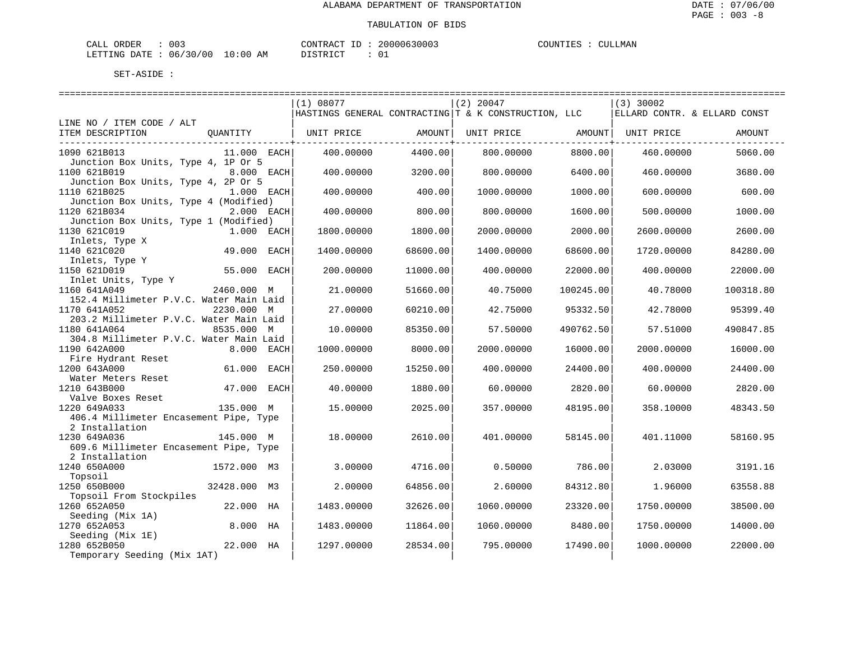| CALL ORDER                      | : 003 |  | CON. |
|---------------------------------|-------|--|------|
| LETTING DATE: 06/30/00 10:00 AM |       |  | DIS. |

TRACT ID : 20000630003  $TRICT$  : 01

COUNTIES : CULLMAN

| (1) 08077<br>$(2)$ 20047<br>$(3)$ 30002<br> HASTINGS GENERAL CONTRACTING T & K CONSTRUCTION, LLC<br>ELLARD CONTR. & ELLARD CONST<br>LINE NO / ITEM CODE / ALT<br>ITEM DESCRIPTION<br>OUANTITY  <br>UNIT PRICE<br>AMOUNT  <br>UNIT PRICE AMOUNT<br>UNIT PRICE<br>AMOUNT<br>8800.00<br>1090 621B013<br>400.00000<br>4400.00<br>800,00000<br>460.00000<br>5060.00<br>$11.000$ EACH<br>Junction Box Units, Type 4, 1P Or 5<br>1100 621B019<br>3200.00<br>6400.00<br>460.00000<br>8.000 EACH<br>400.00000<br>800.00000<br>3680.00<br>Junction Box Units, Type 4, 2P Or 5<br>1110 621B025<br>400.00<br>600.00<br>1.000 EACH<br>400.00000<br>1000.00000<br>1000.00<br>600,00000<br>Junction Box Units, Type 4 (Modified)<br>1120 621B034<br>800.00<br>1000.00<br>2.000 EACH<br>400.00000<br>800,00000<br>1600.00<br>500.00000<br>Junction Box Units, Type 1 (Modified)<br>1130 621C019<br>1.000 EACH<br>1800.00000<br>1800.00<br>2000.00000<br>2000.00<br>2600.00000<br>2600.00<br>Inlets, Type X<br>1140 621C020<br>49.000<br>EACH<br>1400.00000<br>68600.00<br>1400.00000<br>68600.00<br>1720.00000<br>84280.00<br>Inlets, Type Y<br>1150 621D019<br>55.000 EACH<br>200,00000<br>11000.00<br>400.00000<br>22000.00<br>400.00000<br>22000.00<br>Inlet Units, Type Y<br>1160 641A049<br>51660.00<br>100245.00<br>2460.000 M<br>21.00000<br>40.75000<br>40.78000<br>100318.80<br>152.4 Millimeter P.V.C. Water Main Laid<br>1170 641A052<br>2230.000 M<br>27.00000<br>60210.00<br>42.75000<br>95332.50<br>42.78000<br>95399.40<br>203.2 Millimeter P.V.C. Water Main Laid<br>8535.000 M<br>85350.00<br>490762.50<br>1180 641A064<br>10.00000<br>57.50000<br>57.51000<br>490847.85<br>304.8 Millimeter P.V.C. Water Main Laid<br>1190 642A000<br>8.000 EACH<br>1000.00000<br>8000.00<br>2000.00000<br>16000.00<br>2000.00000<br>16000.00<br>Fire Hydrant Reset<br>1200 643A000<br>61.000<br>15250.00<br>24400.00<br>EACH<br>250.00000<br>400.00000<br>400.00000<br>24400.00<br>Water Meters Reset<br>1210 643B000<br>47.000 EACH<br>40.00000<br>1880.00<br>60.00000<br>2820.00<br>60.00000<br>2820.00<br>Valve Boxes Reset<br>1220 649A033<br>135.000 M<br>15,00000<br>2025.00<br>357.00000<br>48195.00<br>358.10000<br>48343.50<br>406.4 Millimeter Encasement Pipe, Type<br>2 Installation<br>1230 649A036<br>145.000 M<br>18,00000<br>2610.00<br>401.00000<br>58145.00<br>401.11000<br>58160.95<br>609.6 Millimeter Encasement Pipe, Type<br>2 Installation<br>1240 650A000<br>786.00<br>3191.16<br>1572.000 M3<br>3.00000<br>4716.00<br>0.50000<br>2.03000<br>Topsoil<br>1250 650B000<br>32428.000 M3<br>2.00000<br>64856.00<br>2.60000<br>84312.80<br>1.96000<br>63558.88<br>Topsoil From Stockpiles<br>1260 652A050<br>22.000 HA<br>1483.00000<br>32626.00<br>1060.00000<br>23320.00<br>1750.00000<br>38500.00<br>Seeding (Mix 1A)<br>1270 652A053<br>8.000 HA<br>11864.00<br>1060.00000<br>8480.00<br>1483.00000<br>1750.00000<br>14000.00<br>Seeding (Mix 1E)<br>22.000 HA<br>1280 652B050<br>1297.00000<br>28534.00<br>795.00000<br>17490.00<br>1000.00000<br>22000.00<br>Temporary Seeding (Mix 1AT) |  |  |  |  |  |
|-------------------------------------------------------------------------------------------------------------------------------------------------------------------------------------------------------------------------------------------------------------------------------------------------------------------------------------------------------------------------------------------------------------------------------------------------------------------------------------------------------------------------------------------------------------------------------------------------------------------------------------------------------------------------------------------------------------------------------------------------------------------------------------------------------------------------------------------------------------------------------------------------------------------------------------------------------------------------------------------------------------------------------------------------------------------------------------------------------------------------------------------------------------------------------------------------------------------------------------------------------------------------------------------------------------------------------------------------------------------------------------------------------------------------------------------------------------------------------------------------------------------------------------------------------------------------------------------------------------------------------------------------------------------------------------------------------------------------------------------------------------------------------------------------------------------------------------------------------------------------------------------------------------------------------------------------------------------------------------------------------------------------------------------------------------------------------------------------------------------------------------------------------------------------------------------------------------------------------------------------------------------------------------------------------------------------------------------------------------------------------------------------------------------------------------------------------------------------------------------------------------------------------------------------------------------------------------------------------------------------------------------------------------------------------------------------------------------------------------------------------------------------------------------------------------------------------------------------------------------------------------------------------------------------------------------------------------------------------------------------------------------------------------------------------------------------------------------------------|--|--|--|--|--|
|                                                                                                                                                                                                                                                                                                                                                                                                                                                                                                                                                                                                                                                                                                                                                                                                                                                                                                                                                                                                                                                                                                                                                                                                                                                                                                                                                                                                                                                                                                                                                                                                                                                                                                                                                                                                                                                                                                                                                                                                                                                                                                                                                                                                                                                                                                                                                                                                                                                                                                                                                                                                                                                                                                                                                                                                                                                                                                                                                                                                                                                                                                       |  |  |  |  |  |
|                                                                                                                                                                                                                                                                                                                                                                                                                                                                                                                                                                                                                                                                                                                                                                                                                                                                                                                                                                                                                                                                                                                                                                                                                                                                                                                                                                                                                                                                                                                                                                                                                                                                                                                                                                                                                                                                                                                                                                                                                                                                                                                                                                                                                                                                                                                                                                                                                                                                                                                                                                                                                                                                                                                                                                                                                                                                                                                                                                                                                                                                                                       |  |  |  |  |  |
|                                                                                                                                                                                                                                                                                                                                                                                                                                                                                                                                                                                                                                                                                                                                                                                                                                                                                                                                                                                                                                                                                                                                                                                                                                                                                                                                                                                                                                                                                                                                                                                                                                                                                                                                                                                                                                                                                                                                                                                                                                                                                                                                                                                                                                                                                                                                                                                                                                                                                                                                                                                                                                                                                                                                                                                                                                                                                                                                                                                                                                                                                                       |  |  |  |  |  |
|                                                                                                                                                                                                                                                                                                                                                                                                                                                                                                                                                                                                                                                                                                                                                                                                                                                                                                                                                                                                                                                                                                                                                                                                                                                                                                                                                                                                                                                                                                                                                                                                                                                                                                                                                                                                                                                                                                                                                                                                                                                                                                                                                                                                                                                                                                                                                                                                                                                                                                                                                                                                                                                                                                                                                                                                                                                                                                                                                                                                                                                                                                       |  |  |  |  |  |
|                                                                                                                                                                                                                                                                                                                                                                                                                                                                                                                                                                                                                                                                                                                                                                                                                                                                                                                                                                                                                                                                                                                                                                                                                                                                                                                                                                                                                                                                                                                                                                                                                                                                                                                                                                                                                                                                                                                                                                                                                                                                                                                                                                                                                                                                                                                                                                                                                                                                                                                                                                                                                                                                                                                                                                                                                                                                                                                                                                                                                                                                                                       |  |  |  |  |  |
|                                                                                                                                                                                                                                                                                                                                                                                                                                                                                                                                                                                                                                                                                                                                                                                                                                                                                                                                                                                                                                                                                                                                                                                                                                                                                                                                                                                                                                                                                                                                                                                                                                                                                                                                                                                                                                                                                                                                                                                                                                                                                                                                                                                                                                                                                                                                                                                                                                                                                                                                                                                                                                                                                                                                                                                                                                                                                                                                                                                                                                                                                                       |  |  |  |  |  |
|                                                                                                                                                                                                                                                                                                                                                                                                                                                                                                                                                                                                                                                                                                                                                                                                                                                                                                                                                                                                                                                                                                                                                                                                                                                                                                                                                                                                                                                                                                                                                                                                                                                                                                                                                                                                                                                                                                                                                                                                                                                                                                                                                                                                                                                                                                                                                                                                                                                                                                                                                                                                                                                                                                                                                                                                                                                                                                                                                                                                                                                                                                       |  |  |  |  |  |
|                                                                                                                                                                                                                                                                                                                                                                                                                                                                                                                                                                                                                                                                                                                                                                                                                                                                                                                                                                                                                                                                                                                                                                                                                                                                                                                                                                                                                                                                                                                                                                                                                                                                                                                                                                                                                                                                                                                                                                                                                                                                                                                                                                                                                                                                                                                                                                                                                                                                                                                                                                                                                                                                                                                                                                                                                                                                                                                                                                                                                                                                                                       |  |  |  |  |  |
|                                                                                                                                                                                                                                                                                                                                                                                                                                                                                                                                                                                                                                                                                                                                                                                                                                                                                                                                                                                                                                                                                                                                                                                                                                                                                                                                                                                                                                                                                                                                                                                                                                                                                                                                                                                                                                                                                                                                                                                                                                                                                                                                                                                                                                                                                                                                                                                                                                                                                                                                                                                                                                                                                                                                                                                                                                                                                                                                                                                                                                                                                                       |  |  |  |  |  |
|                                                                                                                                                                                                                                                                                                                                                                                                                                                                                                                                                                                                                                                                                                                                                                                                                                                                                                                                                                                                                                                                                                                                                                                                                                                                                                                                                                                                                                                                                                                                                                                                                                                                                                                                                                                                                                                                                                                                                                                                                                                                                                                                                                                                                                                                                                                                                                                                                                                                                                                                                                                                                                                                                                                                                                                                                                                                                                                                                                                                                                                                                                       |  |  |  |  |  |
|                                                                                                                                                                                                                                                                                                                                                                                                                                                                                                                                                                                                                                                                                                                                                                                                                                                                                                                                                                                                                                                                                                                                                                                                                                                                                                                                                                                                                                                                                                                                                                                                                                                                                                                                                                                                                                                                                                                                                                                                                                                                                                                                                                                                                                                                                                                                                                                                                                                                                                                                                                                                                                                                                                                                                                                                                                                                                                                                                                                                                                                                                                       |  |  |  |  |  |
|                                                                                                                                                                                                                                                                                                                                                                                                                                                                                                                                                                                                                                                                                                                                                                                                                                                                                                                                                                                                                                                                                                                                                                                                                                                                                                                                                                                                                                                                                                                                                                                                                                                                                                                                                                                                                                                                                                                                                                                                                                                                                                                                                                                                                                                                                                                                                                                                                                                                                                                                                                                                                                                                                                                                                                                                                                                                                                                                                                                                                                                                                                       |  |  |  |  |  |
|                                                                                                                                                                                                                                                                                                                                                                                                                                                                                                                                                                                                                                                                                                                                                                                                                                                                                                                                                                                                                                                                                                                                                                                                                                                                                                                                                                                                                                                                                                                                                                                                                                                                                                                                                                                                                                                                                                                                                                                                                                                                                                                                                                                                                                                                                                                                                                                                                                                                                                                                                                                                                                                                                                                                                                                                                                                                                                                                                                                                                                                                                                       |  |  |  |  |  |
|                                                                                                                                                                                                                                                                                                                                                                                                                                                                                                                                                                                                                                                                                                                                                                                                                                                                                                                                                                                                                                                                                                                                                                                                                                                                                                                                                                                                                                                                                                                                                                                                                                                                                                                                                                                                                                                                                                                                                                                                                                                                                                                                                                                                                                                                                                                                                                                                                                                                                                                                                                                                                                                                                                                                                                                                                                                                                                                                                                                                                                                                                                       |  |  |  |  |  |
|                                                                                                                                                                                                                                                                                                                                                                                                                                                                                                                                                                                                                                                                                                                                                                                                                                                                                                                                                                                                                                                                                                                                                                                                                                                                                                                                                                                                                                                                                                                                                                                                                                                                                                                                                                                                                                                                                                                                                                                                                                                                                                                                                                                                                                                                                                                                                                                                                                                                                                                                                                                                                                                                                                                                                                                                                                                                                                                                                                                                                                                                                                       |  |  |  |  |  |
|                                                                                                                                                                                                                                                                                                                                                                                                                                                                                                                                                                                                                                                                                                                                                                                                                                                                                                                                                                                                                                                                                                                                                                                                                                                                                                                                                                                                                                                                                                                                                                                                                                                                                                                                                                                                                                                                                                                                                                                                                                                                                                                                                                                                                                                                                                                                                                                                                                                                                                                                                                                                                                                                                                                                                                                                                                                                                                                                                                                                                                                                                                       |  |  |  |  |  |
|                                                                                                                                                                                                                                                                                                                                                                                                                                                                                                                                                                                                                                                                                                                                                                                                                                                                                                                                                                                                                                                                                                                                                                                                                                                                                                                                                                                                                                                                                                                                                                                                                                                                                                                                                                                                                                                                                                                                                                                                                                                                                                                                                                                                                                                                                                                                                                                                                                                                                                                                                                                                                                                                                                                                                                                                                                                                                                                                                                                                                                                                                                       |  |  |  |  |  |
|                                                                                                                                                                                                                                                                                                                                                                                                                                                                                                                                                                                                                                                                                                                                                                                                                                                                                                                                                                                                                                                                                                                                                                                                                                                                                                                                                                                                                                                                                                                                                                                                                                                                                                                                                                                                                                                                                                                                                                                                                                                                                                                                                                                                                                                                                                                                                                                                                                                                                                                                                                                                                                                                                                                                                                                                                                                                                                                                                                                                                                                                                                       |  |  |  |  |  |
|                                                                                                                                                                                                                                                                                                                                                                                                                                                                                                                                                                                                                                                                                                                                                                                                                                                                                                                                                                                                                                                                                                                                                                                                                                                                                                                                                                                                                                                                                                                                                                                                                                                                                                                                                                                                                                                                                                                                                                                                                                                                                                                                                                                                                                                                                                                                                                                                                                                                                                                                                                                                                                                                                                                                                                                                                                                                                                                                                                                                                                                                                                       |  |  |  |  |  |
|                                                                                                                                                                                                                                                                                                                                                                                                                                                                                                                                                                                                                                                                                                                                                                                                                                                                                                                                                                                                                                                                                                                                                                                                                                                                                                                                                                                                                                                                                                                                                                                                                                                                                                                                                                                                                                                                                                                                                                                                                                                                                                                                                                                                                                                                                                                                                                                                                                                                                                                                                                                                                                                                                                                                                                                                                                                                                                                                                                                                                                                                                                       |  |  |  |  |  |
|                                                                                                                                                                                                                                                                                                                                                                                                                                                                                                                                                                                                                                                                                                                                                                                                                                                                                                                                                                                                                                                                                                                                                                                                                                                                                                                                                                                                                                                                                                                                                                                                                                                                                                                                                                                                                                                                                                                                                                                                                                                                                                                                                                                                                                                                                                                                                                                                                                                                                                                                                                                                                                                                                                                                                                                                                                                                                                                                                                                                                                                                                                       |  |  |  |  |  |
|                                                                                                                                                                                                                                                                                                                                                                                                                                                                                                                                                                                                                                                                                                                                                                                                                                                                                                                                                                                                                                                                                                                                                                                                                                                                                                                                                                                                                                                                                                                                                                                                                                                                                                                                                                                                                                                                                                                                                                                                                                                                                                                                                                                                                                                                                                                                                                                                                                                                                                                                                                                                                                                                                                                                                                                                                                                                                                                                                                                                                                                                                                       |  |  |  |  |  |
|                                                                                                                                                                                                                                                                                                                                                                                                                                                                                                                                                                                                                                                                                                                                                                                                                                                                                                                                                                                                                                                                                                                                                                                                                                                                                                                                                                                                                                                                                                                                                                                                                                                                                                                                                                                                                                                                                                                                                                                                                                                                                                                                                                                                                                                                                                                                                                                                                                                                                                                                                                                                                                                                                                                                                                                                                                                                                                                                                                                                                                                                                                       |  |  |  |  |  |
|                                                                                                                                                                                                                                                                                                                                                                                                                                                                                                                                                                                                                                                                                                                                                                                                                                                                                                                                                                                                                                                                                                                                                                                                                                                                                                                                                                                                                                                                                                                                                                                                                                                                                                                                                                                                                                                                                                                                                                                                                                                                                                                                                                                                                                                                                                                                                                                                                                                                                                                                                                                                                                                                                                                                                                                                                                                                                                                                                                                                                                                                                                       |  |  |  |  |  |
|                                                                                                                                                                                                                                                                                                                                                                                                                                                                                                                                                                                                                                                                                                                                                                                                                                                                                                                                                                                                                                                                                                                                                                                                                                                                                                                                                                                                                                                                                                                                                                                                                                                                                                                                                                                                                                                                                                                                                                                                                                                                                                                                                                                                                                                                                                                                                                                                                                                                                                                                                                                                                                                                                                                                                                                                                                                                                                                                                                                                                                                                                                       |  |  |  |  |  |
|                                                                                                                                                                                                                                                                                                                                                                                                                                                                                                                                                                                                                                                                                                                                                                                                                                                                                                                                                                                                                                                                                                                                                                                                                                                                                                                                                                                                                                                                                                                                                                                                                                                                                                                                                                                                                                                                                                                                                                                                                                                                                                                                                                                                                                                                                                                                                                                                                                                                                                                                                                                                                                                                                                                                                                                                                                                                                                                                                                                                                                                                                                       |  |  |  |  |  |
|                                                                                                                                                                                                                                                                                                                                                                                                                                                                                                                                                                                                                                                                                                                                                                                                                                                                                                                                                                                                                                                                                                                                                                                                                                                                                                                                                                                                                                                                                                                                                                                                                                                                                                                                                                                                                                                                                                                                                                                                                                                                                                                                                                                                                                                                                                                                                                                                                                                                                                                                                                                                                                                                                                                                                                                                                                                                                                                                                                                                                                                                                                       |  |  |  |  |  |
|                                                                                                                                                                                                                                                                                                                                                                                                                                                                                                                                                                                                                                                                                                                                                                                                                                                                                                                                                                                                                                                                                                                                                                                                                                                                                                                                                                                                                                                                                                                                                                                                                                                                                                                                                                                                                                                                                                                                                                                                                                                                                                                                                                                                                                                                                                                                                                                                                                                                                                                                                                                                                                                                                                                                                                                                                                                                                                                                                                                                                                                                                                       |  |  |  |  |  |
|                                                                                                                                                                                                                                                                                                                                                                                                                                                                                                                                                                                                                                                                                                                                                                                                                                                                                                                                                                                                                                                                                                                                                                                                                                                                                                                                                                                                                                                                                                                                                                                                                                                                                                                                                                                                                                                                                                                                                                                                                                                                                                                                                                                                                                                                                                                                                                                                                                                                                                                                                                                                                                                                                                                                                                                                                                                                                                                                                                                                                                                                                                       |  |  |  |  |  |
|                                                                                                                                                                                                                                                                                                                                                                                                                                                                                                                                                                                                                                                                                                                                                                                                                                                                                                                                                                                                                                                                                                                                                                                                                                                                                                                                                                                                                                                                                                                                                                                                                                                                                                                                                                                                                                                                                                                                                                                                                                                                                                                                                                                                                                                                                                                                                                                                                                                                                                                                                                                                                                                                                                                                                                                                                                                                                                                                                                                                                                                                                                       |  |  |  |  |  |
|                                                                                                                                                                                                                                                                                                                                                                                                                                                                                                                                                                                                                                                                                                                                                                                                                                                                                                                                                                                                                                                                                                                                                                                                                                                                                                                                                                                                                                                                                                                                                                                                                                                                                                                                                                                                                                                                                                                                                                                                                                                                                                                                                                                                                                                                                                                                                                                                                                                                                                                                                                                                                                                                                                                                                                                                                                                                                                                                                                                                                                                                                                       |  |  |  |  |  |
|                                                                                                                                                                                                                                                                                                                                                                                                                                                                                                                                                                                                                                                                                                                                                                                                                                                                                                                                                                                                                                                                                                                                                                                                                                                                                                                                                                                                                                                                                                                                                                                                                                                                                                                                                                                                                                                                                                                                                                                                                                                                                                                                                                                                                                                                                                                                                                                                                                                                                                                                                                                                                                                                                                                                                                                                                                                                                                                                                                                                                                                                                                       |  |  |  |  |  |
|                                                                                                                                                                                                                                                                                                                                                                                                                                                                                                                                                                                                                                                                                                                                                                                                                                                                                                                                                                                                                                                                                                                                                                                                                                                                                                                                                                                                                                                                                                                                                                                                                                                                                                                                                                                                                                                                                                                                                                                                                                                                                                                                                                                                                                                                                                                                                                                                                                                                                                                                                                                                                                                                                                                                                                                                                                                                                                                                                                                                                                                                                                       |  |  |  |  |  |
|                                                                                                                                                                                                                                                                                                                                                                                                                                                                                                                                                                                                                                                                                                                                                                                                                                                                                                                                                                                                                                                                                                                                                                                                                                                                                                                                                                                                                                                                                                                                                                                                                                                                                                                                                                                                                                                                                                                                                                                                                                                                                                                                                                                                                                                                                                                                                                                                                                                                                                                                                                                                                                                                                                                                                                                                                                                                                                                                                                                                                                                                                                       |  |  |  |  |  |
|                                                                                                                                                                                                                                                                                                                                                                                                                                                                                                                                                                                                                                                                                                                                                                                                                                                                                                                                                                                                                                                                                                                                                                                                                                                                                                                                                                                                                                                                                                                                                                                                                                                                                                                                                                                                                                                                                                                                                                                                                                                                                                                                                                                                                                                                                                                                                                                                                                                                                                                                                                                                                                                                                                                                                                                                                                                                                                                                                                                                                                                                                                       |  |  |  |  |  |
|                                                                                                                                                                                                                                                                                                                                                                                                                                                                                                                                                                                                                                                                                                                                                                                                                                                                                                                                                                                                                                                                                                                                                                                                                                                                                                                                                                                                                                                                                                                                                                                                                                                                                                                                                                                                                                                                                                                                                                                                                                                                                                                                                                                                                                                                                                                                                                                                                                                                                                                                                                                                                                                                                                                                                                                                                                                                                                                                                                                                                                                                                                       |  |  |  |  |  |
|                                                                                                                                                                                                                                                                                                                                                                                                                                                                                                                                                                                                                                                                                                                                                                                                                                                                                                                                                                                                                                                                                                                                                                                                                                                                                                                                                                                                                                                                                                                                                                                                                                                                                                                                                                                                                                                                                                                                                                                                                                                                                                                                                                                                                                                                                                                                                                                                                                                                                                                                                                                                                                                                                                                                                                                                                                                                                                                                                                                                                                                                                                       |  |  |  |  |  |
|                                                                                                                                                                                                                                                                                                                                                                                                                                                                                                                                                                                                                                                                                                                                                                                                                                                                                                                                                                                                                                                                                                                                                                                                                                                                                                                                                                                                                                                                                                                                                                                                                                                                                                                                                                                                                                                                                                                                                                                                                                                                                                                                                                                                                                                                                                                                                                                                                                                                                                                                                                                                                                                                                                                                                                                                                                                                                                                                                                                                                                                                                                       |  |  |  |  |  |
|                                                                                                                                                                                                                                                                                                                                                                                                                                                                                                                                                                                                                                                                                                                                                                                                                                                                                                                                                                                                                                                                                                                                                                                                                                                                                                                                                                                                                                                                                                                                                                                                                                                                                                                                                                                                                                                                                                                                                                                                                                                                                                                                                                                                                                                                                                                                                                                                                                                                                                                                                                                                                                                                                                                                                                                                                                                                                                                                                                                                                                                                                                       |  |  |  |  |  |
|                                                                                                                                                                                                                                                                                                                                                                                                                                                                                                                                                                                                                                                                                                                                                                                                                                                                                                                                                                                                                                                                                                                                                                                                                                                                                                                                                                                                                                                                                                                                                                                                                                                                                                                                                                                                                                                                                                                                                                                                                                                                                                                                                                                                                                                                                                                                                                                                                                                                                                                                                                                                                                                                                                                                                                                                                                                                                                                                                                                                                                                                                                       |  |  |  |  |  |
|                                                                                                                                                                                                                                                                                                                                                                                                                                                                                                                                                                                                                                                                                                                                                                                                                                                                                                                                                                                                                                                                                                                                                                                                                                                                                                                                                                                                                                                                                                                                                                                                                                                                                                                                                                                                                                                                                                                                                                                                                                                                                                                                                                                                                                                                                                                                                                                                                                                                                                                                                                                                                                                                                                                                                                                                                                                                                                                                                                                                                                                                                                       |  |  |  |  |  |
|                                                                                                                                                                                                                                                                                                                                                                                                                                                                                                                                                                                                                                                                                                                                                                                                                                                                                                                                                                                                                                                                                                                                                                                                                                                                                                                                                                                                                                                                                                                                                                                                                                                                                                                                                                                                                                                                                                                                                                                                                                                                                                                                                                                                                                                                                                                                                                                                                                                                                                                                                                                                                                                                                                                                                                                                                                                                                                                                                                                                                                                                                                       |  |  |  |  |  |
|                                                                                                                                                                                                                                                                                                                                                                                                                                                                                                                                                                                                                                                                                                                                                                                                                                                                                                                                                                                                                                                                                                                                                                                                                                                                                                                                                                                                                                                                                                                                                                                                                                                                                                                                                                                                                                                                                                                                                                                                                                                                                                                                                                                                                                                                                                                                                                                                                                                                                                                                                                                                                                                                                                                                                                                                                                                                                                                                                                                                                                                                                                       |  |  |  |  |  |
|                                                                                                                                                                                                                                                                                                                                                                                                                                                                                                                                                                                                                                                                                                                                                                                                                                                                                                                                                                                                                                                                                                                                                                                                                                                                                                                                                                                                                                                                                                                                                                                                                                                                                                                                                                                                                                                                                                                                                                                                                                                                                                                                                                                                                                                                                                                                                                                                                                                                                                                                                                                                                                                                                                                                                                                                                                                                                                                                                                                                                                                                                                       |  |  |  |  |  |
|                                                                                                                                                                                                                                                                                                                                                                                                                                                                                                                                                                                                                                                                                                                                                                                                                                                                                                                                                                                                                                                                                                                                                                                                                                                                                                                                                                                                                                                                                                                                                                                                                                                                                                                                                                                                                                                                                                                                                                                                                                                                                                                                                                                                                                                                                                                                                                                                                                                                                                                                                                                                                                                                                                                                                                                                                                                                                                                                                                                                                                                                                                       |  |  |  |  |  |
|                                                                                                                                                                                                                                                                                                                                                                                                                                                                                                                                                                                                                                                                                                                                                                                                                                                                                                                                                                                                                                                                                                                                                                                                                                                                                                                                                                                                                                                                                                                                                                                                                                                                                                                                                                                                                                                                                                                                                                                                                                                                                                                                                                                                                                                                                                                                                                                                                                                                                                                                                                                                                                                                                                                                                                                                                                                                                                                                                                                                                                                                                                       |  |  |  |  |  |
|                                                                                                                                                                                                                                                                                                                                                                                                                                                                                                                                                                                                                                                                                                                                                                                                                                                                                                                                                                                                                                                                                                                                                                                                                                                                                                                                                                                                                                                                                                                                                                                                                                                                                                                                                                                                                                                                                                                                                                                                                                                                                                                                                                                                                                                                                                                                                                                                                                                                                                                                                                                                                                                                                                                                                                                                                                                                                                                                                                                                                                                                                                       |  |  |  |  |  |
|                                                                                                                                                                                                                                                                                                                                                                                                                                                                                                                                                                                                                                                                                                                                                                                                                                                                                                                                                                                                                                                                                                                                                                                                                                                                                                                                                                                                                                                                                                                                                                                                                                                                                                                                                                                                                                                                                                                                                                                                                                                                                                                                                                                                                                                                                                                                                                                                                                                                                                                                                                                                                                                                                                                                                                                                                                                                                                                                                                                                                                                                                                       |  |  |  |  |  |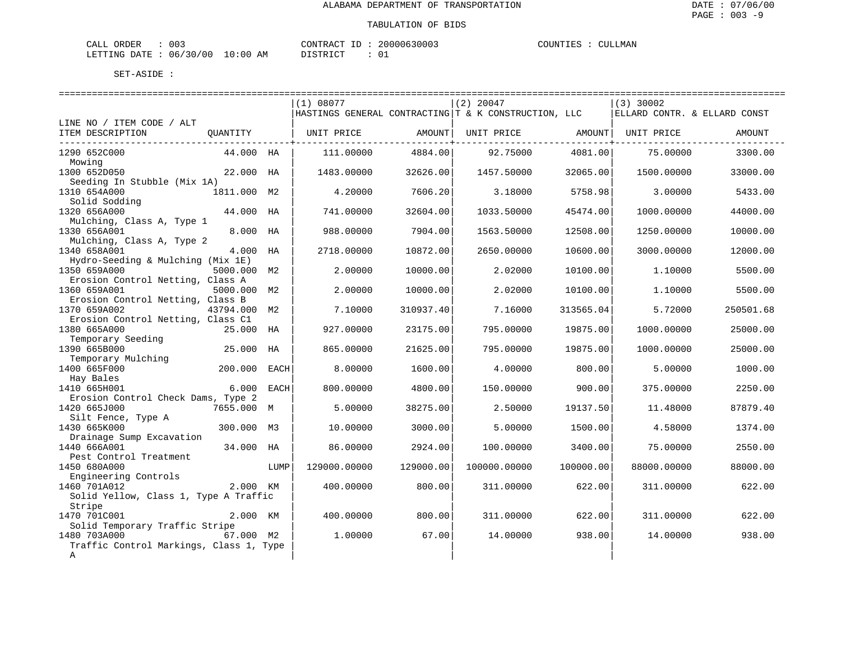| ORDER<br>CALI          | $\sim$<br>UU3 | "ONTRAC     | $- -$     | 20000630003 | COUNTIES | LMAN<br>711 |  |
|------------------------|---------------|-------------|-----------|-------------|----------|-------------|--|
| <b>DATE</b><br>LETTING | 06/30/00      | .0:00<br>AΜ | $m$ $\pi$ |             |          |             |  |

|                                         |              |      | (1) 08077         |           | $(2)$ 20047                                          |           | $(3)$ 30002                  |           |
|-----------------------------------------|--------------|------|-------------------|-----------|------------------------------------------------------|-----------|------------------------------|-----------|
|                                         |              |      |                   |           | HASTINGS GENERAL CONTRACTING T & K CONSTRUCTION, LLC |           | ELLARD CONTR. & ELLARD CONST |           |
| LINE NO / ITEM CODE / ALT               |              |      |                   |           |                                                      |           |                              |           |
| ITEM DESCRIPTION                        | QUANTITY     |      | UNIT PRICE AMOUNT |           | UNIT PRICE AMOUNT                                    |           | UNIT PRICE                   | AMOUNT    |
| ----------------------------            |              |      |                   |           |                                                      |           |                              |           |
| 1290 652C000                            | 44.000 HA    |      | 111,00000         | 4884.00   | 92.75000                                             | 4081.00   | 75.00000                     | 3300.00   |
| Mowing                                  |              |      |                   |           |                                                      |           |                              |           |
| 1300 652D050                            | 22.000 HA    |      | 1483.00000        | 32626.00  | 1457.50000                                           | 32065.00  | 1500.00000                   | 33000.00  |
| Seeding In Stubble (Mix 1A)             |              |      |                   |           |                                                      |           |                              |           |
| 1310 654A000                            | 1811.000 M2  |      | 4.20000           | 7606.20   | 3.18000                                              | 5758.98   | 3.00000                      | 5433.00   |
| Solid Sodding                           |              |      |                   |           |                                                      |           |                              |           |
| 1320 656A000                            | 44.000 HA    |      | 741.00000         | 32604.00  | 1033.50000                                           | 45474.00  | 1000.00000                   | 44000.00  |
| Mulching, Class A, Type 1               |              |      |                   |           |                                                      |           |                              |           |
| 1330 656A001                            | 8.000 HA     |      | 988.00000         | 7904.00   | 1563.50000                                           | 12508.00  | 1250.00000                   | 10000.00  |
| Mulching, Class A, Type 2               |              |      |                   |           |                                                      |           |                              |           |
| 1340 658A001                            | 4.000 HA     |      | 2718.00000        | 10872.00  | 2650.00000                                           | 10600.00  | 3000.00000                   | 12000.00  |
| Hydro-Seeding & Mulching (Mix 1E)       |              |      |                   |           |                                                      |           |                              |           |
| 1350 659A000                            | 5000.000 M2  |      | 2.00000           | 10000.00  | 2.02000                                              | 10100.00  | 1,10000                      | 5500.00   |
| Erosion Control Netting, Class A        |              |      |                   |           |                                                      |           |                              |           |
| 1360 659A001                            | 5000.000 M2  |      | 2.00000           | 10000.00  | 2.02000                                              | 10100.00  | 1,10000                      | 5500.00   |
| Erosion Control Netting, Class B        |              |      |                   |           |                                                      |           |                              |           |
| 1370 659A002                            | 43794.000 M2 |      | 7.10000           | 310937.40 | 7.16000                                              | 313565.04 | 5.72000                      | 250501.68 |
| Erosion Control Netting, Class C1       |              |      |                   |           |                                                      |           |                              |           |
| 1380 665A000                            | 25.000 HA    |      | 927.00000         | 23175.00  | 795.00000                                            | 19875.00  | 1000.00000                   | 25000.00  |
| Temporary Seeding                       |              |      |                   |           |                                                      |           |                              |           |
| 1390 665B000                            | 25.000 HA    |      | 865.00000         | 21625.00  | 795.00000                                            | 19875.00  | 1000.00000                   | 25000.00  |
| Temporary Mulching                      |              |      |                   |           |                                                      |           |                              |           |
| 1400 665F000                            | 200.000 EACH |      | 8,00000           | 1600.00   | 4.00000                                              | 800.00    | 5.00000                      | 1000.00   |
| Hay Bales                               |              |      |                   |           |                                                      |           |                              |           |
| 1410 665H001                            | 6.000 EACH   |      | 800,00000         | 4800.00   | 150.00000                                            | 900.00    | 375,00000                    | 2250.00   |
| Erosion Control Check Dams, Type 2      |              |      |                   |           |                                                      |           |                              |           |
| 1420 665J000                            | 7655.000 M   |      | 5.00000           | 38275.00  | 2.50000                                              | 19137.50  | 11.48000                     | 87879.40  |
| Silt Fence, Type A                      |              |      |                   |           |                                                      |           |                              |           |
| 1430 665K000                            | 300.000 M3   |      | 10.00000          | 3000.00   | 5.00000                                              | 1500.00   | 4.58000                      | 1374.00   |
| Drainage Sump Excavation                |              |      |                   |           |                                                      |           |                              |           |
| 1440 666A001                            | 34.000 HA    |      | 86.00000          | 2924.00   | 100.00000                                            | 3400.00   | 75.00000                     | 2550.00   |
| Pest Control Treatment                  |              |      |                   |           |                                                      |           |                              |           |
| 1450 680A000                            |              | LUMP | 129000.00000      | 129000.00 | 100000.00000                                         | 100000.00 | 88000.00000                  | 88000.00  |
| Engineering Controls                    |              |      |                   |           |                                                      |           |                              |           |
| 1460 701A012                            | 2.000 KM     |      | 400,00000         | 800.00    | 311,00000                                            | 622.00    | 311.00000                    | 622.00    |
| Solid Yellow, Class 1, Type A Traffic   |              |      |                   |           |                                                      |           |                              |           |
| Stripe                                  |              |      |                   |           |                                                      |           |                              |           |
| 1470 701C001                            | 2.000 KM     |      | 400.00000         | 800.00    | 311,00000                                            | 622.00    | 311,00000                    | 622.00    |
| Solid Temporary Traffic Stripe          |              |      |                   |           |                                                      |           |                              |           |
| 1480 703A000                            | 67.000 M2    |      | 1,00000           | 67.00     | 14,00000                                             | 938.00    | 14,00000                     | 938.00    |
| Traffic Control Markings, Class 1, Type |              |      |                   |           |                                                      |           |                              |           |
| Α                                       |              |      |                   |           |                                                      |           |                              |           |
|                                         |              |      |                   |           |                                                      |           |                              |           |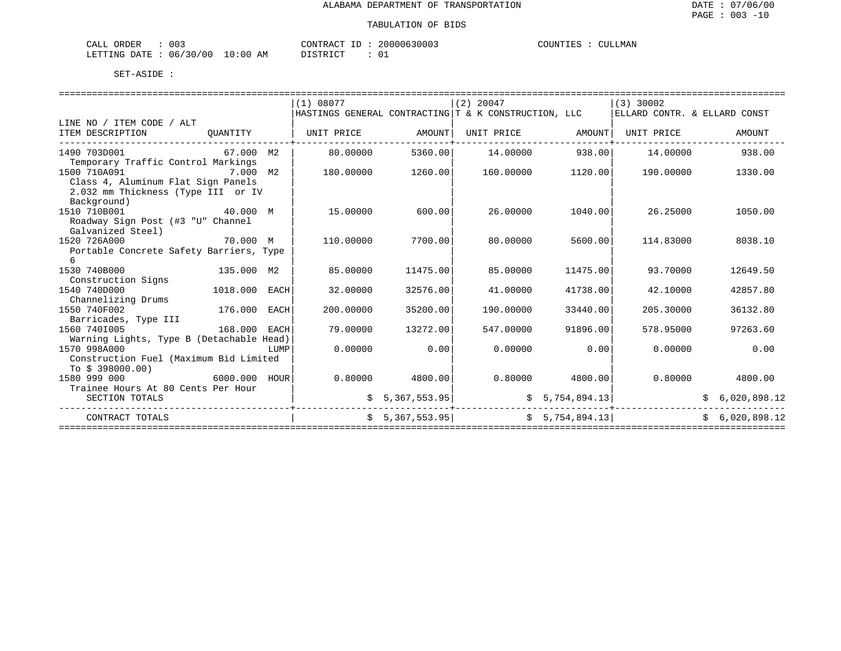| CALL ORDER                      | 003 | CONTRACT ID | 20000630003 | COUNTIES | . | CULLMAN |
|---------------------------------|-----|-------------|-------------|----------|---|---------|
| LETTING DATE: 06/30/00 10:00 AM |     | DISTRICT    |             |          |   |         |

|                                                                                                         |          |      | (1) 08077 |                   | $(2)$ 20047                                          |                   | $(3)$ 30002                                             |                |
|---------------------------------------------------------------------------------------------------------|----------|------|-----------|-------------------|------------------------------------------------------|-------------------|---------------------------------------------------------|----------------|
|                                                                                                         |          |      |           |                   | HASTINGS GENERAL CONTRACTING T & K CONSTRUCTION, LLC |                   | ELLARD CONTR. & ELLARD CONST                            |                |
| LINE NO / ITEM CODE / ALT                                                                               |          |      |           |                   |                                                      |                   |                                                         |                |
| ITEM DESCRIPTION<br>________________________________                                                    |          |      |           |                   |                                                      |                   |                                                         | AMOUNT         |
| 1490 703D001<br>67.000 M2<br>Temporary Traffic Control Markings                                         |          |      | 80.00000  | 5360.00           | $14.00000$ 938.00                                    |                   | 14.00000                                                | 938.00         |
| 1500 710A091<br>Class 4, Aluminum Flat Sign Panels<br>2.032 mm Thickness (Type III or IV<br>Background) |          |      | 180.00000 | 1260.00           |                                                      | 160.00000 1120.00 | 190.00000                                               | 1330.00        |
| 40.000 M<br>1510 710B001<br>Roadway Sign Post (#3 "U" Channel<br>Galvanized Steel)                      |          |      | 15.00000  | 600.00            | 26.00000                                             | 1040.00           | 26.25000                                                | 1050.00        |
| 1520 726A000<br>Portable Concrete Safety Barriers, Type<br>6                                            | 70.000 M |      | 110.00000 | 7700.00           | 80.00000                                             | 5600.00           | 114.83000                                               | 8038.10        |
| 135.000 M2<br>1530 740B000<br>Construction Signs                                                        |          |      | 85.00000  | 11475.00          | 85.00000                                             | 11475.00          | 93.70000                                                | 12649.50       |
| 1018.000 EACH<br>1540 740D000<br>Channelizing Drums                                                     |          |      | 32.00000  | 32576.00          | 41.00000                                             | 41738.00          | 42.10000                                                | 42857.80       |
| 1550 740F002<br>176.000 EACH<br>Barricades, Type III                                                    |          |      | 200.00000 | 35200.00          | 190.00000                                            | 33440.00          | 205.30000                                               | 36132.80       |
| 168.000 EACH<br>1560 7401005<br>Warning Lights, Type B (Detachable Head)                                |          |      | 79.00000  | 13272.00          | 547.00000                                            | 91896.00          | 578.95000                                               | 97263.60       |
| 1570 998A000<br>Construction Fuel (Maximum Bid Limited<br>To \$ 398000.00)                              |          | LUMP | 0.00000   | 0.00              | 0.00000                                              | 0.00              | 0.00000                                                 | 0.00           |
| $5000.000$ HOUR<br>1580 999 000<br>Trainee Hours At 80 Cents Per Hour                                   |          |      |           | $0.80000$ 4800.00 | $0.80000$ 4800.00                                    |                   | 0.80000                                                 | 4800.00        |
| SECTION TOTALS                                                                                          |          |      |           | \$5,367,553.95    | -------------                                        |                   | $\frac{1}{5}$ 5, 754, 894.13<br>----+------------------ | \$6,020,898.12 |
| CONTRACT TOTALS                                                                                         |          |      |           | \$5,367,553.95]   | \$5,754,894.13]                                      |                   |                                                         | \$6,020,898.12 |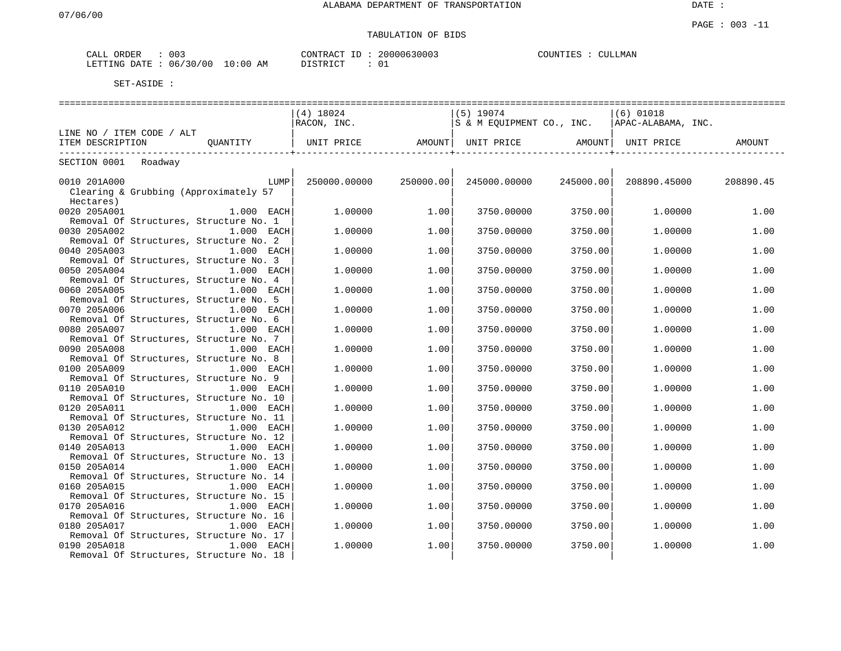# TABULATION OF BIDS

| 003<br>CALL ORDER                | CONTRACT ID : | 20000630003 | COUNTIES :<br><b>CULLMAN</b> |
|----------------------------------|---------------|-------------|------------------------------|
| LETTING DATE : 06/30/00 10:00 AM | DISTRICT      |             |                              |

|                                                         |              | $(4)$ 18024  |           | $(5)$ 19074                        |           | $(6)$ 01018                                    |           |  |  |  |
|---------------------------------------------------------|--------------|--------------|-----------|------------------------------------|-----------|------------------------------------------------|-----------|--|--|--|
|                                                         |              | RACON, INC.  |           |                                    |           | S & M EQUIPMENT CO., INC.   APAC-ALABAMA, INC. |           |  |  |  |
| LINE NO / ITEM CODE / ALT                               |              |              |           |                                    |           |                                                |           |  |  |  |
| ITEM DESCRIPTION                                        | OUANTITY     | UNIT PRICE   |           | AMOUNT   UNIT PRICE         AMOUNT |           | UNIT PRICE                                     | AMOUNT    |  |  |  |
| SECTION 0001 Roadway                                    |              |              |           |                                    |           |                                                |           |  |  |  |
|                                                         |              |              |           |                                    |           |                                                |           |  |  |  |
| 0010 201A000                                            | LUMP         | 250000.00000 | 250000.00 | 245000.00000                       | 245000.00 | 208890.45000                                   | 208890.45 |  |  |  |
| Clearing & Grubbing (Approximately 57                   |              |              |           |                                    |           |                                                |           |  |  |  |
| Hectares)                                               |              |              |           |                                    |           |                                                |           |  |  |  |
| 0020 205A001                                            | $1.000$ EACH | 1,00000      | 1.00      | 3750.00000                         | 3750.00   | 1,00000                                        | 1.00      |  |  |  |
| Removal Of Structures, Structure No. 1                  |              |              |           |                                    |           |                                                |           |  |  |  |
| 0030 205A002                                            | 1.000 EACH   | 1,00000      | 1.00      | 3750.00000                         | 3750.00   | 1,00000                                        | 1.00      |  |  |  |
| Removal Of Structures, Structure No. 2                  |              |              |           |                                    |           |                                                |           |  |  |  |
| 0040 205A003                                            | 1.000 EACH   | 1,00000      | 1.00      | 3750.00000                         | 3750.00   | 1,00000                                        | 1.00      |  |  |  |
| Removal Of Structures, Structure No. 3                  |              |              |           |                                    |           |                                                |           |  |  |  |
| 0050 205A004                                            | $1.000$ EACH | 1,00000      | 1.00      | 3750.00000                         | 3750.00   | 1.00000                                        | 1.00      |  |  |  |
| Removal Of Structures, Structure No. 4<br>0060 205A005  | $1.000$ EACH | 1,00000      | 1.00      | 3750.00000                         | 3750.00   |                                                | 1.00      |  |  |  |
| Removal Of Structures, Structure No. 5                  |              |              |           |                                    |           | 1.00000                                        |           |  |  |  |
| 0070 205A006                                            | $1.000$ EACH | 1,00000      | 1.00      | 3750.00000                         | 3750.00   | 1,00000                                        | 1.00      |  |  |  |
| Removal Of Structures, Structure No. 6                  |              |              |           |                                    |           |                                                |           |  |  |  |
| 0080 205A007                                            | 1.000 EACH   | 1,00000      | 1.00      | 3750.00000                         | 3750.00   | 1,00000                                        | 1.00      |  |  |  |
| Removal Of Structures, Structure No. 7                  |              |              |           |                                    |           |                                                |           |  |  |  |
| 0090 205A008                                            | 1.000 EACH   | 1,00000      | 1.00      | 3750.00000                         | 3750.00   | 1,00000                                        | 1.00      |  |  |  |
| Removal Of Structures, Structure No. 8                  |              |              |           |                                    |           |                                                |           |  |  |  |
| 0100 205A009                                            | $1.000$ EACH | 1,00000      | 1.00      | 3750.00000                         | 3750.00   | 1,00000                                        | 1.00      |  |  |  |
| Removal Of Structures, Structure No. 9                  |              |              |           |                                    |           |                                                |           |  |  |  |
| 0110 205A010                                            | 1.000 EACH   | 1,00000      | 1.00      | 3750.00000                         | 3750.00   | 1,00000                                        | 1.00      |  |  |  |
| Removal Of Structures, Structure No. 10                 |              |              |           |                                    |           |                                                |           |  |  |  |
| 0120 205A011                                            | 1.000 EACH   | 1,00000      | 1.00      | 3750.00000                         | 3750.00   | 1,00000                                        | 1.00      |  |  |  |
| Removal Of Structures, Structure No. 11<br>0130 205A012 | 1.000 EACH   | 1,00000      | 1.00      | 3750.00000                         | 3750.00   | 1,00000                                        | 1.00      |  |  |  |
| Removal Of Structures, Structure No. 12                 |              |              |           |                                    |           |                                                |           |  |  |  |
| 0140 205A013                                            | $1.000$ EACH | 1,00000      | 1.00      | 3750.00000                         | 3750.00   | 1,00000                                        | 1.00      |  |  |  |
| Removal Of Structures, Structure No. 13                 |              |              |           |                                    |           |                                                |           |  |  |  |
| 0150 205A014                                            | 1.000 EACH   | 1,00000      | 1.00      | 3750.00000                         | 3750.00   | 1,00000                                        | 1.00      |  |  |  |
| Removal Of Structures, Structure No. 14                 |              |              |           |                                    |           |                                                |           |  |  |  |
| 0160 205A015                                            | 1.000 EACH   | 1,00000      | 1.00      | 3750.00000                         | 3750.00   | 1,00000                                        | 1.00      |  |  |  |
| Removal Of Structures, Structure No. 15                 |              |              |           |                                    |           |                                                |           |  |  |  |
| 0170 205A016                                            | $1.000$ EACH | 1,00000      | 1.00      | 3750.00000                         | 3750.00   | 1.00000                                        | 1.00      |  |  |  |
| Removal Of Structures, Structure No. 16                 |              |              |           |                                    |           |                                                |           |  |  |  |
| 0180 205A017                                            | 1.000 EACH   | 1,00000      | 1.00      | 3750.00000                         | 3750.00   | 1,00000                                        | 1.00      |  |  |  |
| Removal Of Structures, Structure No. 17                 |              |              |           |                                    |           |                                                |           |  |  |  |
| 0190 205A018                                            | 1.000 EACH   | 1,00000      | 1.00      | 3750.00000                         | 3750.00   | 1,00000                                        | 1.00      |  |  |  |
| Removal Of Structures, Structure No. 18                 |              |              |           |                                    |           |                                                |           |  |  |  |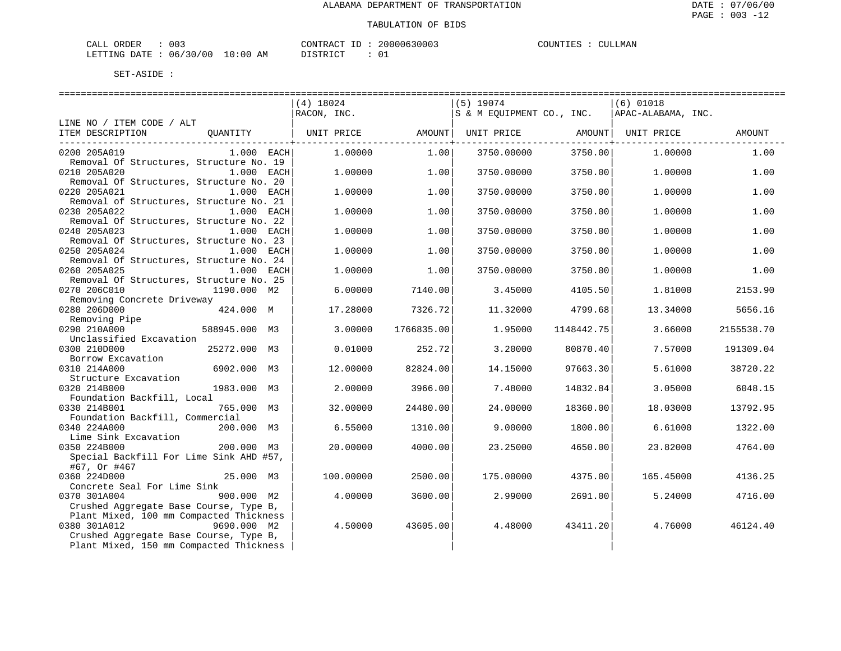| $\sim$ $\sim$ $\sim$<br>ORDER<br>CALI<br>UU3 |  | CONTRACT<br>$-1$ | 20000630003 | COUNTIES          | CULLMAN |  |  |
|----------------------------------------------|--|------------------|-------------|-------------------|---------|--|--|
| DATE<br>LETTING                              |  | 06/30/00         | 0:00<br>AM  | T T C T T T T T T |         |  |  |

DISTRICT : 01

|                                                                       | ======================<br>$(4)$ 18024 |            | $(5)$ 19074 |            | ========================<br>$(6)$ 01018        |            |
|-----------------------------------------------------------------------|---------------------------------------|------------|-------------|------------|------------------------------------------------|------------|
|                                                                       | RACON, INC.                           |            |             |            | S & M EQUIPMENT CO., INC.   APAC-ALABAMA, INC. |            |
| LINE NO / ITEM CODE / ALT                                             |                                       |            |             |            |                                                |            |
| ITEM DESCRIPTION<br>QUANTITY                                          | UNIT PRICE AMOUNT  UNIT PRICE AMOUNT  |            |             |            | UNIT PRICE                                     | AMOUNT     |
| $1.000$ EACH<br>0200 205A019                                          | 1.00000                               | 1.00       | 3750.00000  | 3750.00    | 1,00000                                        | 1.00       |
| Removal Of Structures, Structure No. 19                               |                                       |            |             |            |                                                |            |
| 0210 205A020<br>$1.000$ EACH                                          | 1,00000                               | 1.00       | 3750.00000  | 3750.00    | 1.00000                                        | 1.00       |
| Removal Of Structures, Structure No. 20<br>0220 205A021<br>1.000 EACH | 1,00000                               | 1.00       | 3750.00000  | 3750.00    | 1,00000                                        | 1.00       |
| Removal of Structures, Structure No. 21                               |                                       |            |             |            |                                                |            |
| 0230 205A022<br>1.000 EACH                                            | 1,00000                               | 1.00       | 3750.00000  | 3750.00    | 1,00000                                        | 1.00       |
| Removal Of Structures, Structure No. 22                               |                                       |            |             |            |                                                |            |
| 0240 205A023<br>$1.000$ EACH                                          | 1,00000                               | 1.00       | 3750.00000  | 3750.00    | 1,00000                                        | 1.00       |
| Removal Of Structures, Structure No. 23                               |                                       |            |             |            |                                                |            |
| 0250 205A024<br>1.000 EACH                                            | 1,00000                               | 1.00       | 3750.00000  | 3750.00    | 1,00000                                        | 1.00       |
| Removal Of Structures, Structure No. 24<br>0260 205A025<br>1.000 EACH | 1,00000                               | 1.00       | 3750.00000  | 3750.00    | 1,00000                                        | 1.00       |
| Removal Of Structures, Structure No. 25                               |                                       |            |             |            |                                                |            |
| 0270 206C010<br>1190.000 M2                                           | 6.00000                               | 7140.00    | 3.45000     | 4105.50    | 1.81000                                        | 2153.90    |
| Removing Concrete Driveway                                            |                                       |            |             |            |                                                |            |
| 0280 206D000<br>424.000 M                                             | 17.28000                              | 7326.72    | 11.32000    | 4799.68    | 13.34000                                       | 5656.16    |
| 0290 210A000                                                          | 3.00000                               | 1766835.00 | 1,95000     | 1148442.75 | 3.66000                                        | 2155538.70 |
| Unclassified Excavation                                               |                                       |            |             |            |                                                |            |
| 0300 210D000<br>25272.000 M3                                          | 0.01000                               | 252.72     | 3.20000     | 80870.40   | 7.57000                                        | 191309.04  |
| Borrow Excavation                                                     |                                       |            |             |            |                                                |            |
| 6902.000 M3<br>0310 214A000                                           | 12.00000                              | 82824.00   | 14.15000    | 97663.30   | 5.61000                                        | 38720.22   |
| Structure Excavation                                                  |                                       |            |             |            |                                                |            |
| 0320 214B000<br>1983.000 M3<br>Foundation Backfill, Local             | 2.00000                               | 3966.00    | 7.48000     | 14832.84   | 3.05000                                        | 6048.15    |
| 0330 214B001<br>765.000 M3                                            | 32.00000                              | 24480.00   | 24,00000    | 18360.00   | 18.03000                                       | 13792.95   |
| Foundation Backfill, Commercial                                       |                                       |            |             |            |                                                |            |
| 0340 224A000<br>200.000 M3                                            | 6.55000                               | 1310.00    | 9,00000     | 1800.00    | 6.61000                                        | 1322.00    |
| Lime Sink Excavation                                                  |                                       |            |             |            |                                                |            |
| 0350 224B000<br>200.000 M3<br>Special Backfill For Lime Sink AHD #57, | 20.00000                              | 4000.00    | 23.25000    | 4650.00    | 23.82000                                       | 4764.00    |
| #67, Or #467<br>25.000 M3                                             | 100.00000                             |            |             |            |                                                |            |
| 0360 224D000<br>Concrete Seal For Lime Sink                           |                                       | 2500.00    | 175.00000   | 4375.00    | 165.45000                                      | 4136.25    |
| 0370 301A004<br>$900.000$ M2                                          | 4.00000                               | 3600.00    | 2.99000     | 2691.00    | 5.24000                                        | 4716.00    |
| Crushed Aggregate Base Course, Type B,                                |                                       |            |             |            |                                                |            |
| Plant Mixed, 100 mm Compacted Thickness                               |                                       |            |             |            |                                                |            |
| 0380 301A012<br>9690.000 M2                                           | 4.50000                               | 43605.00   | 4.48000     | 43411.20   | 4.76000                                        | 46124.40   |
| Crushed Aggregate Base Course, Type B,                                |                                       |            |             |            |                                                |            |
| Plant Mixed, 150 mm Compacted Thickness                               |                                       |            |             |            |                                                |            |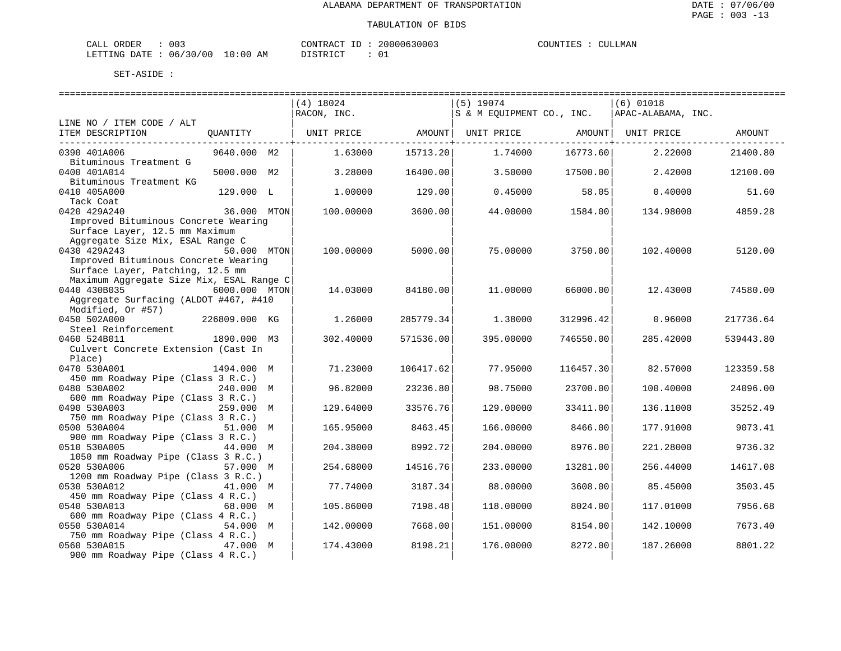| ORDER<br>CALI | $\sim$<br>U U 3 |                         | CONTRACT | ТD | 20000630003   | COUNTIES |  | CULLMAN |
|---------------|-----------------|-------------------------|----------|----|---------------|----------|--|---------|
| LETTING DATE  | 06/30/00        | LO : 00<br>ΆM<br>$\sim$ | ` STR ∟  |    | $\sim$ $\sim$ |          |  |         |

|                                          |               | $(4)$ 18024 |           | $(5)$ 19074               |           | $(6)$ 01018        |           |
|------------------------------------------|---------------|-------------|-----------|---------------------------|-----------|--------------------|-----------|
|                                          |               | RACON, INC. |           | S & M EQUIPMENT CO., INC. |           | APAC-ALABAMA, INC. |           |
| LINE NO / ITEM CODE / ALT                |               |             |           |                           |           |                    |           |
| ITEM DESCRIPTION                         | QUANTITY      | UNIT PRICE  | AMOUNT    | UNIT PRICE                | AMOUNT    | UNIT PRICE         | AMOUNT    |
|                                          |               |             |           |                           |           |                    |           |
| 0390 401A006                             | 9640.000 M2   | 1.63000     | 15713.20  | 1.74000                   | 16773.60  | 2.22000            | 21400.80  |
| Bituminous Treatment G                   |               |             |           |                           |           |                    |           |
| 0400 401A014                             | 5000.000 M2   | 3.28000     | 16400.00  | 3.50000                   | 17500.00  | 2.42000            | 12100.00  |
| Bituminous Treatment KG                  |               |             |           |                           |           |                    |           |
| 0410 405A000                             | 129.000 L     | 1,00000     | 129.00    | 0.45000                   | 58.05     | 0.40000            | 51.60     |
| Tack Coat                                |               |             |           |                           |           |                    |           |
| 0420 429A240                             | 36.000 MTON   | 100.00000   | 3600.00   | 44.00000                  | 1584.00   | 134.98000          | 4859.28   |
| Improved Bituminous Concrete Wearing     |               |             |           |                           |           |                    |           |
| Surface Layer, 12.5 mm Maximum           |               |             |           |                           |           |                    |           |
| Aggregate Size Mix, ESAL Range C         |               |             |           |                           |           |                    |           |
| 0430 429A243                             | 50.000 MTON   | 100.00000   | 5000.00   | 75.00000                  | 3750.00   | 102.40000          | 5120.00   |
| Improved Bituminous Concrete Wearing     |               |             |           |                           |           |                    |           |
| Surface Layer, Patching, 12.5 mm         |               |             |           |                           |           |                    |           |
| Maximum Aggregate Size Mix, ESAL Range C |               |             |           |                           |           |                    |           |
| 0440 430B035                             | 6000.000 MTON | 14.03000    | 84180.00  | 11.00000                  | 66000.00  | 12.43000           | 74580.00  |
| Aggregate Surfacing (ALDOT #467, #410    |               |             |           |                           |           |                    |           |
| Modified, Or #57)                        |               |             |           |                           |           |                    |           |
| 0450 502A000                             | 226809.000 KG | 1.26000     | 285779.34 | 1.38000                   | 312996.42 | 0.96000            | 217736.64 |
| Steel Reinforcement                      |               |             |           |                           |           |                    |           |
| 0460 524B011                             | 1890.000 M3   | 302.40000   | 571536.00 | 395.00000                 | 746550.00 | 285.42000          | 539443.80 |
| Culvert Concrete Extension (Cast In      |               |             |           |                           |           |                    |           |
| Place)                                   |               |             |           |                           |           |                    |           |
| 0470 530A001                             | 1494.000 M    | 71.23000    | 106417.62 | 77.95000                  | 116457.30 | 82.57000           | 123359.58 |
| 450 mm Roadway Pipe (Class 3 R.C.)       |               |             |           |                           |           |                    |           |
| 0480 530A002                             | 240.000 M     | 96.82000    | 23236.80  | 98.75000                  | 23700.00  | 100.40000          | 24096.00  |
| 600 mm Roadway Pipe (Class 3 R.C.)       |               |             |           |                           |           |                    |           |
| 0490 530A003                             | 259.000 M     | 129.64000   | 33576.76  | 129.00000                 | 33411.00  | 136.11000          | 35252.49  |
| 750 mm Roadway Pipe (Class 3 R.C.)       |               |             |           |                           |           |                    |           |
| 0500 530A004                             | 51.000 M      | 165.95000   | 8463.45   | 166.00000                 | 8466.00   | 177.91000          | 9073.41   |
| 900 mm Roadway Pipe (Class 3 R.C.)       |               |             |           |                           |           |                    |           |
| 0510 530A005                             | 44.000 M      | 204.38000   | 8992.72   | 204.00000                 | 8976.00   | 221.28000          | 9736.32   |
| 1050 mm Roadway Pipe (Class 3 R.C.)      |               |             |           |                           |           |                    |           |
| 0520 530A006                             | 57.000 M      | 254.68000   | 14516.76  | 233.00000                 | 13281.00  | 256.44000          | 14617.08  |
| 1200 mm Roadway Pipe (Class 3 R.C.)      |               |             |           |                           |           |                    |           |
| 0530 530A012                             | 41.000 M      | 77.74000    | 3187.34   | 88.00000                  | 3608.00   | 85.45000           | 3503.45   |
| 450 mm Roadway Pipe (Class 4 R.C.)       |               |             |           |                           |           |                    |           |
| 0540 530A013                             | 68.000 M      | 105.86000   | 7198.48   | 118,00000                 | 8024.00   | 117.01000          | 7956.68   |
| 600 mm Roadway Pipe (Class 4 R.C.)       |               |             |           |                           |           |                    |           |
| 0550 530A014                             | 54.000 M      | 142.00000   | 7668.00   | 151.00000                 | 8154.00   | 142.10000          | 7673.40   |
| 750 mm Roadway Pipe (Class 4 R.C.)       |               |             |           |                           |           |                    |           |
| 0560 530A015                             | 47.000 M      | 174.43000   | 8198.21   | 176.00000                 | 8272.00   | 187.26000          | 8801.22   |
| 900 mm Roadway Pipe (Class 4 R.C.)       |               |             |           |                           |           |                    |           |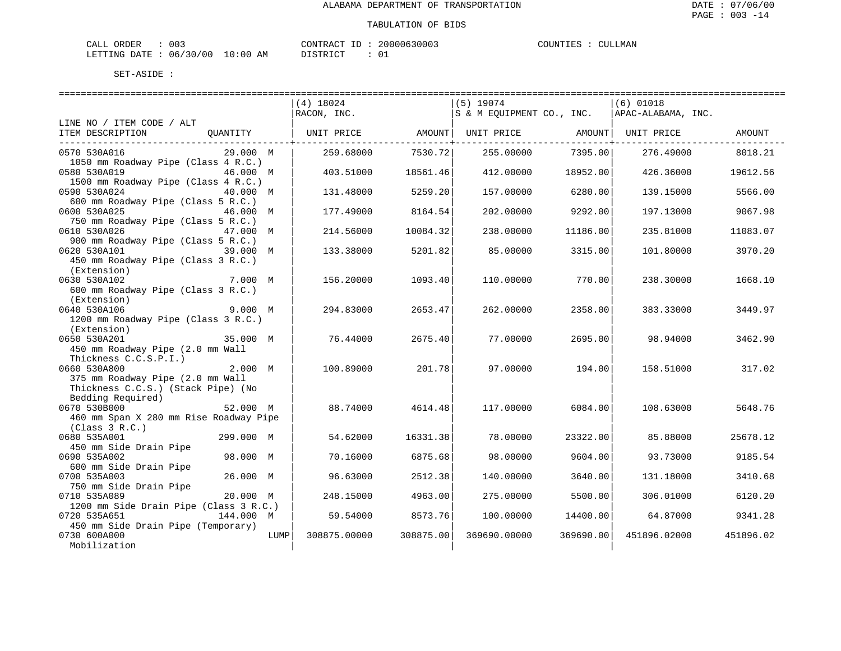| ORDER<br>CALL          | 003 |          | 'ONTRACT | TD. | 20000630003 | COUNTIES | CULLMAN |
|------------------------|-----|----------|----------|-----|-------------|----------|---------|
| LETTING DATE: 06/30/00 |     | 10:00 AM | DISTRICT |     |             |          |         |

| =======================                                                                  | (4) 18024<br>RACON, INC. |           | $(5)$ 19074<br>S & M EQUIPMENT CO., INC. |           | $(6)$ 01018<br>APAC-ALABAMA, INC. |           |
|------------------------------------------------------------------------------------------|--------------------------|-----------|------------------------------------------|-----------|-----------------------------------|-----------|
| LINE NO / ITEM CODE / ALT                                                                |                          |           |                                          |           |                                   |           |
| QUANTITY<br>ITEM DESCRIPTION<br>-----------------------------                            | UNIT PRICE               |           | AMOUNT  UNIT PRICE                       |           | AMOUNT  UNIT PRICE                | AMOUNT    |
| 0570 530A016<br>29.000 M                                                                 | 259.68000                | 7530.721  | 255.00000                                | 7395.00   | 276.49000                         | 8018.21   |
| 1050 mm Roadway Pipe (Class 4 R.C.)<br>0580 530A019<br>46.000 M                          | 403.51000                | 18561.46  | 412.00000                                | 18952.00  | 426.36000                         | 19612.56  |
| 1500 mm Roadway Pipe (Class 4 R.C.)<br>0590 530A024<br>40.000 M                          | 131.48000                | 5259.20   | 157.00000                                | 6280.00   | 139.15000                         | 5566.00   |
| 600 mm Roadway Pipe (Class 5 R.C.)<br>0600 530A025<br>46.000 M                           | 177.49000                | 8164.54   | 202,00000                                | 9292.00   | 197.13000                         | 9067.98   |
| 750 mm Roadway Pipe (Class 5 R.C.)<br>0610 530A026<br>47.000 M                           | 214.56000                | 10084.32  | 238,00000                                | 11186.00  | 235.81000                         | 11083.07  |
| 900 mm Roadway Pipe (Class 5 R.C.)<br>0620 530A101<br>450 mm Roadway Pipe (Class 3 R.C.) | 133.38000                | 5201.82   | 85.00000                                 | 3315.00   | 101.80000                         | 3970.20   |
| (Extension)<br>0630 530A102<br>7.000 M                                                   | 156.20000                | 1093.40   | 110,00000                                | 770.001   | 238.30000                         | 1668.10   |
| 600 mm Roadway Pipe (Class 3 R.C.)<br>(Extension)                                        |                          |           |                                          |           |                                   |           |
| 0640 530A106<br>9.000 M<br>1200 mm Roadway Pipe (Class 3 R.C.)                           | 294.83000                | 2653.47   | 262.00000                                | 2358.00   | 383.33000                         | 3449.97   |
| (Extension)<br>0650 530A201<br>35.000 M<br>450 mm Roadway Pipe (2.0 mm Wall              | 76.44000                 | 2675.40   | 77.00000                                 | 2695.00   | 98.94000                          | 3462.90   |
| Thickness C.C.S.P.I.)<br>0660 530A800<br>2.000 M                                         | 100.89000                | 201.78    | 97.00000                                 | 194.001   | 158.51000                         | 317.02    |
| 375 mm Roadway Pipe (2.0 mm Wall<br>Thickness C.C.S.) (Stack Pipe) (No                   |                          |           |                                          |           |                                   |           |
| Bedding Required)<br>0670 530B000<br>52.000 M                                            | 88.74000                 | 4614.48   | 117,00000                                | 6084.00   | 108.63000                         | 5648.76   |
| 460 mm Span X 280 mm Rise Roadway Pipe<br>(Class 3 R.C.)                                 |                          |           |                                          |           |                                   |           |
| 0680 535A001<br>299.000 M<br>450 mm Side Drain Pipe                                      | 54.62000                 | 16331.38  | 78.00000                                 | 23322.00  | 85.88000                          | 25678.12  |
| 98.000 M<br>0690 535A002<br>600 mm Side Drain Pipe                                       | 70.16000                 | 6875.68   | 98.00000                                 | 9604.00   | 93.73000                          | 9185.54   |
| 26.000 M<br>0700 535A003<br>750 mm Side Drain Pipe                                       | 96.63000                 | 2512.38   | 140.00000                                | 3640.00   | 131.18000                         | 3410.68   |
| 0710 535A089<br>20.000 M<br>1200 mm Side Drain Pipe (Class 3 R.C.)                       | 248.15000                | 4963.00   | 275.00000                                | 5500.00   | 306.01000                         | 6120.20   |
| 0720 535A651<br>144.000 M                                                                | 59.54000                 | 8573.76   | 100.00000                                | 14400.00  | 64.87000                          | 9341.28   |
| 450 mm Side Drain Pipe (Temporary)<br>0730 600A000<br>LUMP<br>Mobilization               | 308875.00000             | 308875.00 | 369690.00000                             | 369690.00 | 451896.02000                      | 451896.02 |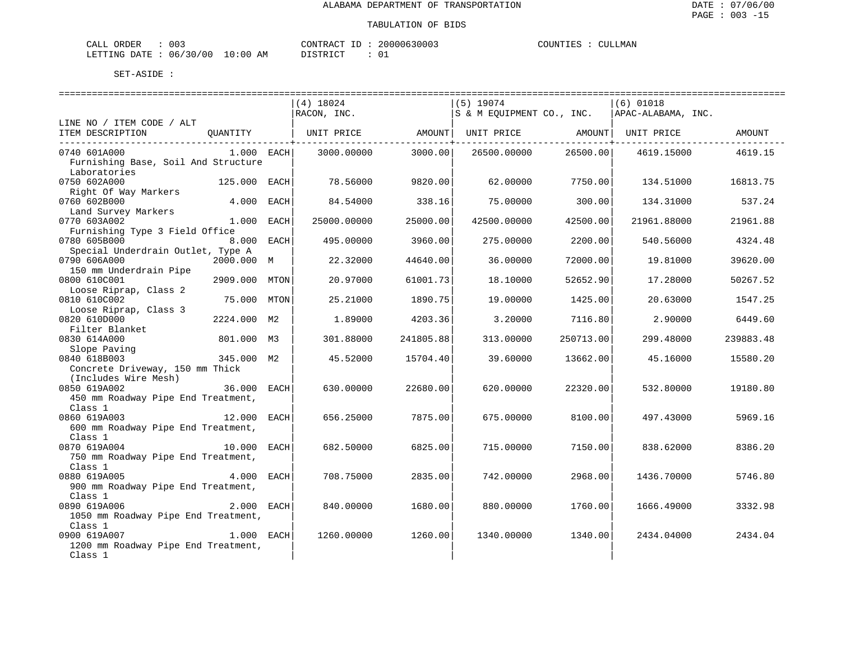| ORDER<br>CALI          | $\sim$<br>UU3 |             | "ONTRAC   | $- -$ | 20000630003 | COUNTIES | LMAN<br>711 |
|------------------------|---------------|-------------|-----------|-------|-------------|----------|-------------|
| <b>DATE</b><br>LETTING | 06/30/00      | .0:00<br>AΜ | $m$ $\pi$ |       |             |          |             |

|                                     |              |      | $(4)$ 18024                                                             |                 | $(5)$ 19074               |                   | $(6)$ 01018        |           |
|-------------------------------------|--------------|------|-------------------------------------------------------------------------|-----------------|---------------------------|-------------------|--------------------|-----------|
|                                     |              |      | RACON, INC.                                                             |                 | S & M EQUIPMENT CO., INC. |                   | APAC-ALABAMA, INC. |           |
| LINE NO / ITEM CODE / ALT           |              |      |                                                                         |                 |                           |                   |                    |           |
| ITEM DESCRIPTION                    |              |      | QUANTITY   UNIT PRICE       AMOUNT  UNIT PRICE       AMOUNT  UNIT PRICE |                 |                           |                   |                    | AMOUNT    |
|                                     |              |      |                                                                         | ------------+-- |                           | ----------------- |                    |           |
| 0740 601A000                        | $1.000$ EACH |      | 3000.00000                                                              | 3000.00         | 26500.00000               | 26500.00          | 4619.15000         | 4619.15   |
| Furnishing Base, Soil And Structure |              |      |                                                                         |                 |                           |                   |                    |           |
| Laboratories                        |              |      |                                                                         |                 |                           |                   |                    |           |
| 0750 602A000                        | 125.000 EACH |      | 78.56000                                                                | 9820.00         | 62.00000                  | 7750.001          | 134.51000          | 16813.75  |
| Right Of Way Markers                |              |      |                                                                         |                 |                           |                   |                    |           |
| 0760 602B000                        | 4.000 EACH   |      | 84.54000                                                                | 338.16          | 75.00000                  | 300.00            | 134.31000          | 537.24    |
| Land Survey Markers                 |              |      |                                                                         |                 |                           |                   |                    |           |
| 0770 603A002                        | $1.000$ EACH |      | 25000.00000                                                             | 25000.00        | 42500.00000               | 42500.00          | 21961.88000        | 21961.88  |
| Furnishing Type 3 Field Office      |              |      |                                                                         |                 |                           |                   |                    |           |
| 0780 605B000                        | 8.000 EACH   |      | 495.00000                                                               | 3960.00         | 275.00000                 | 2200.00           | 540.56000          | 4324.48   |
| Special Underdrain Outlet, Type A   |              |      |                                                                         |                 |                           |                   |                    |           |
| 0790 606A000                        | 2000.000 M   |      | 22.32000                                                                | 44640.00        | 36.00000                  | 72000.00          | 19.81000           | 39620.00  |
| 150 mm Underdrain Pipe              |              |      |                                                                         |                 |                           |                   |                    |           |
| 0800 610C001                        | 2909.000     | MTON | 20.97000                                                                | 61001.73        | 18.10000                  | 52652.90          | 17.28000           | 50267.52  |
| Loose Riprap, Class 2               |              |      |                                                                         |                 |                           |                   |                    |           |
| 0810 610C002                        | 75.000       | MTON | 25.21000                                                                | 1890.75         | 19,00000                  | 1425.00           | 20.63000           | 1547.25   |
| Loose Riprap, Class 3               |              |      |                                                                         |                 |                           |                   |                    |           |
| 0820 610D000                        | 2224.000 M2  |      | 1.89000                                                                 | 4203.36         | 3.20000                   | 7116.80           | 2.90000            | 6449.60   |
| Filter Blanket                      |              |      |                                                                         |                 |                           |                   |                    |           |
| 0830 614A000                        | 801.000 M3   |      | 301.88000                                                               | 241805.88       | 313.00000                 | 250713.00         | 299.48000          | 239883.48 |
| Slope Paving                        |              |      |                                                                         |                 |                           |                   |                    |           |
| 0840 618B003                        | 345.000 M2   |      | 45.52000                                                                | 15704.40        | 39.60000                  | 13662.00          | 45.16000           | 15580.20  |
| Concrete Driveway, 150 mm Thick     |              |      |                                                                         |                 |                           |                   |                    |           |
| (Includes Wire Mesh)                |              |      |                                                                         |                 |                           |                   |                    |           |
| 0850 619A002                        | 36.000       | EACH | 630.00000                                                               | 22680.00        | 620.00000                 | 22320.00          | 532.80000          | 19180.80  |
| 450 mm Roadway Pipe End Treatment,  |              |      |                                                                         |                 |                           |                   |                    |           |
| Class 1                             |              |      |                                                                         |                 |                           |                   |                    |           |
| 0860 619A003                        | 12.000       | EACH | 656.25000                                                               | 7875.00         | 675.00000                 | 8100.00           | 497.43000          | 5969.16   |
| 600 mm Roadway Pipe End Treatment,  |              |      |                                                                         |                 |                           |                   |                    |           |
| Class 1                             |              |      |                                                                         |                 |                           |                   |                    |           |
| 0870 619A004                        | 10.000 EACH  |      | 682.50000                                                               | 6825.00         | 715.00000                 | 7150.00           | 838.62000          | 8386.20   |
| 750 mm Roadway Pipe End Treatment,  |              |      |                                                                         |                 |                           |                   |                    |           |
| Class 1                             |              |      |                                                                         |                 |                           |                   |                    |           |
| 0880 619A005                        | 4.000        | EACH | 708.75000                                                               | 2835.00         | 742.00000                 | 2968.00           | 1436.70000         | 5746.80   |
| 900 mm Roadway Pipe End Treatment,  |              |      |                                                                         |                 |                           |                   |                    |           |
| Class 1                             |              |      |                                                                         |                 |                           |                   |                    |           |
| 2.000 EACH<br>0890 619A006          |              |      |                                                                         |                 |                           |                   |                    |           |
|                                     |              |      | 840.00000                                                               | 1680.00         | 880.00000                 | 1760.00           | 1666.49000         | 3332.98   |
| 1050 mm Roadway Pipe End Treatment, |              |      |                                                                         |                 |                           |                   |                    |           |
| Class 1                             |              |      |                                                                         |                 |                           |                   |                    |           |
| 0900 619A007                        | 1.000 EACH   |      | 1260.00000                                                              | 1260.00         | 1340.00000                | 1340.00           | 2434.04000         | 2434.04   |
| 1200 mm Roadway Pipe End Treatment, |              |      |                                                                         |                 |                           |                   |                    |           |
| Class 1                             |              |      |                                                                         |                 |                           |                   |                    |           |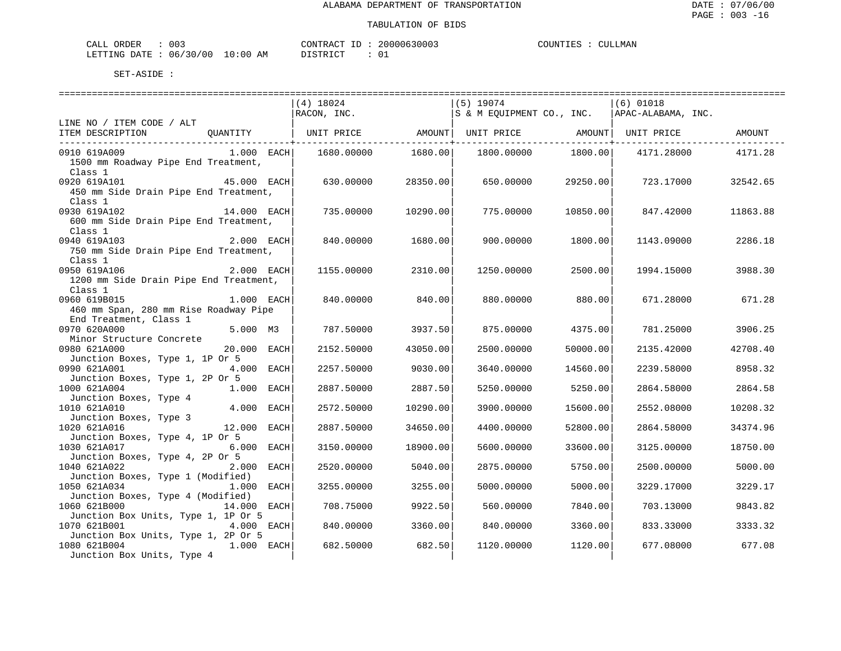| CALL ORDER                      | 003 | CONTRACT ID | 20000630003 | COUNTIES | . | CULLMAN |
|---------------------------------|-----|-------------|-------------|----------|---|---------|
| LETTING DATE: 06/30/00 10:00 AM |     | DISTRICT    |             |          |   |         |

|                                                                                     |              | $(4)$ 18024        |          | $(5)$ 19074        |          | $(6)$ 01018                                    |          |
|-------------------------------------------------------------------------------------|--------------|--------------------|----------|--------------------|----------|------------------------------------------------|----------|
|                                                                                     |              | $RACON$ , $INC.$   |          |                    |          | S & M EQUIPMENT CO., INC.   APAC-ALABAMA, INC. |          |
| LINE NO / ITEM CODE / ALT                                                           |              |                    |          |                    |          |                                                |          |
| ITEM DESCRIPTION QUANTITY   UNIT PRICE AMOUNT  UNIT PRICE AMOUNT  UNIT PRICE AMOUNT |              |                    |          |                    |          |                                                |          |
|                                                                                     |              |                    |          |                    |          |                                                |          |
| 0910 619A009                                                                        | $1.000$ EACH | 1680.00000 1680.00 |          | 1800.00000 1800.00 |          | 4171.28000                                     | 4171.28  |
| 1500 mm Roadway Pipe End Treatment,                                                 |              |                    |          |                    |          |                                                |          |
| Class 1                                                                             |              |                    |          |                    |          |                                                |          |
| $45.000$ EACH<br>0920 619A101                                                       |              | 630.00000          | 28350.00 | 650.00000          | 29250.00 | 723.17000                                      | 32542.65 |
| 450 mm Side Drain Pipe End Treatment,                                               |              |                    |          |                    |          |                                                |          |
| Class 1                                                                             |              |                    |          |                    |          |                                                |          |
| 0930 619A102                                                                        | 14.000 EACH  | 735.00000          | 10290.00 | 775.00000          | 10850.00 | 847.42000                                      | 11863.88 |
| 600 mm Side Drain Pipe End Treatment,                                               |              |                    |          |                    |          |                                                |          |
| Class 1                                                                             |              |                    |          |                    |          |                                                |          |
| 2.000 EACH<br>0940 619A103                                                          |              | 840.00000          | 1680.00  | 900.00000          | 1800.00  | 1143.09000                                     | 2286.18  |
| 750 mm Side Drain Pipe End Treatment,                                               |              |                    |          |                    |          |                                                |          |
| Class 1                                                                             |              |                    |          |                    |          |                                                |          |
| 2.000 EACH<br>0950 619A106                                                          |              | 1155.00000         | 2310.00  | 1250.00000         | 2500.00  | 1994.15000                                     | 3988.30  |
|                                                                                     |              |                    |          |                    |          |                                                |          |
| 1200 mm Side Drain Pipe End Treatment,                                              |              |                    |          |                    |          |                                                |          |
| Class 1                                                                             |              |                    |          |                    |          |                                                |          |
| 0960 619B015                                                                        | $1.000$ EACH | 840.00000          | 840.00   | 880.00000          | 880.00   | 671.28000                                      | 671.28   |
| 460 mm Span, 280 mm Rise Roadway Pipe                                               |              |                    |          |                    |          |                                                |          |
| End Treatment, Class 1                                                              |              |                    |          |                    |          |                                                |          |
| 0970 620A000                                                                        | 5.000 M3     | 787.50000          | 3937.50  | 875.00000          | 4375.00  | 781.25000                                      | 3906.25  |
| Minor Structure Concrete                                                            |              |                    |          |                    |          |                                                |          |
| 0980 621A000                                                                        | 20.000 EACH  | 2152.50000         | 43050.00 | 2500.00000         | 50000.00 | 2135.42000                                     | 42708.40 |
| Junction Boxes, Type 1, 1P Or 5                                                     |              |                    |          |                    |          |                                                |          |
| 0990 621A001                                                                        | 4.000 EACH   | 2257.50000         | 9030.00  | 3640.00000         | 14560.00 | 2239.58000                                     | 8958.32  |
| Junction Boxes, Type 1, 2P Or 5                                                     |              |                    |          |                    |          |                                                |          |
| 1000 621A004                                                                        | 1.000 EACH   | 2887.50000         | 2887.50  | 5250.00000         | 5250.00  | 2864.58000                                     | 2864.58  |
| Junction Boxes, Type 4                                                              |              |                    |          |                    |          |                                                |          |
| 1010 621A010                                                                        | 4.000 EACH   | 2572.50000         | 10290.00 | 3900.00000         | 15600.00 | 2552.08000                                     | 10208.32 |
| Junction Boxes, Type 3                                                              |              |                    |          |                    |          |                                                |          |
| 1020 621A016                                                                        | 12.000 EACH  | 2887.50000         | 34650.00 | 4400.00000         | 52800.00 | 2864.58000                                     | 34374.96 |
| Junction Boxes, Type 4, 1P Or 5                                                     |              |                    |          |                    |          |                                                |          |
| 1030 621A017                                                                        | 6.000 EACH   | 3150.00000         | 18900.00 | 5600.00000         | 33600.00 | 3125,00000                                     | 18750.00 |
| Junction Boxes, Type 4, 2P Or 5                                                     |              |                    |          |                    |          |                                                |          |
| 1040 621A022                                                                        | $2.000$ EACH | 2520.00000         | 5040.00  | 2875.00000         | 5750.00  | 2500.00000                                     | 5000.00  |
| Junction Boxes, Type 1 (Modified)                                                   |              |                    |          |                    |          |                                                |          |
| 1050 621A034                                                                        | 1.000 EACH   | 3255.00000         | 3255.00  | 5000.00000         | 5000.00  | 3229.17000                                     | 3229.17  |
| Junction Boxes, Type 4 (Modified)                                                   |              |                    |          |                    |          |                                                |          |
| 1060 621B000                                                                        | 14.000 EACH  | 708.75000          | 9922.50  | 560.00000          | 7840.00  | 703.13000                                      | 9843.82  |
| Junction Box Units, Type 1, 1P Or 5                                                 |              |                    |          |                    |          |                                                |          |
| 1070 621B001                                                                        | 4.000 EACH   | 840.00000          | 3360.00  | 840.00000          | 3360.00  | 833.33000                                      | 3333.32  |
| Junction Box Units, Type 1, 2P Or 5                                                 |              |                    |          |                    |          |                                                |          |
| 1080 621B004                                                                        | $1.000$ EACH | 682.50000          | 682.50   | 1120.00000         | 1120.00  | 677.08000                                      | 677.08   |
| Junction Box Units, Type 4                                                          |              |                    |          |                    |          |                                                |          |
|                                                                                     |              |                    |          |                    |          |                                                |          |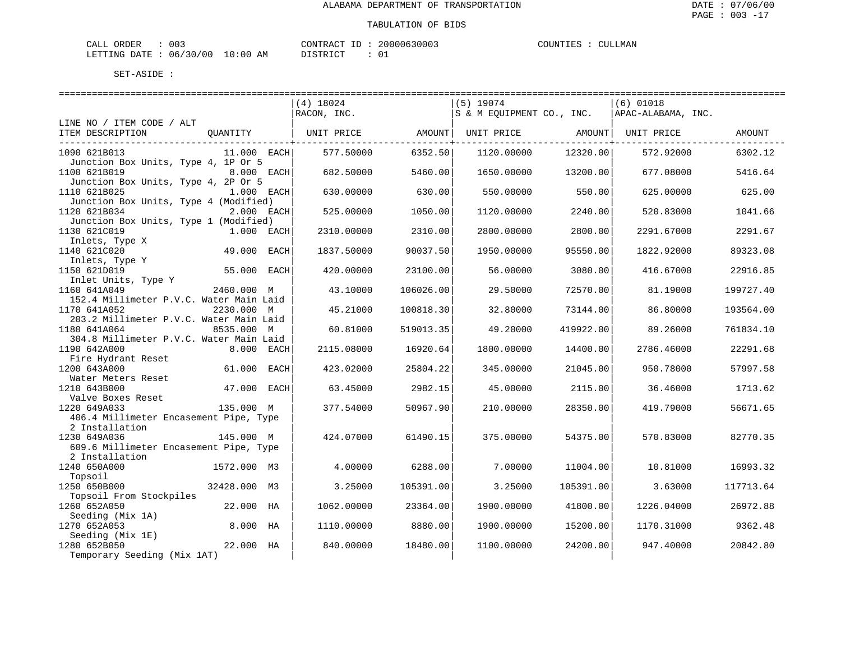| CALL ORDER                       | 003 | CONTRACT<br>' ID | 20000630003 | COUNTIES | CULLMAN |
|----------------------------------|-----|------------------|-------------|----------|---------|
| LETTING DATE : 06/30/00 10:00 AM |     | DISTRICT         |             |          |         |

|                                                         |               |            | $(4)$ 18024 | ======================= | $(5)$ 19074               |           | ========================<br>$(6)$ 01018 |           |
|---------------------------------------------------------|---------------|------------|-------------|-------------------------|---------------------------|-----------|-----------------------------------------|-----------|
|                                                         |               |            | RACON, INC. |                         | S & M EQUIPMENT CO., INC. |           | APAC-ALABAMA, INC.                      |           |
| LINE NO / ITEM CODE / ALT<br>ITEM DESCRIPTION           | OUANTITY      |            | UNIT PRICE  | AMOUNT                  | UNIT PRICE                | AMOUNT    | UNIT PRICE                              | AMOUNT    |
| 1090 621B013<br>Junction Box Units, Type 4, 1P Or 5     | $11.000$ EACH |            | 577.50000   | 6352.50                 | 1120.00000                | 12320.00  | 572.92000                               | 6302.12   |
| 1100 621B019<br>Junction Box Units, Type 4, 2P Or 5     | 8.000 EACH    |            | 682.50000   | 5460.00                 | 1650.00000                | 13200.00  | 677.08000                               | 5416.64   |
| 1110 621B025<br>Junction Box Units, Type 4 (Modified)   | 1.000 EACH    |            | 630.00000   | 630.00                  | 550.00000                 | 550.00    | 625.00000                               | 625.00    |
| 1120 621B034<br>Junction Box Units, Type 1 (Modified)   |               | 2.000 EACH | 525.00000   | 1050.00                 | 1120.00000                | 2240.00   | 520.83000                               | 1041.66   |
| 1130 621C019<br>Inlets, Type X                          | $1.000$ EACH  |            | 2310.00000  | 2310.00                 | 2800.00000                | 2800.00   | 2291.67000                              | 2291.67   |
| 1140 621C020<br>Inlets, Type Y                          | 49.000 EACH   |            | 1837.50000  | 90037.50                | 1950.00000                | 95550.00  | 1822.92000                              | 89323.08  |
| 1150 621D019<br>Inlet Units, Type Y                     | 55.000 EACH   |            | 420.00000   | 23100.00                | 56.00000                  | 3080.00   | 416.67000                               | 22916.85  |
| 1160 641A049<br>152.4 Millimeter P.V.C. Water Main Laid | 2460.000 M    |            | 43.10000    | 106026.00               | 29.50000                  | 72570.00  | 81.19000                                | 199727.40 |
| 1170 641A052<br>203.2 Millimeter P.V.C. Water Main Laid | 2230.000 M    |            | 45.21000    | 100818.30               | 32.80000                  | 73144.00  | 86.80000                                | 193564.00 |
| 1180 641A064<br>304.8 Millimeter P.V.C. Water Main Laid | 8535.000 M    |            | 60.81000    | 519013.35               | 49.20000                  | 419922.00 | 89.26000                                | 761834.10 |
| 1190 642A000<br>Fire Hydrant Reset                      |               | 8.000 EACH | 2115.08000  | 16920.64                | 1800.00000                | 14400.00  | 2786.46000                              | 22291.68  |
| 1200 643A000<br>Water Meters Reset                      | 61.000 EACH   |            | 423.02000   | 25804.22                | 345.00000                 | 21045.00  | 950.78000                               | 57997.58  |
| 1210 643B000<br>Valve Boxes Reset                       | 47.000 EACH   |            | 63.45000    | 2982.15                 | 45.00000                  | 2115.00   | 36.46000                                | 1713.62   |
| 1220 649A033<br>406.4 Millimeter Encasement Pipe, Type  | 135.000 M     |            | 377.54000   | 50967.90                | 210.00000                 | 28350.00  | 419.79000                               | 56671.65  |
| 2 Installation                                          |               |            |             |                         |                           |           |                                         |           |
| 1230 649A036<br>609.6 Millimeter Encasement Pipe, Type  | 145.000 M     |            | 424.07000   | 61490.15                | 375.00000                 | 54375.00  | 570.83000                               | 82770.35  |
| 2 Installation<br>1240 650A000                          | 1572.000 M3   |            | 4.00000     | 6288.00                 | 7.00000                   | 11004.00  | 10.81000                                | 16993.32  |
| Topsoil<br>1250 650B000                                 | 32428.000 M3  |            | 3.25000     | 105391.00               | 3.25000                   | 105391.00 | 3.63000                                 | 117713.64 |
| Topsoil From Stockpiles<br>1260 652A050                 | 22.000 HA     |            | 1062.00000  | 23364.00                | 1900.00000                | 41800.00  | 1226.04000                              | 26972.88  |
| Seeding (Mix 1A)<br>1270 652A053                        | 8.000 HA      |            | 1110.00000  | 8880.00                 | 1900.00000                | 15200.00  | 1170.31000                              | 9362.48   |
| Seeding (Mix 1E)<br>1280 652B050                        | 22.000 HA     |            | 840.00000   | 18480.00                | 1100.00000                | 24200.00  | 947.40000                               | 20842.80  |
| Temporary Seeding (Mix 1AT)                             |               |            |             |                         |                           |           |                                         |           |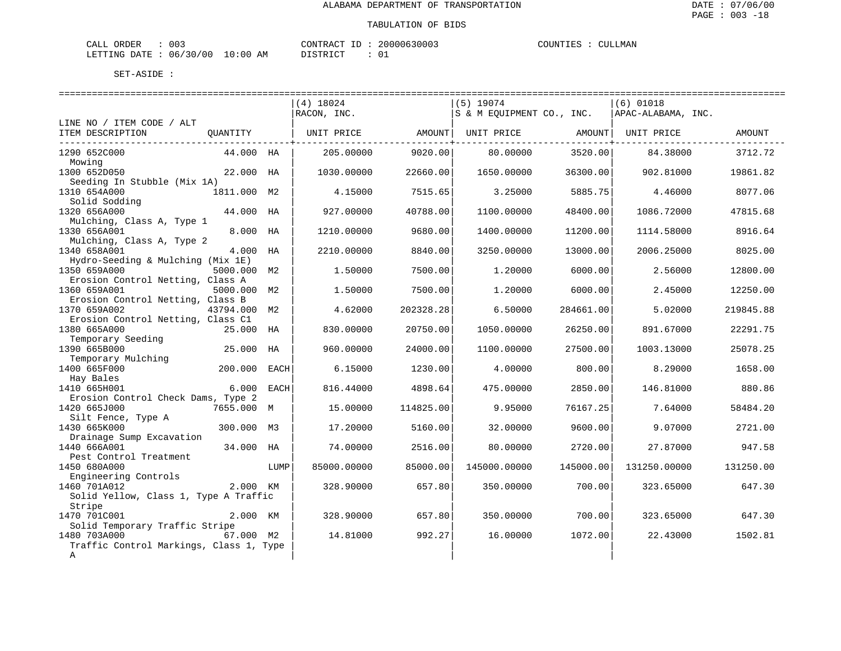| CALL ORDER                       | 003 | CONTRACT<br>' ID | 20000630003 | COUNTIES | CULLMAN |
|----------------------------------|-----|------------------|-------------|----------|---------|
| LETTING DATE : 06/30/00 10:00 AM |     | DISTRICT         |             |          |         |

|                                                       |              |      | $(4)$ 18024 | ======================== | $(5)$ 19074               |           | $(6)$ 01018        |           |
|-------------------------------------------------------|--------------|------|-------------|--------------------------|---------------------------|-----------|--------------------|-----------|
| LINE NO / ITEM CODE / ALT                             |              |      | RACON, INC. |                          | S & M EOUIPMENT CO., INC. |           | APAC-ALABAMA, INC. |           |
| ITEM DESCRIPTION                                      | OUANTITY     |      | UNIT PRICE  | AMOUNT                   | UNIT PRICE                | AMOUNT    | UNIT PRICE         | AMOUNT    |
| 1290 652C000<br>Mowing                                | 44.000 HA    |      | 205.00000   | 9020.00                  | 80,00000                  | 3520.00   | 84.38000           | 3712.72   |
| 1300 652D050<br>Seeding In Stubble (Mix 1A)           | 22.000 HA    |      | 1030.00000  | 22660.00                 | 1650.00000                | 36300.00  | 902.81000          | 19861.82  |
| 1310 654A000<br>Solid Sodding                         | 1811.000 M2  |      | 4.15000     | 7515.65                  | 3.25000                   | 5885.75   | 4.46000            | 8077.06   |
| 1320 656A000<br>Mulching, Class A, Type 1             | 44.000 HA    |      | 927.00000   | 40788.00                 | 1100.00000                | 48400.00  | 1086.72000         | 47815.68  |
| 1330 656A001<br>Mulching, Class A, Type 2             | 8.000 HA     |      | 1210.00000  | 9680.00                  | 1400.00000                | 11200.00  | 1114.58000         | 8916.64   |
| 1340 658A001<br>Hydro-Seeding & Mulching (Mix 1E)     | 4.000 HA     |      | 2210.00000  | 8840.00                  | 3250.00000                | 13000.00  | 2006.25000         | 8025.00   |
| 1350 659A000<br>Erosion Control Netting, Class A      | 5000.000 M2  |      | 1.50000     | 7500.00                  | 1,20000                   | 6000.00   | 2.56000            | 12800.00  |
| 1360 659A001<br>Erosion Control Netting, Class B      | 5000.000 M2  |      | 1.50000     | 7500.00                  | 1,20000                   | 6000.00   | 2.45000            | 12250.00  |
| 1370 659A002<br>Erosion Control Netting, Class C1     | 43794.000 M2 |      | 4.62000     | 202328.28                | 6.50000                   | 284661.00 | 5.02000            | 219845.88 |
| 1380 665A000<br>Temporary Seeding                     | 25.000 HA    |      | 830.00000   | 20750.00                 | 1050.00000                | 26250.00  | 891.67000          | 22291.75  |
| 1390 665B000                                          | 25.000 HA    |      | 960.00000   | 24000.00                 | 1100.00000                | 27500.00  | 1003.13000         | 25078.25  |
| Temporary Mulching<br>1400 665F000                    | 200.000 EACH |      | 6.15000     | 1230.00                  | 4.00000                   | 800.00    | 8.29000            | 1658.00   |
| Hay Bales<br>1410 665H001                             | 6.000 EACH   |      | 816.44000   | 4898.64                  | 475.00000                 | 2850.00   | 146.81000          | 880.86    |
| Erosion Control Check Dams, Type 2<br>1420 665J000    | 7655.000 M   |      | 15.00000    | 114825.00                | 9.95000                   | 76167.25  | 7.64000            | 58484.20  |
| Silt Fence, Type A<br>1430 665K000                    | 300.000 M3   |      | 17.20000    | 5160.00                  | 32.00000                  | 9600.00   | 9.07000            | 2721.00   |
| Drainage Sump Excavation<br>1440 666A001              | 34.000 HA    |      | 74.00000    | 2516.00                  | 80.00000                  | 2720.00   | 27.87000           | 947.58    |
| Pest Control Treatment<br>1450 680A000                |              | LUMP | 85000.00000 | 85000.00                 | 145000.00000              | 145000.00 | 131250.00000       | 131250.00 |
| Engineering Controls                                  |              |      |             |                          |                           |           |                    |           |
| 1460 701A012<br>Solid Yellow, Class 1, Type A Traffic | 2.000 KM     |      | 328.90000   | 657.80                   | 350.00000                 | 700.00    | 323.65000          | 647.30    |
| Stripe                                                |              |      |             |                          |                           |           |                    |           |
| 1470 701C001<br>Solid Temporary Traffic Stripe        | 2.000 KM     |      | 328.90000   | 657.80                   | 350.00000                 | 700.00    | 323.65000          | 647.30    |
| 1480 703A000                                          | 67.000 M2    |      | 14.81000    | 992.27                   | 16.00000                  | 1072.00   | 22.43000           | 1502.81   |
| Traffic Control Markings, Class 1, Type<br>Α          |              |      |             |                          |                           |           |                    |           |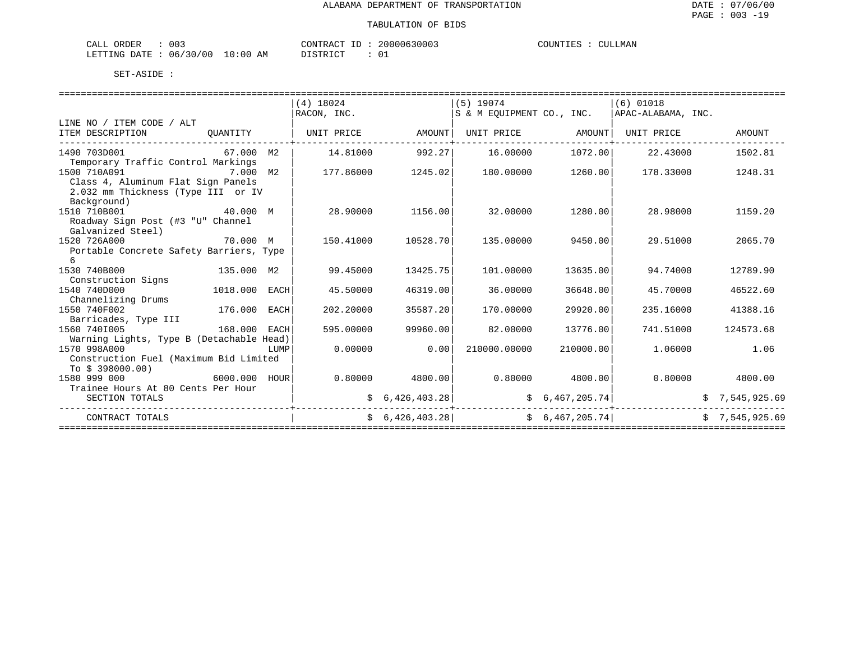| ORDER<br>CALI | ົ່<br>UU3 |               | CONTRAC <sup>.</sup> | $- -$<br>п. | 20000630003 | COUNTIES<br>LIES | ' LMAN<br>711 |
|---------------|-----------|---------------|----------------------|-------------|-------------|------------------|---------------|
| LETTING DATE  | 06/30/00  | LO : 00<br>AΜ | DICTOR TOP           |             |             |                  |               |

|                                                    |               |      | $(4)$ 18024 |                   | $(5)$ 19074                                         |                   | $(6)$ 01018        |                |
|----------------------------------------------------|---------------|------|-------------|-------------------|-----------------------------------------------------|-------------------|--------------------|----------------|
|                                                    |               |      | RACON, INC. |                   | S & M EOUIPMENT CO., INC.                           |                   | APAC-ALABAMA, INC. |                |
| LINE NO / ITEM CODE / ALT<br>ITEM DESCRIPTION      | OUANTITY      |      |             |                   |                                                     |                   | UNIT PRICE         | AMOUNT         |
|                                                    |               |      |             |                   |                                                     |                   |                    |                |
| 1490 703D001 2000                                  | 67.000 M2     |      |             |                   | $14.81000$ $992.27$ $16.00000$ $1072.00$ $22.43000$ |                   |                    | 1502.81        |
| Temporary Traffic Control Markings                 |               |      |             |                   |                                                     |                   |                    |                |
| 1500 710A091<br>7.000 M2                           |               |      | 177.86000   | 1245.02           | 180.00000                                           | 1260.00           | 178.33000          | 1248.31        |
| Class 4, Aluminum Flat Sign Panels                 |               |      |             |                   |                                                     |                   |                    |                |
| 2.032 mm Thickness (Type III or IV                 |               |      |             |                   |                                                     |                   |                    |                |
| Background)                                        |               |      |             |                   |                                                     |                   |                    |                |
| 40.000 M<br>1510 710B001                           |               |      | 28.90000    | 1156.00           | 32.00000                                            | 1280.00           | 28.98000           | 1159.20        |
| Roadway Sign Post (#3 "U" Channel                  |               |      |             |                   |                                                     |                   |                    |                |
| Galvanized Steel)                                  |               |      |             |                   |                                                     |                   |                    |                |
| 1520 726A000                                       | 70.000 M      |      | 150.41000   | 10528.70          | 135.00000                                           | 9450.00           | 29.51000           | 2065.70        |
| Portable Concrete Safety Barriers, Type            |               |      |             |                   |                                                     |                   |                    |                |
| 6                                                  |               |      |             |                   |                                                     |                   |                    |                |
| 135.000 M2<br>1530 740B000                         |               |      | 99.45000    | 13425.75          | 101,00000                                           | 13635.00          | 94.74000           | 12789.90       |
| Construction Signs                                 |               |      |             |                   |                                                     |                   |                    |                |
| 1540 740D000                                       | 1018.000 EACH |      | 45.50000    | 46319.00          | 36.00000                                            | 36648.00          | 45.70000           | 46522.60       |
| Channelizing Drums<br>1550 740F002<br>176.000 EACH |               |      | 202.20000   | 35587.20          | 170.00000                                           | 29920.00          | 235.16000          | 41388.16       |
| Barricades, Type III                               |               |      |             |                   |                                                     |                   |                    |                |
| 168.000 EACH<br>1560 7401005                       |               |      | 595.00000   | 99960.00          | 82.00000                                            | 13776.00          | 741.51000          | 124573.68      |
| Warning Lights, Type B (Detachable Head)           |               |      |             |                   |                                                     |                   |                    |                |
| 1570 998A000                                       |               | LUMP | 0.00000     | 0.00              | 210000.00000                                        | 210000.00         | 1.06000            | 1.06           |
| Construction Fuel (Maximum Bid Limited             |               |      |             |                   |                                                     |                   |                    |                |
| To \$ 398000.00)                                   |               |      |             |                   |                                                     |                   |                    |                |
| 1580 999 000                                       | 6000.000 HOUR |      |             | $0.80000$ 4800.00 |                                                     | $0.80000$ 4800.00 | 0.80000            | 4800.00        |
| Trainee Hours At 80 Cents Per Hour                 |               |      |             |                   |                                                     |                   |                    |                |
| SECTION TOTALS                                     |               |      |             | \$6,426,403.28]   |                                                     | \$6,467,205.74]   |                    | \$7,545,925.69 |
| CONTRACT TOTALS                                    |               |      |             | \$6,426,403.28]   | \$6,467,205.74]                                     |                   |                    | \$7,545,925.69 |
|                                                    |               |      |             |                   |                                                     |                   |                    |                |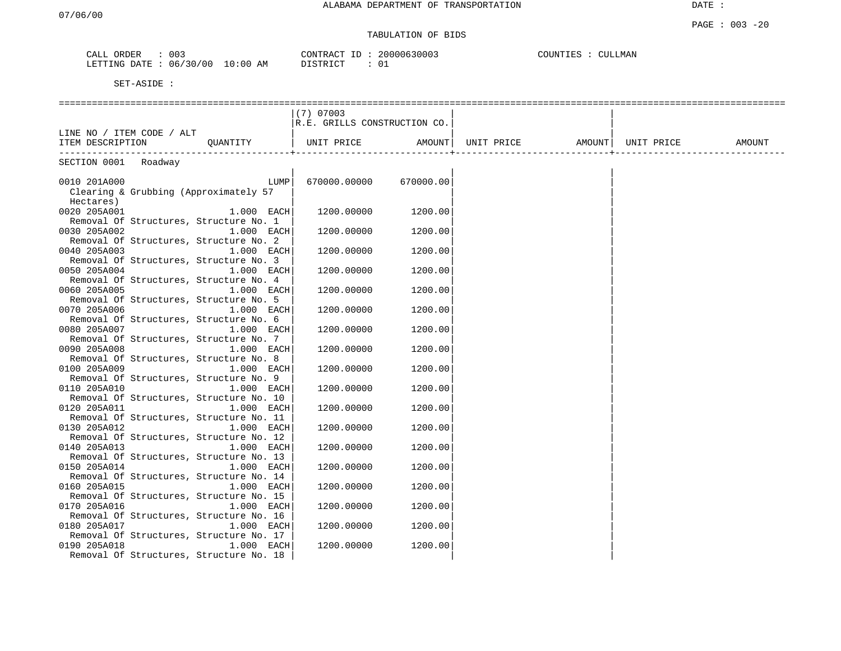# TABULATION OF BIDS

| ORDER<br>CALL | 003      |          | CONTRACT ID | 20000630003 | COUNTIES | CULLMAN |
|---------------|----------|----------|-------------|-------------|----------|---------|
| LETTING DATE  | 06/30/00 | 10:00 AM | DISTRICT    |             |          |         |

|                                         | $(7)$ 07003                  |         |            |                     |        |
|-----------------------------------------|------------------------------|---------|------------|---------------------|--------|
|                                         | R.E. GRILLS CONSTRUCTION CO. |         |            |                     |        |
| LINE NO / ITEM CODE / ALT               |                              |         |            |                     |        |
| ITEM DESCRIPTION<br>OUANTITY            | UNIT PRICE                   | AMOUNT  | UNIT PRICE | AMOUNT   UNIT PRICE | AMOUNT |
| --------------                          |                              |         |            |                     |        |
| SECTION 0001 Roadway                    |                              |         |            |                     |        |
|                                         |                              |         |            |                     |        |
| 0010 201A000<br>LUMP                    | 670000.00000 670000.00       |         |            |                     |        |
| Clearing & Grubbing (Approximately 57   |                              |         |            |                     |        |
| Hectares)                               |                              |         |            |                     |        |
| 0020 205A001<br>$1.000$ EACH            | 1200.00000                   | 1200.00 |            |                     |        |
| Removal Of Structures, Structure No. 1  |                              |         |            |                     |        |
| 0030 205A002<br>$1.000$ EACH            | 1200.00000                   | 1200.00 |            |                     |        |
| Removal Of Structures, Structure No. 2  |                              |         |            |                     |        |
| 0040 205A003<br>$1.000$ EACH            | 1200.00000                   | 1200.00 |            |                     |        |
| Removal Of Structures, Structure No. 3  |                              |         |            |                     |        |
| 0050 205A004<br>$1.000$ EACH            | 1200.00000                   | 1200.00 |            |                     |        |
| Removal Of Structures, Structure No. 4  |                              |         |            |                     |        |
| 0060 205A005<br>$1.000$ EACH            | 1200.00000                   | 1200.00 |            |                     |        |
| Removal Of Structures, Structure No. 5  |                              |         |            |                     |        |
| 0070 205A006<br>$1.000$ EACH            | 1200.00000                   | 1200.00 |            |                     |        |
| Removal Of Structures, Structure No. 6  |                              |         |            |                     |        |
| 0080 205A007<br>1.000 EACH              | 1200.00000                   | 1200.00 |            |                     |        |
| Removal Of Structures, Structure No. 7  |                              |         |            |                     |        |
| 0090 205A008<br>$1.000$ EACH            | 1200.00000                   | 1200.00 |            |                     |        |
| Removal Of Structures, Structure No. 8  |                              |         |            |                     |        |
| 0100 205A009<br>$1.000$ EACH            | 1200.00000                   | 1200.00 |            |                     |        |
| Removal Of Structures, Structure No. 9  |                              |         |            |                     |        |
| 0110 205A010<br>$1.000$ EACH            | 1200.00000                   | 1200.00 |            |                     |        |
| Removal Of Structures, Structure No. 10 |                              |         |            |                     |        |
| 0120 205A011<br>$1.000$ EACH            | 1200.00000                   | 1200.00 |            |                     |        |
| Removal Of Structures, Structure No. 11 |                              |         |            |                     |        |
| 0130 205A012<br>1.000 EACH              | 1200.00000                   | 1200.00 |            |                     |        |
| Removal Of Structures, Structure No. 12 |                              |         |            |                     |        |
| 0140 205A013<br>1.000 EACH              | 1200.00000                   | 1200.00 |            |                     |        |
| Removal Of Structures, Structure No. 13 |                              |         |            |                     |        |
| 0150 205A014<br>$1.000$ EACH            | 1200.00000                   | 1200.00 |            |                     |        |
| Removal Of Structures, Structure No. 14 |                              |         |            |                     |        |
| 0160 205A015<br>$1.000$ EACH            | 1200.00000                   | 1200.00 |            |                     |        |
| Removal Of Structures, Structure No. 15 |                              |         |            |                     |        |
| 0170 205A016<br>1.000 EACH              | 1200.00000                   | 1200.00 |            |                     |        |
| Removal Of Structures, Structure No. 16 |                              |         |            |                     |        |
| 0180 205A017<br>$1.000$ EACH            | 1200.00000                   | 1200.00 |            |                     |        |
| Removal Of Structures, Structure No. 17 |                              |         |            |                     |        |
| 0190 205A018<br>1.000 EACH              | 1200.00000                   | 1200.00 |            |                     |        |
| Removal Of Structures, Structure No. 18 |                              |         |            |                     |        |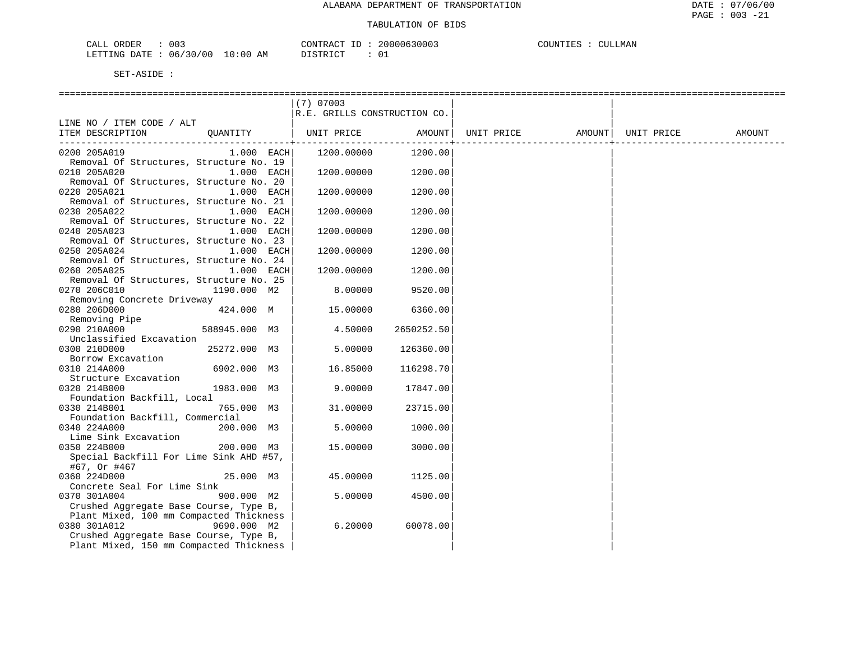| ORDER<br>CALI | $\sim$<br>U U 3 |                         | CONTRACT | ТD | 20000630003   | COUNTIES |  | CULLMAN |
|---------------|-----------------|-------------------------|----------|----|---------------|----------|--|---------|
| LETTING DATE  | 06/30/00        | LO : 00<br>ΆM<br>$\sim$ | ` STR ∟  |    | $\sim$ $\sim$ |          |  |         |

|                                                                       | $(7)$ 07003                  |            |                   |            |        |
|-----------------------------------------------------------------------|------------------------------|------------|-------------------|------------|--------|
|                                                                       | R.E. GRILLS CONSTRUCTION CO. |            |                   |            |        |
| LINE NO / ITEM CODE / ALT                                             |                              |            |                   |            |        |
| OUANTITY<br>ITEM DESCRIPTION                                          | UNIT PRICE                   | AMOUNT     | UNIT PRICE AMOUNT | UNIT PRICE | AMOUNT |
|                                                                       |                              | ---------- |                   |            |        |
| 0200 205A019<br>$1.000$ EACH                                          | 1200.00000                   | 1200.00    |                   |            |        |
| Removal Of Structures, Structure No. 19                               |                              |            |                   |            |        |
| 0210 205A020<br>1.000 EACH                                            | 1200.00000                   | 1200.00    |                   |            |        |
| Removal Of Structures, Structure No. 20                               |                              |            |                   |            |        |
| 0220 205A021<br>1.000 EACH                                            | 1200.00000                   | 1200.00    |                   |            |        |
| Removal of Structures, Structure No. 21                               |                              |            |                   |            |        |
| 0230 205A022<br>1.000 EACH                                            | 1200.00000                   | 1200.00    |                   |            |        |
| Removal Of Structures, Structure No. 22                               |                              |            |                   |            |        |
| 0240 205A023<br>1.000 EACH                                            | 1200.00000                   | 1200.00    |                   |            |        |
| Removal Of Structures, Structure No. 23                               |                              |            |                   |            |        |
| 0250 205A024                                                          |                              | 1200.00    |                   |            |        |
| $1.000$ EACH<br>Removal Of Structures, Structure No. 24               | 1200.00000                   |            |                   |            |        |
| 0260 205A025<br>1.000 EACH                                            | 1200.00000                   | 1200.00    |                   |            |        |
|                                                                       |                              |            |                   |            |        |
| Removal Of Structures, Structure No. 25                               |                              |            |                   |            |        |
| 0270 206C010<br>1190.000 M2                                           | 8.00000                      | 9520.00    |                   |            |        |
| Removing Concrete Driveway                                            |                              |            |                   |            |        |
| 0280 206D000<br>424.000 M                                             | 15.00000                     | 6360.00    |                   |            |        |
| Removing Pipe                                                         |                              |            |                   |            |        |
| 0290 210A000<br>588945.000 M3                                         | 4.50000                      | 2650252.50 |                   |            |        |
| Unclassified Excavation                                               |                              |            |                   |            |        |
| 25272.000 M3<br>0300 210D000                                          | 5.00000                      | 126360.00  |                   |            |        |
| Borrow Excavation                                                     |                              |            |                   |            |        |
| 0310 214A000<br>6902.000 M3                                           | 16.85000                     | 116298.70  |                   |            |        |
| Structure Excavation                                                  |                              |            |                   |            |        |
| 0320 214B000<br>1983.000 M3                                           | 9.00000                      | 17847.00   |                   |            |        |
| Foundation Backfill, Local                                            |                              |            |                   |            |        |
| 0330 214B001<br>765.000 M3                                            | 31.00000                     | 23715.00   |                   |            |        |
| Foundation Backfill, Commercial                                       |                              |            |                   |            |        |
| 0340 224A000<br>200.000 M3                                            | 5.00000                      | 1000.00    |                   |            |        |
| Lime Sink Excavation                                                  |                              |            |                   |            |        |
| 0350 224B000<br>200.000 M3<br>Special Backfill For Lime Sink AHD #57, | 15.00000                     | 3000.00    |                   |            |        |
|                                                                       |                              |            |                   |            |        |
| #67, Or #467                                                          |                              |            |                   |            |        |
| 0360 224D000<br>25.000 M3                                             | 45.00000                     | 1125.00    |                   |            |        |
| Concrete Seal For Lime Sink<br>900.000 M2                             | 5.00000                      | 4500.00    |                   |            |        |
| 0370 301A004                                                          |                              |            |                   |            |        |
| Crushed Aggregate Base Course, Type B,                                |                              |            |                   |            |        |
| Plant Mixed, 100 mm Compacted Thickness                               |                              |            |                   |            |        |
| 0380 301A012<br>9690.000 M2                                           | 6.20000                      | 60078.00   |                   |            |        |
| Crushed Aggregate Base Course, Type B,                                |                              |            |                   |            |        |
| Plant Mixed, 150 mm Compacted Thickness                               |                              |            |                   |            |        |
|                                                                       |                              |            |                   |            |        |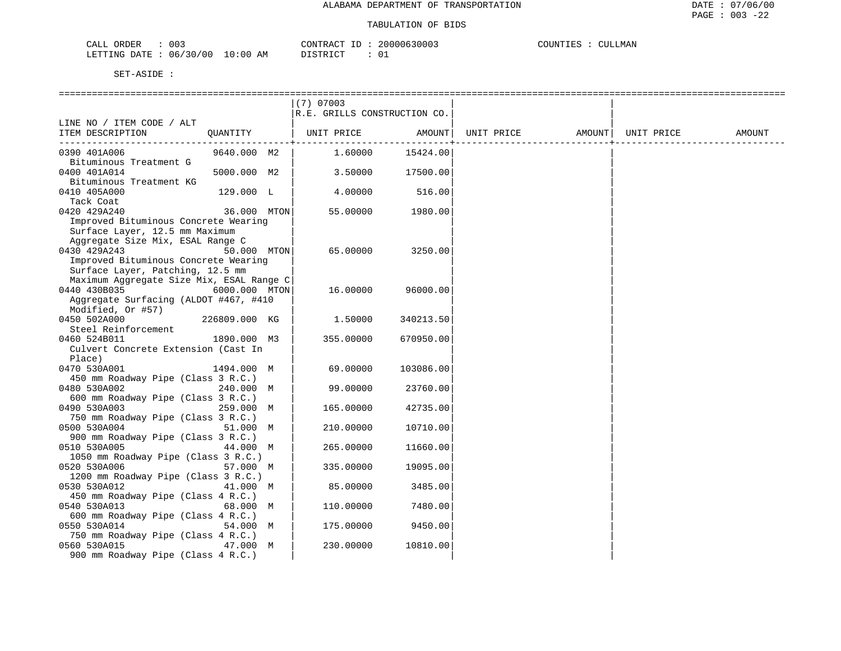| $\sim$ $\sim$<br>זתרו אר.<br>ىلىلى<br><b>UU-</b>     |                   | $\bigcap \mathcal{M}$<br>◡ ∧◠◚ | .<br>ו הי<br>UU J | $\cap$<br>$\ldots$ UINTT<br>JMAN<br>F.C |
|------------------------------------------------------|-------------------|--------------------------------|-------------------|-----------------------------------------|
| i da Tumini<br>ገልጥF<br>በፍ<br>'NK.<br>$\cdot$<br>---- | ΑM<br>∷00<br>- 17 | TAT<br>∼.                      | ັບ⊥               |                                         |

|                                                    |               | $(7)$ 07003<br>R.E. GRILLS CONSTRUCTION CO. |                                 |            |        |            |        |
|----------------------------------------------------|---------------|---------------------------------------------|---------------------------------|------------|--------|------------|--------|
| LINE NO / ITEM CODE / ALT                          |               |                                             |                                 |            |        |            |        |
| ITEM DESCRIPTION                                   |               | QUANTITY   UNIT PRICE                       | AMOUNT  <br>------------------- | UNIT PRICE | AMOUNT | UNIT PRICE | AMOUNT |
| 0390 401A006                                       | 9640.000 M2   | 1.60000                                     | 15424.00                        |            |        |            |        |
| Bituminous Treatment G                             |               |                                             |                                 |            |        |            |        |
| 0400 401A014                                       | 5000.000 M2   | 3.50000                                     | 17500.00                        |            |        |            |        |
| Bituminous Treatment KG<br>0410 405A000            | 129.000 L     | 4.00000                                     | 516.00                          |            |        |            |        |
| Tack Coat                                          |               |                                             |                                 |            |        |            |        |
| 0420 429A240                                       | 36.000 MTON   | 55.00000                                    | 1980.00                         |            |        |            |        |
| Improved Bituminous Concrete Wearing               |               |                                             |                                 |            |        |            |        |
| Surface Layer, 12.5 mm Maximum                     |               |                                             |                                 |            |        |            |        |
| Aggregate Size Mix, ESAL Range C                   |               |                                             |                                 |            |        |            |        |
| 0430 429A243                                       | 50.000 MTON   | 65.00000                                    | 3250.00                         |            |        |            |        |
| Improved Bituminous Concrete Wearing               |               |                                             |                                 |            |        |            |        |
| Surface Layer, Patching, 12.5 mm                   |               |                                             |                                 |            |        |            |        |
| Maximum Aggregate Size Mix, ESAL Range C           |               |                                             |                                 |            |        |            |        |
| 0440 430B035                                       | 6000.000 MTON | 16.00000                                    | 96000.00                        |            |        |            |        |
| Aggregate Surfacing (ALDOT #467, #410              |               |                                             |                                 |            |        |            |        |
| Modified, Or #57)<br>0450 502A000                  | 226809.000 KG | 1.50000                                     | 340213.50                       |            |        |            |        |
| Steel Reinforcement                                |               |                                             |                                 |            |        |            |        |
| 0460 524B011                                       | 1890.000 M3   | 355.00000                                   | 670950.00                       |            |        |            |        |
| Culvert Concrete Extension (Cast In                |               |                                             |                                 |            |        |            |        |
| Place)                                             |               |                                             |                                 |            |        |            |        |
| 0470 530A001                                       | 1494.000 M    | 69.00000                                    | 103086.00                       |            |        |            |        |
| 450 mm Roadway Pipe (Class 3 R.C.)                 |               |                                             |                                 |            |        |            |        |
| 0480 530A002                                       | 240.000 M     | 99.00000                                    | 23760.00                        |            |        |            |        |
| 600 mm Roadway Pipe (Class 3 R.C.)                 |               |                                             |                                 |            |        |            |        |
| 0490 530A003                                       | 259.000 M     | 165.00000                                   | 42735.00                        |            |        |            |        |
| 750 mm Roadway Pipe (Class 3 R.C.)                 |               |                                             |                                 |            |        |            |        |
| 0500 530A004<br>900 mm Roadway Pipe (Class 3 R.C.) | 51.000 M      | 210.00000                                   | 10710.00                        |            |        |            |        |
| 0510 530A005                                       | 44.000 M      | 265.00000                                   | 11660.00                        |            |        |            |        |
| 1050 mm Roadway Pipe (Class 3 R.C.)                |               |                                             |                                 |            |        |            |        |
| 0520 530A006                                       | 57.000 M      | 335.00000                                   | 19095.00                        |            |        |            |        |
| 1200 mm Roadway Pipe (Class 3 R.C.)                |               |                                             |                                 |            |        |            |        |
| 0530 530A012                                       | 41.000 M      | 85.00000                                    | 3485.00                         |            |        |            |        |
| 450 mm Roadway Pipe (Class 4 R.C.)                 |               |                                             |                                 |            |        |            |        |
| 0540 530A013                                       | 68.000 M      | 110.00000                                   | 7480.00                         |            |        |            |        |
| 600 mm Roadway Pipe (Class 4 R.C.)                 |               |                                             |                                 |            |        |            |        |
| 0550 530A014                                       | 54.000 M      | 175.00000                                   | 9450.00                         |            |        |            |        |
| 750 mm Roadway Pipe (Class 4 R.C.)                 |               |                                             |                                 |            |        |            |        |
| 0560 530A015<br>900 mm Roadway Pipe (Class 4 R.C.) | 47.000 M      | 230.00000                                   | 10810.00                        |            |        |            |        |
|                                                    |               |                                             |                                 |            |        |            |        |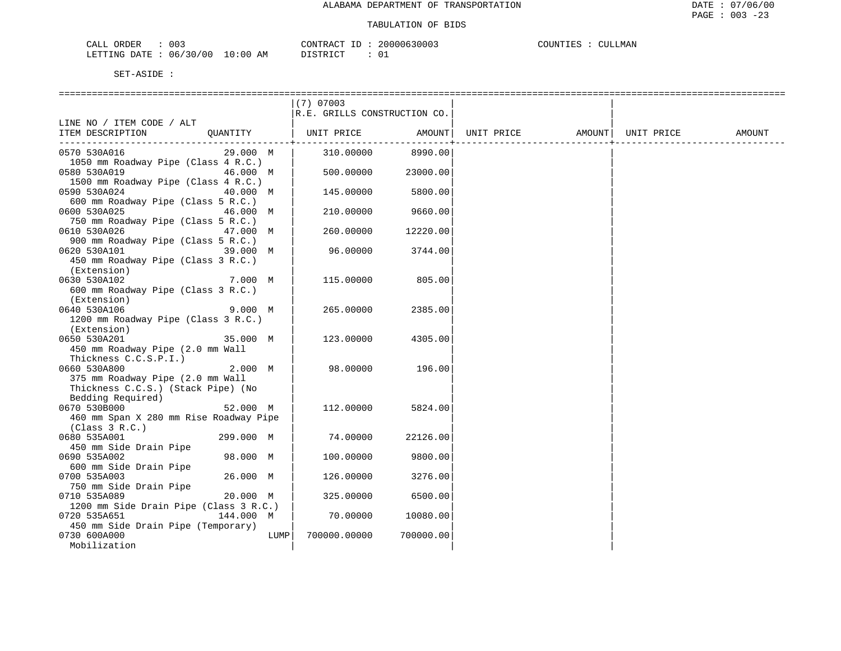| ORDER<br>CALI | $\sim$<br>U U 3 |                         | CONTRACT | ТD | 20000630003   | COUNTIES |  | CULLMAN |
|---------------|-----------------|-------------------------|----------|----|---------------|----------|--|---------|
| LETTING DATE  | 06/30/00        | LO : 00<br>ΆM<br>$\sim$ | ` STR ∟  |    | $\sim$ $\sim$ |          |  |         |

|                                                   | $(7)$ 07003                  |           |            |        |            |        |
|---------------------------------------------------|------------------------------|-----------|------------|--------|------------|--------|
|                                                   | R.E. GRILLS CONSTRUCTION CO. |           |            |        |            |        |
| LINE NO / ITEM CODE / ALT                         |                              |           |            |        |            |        |
| ITEM DESCRIPTION<br>OUANTITY                      | UNIT PRICE                   | AMOUNT    | UNIT PRICE | AMOUNT | UNIT PRICE | AMOUNT |
|                                                   |                              |           |            |        |            |        |
| 0570 530A016<br>29.000 M                          | 310.00000                    | 8990.00   |            |        |            |        |
| 1050 mm Roadway Pipe (Class 4 R.C.)               |                              |           |            |        |            |        |
| 0580 530A019<br>46.000 M                          | 500.00000                    | 23000.00  |            |        |            |        |
| 1500 mm Roadway Pipe (Class 4 R.C.)               |                              |           |            |        |            |        |
| 0590 530A024<br>40.000 M                          | 145.00000                    | 5800.00   |            |        |            |        |
| 600 mm Roadway Pipe (Class 5 R.C.)                |                              |           |            |        |            |        |
| 0600 530A025<br>46.000 M                          | 210.00000                    | 9660.00   |            |        |            |        |
| 750 mm Roadway Pipe (Class 5 R.C.)                |                              |           |            |        |            |        |
| 0610 530A026<br>47.000 M                          | 260.00000                    | 12220.00  |            |        |            |        |
| 900 mm Roadway Pipe (Class 5 R.C.)                |                              |           |            |        |            |        |
| 0620 530A101<br>39.000 M                          | 96.00000                     | 3744.00   |            |        |            |        |
| 450 mm Roadway Pipe (Class 3 R.C.)<br>(Extension) |                              |           |            |        |            |        |
| 0630 530A102<br>7.000 M                           | 115.00000                    | 805.00    |            |        |            |        |
| 600 mm Roadway Pipe (Class 3 R.C.)                |                              |           |            |        |            |        |
| (Extension)                                       |                              |           |            |        |            |        |
| 0640 530A106<br>9.000 M                           | 265.00000                    | 2385.00   |            |        |            |        |
| 1200 mm Roadway Pipe (Class 3 R.C.)               |                              |           |            |        |            |        |
| (Extension)                                       |                              |           |            |        |            |        |
| 0650 530A201<br>35.000 M                          | 123.00000                    | 4305.00   |            |        |            |        |
| 450 mm Roadway Pipe (2.0 mm Wall                  |                              |           |            |        |            |        |
| Thickness C.C.S.P.I.)                             |                              |           |            |        |            |        |
| 0660 530A800<br>2.000 M                           | 98.00000                     | 196.00    |            |        |            |        |
| 375 mm Roadway Pipe (2.0 mm Wall                  |                              |           |            |        |            |        |
| Thickness C.C.S.) (Stack Pipe) (No                |                              |           |            |        |            |        |
| Bedding Required)                                 |                              |           |            |        |            |        |
| 0670 530B000<br>52.000 M                          | 112.00000                    | 5824.00   |            |        |            |        |
| 460 mm Span X 280 mm Rise Roadway Pipe            |                              |           |            |        |            |        |
| (Class 3 R.C.)                                    |                              |           |            |        |            |        |
| 0680 535A001<br>299.000 M                         | 74.00000                     | 22126.00  |            |        |            |        |
| 450 mm Side Drain Pipe                            |                              |           |            |        |            |        |
| 0690 535A002<br>98.000 M                          | 100.00000                    | 9800.00   |            |        |            |        |
| 600 mm Side Drain Pipe                            |                              |           |            |        |            |        |
| 26.000 M<br>0700 535A003                          | 126.00000                    | 3276.00   |            |        |            |        |
| 750 mm Side Drain Pipe                            |                              |           |            |        |            |        |
| 0710 535A089<br>20.000 M                          | 325.00000                    | 6500.00   |            |        |            |        |
| 1200 mm Side Drain Pipe (Class 3 R.C.)            |                              |           |            |        |            |        |
| 0720 535A651<br>144.000 M                         | 70.00000                     | 10080.00  |            |        |            |        |
| 450 mm Side Drain Pipe (Temporary)                |                              |           |            |        |            |        |
| 0730 600A000<br>LUMP                              | 700000.00000                 | 700000.00 |            |        |            |        |
| Mobilization                                      |                              |           |            |        |            |        |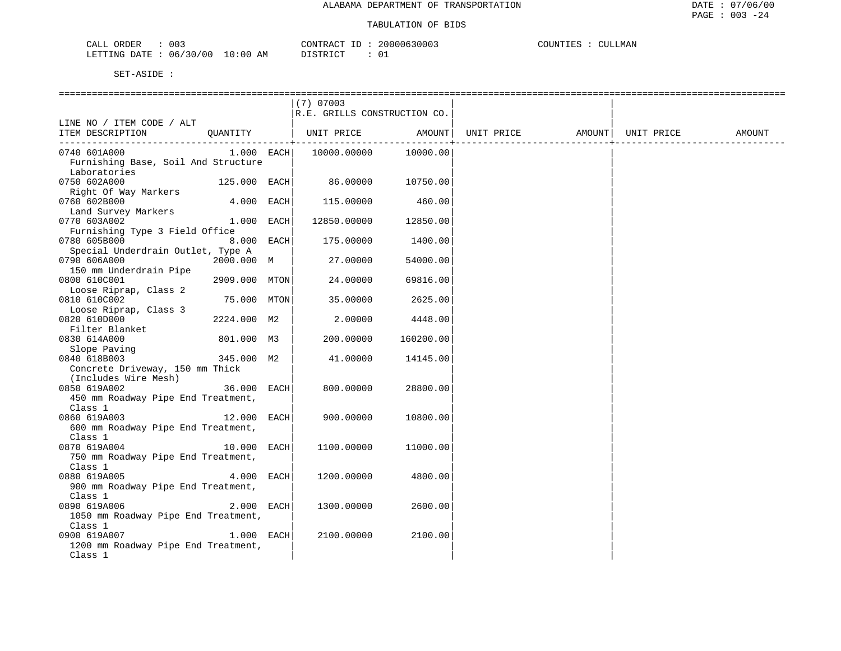| 003<br>ORDER<br>البلطات                                      |                    | סידיזו∩ר<br>$\sim$<br>'ו ∩י | 11116<br>. <i>.</i> | <b>TIM</b><br>P. | .M∆N |
|--------------------------------------------------------------|--------------------|-----------------------------|---------------------|------------------|------|
| 0 <sup>c</sup><br>$30^\circ$<br>06<br><b>FTTTNG</b><br>DATE. | AΜ<br>' () : () i, | $T \cap T$<br>ຼ             |                     |                  |      |

|                                               |               | $(7)$ 07003                           |           |                                |  |        |
|-----------------------------------------------|---------------|---------------------------------------|-----------|--------------------------------|--|--------|
|                                               |               | R.E. GRILLS CONSTRUCTION CO.          |           |                                |  |        |
| LINE NO / ITEM CODE / ALT                     |               |                                       |           |                                |  |        |
| ITEM DESCRIPTION QUANTITY   UNIT PRICE AMOUNT |               |                                       |           | UNIT PRICE AMOUNT   UNIT PRICE |  | AMOUNT |
|                                               |               |                                       |           |                                |  |        |
| 0740 601A000                                  |               | $1.000$ EACH $10000.00000$ $10000.00$ |           |                                |  |        |
| Furnishing Base, Soil And Structure           |               |                                       |           |                                |  |        |
| Laboratories                                  |               |                                       |           |                                |  |        |
| 0750 602A000                                  | 125.000 EACH  | 86.00000 10750.00                     |           |                                |  |        |
| Right Of Way Markers                          |               |                                       |           |                                |  |        |
| 0760 602B000                                  | 4.000 EACH    | 115.00000                             | 460.00    |                                |  |        |
| Land Survey Markers                           |               |                                       |           |                                |  |        |
| 0770 603A002                                  | $1.000$ EACH  | 12850.00000                           | 12850.00  |                                |  |        |
| Furnishing Type 3 Field Office                |               |                                       |           |                                |  |        |
| 0780 605B000                                  | $8.000$ EACH  | 175.00000                             | 1400.00   |                                |  |        |
| Special Underdrain Outlet, Type A             |               |                                       |           |                                |  |        |
| 0790 606A000                                  | 2000.000 M    | 27.00000                              | 54000.00  |                                |  |        |
| 150 mm Underdrain Pipe                        |               |                                       |           |                                |  |        |
| 0800 610C001                                  | 2909.000 MTON | 24.00000                              | 69816.00  |                                |  |        |
| Loose Riprap, Class 2                         |               |                                       |           |                                |  |        |
| 0810 610C002                                  | 75.000 MTON   | 35.00000                              | 2625.00   |                                |  |        |
| Loose Riprap, Class 3                         |               |                                       |           |                                |  |        |
| 0820 610D000                                  | 2224.000 M2   | 2.00000                               | 4448.00   |                                |  |        |
| 0820 610D000<br>Filter Blanket                |               |                                       |           |                                |  |        |
| 0830 614A000                                  | 801.000 M3    | 200.00000                             | 160200.00 |                                |  |        |
|                                               |               |                                       |           |                                |  |        |
| Slope Paving                                  | 345.000 M2    |                                       |           |                                |  |        |
| 0840 618B003                                  |               | 41.00000                              | 14145.00  |                                |  |        |
| Concrete Driveway, 150 mm Thick               |               |                                       |           |                                |  |        |
| (Includes Wire Mesh)                          |               |                                       |           |                                |  |        |
| 0850 619A002                                  | $36.000$ EACH | 800.00000                             | 28800.00  |                                |  |        |
| 450 mm Roadway Pipe End Treatment,            |               |                                       |           |                                |  |        |
| Class 1                                       |               |                                       |           |                                |  |        |
| 0860 619A003                                  | $12.000$ EACH | 900.00000                             | 10800.00  |                                |  |        |
| 600 mm Roadway Pipe End Treatment,            |               |                                       |           |                                |  |        |
| Class 1                                       |               |                                       |           |                                |  |        |
| 0870 619A004<br>10.000 EACH                   |               | 1100.00000                            | 11000.00  |                                |  |        |
| 750 mm Roadway Pipe End Treatment,            |               |                                       |           |                                |  |        |
| Class 1                                       |               |                                       |           |                                |  |        |
| 0880 619A005                                  | 4.000 EACH    | 1200.00000                            | 4800.00   |                                |  |        |
| 900 mm Roadway Pipe End Treatment,            |               |                                       |           |                                |  |        |
| Class 1                                       |               |                                       |           |                                |  |        |
| 0890 619A006                                  | $2.000$ EACH  | 1300.00000                            | 2600.00   |                                |  |        |
| 1050 mm Roadway Pipe End Treatment,           |               |                                       |           |                                |  |        |
| Class 1                                       |               |                                       |           |                                |  |        |
| 0900 619A007                                  | $1.000$ EACH  | 2100.00000                            | 2100.00   |                                |  |        |
| 1200 mm Roadway Pipe End Treatment,           |               |                                       |           |                                |  |        |
| Class 1                                       |               |                                       |           |                                |  |        |
|                                               |               |                                       |           |                                |  |        |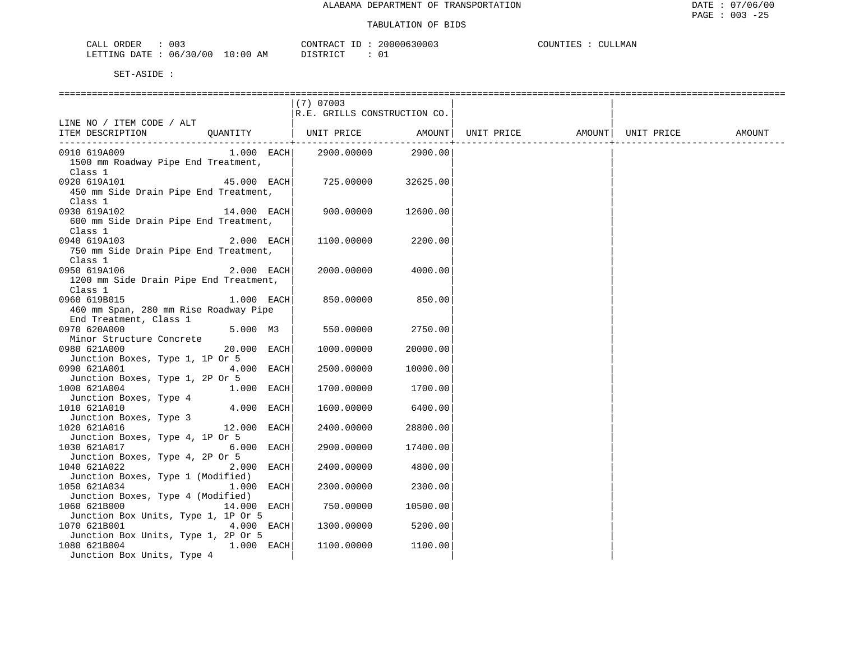| CALL ORDER<br>003               | CONTRACT ID: 20000630003 | COUNTIES : 0<br>CULLMAN |
|---------------------------------|--------------------------|-------------------------|
| LETTING DATE: 06/30/00 10:00 AM | DISTRICT<br>- 0.         |                         |

|                                                                                 |               | $(7)$ 07003                  |          |                                |  |        |
|---------------------------------------------------------------------------------|---------------|------------------------------|----------|--------------------------------|--|--------|
| LINE NO / ITEM CODE / ALT                                                       |               | R.E. GRILLS CONSTRUCTION CO. |          |                                |  |        |
| ITEM DESCRIPTION                                                                | QUANTITY      | UNIT PRICE AMOUNT            |          | UNIT PRICE AMOUNT   UNIT PRICE |  | AMOUNT |
| 0910 619A009<br>1500 mm Roadway Pipe End Treatment,<br>Class 1                  | $1.000$ EACH  | 2900.00000 2900.00           |          |                                |  |        |
| 0920 619A101<br>450 mm Side Drain Pipe End Treatment,<br>Class 1                | $45.000$ EACH | 725.00000                    | 32625.00 |                                |  |        |
| 0930 619A102<br>600 mm Side Drain Pipe End Treatment,<br>Class 1                | $14.000$ EACH | 900.00000                    | 12600.00 |                                |  |        |
| 0940 619A103<br>750 mm Side Drain Pipe End Treatment,<br>Class 1                | $2.000$ EACH  | 1100.00000                   | 2200.00  |                                |  |        |
| 0950 619A106<br>1200 mm Side Drain Pipe End Treatment,<br>Class 1               | 2.000 EACH    | 2000.00000                   | 4000.00  |                                |  |        |
| 0960 619B015<br>460 mm Span, 280 mm Rise Roadway Pipe<br>End Treatment, Class 1 | $1.000$ EACH  | 850.00000                    | 850.00   |                                |  |        |
| 0970 620A000<br>Minor Structure Concrete                                        | 5.000 M3      | 550.00000                    | 2750.00  |                                |  |        |
| 0980 621A000<br>Junction Boxes, Type 1, 1P Or 5                                 | 20.000 EACH   | 1000.00000                   | 20000.00 |                                |  |        |
| 0990 621A001<br>Junction Boxes, Type 1, 2P Or 5                                 | 4.000 EACH    | 2500.00000                   | 10000.00 |                                |  |        |
| 1000 621A004<br>Junction Boxes, Type 4                                          | $1.000$ EACH  | 1700.00000                   | 1700.00  |                                |  |        |
| 1010 621A010<br>Junction Boxes, Type 3                                          | 4.000 EACH    | 1600.00000                   | 6400.00  |                                |  |        |
| 1020 621A016<br>Junction Boxes, Type 4, 1P Or 5                                 | 12.000 EACH   | 2400.00000                   | 28800.00 |                                |  |        |
| 1030 621A017<br>Junction Boxes, Type 4, 2P Or 5                                 | 6.000 EACH    | 2900.00000                   | 17400.00 |                                |  |        |
| 1040 621A022<br>Junction Boxes, Type 1 (Modified)                               | 2.000 EACH    | 2400.00000                   | 4800.00  |                                |  |        |
| 1050 621A034<br>Junction Boxes, Type 4 (Modified)                               | 1.000 EACH    | 2300.00000                   | 2300.00  |                                |  |        |
| 1060 621B000<br>Junction Box Units, Type 1, 1P Or 5                             | 14.000 EACH   | 750.00000                    | 10500.00 |                                |  |        |
| 1070 621B001<br>Junction Box Units, Type 1, 2P Or 5                             | 4.000 EACH    | 1300.00000                   | 5200.00  |                                |  |        |
| 1080 621B004<br>Junction Box Units, Type 4                                      | $1.000$ EACH  | 1100.00000                   | 1100.00  |                                |  |        |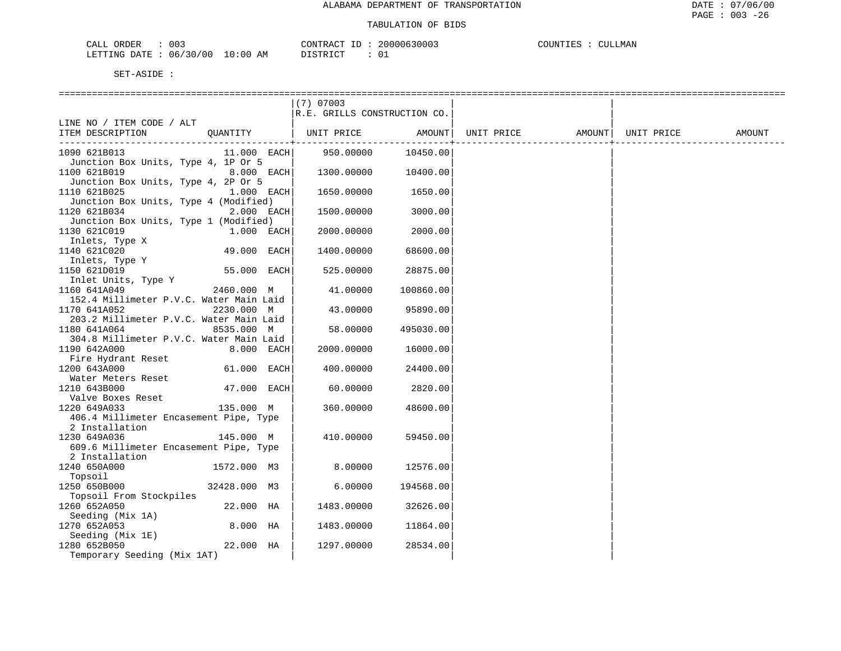| ORDER<br>CALI | $\sim$<br>U U 3 |                         | CONTRACT | ТD | 20000630003   | COUNTIES |  | CULLMAN |
|---------------|-----------------|-------------------------|----------|----|---------------|----------|--|---------|
| LETTING DATE  | 06/30/00        | LO : 00<br>ΆM<br>$\sim$ | ` STR ∟  |    | $\sim$ $\sim$ |          |  |         |

|                                                   | $(7)$ 07003                  |           |                      |                      |
|---------------------------------------------------|------------------------------|-----------|----------------------|----------------------|
|                                                   | R.E. GRILLS CONSTRUCTION CO. |           |                      |                      |
| LINE NO / ITEM CODE / ALT                         |                              |           |                      |                      |
| ITEM DESCRIPTION<br>OUANTITY                      | UNIT PRICE                   | AMOUNT    | UNIT PRICE<br>AMOUNT | UNIT PRICE<br>AMOUNT |
| --------------------+--------                     |                              |           |                      |                      |
| 1090 621B013<br>11.000 EACH                       | 950.00000                    | 10450.00  |                      |                      |
| Junction Box Units, Type 4, 1P Or 5               |                              |           |                      |                      |
| 1100 621B019<br>8.000 EACH                        | 1300.00000                   | 10400.00  |                      |                      |
| Junction Box Units, Type 4, 2P Or 5               |                              |           |                      |                      |
| 1110 621B025<br>1.000 EACH                        | 1650.00000                   | 1650.00   |                      |                      |
| Junction Box Units, Type 4 (Modified)             |                              |           |                      |                      |
| 1120 621B034<br>2.000 EACH                        | 1500.00000                   | 3000.00   |                      |                      |
| Junction Box Units, Type 1 (Modified)             |                              |           |                      |                      |
| 1130 621C019<br>1.000 EACH                        | 2000.00000                   | 2000.00   |                      |                      |
| Inlets, Type X                                    |                              |           |                      |                      |
| 49.000 EACH<br>1140 621C020                       | 1400.00000                   | 68600.00  |                      |                      |
| Inlets, Type Y                                    |                              |           |                      |                      |
| 1150 621D019<br>55.000 EACH                       | 525.00000                    | 28875.00  |                      |                      |
| Inlet Units, Type Y                               |                              |           |                      |                      |
| 1160 641A049<br>2460.000 M                        | 41.00000                     | 100860.00 |                      |                      |
| 152.4 Millimeter P.V.C. Water Main Laid           |                              |           |                      |                      |
| 1170 641A052<br>2230.000 M                        | 43.00000                     | 95890.00  |                      |                      |
| 203.2 Millimeter P.V.C. Water Main Laid           |                              |           |                      |                      |
| 1180 641A064<br>8535.000 M                        | 58.00000                     | 495030.00 |                      |                      |
| 304.8 Millimeter P.V.C. Water Main Laid           |                              |           |                      |                      |
| 1190 642A000<br>8.000 EACH                        | 2000.00000                   | 16000.00  |                      |                      |
| Fire Hydrant Reset<br>1200 643A000<br>61.000 EACH | 400.00000                    | 24400.00  |                      |                      |
| Water Meters Reset                                |                              |           |                      |                      |
| 1210 643B000<br>47.000 EACH                       | 60.00000                     | 2820.00   |                      |                      |
| Valve Boxes Reset                                 |                              |           |                      |                      |
| 1220 649A033<br>135.000 M                         | 360.00000                    | 48600.00  |                      |                      |
| 406.4 Millimeter Encasement Pipe, Type            |                              |           |                      |                      |
| 2 Installation                                    |                              |           |                      |                      |
| 1230 649A036<br>145.000 M                         | 410.00000                    | 59450.00  |                      |                      |
| 609.6 Millimeter Encasement Pipe, Type            |                              |           |                      |                      |
| 2 Installation                                    |                              |           |                      |                      |
| 1240 650A000<br>1572.000 M3                       | 8.00000                      | 12576.00  |                      |                      |
| Topsoil                                           |                              |           |                      |                      |
| 32428.000 M3<br>1250 650B000                      | 6.00000                      | 194568.00 |                      |                      |
| Topsoil From Stockpiles                           |                              |           |                      |                      |
| 1260 652A050<br>22.000 HA                         | 1483.00000                   | 32626.00  |                      |                      |
| Seeding (Mix 1A)                                  |                              |           |                      |                      |
| 8.000 HA<br>1270 652A053                          | 1483.00000                   | 11864.00  |                      |                      |
| Seeding (Mix 1E)                                  |                              |           |                      |                      |
| 22.000 HA<br>1280 652B050                         | 1297.00000                   | 28534.00  |                      |                      |
| Temporary Seeding (Mix 1AT)                       |                              |           |                      |                      |
|                                                   |                              |           |                      |                      |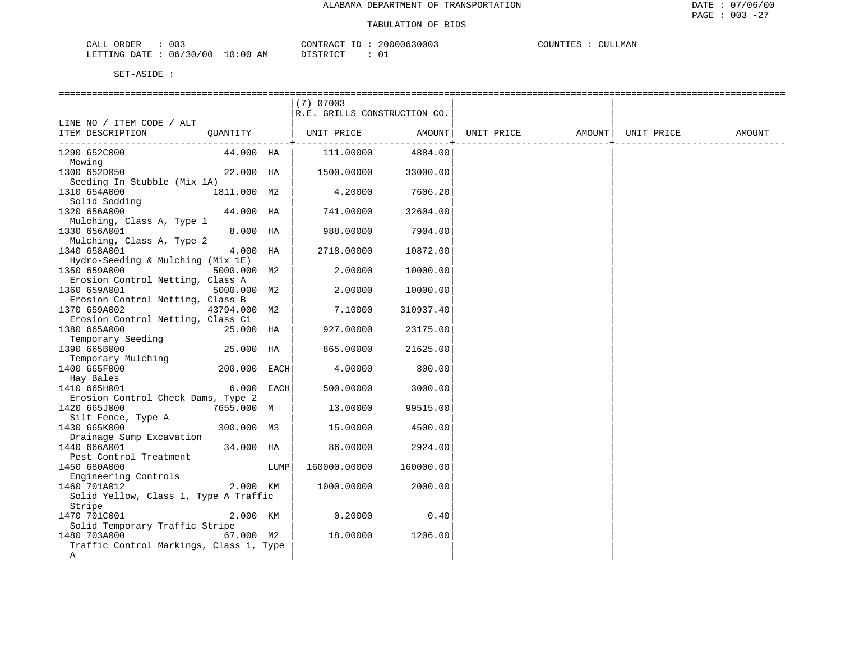| ORDER<br>CALL                   | 003 | CONTRACT ID | 20000630003 | COUNTIES | <b>CULLMAN</b> |  |
|---------------------------------|-----|-------------|-------------|----------|----------------|--|
| LETTING DATE: 06/30/00 10:00 AM |     | DISTRICT    |             |          |                |  |

|                                                   |              |            | $(7)$ 07003                  |                                |                   |            |        |
|---------------------------------------------------|--------------|------------|------------------------------|--------------------------------|-------------------|------------|--------|
|                                                   |              |            | R.E. GRILLS CONSTRUCTION CO. |                                |                   |            |        |
| LINE NO / ITEM CODE / ALT                         |              |            |                              |                                |                   |            |        |
| ITEM DESCRIPTION                                  | QUANTITY     |            | UNIT PRICE                   | AMOUNT                         | UNIT PRICE AMOUNT | UNIT PRICE | AMOUNT |
| 1290 652C000                                      | 44.000 HA    |            | 111.00000                    | ------------------+<br>4884.00 |                   |            |        |
| Mowing                                            |              |            |                              |                                |                   |            |        |
| 1300 652D050                                      | 22.000 HA    |            | 1500.00000                   | 33000.00                       |                   |            |        |
| Seeding In Stubble (Mix 1A)                       |              |            |                              |                                |                   |            |        |
| 1310 654A000                                      | 1811.000 M2  |            | 4.20000                      | 7606.20                        |                   |            |        |
| Solid Sodding                                     |              |            |                              |                                |                   |            |        |
| 1320 656A000                                      | 44.000 HA    |            | 741.00000                    | 32604.00                       |                   |            |        |
| Mulching, Class A, Type 1                         |              |            |                              |                                |                   |            |        |
| 1330 656A001                                      | 8.000 HA     |            | 988.00000                    | 7904.00                        |                   |            |        |
| Mulching, Class A, Type 2                         |              |            |                              |                                |                   |            |        |
| 1340 658A001                                      | 4.000 HA     |            | 2718.00000                   | 10872.00                       |                   |            |        |
| Hydro-Seeding & Mulching (Mix 1E)                 |              |            |                              |                                |                   |            |        |
| 1350 659A000                                      | 5000.000 M2  |            | 2.00000                      | 10000.00                       |                   |            |        |
| Erosion Control Netting, Class A                  |              |            |                              |                                |                   |            |        |
| 1360 659A001<br>Erosion Control Netting, Class B  | 5000.000 M2  |            | 2.00000                      | 10000.00                       |                   |            |        |
|                                                   |              |            |                              |                                |                   |            |        |
| 1370 659A002                                      | 43794.000 M2 |            | 7.10000                      | 310937.40                      |                   |            |        |
| Erosion Control Netting, Class C1<br>1380 665A000 | 25.000 HA    |            | 927.00000                    | 23175.00                       |                   |            |        |
| Temporary Seeding                                 |              |            |                              |                                |                   |            |        |
| 1390 665B000                                      | 25.000 HA    |            | 865.00000                    | 21625.00                       |                   |            |        |
| Temporary Mulching                                |              |            |                              |                                |                   |            |        |
| 1400 665F000                                      | 200.000 EACH |            | 4.00000                      | 800.00                         |                   |            |        |
| Hay Bales                                         |              |            |                              |                                |                   |            |        |
| 1410 665H001                                      |              | 6.000 EACH | 500.00000                    | 3000.00                        |                   |            |        |
| Erosion Control Check Dams, Type 2                |              |            |                              |                                |                   |            |        |
| 1420 665J000                                      | 7655.000 M   |            | 13.00000                     | 99515.00                       |                   |            |        |
| Silt Fence, Type A                                |              |            |                              |                                |                   |            |        |
| 1430 665K000                                      | 300.000 M3   |            | 15.00000                     | 4500.00                        |                   |            |        |
| Drainage Sump Excavation                          |              |            |                              |                                |                   |            |        |
| 1440 666A001                                      | 34.000 HA    |            | 86.00000                     | 2924.00                        |                   |            |        |
| Pest Control Treatment                            |              |            |                              |                                |                   |            |        |
| 1450 680A000                                      |              | LUMP       | 160000.00000                 | 160000.00                      |                   |            |        |
| Engineering Controls                              |              |            |                              |                                |                   |            |        |
| 1460 701A012                                      | 2.000 KM     |            | 1000.00000                   | 2000.00                        |                   |            |        |
| Solid Yellow, Class 1, Type A Traffic             |              |            |                              |                                |                   |            |        |
| Stripe                                            |              |            |                              |                                |                   |            |        |
| 1470 701C001<br>Solid Temporary Traffic Stripe    | 2.000 KM     |            | 0.20000                      | 0.40                           |                   |            |        |
| 1480 703A000                                      | 67.000 M2    |            | 18.00000                     | 1206.00                        |                   |            |        |
| Traffic Control Markings, Class 1, Type           |              |            |                              |                                |                   |            |        |
| Α                                                 |              |            |                              |                                |                   |            |        |
|                                                   |              |            |                              |                                |                   |            |        |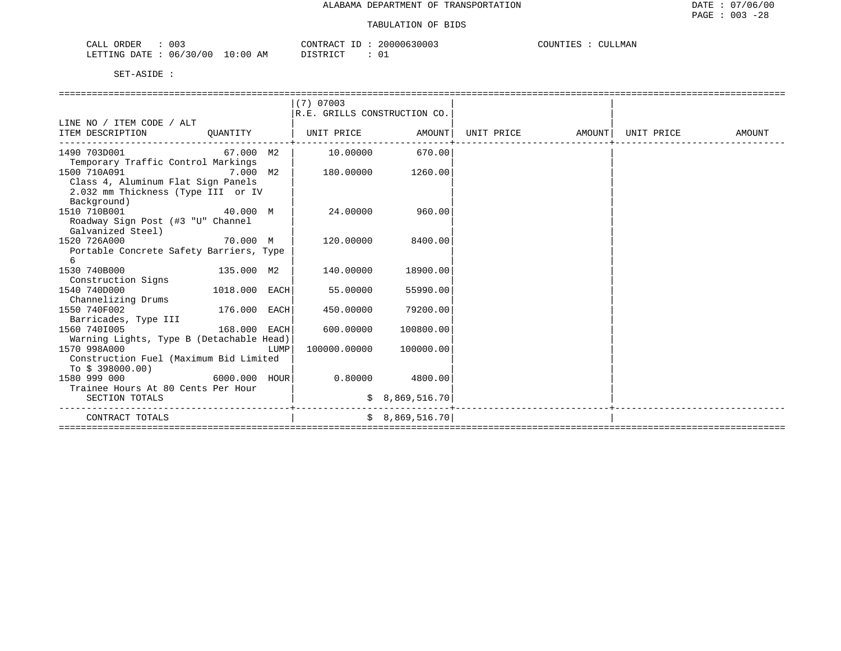| 003<br>CALL<br>ORDER              | 20000630003<br>$C\cap N$ דים ה $C$<br>$- -$ | CULLMAN<br>COUNTIES<br>$\bigcap$ TT |
|-----------------------------------|---------------------------------------------|-------------------------------------|
| 06/30/00<br>10:00<br>LETTING DATE | דת לידי את ה<br>ΆM<br>◡⊥<br>ມ⊥ມ⊥ນ⊥ບ⊥        |                                     |

|                                                                              |          |      | $(7)$ 07003                       |                        |  |        |
|------------------------------------------------------------------------------|----------|------|-----------------------------------|------------------------|--|--------|
|                                                                              |          |      | R.E. GRILLS CONSTRUCTION CO.      |                        |  |        |
| LINE NO / ITEM CODE / ALT                                                    |          |      |                                   |                        |  |        |
| ITEM DESCRIPTION OUANTITY   UNIT PRICE AMOUNT  UNIT PRICE AMOUNT  UNIT PRICE |          |      |                                   |                        |  | AMOUNT |
| 1490 703D001 67.000 M2                                                       |          |      | 10.00000 670.00                   |                        |  |        |
| Temporary Traffic Control Markings                                           |          |      |                                   |                        |  |        |
| 1500 710A091 7.000 M2                                                        |          |      | 180.00000 1260.00                 |                        |  |        |
| Class 4, Aluminum Flat Sign Panels                                           |          |      |                                   |                        |  |        |
| 2.032 mm Thickness (Type III or IV                                           |          |      |                                   |                        |  |        |
| Background)                                                                  |          |      |                                   |                        |  |        |
| 40.000 M<br>1510 710B001                                                     |          |      |                                   | 24.00000 960.00        |  |        |
| Roadway Sign Post (#3 "U" Channel                                            |          |      |                                   |                        |  |        |
| Galvanized Steel)                                                            |          |      |                                   |                        |  |        |
| 1520 726A000                                                                 | 70.000 M |      | 120.00000 8400.00                 |                        |  |        |
| Portable Concrete Safety Barriers, Type                                      |          |      |                                   |                        |  |        |
| 6                                                                            |          |      |                                   |                        |  |        |
| 1530 740B000 135.000 M2                                                      |          |      | 140.00000                         | 18900.00               |  |        |
| Construction Signs                                                           |          |      |                                   |                        |  |        |
| 1018.000 EACH<br>1540 740D000<br>Channelizing Drums                          |          |      | 55.00000                          | 55990.00               |  |        |
| 176.000 EACH<br>1550 740F002                                                 |          |      | 450.00000                         | 79200.00               |  |        |
| Barricades, Type III                                                         |          |      |                                   |                        |  |        |
| 168.000 EACH<br>1560 7401005                                                 |          |      | 600.00000                         | 100800.00              |  |        |
| Warning Lights, Type B (Detachable Head)                                     |          |      |                                   |                        |  |        |
| 1570 998A000                                                                 |          | LUMP |                                   | 100000.00000 100000.00 |  |        |
| Construction Fuel (Maximum Bid Limited                                       |          |      |                                   |                        |  |        |
| To $$398000.00)$                                                             |          |      |                                   |                        |  |        |
| 1580 999 000                                                                 |          |      | $6000.000$ $HOUR$ 0.80000 4800.00 |                        |  |        |
| Trainee Hours At 80 Cents Per Hour                                           |          |      |                                   |                        |  |        |
| SECTION TOTALS                                                               |          |      |                                   | \$8,869,516.70         |  |        |
| CONTRACT TOTALS                                                              |          |      |                                   | \$8,869,516.70]        |  |        |
|                                                                              |          |      |                                   |                        |  |        |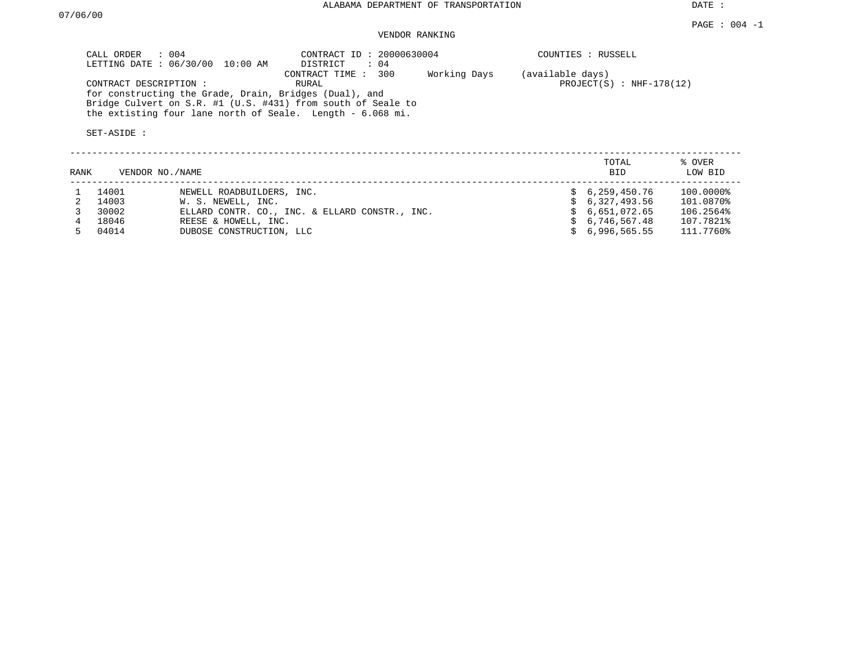DATE :

# VENDOR RANKING

| CALL ORDER : 004<br>LETTING DATE : 06/30/00 10:00 AM                                                                                                                                                          | CONTRACT ID: 20000630004<br>$\therefore$ 04<br>DISTRICT | COUNTIES : RUSSELL                             |
|---------------------------------------------------------------------------------------------------------------------------------------------------------------------------------------------------------------|---------------------------------------------------------|------------------------------------------------|
| CONTRACT DESCRIPTION:<br>for constructing the Grade, Drain, Bridges (Dual), and<br>Bridge Culvert on S.R. #1 (U.S. #431) from south of Seale to<br>the extisting four lane north of Seale. Length - 6.068 mi. | 300<br>Working Days<br>CONTRACT TIME :<br>RURAL         | (available days)<br>$PROJECT(S)$ : NHF-178(12) |
| SET-ASIDE :                                                                                                                                                                                                   |                                                         |                                                |

| RANK | VENDOR NO./NAME |                                                | TOTAL<br><b>BID</b> | % OVER<br>LOW BID |
|------|-----------------|------------------------------------------------|---------------------|-------------------|
|      | 14001           | NEWELL ROADBUILDERS, INC.                      | \$6,259,450.76      | 100.0000%         |
|      | 14003           | W. S. NEWELL, INC.                             | \$6,327,493.56      | 101.0870%         |
|      | 30002           | ELLARD CONTR. CO., INC. & ELLARD CONSTR., INC. | \$6,651,072.65      | 106.2564%         |
|      | 18046           | REESE & HOWELL, INC.                           | \$6,746,567.48      | 107.7821%         |
|      | 04014           | DUBOSE CONSTRUCTION, LLC                       | \$6.996.565.55      | 111.7760%         |

--------------------------------------------------------------------------------------------------------------------------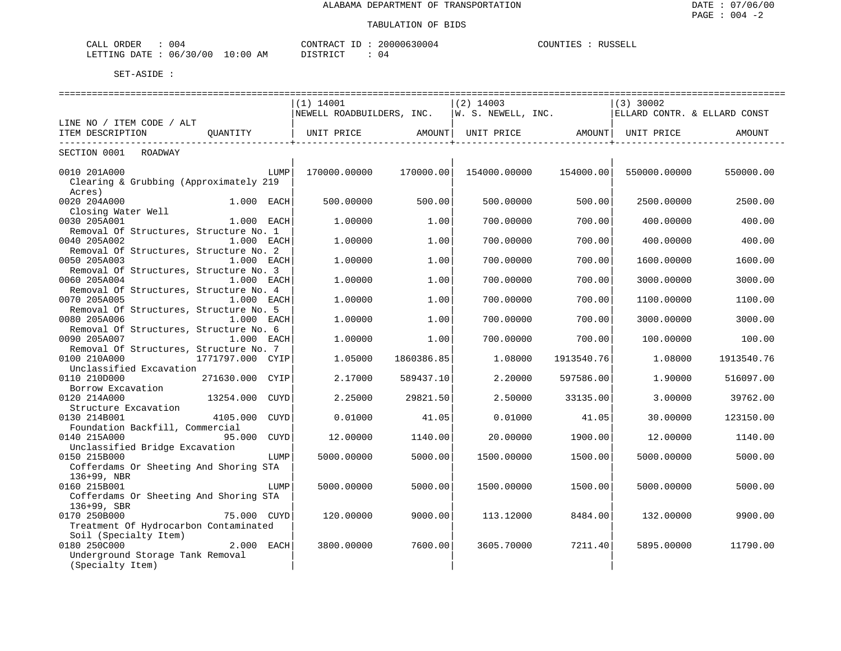| ORDER<br>004<br>ىلىك                                 |                   | 200006<br>TONTRACT | COUNTIES<br><b>DIICCELI</b><br>TRRRIT |
|------------------------------------------------------|-------------------|--------------------|---------------------------------------|
| 06/30<br>/00<br>ኮΔͲϜ<br>מאדידים.<br>TE.T.T.TMG<br>ີ້ | ፡ 0 0<br>ΆM<br>ΤO | DISTRICT<br>⊿ ۱    |                                       |

|                                                                        | (1) 14001            |            | $(2)$ 14003  |                              | $(3)$ 30002                                                                                                  |               |
|------------------------------------------------------------------------|----------------------|------------|--------------|------------------------------|--------------------------------------------------------------------------------------------------------------|---------------|
|                                                                        |                      |            |              |                              | NEWELL ROADBUILDERS, INC.  W. S. NEWELL, INC.  ELLARD CONTR. & ELLARD CONST                                  |               |
| LINE NO / ITEM CODE / ALT                                              |                      |            |              |                              |                                                                                                              |               |
| ITEM DESCRIPTION OUANTITY                                              |                      |            |              | --------------------+------- | UNIT PRICE                 AMOUNT    UNIT PRICE                AMOUNT    UNIT PRICE                   AMOUNT | _____________ |
| SECTION 0001 ROADWAY                                                   |                      |            |              |                              |                                                                                                              |               |
| 0010 201A000                                                           | LUMP<br>170000.00000 | 170000.00  | 154000.00000 | 154000.00                    | 550000.00000                                                                                                 | 550000.00     |
| Clearing & Grubbing (Approximately 219<br>Acres)                       |                      |            |              |                              |                                                                                                              |               |
| 0020 204A000<br>1.000 EACH                                             | 500,00000            | 500.00     | 500,00000    | 500.00                       | 2500.00000                                                                                                   | 2500.00       |
| Closing Water Well                                                     |                      |            | 700,00000    |                              |                                                                                                              |               |
| 0030 205A001<br>1.000 EACH<br>Removal Of Structures, Structure No. 1   | 1,00000              | 1.00       |              | 700.00                       | 400.00000                                                                                                    | 400.00        |
| 0040 205A002<br>1.000 EACH                                             | 1,00000              | 1.00       | 700,00000    | 700.00                       | 400.00000                                                                                                    | 400.00        |
| Removal Of Structures, Structure No. 2                                 |                      |            |              |                              |                                                                                                              |               |
| 0050 205A003<br>1.000 EACH                                             | 1,00000              | 1.00       | 700.00000    | 700.00                       | 1600.00000                                                                                                   | 1600.00       |
| Removal Of Structures, Structure No. 3                                 |                      |            |              |                              |                                                                                                              |               |
| 0060 205A004<br>1.000 EACH                                             | 1,00000              | 1.00       | 700.00000    | 700.00                       | 3000.00000                                                                                                   | 3000.00       |
| Removal Of Structures, Structure No. 4                                 |                      |            |              |                              |                                                                                                              |               |
| 0070 205A005<br>1.000 EACH                                             | 1,00000              | 1.00       | 700.00000    | 700.00                       | 1100.00000                                                                                                   | 1100.00       |
| Removal Of Structures, Structure No. 5                                 |                      |            |              |                              |                                                                                                              |               |
| 0080 205A006<br>1.000 EACH                                             | 1,00000              | 1.00       | 700.00000    | 700.00                       | 3000.00000                                                                                                   | 3000.00       |
| Removal Of Structures, Structure No. 6<br>0090 205A007<br>$1.000$ EACH | 1,00000              | 1.00       | 700,00000    | 700.00                       |                                                                                                              | 100.00        |
| Removal Of Structures, Structure No. 7                                 |                      |            |              |                              | 100.00000                                                                                                    |               |
| 1771797.000 CYIP<br>0100 210A000                                       | 1.05000              | 1860386.85 | 1,08000      | 1913540.76                   | 1.08000                                                                                                      | 1913540.76    |
| Unclassified Excavation                                                |                      |            |              |                              |                                                                                                              |               |
| 0110 210D000<br>271630.000 CYIP                                        | 2.17000              | 589437.10  | 2,20000      | 597586.00                    | 1,90000                                                                                                      | 516097.00     |
| Borrow Excavation                                                      |                      |            |              |                              |                                                                                                              |               |
| 0120 214A000<br>13254.000                                              | CUYD<br>2.25000      | 29821.50   | 2.50000      | 33135.00                     | 3.00000                                                                                                      | 39762.00      |
| Structure Excavation                                                   |                      |            |              |                              |                                                                                                              |               |
| 0130 214B001<br>4105.000 CUYD                                          | 0.01000              | 41.05      | 0.01000      | 41.05                        | 30.00000                                                                                                     | 123150.00     |
| Foundation Backfill, Commercial                                        |                      |            |              |                              |                                                                                                              |               |
| 0140 215A000<br>95.000                                                 | 12.00000<br>CUYD     | 1140.00    | 20.00000     | 1900.00                      | 12.00000                                                                                                     | 1140.00       |
| Unclassified Bridge Excavation<br>0150 215B000                         | LUMP<br>5000.00000   | 5000.00    | 1500.00000   | 1500.00                      | 5000.00000                                                                                                   | 5000.00       |
| Cofferdams Or Sheeting And Shoring STA                                 |                      |            |              |                              |                                                                                                              |               |
| 136+99, NBR                                                            |                      |            |              |                              |                                                                                                              |               |
| 0160 215B001                                                           | 5000.00000<br>LUMP   | 5000.00    | 1500.00000   | 1500.00                      | 5000.00000                                                                                                   | 5000.00       |
| Cofferdams Or Sheeting And Shoring STA                                 |                      |            |              |                              |                                                                                                              |               |
| $136+99$ , SBR                                                         |                      |            |              |                              |                                                                                                              |               |
| 0170 250B000<br>75.000 CUYD                                            | 120.00000            | 9000.00    | 113.12000    | 8484.00                      | 132.00000                                                                                                    | 9900.00       |
| Treatment Of Hydrocarbon Contaminated                                  |                      |            |              |                              |                                                                                                              |               |
| Soil (Specialty Item)                                                  |                      |            |              |                              |                                                                                                              |               |
| 0180 250C000<br>2.000 EACH                                             | 3800.00000           | 7600.00    | 3605.70000   | 7211.40                      | 5895.00000                                                                                                   | 11790.00      |
| Underground Storage Tank Removal                                       |                      |            |              |                              |                                                                                                              |               |
| (Specialty Item)                                                       |                      |            |              |                              |                                                                                                              |               |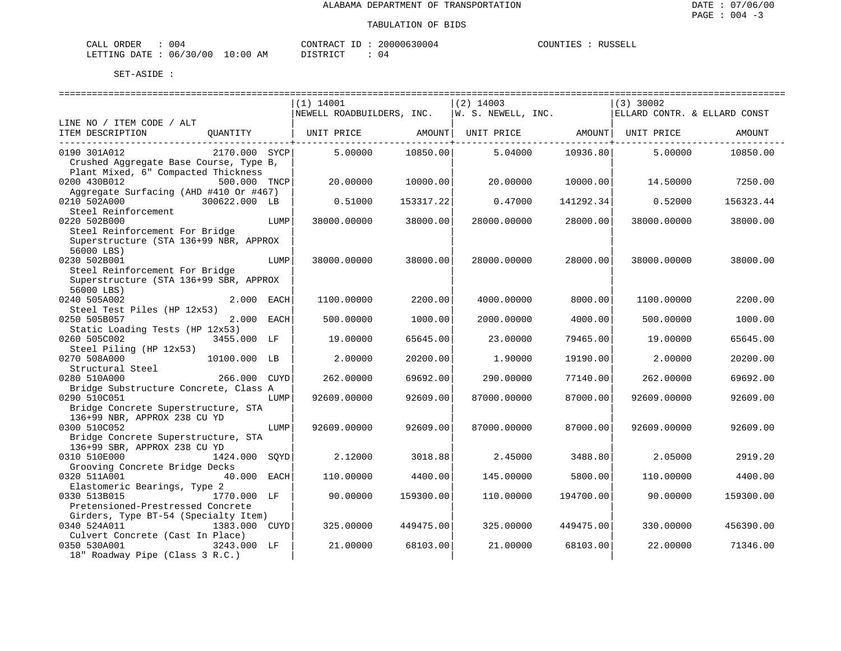| ORDER<br>CALI | U O 4    |                         | CONTRACT<br>TD.         | 20000630004         | COUNTIES | <b>RUSSELI</b> |
|---------------|----------|-------------------------|-------------------------|---------------------|----------|----------------|
| LETTING DATE  | 06/30/00 | LO : 00<br>AΜ<br>$\sim$ | ירי ד סידף ד<br>- - - - | JЧ<br>$\sim$ $\sim$ |          |                |

|                                        |               |      | $(1)$ 14001               |            | $(2)$ 14003           |                     | $(3)$ 30002        |                              |
|----------------------------------------|---------------|------|---------------------------|------------|-----------------------|---------------------|--------------------|------------------------------|
|                                        |               |      | NEWELL ROADBUILDERS, INC. |            | $ W.$ S. NEWELL, INC. |                     |                    | ELLARD CONTR. & ELLARD CONST |
| LINE NO / ITEM CODE / ALT              |               |      |                           |            |                       |                     |                    |                              |
| ITEM DESCRIPTION                       | OUANTITY      |      | UNIT PRICE                | AMOUNT     | UNIT PRICE            |                     | AMOUNT  UNIT PRICE | AMOUNT                       |
|                                        |               |      |                           | ---------- |                       | ------------------- |                    |                              |
| 0190 301A012                           | 2170.000 SYCP |      | 5.00000                   | 10850.00   | 5.04000               | 10936.80            | 5.00000            | 10850.00                     |
| Crushed Aggregate Base Course, Type B, |               |      |                           |            |                       |                     |                    |                              |
| Plant Mixed, 6" Compacted Thickness    |               |      |                           |            |                       |                     |                    |                              |
| 0200 430B012                           | 500.000 TNCP  |      | 20.00000                  | 10000.00   | 20.00000              | 10000.00            | 14.50000           | 7250.00                      |
| Aggregate Surfacing (AHD #410 Or #467) |               |      |                           |            |                       |                     |                    |                              |
| 0210 502A000                           | 300622.000 LB |      | 0.51000                   | 153317.22  | 0.47000               | 141292.34           | 0.52000            | 156323.44                    |
| Steel Reinforcement                    |               |      |                           |            |                       |                     |                    |                              |
| 0220 502B000                           |               | LUMP | 38000.00000               | 38000.00   | 28000.00000           | 28000.00            | 38000.00000        | 38000.00                     |
| Steel Reinforcement For Bridge         |               |      |                           |            |                       |                     |                    |                              |
| Superstructure (STA 136+99 NBR, APPROX |               |      |                           |            |                       |                     |                    |                              |
| 56000 LBS)                             |               |      |                           |            |                       |                     |                    |                              |
| 0230 502B001                           |               | LUMP | 38000.00000               | 38000.00   | 28000.00000           | 28000.00            | 38000.00000        | 38000.00                     |
| Steel Reinforcement For Bridge         |               |      |                           |            |                       |                     |                    |                              |
| Superstructure (STA 136+99 SBR, APPROX |               |      |                           |            |                       |                     |                    |                              |
| 56000 LBS)                             |               |      |                           |            |                       |                     |                    |                              |
| 0240 505A002                           | 2.000 EACH    |      | 1100.00000                | 2200.00    | 4000.00000            | 8000.00             | 1100.00000         | 2200.00                      |
| Steel Test Piles (HP 12x53)            |               |      |                           |            |                       |                     |                    |                              |
| 0250 505B057                           | 2.000 EACH    |      | 500.00000                 | 1000.00    | 2000.00000            | 4000.00             | 500.00000          | 1000.00                      |
| Static Loading Tests (HP 12x53)        |               |      |                           |            |                       |                     |                    |                              |
| 0260 505C002                           | 3455.000 LF   |      | 19.00000                  | 65645.00   | 23.00000              | 79465.00            | 19.00000           | 65645.00                     |
| Steel Piling (HP 12x53)                |               |      |                           |            |                       |                     |                    |                              |
| 0270 508A000                           | 10100.000 LB  |      | 2.00000                   | 20200.00   | 1,90000               | 19190.00            | 2.00000            | 20200.00                     |
| Structural Steel<br>0280 510A000       | 266.000 CUYD  |      | 262.00000                 | 69692.00   | 290.00000             | 77140.00            | 262.00000          | 69692.00                     |
| Bridge Substructure Concrete, Class A  |               |      |                           |            |                       |                     |                    |                              |
| 0290 510C051                           |               | LUMP | 92609.00000               | 92609.00   | 87000.00000           | 87000.00            | 92609.00000        | 92609.00                     |
| Bridge Concrete Superstructure, STA    |               |      |                           |            |                       |                     |                    |                              |
| 136+99 NBR, APPROX 238 CU YD           |               |      |                           |            |                       |                     |                    |                              |
| 0300 510C052                           |               | LUMP | 92609.00000               | 92609.00   | 87000.00000           | 87000.00            | 92609.00000        | 92609.00                     |
| Bridge Concrete Superstructure, STA    |               |      |                           |            |                       |                     |                    |                              |
| 136+99 SBR, APPROX 238 CU YD           |               |      |                           |            |                       |                     |                    |                              |
| 0310 510E000                           | 1424.000      | SOYD | 2.12000                   | 3018.88    | 2.45000               | 3488.80             | 2.05000            | 2919.20                      |
| Grooving Concrete Bridge Decks         |               |      |                           |            |                       |                     |                    |                              |
| 0320 511A001                           | 40.000 EACH   |      | 110.00000                 | 4400.00    | 145.00000             | 5800.00             | 110.00000          | 4400.00                      |
| Elastomeric Bearings, Type 2           |               |      |                           |            |                       |                     |                    |                              |
| 0330 513B015                           | 1770.000 LF   |      | 90.00000                  | 159300.00  | 110,00000             | 194700.00           | 90.00000           | 159300.00                    |
| Pretensioned-Prestressed Concrete      |               |      |                           |            |                       |                     |                    |                              |
| Girders, Type BT-54 (Specialty Item)   |               |      |                           |            |                       |                     |                    |                              |
| 0340 524A011                           | 1383.000 CUYD |      | 325.00000                 | 449475.00  | 325.00000             | 449475.00           | 330.00000          | 456390.00                    |
| Culvert Concrete (Cast In Place)       |               |      |                           |            |                       |                     |                    |                              |
| 0350 530A001                           | 3243.000 LF   |      | 21.00000                  | 68103.00   | 21.00000              | 68103.00            | 22.00000           | 71346.00                     |
| 18" Roadway Pipe (Class 3 R.C.)        |               |      |                           |            |                       |                     |                    |                              |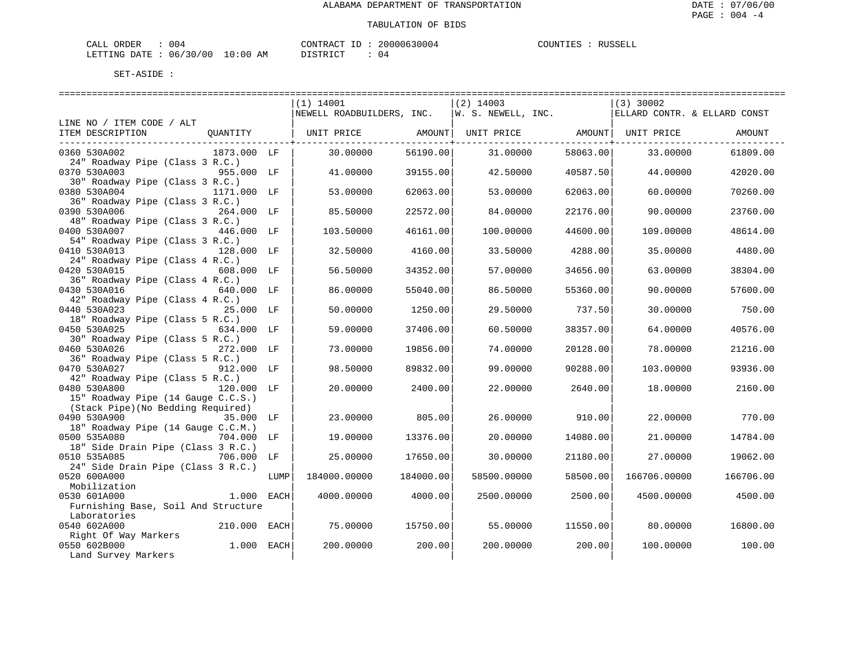| ORDER<br>CALL | U O 4      |             | CONTRACT<br>ID | 20000630004 | COUNTIES | RUSSELL |
|---------------|------------|-------------|----------------|-------------|----------|---------|
| LETTING DATE  | : 06/30/00 | 10:00<br>AM | T STR TOT      | . J 4       |          |         |

|                                     |      | $(1)$ 14001               |           | $(2)$ 14003        |          | $(3)$ 30002                  |           |
|-------------------------------------|------|---------------------------|-----------|--------------------|----------|------------------------------|-----------|
|                                     |      | NEWELL ROADBUILDERS, INC. |           | W. S. NEWELL, INC. |          | ELLARD CONTR. & ELLARD CONST |           |
| LINE NO / ITEM CODE / ALT           |      |                           |           |                    |          |                              |           |
| ITEM DESCRIPTION<br>OUANTITY        |      | UNIT PRICE                | AMOUNT    | UNIT PRICE AMOUNT  |          | UNIT PRICE                   | AMOUNT    |
|                                     |      |                           |           |                    |          |                              |           |
| 0360 530A002<br>1873.000 LF         |      | 30.00000                  | 56190.00  | 31,00000           | 58063.00 | 33.00000                     | 61809.00  |
| 24" Roadway Pipe (Class 3 R.C.)     |      |                           |           |                    |          |                              |           |
| 0370 530A003<br>955.000 LF          |      | 41.00000                  | 39155.00  | 42.50000           | 40587.50 | 44.00000                     | 42020.00  |
| 30" Roadway Pipe (Class 3 R.C.)     |      |                           |           |                    |          |                              |           |
| 0380 530A004<br>1171.000 LF         |      | 53.00000                  | 62063.00  | 53.00000           | 62063.00 | 60.00000                     | 70260.00  |
| 36" Roadway Pipe (Class 3 R.C.)     |      |                           |           |                    |          |                              |           |
| 0390 530A006<br>264.000 LF          |      | 85.50000                  | 22572.00  | 84.00000           | 22176.00 | 90.00000                     | 23760.00  |
| 48" Roadway Pipe (Class 3 R.C.)     |      |                           |           |                    |          |                              |           |
| 0400 530A007<br>446.000 LF          |      | 103.50000                 | 46161.00  | 100.00000          | 44600.00 | 109.00000                    | 48614.00  |
| 54" Roadway Pipe (Class 3 R.C.)     |      |                           |           |                    |          |                              |           |
| 0410 530A013<br>128.000 LF          |      | 32.50000                  | 4160.00   | 33.50000           | 4288.00  | 35,00000                     | 4480.00   |
| 24" Roadway Pipe (Class 4 R.C.)     |      |                           |           |                    |          |                              |           |
| 0420 530A015<br>608.000 LF          |      | 56.50000                  | 34352.00  | 57.00000           | 34656.00 | 63.00000                     | 38304.00  |
| 36" Roadway Pipe (Class 4 R.C.)     |      |                           |           |                    |          |                              |           |
| 0430 530A016<br>640.000 LF          |      | 86.00000                  | 55040.00  | 86.50000           | 55360.00 | 90.00000                     | 57600.00  |
| 42" Roadway Pipe (Class 4 R.C.)     |      |                           |           |                    |          |                              |           |
| 0440 530A023<br>25.000 LF           |      | 50.00000                  | 1250.00   | 29.50000           | 737.50   | 30.00000                     | 750.00    |
| 18" Roadway Pipe (Class 5 R.C.)     |      |                           |           |                    |          |                              |           |
| 0450 530A025<br>634.000 LF          |      | 59.00000                  | 37406.00  | 60.50000           | 38357.00 | 64.00000                     | 40576.00  |
| 30" Roadway Pipe (Class 5 R.C.)     |      |                           |           |                    |          |                              |           |
| 0460 530A026<br>272.000 LF          |      | 73.00000                  | 19856.00  | 74.00000           | 20128.00 | 78.00000                     | 21216.00  |
| 36" Roadway Pipe (Class 5 R.C.)     |      |                           |           |                    |          |                              |           |
| 0470 530A027<br>912.000 LF          |      | 98.50000                  | 89832.00  | 99.00000           | 90288.00 | 103.00000                    | 93936.00  |
| 42" Roadway Pipe (Class 5 R.C.)     |      |                           |           |                    |          |                              |           |
| 0480 530A800<br>120.000 LF          |      | 20.00000                  | 2400.00   | 22.00000           | 2640.00  | 18.00000                     | 2160.00   |
| 15" Roadway Pipe (14 Gauge C.C.S.)  |      |                           |           |                    |          |                              |           |
| (Stack Pipe) (No Bedding Required)  |      |                           |           |                    |          |                              |           |
| 0490 530A900<br>35.000 LF           |      | 23.00000                  | 805.00    | 26.00000           | 910.00   | 22.00000                     | 770.00    |
| 18" Roadway Pipe (14 Gauge C.C.M.)  |      |                           |           |                    |          |                              |           |
| 0500 535A080<br>704.000 LF          |      | 19.00000                  | 13376.00  | 20.00000           | 14080.00 | 21.00000                     | 14784.00  |
| 18" Side Drain Pipe (Class 3 R.C.)  |      |                           |           |                    |          |                              |           |
| 0510 535A085<br>706.000<br>LF       |      | 25.00000                  | 17650.00  | 30.00000           | 21180.00 | 27.00000                     | 19062.00  |
| 24" Side Drain Pipe (Class 3 R.C.)  |      |                           |           |                    |          |                              |           |
| 0520 600A000                        | LUMP | 184000.00000              | 184000.00 | 58500.00000        | 58500.00 | 166706.00000                 | 166706.00 |
| Mobilization                        |      |                           |           |                    |          |                              |           |
| 0530 601A000<br>1.000 EACH          |      | 4000.00000                | 4000.00   | 2500.00000         | 2500.00  | 4500.00000                   | 4500.00   |
| Furnishing Base, Soil And Structure |      |                           |           |                    |          |                              |           |
| Laboratories                        |      |                           |           |                    |          |                              |           |
| 0540 602A000<br>210.000 EACH        |      | 75.00000                  | 15750.00  | 55.00000           | 11550.00 | 80.00000                     | 16800.00  |
| Right Of Way Markers                |      |                           |           |                    |          |                              |           |
| 0550 602B000<br>1.000 EACH          |      | 200.00000                 | 200.00    | 200,00000          | 200.00   | 100.00000                    | 100.00    |
| Land Survey Markers                 |      |                           |           |                    |          |                              |           |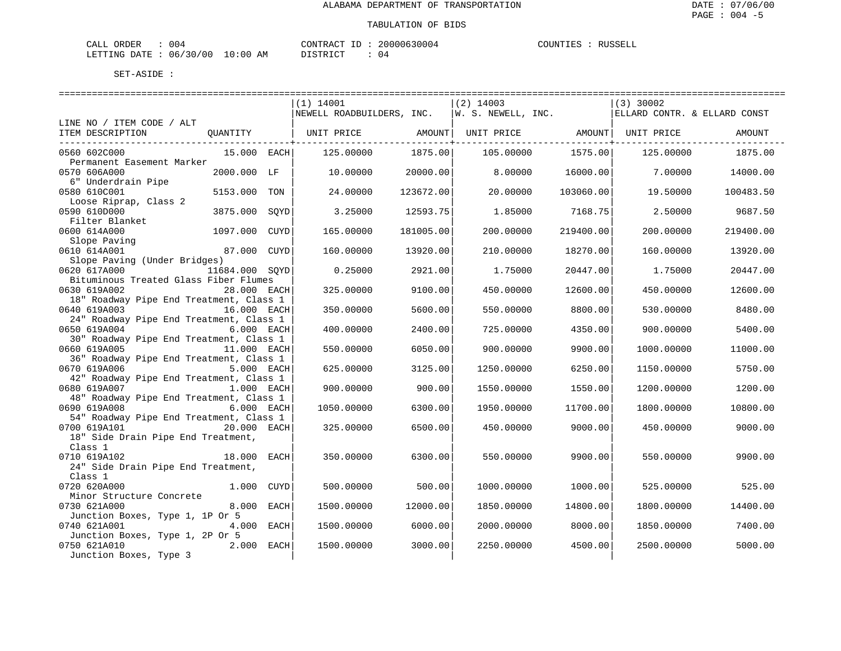| CALI<br>ORDER    | U U 4                  |                 | CONTRAC<br>тЬ      | 10630004<br>0۵. | COUNTIES | RIISSELI |
|------------------|------------------------|-----------------|--------------------|-----------------|----------|----------|
| DATE.<br>LETTING | 7/30/1<br>06/<br>' N C | . O : O (<br>ΑM | ירום דרים<br>----- | ,4              |          |          |

|                                                         |                 |      | $(1)$ 14001                                                                                                   |           | $(2)$ 14003 |           | $(3)$ 30002                  |           |
|---------------------------------------------------------|-----------------|------|---------------------------------------------------------------------------------------------------------------|-----------|-------------|-----------|------------------------------|-----------|
|                                                         |                 |      | NEWELL ROADBUILDERS, INC. $ w. s. wEWL, \text{INC.}$                                                          |           |             |           | ELLARD CONTR. & ELLARD CONST |           |
| LINE NO / ITEM CODE / ALT                               |                 |      |                                                                                                               |           |             |           |                              |           |
| ITEM DESCRIPTION                                        | <b>QUANTITY</b> |      | UNIT PRICE                 AMOUNT    UNIT PRICE                 AMOUNT    UNIT PRICE                   AMOUNT |           |             |           |                              |           |
| 0560 602C000                                            | 15.000 EACH     |      | 125.00000                                                                                                     | 1875.00   | 105.00000   | 1575.00   | 125.00000                    | 1875.00   |
| Permanent Easement Marker                               |                 |      |                                                                                                               |           |             |           |                              |           |
| 0570 606A000                                            | 2000.000 LF     |      | 10,00000                                                                                                      | 20000.00  | 8,00000     | 16000.00  | 7.00000                      | 14000.00  |
| 6" Underdrain Pipe                                      |                 |      |                                                                                                               |           |             |           |                              |           |
| 0580 610C001                                            | 5153.000        | TON  | 24,00000                                                                                                      | 123672.00 | 20,00000    | 103060.00 | 19.50000                     | 100483.50 |
| Loose Riprap, Class 2                                   |                 |      |                                                                                                               |           |             |           |                              |           |
| 0590 610D000                                            | 3875.000 SOYD   |      | 3.25000                                                                                                       | 12593.75  | 1.85000     | 7168.75   | 2.50000                      | 9687.50   |
| Filter Blanket                                          |                 |      |                                                                                                               |           |             |           |                              |           |
| 0600 614A000                                            | 1097.000        | CUYD | 165.00000                                                                                                     | 181005.00 | 200.00000   | 219400.00 | 200.00000                    | 219400.00 |
| Slope Paving                                            |                 |      |                                                                                                               |           |             |           |                              |           |
| 0610 614A001                                            | 87.000 CUYD     |      | 160.00000                                                                                                     | 13920.00  | 210.00000   | 18270.00  | 160.00000                    | 13920.00  |
| Slope Paving (Under Bridges)                            |                 |      |                                                                                                               |           |             |           |                              |           |
| 0620 617A000                                            | 11684.000 SOYD  |      | 0.25000                                                                                                       | 2921.00   | 1.75000     | 20447.00  | 1.75000                      | 20447.00  |
| Bituminous Treated Glass Fiber Flumes                   |                 |      |                                                                                                               |           |             |           |                              |           |
| 0630 619A002                                            | 28.000 EACH     |      | 325.00000                                                                                                     | 9100.00   | 450.00000   | 12600.00  | 450.00000                    | 12600.00  |
| 18" Roadway Pipe End Treatment, Class 1                 |                 |      |                                                                                                               |           |             |           |                              |           |
| 0640 619A003                                            | 16.000 EACH     |      | 350.00000                                                                                                     | 5600.00   | 550.00000   | 8800.00   | 530.00000                    | 8480.00   |
| 24" Roadway Pipe End Treatment, Class 1                 |                 |      |                                                                                                               |           |             |           |                              |           |
| 0650 619A004 6.000 EACH                                 |                 |      | 400.00000                                                                                                     | 2400.00   | 725.00000   | 4350.00   | 900.00000                    | 5400.00   |
| 30" Roadway Pipe End Treatment, Class 1<br>0660 619A005 | 11.000 EACH     |      |                                                                                                               | 6050.00   |             | 9900.00   |                              |           |
| 36" Roadway Pipe End Treatment, Class 1                 |                 |      | 550.00000                                                                                                     |           | 900.00000   |           | 1000.00000                   | 11000.00  |
| 0670 619A006                                            | 5.000 EACH      |      | 625.00000                                                                                                     | 3125.00   | 1250.00000  | 6250.00   | 1150.00000                   | 5750.00   |
| 42" Roadway Pipe End Treatment, Class 1                 |                 |      |                                                                                                               |           |             |           |                              |           |
| 0680 619A007                                            | 1.000 EACH      |      | 900.00000                                                                                                     | 900.00    | 1550.00000  | 1550.00   | 1200.00000                   | 1200.00   |
| 48" Roadway Pipe End Treatment, Class 1                 |                 |      |                                                                                                               |           |             |           |                              |           |
| 0690 619A008                                            | 6.000 EACH      |      | 1050.00000                                                                                                    | 6300.00   | 1950.00000  | 11700.00  | 1800.00000                   | 10800.00  |
| 54" Roadway Pipe End Treatment, Class 1                 |                 |      |                                                                                                               |           |             |           |                              |           |
| 0700 619A101                                            | 20.000 EACH     |      | 325.00000                                                                                                     | 6500.00   | 450.00000   | 9000.00   | 450.00000                    | 9000.00   |
| 18" Side Drain Pipe End Treatment,                      |                 |      |                                                                                                               |           |             |           |                              |           |
| Class 1                                                 |                 |      |                                                                                                               |           |             |           |                              |           |
| 18.000 EACH<br>0710 619A102                             |                 |      | 350.00000                                                                                                     | 6300.00   | 550.00000   | 9900.00   | 550.00000                    | 9900.00   |
| 24" Side Drain Pipe End Treatment,                      |                 |      |                                                                                                               |           |             |           |                              |           |
| Class 1                                                 |                 |      |                                                                                                               |           |             |           |                              |           |
| 0720 620A000                                            | 1.000 CUYD      |      | 500,00000                                                                                                     | 500.00    | 1000.00000  | 1000.00   | 525,00000                    | 525.00    |
| Minor Structure Concrete                                |                 |      |                                                                                                               |           |             |           |                              |           |
| 0730 621A000                                            | 8.000 EACH      |      | 1500.00000                                                                                                    | 12000.00  | 1850.00000  | 14800.00  | 1800.00000                   | 14400.00  |
| Junction Boxes, Type 1, 1P Or 5                         |                 |      |                                                                                                               |           |             |           |                              |           |
| 0740 621A001                                            | 4.000 EACH      |      | 1500.00000                                                                                                    | 6000.00   | 2000.00000  | 8000.00   | 1850.00000                   | 7400.00   |
| Junction Boxes, Type 1, 2P Or 5                         |                 |      |                                                                                                               |           |             |           |                              |           |
| 0750 621A010                                            | 2.000 EACH      |      | 1500.00000                                                                                                    | 3000.00   | 2250.00000  | 4500.00   | 2500.00000                   | 5000.00   |
| Junction Boxes, Type 3                                  |                 |      |                                                                                                               |           |             |           |                              |           |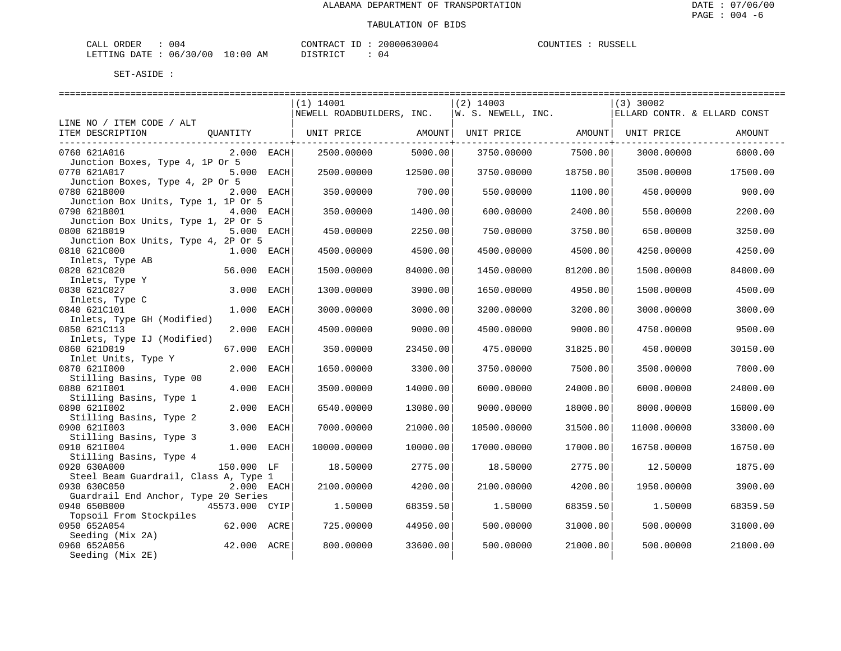| ORDER<br>CALL | U O 4      |             | CONTRACT<br>ID | 20000630004 | COUNTIES | RUSSELL |
|---------------|------------|-------------|----------------|-------------|----------|---------|
| LETTING DATE  | : 06/30/00 | 10:00<br>AM | T STR TOT      | . J 4       |          |         |

|                                       |                |      | ------------------------  |          | ------------------------- |          |                              |          |
|---------------------------------------|----------------|------|---------------------------|----------|---------------------------|----------|------------------------------|----------|
|                                       |                |      | $(1)$ 14001               |          | $(2)$ 14003               |          | $(3)$ 30002                  |          |
|                                       |                |      | NEWELL ROADBUILDERS, INC. |          | W. S. NEWELL, INC.        |          | ELLARD CONTR. & ELLARD CONST |          |
| LINE NO / ITEM CODE / ALT             |                |      |                           |          |                           |          |                              |          |
| ITEM DESCRIPTION                      | OUANTITY       |      | UNIT PRICE AMOUNT         |          | UNIT PRICE AMOUNT         |          | UNIT PRICE                   | AMOUNT   |
|                                       |                |      |                           |          |                           |          |                              |          |
| 0760 621A016                          | $2.000$ EACH   |      | 2500.00000                | 5000.00  | 3750.00000                | 7500.00  | 3000.00000                   | 6000.00  |
| Junction Boxes, Type 4, 1P Or 5       |                |      |                           |          |                           |          |                              |          |
| 0770 621A017                          | 5.000 EACH     |      | 2500.00000                | 12500.00 | 3750.00000                | 18750.00 | 3500.00000                   | 17500.00 |
| Junction Boxes, Type 4, 2P Or 5       |                |      |                           |          |                           |          |                              |          |
| 0780 621B000                          | 2.000 EACH     |      | 350.00000                 | 700.00   | 550.00000                 | 1100.00  | 450.00000                    | 900.00   |
| Junction Box Units, Type 1, 1P Or 5   |                |      |                           |          |                           |          |                              |          |
| 0790 621B001                          | 4.000 EACH     |      | 350.00000                 | 1400.00  | 600.00000                 | 2400.00  | 550.00000                    | 2200.00  |
| Junction Box Units, Type 1, 2P Or 5   |                |      |                           |          |                           |          |                              |          |
| 0800 621B019                          | 5.000 EACH     |      | 450.00000                 | 2250.00  | 750.00000                 | 3750.00  | 650.00000                    | 3250.00  |
| Junction Box Units, Type 4, 2P Or 5   |                |      |                           |          |                           |          |                              |          |
| 0810 621C000                          | $1.000$ EACH   |      | 4500.00000                | 4500.00  | 4500.00000                | 4500.00  | 4250.00000                   | 4250.00  |
| Inlets, Type AB                       |                |      |                           |          |                           |          |                              |          |
| 0820 621C020                          | 56.000 EACH    |      | 1500.00000                | 84000.00 | 1450.00000                | 81200.00 | 1500.00000                   | 84000.00 |
| Inlets, Type Y                        |                |      |                           |          |                           |          |                              |          |
| 0830 621C027                          | 3.000          | EACH | 1300.00000                | 3900.00  | 1650.00000                | 4950.00  | 1500.00000                   | 4500.00  |
| Inlets, Type C                        |                |      |                           |          |                           |          |                              |          |
| 0840 621C101                          | 1.000          | EACH | 3000.00000                | 3000.00  | 3200.00000                | 3200.00  | 3000.00000                   | 3000.00  |
| Inlets, Type GH (Modified)            |                |      |                           |          |                           |          |                              |          |
| 0850 621C113                          | 2.000          | EACH | 4500.00000                | 9000.00  | 4500.00000                | 9000.00  | 4750.00000                   | 9500.00  |
| Inlets, Type IJ (Modified)            |                |      |                           |          |                           |          |                              |          |
| 0860 621D019                          | 67.000 EACH    |      | 350.00000                 | 23450.00 | 475.00000                 | 31825.00 | 450.00000                    | 30150.00 |
| Inlet Units, Type Y                   |                |      |                           |          |                           |          |                              |          |
| 0870 6211000                          | 2.000          | EACH | 1650.00000                | 3300.00  | 3750.00000                | 7500.00  | 3500.00000                   | 7000.00  |
| Stilling Basins, Type 00              |                |      |                           |          |                           |          |                              |          |
| 0880 6211001                          | 4.000 EACH     |      | 3500.00000                | 14000.00 | 6000.00000                | 24000.00 | 6000.00000                   | 24000.00 |
| Stilling Basins, Type 1               |                |      |                           |          |                           |          |                              |          |
| 0890 6211002                          | 2.000 EACH     |      | 6540.00000                | 13080.00 | 9000.00000                | 18000.00 | 8000.00000                   | 16000.00 |
| Stilling Basins, Type 2               |                |      |                           |          |                           |          |                              |          |
| 0900 6211003                          | 3.000 EACH     |      | 7000.00000                | 21000.00 | 10500.00000               | 31500.00 | 11000.00000                  | 33000.00 |
| Stilling Basins, Type 3               |                |      |                           |          |                           |          |                              |          |
| 0910 6211004                          | 1.000 EACH     |      | 10000.00000               | 10000.00 | 17000.00000               | 17000.00 | 16750.00000                  | 16750.00 |
| Stilling Basins, Type 4               |                |      |                           |          |                           |          |                              |          |
| 0920 630A000                          | 150.000 LF     |      | 18.50000                  | 2775.00  | 18.50000                  | 2775.00  | 12.50000                     | 1875.00  |
| Steel Beam Guardrail, Class A, Type 1 |                |      |                           |          |                           |          |                              |          |
| 0930 630C050                          | 2.000 EACH     |      | 2100.00000                | 4200.00  | 2100.00000                | 4200.00  | 1950.00000                   | 3900.00  |
| Guardrail End Anchor, Type 20 Series  |                |      |                           |          |                           |          |                              |          |
| 0940 650B000                          | 45573.000 CYIP |      | 1.50000                   | 68359.50 | 1,50000                   | 68359.50 | 1.50000                      | 68359.50 |
| Topsoil From Stockpiles               |                |      |                           |          |                           |          |                              |          |
| 0950 652A054                          | 62.000 ACRE    |      | 725.00000                 | 44950.00 | 500.00000                 | 31000.00 | 500.00000                    | 31000.00 |
| Seeding (Mix 2A)                      |                |      |                           |          |                           |          |                              |          |
| 0960 652A056                          | 42.000 ACRE    |      | 800.00000                 | 33600.00 | 500.00000                 | 21000.00 | 500.00000                    | 21000.00 |
|                                       |                |      |                           |          |                           |          |                              |          |
| Seeding (Mix 2E)                      |                |      |                           |          |                           |          |                              |          |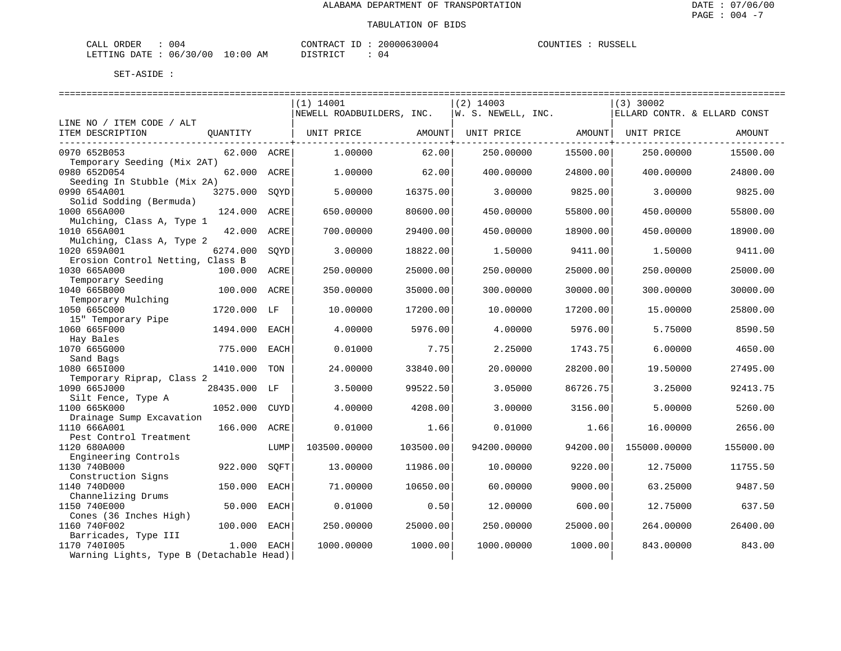| CALI<br>ORDER    | U U 4                  |                 | CONTRAC<br>тЬ      | 10630004<br>0۵. | COUNTIES | RIISSELI |
|------------------|------------------------|-----------------|--------------------|-----------------|----------|----------|
| DATE.<br>LETTING | 7/30/1<br>06/<br>' N C | . O : O (<br>ΑM | ירום דרים<br>----- | ,4              |          |          |

|                                                  |              |      | $(1)$ 14001               |           | $(2)$ 14003        |          | $(3)$ 30002                  |           |
|--------------------------------------------------|--------------|------|---------------------------|-----------|--------------------|----------|------------------------------|-----------|
|                                                  |              |      | NEWELL ROADBUILDERS, INC. |           | W. S. NEWELL, INC. |          | ELLARD CONTR. & ELLARD CONST |           |
| LINE NO / ITEM CODE / ALT                        |              |      |                           |           |                    |          |                              |           |
| ITEM DESCRIPTION                                 | OUANTITY     |      | UNIT PRICE                | AMOUNT    | UNIT PRICE         | AMOUNT   | UNIT PRICE                   | AMOUNT    |
| 0970 652B053<br>Temporary Seeding (Mix 2AT)      | 62.000 ACRE  |      | 1,00000                   | 62.00     | 250.00000          | 15500.00 | 250.00000                    | 15500.00  |
| 0980 652D054<br>Seeding In Stubble (Mix 2A)      | 62.000 ACRE  |      | 1,00000                   | 62.00     | 400.00000          | 24800.00 | 400.00000                    | 24800.00  |
| 0990 654A001<br>Solid Sodding (Bermuda)          | 3275.000     | SOYD | 5.00000                   | 16375.00  | 3.00000            | 9825.00  | 3.00000                      | 9825.00   |
| 1000 656A000<br>Mulching, Class A, Type 1        | 124.000 ACRE |      | 650.00000                 | 80600.00  | 450.00000          | 55800.00 | 450.00000                    | 55800.00  |
| 1010 656A001<br>Mulching, Class A, Type 2        | 42.000 ACRE  |      | 700.00000                 | 29400.00  | 450.00000          | 18900.00 | 450.00000                    | 18900.00  |
| 1020 659A001<br>Erosion Control Netting, Class B | 6274.000     | SOYD | 3.00000                   | 18822.00  | 1.50000            | 9411.00  | 1.50000                      | 9411.00   |
| 1030 665A000<br>Temporary Seeding                | 100.000 ACRE |      | 250.00000                 | 25000.00  | 250.00000          | 25000.00 | 250.00000                    | 25000.00  |
| 1040 665B000<br>Temporary Mulching               | 100.000 ACRE |      | 350.00000                 | 35000.00  | 300.00000          | 30000.00 | 300.00000                    | 30000.00  |
| 1050 665C000<br>15" Temporary Pipe               | 1720.000 LF  |      | 10.00000                  | 17200.00  | 10.00000           | 17200.00 | 15.00000                     | 25800.00  |
| 1060 665F000<br>Hay Bales                        | 1494.000     | EACH | 4.00000                   | 5976.00   | 4.00000            | 5976.00  | 5.75000                      | 8590.50   |
| 1070 665G000                                     | 775.000 EACH |      | 0.01000                   | 7.75      | 2.25000            | 1743.75  | 6.00000                      | 4650.00   |
| Sand Bags<br>1080 6651000                        | 1410.000     | TON  | 24.00000                  | 33840.00  | 20.00000           | 28200.00 | 19.50000                     | 27495.00  |
| Temporary Riprap, Class 2<br>1090 665J000        | 28435.000 LF |      | 3.50000                   | 99522.50  | 3.05000            | 86726.75 | 3.25000                      | 92413.75  |
| Silt Fence, Type A<br>1100 665K000               | 1052.000     | CUYD | 4.00000                   | 4208.00   | 3.00000            | 3156.00  | 5.00000                      | 5260.00   |
| Drainage Sump Excavation<br>1110 666A001         | 166.000      | ACRE | 0.01000                   | 1.66      | 0.01000            | 1.66     | 16.00000                     | 2656.00   |
| Pest Control Treatment<br>1120 680A000           |              | LUMP | 103500.00000              | 103500.00 | 94200.00000        | 94200.00 | 155000.00000                 | 155000.00 |
| Engineering Controls<br>1130 740B000             | 922.000      | SOFT | 13,00000                  | 11986.00  | 10.00000           | 9220.00  | 12.75000                     | 11755.50  |
| Construction Signs<br>1140 740D000               | 150.000      | EACH | 71,00000                  | 10650.00  | 60.00000           | 9000.00  | 63.25000                     | 9487.50   |
| Channelizing Drums<br>1150 740E000               | 50.000       | EACH | 0.01000                   | 0.50      | 12.00000           | 600.00   | 12.75000                     | 637.50    |
| Cones (36 Inches High)                           |              |      |                           |           |                    |          |                              |           |
| 1160 740F002                                     | 100.000 EACH |      | 250.00000                 | 25000.00  | 250.00000          | 25000.00 | 264.00000                    | 26400.00  |
| Barricades, Type III<br>1170 7401005             | 1.000 EACH   |      | 1000.00000                | 1000.00   | 1000.00000         | 1000.00  | 843.00000                    | 843.00    |
| Warning Lights, Type B (Detachable Head)         |              |      |                           |           |                    |          |                              |           |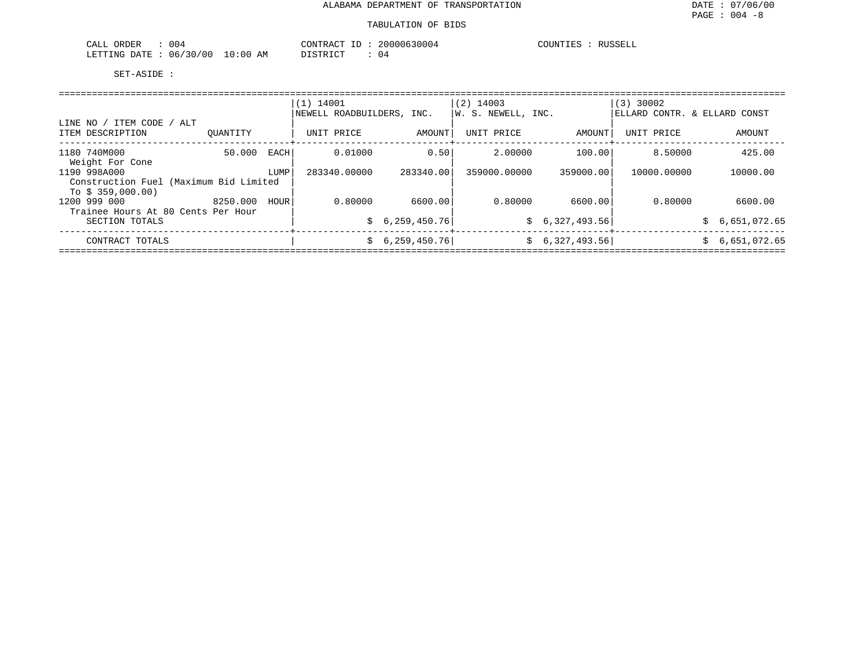| 004<br>ORDER<br>CALL     | CONTRACT                                      | 20000630004<br>$-1$ | COUNTIES<br>RUSSELL |
|--------------------------|-----------------------------------------------|---------------------|---------------------|
| 06/30/00<br>LETTING DATE | 10:00<br>חי חי היה את ה<br>ΆM<br><i>┙</i> ∸┘∸ | U4                  |                     |

|                                                  |          |      | $(1)$ 14001               |                | $(2)$ 14003        |                 | $(3)$ 30002                  |  |                |  |  |
|--------------------------------------------------|----------|------|---------------------------|----------------|--------------------|-----------------|------------------------------|--|----------------|--|--|
|                                                  |          |      | NEWELL ROADBUILDERS, INC. |                | W. S. NEWELL, INC. |                 | ELLARD CONTR. & ELLARD CONST |  |                |  |  |
| ' ITEM CODE / ALT<br>LINE NO<br>ITEM DESCRIPTION | OUANTITY |      | UNIT PRICE                | AMOUNT         | UNIT PRICE         | AMOUNT          | UNIT PRICE                   |  | AMOUNT         |  |  |
| 1180 740M000                                     | 50.000   | EACH | 0.01000                   | 0.50           | 2,00000            | 100.00          | 8.50000                      |  | 425.00         |  |  |
| Weight For Cone                                  |          |      |                           |                |                    |                 |                              |  |                |  |  |
| 1190 998A000                                     |          | LUMP | 283340.00000              | 283340.00      | 359000,00000       | 359000.00       | 10000.00000                  |  | 10000.00       |  |  |
| Construction Fuel (Maximum Bid Limited           |          |      |                           |                |                    |                 |                              |  |                |  |  |
| To $$359,000.00)$<br>1200 999 000                | 8250.000 | HOUR | 0.80000                   | 6600.00        | 0.80000            | 6600.00         | 0.80000                      |  | 6600.00        |  |  |
| Trainee Hours At 80 Cents Per Hour               |          |      |                           |                |                    |                 |                              |  |                |  |  |
| SECTION TOTALS                                   |          |      | S.                        | 6,259,450.76   |                    | \$6,327,493.56] |                              |  | \$6,651,072.65 |  |  |
| CONTRACT TOTALS                                  |          |      | S.                        | 6, 259, 450.76 |                    | \$6,327,493.56] |                              |  | \$6,651,072.65 |  |  |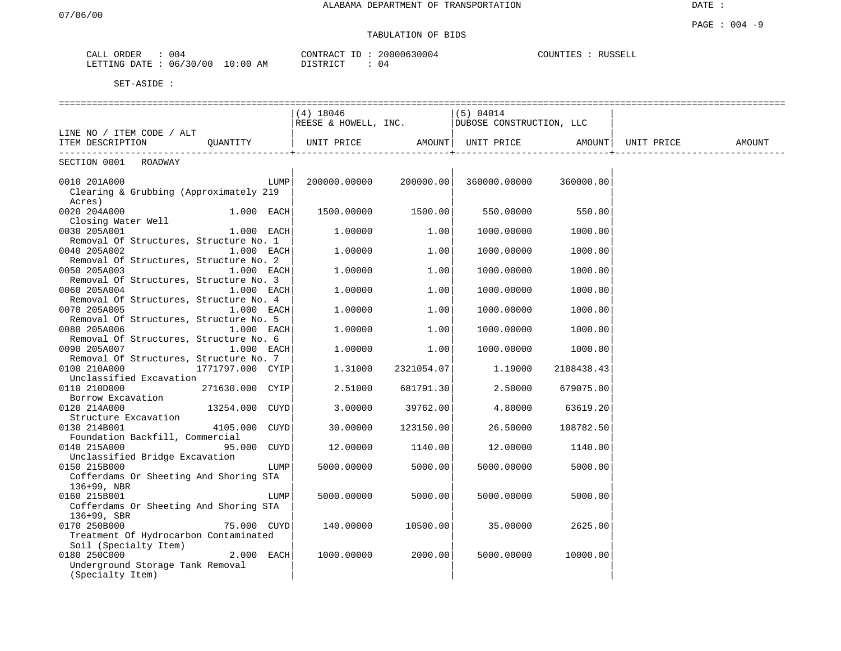# TABULATION OF BIDS

| CALL | ORDER        | 004      |          | CONTRACT ID | 20000630004 | COUNTIES | RUSSELL |
|------|--------------|----------|----------|-------------|-------------|----------|---------|
|      | LETTING DATE | 06/30/00 | 10:00 AM | DISTRICT    | U 4         |          |         |

|                                                                        |      | (4) 18046              |                   | (5) 04014                                                    |                   |        |
|------------------------------------------------------------------------|------|------------------------|-------------------|--------------------------------------------------------------|-------------------|--------|
|                                                                        |      |                        |                   | REESE & HOWELL, INC. $ V_{\text{UUSOSE}} $ CONSTRUCTION, LLC |                   |        |
| LINE NO / ITEM CODE / ALT                                              |      |                        |                   |                                                              |                   |        |
| ITEM DESCRIPTION QUANTITY                                              |      |                        | ---------------+- |                                                              | ----------------+ | AMOUNT |
| SECTION 0001 ROADWAY                                                   |      |                        |                   |                                                              |                   |        |
|                                                                        |      |                        |                   |                                                              |                   |        |
| 0010 201A000                                                           |      |                        |                   |                                                              |                   |        |
| Clearing & Grubbing (Approximately 219                                 |      |                        |                   |                                                              |                   |        |
| Acres)                                                                 |      |                        |                   |                                                              |                   |        |
| 0020 204A000<br>$1.000$ EACH<br>Closing Water Well                     |      | $1500.00000$ $1500.00$ |                   | 550.00000                                                    | 550.00            |        |
| 0030 205A001<br>$1.000$ EACH                                           |      | 1,00000                | 1.00              | 1000.00000                                                   | 1000.00           |        |
| Removal Of Structures, Structure No. 1                                 |      |                        |                   |                                                              |                   |        |
| 0040 205A002<br>$1.000$ EACH                                           |      | 1.00000                | 1.00              | 1000.00000                                                   | 1000.00           |        |
| Removal Of Structures, Structure No. 2                                 |      |                        |                   |                                                              |                   |        |
| 0050 205A003<br>$1.000$ EACH                                           |      | 1,00000                | 1.00              | 1000.00000                                                   | 1000.00           |        |
| Removal Of Structures, Structure No. 3                                 |      |                        |                   |                                                              |                   |        |
| 0060 205A004<br>$1.000$ EACH                                           |      | 1.00000                | 1.00              | 1000.00000                                                   | 1000.00           |        |
| Removal Of Structures, Structure No. 4                                 |      |                        |                   |                                                              |                   |        |
| 0070 205A005<br>$1.000$ EACH                                           |      | 1.00000                | 1.00              | 1000.00000                                                   | 1000.00           |        |
| Removal Of Structures, Structure No. 5                                 |      |                        |                   |                                                              |                   |        |
| 0080 205A006<br>$1.000$ EACH                                           |      | 1.00000                | 1.00              | 1000.00000                                                   | 1000.00           |        |
| Removal Of Structures, Structure No. 6                                 |      |                        |                   |                                                              |                   |        |
| 0090 205A007<br>$1.000$ EACH<br>Removal Of Structures, Structure No. 7 |      | 1.00000                | 1.00              | 1000.00000                                                   | 1000.00           |        |
| 0100 210A000<br>1771797.000 CYIP                                       |      | 1.31000                | 2321054.07        | 1.19000                                                      | 2108438.43        |        |
| Unclassified Excavation                                                |      |                        |                   |                                                              |                   |        |
| 0110 210D000<br>271630.000 CYIP                                        |      | 2.51000                | 681791.30         | 2.50000                                                      | 679075.00         |        |
| Borrow Excavation                                                      |      |                        |                   |                                                              |                   |        |
| 13254.000 CUYD<br>0120 214A000                                         |      | 3.00000                | 39762.00          | 4.80000                                                      | 63619.20          |        |
| Structure Excavation                                                   |      |                        |                   |                                                              |                   |        |
| 4105.000 CUYD<br>0130 214B001                                          |      | 30.00000               | 123150.00         | 26.50000                                                     | 108782.50         |        |
| Foundation Backfill, Commercial                                        |      |                        |                   |                                                              |                   |        |
| 95.000 CUYD<br>0140 215A000                                            |      | 12.00000               | 1140.00           | 12.00000                                                     | 1140.00           |        |
| Unclassified Bridge Excavation                                         |      |                        |                   |                                                              |                   |        |
| 0150 215B000                                                           | LUMP | 5000.00000             | 5000.00           | 5000.00000                                                   | 5000.00           |        |
| Cofferdams Or Sheeting And Shoring STA<br>136+99, NBR                  |      |                        |                   |                                                              |                   |        |
| 0160 215B001                                                           | LUMP | 5000.00000             | 5000.00           | 5000.00000                                                   | 5000.00           |        |
| Cofferdams Or Sheeting And Shoring STA                                 |      |                        |                   |                                                              |                   |        |
| 136+99, SBR                                                            |      |                        |                   |                                                              |                   |        |
| 0170 250B000<br>75.000 CUYD                                            |      | 140.00000              | 10500.00          | 35.00000                                                     | 2625.00           |        |
| Treatment Of Hydrocarbon Contaminated                                  |      |                        |                   |                                                              |                   |        |
| Soil (Specialty Item)                                                  |      |                        |                   |                                                              |                   |        |
| 0180 250C000<br>$2.000$ EACH                                           |      | 1000.00000             | 2000.00           | 5000.00000                                                   | 10000.00          |        |
| Underground Storage Tank Removal                                       |      |                        |                   |                                                              |                   |        |
| (Specialty Item)                                                       |      |                        |                   |                                                              |                   |        |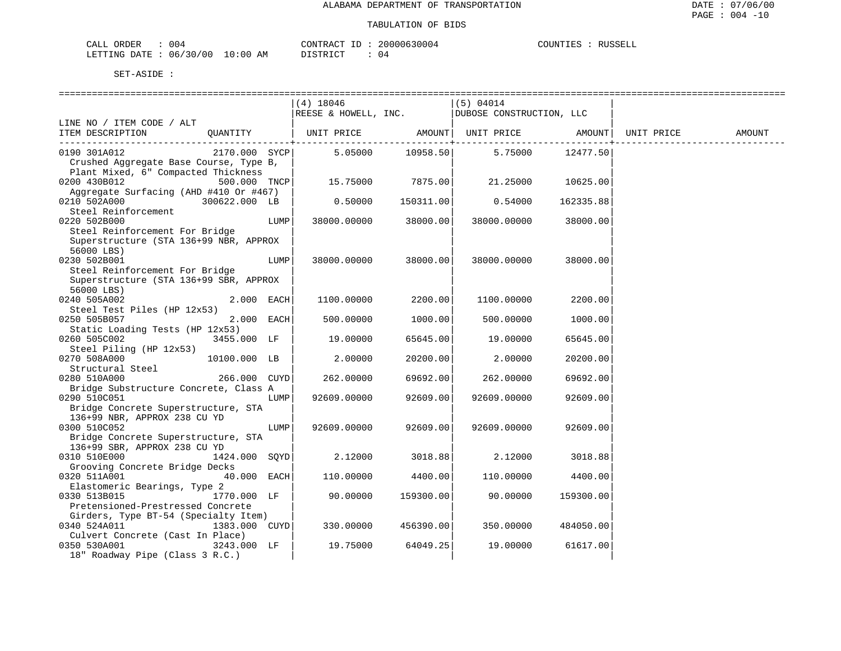| CALL ORDER                      | 004 | CONTRACT ID | 20000630004 | COUNTIES : | RUSSELL |
|---------------------------------|-----|-------------|-------------|------------|---------|
| LETTING DATE: 06/30/00 10:00 AM |     | DISTRICT    | 14          |            |         |

|                                        |               |      | $(4)$ 18046        |           | (5) 04014                                       |           |            |        |
|----------------------------------------|---------------|------|--------------------|-----------|-------------------------------------------------|-----------|------------|--------|
|                                        |               |      |                    |           | REESE & HOWELL, INC.   DUBOSE CONSTRUCTION, LLC |           |            |        |
| LINE NO / ITEM CODE / ALT              |               |      |                    |           |                                                 |           |            |        |
| ITEM DESCRIPTION                       | OUANTITY      |      |                    |           | UNIT PRICE       AMOUNT   UNIT PRICE     AMOUNT |           | UNIT PRICE | AMOUNT |
|                                        |               |      |                    |           | -------+--------                                |           |            |        |
| 0190 301A012                           | 2170.000 SYCP |      | $5.05000$ 10958.50 |           | 5.75000                                         | 12477.50  |            |        |
| Crushed Aggregate Base Course, Type B, |               |      |                    |           |                                                 |           |            |        |
| Plant Mixed, 6" Compacted Thickness    |               |      |                    |           |                                                 |           |            |        |
| 0200 430B012                           | 500.000 TNCP  |      | 15.75000 7875.00   |           | 21.25000                                        | 10625.00  |            |        |
| Aggregate Surfacing (AHD #410 Or #467) |               |      |                    |           |                                                 |           |            |        |
| 0210 502A000 300622.000 LB             |               |      | 0.50000            | 150311.00 | 0.54000                                         | 162335.88 |            |        |
| Steel Reinforcement                    |               |      |                    |           |                                                 |           |            |        |
| 0220 502B000                           |               | LUMP | 38000.00000        | 38000.00  | 38000.00000                                     | 38000.00  |            |        |
| Steel Reinforcement For Bridge         |               |      |                    |           |                                                 |           |            |        |
| Superstructure (STA 136+99 NBR, APPROX |               |      |                    |           |                                                 |           |            |        |
|                                        |               |      |                    |           |                                                 |           |            |        |
| 56000 LBS)                             |               |      |                    |           |                                                 |           |            |        |
| 0230 502B001                           |               | LUMP | 38000.00000        | 38000.00  | 38000.00000                                     | 38000.00  |            |        |
| Steel Reinforcement For Bridge         |               |      |                    |           |                                                 |           |            |        |
| Superstructure (STA 136+99 SBR, APPROX |               |      |                    |           |                                                 |           |            |        |
| 56000 LBS)                             |               |      |                    |           |                                                 |           |            |        |
| 0240 505A002                           | 2.000 EACH    |      | 1100.00000         | 2200.00   | 1100.00000                                      | 2200.00   |            |        |
| Steel Test Piles (HP 12x53)            |               |      |                    |           |                                                 |           |            |        |
| 0250 505B057                           | 2.000 EACH    |      | 500.00000          | 1000.00   | 500.00000                                       | 1000.00   |            |        |
| Static Loading Tests (HP 12x53)        |               |      |                    |           |                                                 |           |            |        |
| 0260 505C002                           | 3455.000 LF   |      | 19.00000           | 65645.00  | 19.00000                                        | 65645.00  |            |        |
| Steel Piling (HP 12x53)                |               |      |                    |           |                                                 |           |            |        |
| 0270 508A000                           | 10100.000 LB  |      | 2.00000            | 20200.00  | 2.00000                                         | 20200.00  |            |        |
| Structural Steel                       |               |      |                    |           |                                                 |           |            |        |
| 0280 510A000                           | 266.000 CUYD  |      | 262.00000          | 69692.00  | 262.00000                                       | 69692.00  |            |        |
| Bridge Substructure Concrete, Class A  |               |      |                    |           |                                                 |           |            |        |
| 0290 510C051                           |               | LUMP | 92609.00000        | 92609.00  | 92609.00000                                     | 92609.00  |            |        |
| Bridge Concrete Superstructure, STA    |               |      |                    |           |                                                 |           |            |        |
| 136+99 NBR, APPROX 238 CU YD           |               |      |                    |           |                                                 |           |            |        |
| 0300 510C052                           |               | LUMP | 92609.00000        | 92609.00  | 92609.00000                                     | 92609.00  |            |        |
| Bridge Concrete Superstructure, STA    |               |      |                    |           |                                                 |           |            |        |
| 136+99 SBR, APPROX 238 CU YD           |               |      |                    |           |                                                 |           |            |        |
| 0310 510E000 00000                     | 1424.000 SQYD |      | 2.12000            | 3018.88   | 2.12000                                         | 3018.88   |            |        |
| Grooving Concrete Bridge Decks         |               |      |                    |           |                                                 |           |            |        |
| 0320 511A001                           | 40.000 EACH   |      | 110.00000          | 4400.00   | 110.00000                                       | 4400.00   |            |        |
| Elastomeric Bearings, Type 2           |               |      |                    |           |                                                 |           |            |        |
| 1770.000 LF<br>0330 513B015            |               |      | 90.00000           | 159300.00 | 90.00000                                        | 159300.00 |            |        |
| Pretensioned-Prestressed Concrete      |               |      |                    |           |                                                 |           |            |        |
| Girders, Type BT-54 (Specialty Item)   |               |      |                    |           |                                                 |           |            |        |
| 0340 524A011                           | 1383.000 CUYD |      | 330.00000          | 456390.00 | 350.00000                                       | 484050.00 |            |        |
| Culvert Concrete (Cast In Place)       |               |      |                    |           |                                                 |           |            |        |
| 3243.000 LF<br>0350 530A001            |               |      | 19.75000           | 64049.25  | 19.00000                                        | 61617.00  |            |        |
| 18" Roadway Pipe (Class 3 R.C.)        |               |      |                    |           |                                                 |           |            |        |
|                                        |               |      |                    |           |                                                 |           |            |        |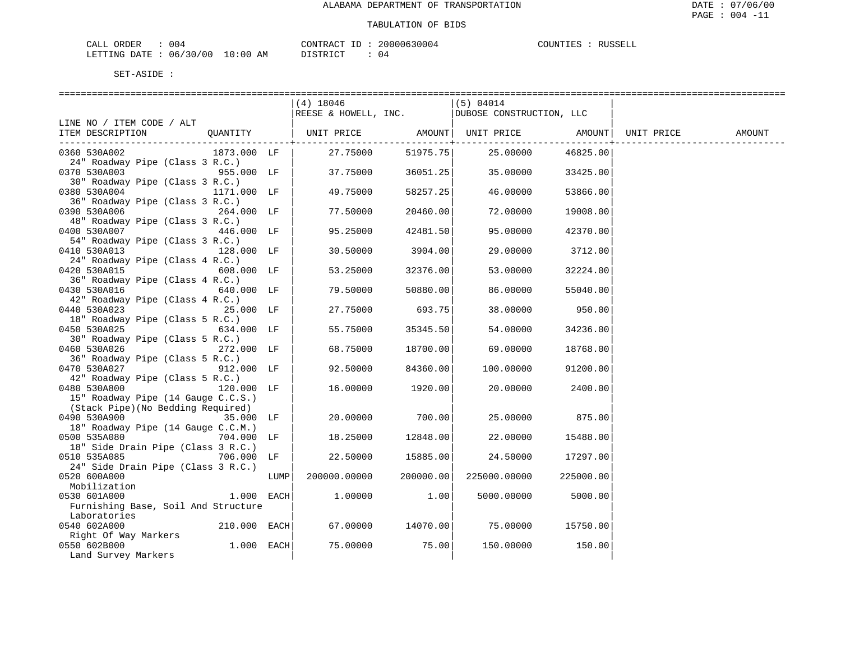| ORDER<br>CALI    | U U 4    |                | CONTRACT<br>TΓ       | 20000630004 | COUNTIES | RIISSELI |
|------------------|----------|----------------|----------------------|-------------|----------|----------|
| DATE.<br>LETTING | 06/30/00 | LO : 0 C<br>ΑM | ירוח דמידים<br>----- | ,4          |          |          |

|                                                               |      | $(4)$ 18046  |                                   | (5) 04014                                       |           |            |        |
|---------------------------------------------------------------|------|--------------|-----------------------------------|-------------------------------------------------|-----------|------------|--------|
|                                                               |      |              |                                   | REESE & HOWELL, INC.   DUBOSE CONSTRUCTION, LLC |           |            |        |
| LINE NO / ITEM CODE / ALT                                     |      |              |                                   |                                                 |           |            |        |
| ITEM DESCRIPTION                                              |      |              |                                   | QUANTITY   UNIT PRICE AMOUNT  UNIT PRICE AMOUNT |           | UNIT PRICE | AMOUNT |
|                                                               |      |              | . _ _ _ _ _ _ _ _ _ _ _ + _ _ _ _ |                                                 |           |            |        |
| 0360 530A002<br>1873.000 LF                                   |      | 27.75000     |                                   | 51975.75 25.00000                               | 46825.00  |            |        |
| 24" Roadway Pipe (Class 3 R.C.)                               |      |              |                                   |                                                 |           |            |        |
| $955.000$ LF $ $<br>0370 530A003                              |      | 37.75000     | 36051.25                          | 35.00000                                        | 33425.00  |            |        |
| 30" Roadway Pipe (Class 3 R.C.)                               |      |              |                                   |                                                 |           |            |        |
| 0380 530A004<br>1171.000 LF                                   |      | 49.75000     | 58257.25                          | 46.00000                                        | 53866.00  |            |        |
| 36" Roadway Pipe (Class 3 R.C.)                               |      |              |                                   |                                                 |           |            |        |
| 0390 530A006<br>264.000 LF                                    |      | 77.50000     | 20460.00                          | 72.00000                                        | 19008.00  |            |        |
| 48" Roadway Pipe (Class 3 R.C.)                               |      |              |                                   |                                                 |           |            |        |
| 0400 530A007<br>446.000 LF<br>54" Roadway Pipe (Class 3 R.C.) |      | 95.25000     | 42481.50                          | 95.00000                                        | 42370.00  |            |        |
| 0410 530A013<br>128.000 LF                                    |      | 30.50000     | 3904.00                           | 29.00000                                        | 3712.00   |            |        |
| 24" Roadway Pipe (Class 4 R.C.)                               |      |              |                                   |                                                 |           |            |        |
| 0420 530A015<br>608.000 LF                                    |      | 53.25000     | 32376.00                          | 53.00000                                        | 32224.00  |            |        |
| 36" Roadway Pipe (Class 4 R.C.)                               |      |              |                                   |                                                 |           |            |        |
| 0430 530A016<br>640.000 LF                                    |      | 79.50000     | 50880.00                          | 86.00000                                        | 55040.00  |            |        |
| 42" Roadway Pipe (Class 4 R.C.)                               |      |              |                                   |                                                 |           |            |        |
| 0440 530A023<br>25.000 LF                                     |      | 27.75000     | 693.75                            | 38.00000                                        | 950.00    |            |        |
| 18" Roadway Pipe (Class 5 R.C.)                               |      |              |                                   |                                                 |           |            |        |
| 0450 530A025<br>634.000 LF                                    |      | 55.75000     | 35345.50                          | 54.00000                                        | 34236.00  |            |        |
| 30" Roadway Pipe (Class 5 R.C.)                               |      |              |                                   |                                                 |           |            |        |
| 0460 530A026<br>272.000 LF                                    |      | 68.75000     | 18700.00                          | 69.00000                                        | 18768.00  |            |        |
| 36" Roadway Pipe (Class 5 R.C.)                               |      |              |                                   |                                                 |           |            |        |
| 0470 530A027<br>912.000 LF                                    |      | 92.50000     | 84360.00                          | 100.00000                                       | 91200.00  |            |        |
| 42" Roadway Pipe (Class 5 R.C.)                               |      |              |                                   |                                                 |           |            |        |
| 0480 530A800<br>120.000 LF                                    |      | 16.00000     | 1920.00                           | 20.00000                                        | 2400.00   |            |        |
| 15" Roadway Pipe (14 Gauge C.C.S.)                            |      |              |                                   |                                                 |           |            |        |
| (Stack Pipe)(No Bedding Required)                             |      |              |                                   |                                                 |           |            |        |
| 0490 530A900<br>35.000 LF                                     |      | 20.00000     | 700.00                            | 25.00000                                        | 875.00    |            |        |
| 18" Roadway Pipe (14 Gauge C.C.M.)                            |      |              |                                   |                                                 |           |            |        |
| 0500 535A080<br>704.000 LF                                    |      | 18.25000     | 12848.00                          | 22.00000                                        | 15488.00  |            |        |
| 18" Side Drain Pipe (Class 3 R.C.)                            |      |              |                                   |                                                 |           |            |        |
| 0510 535A085<br>706.000 LF                                    |      | 22.50000     | 15885.00                          | 24.50000                                        | 17297.00  |            |        |
| 24" Side Drain Pipe (Class 3 R.C.)                            |      |              |                                   |                                                 |           |            |        |
| 0520 600A000                                                  | LUMP | 200000.00000 | 200000.00                         | 225000.00000                                    | 225000.00 |            |        |
| Mobilization                                                  |      |              |                                   |                                                 |           |            |        |
| 0530 601A000<br>$1.000$ EACH                                  |      | 1,00000      | 1.00                              | 5000.00000                                      | 5000.00   |            |        |
| Furnishing Base, Soil And Structure                           |      |              |                                   |                                                 |           |            |        |
| Laboratories                                                  |      |              |                                   |                                                 |           |            |        |
| 0540 602A000<br>$210.000$ EACH                                |      | 67.00000     | 14070.00                          | 75.00000 15750.00                               |           |            |        |
| Right Of Way Markers                                          |      |              |                                   |                                                 |           |            |        |
| $1.000$ EACH<br>0550 602B000                                  |      | 75.00000     | 75.00                             | 150.00000                                       | 150.00    |            |        |
| Land Survey Markers                                           |      |              |                                   |                                                 |           |            |        |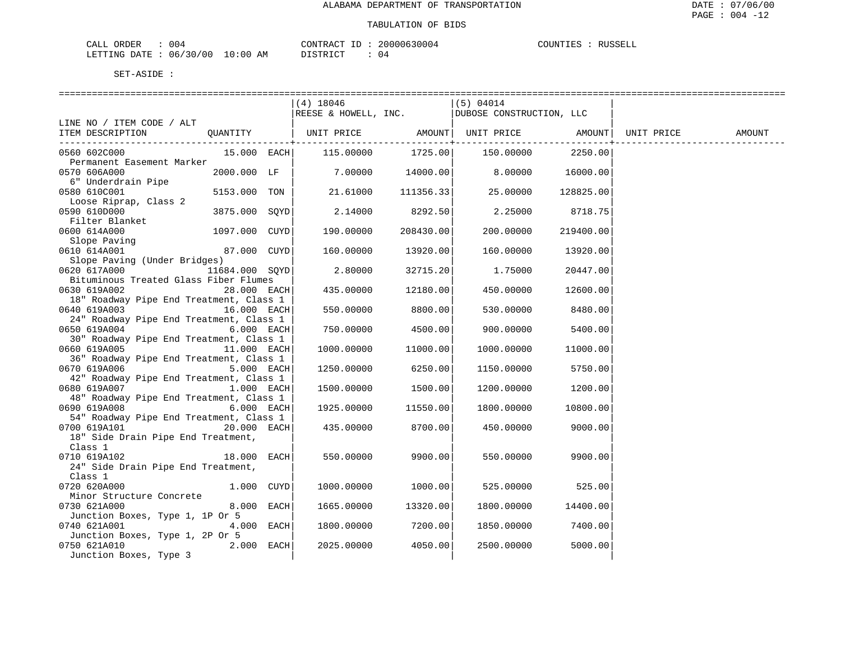| ORDER<br>CALI    | U U 4    |                | CONTRACT<br>TΓ       | 20000630004 | COUNTIES | RIISSELI |
|------------------|----------|----------------|----------------------|-------------|----------|----------|
| DATE.<br>LETTING | 06/30/00 | LO : 0 C<br>ΑM | ירוח דמידים<br>----- | ,4          |          |          |

|                                                         |                | $(4)$ 18046          |                       | (5) 04014                                        |                           |        |
|---------------------------------------------------------|----------------|----------------------|-----------------------|--------------------------------------------------|---------------------------|--------|
|                                                         |                | REESE & HOWELL, INC. |                       | DUBOSE CONSTRUCTION, LLC                         |                           |        |
| LINE NO / ITEM CODE / ALT                               |                |                      |                       |                                                  |                           |        |
| ITEM DESCRIPTION                                        | QUANTITY       |                      |                       | UNIT PRICE AMOUNT  UNIT PRICE AMOUNT  UNIT PRICE |                           | AMOUNT |
|                                                         |                |                      | -----------+--------- |                                                  | . _ _ _ _ _ _ _ _ _ _ _ + |        |
| 0560 602C000                                            | 15.000 EACH    | 115.00000            |                       |                                                  | 2250.00                   |        |
| Permanent Easement Marker<br>0570 606A000               | 2000.000 LF    | 7.00000              | 14000.00              | 8.00000                                          | 16000.00                  |        |
| 6" Underdrain Pipe                                      |                |                      |                       |                                                  |                           |        |
| 0580 610C001                                            | 5153.000 TON   | 21.61000             | 111356.33             | 25.00000                                         | 128825.00                 |        |
| Loose Riprap, Class 2                                   |                |                      |                       |                                                  |                           |        |
| 0590 610D000                                            | 3875.000 SOYD  | 2.14000              | 8292.50               | 2.25000                                          | 8718.75                   |        |
| Filter Blanket                                          |                |                      |                       |                                                  |                           |        |
| 0600 614A000                                            | 1097.000 CUYD  | 190.00000            | 208430.00             | 200.00000                                        | 219400.00                 |        |
| Slope Paving                                            |                |                      |                       |                                                  |                           |        |
| 0610 614A001                                            | 87.000 CUYD    | 160.00000            | 13920.00              | 160.00000                                        | 13920.00                  |        |
| Slope Paving (Under Bridges)                            |                |                      |                       |                                                  |                           |        |
| 0620 617A000                                            | 11684.000 SOYD | 2.80000              | 32715.20              | 1.75000                                          | 20447.00                  |        |
| Bituminous Treated Glass Fiber Flumes                   |                |                      |                       |                                                  |                           |        |
| 0630 619A002                                            | 28.000 EACH    | 435.00000            | 12180.00              | 450.00000                                        | 12600.00                  |        |
| 18" Roadway Pipe End Treatment, Class 1                 |                |                      |                       |                                                  |                           |        |
| 0640 619A003                                            | 16.000 EACH    | 550.00000            | 8800.00               | 530.00000                                        | 8480.00                   |        |
| 24" Roadway Pipe End Treatment, Class 1                 | 6.000 EACH     |                      |                       |                                                  |                           |        |
| 0650 619A004<br>30" Roadway Pipe End Treatment, Class 1 |                | 750.00000            | 4500.00               | 900.00000                                        | 5400.00                   |        |
| 0660 619A005                                            | 11.000 EACH    | 1000.00000           | 11000.00              | 1000.00000                                       | 11000.00                  |        |
| 36" Roadway Pipe End Treatment, Class 1                 |                |                      |                       |                                                  |                           |        |
| 0670 619A006                                            | 5.000 EACH     | 1250.00000           | 6250.00               | 1150.00000                                       | 5750.00                   |        |
| 42" Roadway Pipe End Treatment, Class 1                 |                |                      |                       |                                                  |                           |        |
| 0680 619A007                                            | 1.000 EACH     | 1500.00000           | 1500.00               | 1200.00000                                       | 1200.00                   |        |
| 48" Roadway Pipe End Treatment, Class 1                 |                |                      |                       |                                                  |                           |        |
| 0690 619A008                                            | 6.000 EACH     | 1925.00000           | 11550.00              | 1800.00000                                       | 10800.00                  |        |
| 54" Roadway Pipe End Treatment, Class 1                 |                |                      |                       |                                                  |                           |        |
| 0700 619A101                                            | 20.000 EACH    | 435.00000            | 8700.00               | 450.00000                                        | 9000.00                   |        |
| 18" Side Drain Pipe End Treatment,                      |                |                      |                       |                                                  |                           |        |
| Class 1                                                 |                |                      |                       |                                                  |                           |        |
| 0710 619A102                                            | $18.000$ EACH  | 550.00000            | 9900.00               | 550.00000                                        | 9900.00                   |        |
| 24" Side Drain Pipe End Treatment,                      |                |                      |                       |                                                  |                           |        |
| Class 1                                                 | 1.000 CUYD     |                      |                       |                                                  |                           |        |
| 0720 620A000<br>Minor Structure Concrete                |                | 1000.00000           | 1000.00               | 525.00000                                        | 525.00                    |        |
| 0730 621A000                                            | 8.000 EACH     | 1665.00000           | 13320.00              | 1800.00000                                       | 14400.00                  |        |
| Junction Boxes, Type 1, 1P Or 5                         |                |                      |                       |                                                  |                           |        |
| 0740 621A001                                            | 4.000 EACH     | 1800.00000           | 7200.00               | 1850.00000                                       | 7400.00                   |        |
| Junction Boxes, Type 1, 2P Or 5                         |                |                      |                       |                                                  |                           |        |
| 0750 621A010                                            | 2.000 EACH     | 2025.00000           | 4050.00               | 2500.00000                                       | 5000.00                   |        |
| Junction Boxes, Type 3                                  |                |                      |                       |                                                  |                           |        |
|                                                         |                |                      |                       |                                                  |                           |        |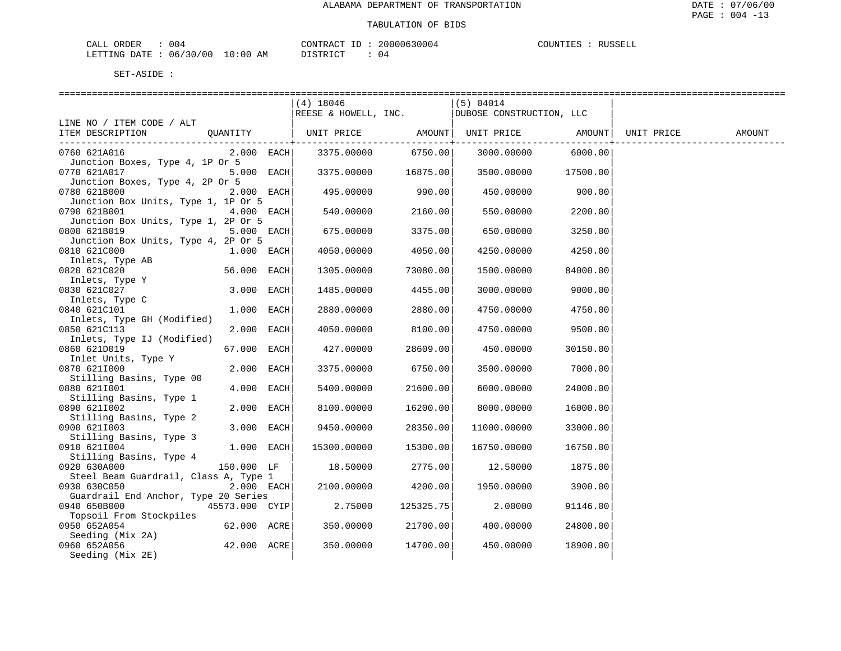| CALI<br>ORDER    | U U 4                  |                 | CONTRAC<br>тЬ      | 10630004<br>0۵. | COUNTIES | RIISSELI |
|------------------|------------------------|-----------------|--------------------|-----------------|----------|----------|
| DATE.<br>LETTING | 7/30/1<br>06/<br>' N C | . O : O (<br>ΑM | ירום דרים<br>----- | ,4              |          |          |

|                                                                 |                | $(4)$ 18046 |                     | (5) 04014                                       |           |            |        |
|-----------------------------------------------------------------|----------------|-------------|---------------------|-------------------------------------------------|-----------|------------|--------|
|                                                                 |                |             |                     | REESE & HOWELL, INC.   DUBOSE CONSTRUCTION, LLC |           |            |        |
| LINE NO / ITEM CODE / ALT                                       |                |             |                     |                                                 |           |            |        |
| ITEM DESCRIPTION QUANTITY   UNIT PRICE AMOUNT UNIT PRICE AMOUNT |                |             |                     |                                                 |           | UNIT PRICE | AMOUNT |
|                                                                 |                |             | --------------+---  |                                                 |           |            |        |
| 0760 621A016                                                    | $2.000$ EACH   | 3375.00000  | 6750.00             | 3000.00000                                      | 6000.00   |            |        |
| Junction Boxes, Type 4, 1P Or 5                                 |                |             |                     |                                                 |           |            |        |
| 0770 621A017                                                    | $5.000$ EACH   |             | 3375.00000 16875.00 | 3500.00000 17500.00                             |           |            |        |
| Junction Boxes, Type 4, 2P Or 5                                 |                |             |                     |                                                 |           |            |        |
| 0780 621B000                                                    | 2.000 EACH     | 495.00000   | 990.00              | 450.00000                                       | 900.00    |            |        |
| Junction Box Units, Type 1, 1P Or 5                             |                |             |                     |                                                 |           |            |        |
| 0790 621B001                                                    | $4.000$ EACH   | 540.00000   | 2160.00             | 550.00000                                       | 2200.00   |            |        |
| Junction Box Units, Type 1, 2P Or 5                             |                |             |                     |                                                 |           |            |        |
| 0800 621B019                                                    | $5.000$ EACH   | 675.00000   | 3375.00             | 650.00000                                       | 3250.00   |            |        |
| Junction Box Units, Type 4, 2P Or 5                             |                |             |                     |                                                 |           |            |        |
| 0810 621C000                                                    | $1.000$ EACH   | 4050.00000  | 4050.00             | 4250.00000                                      | 4250.00   |            |        |
| Inlets, Type AB                                                 |                |             |                     |                                                 |           |            |        |
| 0820 621C020                                                    | 56.000 EACH    | 1305.00000  | 73080.00            | 1500.00000                                      | 84000.001 |            |        |
| Inlets, Type Y                                                  |                |             |                     |                                                 |           |            |        |
| 0830 621C027                                                    | 3.000 EACH     | 1485.00000  | 4455.00             | 3000.00000                                      | 9000.00   |            |        |
| Inlets, Type C                                                  |                |             |                     |                                                 |           |            |        |
| 0840 621C101                                                    | 1.000 EACH     | 2880.00000  | 2880.00             | 4750.00000                                      | 4750.00   |            |        |
| Inlets, Type GH (Modified)                                      |                |             |                     |                                                 |           |            |        |
| 0850 621C113                                                    | 2.000 EACH     | 4050.00000  | 8100.00             | 4750.00000                                      | 9500.00   |            |        |
| Inlets, Type IJ (Modified)                                      |                |             |                     |                                                 |           |            |        |
| 0860 621D019                                                    | 67.000 EACH    | 427.00000   | 28609.00            | 450.00000                                       | 30150.00  |            |        |
| Inlet Units, Type Y                                             |                |             |                     |                                                 |           |            |        |
| 0870 6211000                                                    | 2.000 EACH     | 3375.00000  | 6750.00             | 3500.00000                                      | 7000.00   |            |        |
| Stilling Basins, Type 00                                        |                |             |                     |                                                 |           |            |        |
| 0880 6211001                                                    | 4.000 EACH     | 5400.00000  | 21600.00            | 6000.00000                                      | 24000.00  |            |        |
| Stilling Basins, Type 1                                         |                |             |                     |                                                 |           |            |        |
| 0890 6211002                                                    | 2.000 EACH     | 8100.00000  | 16200.00            | 8000.00000                                      | 16000.00  |            |        |
| Stilling Basins, Type 2                                         |                |             |                     |                                                 |           |            |        |
| 0900 6211003                                                    | 3.000 EACH     | 9450.00000  | 28350.00            | 11000.00000                                     | 33000.00  |            |        |
| Stilling Basins, Type 3                                         |                |             |                     |                                                 |           |            |        |
| 0910 6211004                                                    | $1.000$ EACH   | 15300.00000 | 15300.00            | 16750.00000                                     | 16750.00  |            |        |
| Stilling Basins, Type 4                                         |                |             |                     |                                                 |           |            |        |
| 0920 630A000                                                    | 150.000 LF     | 18.50000    | 2775.00             | 12.50000                                        | 1875.00   |            |        |
| Steel Beam Guardrail, Class A, Type 1                           |                |             |                     |                                                 |           |            |        |
| 0930 630C050                                                    | $2.000$ EACH   | 2100.00000  | 4200.00             | 1950.00000                                      | 3900.00   |            |        |
| Guardrail End Anchor, Type 20 Series                            |                |             |                     |                                                 |           |            |        |
| 0940 650B000                                                    | 45573.000 CYIP | 2.75000     | 125325.75           | 2.00000                                         | 91146.00  |            |        |
| Topsoil From Stockpiles                                         |                |             |                     |                                                 |           |            |        |
| 0950 652A054                                                    | 62.000 ACRE    | 350.00000   | 21700.00            | 400.00000                                       | 24800.00  |            |        |
| Seeding (Mix 2A)                                                |                |             |                     |                                                 |           |            |        |
| 0960 652A056                                                    | 42.000 ACRE    | 350.00000   | 14700.00            | 450.00000                                       | 18900.00  |            |        |
| Seeding (Mix 2E)                                                |                |             |                     |                                                 |           |            |        |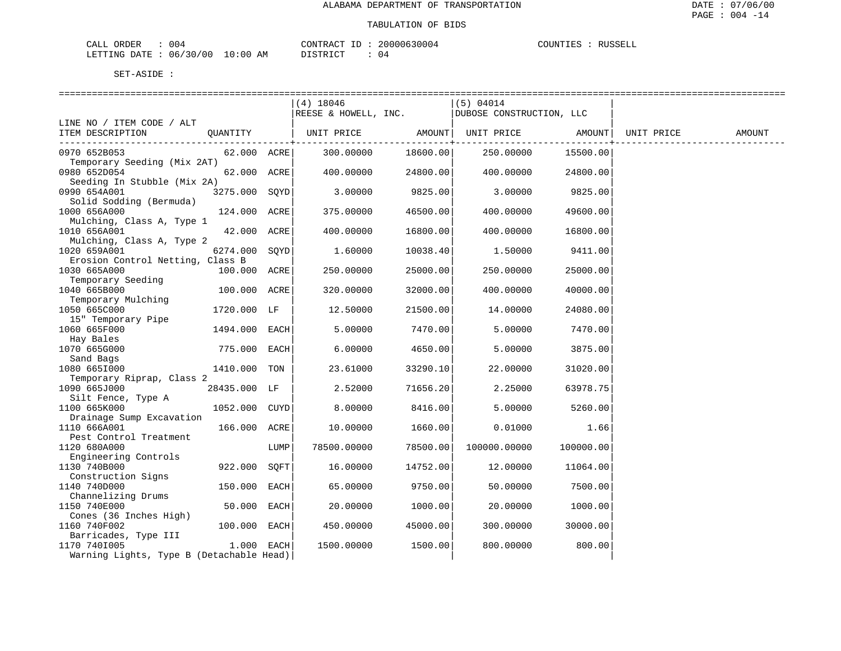| ORDER<br>CALL          | 004 |            | CONTRACT<br>ΤD | 20000630004 | COUNTIES | RUSSELL |
|------------------------|-----|------------|----------------|-------------|----------|---------|
| LETTING DATE: 06/30/00 |     | , 10:00 AM | DISTRICT       | . J 4       |          |         |

|                                          |               |      | $(4)$ 18046          |          | (5) 04014                |           |            |        |
|------------------------------------------|---------------|------|----------------------|----------|--------------------------|-----------|------------|--------|
|                                          |               |      | REESE & HOWELL, INC. |          | DUBOSE CONSTRUCTION, LLC |           |            |        |
| LINE NO / ITEM CODE / ALT                |               |      |                      |          |                          |           |            |        |
| ITEM DESCRIPTION                         | QUANTITY      |      | UNIT PRICE           |          | AMOUNT   UNIT PRICE      | AMOUNT    | UNIT PRICE | AMOUNT |
|                                          |               |      |                      |          |                          |           |            |        |
| 0970 652B053                             | 62.000 ACRE   |      | 300.00000            | 18600.00 | 250.00000                | 15500.00  |            |        |
| Temporary Seeding (Mix 2AT)              |               |      |                      |          |                          |           |            |        |
| 0980 652D054                             | 62.000 ACRE   |      | 400.00000            | 24800.00 | 400.00000                | 24800.00  |            |        |
| Seeding In Stubble (Mix 2A)              |               |      |                      |          |                          |           |            |        |
| 0990 654A001                             | 3275.000 SQYD |      | 3,00000              | 9825.00  | 3,00000                  | 9825.00   |            |        |
| Solid Sodding (Bermuda)                  |               |      |                      |          |                          |           |            |        |
| 1000 656A000                             | 124.000 ACRE  |      | 375.00000            | 46500.00 | 400.00000                | 49600.00  |            |        |
| Mulching, Class A, Type 1                |               |      |                      |          |                          |           |            |        |
| 1010 656A001                             | 42.000 ACRE   |      | 400.00000            | 16800.00 | 400.00000                | 16800.00  |            |        |
| Mulching, Class A, Type 2                |               |      |                      |          |                          |           |            |        |
| 1020 659A001                             | 6274.000 SQYD |      | 1.60000              | 10038.40 | 1.50000                  | 9411.00   |            |        |
| Erosion Control Netting, Class B         |               |      |                      |          |                          |           |            |        |
| 1030 665A000                             | 100.000 ACRE  |      | 250.00000            | 25000.00 | 250.00000                | 25000.00  |            |        |
| Temporary Seeding                        |               |      |                      |          |                          |           |            |        |
| 1040 665B000                             | 100.000 ACRE  |      | 320.00000            | 32000.00 | 400.00000                | 40000.00  |            |        |
| Temporary Mulching                       |               |      |                      |          |                          |           |            |        |
| 1050 665C000                             | 1720.000 LF   |      | 12.50000             | 21500.00 | 14.00000                 | 24080.00  |            |        |
| 15" Temporary Pipe<br>1060 665F000       | 1494.000      | EACH | 5.00000              | 7470.00  | 5.00000                  | 7470.00   |            |        |
| Hay Bales                                |               |      |                      |          |                          |           |            |        |
| 1070 665G000                             | 775.000       | EACH | 6.00000              | 4650.00  | 5.00000                  | 3875.00   |            |        |
| Sand Bags                                |               |      |                      |          |                          |           |            |        |
| 1080 6651000                             | 1410.000 TON  |      | 23.61000             | 33290.10 | 22,00000                 | 31020.00  |            |        |
| Temporary Riprap, Class 2                |               |      |                      |          |                          |           |            |        |
| 1090 665J000                             | 28435.000 LF  |      | 2.52000              | 71656.20 | 2.25000                  | 63978.75  |            |        |
| Silt Fence, Type A                       |               |      |                      |          |                          |           |            |        |
| 1100 665K000                             | 1052.000 CUYD |      | 8.00000              | 8416.00  | 5.00000                  | 5260.00   |            |        |
| Drainage Sump Excavation                 |               |      |                      |          |                          |           |            |        |
| 1110 666A001                             | 166.000 ACRE  |      | 10.00000             | 1660.00  | 0.01000                  | 1.66      |            |        |
| Pest Control Treatment                   |               |      |                      |          |                          |           |            |        |
| 1120 680A000                             |               | LUMP | 78500.00000          | 78500.00 | 100000.00000             | 100000.00 |            |        |
| Engineering Controls                     |               |      |                      |          |                          |           |            |        |
| 1130 740B000                             | 922.000       | SOFT | 16.00000             | 14752.00 | 12.00000                 | 11064.00  |            |        |
| Construction Signs                       |               |      |                      |          |                          |           |            |        |
| 1140 740D000                             | 150.000       | EACH | 65.00000             | 9750.00  | 50.00000                 | 7500.00   |            |        |
| Channelizing Drums                       |               |      |                      |          |                          |           |            |        |
| 1150 740E000                             | 50.000        | EACH | 20.00000             | 1000.00  | 20.00000                 | 1000.00   |            |        |
| Cones (36 Inches High)                   |               |      |                      |          |                          |           |            |        |
| 1160 740F002                             | 100.000 EACH  |      | 450.00000            | 45000.00 | 300.00000                | 30000.00  |            |        |
| Barricades, Type III                     |               |      |                      |          |                          |           |            |        |
| 1170 7401005                             | $1.000$ EACH  |      | 1500.00000           | 1500.00  | 800.00000                | 800.00    |            |        |
| Warning Lights, Type B (Detachable Head) |               |      |                      |          |                          |           |            |        |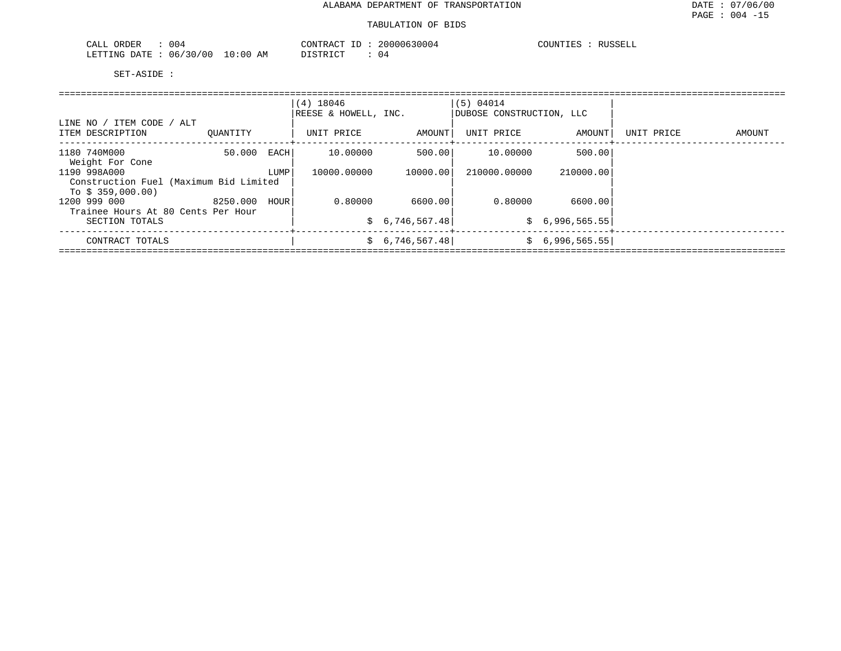| 004<br>ORDER<br>CALL     |          | CONTRACT | 20000630004 | RUSSELL<br>COUNTIES |
|--------------------------|----------|----------|-------------|---------------------|
| 06/30/00<br>LETTING DATE | 10:00 AM | DISTRICT | U 4         |                     |

|                                                             |          |      | $(4)$ 18046<br>REESE & HOWELL, INC. |                 | (5) 04014<br>DUBOSE CONSTRUCTION, LLC |                 |            |        |
|-------------------------------------------------------------|----------|------|-------------------------------------|-----------------|---------------------------------------|-----------------|------------|--------|
| LINE NO / ITEM CODE / ALT<br>ITEM DESCRIPTION               | OUANTITY |      | UNIT PRICE                          | AMOUNT          | UNIT PRICE                            | AMOUNT          | UNIT PRICE | AMOUNT |
| 1180 740M000<br>Weight For Cone                             | 50.000   | EACH | 10.00000                            |                 | 500.00    10.00000                    | 500.001         |            |        |
| 1190 998A000                                                |          | LUMP | 10000.00000                         | 10000.00        | 210000.00000                          | 210000.001      |            |        |
| Construction Fuel (Maximum Bid Limited<br>To $$359,000.00)$ |          |      |                                     |                 |                                       |                 |            |        |
| 1200 999 000<br>Trainee Hours At 80 Cents Per Hour          | 8250.000 | HOUR | 0.80000                             | 6600.001        | 0.80000                               | 6600.00         |            |        |
| SECTION TOTALS                                              |          |      |                                     | \$6,746,567.48] |                                       | \$6,996,565.55  |            |        |
| CONTRACT TOTALS                                             |          |      |                                     | \$6,746,567.48] |                                       | \$6,996,565.55] |            |        |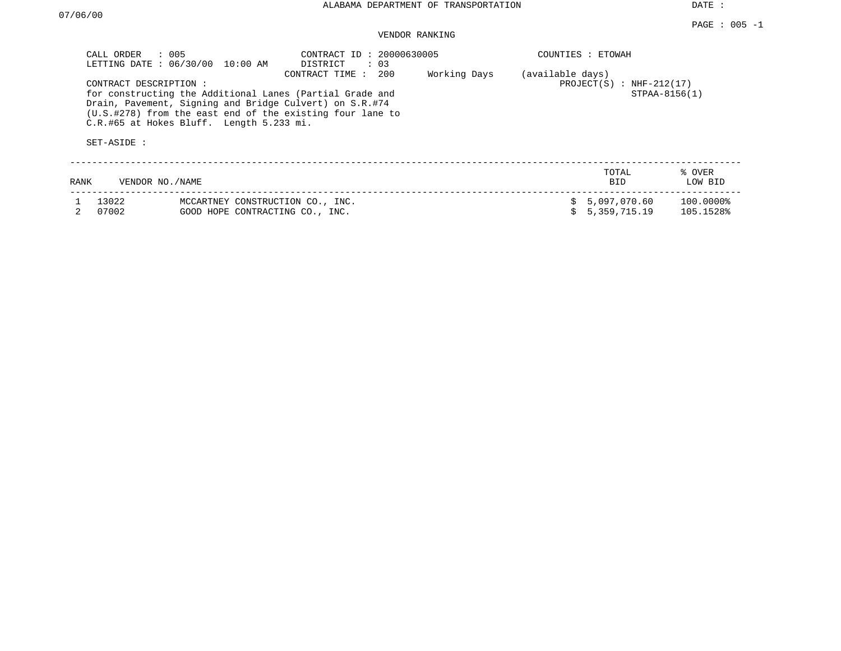DATE :

## VENDOR RANKING

| CALL ORDER     | : 005<br>LETTING DATE: 06/30/00                                   | 10:00 AM | CONTRACT ID: 20000630005<br>DISTRICT<br>: 03                                                                                                                                                              |              |                  | COUNTIES : ETOWAH                         |                        |
|----------------|-------------------------------------------------------------------|----------|-----------------------------------------------------------------------------------------------------------------------------------------------------------------------------------------------------------|--------------|------------------|-------------------------------------------|------------------------|
| SET-ASIDE :    | CONTRACT DESCRIPTION:<br>C.R.#65 at Hokes Bluff. Length 5.233 mi. |          | 200<br>CONTRACT TIME:<br>for constructing the Additional Lanes (Partial Grade and<br>Drain, Pavement, Signing and Bridge Culvert) on S.R.#74<br>(U.S.#278) from the east end of the existing four lane to | Working Days | (available days) | PROJECT(S) : NHF-212(17)<br>STPAA-8156(1) |                        |
| RANK           | VENDOR NO./NAME                                                   |          |                                                                                                                                                                                                           |              |                  | TOTAL<br>BID.                             | % OVER<br>LOW BID      |
| 13022<br>07002 |                                                                   |          | MCCARTNEY CONSTRUCTION CO., INC.<br>GOOD HOPE CONTRACTING CO., INC.                                                                                                                                       |              |                  | 5,097,070.60<br>5, 359, 715, 19           | 100.0000%<br>105.1528% |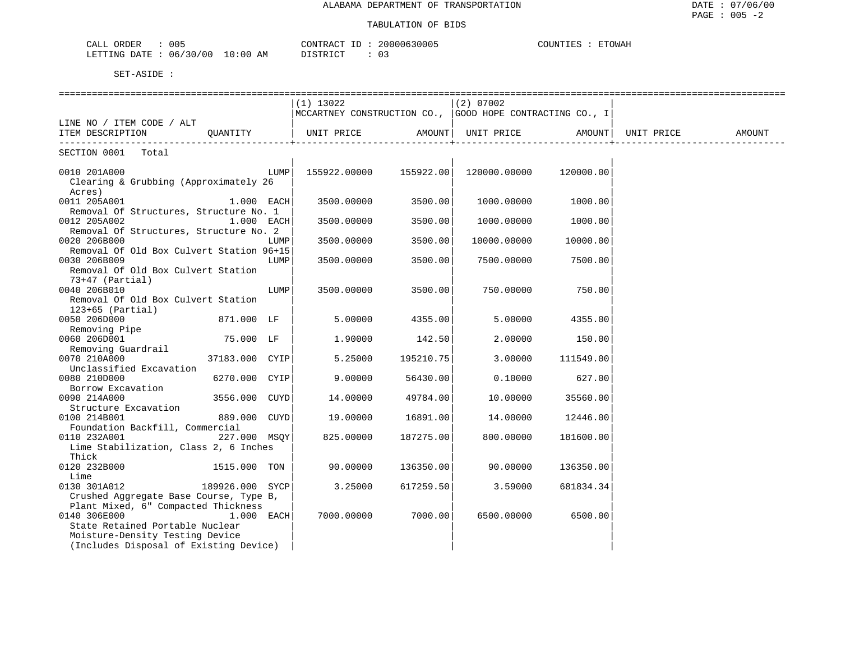| 00L<br>∩ ⊼ ·<br>ORDER<br>سسدت                                                                                                                                                                             | $\pi$ $\sim$<br>2000067<br>$\sim$ וב קידוזרי $\sim$<br>-3000. | TOWAH<br>COUNTI |
|-----------------------------------------------------------------------------------------------------------------------------------------------------------------------------------------------------------|---------------------------------------------------------------|-----------------|
| 00'<br><b>CITY THE T</b><br>ΑM<br>n a mr<br>ገ: በሀ<br>-20<br>(16)<br>'∆ נ<br>$\perp$ NG<br>the contract of the contract of the contract of the contract of the contract of the contract of the contract of | דים דמידי פידים<br>$\mathbf{u}$                               |                 |

|                                                        |                 |      | $(1)$ 13022                                                |           | $(2)$ 07002        |           |            |        |
|--------------------------------------------------------|-----------------|------|------------------------------------------------------------|-----------|--------------------|-----------|------------|--------|
|                                                        |                 |      | MCCARTNEY CONSTRUCTION CO.,   GOOD HOPE CONTRACTING CO., I |           |                    |           |            |        |
| LINE NO / ITEM CODE / ALT                              |                 |      |                                                            |           |                    |           |            |        |
| ITEM DESCRIPTION                                       | OUANTITY        |      | UNIT PRICE                                                 |           | AMOUNT  UNIT PRICE | AMOUNT    | UNIT PRICE | AMOUNT |
| SECTION 0001 Total                                     |                 |      |                                                            |           |                    |           |            |        |
|                                                        |                 |      |                                                            |           |                    |           |            |        |
| 0010 201A000                                           |                 | LUMP | 155922.00000                                               | 155922.00 | 120000.00000       | 120000.00 |            |        |
| Clearing & Grubbing (Approximately 26                  |                 |      |                                                            |           |                    |           |            |        |
| Acres)                                                 |                 |      |                                                            |           |                    |           |            |        |
| 0011 205A001<br>Removal Of Structures, Structure No. 1 | 1.000 EACH      |      | 3500.00000                                                 | 3500.00   | 1000.00000         | 1000.00   |            |        |
| 0012 205A002                                           | 1.000 EACH      |      | 3500.00000                                                 | 3500.00   | 1000.00000         | 1000.00   |            |        |
| Removal Of Structures, Structure No. 2                 |                 |      |                                                            |           |                    |           |            |        |
| 0020 206B000                                           |                 | LUMP | 3500.00000                                                 | 3500.00   | 10000.00000        | 10000.00  |            |        |
| Removal Of Old Box Culvert Station 96+15               |                 |      |                                                            |           |                    |           |            |        |
| 0030 206B009                                           |                 | LUMP | 3500.00000                                                 | 3500.00   | 7500.00000         | 7500.00   |            |        |
| Removal Of Old Box Culvert Station                     |                 |      |                                                            |           |                    |           |            |        |
| $73+47$ (Partial)                                      |                 |      |                                                            |           |                    |           |            |        |
| 0040 206B010                                           |                 | LUMP | 3500.00000                                                 | 3500.00   | 750.00000          | 750.00    |            |        |
| Removal Of Old Box Culvert Station                     |                 |      |                                                            |           |                    |           |            |        |
| $123+65$ (Partial)                                     |                 |      |                                                            |           |                    |           |            |        |
| 0050 206D000                                           | 871.000 LF      |      | 5.00000                                                    | 4355.00   | 5.00000            | 4355.00   |            |        |
| Removing Pipe                                          |                 |      |                                                            |           |                    |           |            |        |
| 0060 206D001                                           | 75.000 LF       |      | 1.90000                                                    | 142.50    | 2,00000            | 150.00    |            |        |
| Removing Guardrail                                     |                 |      |                                                            |           |                    |           |            |        |
| 0070 210A000                                           | 37183.000 CYIP  |      | 5.25000                                                    | 195210.75 | 3.00000            | 111549.00 |            |        |
| Unclassified Excavation                                |                 |      |                                                            |           |                    |           |            |        |
| 0080 210D000                                           | 6270.000 CYIP   |      | 9,00000                                                    | 56430.00  | 0.10000            | 627.00    |            |        |
| Borrow Excavation                                      |                 |      |                                                            |           |                    |           |            |        |
| 0090 214A000<br>Structure Excavation                   | 3556.000 CUYD   |      | 14.00000                                                   | 49784.00  | 10.00000           | 35560.00  |            |        |
| 0100 214B001                                           | 889.000 CUYD    |      | 19,00000                                                   | 16891.00  | 14,00000           | 12446.00  |            |        |
| Foundation Backfill, Commercial                        |                 |      |                                                            |           |                    |           |            |        |
| 0110 232A001                                           | 227.000 MSOY    |      | 825.00000                                                  | 187275.00 | 800.00000          | 181600.00 |            |        |
| Lime Stabilization, Class 2, 6 Inches                  |                 |      |                                                            |           |                    |           |            |        |
| Thick                                                  |                 |      |                                                            |           |                    |           |            |        |
| 0120 232B000                                           | 1515.000 TON    |      | 90.00000                                                   | 136350.00 | 90.00000           | 136350.00 |            |        |
| Lime                                                   |                 |      |                                                            |           |                    |           |            |        |
| 0130 301A012                                           | 189926.000 SYCP |      | 3.25000                                                    | 617259.50 | 3.59000            | 681834.34 |            |        |
| Crushed Aggregate Base Course, Type B,                 |                 |      |                                                            |           |                    |           |            |        |
| Plant Mixed, 6" Compacted Thickness                    |                 |      |                                                            |           |                    |           |            |        |
| 0140 306E000                                           | 1.000 EACH      |      | 7000.00000                                                 | 7000.00   | 6500.00000         | 6500.00   |            |        |
| State Retained Portable Nuclear                        |                 |      |                                                            |           |                    |           |            |        |
| Moisture-Density Testing Device                        |                 |      |                                                            |           |                    |           |            |        |
| (Includes Disposal of Existing Device)                 |                 |      |                                                            |           |                    |           |            |        |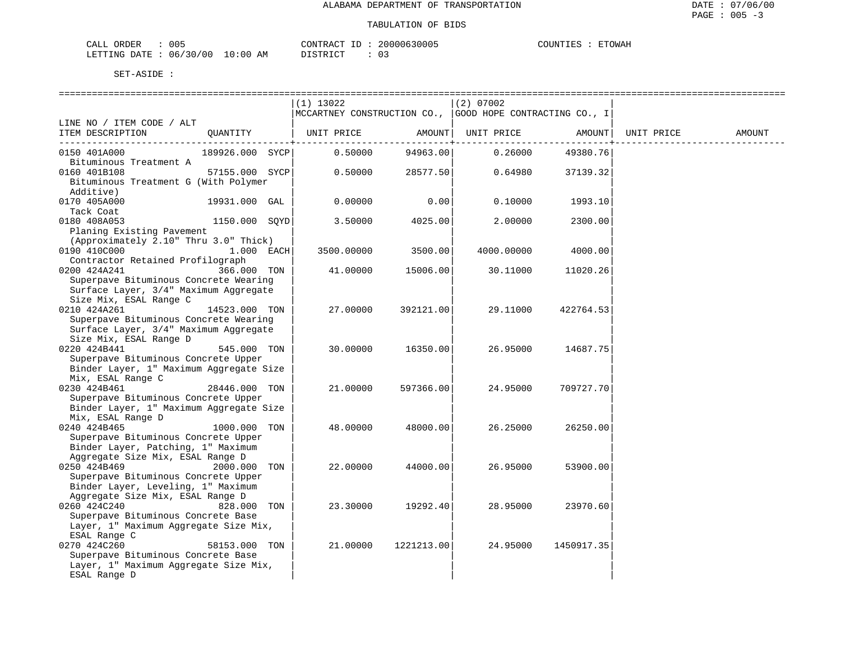| 005<br>ORDER<br>CALL         |            | CONTRACT ID | 20000630005 | COUNTIES | <b>ETOWAH</b> |
|------------------------------|------------|-------------|-------------|----------|---------------|
| : 06/30/00<br>LETTING DATE : | $10:00$ AM | DISTRICT    |             |          |               |

|                                                                                |                 | $(1)$ 13022                                              |                        | $(2)$ 07002 |            |            |        |
|--------------------------------------------------------------------------------|-----------------|----------------------------------------------------------|------------------------|-------------|------------|------------|--------|
|                                                                                |                 | MCCARTNEY CONSTRUCTION CO., GOOD HOPE CONTRACTING CO., I |                        |             |            |            |        |
| LINE NO / ITEM CODE / ALT                                                      |                 |                                                          |                        |             |            |            |        |
| ITEM DESCRIPTION                                                               | OUANTITY        | UNIT PRICE                                               | AMOUNT                 | UNIT PRICE  | AMOUNT     | UNIT PRICE | AMOUNT |
| 0150 401A000                                                                   | 189926.000 SYCP | 0.50000                                                  | ----------<br>94963.00 | 0.26000     | 49380.76   |            |        |
| Bituminous Treatment A                                                         |                 |                                                          |                        |             |            |            |        |
| 0160 401B108                                                                   | 57155.000 SYCP  | 0.50000                                                  | 28577.50               | 0.64980     | 37139.32   |            |        |
| Bituminous Treatment G (With Polymer                                           |                 |                                                          |                        |             |            |            |        |
| Additive)                                                                      |                 |                                                          |                        |             |            |            |        |
| 0170 405A000                                                                   | 19931.000 GAL   | 0.00000                                                  | 0.00                   | 0.10000     | 1993.10    |            |        |
| Tack Coat                                                                      |                 |                                                          |                        |             |            |            |        |
| 0180 408A053                                                                   | 1150.000 SQYD   | 3.50000                                                  | 4025.00                | 2.00000     | 2300.00    |            |        |
| Planing Existing Pavement                                                      |                 |                                                          |                        |             |            |            |        |
| (Approximately 2.10" Thru 3.0" Thick)                                          |                 |                                                          |                        |             |            |            |        |
| 0190 410C000                                                                   | $1.000$ EACH    | 3500.00000                                               | 3500.00                | 4000.00000  | 4000.00    |            |        |
| Contractor Retained Profilograph<br>0200 424A241                               | 366.000 TON     | 41.00000                                                 | 15006.00               | 30.11000    | 11020.26   |            |        |
| Superpave Bituminous Concrete Wearing                                          |                 |                                                          |                        |             |            |            |        |
| Surface Layer, 3/4" Maximum Aggregate                                          |                 |                                                          |                        |             |            |            |        |
| Size Mix, ESAL Range C                                                         |                 |                                                          |                        |             |            |            |        |
| 0210 424A261                                                                   | 14523.000 TON   | 27.00000                                                 | 392121.00              | 29.11000    | 422764.53  |            |        |
| Superpave Bituminous Concrete Wearing                                          |                 |                                                          |                        |             |            |            |        |
| Surface Layer, 3/4" Maximum Aggregate                                          |                 |                                                          |                        |             |            |            |        |
| Size Mix, ESAL Range D                                                         |                 |                                                          |                        |             |            |            |        |
| 0220 424B441                                                                   | 545.000 TON     | 30.00000                                                 | 16350.00               | 26.95000    | 14687.75   |            |        |
| Superpave Bituminous Concrete Upper                                            |                 |                                                          |                        |             |            |            |        |
| Binder Layer, 1" Maximum Aggregate Size                                        |                 |                                                          |                        |             |            |            |        |
| Mix, ESAL Range C                                                              |                 |                                                          |                        |             |            |            |        |
| 0230 424B461                                                                   | 28446.000 TON   | 21.00000                                                 | 597366.00              | 24.95000    | 709727.70  |            |        |
| Superpave Bituminous Concrete Upper<br>Binder Layer, 1" Maximum Aggregate Size |                 |                                                          |                        |             |            |            |        |
| Mix, ESAL Range D                                                              |                 |                                                          |                        |             |            |            |        |
| 0240 424B465                                                                   | 1000.000 TON    | 48.00000                                                 | 48000.00               | 26.25000    | 26250.00   |            |        |
| Superpave Bituminous Concrete Upper                                            |                 |                                                          |                        |             |            |            |        |
| Binder Layer, Patching, 1" Maximum                                             |                 |                                                          |                        |             |            |            |        |
| Aggregate Size Mix, ESAL Range D                                               |                 |                                                          |                        |             |            |            |        |
| 0250 424B469                                                                   | 2000.000 TON    | 22.00000                                                 | 44000.00               | 26.95000    | 53900.00   |            |        |
| Superpave Bituminous Concrete Upper                                            |                 |                                                          |                        |             |            |            |        |
| Binder Layer, Leveling, 1" Maximum                                             |                 |                                                          |                        |             |            |            |        |
| Aggregate Size Mix, ESAL Range D                                               |                 |                                                          |                        |             |            |            |        |
| 0260 424C240                                                                   | 828.000 TON     | 23.30000                                                 | 19292.40               | 28.95000    | 23970.60   |            |        |
| Superpave Bituminous Concrete Base                                             |                 |                                                          |                        |             |            |            |        |
| Layer, 1" Maximum Aggregate Size Mix,<br>ESAL Range C                          |                 |                                                          |                        |             |            |            |        |
| 0270 424C260                                                                   | 58153.000 TON   | 21.00000                                                 | 1221213.00             | 24.95000    | 1450917.35 |            |        |
| Superpave Bituminous Concrete Base                                             |                 |                                                          |                        |             |            |            |        |
| Layer, 1" Maximum Aggregate Size Mix,                                          |                 |                                                          |                        |             |            |            |        |
| ESAL Range D                                                                   |                 |                                                          |                        |             |            |            |        |
|                                                                                |                 |                                                          |                        |             |            |            |        |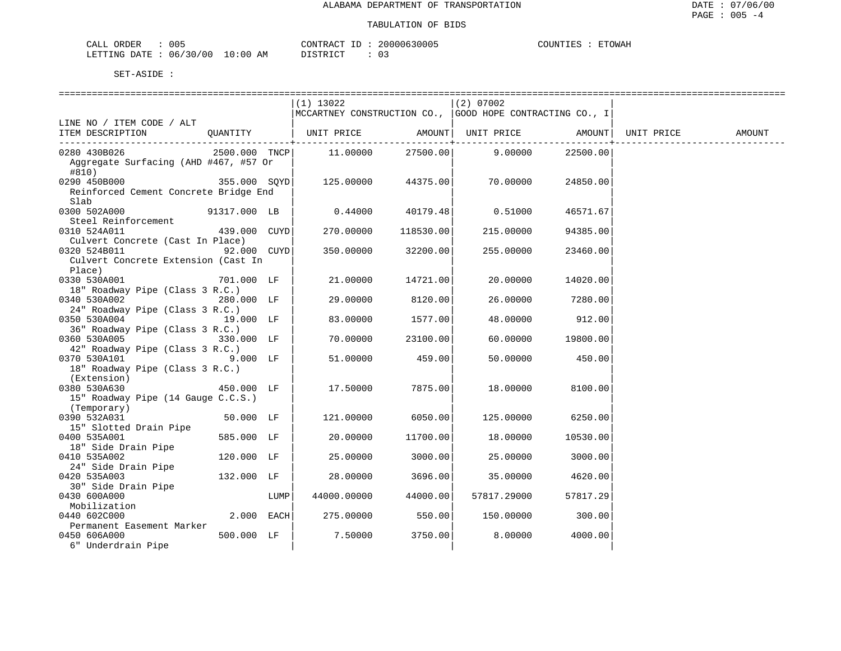| CALL ORDER<br>the contract of the contract of the contract of the contract of the contract of | 005 |            | CONTRACT ID | 20000630005 | COUNTIES | <b>ETOWAH</b> |  |
|-----------------------------------------------------------------------------------------------|-----|------------|-------------|-------------|----------|---------------|--|
| LETTING DATE : 06/30/00                                                                       |     | ` 10:00 AM | DISTRICT    |             |          |               |  |

|                                       |              |      | $(1)$ 13022                                                                           |                     | $(2)$ 07002 |                   |            |        |
|---------------------------------------|--------------|------|---------------------------------------------------------------------------------------|---------------------|-------------|-------------------|------------|--------|
|                                       |              |      | MCCARTNEY CONSTRUCTION CO.,  GOOD HOPE CONTRACTING CO., I                             |                     |             |                   |            |        |
| LINE NO / ITEM CODE / ALT             |              |      |                                                                                       |                     |             |                   |            |        |
| ITEM DESCRIPTION                      |              |      | QUANTITY   UNIT PRICE AMOUNT  UNIT PRICE AMOUNT                                       |                     |             |                   | UNIT PRICE | AMOUNT |
|                                       |              |      |                                                                                       |                     |             |                   |            |        |
| 0280 430B026                          |              |      | $2500.000$ TNCP $\vert$ 11.00000 27500.00 9.00000                                     |                     |             | 22500.00          |            |        |
| Aggregate Surfacing (AHD #467, #57 Or |              |      |                                                                                       |                     |             |                   |            |        |
| #810)                                 |              |      |                                                                                       |                     |             |                   |            |        |
| 0290 450B000                          |              |      | $355.000 \quad \text{SQYD} \vert \quad 125.00000 \quad 44375.00 \vert \quad 70.00000$ |                     |             | 24850.00          |            |        |
| Reinforced Cement Concrete Bridge End |              |      |                                                                                       |                     |             |                   |            |        |
|                                       |              |      |                                                                                       |                     |             |                   |            |        |
| Slab                                  |              |      |                                                                                       |                     |             |                   |            |        |
| 0300 502A000                          | 91317.000 LB |      | $0.44000$ 40179.48                                                                    |                     | 0.51000     | 46571.67          |            |        |
| Steel Reinforcement                   |              |      |                                                                                       |                     |             |                   |            |        |
| 0310 524A011                          | 439.000 CUYD |      |                                                                                       | 270.00000 118530.00 | 215.00000   | 94385.00          |            |        |
| Culvert Concrete (Cast In Place)      |              |      |                                                                                       |                     |             |                   |            |        |
| 0320 524B011 92.000 CUYD              |              |      | 350.00000                                                                             | 32200.00            | 255.00000   | 23460.00          |            |        |
| Culvert Concrete Extension (Cast In   |              |      |                                                                                       |                     |             |                   |            |        |
| Place)                                |              |      |                                                                                       |                     |             |                   |            |        |
| 0330 530A001                          | 701.000 LF   |      | 21.00000                                                                              | 14721.00            | 20.00000    | 14020.00          |            |        |
| 18" Roadway Pipe (Class 3 R.C.)       |              |      |                                                                                       |                     |             |                   |            |        |
| 0340 530A002                          | 280.000 LF   |      | 29.00000                                                                              | 8120.00             | 26.00000    | 7280.00           |            |        |
| 24" Roadway Pipe (Class 3 R.C.)       |              |      |                                                                                       |                     |             |                   |            |        |
| 0350 530A004                          | 19.000 LF    |      | 83.00000                                                                              | 1577.00             | 48.00000    | 912.00            |            |        |
| 36" Roadway Pipe (Class 3 R.C.)       |              |      |                                                                                       |                     |             |                   |            |        |
| 0360 530A005 330.000 LF               |              |      | 70.00000                                                                              | 23100.00            |             | 60.00000 19800.00 |            |        |
| 42" Roadway Pipe (Class 3 R.C.)       |              |      |                                                                                       |                     |             |                   |            |        |
|                                       | $9.000$ LF   |      |                                                                                       | 459.00              |             |                   |            |        |
| 0370 530A101                          |              |      | 51.00000                                                                              |                     | 50.00000    | 450.00            |            |        |
| 18" Roadway Pipe (Class 3 R.C.)       |              |      |                                                                                       |                     |             |                   |            |        |
| (Extension)                           |              |      |                                                                                       |                     |             |                   |            |        |
| 450.000 LF<br>0380 530A630            |              |      | 17.50000                                                                              | 7875.00             | 18.00000    | 8100.00           |            |        |
| 15" Roadway Pipe (14 Gauge C.C.S.)    |              |      |                                                                                       |                     |             |                   |            |        |
| (Temporary)                           |              |      |                                                                                       |                     |             |                   |            |        |
| 0390 532A031                          | 50.000 LF    |      | 121.00000                                                                             | 6050.00             | 125.00000   | 6250.00           |            |        |
| 15" Slotted Drain Pipe                |              |      |                                                                                       |                     |             |                   |            |        |
| 0400 535A001                          | 585.000 LF   |      | 20.00000                                                                              | 11700.00            | 18.00000    | 10530.00          |            |        |
| 18" Side Drain Pipe                   |              |      |                                                                                       |                     |             |                   |            |        |
| 0410 535A002                          | 120.000 LF   |      | 25.00000                                                                              | 3000.00             | 25.00000    | 3000.00           |            |        |
| 24" Side Drain Pipe                   |              |      |                                                                                       |                     |             |                   |            |        |
| 0420 535A003                          | 132.000 LF   |      | 28.00000                                                                              | 3696.00             | 35.00000    | 4620.00           |            |        |
| 30" Side Drain Pipe                   |              |      |                                                                                       |                     |             |                   |            |        |
| 0430 600A000                          |              | LUMP | 44000.00000                                                                           | 44000.00            | 57817.29000 | 57817.29          |            |        |
| Mobilization                          |              |      |                                                                                       |                     |             |                   |            |        |
| 0440 602C000                          | $2.000$ EACH |      | 275.00000                                                                             | 550.00              | 150.00000   | 300.00            |            |        |
| Permanent Easement Marker             |              |      |                                                                                       |                     |             |                   |            |        |
|                                       |              |      |                                                                                       |                     |             |                   |            |        |
| 0450 606A000                          | 500.000 LF   |      | 7.50000                                                                               | 3750.00             | 8.00000     | 4000.00           |            |        |
| 6" Underdrain Pipe                    |              |      |                                                                                       |                     |             |                   |            |        |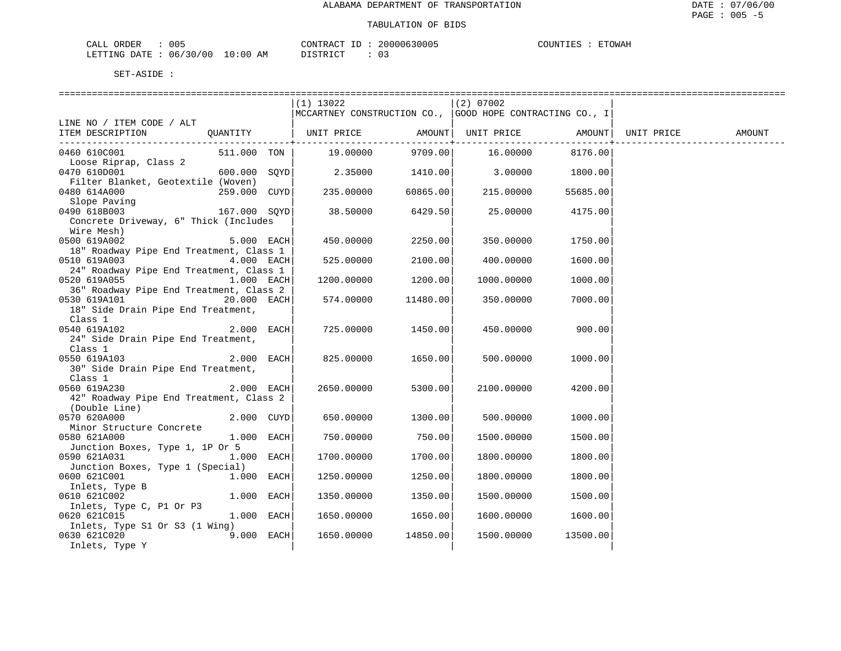| ORDER<br>CALL (               | 005 |    | CONTRACT ID  | 20000630005 | COUNTIES | ETOWAH |
|-------------------------------|-----|----|--------------|-------------|----------|--------|
| LETTING DATE : 06/30/00 10:00 |     | ΆM | דת T STR דרי | ∩ −         |          |        |

|                                                          |                | $(1)$ 13022<br>  MCCARTNEY CONSTRUCTION CO.,   GOOD HOPE CONTRACTING CO., I |          | $(2)$ 07002 |          |            |        |
|----------------------------------------------------------|----------------|-----------------------------------------------------------------------------|----------|-------------|----------|------------|--------|
| LINE NO / ITEM CODE / ALT                                |                |                                                                             |          |             |          |            |        |
| ITEM DESCRIPTION                                         | OUANTITY       | UNIT PRICE AMOUNT  UNIT PRICE                                               |          |             | AMOUNT   | UNIT PRICE | AMOUNT |
| 0460 610C001<br>Loose Riprap, Class 2                    | 511.000 TON    | 19.00000                                                                    | 9709.00  | 16.00000    | 8176.00  |            |        |
| 0470 610D001                                             | $600.000$ SOYD | 2.35000                                                                     | 1410.00  | 3.00000     | 1800.00  |            |        |
| Filter Blanket, Geotextile (Woven)<br>0480 614A000       | 259.000 CUYD   | 235.00000                                                                   | 60865.00 | 215.00000   | 55685.00 |            |        |
| Slope Paving<br>0490 618B003                             | 167.000 SOYD   | 38.50000                                                                    | 6429.50  | 25.00000    | 4175.00  |            |        |
| Concrete Driveway, 6" Thick (Includes<br>Wire Mesh)      |                |                                                                             |          |             |          |            |        |
| 0500 619A002<br>18" Roadway Pipe End Treatment, Class 1  | 5.000 EACH     | 450.00000                                                                   | 2250.00  | 350.00000   | 1750.00  |            |        |
| 0510 619A003<br>24" Roadway Pipe End Treatment, Class 1  | 4.000 EACH     | 525.00000                                                                   | 2100.00  | 400.00000   | 1600.00  |            |        |
| 0520 619A055                                             | $1.000$ EACH   | 1200.00000                                                                  | 1200.00  | 1000.00000  | 1000.00  |            |        |
| 36" Roadway Pipe End Treatment, Class 2<br>0530 619A101  | 20.000 EACH    | 574.00000                                                                   | 11480.00 | 350.00000   | 7000.00  |            |        |
| 18" Side Drain Pipe End Treatment,<br>Class 1            |                |                                                                             |          |             |          |            |        |
| 0540 619A102<br>24" Side Drain Pipe End Treatment,       | $2.000$ EACH   | 725.00000                                                                   | 1450.00  | 450.00000   | 900.00   |            |        |
| Class 1<br>0550 619A103                                  | 2.000 EACH     | 825.00000                                                                   | 1650.00  | 500.00000   | 1000.00  |            |        |
| 30" Side Drain Pipe End Treatment,<br>Class 1            |                |                                                                             |          |             |          |            |        |
| 0560 619A230                                             | 2.000 EACH     | 2650.00000                                                                  | 5300.00  | 2100.00000  | 4200.00  |            |        |
| 42" Roadway Pipe End Treatment, Class 2<br>(Double Line) |                |                                                                             |          |             |          |            |        |
| 0570 620A000<br>Minor Structure Concrete                 | 2.000 CUYD     | 650.00000                                                                   | 1300.00  | 500.00000   | 1000.00  |            |        |
| 0580 621A000<br>Junction Boxes, Type 1, 1P Or 5          | 1.000 EACH     | 750.00000                                                                   | 750.00   | 1500.00000  | 1500.00  |            |        |
| 0590 621A031<br>Junction Boxes, Type 1 (Special)         | 1.000 EACH     | 1700.00000                                                                  | 1700.00  | 1800.00000  | 1800.00  |            |        |
| 0600 621C001<br>Inlets, Type B                           | 1.000 EACH     | 1250.00000                                                                  | 1250.00  | 1800.00000  | 1800.00  |            |        |
| 0610 621C002                                             | 1.000 EACH     | 1350.00000                                                                  | 1350.00  | 1500.00000  | 1500.00  |            |        |
| Inlets, Type C, P1 Or P3<br>0620 621C015                 | 1.000 EACH     | 1650.00000                                                                  | 1650.00  | 1600.00000  | 1600.00  |            |        |
| Inlets, Type S1 Or S3 (1 Wing)<br>0630 621C020           | 9.000 EACH     | 1650.00000                                                                  | 14850.00 | 1500.00000  | 13500.00 |            |        |
| Inlets, Type Y                                           |                |                                                                             |          |             |          |            |        |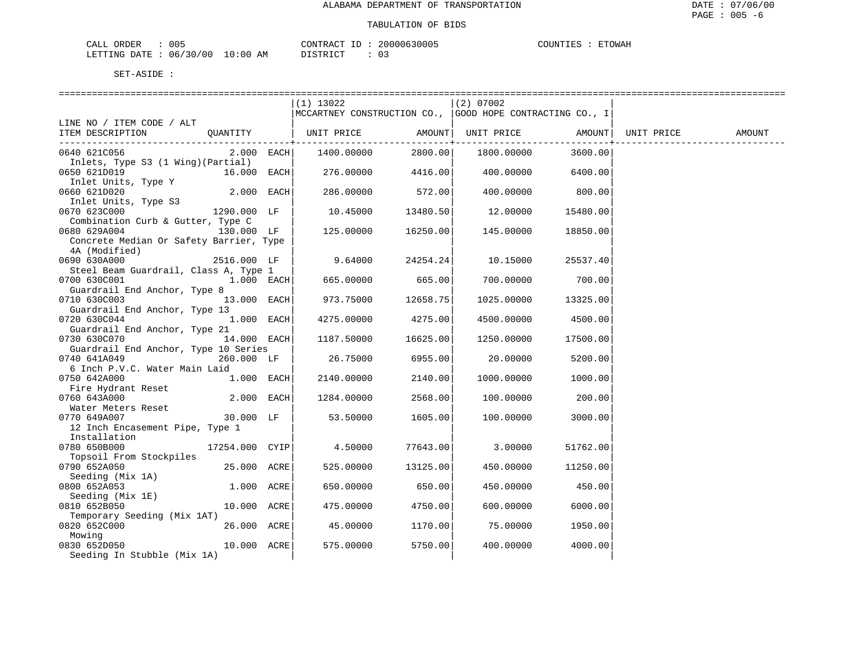| ORDER<br>CALL          | 005 |             | $- -$<br>CONTRACT | 20000630005 | $\gamma$ רידאדזר | <b>ETOWAH</b> |
|------------------------|-----|-------------|-------------------|-------------|------------------|---------------|
| LETTING DATE: 06/30/00 |     | 10:00<br>ΆM | חי חים דר         |             |                  |               |

|                                                                                         |              | $(1)$ 13022                                                |                    | (2) 07002  |                     |        |
|-----------------------------------------------------------------------------------------|--------------|------------------------------------------------------------|--------------------|------------|---------------------|--------|
|                                                                                         |              | MCCARTNEY CONSTRUCTION CO.,   GOOD HOPE CONTRACTING CO., I |                    |            |                     |        |
| LINE NO / ITEM CODE / ALT                                                               |              |                                                            |                    |            |                     |        |
| QUANTITY   UNIT PRICE     AMOUNT  UNIT PRICE     AMOUNT  UNIT PRICE<br>ITEM DESCRIPTION |              |                                                            |                    |            |                     | AMOUNT |
|                                                                                         |              |                                                            |                    |            |                     |        |
| 0640 621C056                                                                            | $2.000$ EACH | 1400.00000                                                 | 2800.00            | 1800.00000 | 3600.00             |        |
| Inlets, Type S3 (1 Wing)(Partial)                                                       |              |                                                            |                    |            |                     |        |
| 0650 621D019<br>16.000 EACH                                                             |              | 276.00000                                                  | 4416.00            |            | 400.00000 6400.00   |        |
| Inlet Units, Type Y                                                                     |              |                                                            |                    |            |                     |        |
| 0660 621D020                                                                            | 2.000 EACH   | 286.00000                                                  | 572.00             | 400.00000  | 800.00              |        |
| Inlet Units, Type S3                                                                    |              |                                                            |                    |            |                     |        |
| 0670 623C000<br>1290.000 LF                                                             |              | 10.45000                                                   | 13480.50           | 12.00000   | 15480.00            |        |
| Combination Curb & Gutter, Type C                                                       |              |                                                            |                    |            |                     |        |
| 0680 629A004<br>130.000 LF                                                              |              | 125.00000                                                  | 16250.00           | 145.00000  | 18850.00            |        |
| Concrete Median Or Safety Barrier, Type                                                 |              |                                                            |                    |            |                     |        |
| 4A (Modified)                                                                           |              |                                                            |                    |            |                     |        |
| 0690 630A000<br>2516.000 LF                                                             |              |                                                            | $9.64000$ 24254.24 | 10.15000   | 25537.40            |        |
| Steel Beam Guardrail, Class A, Type 1                                                   |              |                                                            |                    |            |                     |        |
| 0700 630C001<br>$1.000$ EACH                                                            |              | 665.00000                                                  | 665.00             | 700.00000  | 700.00              |        |
| Guardrail End Anchor, Type 8                                                            |              |                                                            |                    |            |                     |        |
| 0710 630C003                                                                            | 13.000 EACH  | 973.75000                                                  | 12658.75           |            | 1025.00000 13325.00 |        |
| Guardrail End Anchor, Type 13                                                           |              |                                                            |                    |            |                     |        |
| 0720 630C044                                                                            | $1.000$ EACH | 4275.00000                                                 | 4275.00            | 4500.00000 | 4500.00             |        |
| Guardrail End Anchor, Type 21                                                           |              |                                                            |                    |            |                     |        |
| 0730 630C070                                                                            | 14.000 EACH  | 1187.50000                                                 | 16625.00           | 1250.00000 | 17500.00            |        |
| Guardrail End Anchor, Type 10 Series                                                    |              |                                                            |                    |            |                     |        |
| 0740 641A049                                                                            | 260.000 LF   | 26.75000                                                   | 6955.00            | 20.00000   | 5200.00             |        |
| 6 Inch P.V.C. Water Main Laid                                                           |              |                                                            |                    |            |                     |        |
| 1.000 EACH<br>0750 642A000                                                              |              | 2140.00000                                                 | 2140.00            | 1000.00000 | 1000.00             |        |
| Fire Hydrant Reset                                                                      |              |                                                            |                    |            |                     |        |
| 0760 643A000                                                                            | 2.000 EACH   | 1284.00000                                                 | 2568.00            | 100.00000  | 200.00              |        |
| Water Meters Reset                                                                      |              |                                                            |                    |            |                     |        |
| 0770 649A007                                                                            | 30.000 LF    | 53.50000                                                   | 1605.00            | 100.00000  | 3000.00             |        |
| 12 Inch Encasement Pipe, Type 1                                                         |              |                                                            |                    |            |                     |        |
| Installation                                                                            |              |                                                            |                    |            |                     |        |
| 0780 650B000<br>17254.000 CYIP                                                          |              | 4.50000                                                    | 77643.00           | 3.00000    | 51762.00            |        |
| Topsoil From Stockpiles                                                                 |              |                                                            |                    |            |                     |        |
| 25.000 ACRE<br>0790 652A050                                                             |              | 525.00000                                                  | 13125.00           | 450.00000  | 11250.00            |        |
| Seeding (Mix 1A)                                                                        |              |                                                            |                    |            |                     |        |
| 0800 652A053                                                                            | 1.000 ACRE   | 650.00000                                                  | 650.00             | 450.00000  | 450.00              |        |
| Seeding (Mix 1E)                                                                        |              |                                                            |                    |            |                     |        |
| 0810 652B050                                                                            | 10.000 ACRE  | 475.00000                                                  | 4750.00            | 600.00000  | 6000.00             |        |
| Temporary Seeding (Mix 1AT)                                                             |              |                                                            |                    |            |                     |        |
| 0820 652C000                                                                            | 26.000 ACRE  | 45.00000                                                   | 1170.00            | 75.00000   | 1950.00             |        |
| Mowing                                                                                  |              |                                                            |                    |            |                     |        |
| 0830 652D050                                                                            | 10.000 ACRE  | 575.00000                                                  | 5750.00            | 400.00000  | 4000.00             |        |
| Seeding In Stubble (Mix 1A)                                                             |              |                                                            |                    |            |                     |        |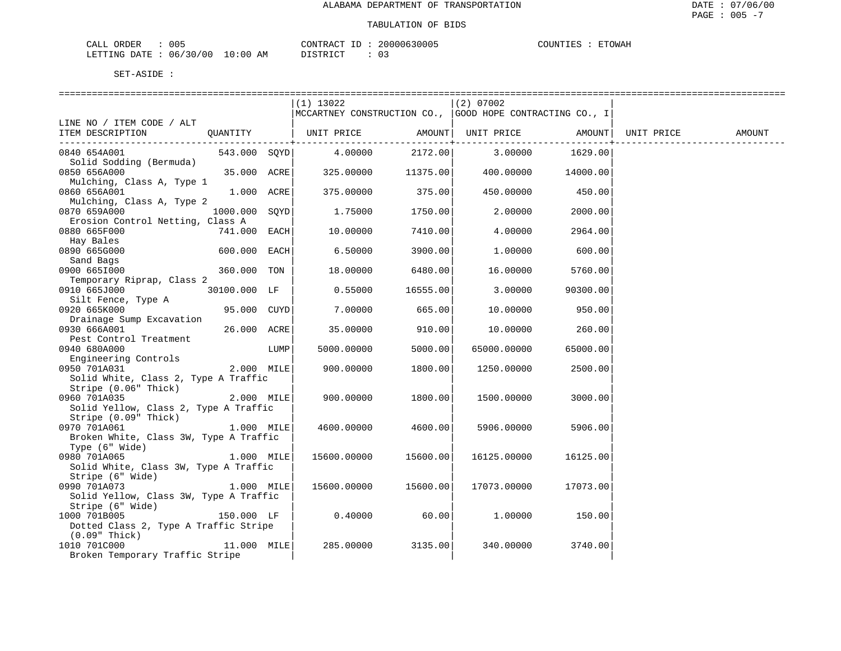| $\Delta$<br>$1 -$<br>. .                        | 005       |               | $\cap$ $\cap$ $\cap$<br>$ -$ | ົດ ດ<br>,,,,,,      | $\mathbf{1}$ | <b>ETOWAH</b> |
|-------------------------------------------------|-----------|---------------|------------------------------|---------------------|--------------|---------------|
| . דרד ה<br>'NG<br><b>DURBER</b><br>$\mathbf{a}$ | 100<br>06 | AМ<br>. . u . | --<br>$\sqrt{m}$             | $\sim$ $\sim$<br>ັບ |              |               |

|                                                                 |                 |      | $(1)$ 13022                                                                                                         |          | (2) 07002      |          |            |        |
|-----------------------------------------------------------------|-----------------|------|---------------------------------------------------------------------------------------------------------------------|----------|----------------|----------|------------|--------|
|                                                                 |                 |      | MCCARTNEY CONSTRUCTION CO.,   GOOD HOPE CONTRACTING CO., I                                                          |          |                |          |            |        |
| LINE NO / ITEM CODE / ALT                                       |                 |      |                                                                                                                     |          |                |          |            |        |
| ITEM DESCRIPTION QUANTITY   UNIT PRICE AMOUNT UNIT PRICE AMOUNT |                 |      |                                                                                                                     |          |                |          | UNIT PRICE | AMOUNT |
|                                                                 |                 |      | 543.000 SQYD 4.00000                                                                                                |          |                |          |            |        |
| 0840 654A001<br>Solid Sodding (Bermuda)                         |                 |      |                                                                                                                     |          |                |          |            |        |
| 0850 656A000                                                    |                 |      | $35.000$ ACRE $ \hspace{1.5cm}325.00000\rangle$ $11375.00 \hspace{1.5cm}400.00000\rangle$ $14000.00 \hspace{1.5cm}$ |          |                |          |            |        |
| Mulching, Class A, Type 1                                       |                 |      |                                                                                                                     |          |                |          |            |        |
| 0860 656A001                                                    | $1.000$ ACRE    |      | 375.00000                                                                                                           | 375.00   | 450.00000      | 450.00   |            |        |
| Mulching, Class A, Type 2                                       |                 |      |                                                                                                                     |          |                |          |            |        |
| 0870 659A000                                                    | $1000.000$ SQYD |      | 1.75000                                                                                                             | 1750.00  | 2.00000        | 2000.00  |            |        |
| Erosion Control Netting, Class A                                |                 |      |                                                                                                                     |          |                |          |            |        |
| 0880 665F000                                                    | 741.000 EACH    |      | 10.00000                                                                                                            | 7410.00  | 4.00000        | 2964.00  |            |        |
| Hay Bales                                                       |                 |      |                                                                                                                     |          |                |          |            |        |
| 0890 665G000                                                    | $600.000$ EACH  |      | 6.50000                                                                                                             | 3900.00  | 1,00000        | 600.00   |            |        |
| Sand Bags                                                       |                 |      |                                                                                                                     |          |                |          |            |        |
| 0900 6651000                                                    | 360.000 TON     |      | 18.00000                                                                                                            | 6480.00  | 16.00000       | 5760.00  |            |        |
| Temporary Riprap, Class 2                                       |                 |      |                                                                                                                     |          |                |          |            |        |
| 0910 665J000 30100.000 LF                                       |                 |      | 0.55000                                                                                                             | 16555.00 | 3.00000        | 90300.00 |            |        |
| Silt Fence, Type A                                              |                 |      |                                                                                                                     |          |                |          |            |        |
| 0920 665K000                                                    | 95.000 CUYD     |      | 7.00000                                                                                                             | 665.00   | 10.00000       | 950.00   |            |        |
| Drainage Sump Excavation                                        |                 |      |                                                                                                                     |          |                |          |            |        |
| $26.000$ ACRE<br>0930 666A001                                   |                 |      | 35.00000                                                                                                            | 910.00   | 10.00000       | 260.00   |            |        |
| Pest Control Treatment                                          |                 |      |                                                                                                                     |          |                |          |            |        |
| 0940 680A000                                                    |                 | LUMP | 5000.00000                                                                                                          | 5000.00  | 65000.00000    | 65000.00 |            |        |
| Engineering Controls                                            |                 |      |                                                                                                                     |          |                |          |            |        |
| $2.000$ MILE<br>0950 701A031                                    |                 |      | 900.00000                                                                                                           | 1800.00  | 1250.00000     | 2500.00  |            |        |
| Solid White, Class 2, Type A Traffic                            |                 |      |                                                                                                                     |          |                |          |            |        |
| Stripe (0.06" Thick)                                            |                 |      |                                                                                                                     |          |                |          |            |        |
| 0960 701A035                                                    | $2.000$ MILE    |      | 900.00000                                                                                                           | 1800.00  | 1500.00000     | 3000.00  |            |        |
| Solid Yellow, Class 2, Type A Traffic                           |                 |      |                                                                                                                     |          |                |          |            |        |
| Stripe (0.09" Thick)                                            |                 |      |                                                                                                                     |          |                |          |            |        |
| 0970 701A061                                                    | 1.000 MILE      |      | 4600.00000                                                                                                          | 4600.00  | 5906.00000     | 5906.00  |            |        |
| Broken White, Class 3W, Type A Traffic                          |                 |      |                                                                                                                     |          |                |          |            |        |
| Type (6" Wide)                                                  |                 |      |                                                                                                                     |          |                |          |            |        |
| 1.000 MILE<br>0980 701A065                                      |                 |      | 15600.00000                                                                                                         | 15600.00 | 16125.00000    | 16125.00 |            |        |
| Solid White, Class 3W, Type A Traffic                           |                 |      |                                                                                                                     |          |                |          |            |        |
| Stripe (6" Wide)<br>200 7011073                                 |                 |      |                                                                                                                     |          |                |          |            |        |
| 0990 701A073                                                    | $1.000$ MILE    |      | 15600.00000                                                                                                         | 15600.00 | 17073.00000    | 17073.00 |            |        |
| Solid Yellow, Class 3W, Type A Traffic                          |                 |      |                                                                                                                     |          |                |          |            |        |
| Stripe (6" Wide)                                                |                 |      |                                                                                                                     |          |                |          |            |        |
| 1000 701B005                                                    | 150.000 LF      |      | 0.40000                                                                                                             | 60.00    | 1.00000 150.00 |          |            |        |
| Dotted Class 2, Type A Traffic Stripe                           |                 |      |                                                                                                                     |          |                |          |            |        |
| (0.09" Thick)<br>11.000 MILE                                    |                 |      | 285.00000                                                                                                           | 3135.00  |                | 3740.00  |            |        |
| 1010 701C000                                                    |                 |      |                                                                                                                     |          | 340.00000      |          |            |        |
| Broken Temporary Traffic Stripe                                 |                 |      |                                                                                                                     |          |                |          |            |        |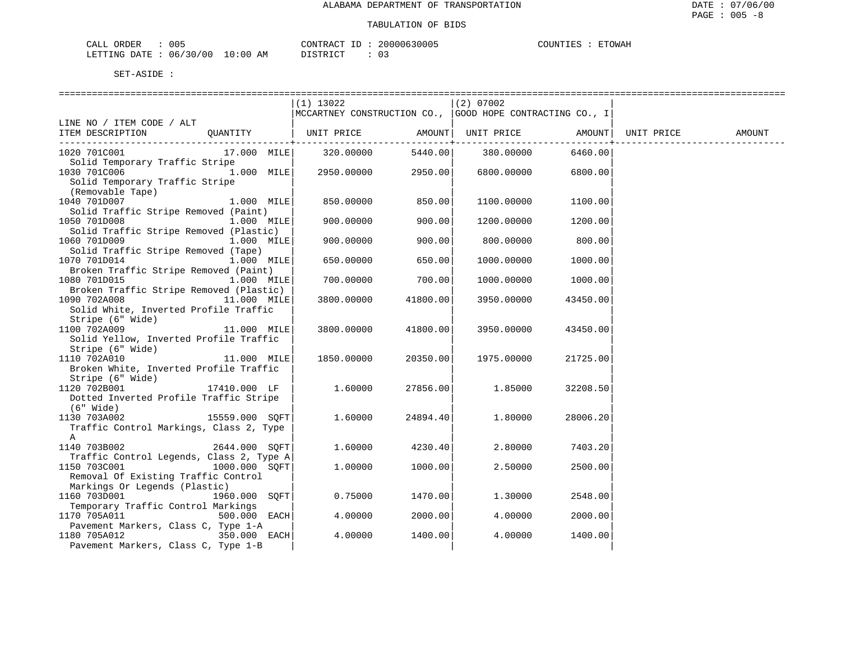| ORDER<br>CALL | 005          |             | $- -$<br>CONTRACT | 20000630005 | $\gamma$ רדות ה | ETOWAP |
|---------------|--------------|-------------|-------------------|-------------|-----------------|--------|
| LETTING DATE  | . : 06/30/00 | 10:00<br>AM | חימת סידי את      | n –         |                 |        |

|                                          | (1) 13022                                                 |          | $(2)$ 07002              |                  |            |        |
|------------------------------------------|-----------------------------------------------------------|----------|--------------------------|------------------|------------|--------|
|                                          | MCCARTNEY CONSTRUCTION CO.,  GOOD HOPE CONTRACTING CO., I |          |                          |                  |            |        |
| LINE NO / ITEM CODE / ALT                |                                                           |          |                          |                  |            |        |
| OUANTITY<br>ITEM DESCRIPTION             | UNIT PRICE AMOUNT  UNIT PRICE AMOUNT                      |          |                          |                  | UNIT PRICE | AMOUNT |
|                                          |                                                           |          | ------------+----------- | ---------------+ |            |        |
| 1020 701C001<br>17.000 MILE              | 320.00000                                                 |          | 5440.00 380.00000        | 6460.00          |            |        |
| Solid Temporary Traffic Stripe           |                                                           |          |                          |                  |            |        |
| $1.000$ MILE<br>1030 701C006             | 2950.00000                                                | 2950.00  | 6800.00000               | 6800.00          |            |        |
| Solid Temporary Traffic Stripe           |                                                           |          |                          |                  |            |        |
| (Removable Tape)                         |                                                           |          |                          |                  |            |        |
|                                          |                                                           |          |                          |                  |            |        |
| 1040 701D007<br>1.000 MILE               | 850.00000                                                 | 850.00   | 1100.00000               | 1100.00          |            |        |
| Solid Traffic Stripe Removed (Paint)     |                                                           |          |                          |                  |            |        |
| 1050 701D008<br>$1.000$ MILE             | 900.00000                                                 | 900.00   | 1200.00000               | 1200.00          |            |        |
| Solid Traffic Stripe Removed (Plastic)   |                                                           |          |                          |                  |            |        |
| 1060 701D009<br>1.000 MILE               | 900.00000                                                 | 900.00   | 800.00000                | 800.00           |            |        |
| Solid Traffic Stripe Removed (Tape)      |                                                           |          |                          |                  |            |        |
| 1070 701D014<br>$1.000$ MILE             | 650.00000                                                 | 650.00   | 1000.00000               | 1000.00          |            |        |
| Broken Traffic Stripe Removed (Paint)    |                                                           |          |                          |                  |            |        |
| 1080 701D015<br>$1.000$ MILE             | 700.00000                                                 | 700.00   | 1000.00000               | 1000.00          |            |        |
| Broken Traffic Stripe Removed (Plastic)  |                                                           |          |                          |                  |            |        |
| 1090 702A008<br>11.000 MILE              | 3800.00000                                                | 41800.00 | 3950.00000               | 43450.00         |            |        |
| Solid White, Inverted Profile Traffic    |                                                           |          |                          |                  |            |        |
| Stripe (6" Wide)                         |                                                           |          |                          |                  |            |        |
| 1100 702A009<br>11.000 MILE              | 3800.00000                                                | 41800.00 | 3950.00000               | 43450.00         |            |        |
| Solid Yellow, Inverted Profile Traffic   |                                                           |          |                          |                  |            |        |
| Stripe (6" Wide)                         |                                                           |          |                          |                  |            |        |
| 1110 702A010<br>11.000 MILE              | 1850.00000                                                | 20350.00 | 1975.00000               | 21725.00         |            |        |
| Broken White, Inverted Profile Traffic   |                                                           |          |                          |                  |            |        |
| Stripe (6" Wide)                         |                                                           |          |                          |                  |            |        |
| 1120 702B001<br>17410.000 LF             | 1.60000                                                   | 27856.00 | 1.85000                  | 32208.50         |            |        |
| Dotted Inverted Profile Traffic Stripe   |                                                           |          |                          |                  |            |        |
| (6" Wide)                                |                                                           |          |                          |                  |            |        |
| 15559.000 SQFT<br>1130 703A002           | 1.60000                                                   | 24894.40 | 1,80000                  | 28006.20         |            |        |
| Traffic Control Markings, Class 2, Type  |                                                           |          |                          |                  |            |        |
| A                                        |                                                           |          |                          |                  |            |        |
| 2644.000 SOFT<br>1140 703B002            | 1.60000                                                   | 4230.40  | 2.80000                  | 7403.20          |            |        |
| Traffic Control Legends, Class 2, Type A |                                                           |          |                          |                  |            |        |
|                                          |                                                           |          |                          |                  |            |        |
| 1150 703C001<br>1000.000 SOFT            | 1,00000                                                   | 1000.00  | 2.50000                  | 2500.00          |            |        |
| Removal Of Existing Traffic Control      |                                                           |          |                          |                  |            |        |
| Markings Or Legends (Plastic)            |                                                           |          |                          |                  |            |        |
| 1160 703D001<br>1960.000 SOFT            | 0.75000                                                   | 1470.00  | 1,30000                  | 2548.00          |            |        |
| Temporary Traffic Control Markings       |                                                           |          |                          |                  |            |        |
| 1170 705A011<br>500.000 EACH             | 4.00000                                                   | 2000.00  | 4.00000                  | 2000.00          |            |        |
| Pavement Markers, Class C, Type 1-A      |                                                           |          |                          |                  |            |        |
| $350.000$ EACH<br>1180 705A012           | 4.00000                                                   | 1400.00  | 4.00000                  | 1400.00          |            |        |
| Pavement Markers, Class C, Type 1-B      |                                                           |          |                          |                  |            |        |
|                                          |                                                           |          |                          |                  |            |        |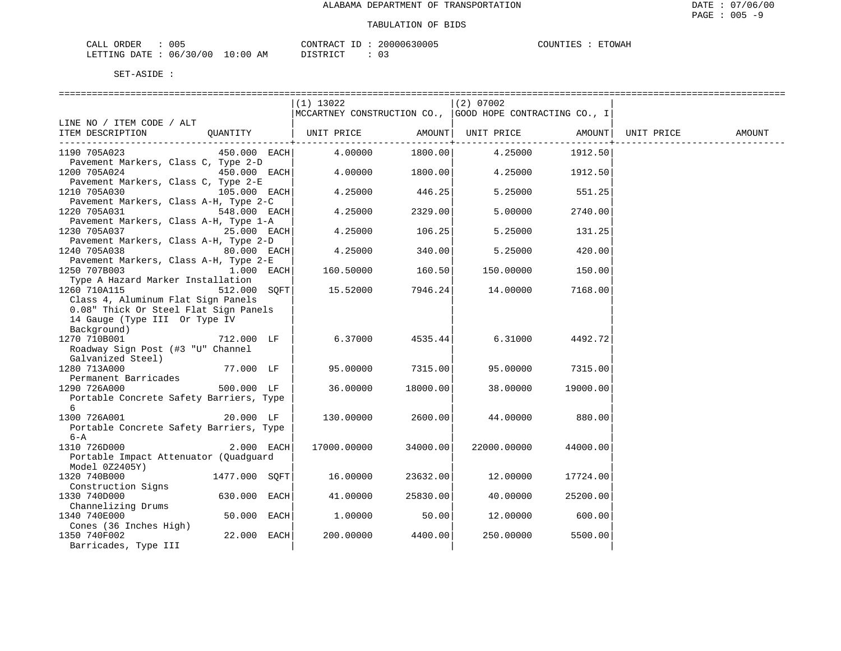| ORDER<br>CALL          | 005 |             | $- -$<br>CONTRACT | 20000630005 | $\gamma$ רידאדזר | <b>ETOWAH</b> |
|------------------------|-----|-------------|-------------------|-------------|------------------|---------------|
| LETTING DATE: 06/30/00 |     | 10:00<br>ΆM | חי חים דר         |             |                  |               |

|                                                                      | (1) 13022   |               | $(2)$ 07002                                              |          |            |        |
|----------------------------------------------------------------------|-------------|---------------|----------------------------------------------------------|----------|------------|--------|
|                                                                      |             |               | MCCARTNEY CONSTRUCTION CO., GOOD HOPE CONTRACTING CO., I |          |            |        |
| LINE NO / ITEM CODE / ALT                                            |             |               |                                                          |          |            |        |
| ITEM DESCRIPTION<br>OUANTITY                                         | UNIT PRICE  | ----------+-- | AMOUNT  UNIT PRICE                                       | AMOUNT   | UNIT PRICE | AMOUNT |
| 1190 705A023<br>450.000 EACH                                         | 4.00000     | 1800.00       | 4.25000                                                  | 1912.50  |            |        |
| Pavement Markers, Class C, Type 2-D                                  |             |               |                                                          |          |            |        |
| 1200 705A024<br>450.000 EACH                                         | 4,00000     | 1800.00       | 4.25000                                                  | 1912.50  |            |        |
| Pavement Markers, Class C, Type 2-E                                  |             |               |                                                          |          |            |        |
| 1210 705A030<br>105.000 EACH                                         | 4.25000     | 446.25        | 5.25000                                                  | 551.25   |            |        |
| Pavement Markers, Class A-H, Type 2-C                                |             |               |                                                          |          |            |        |
| 1220 705A031<br>548.000 EACH                                         | 4.25000     | 2329.00       | 5.00000                                                  | 2740.00  |            |        |
| Pavement Markers, Class A-H, Type 1-A                                |             |               |                                                          |          |            |        |
| 1230 705A037<br>$25.000$ EACH                                        | 4.25000     | 106.25        | 5.25000                                                  | 131.25   |            |        |
| Pavement Markers, Class A-H, Type 2-D<br>1240 705A038<br>80.000 EACH | 4.25000     | 340.00        | 5.25000                                                  | 420.00   |            |        |
| Pavement Markers, Class A-H, Type 2-E                                |             |               |                                                          |          |            |        |
| 1250 707B003<br>1.000 EACH                                           | 160.50000   | 160.50        | 150.00000                                                | 150.00   |            |        |
| Type A Hazard Marker Installation                                    |             |               |                                                          |          |            |        |
| 1260 710A115<br>512.000 SOFT                                         | 15.52000    | 7946.24       | 14.00000                                                 | 7168.00  |            |        |
| Class 4, Aluminum Flat Sign Panels                                   |             |               |                                                          |          |            |        |
| 0.08" Thick Or Steel Flat Sign Panels                                |             |               |                                                          |          |            |        |
| 14 Gauge (Type III Or Type IV                                        |             |               |                                                          |          |            |        |
| Background)                                                          |             |               |                                                          |          |            |        |
| 1270 710B001<br>712.000 LF                                           | 6.37000     | 4535.44       | 6.31000                                                  | 4492.72  |            |        |
| Roadway Sign Post (#3 "U" Channel                                    |             |               |                                                          |          |            |        |
| Galvanized Steel)                                                    |             |               |                                                          |          |            |        |
| 1280 713A000<br>77.000 LF<br>Permanent Barricades                    | 95.00000    | 7315.00       | 95.00000                                                 | 7315.00  |            |        |
| 500.000 LF<br>1290 726A000                                           | 36.00000    | 18000.00      | 38,00000                                                 | 19000.00 |            |        |
| Portable Concrete Safety Barriers, Type                              |             |               |                                                          |          |            |        |
| 6                                                                    |             |               |                                                          |          |            |        |
| 1300 726A001<br>20.000 LF                                            | 130.00000   | 2600.00       | 44.00000                                                 | 880.00   |            |        |
| Portable Concrete Safety Barriers, Type                              |             |               |                                                          |          |            |        |
| $6 - A$                                                              |             |               |                                                          |          |            |        |
| 1310 726D000<br>2.000 EACH                                           | 17000.00000 | 34000.00      | 22000.00000                                              | 44000.00 |            |        |
| Portable Impact Attenuator (Quadquard                                |             |               |                                                          |          |            |        |
| Model 0Z2405Y)                                                       |             |               |                                                          |          |            |        |
| 1320 740B000<br>1477.000 SOFT                                        | 16.00000    | 23632.00      | 12.00000                                                 | 17724.00 |            |        |
| Construction Signs<br>630.000 EACH<br>1330 740D000                   | 41.00000    | 25830.00      | 40.00000                                                 | 25200.00 |            |        |
| Channelizing Drums                                                   |             |               |                                                          |          |            |        |
| 1340 740E000<br>50.000 EACH                                          | 1,00000     | 50.00         | 12.00000                                                 | 600.00   |            |        |
| Cones (36 Inches High)                                               |             |               |                                                          |          |            |        |
| 22.000 EACH<br>1350 740F002                                          | 200,00000   | 4400.00       | 250.00000                                                | 5500.00  |            |        |
| Barricades, Type III                                                 |             |               |                                                          |          |            |        |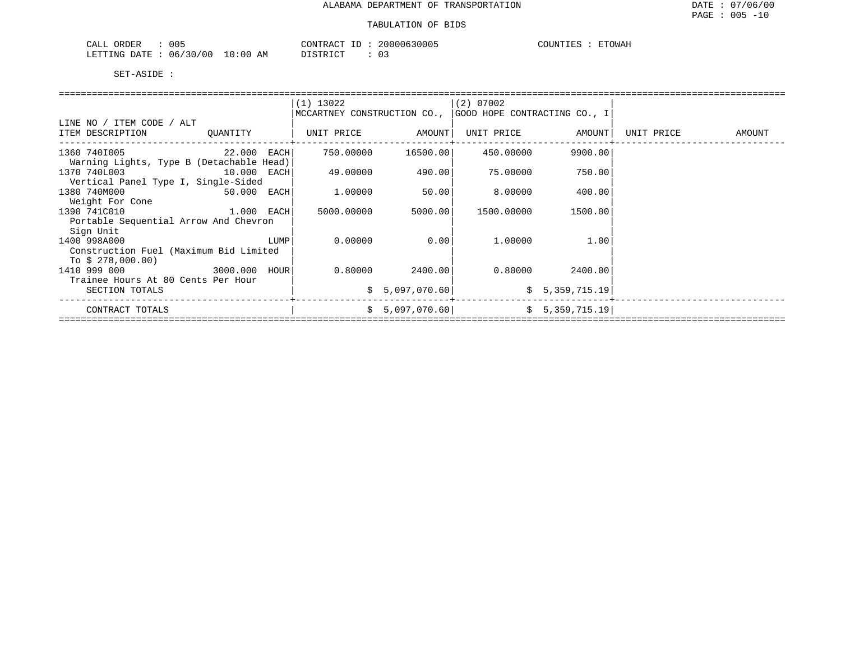| 005<br>ORDER<br>۰Δ.                                                                 | 20000630005<br>$+RAC$<br>$\lambda$ JIV $\lambda$ | <b>COUNTIES</b><br>ETOWAH |
|-------------------------------------------------------------------------------------|--------------------------------------------------|---------------------------|
| 06/30/00<br>:00<br><b>DECEMBER</b><br>$\Omega$<br>DATE.<br>TR.L.T.TMC.<br>$N1 \div$ | דים דמידי פידי<br>AΜ                             |                           |

|                                          |               |      | $(1)$ 13022<br>MCCARTNEY CONSTRUCTION CO., |                 | $(2)$ 07002<br>GOOD HOPE CONTRACTING CO., I |                 |            |        |
|------------------------------------------|---------------|------|--------------------------------------------|-----------------|---------------------------------------------|-----------------|------------|--------|
| LINE NO / ITEM CODE / ALT                |               |      |                                            |                 |                                             |                 |            |        |
| ITEM DESCRIPTION                         | QUANTITY      |      | UNIT PRICE                                 | AMOUNT          | UNIT PRICE                                  | AMOUNT          | UNIT PRICE | AMOUNT |
| 1360 7401005                             | $22.000$ EACH |      | 750.00000                                  | 16500.00        | 450.00000                                   | 9900.00         |            |        |
| Warning Lights, Type B (Detachable Head) |               |      |                                            |                 |                                             |                 |            |        |
| 1370 740L003                             | 10.000 EACH   |      | 49.00000                                   | 490.00          | 75.00000                                    | 750.00          |            |        |
| Vertical Panel Type I, Single-Sided      |               |      |                                            |                 |                                             |                 |            |        |
| 1380 740M000                             | 50.000 EACH   |      | 1.00000                                    | 50.00           | 8.00000                                     | 400.00          |            |        |
| Weight For Cone                          |               |      |                                            |                 |                                             |                 |            |        |
| 1390 741C010                             | $1.000$ EACH  |      | 5000.00000                                 | 5000.00         | 1500.00000                                  | 1500.00         |            |        |
| Portable Sequential Arrow And Chevron    |               |      |                                            |                 |                                             |                 |            |        |
| Sign Unit                                |               |      |                                            |                 |                                             |                 |            |        |
| 1400 998A000                             |               | LUMP | 0.00000                                    | 0.00            | 1,00000                                     | 1.00            |            |        |
| Construction Fuel (Maximum Bid Limited   |               |      |                                            |                 |                                             |                 |            |        |
| To $$278,000.00)$                        |               |      |                                            |                 |                                             |                 |            |        |
| 1410 999 000                             | 3000.000 HOUR |      | 0.80000                                    | 2400.00         | 0.80000                                     | 2400.00         |            |        |
| Trainee Hours At 80 Cents Per Hour       |               |      |                                            |                 |                                             |                 |            |        |
| SECTION TOTALS                           |               |      |                                            | \$5,097,070.60  |                                             | \$5,359,715.19  |            |        |
| CONTRACT TOTALS                          |               |      |                                            | \$5,097,070.60] |                                             | \$5,359,715.19] |            |        |
|                                          |               |      |                                            |                 |                                             |                 |            |        |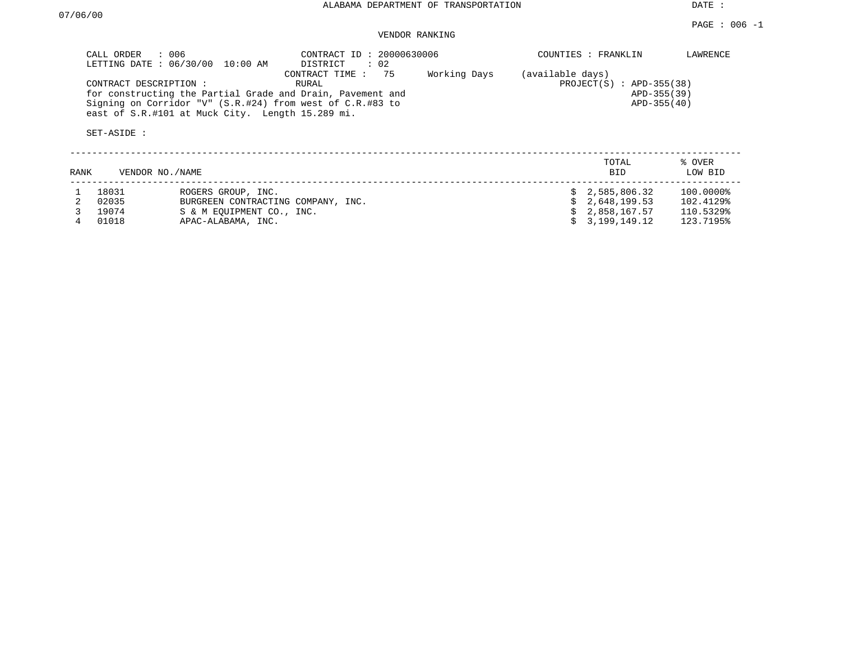DATE :

# VENDOR RANKING

|      | CALL ORDER<br>: 006<br>LETTING DATE: 06/30/00 | 10:00 AM                                         | CONTRACT ID: 20000630006<br>DISTRICT<br>$\therefore$ 02                                                                                                     |              |                  | COUNTIES : FRANKLIN                                      | LAWRENCE          |
|------|-----------------------------------------------|--------------------------------------------------|-------------------------------------------------------------------------------------------------------------------------------------------------------------|--------------|------------------|----------------------------------------------------------|-------------------|
|      | CONTRACT DESCRIPTION :<br>SET-ASIDE :         | east of S.R.#101 at Muck City. Length 15.289 mi. | CONTRACT TIME: 75<br>RURAL<br>for constructing the Partial Grade and Drain, Pavement and<br>Signing on Corridor "V" $(S.R. #24)$ from west of $C.R. #83$ to | Working Days | (available days) | $PROJECT(S)$ : APD-355(38)<br>APD-355(39)<br>APD-355(40) |                   |
| RANK | VENDOR NO. / NAME                             |                                                  |                                                                                                                                                             |              |                  | TOTAL<br><b>BID</b>                                      | % OVER<br>LOW BID |
|      | 18031                                         | ROGERS GROUP, INC.                               |                                                                                                                                                             |              |                  | \$2,585,806.32                                           | 100.0000%         |
|      | 02035                                         | BURGREEN CONTRACTING COMPANY, INC.               |                                                                                                                                                             |              |                  | 2,648,199.53                                             | 102.4129%         |
|      | 19074                                         | S & M EOUIPMENT CO., INC.                        |                                                                                                                                                             |              |                  | 2,858,167.57                                             | 110.5329%         |
|      | 01018                                         | APAC-ALABAMA, INC.                               |                                                                                                                                                             |              |                  | 3,199,149.12                                             | 123.7195%         |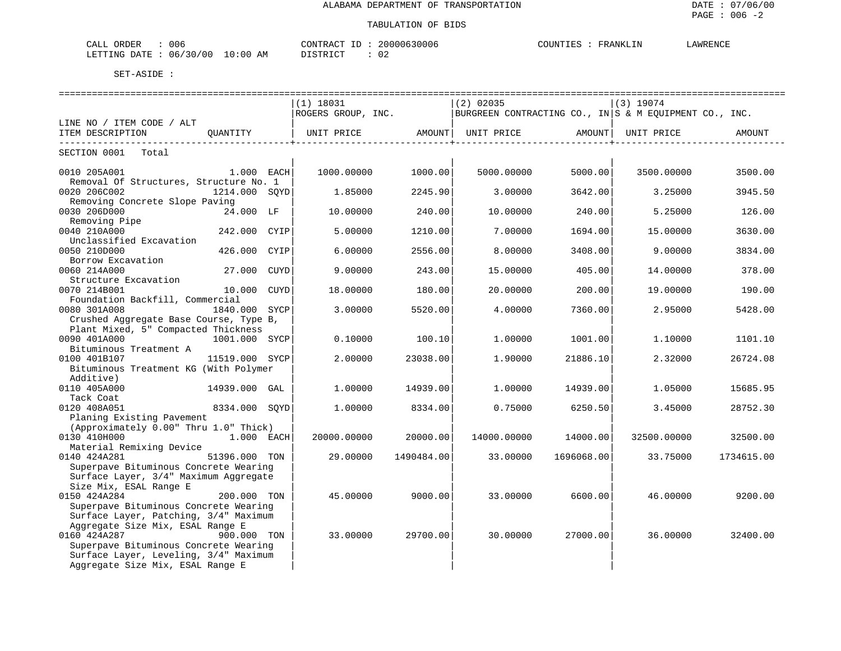| 006<br>CALL<br>ORDER                   | 20000630006<br>CONTRACT<br>TD. | COUNT<br>r RANKLIN | <b>AWRENCF</b> |
|----------------------------------------|--------------------------------|--------------------|----------------|
| 06/30/00<br>$10:00$ AM<br>LETTING DATE | חימת דאידי את                  |                    |                |

|                                        |                | $(1)$ 18031                                                                         |            | $(2)$ 02035 |                      | $(3)$ 19074 |            |
|----------------------------------------|----------------|-------------------------------------------------------------------------------------|------------|-------------|----------------------|-------------|------------|
|                                        |                | ROGERS GROUP, INC. $\vert$ BURGREEN CONTRACTING CO., IN S & M EQUIPMENT CO., INC.   |            |             |                      |             |            |
| LINE NO / ITEM CODE / ALT              |                |                                                                                     |            |             |                      |             |            |
| ITEM DESCRIPTION QUANTITY              |                | UNIT PRICE                AMOUNT    UNIT PRICE                 AMOUNT    UNIT PRICE |            |             |                      |             | AMOUNT     |
| SECTION 0001 Total                     |                |                                                                                     |            |             | -------------------+ |             |            |
|                                        |                |                                                                                     |            |             |                      |             |            |
| 0010 205A001 1.000 EACH                |                | 1000.00000                                                                          | 1000.00    | 5000.00000  | 5000.00              | 3500.00000  | 3500.00    |
| Removal Of Structures, Structure No. 1 |                |                                                                                     |            |             |                      |             |            |
| 0020 206C002                           | 1214.000 SOYD  | 1.85000                                                                             | 2245.90    | 3,00000     | 3642.00              | 3.25000     | 3945.50    |
| Removing Concrete Slope Paving         |                |                                                                                     |            |             |                      |             |            |
| 0030 206D000                           | 24.000 LF      | 10,00000                                                                            | 240.00     | 10.00000    | 240.00               | 5.25000     | 126.00     |
| Removing Pipe                          |                |                                                                                     |            |             |                      |             |            |
| 0040 210A000                           | 242.000 CYIP   | 5.00000                                                                             | 1210.00    | 7.00000     | 1694.00              | 15.00000    | 3630.00    |
| Unclassified Excavation                |                |                                                                                     |            |             |                      |             |            |
| 0050 210D000                           | 426.000 CYIP   | 6.00000                                                                             | 2556.00    | 8.00000     | 3408.00              | 9.00000     | 3834.00    |
| Borrow Excavation                      |                |                                                                                     |            |             |                      |             |            |
| 0060 214A000                           | 27.000 CUYD    | 9,00000                                                                             | 243.00     | 15,00000    | 405.00               | 14.00000    | 378.00     |
| Structure Excavation                   |                |                                                                                     |            |             |                      |             |            |
| 0070 214B001                           | 10.000 CUYD    | 18.00000                                                                            | 180.00     | 20.00000    | 200.00               | 19.00000    | 190.00     |
| Foundation Backfill, Commercial        |                |                                                                                     |            |             |                      |             |            |
| 0080 301A008                           | 1840.000 SYCP  | 3.00000                                                                             | 5520.00    | 4.00000     | 7360.00              | 2.95000     | 5428.00    |
| Crushed Aggregate Base Course, Type B, |                |                                                                                     |            |             |                      |             |            |
| Plant Mixed, 5" Compacted Thickness    |                |                                                                                     |            |             |                      |             |            |
| 0090 401A000                           | 1001.000 SYCP  | 0.10000                                                                             | 100.10     | 1,00000     | 1001.00              | 1,10000     | 1101.10    |
| Bituminous Treatment A                 |                |                                                                                     |            |             |                      |             |            |
| 0100 401B107                           | 11519.000 SYCP | 2.00000                                                                             | 23038.00   | 1,90000     | 21886.10             | 2.32000     | 26724.08   |
| Bituminous Treatment KG (With Polymer  |                |                                                                                     |            |             |                      |             |            |
| Additive)                              |                |                                                                                     |            |             |                      |             |            |
| 0110 405A000                           | 14939.000 GAL  | 1,00000                                                                             | 14939.00   | 1,00000     | 14939.00             | 1.05000     | 15685.95   |
| Tack Coat                              |                |                                                                                     |            |             |                      |             |            |
| 0120 408A051                           | 8334.000 SOYD  | 1,00000                                                                             | 8334.00    | 0.75000     | 6250.50              | 3.45000     | 28752.30   |
| Planing Existing Pavement              |                |                                                                                     |            |             |                      |             |            |
| (Approximately 0.00" Thru 1.0" Thick)  |                |                                                                                     |            |             |                      |             |            |
| 0130 410H000                           | 1.000 EACH     | 20000.00000                                                                         | 20000.00   | 14000.00000 | 14000.00             | 32500.00000 | 32500.00   |
| Material Remixing Device               |                |                                                                                     |            |             |                      |             |            |
| 0140 424A281                           | 51396.000 TON  | 29,00000                                                                            | 1490484.00 | 33.00000    | 1696068.00           | 33.75000    | 1734615.00 |
| Superpave Bituminous Concrete Wearing  |                |                                                                                     |            |             |                      |             |            |
| Surface Layer, 3/4" Maximum Aggregate  |                |                                                                                     |            |             |                      |             |            |
| Size Mix, ESAL Range E                 |                |                                                                                     |            |             |                      |             |            |
| 0150 424A284                           | 200.000 TON    | 45.00000                                                                            | 9000.00    | 33,00000    | 6600.00              | 46.00000    | 9200.00    |
| Superpave Bituminous Concrete Wearing  |                |                                                                                     |            |             |                      |             |            |
| Surface Layer, Patching, 3/4" Maximum  |                |                                                                                     |            |             |                      |             |            |
|                                        |                |                                                                                     |            |             |                      |             |            |
| Aggregate Size Mix, ESAL Range E       |                |                                                                                     |            |             |                      |             |            |
| 0160 424A287                           | 900.000 TON    | 33.00000                                                                            | 29700.00   | 30.00000    | 27000.00             | 36.00000    | 32400.00   |
| Superpave Bituminous Concrete Wearing  |                |                                                                                     |            |             |                      |             |            |
| Surface Layer, Leveling, 3/4" Maximum  |                |                                                                                     |            |             |                      |             |            |
| Aggregate Size Mix, ESAL Range E       |                |                                                                                     |            |             |                      |             |            |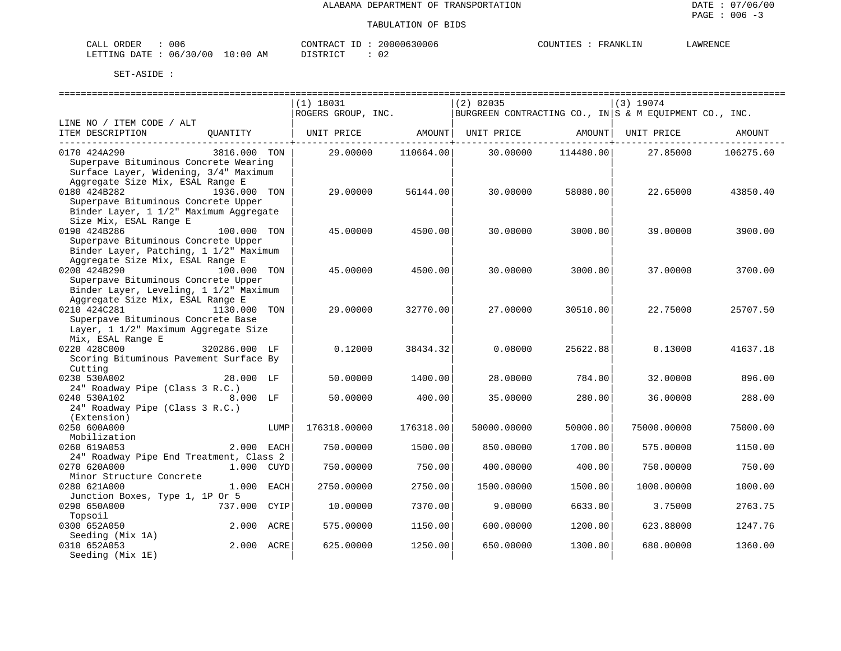| 006<br>CALI<br>$\cap$ $\cap$ $\cap$ $\cap$<br>◝                                                                                                            | תידור∩ר<br>، ∡ ⊿ י                       | - 1 | 20000630006   | COUNTIF<br><b>KANALI</b> | AWRENCI |
|------------------------------------------------------------------------------------------------------------------------------------------------------------|------------------------------------------|-----|---------------|--------------------------|---------|
| .ETTTNG<br><b>DATF</b><br>130/00<br>06/<br>the contract of the contract of the contract of the contract of the contract of the contract of the contract of | L O<br>AΜ<br>ി (<br>$\sim$ $\sim$ $\sim$ |     | . .<br>$\cup$ |                          |         |

|                                                                                                                                    |               |      | $(1)$ 18031        |           | $(2)$ 02035                                            |           | (3) 19074   |           |
|------------------------------------------------------------------------------------------------------------------------------------|---------------|------|--------------------|-----------|--------------------------------------------------------|-----------|-------------|-----------|
|                                                                                                                                    |               |      | ROGERS GROUP, INC. |           | BURGREEN CONTRACTING CO., IN S & M EQUIPMENT CO., INC. |           |             |           |
| LINE NO / ITEM CODE / ALT<br>ITEM DESCRIPTION                                                                                      | OUANTITY      |      | UNIT PRICE         | AMOUNT    | UNIT PRICE                                             | AMOUNT    | UNIT PRICE  | AMOUNT    |
| 0170 424A290<br>Superpave Bituminous Concrete Wearing<br>Surface Layer, Widening, 3/4" Maximum<br>Aggregate Size Mix, ESAL Range E | 3816.000 TON  |      | 29.00000           | 110664.00 | 30.00000                                               | 114480.00 | 27.85000    | 106275.60 |
| 0180 424B282<br>Superpave Bituminous Concrete Upper<br>Binder Layer, 1 1/2" Maximum Aggregate<br>Size Mix, ESAL Range E            | 1936.000 TON  |      | 29.00000           | 56144.00  | 30.00000                                               | 58080.00  | 22.65000    | 43850.40  |
| 0190 424B286<br>Superpave Bituminous Concrete Upper<br>Binder Layer, Patching, 1 1/2" Maximum<br>Aggregate Size Mix, ESAL Range E  | 100.000 TON   |      | 45.00000           | 4500.00   | 30.00000                                               | 3000.00   | 39.00000    | 3900.00   |
| 0200 424B290<br>Superpave Bituminous Concrete Upper<br>Binder Layer, Leveling, 1 1/2" Maximum                                      | 100.000 TON   |      | 45.00000           | 4500.00   | 30,00000                                               | 3000.00   | 37.00000    | 3700.00   |
| Aggregate Size Mix, ESAL Range E<br>0210 424C281<br>Superpave Bituminous Concrete Base<br>Layer, 1 1/2" Maximum Aggregate Size     | 1130.000 TON  |      | 29.00000           | 32770.00  | 27.00000                                               | 30510.00  | 22.75000    | 25707.50  |
| Mix, ESAL Range E<br>0220 428C000<br>Scoring Bituminous Pavement Surface By<br>Cutting                                             | 320286.000 LF |      | 0.12000            | 38434.32  | 0.08000                                                | 25622.88  | 0.13000     | 41637.18  |
| 0230 530A002<br>24" Roadway Pipe (Class 3 R.C.)                                                                                    | 28.000 LF     |      | 50.00000           | 1400.00   | 28,00000                                               | 784.00    | 32,00000    | 896.00    |
| 0240 530A102<br>24" Roadway Pipe (Class 3 R.C.)<br>(Extension)                                                                     | $8.000$ LF    |      | 50.00000           | 400.00    | 35.00000                                               | 280.00    | 36.00000    | 288.00    |
| 0250 600A000<br>Mobilization                                                                                                       |               | LUMP | 176318.00000       | 176318.00 | 50000.00000                                            | 50000.00  | 75000.00000 | 75000.00  |
| 0260 619A053<br>24" Roadway Pipe End Treatment, Class 2                                                                            | 2.000 EACH    |      | 750.00000          | 1500.00   | 850.00000                                              | 1700.00   | 575.00000   | 1150.00   |
| 0270 620A000<br>Minor Structure Concrete                                                                                           | 1.000 CUYD    |      | 750.00000          | 750.00    | 400.00000                                              | 400.00    | 750.00000   | 750.00    |
| 0280 621A000<br>Junction Boxes, Type 1, 1P Or 5                                                                                    | 1.000 EACH    |      | 2750.00000         | 2750.00   | 1500.00000                                             | 1500.00   | 1000.00000  | 1000.00   |
| 0290 650A000<br>Topsoil                                                                                                            | 737.000 CYIP  |      | 10.00000           | 7370.00   | 9.00000                                                | 6633.00   | 3.75000     | 2763.75   |
| 0300 652A050<br>Seeding (Mix 1A)                                                                                                   | 2.000 ACRE    |      | 575.00000          | 1150.00   | 600.00000                                              | 1200.00   | 623.88000   | 1247.76   |
| 0310 652A053<br>Seeding (Mix 1E)                                                                                                   | 2.000 ACRE    |      | 625.00000          | 1250.00   | 650.00000                                              | 1300.00   | 680.00000   | 1360.00   |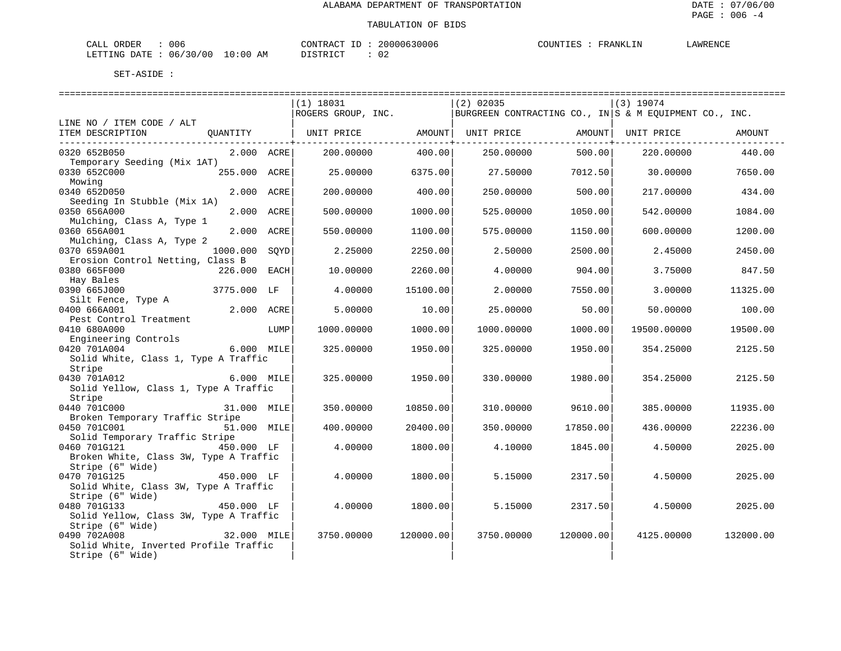| 006<br>ORDER<br>CALL                    | 20000630006<br>CONTRACT<br>TD. | COUNTIE<br>FRANKLIN<br>- H.S | LAWRENCE |
|-----------------------------------------|--------------------------------|------------------------------|----------|
| 06/30/00<br>LETTING DATE<br>10:00<br>AM | ידי איד פידי פור               |                              |          |

|                                        |                |      | $(1)$ 18031        |           | $(2)$ 02035                                            |                      | $(3)$ 19074        |           |
|----------------------------------------|----------------|------|--------------------|-----------|--------------------------------------------------------|----------------------|--------------------|-----------|
|                                        |                |      | ROGERS GROUP, INC. |           | BURGREEN CONTRACTING CO., IN S & M EQUIPMENT CO., INC. |                      |                    |           |
| LINE NO / ITEM CODE / ALT              |                |      |                    |           |                                                        |                      |                    |           |
|                                        |                |      |                    |           |                                                        |                      | AMOUNT  UNIT PRICE | AMOUNT    |
|                                        |                |      |                    |           |                                                        | ------------------+- |                    |           |
| 0320 652B050                           | $2.000$ $ACRE$ |      | 200.00000          | 400.00    | 250.00000                                              | 500.00               | 220.00000          | 440.00    |
| Temporary Seeding (Mix 1AT)            |                |      |                    |           |                                                        |                      |                    |           |
| 0330 652C000                           | 255.000 ACRE   |      | 25.00000           | 6375.00   | 27.50000                                               | 7012.50              | 30.00000           | 7650.00   |
| Mowing                                 |                |      |                    |           |                                                        |                      |                    |           |
| 0340 652D050                           | 2.000 ACRE     |      | 200.00000          | 400.00    | 250.00000                                              | 500.00               | 217.00000          | 434.00    |
| Seeding In Stubble (Mix 1A)            |                |      |                    |           |                                                        |                      |                    |           |
| 0350 656A000                           | 2.000 ACRE     |      | 500.00000          | 1000.00   | 525.00000                                              | 1050.00              | 542.00000          | 1084.00   |
|                                        |                |      |                    |           |                                                        |                      |                    |           |
| Mulching, Class A, Type 1              | 2.000 ACRE     |      |                    |           |                                                        |                      |                    |           |
| 0360 656A001                           |                |      | 550.00000          | 1100.00   | 575.00000                                              | 1150.00              | 600.00000          | 1200.00   |
| Mulching, Class A, Type 2              |                |      |                    |           |                                                        |                      |                    |           |
| 0370 659A001                           | 1000.000       | SOYD | 2.25000            | 2250.00   | 2.50000                                                | 2500.00              | 2.45000            | 2450.00   |
| Erosion Control Netting, Class B       |                |      |                    |           |                                                        |                      |                    |           |
| 0380 665F000                           | 226.000 EACH   |      | 10.00000           | 2260.00   | 4.00000                                                | 904.00               | 3.75000            | 847.50    |
| Hay Bales                              |                |      |                    |           |                                                        |                      |                    |           |
| 0390 665J000                           | 3775.000 LF    |      | 4.00000            | 15100.00  | 2.00000                                                | 7550.00              | 3,00000            | 11325.00  |
| Silt Fence, Type A                     |                |      |                    |           |                                                        |                      |                    |           |
| 0400 666A001                           | 2.000 ACRE     |      | 5.00000            | 10.00     | 25.00000                                               | 50.00                | 50.00000           | 100.00    |
| Pest Control Treatment                 |                |      |                    |           |                                                        |                      |                    |           |
| 0410 680A000                           |                | LUMP | 1000.00000         | 1000.00   | 1000.00000                                             | 1000.00              | 19500.00000        | 19500.00  |
| Engineering Controls                   |                |      |                    |           |                                                        |                      |                    |           |
| 0420 701A004                           | 6.000 MILE     |      | 325.00000          | 1950.00   | 325.00000                                              | 1950.00              | 354.25000          | 2125.50   |
| Solid White, Class 1, Type A Traffic   |                |      |                    |           |                                                        |                      |                    |           |
| Stripe                                 |                |      |                    |           |                                                        |                      |                    |           |
| 0430 701A012                           | 6.000 MILE     |      | 325,00000          | 1950.00   | 330.00000                                              | 1980.00              | 354.25000          | 2125.50   |
| Solid Yellow, Class 1, Type A Traffic  |                |      |                    |           |                                                        |                      |                    |           |
| Stripe                                 |                |      |                    |           |                                                        |                      |                    |           |
| 0440 701C000                           | 31.000 MILE    |      | 350.00000          | 10850.00  | 310.00000                                              | 9610.00              | 385,00000          | 11935.00  |
| Broken Temporary Traffic Stripe        |                |      |                    |           |                                                        |                      |                    |           |
| 0450 701C001                           | 51.000 MILE    |      | 400.00000          | 20400.00  | 350.00000                                              | 17850.00             | 436.00000          | 22236.00  |
| Solid Temporary Traffic Stripe         |                |      |                    |           |                                                        |                      |                    |           |
| 0460 701G121                           | 450.000 LF     |      | 4,00000            | 1800.00   | 4.10000                                                | 1845.00              | 4.50000            | 2025.00   |
| Broken White, Class 3W, Type A Traffic |                |      |                    |           |                                                        |                      |                    |           |
| Stripe (6" Wide)                       |                |      |                    |           |                                                        |                      |                    |           |
| 0470 701G125                           | 450.000 LF     |      | 4.00000            | 1800.00   | 5.15000                                                | 2317.50              | 4.50000            | 2025.00   |
| Solid White, Class 3W, Type A Traffic  |                |      |                    |           |                                                        |                      |                    |           |
| Stripe (6" Wide)                       |                |      |                    |           |                                                        |                      |                    |           |
| 0480 701G133                           | 450.000 LF     |      |                    |           |                                                        |                      |                    |           |
|                                        |                |      | 4.00000            | 1800.00   | 5.15000                                                | 2317.50              | 4.50000            | 2025.00   |
| Solid Yellow, Class 3W, Type A Traffic |                |      |                    |           |                                                        |                      |                    |           |
| Stripe (6" Wide)                       |                |      |                    |           |                                                        |                      |                    |           |
| 0490 702A008                           | 32.000 MILE    |      | 3750.00000         | 120000.00 | 3750.00000                                             | 120000.00            | 4125,00000         | 132000.00 |
| Solid White, Inverted Profile Traffic  |                |      |                    |           |                                                        |                      |                    |           |
| Stripe (6" Wide)                       |                |      |                    |           |                                                        |                      |                    |           |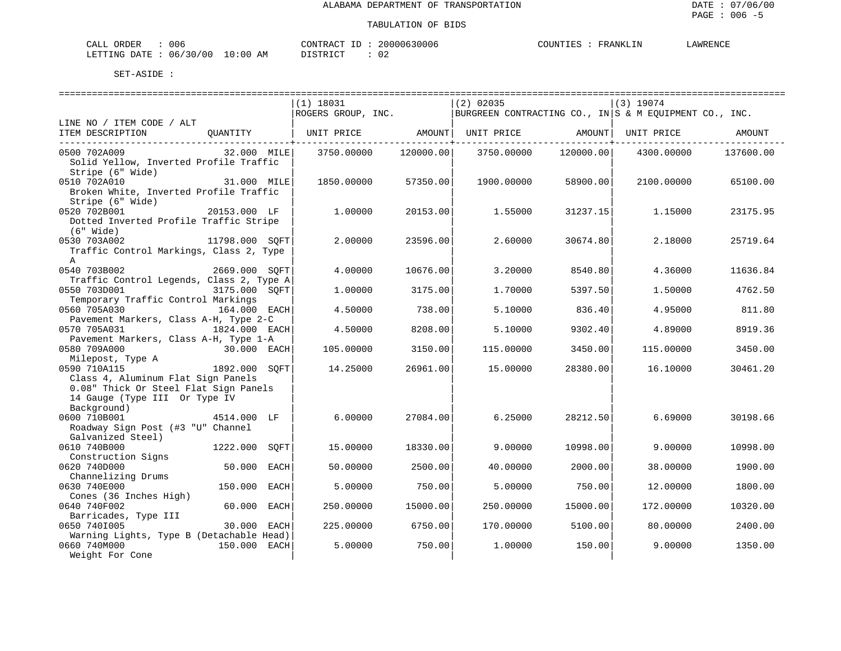| 006<br>$7\lambda$<br>ORDEE                           | ידת∩י<br>nnnne<br>100 G<br>111      | WRENCE<br>ົ⊔'<br>ANK<br>IN.<br>$\overline{ }$ |
|------------------------------------------------------|-------------------------------------|-----------------------------------------------|
| 700.<br>״יד∆ו<br>T NIG<br>) : 00<br>06<br>-511<br>Aľ | $\alpha$ mn $\tau$ $\alpha$ m<br>◡▵ |                                               |

|                                                                              |                |      | $(1)$ 18031                                                                             |           | $(2)$ 02035 |           | (3) 19074  |           |
|------------------------------------------------------------------------------|----------------|------|-----------------------------------------------------------------------------------------|-----------|-------------|-----------|------------|-----------|
|                                                                              |                |      | ROGERS GROUP, INC. $ E $ burgreen contracting co., in $ S \times M$ equipment co., inc. |           |             |           |            |           |
| LINE NO / ITEM CODE / ALT                                                    |                |      |                                                                                         |           |             |           |            |           |
| ITEM DESCRIPTION QUANTITY   UNIT PRICE AMOUNT  UNIT PRICE AMOUNT  UNIT PRICE |                |      |                                                                                         |           |             |           |            | AMOUNT    |
|                                                                              |                |      |                                                                                         |           |             |           |            |           |
| 0500 702A009                                                                 | 32.000 MILE    |      | 3750.00000                                                                              | 120000.00 | 3750.00000  | 120000.00 | 4300.00000 | 137600.00 |
| Solid Yellow, Inverted Profile Traffic                                       |                |      |                                                                                         |           |             |           |            |           |
| Stripe (6" Wide)                                                             | 31.000 MILE    |      |                                                                                         |           |             |           |            |           |
| 0510 702A010                                                                 |                |      | 1850.00000                                                                              | 57350.00  | 1900.00000  | 58900.00  | 2100.00000 | 65100.00  |
| Broken White, Inverted Profile Traffic                                       |                |      |                                                                                         |           |             |           |            |           |
| Stripe (6" Wide)                                                             |                |      |                                                                                         |           |             |           |            |           |
| 0520 702B001                                                                 | 20153.000 LF   |      | 1,00000                                                                                 | 20153.00  | 1,55000     | 31237.15  | 1.15000    | 23175.95  |
| Dotted Inverted Profile Traffic Stripe                                       |                |      |                                                                                         |           |             |           |            |           |
| (6" Wide)                                                                    |                |      |                                                                                         |           |             |           |            |           |
| 0530 703A002                                                                 | 11798.000 SOFT |      | 2.00000                                                                                 | 23596.00  | 2.60000     | 30674.80  | 2.18000    | 25719.64  |
| Traffic Control Markings, Class 2, Type                                      |                |      |                                                                                         |           |             |           |            |           |
| $\mathsf{A}$                                                                 |                |      |                                                                                         |           |             |           |            |           |
| 2669.000 SQFT<br>0540 703B002                                                |                |      | 4,00000                                                                                 | 10676.00  | 3.20000     | 8540.80   | 4.36000    | 11636.84  |
| Traffic Control Legends, Class 2, Type A                                     |                |      |                                                                                         |           |             |           |            |           |
| 0550 703D001                                                                 | 3175.000 SOFT  |      | 1,00000                                                                                 | 3175.00   | 1,70000     | 5397.50   | 1,50000    | 4762.50   |
| Temporary Traffic Control Markings                                           |                |      |                                                                                         |           |             |           |            |           |
| 0560 705A030                                                                 | 164.000 EACH   |      | 4.50000                                                                                 | 738.00    | 5.10000     | 836.40    | 4.95000    | 811.80    |
| Pavement Markers, Class A-H, Type 2-C                                        |                |      |                                                                                         |           |             |           |            |           |
| 0570 705A031<br>1824.000 EACH                                                |                |      | 4.50000                                                                                 | 8208.00   | 5.10000     | 9302.40   | 4.89000    | 8919.36   |
| Pavement Markers, Class A-H, Type 1-A                                        |                |      |                                                                                         |           |             |           |            |           |
| 0580 709A000                                                                 | 30.000 EACH    |      | 105.00000                                                                               | 3150.00   | 115.00000   | 3450.00   | 115.00000  | 3450.00   |
| Milepost, Type A                                                             |                |      |                                                                                         |           |             |           |            |           |
| $1892.000$ SQFT<br>0590 710A115                                              |                |      | 14.25000                                                                                | 26961.00  | 15,00000    | 28380.00  | 16.10000   | 30461.20  |
| Class 4, Aluminum Flat Sign Panels                                           |                |      |                                                                                         |           |             |           |            |           |
| 0.08" Thick Or Steel Flat Sign Panels                                        |                |      |                                                                                         |           |             |           |            |           |
| 14 Gauge (Type III Or Type IV                                                |                |      |                                                                                         |           |             |           |            |           |
| Background)                                                                  |                |      |                                                                                         |           |             |           |            |           |
| 0600 710B001                                                                 | 4514.000 LF    |      | 6.00000                                                                                 | 27084.00  | 6.25000     | 28212.50  | 6.69000    | 30198.66  |
| Roadway Sign Post (#3 "U" Channel                                            |                |      |                                                                                         |           |             |           |            |           |
| Galvanized Steel)                                                            |                |      |                                                                                         |           |             |           |            |           |
| 0610 740B000                                                                 | 1222.000 SQFT  |      | 15.00000                                                                                | 18330.00  | 9.00000     | 10998.00  | 9.00000    | 10998.00  |
| Construction Signs                                                           |                |      |                                                                                         |           |             |           |            |           |
| 0620 740D000                                                                 | 50.000 EACH    |      | 50.00000                                                                                | 2500.00   | 40.00000    | 2000.00   | 38.00000   | 1900.00   |
| Channelizing Drums                                                           |                |      |                                                                                         |           |             |           |            |           |
| 0630 740E000                                                                 | 150.000 EACH   |      | 5.00000                                                                                 | 750.00    | 5.00000     | 750.00    | 12.00000   | 1800.00   |
| Cones (36 Inches High)                                                       |                |      |                                                                                         |           |             |           |            |           |
| 0640 740F002                                                                 | 60.000         | EACH | 250.00000                                                                               | 15000.00  | 250.00000   | 15000.00  | 172.00000  | 10320.00  |
| Barricades, Type III                                                         |                |      |                                                                                         |           |             |           |            |           |
| 0650 7401005                                                                 | 30.000 EACH    |      | 225,00000                                                                               | 6750.00   | 170.00000   | 5100.00   | 80.00000   | 2400.00   |
| Warning Lights, Type B (Detachable Head)                                     |                |      |                                                                                         |           |             |           |            |           |
| 0660 740M000                                                                 | 150.000 EACH   |      | 5.00000                                                                                 | 750.00    | 1,00000     | 150.00    | 9,00000    | 1350.00   |
| Weight For Cone                                                              |                |      |                                                                                         |           |             |           |            |           |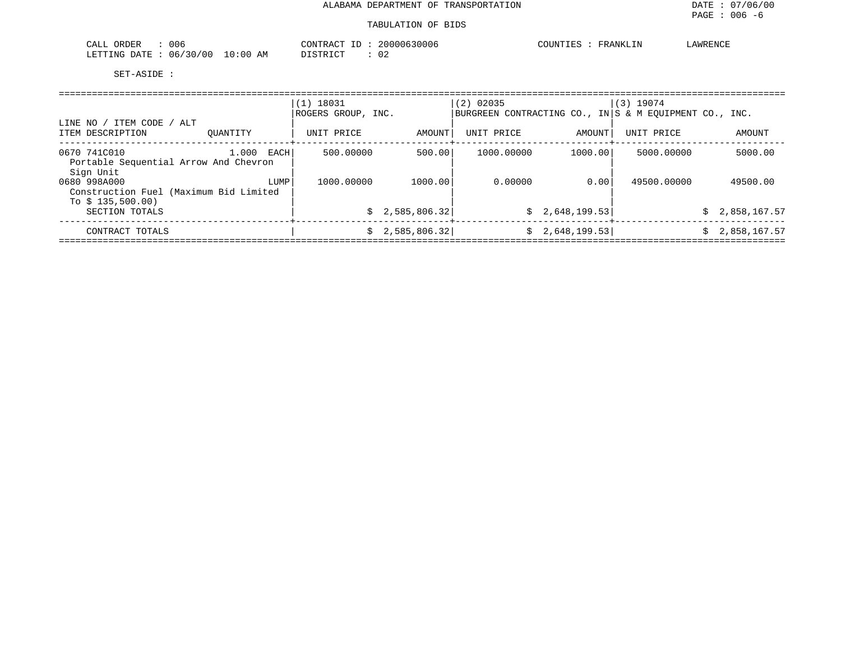| 006<br>$\sim$ $\sim$<br>$\cap$ $\cap$ $\cap$ $\cap$<br>لمسلم<br>UNDEN            | $\gamma$ ONT'h<br>30006<br>ററ<br>$\sqrt{1}$ | COUNT.<br>.<br>′ ∆ I\I K | ∟AWR™ |
|----------------------------------------------------------------------------------|---------------------------------------------|--------------------------|-------|
| LETTING<br>$n \pi r$<br>2 O<br>U6.<br>$\cup$<br>$\pm$ (10)<br>AN<br>$\mathbf{A}$ | ں 20 U                                      |                          |       |

|                                                                              |               | $(1)$ 18031<br>ROGERS GROUP, INC. |                 | $(2)$ 02035 |                 | $(3)$ 19074<br>BURGREEN CONTRACTING CO., IN S & M EOUIPMENT CO., INC. |                |
|------------------------------------------------------------------------------|---------------|-----------------------------------|-----------------|-------------|-----------------|-----------------------------------------------------------------------|----------------|
| ' ITEM CODE<br>/ ALT<br>LINE NO /<br>ITEM DESCRIPTION                        | OUANTITY      | UNIT PRICE                        | AMOUNT          | UNIT PRICE  | AMOUNT          | UNIT PRICE                                                            | AMOUNT         |
| 0670 741C010<br>Portable Sequential Arrow And Chevron<br>Sign Unit           | 1.000<br>EACH | 500.00000                         | 500.00          | 1000.00000  | 1000.00         | 5000.00000                                                            | 5000.00        |
| 0680 998A000<br>Construction Fuel (Maximum Bid Limited<br>To $$135,500.00$ ) | LUMP          | 1000.00000                        | 1000.00         | 0.00000     | 0.001           | 49500.00000                                                           | 49500.00       |
| SECTION TOTALS                                                               |               |                                   | \$2,585,806.32] |             | \$2,648,199.53] |                                                                       | \$2,858,167.57 |
| CONTRACT TOTALS                                                              |               |                                   | \$2,585,806.32] |             | \$2,648,199.53] |                                                                       | \$2,858,167.57 |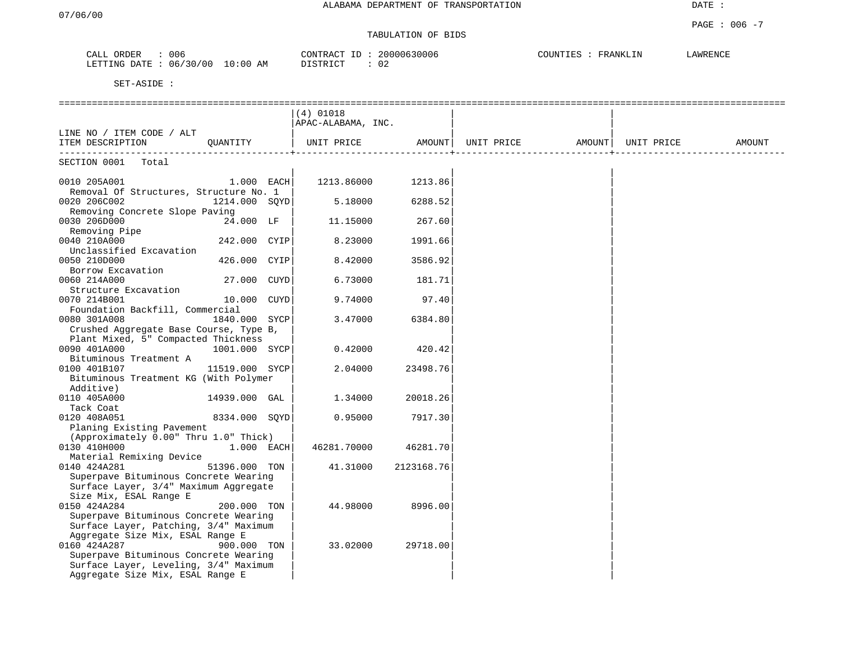# TABULATION OF BIDS

| 006<br>ORDE!<br>۰ لىلەت                                  | יחד ∧ר<br>$\sim$<br>∠nr<br>30006<br>$\Lambda$ | $\alpha$<br>FRANKLIN | AWRENCE |
|----------------------------------------------------------|-----------------------------------------------|----------------------|---------|
| באת דידים. ז<br>ገገ ገጉ ከ<br>.50/00<br>0۱ : ۱<br>ΑM<br>06/ | $ \sim$ $-$<br>$\sim$<br>◡▵                   |                      |         |

|                                                        |                | $(4)$ 01018                                      |            |  |        |
|--------------------------------------------------------|----------------|--------------------------------------------------|------------|--|--------|
|                                                        |                | APAC-ALABAMA, INC.                               |            |  |        |
| LINE NO / ITEM CODE / ALT                              |                |                                                  |            |  |        |
| ITEM DESCRIPTION QUANTITY                              |                | UNIT PRICE AMOUNT  UNIT PRICE AMOUNT  UNIT PRICE |            |  | AMOUNT |
|                                                        |                |                                                  |            |  |        |
| SECTION 0001 Total                                     |                |                                                  |            |  |        |
|                                                        | $1.000$ EACH   | 1213.86000 1213.86                               |            |  |        |
| 0010 205A001<br>Removal Of Structures, Structure No. 1 |                |                                                  |            |  |        |
| 0020 206C002                                           | 1214.000 SOYD  | 5.18000                                          | 6288.52    |  |        |
| Removing Concrete Slope Paving                         |                |                                                  |            |  |        |
| 0030 206D000                                           | 24.000 LF      | 11.15000                                         | 267.60     |  |        |
| Removing Pipe                                          |                |                                                  |            |  |        |
| 0040 210A000                                           | 242.000 CYIP   | 8.23000                                          | 1991.66    |  |        |
| Unclassified Excavation                                |                |                                                  |            |  |        |
| 0050 210D000                                           | 426.000 CYIP   | 8.42000                                          | 3586.92    |  |        |
| Borrow Excavation                                      |                |                                                  |            |  |        |
| 0060 214A000                                           | 27.000 CUYD    | 6.73000                                          | 181.71     |  |        |
| Structure Excavation                                   |                |                                                  |            |  |        |
| 0070 214B001                                           | 10.000 CUYD    | 9.74000                                          | 97.40      |  |        |
| Foundation Backfill, Commercial                        |                |                                                  |            |  |        |
| 0080 301A008                                           | 1840.000 SYCP  | 3.47000                                          | 6384.80    |  |        |
| Crushed Aggregate Base Course, Type B,                 |                |                                                  |            |  |        |
| Plant Mixed, 5" Compacted Thickness                    |                |                                                  |            |  |        |
| 0090 401A000                                           | 1001.000 SYCP  | 0.42000                                          | 420.42     |  |        |
| Bituminous Treatment A                                 |                |                                                  |            |  |        |
| 0100 401B107                                           | 11519.000 SYCP | 2.04000                                          | 23498.76   |  |        |
| Bituminous Treatment KG (With Polymer                  |                |                                                  |            |  |        |
| Additive)                                              |                |                                                  |            |  |        |
| 0110 405A000                                           | 14939.000 GAL  | 1.34000                                          | 20018.26   |  |        |
| Tack Coat                                              |                |                                                  |            |  |        |
| 0120 408A051                                           | 8334.000 SQYD  | 0.95000                                          | 7917.30    |  |        |
| Planing Existing Pavement                              |                |                                                  |            |  |        |
| (Approximately 0.00" Thru 1.0" Thick)                  |                |                                                  |            |  |        |
| 0130 410H000                                           | $1.000$ EACH   | 46281.70000                                      | 46281.70   |  |        |
| Material Remixing Device                               |                |                                                  |            |  |        |
| 0140 424A281                                           | 51396.000 TON  | 41.31000                                         | 2123168.76 |  |        |
| Superpave Bituminous Concrete Wearing                  |                |                                                  |            |  |        |
| Surface Layer, 3/4" Maximum Aggregate                  |                |                                                  |            |  |        |
| Size Mix, ESAL Range E                                 | 200.000 TON    |                                                  |            |  |        |
| 0150 424A284<br>Superpave Bituminous Concrete Wearing  |                | 44.98000                                         | 8996.00    |  |        |
| Surface Layer, Patching, 3/4" Maximum                  |                |                                                  |            |  |        |
| Aggregate Size Mix, ESAL Range E                       |                |                                                  |            |  |        |
| 0160 424A287                                           | 900.000 TON    | 33.02000                                         | 29718.00   |  |        |
| Superpave Bituminous Concrete Wearing                  |                |                                                  |            |  |        |
| Surface Layer, Leveling, 3/4" Maximum                  |                |                                                  |            |  |        |
| Aggregate Size Mix, ESAL Range E                       |                |                                                  |            |  |        |
|                                                        |                |                                                  |            |  |        |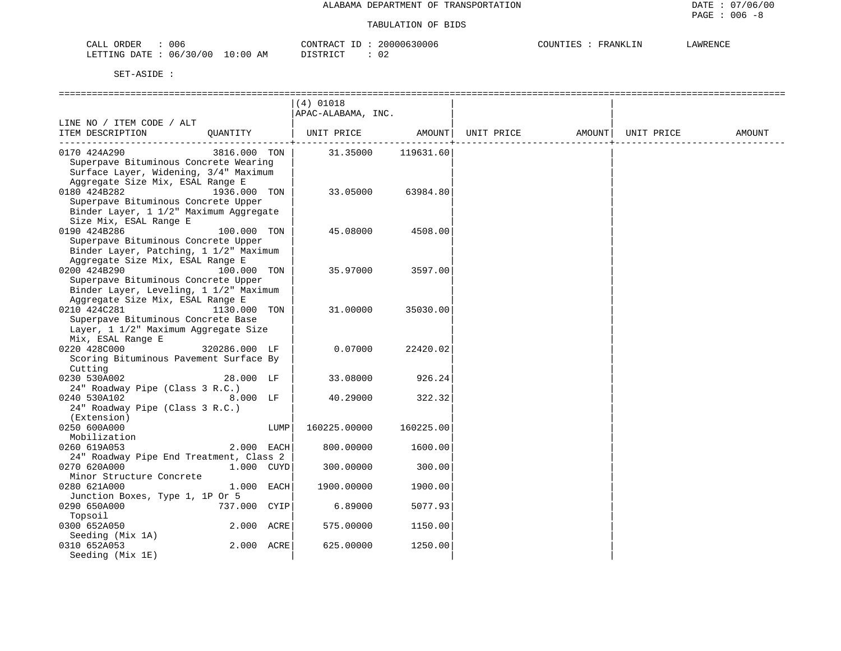| 006<br>ORDER<br>CALL                   | 20000630006<br>CONTRACT<br>TD. | COUNTIES<br>FRANKLIN<br>LAWRENCE |
|----------------------------------------|--------------------------------|----------------------------------|
| 06/30/00<br>$10:00$ AM<br>LETTING DATE | DISTRICT                       |                                  |

|                                         |               |      | $(4)$ 01018        |           |            |        |            |        |
|-----------------------------------------|---------------|------|--------------------|-----------|------------|--------|------------|--------|
|                                         |               |      | APAC-ALABAMA, INC. |           |            |        |            |        |
| LINE NO / ITEM CODE / ALT               |               |      |                    |           |            |        |            |        |
| ITEM DESCRIPTION                        | QUANTITY      |      | UNIT PRICE         | AMOUNT    | UNIT PRICE | AMOUNT | UNIT PRICE | AMOUNT |
|                                         |               |      |                    |           |            |        |            |        |
| 0170 424A290                            | 3816.000 TON  |      | 31.35000           | 119631.60 |            |        |            |        |
| Superpave Bituminous Concrete Wearing   |               |      |                    |           |            |        |            |        |
| Surface Layer, Widening, 3/4" Maximum   |               |      |                    |           |            |        |            |        |
| Aggregate Size Mix, ESAL Range E        |               |      |                    |           |            |        |            |        |
| 0180 424B282                            | 1936.000 TON  |      | 33.05000           | 63984.80  |            |        |            |        |
| Superpave Bituminous Concrete Upper     |               |      |                    |           |            |        |            |        |
| Binder Layer, 1 1/2" Maximum Aggregate  |               |      |                    |           |            |        |            |        |
| Size Mix, ESAL Range E                  |               |      |                    |           |            |        |            |        |
| 0190 424B286                            | 100.000 TON   |      | 45.08000           | 4508.00   |            |        |            |        |
| Superpave Bituminous Concrete Upper     |               |      |                    |           |            |        |            |        |
| Binder Layer, Patching, 1 1/2" Maximum  |               |      |                    |           |            |        |            |        |
| Aggregate Size Mix, ESAL Range E        |               |      |                    |           |            |        |            |        |
| 0200 424B290                            | 100.000 TON   |      | 35.97000           | 3597.00   |            |        |            |        |
| Superpave Bituminous Concrete Upper     |               |      |                    |           |            |        |            |        |
| Binder Layer, Leveling, 1 1/2" Maximum  |               |      |                    |           |            |        |            |        |
| Aggregate Size Mix, ESAL Range E        |               |      |                    |           |            |        |            |        |
| 0210 424C281                            | 1130.000 TON  |      | 31.00000           | 35030.00  |            |        |            |        |
| Superpave Bituminous Concrete Base      |               |      |                    |           |            |        |            |        |
| Layer, 1 1/2" Maximum Aggregate Size    |               |      |                    |           |            |        |            |        |
| Mix, ESAL Range E                       |               |      |                    |           |            |        |            |        |
| 0220 428C000                            | 320286.000 LF |      | 0.07000            | 22420.02  |            |        |            |        |
| Scoring Bituminous Pavement Surface By  |               |      |                    |           |            |        |            |        |
| Cutting                                 |               |      |                    |           |            |        |            |        |
| 0230 530A002                            | 28.000 LF     |      | 33.08000           | 926.24    |            |        |            |        |
| 24" Roadway Pipe (Class 3 R.C.)         |               |      |                    |           |            |        |            |        |
| 0240 530A102                            | 8.000 LF      |      | 40.29000           | 322.32    |            |        |            |        |
| 24" Roadway Pipe (Class 3 R.C.)         |               |      |                    |           |            |        |            |        |
| (Extension)                             |               |      |                    |           |            |        |            |        |
| 0250 600A000                            |               | LUMP | 160225.00000       | 160225.00 |            |        |            |        |
| Mobilization                            |               |      |                    |           |            |        |            |        |
| 0260 619A053                            | 2.000 EACH    |      | 800.00000          | 1600.00   |            |        |            |        |
| 24" Roadway Pipe End Treatment, Class 2 |               |      |                    |           |            |        |            |        |
| 0270 620A000                            | 1.000 CUYD    |      | 300.00000          | 300.00    |            |        |            |        |
| Minor Structure Concrete                |               |      |                    |           |            |        |            |        |
| 0280 621A000                            | 1.000 EACH    |      | 1900.00000         | 1900.00   |            |        |            |        |
| Junction Boxes, Type 1, 1P Or 5         |               |      |                    |           |            |        |            |        |
| 0290 650A000                            | 737.000 CYIP  |      | 6.89000            | 5077.93   |            |        |            |        |
| Topsoil                                 |               |      |                    |           |            |        |            |        |
| 0300 652A050                            | 2.000 ACRE    |      | 575.00000          | 1150.00   |            |        |            |        |
| Seeding (Mix 1A)                        |               |      |                    |           |            |        |            |        |
| 0310 652A053                            | 2.000 ACRE    |      | 625.00000          | 1250.00   |            |        |            |        |
| Seeding (Mix 1E)                        |               |      |                    |           |            |        |            |        |
|                                         |               |      |                    |           |            |        |            |        |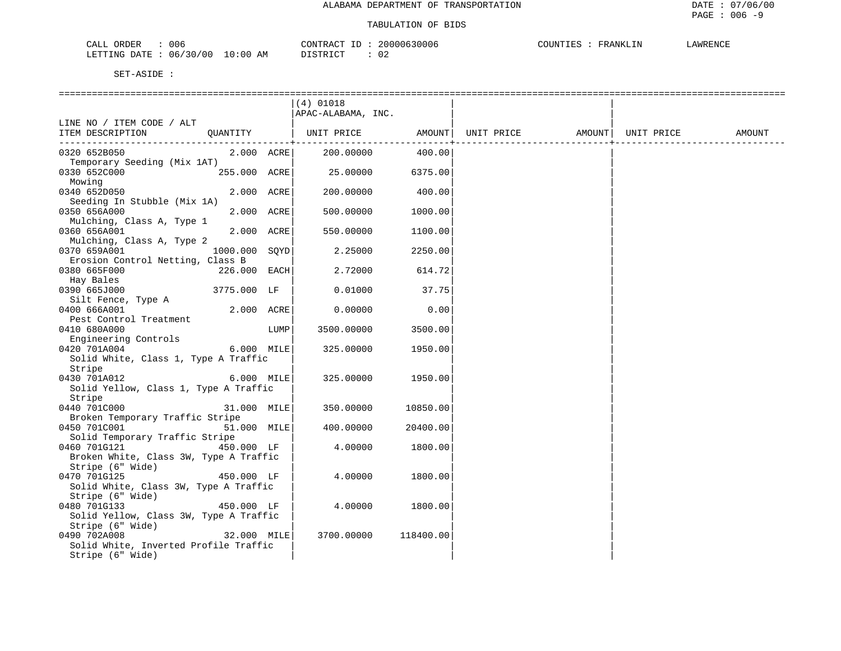| 006<br>CALL ORDER                  | 20000630006<br>CONTRACT ID | LAWRENCE<br>COUNTIES :<br>FRANKLIN |
|------------------------------------|----------------------------|------------------------------------|
| LETTING DATE: 06/30/00<br>10:00 AM | DISTRICT                   |                                    |

|                                                            |               |      | $(4)$ 01018                                                 |                 |  |        |
|------------------------------------------------------------|---------------|------|-------------------------------------------------------------|-----------------|--|--------|
|                                                            |               |      | APAC-ALABAMA, INC.                                          |                 |  |        |
| LINE NO / ITEM CODE / ALT                                  |               |      |                                                             |                 |  |        |
| ITEM DESCRIPTION                                           |               |      | QUANTITY   UNIT PRICE AMOUNT  UNIT PRICE AMOUNT  UNIT PRICE | --------------+ |  | AMOUNT |
| 0320 652B050                                               | 2.000 ACRE    |      | 200.00000                                                   | 400.00          |  |        |
| Temporary Seeding (Mix 1AT)                                |               |      |                                                             |                 |  |        |
| 0330 652C000                                               | 255.000 ACRE  |      | 25.00000                                                    | 6375.00         |  |        |
| Mowing                                                     |               |      |                                                             |                 |  |        |
| 0340 652D050<br>Seeding In Stubble (Mix 1A)                | 2.000 ACRE    |      | 200.00000                                                   | 400.00          |  |        |
| 0350 656A000                                               | 2.000 ACRE    |      | 500.00000                                                   | 1000.00         |  |        |
| Mulching, Class A, Type 1                                  |               |      |                                                             |                 |  |        |
| 0360 656A001                                               | 2.000 ACRE    |      | 550.00000                                                   | 1100.00         |  |        |
| Mulching, Class A, Type 2                                  |               |      |                                                             |                 |  |        |
| 0370 659A001                                               | 1000.000 SQYD |      | 2.25000                                                     | 2250.00         |  |        |
| Erosion Control Netting, Class B<br>0380 665F000           | 226.000 EACH  |      | 2.72000                                                     | 614.72          |  |        |
| Hay Bales                                                  |               |      |                                                             |                 |  |        |
| 0390 665J000                                               | 3775.000 LF   |      | 0.01000                                                     | 37.75           |  |        |
| Silt Fence, Type A                                         |               |      |                                                             |                 |  |        |
| 0400 666A001                                               | 2.000 ACRE    |      | 0.00000                                                     | 0.00            |  |        |
| Pest Control Treatment                                     |               |      |                                                             |                 |  |        |
| 0410 680A000                                               |               | LUMP | 3500.00000                                                  | 3500.00         |  |        |
| Engineering Controls                                       |               |      |                                                             |                 |  |        |
| 0420 701A004<br>Solid White, Class 1, Type A Traffic       | 6.000 MILE    |      | 325.00000                                                   | 1950.00         |  |        |
| Stripe                                                     |               |      |                                                             |                 |  |        |
| 0430 701A012                                               | 6.000 MILE    |      | 325.00000                                                   | 1950.00         |  |        |
| Solid Yellow, Class 1, Type A Traffic                      |               |      |                                                             |                 |  |        |
| Stripe                                                     |               |      |                                                             |                 |  |        |
| 0440 701C000                                               | 31.000 MILE   |      | 350.00000                                                   | 10850.00        |  |        |
| Broken Temporary Traffic Stripe                            |               |      |                                                             |                 |  |        |
| 0450 701C001<br>Solid Temporary Traffic Stripe             | 51.000 MILE   |      | 400.00000                                                   | 20400.00        |  |        |
| 0460 701G121                                               | 450.000 LF    |      | 4.00000                                                     | 1800.00         |  |        |
| Broken White, Class 3W, Type A Traffic                     |               |      |                                                             |                 |  |        |
| Stripe (6" Wide)                                           |               |      |                                                             |                 |  |        |
| 0470 701G125                                               | 450.000 LF    |      | 4.00000                                                     | 1800.00         |  |        |
| Solid White, Class 3W, Type A Traffic                      |               |      |                                                             |                 |  |        |
| Stripe (6" Wide)                                           |               |      |                                                             |                 |  |        |
| 0480 701G133                                               | 450.000 LF    |      | 4.00000                                                     | 1800.00         |  |        |
| Solid Yellow, Class 3W, Type A Traffic<br>Stripe (6" Wide) |               |      |                                                             |                 |  |        |
| 0490 702A008                                               | 32.000 MILE   |      | 3700.00000                                                  | 118400.00       |  |        |
| Solid White, Inverted Profile Traffic                      |               |      |                                                             |                 |  |        |
| Stripe (6" Wide)                                           |               |      |                                                             |                 |  |        |
|                                                            |               |      |                                                             |                 |  |        |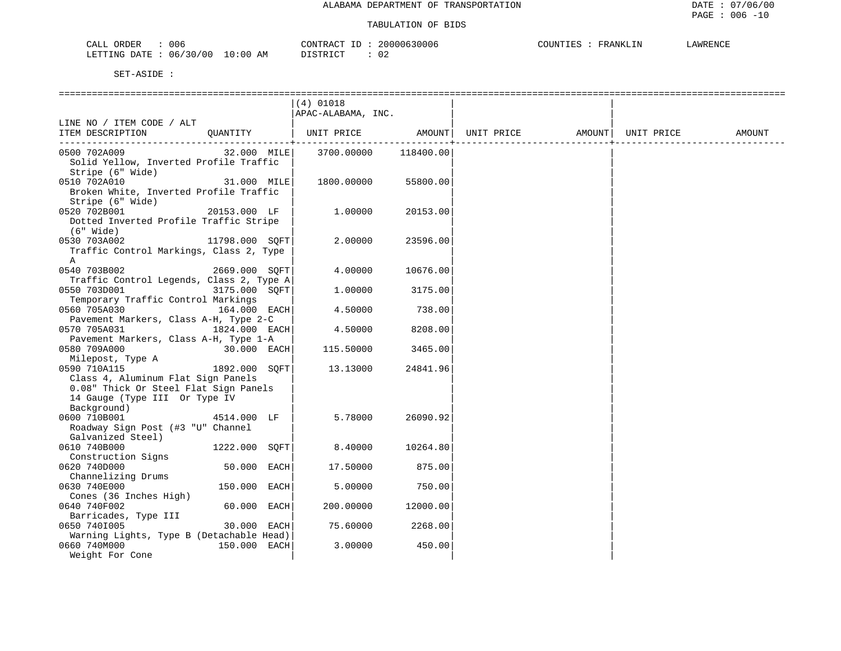| : 006                           | 20000630006  | COUNTIES : | LAWRENCE |
|---------------------------------|--------------|------------|----------|
| CALL ORDER                      | CONTRACT ID: | FRANKLIN   |          |
| LETTING DATE: 06/30/00 10:00 AM | DISTRICT     |            |          |

|                                          |                | $(4)$ 01018           |               |                   |            |        |
|------------------------------------------|----------------|-----------------------|---------------|-------------------|------------|--------|
|                                          |                | APAC-ALABAMA, INC.    |               |                   |            |        |
| LINE NO / ITEM CODE / ALT                |                |                       |               |                   |            |        |
| ITEM DESCRIPTION                         |                | QUANTITY   UNIT PRICE | AMOUNT        | UNIT PRICE AMOUNT | UNIT PRICE | AMOUNT |
|                                          |                |                       | ------------- |                   |            |        |
| 0500 702A009                             | 32.000 MILE    | 3700.00000            | 118400.00     |                   |            |        |
| Solid Yellow, Inverted Profile Traffic   |                |                       |               |                   |            |        |
| Stripe (6" Wide)                         |                |                       |               |                   |            |        |
| 0510 702A010                             | 31.000 MILE    | 1800.00000            | 55800.00      |                   |            |        |
| Broken White, Inverted Profile Traffic   |                |                       |               |                   |            |        |
| Stripe (6" Wide)                         |                |                       |               |                   |            |        |
| 0520 702B001                             | 20153.000 LF   | 1,00000               | 20153.00      |                   |            |        |
| Dotted Inverted Profile Traffic Stripe   |                |                       |               |                   |            |        |
| $(6"$ Wide)                              |                |                       |               |                   |            |        |
| 0530 703A002                             | 11798.000 SOFT | 2,00000               | 23596.00      |                   |            |        |
| Traffic Control Markings, Class 2, Type  |                |                       |               |                   |            |        |
| A                                        |                |                       |               |                   |            |        |
| 0540 703B002                             | 2669.000 SQFT  | 4.00000               | 10676.00      |                   |            |        |
| Traffic Control Legends, Class 2, Type A |                |                       |               |                   |            |        |
| 0550 703D001                             | 3175.000 SOFT  | 1,00000               | 3175.00       |                   |            |        |
| Temporary Traffic Control Markings       |                |                       |               |                   |            |        |
| 0560 705A030                             | 164.000 EACH   | 4.50000               | 738.00        |                   |            |        |
| Pavement Markers, Class A-H, Type 2-C    |                |                       |               |                   |            |        |
| 0570 705A031                             | 1824.000 EACH  | 4.50000               | 8208.00       |                   |            |        |
| Pavement Markers, Class A-H, Type 1-A    |                |                       |               |                   |            |        |
| 0580 709A000                             | $30.000$ EACH  | 115.50000             | 3465.00       |                   |            |        |
| Milepost, Type A                         |                |                       |               |                   |            |        |
| 0590 710A115                             | 1892.000 SOFT  | 13.13000              | 24841.96      |                   |            |        |
| Class 4, Aluminum Flat Sign Panels       |                |                       |               |                   |            |        |
| 0.08" Thick Or Steel Flat Sign Panels    |                |                       |               |                   |            |        |
| 14 Gauge (Type III Or Type IV            |                |                       |               |                   |            |        |
| Background)                              |                |                       |               |                   |            |        |
| 0600 710B001                             | 4514.000 LF    | 5.78000               | 26090.92      |                   |            |        |
| Roadway Sign Post (#3 "U" Channel        |                |                       |               |                   |            |        |
| Galvanized Steel)                        |                |                       |               |                   |            |        |
| 0610 740B000                             | 1222.000 SOFT  | 8.40000               | 10264.80      |                   |            |        |
| Construction Signs                       |                |                       |               |                   |            |        |
| 0620 740D000                             | 50.000 EACH    | 17.50000              | 875.00        |                   |            |        |
| Channelizing Drums                       |                |                       |               |                   |            |        |
| 0630 740E000                             | 150.000 EACH   | 5.00000               | 750.00        |                   |            |        |
| Cones (36 Inches High)                   |                |                       |               |                   |            |        |
| 0640 740F002                             | 60.000 EACH    | 200.00000             | 12000.00      |                   |            |        |
| Barricades, Type III                     |                |                       |               |                   |            |        |
| 0650 7401005                             | 30.000 EACH    | 75.60000              | 2268.00       |                   |            |        |
| Warning Lights, Type B (Detachable Head) |                |                       |               |                   |            |        |
| 0660 740M000                             | 150.000 EACH   | 3.00000               | 450.00        |                   |            |        |
| Weight For Cone                          |                |                       |               |                   |            |        |
|                                          |                |                       |               |                   |            |        |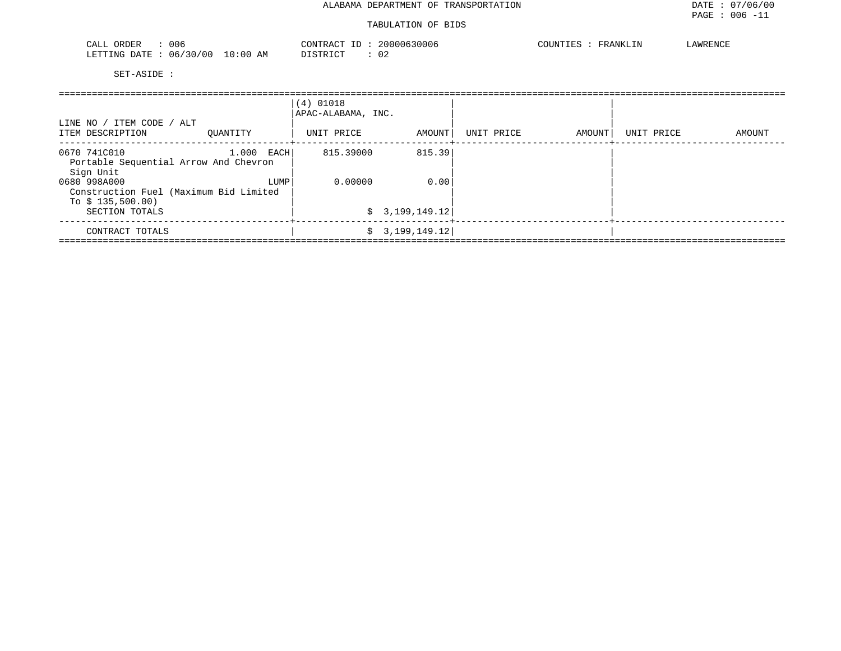#### TABULATION OF BIDS

| 006<br>ORDER<br>CALL                                                                     | CONTRACT<br>3000C<br>$\overline{a}$                                | COUNTIES<br>ᄭᄳᇢᅜᄯᇋ<br>FRANKLIN<br>$'$ WRENC. |
|------------------------------------------------------------------------------------------|--------------------------------------------------------------------|----------------------------------------------|
| $\cdot \cdot \cdot \cdot$<br>/00<br>06/30<br>LETTING<br>DATE.<br>B.55<br>AM<br>. U ÷ U U | $C$ <sub>T</sub> $D$ $T$ $C$ <sub>T</sub> $T$<br>. U 4<br>-------- |                                              |

| LINE NO / ITEM CODE / ALT<br>ITEM DESCRIPTION                               | OUANTITY     | $(4)$ 01018<br>APAC-ALABAMA, INC.<br>UNIT PRICE | AMOUNT          | UNIT PRICE | AMOUNT<br>---------------+------ | UNIT PRICE | AMOUNT |
|-----------------------------------------------------------------------------|--------------|-------------------------------------------------|-----------------|------------|----------------------------------|------------|--------|
| 0670 741C010<br>Portable Sequential Arrow And Chevron<br>Sign Unit          | $1.000$ EACH | 815.39000                                       | 815.39          |            |                                  |            |        |
| 0680 998A000<br>Construction Fuel (Maximum Bid Limited<br>To $$135,500.00)$ | LUMP         | 0.00000                                         | 0.00            |            |                                  |            |        |
| SECTION TOTALS                                                              |              |                                                 | \$3,199,149.12] |            |                                  |            |        |
| CONTRACT TOTALS                                                             |              |                                                 | \$3,199,149.12] |            |                                  |            |        |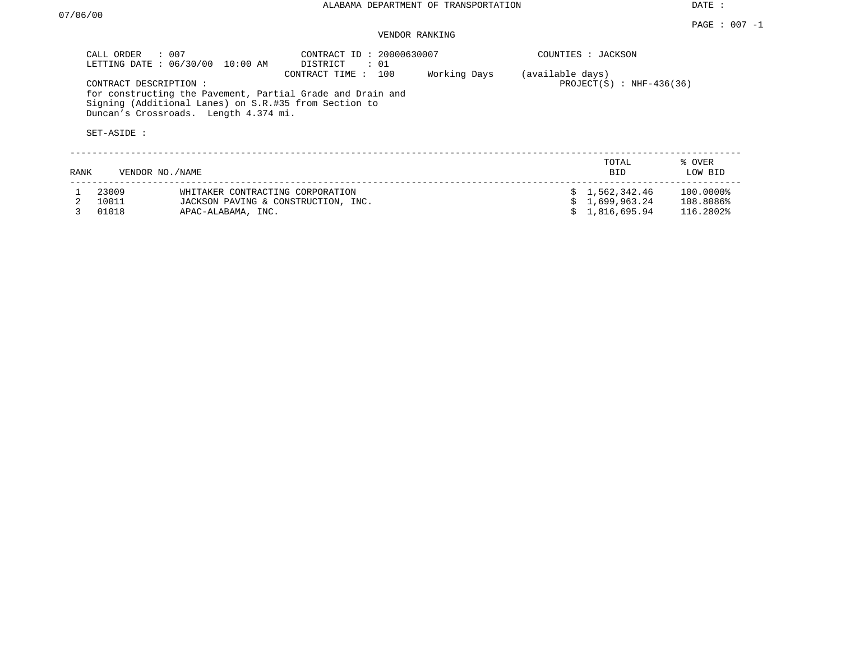DATE :

## VENDOR RANKING

|      | CALL ORDER                           | $\therefore$ 007<br>LETTING DATE : 06/30/00 10:00 AM                                                                                                         | CONTRACT ID: 20000630007<br>DISTRICT<br>: 01 |              |                  | COUNTIES : JACKSON          |                   |
|------|--------------------------------------|--------------------------------------------------------------------------------------------------------------------------------------------------------------|----------------------------------------------|--------------|------------------|-----------------------------|-------------------|
|      | CONTRACT DESCRIPTION:<br>SET-ASIDE : | for constructing the Pavement, Partial Grade and Drain and<br>Signing (Additional Lanes) on S.R.#35 from Section to<br>Duncan's Crossroads. Length 4.374 mi. | 100<br>CONTRACT TIME:                        | Working Days | (available days) | PROJECT $(S)$ : NHF-436(36) |                   |
| RANK |                                      | VENDOR NO./NAME                                                                                                                                              |                                              |              |                  | TOTAL<br><b>BID</b>         | % OVER<br>LOW BID |
|      | 23009                                | WHITAKER CONTRACTING CORPORATION                                                                                                                             |                                              |              |                  | \$1,562,342.46              | 100.0000%         |
|      | 10011                                | JACKSON PAVING & CONSTRUCTION, INC.                                                                                                                          |                                              |              |                  | 1,699,963.24                | 108.8086%         |
|      | 01018                                | APAC-ALABAMA, INC.                                                                                                                                           |                                              |              |                  | 1,816,695.94                | 116.2802%         |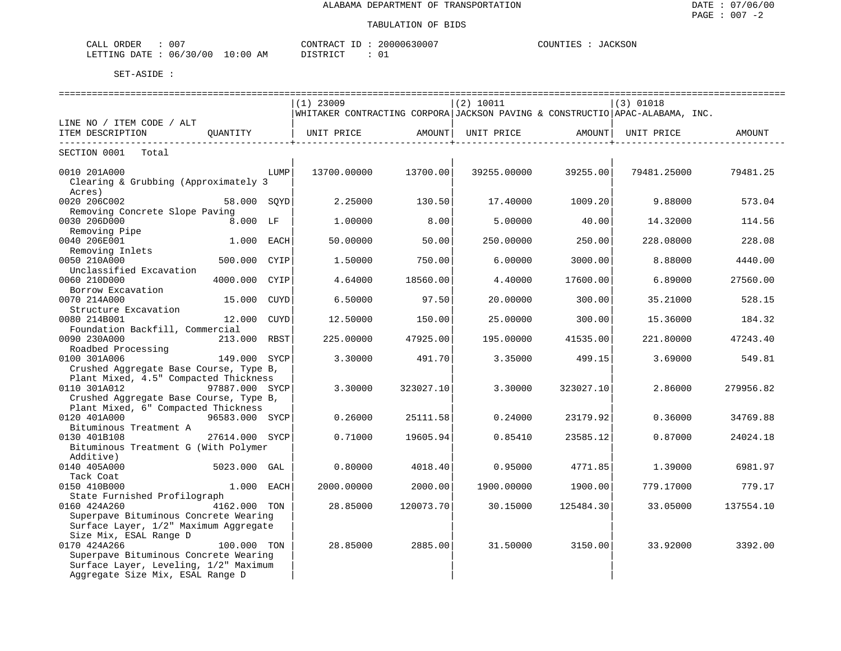| 007<br>ORDER<br>CALL     | CONTRACT               | 20000630007<br>⊥ப | JACKSON<br>COUNTIES |
|--------------------------|------------------------|-------------------|---------------------|
| 06/30/00<br>LETTING DATE | $10:00$ AM<br>DISTRICT | ັບ -              |                     |

|                                                                  |                |      | =============                                                                |           |             |                               |                              |                    |
|------------------------------------------------------------------|----------------|------|------------------------------------------------------------------------------|-----------|-------------|-------------------------------|------------------------------|--------------------|
|                                                                  |                |      | $(1)$ 23009                                                                  |           | (2) 10011   |                               | $(3)$ 01018                  |                    |
|                                                                  |                |      | WHITAKER CONTRACTING CORPORA JACKSON PAVING & CONSTRUCTIO APAC-ALABAMA, INC. |           |             |                               |                              |                    |
| LINE NO / ITEM CODE / ALT                                        |                |      |                                                                              |           |             |                               |                              |                    |
| ITEM DESCRIPTION                                                 | QUANTITY       |      | ----------------------------+-                                               |           |             | ----------------------------- | UNIT PRICE                   | AMOUNT             |
| SECTION 0001 Total                                               |                |      |                                                                              |           |             |                               |                              |                    |
|                                                                  |                |      |                                                                              |           |             |                               |                              |                    |
| 0010 201A000                                                     |                | LUMP | 13700.00000                                                                  | 13700.00  | 39255.00000 | 39255.00                      | 79481.25000                  | 79481.25           |
| Clearing & Grubbing (Approximately 3                             |                |      |                                                                              |           |             |                               |                              |                    |
| Acres)                                                           |                |      |                                                                              |           |             |                               |                              |                    |
| 0020 206C002                                                     | 58.000 SQYD    |      | $2.25000$ 130.50                                                             |           |             |                               | $17.40000$ $1009.20$ 9.88000 | 573.04             |
| Removing Concrete Slope Paving                                   |                |      |                                                                              |           |             |                               |                              |                    |
| 0030 206D000                                                     |                |      | 1.00000                                                                      | 8.00      | 5.00000     | 40.00                         | 14.32000                     | 114.56             |
| $030\ 206D000$<br>Removing Pipe<br>$040\ 205722$<br>0040 206E001 | 1.000 EACH     |      | 50.00000                                                                     | 50.00     | 250.00000   |                               | 228.08000                    | 228.08             |
| Removing Inlets                                                  |                |      |                                                                              |           |             | 250.00                        |                              |                    |
| 0050 210A000                                                     | 500.000 CYIP   |      | 1.50000                                                                      | 750.00    | 6.00000     | 3000.00                       | 8.88000                      | 4440.00            |
| Unclassified Excavation                                          |                |      |                                                                              |           |             |                               |                              |                    |
| 0060 210D000                                                     | 4000.000 CYIP  |      | 4.64000                                                                      | 18560.00  | 4.40000     | 17600.00                      | 6.89000                      | 27560.00           |
| Borrow Excavation                                                |                |      |                                                                              |           |             |                               |                              |                    |
| 0070 214A000                                                     | 15.000 CUYD    |      | 6.50000                                                                      | 97.50     | 20.00000    | 300.00                        | 35.21000                     | 528.15             |
| Structure Excavation                                             |                |      |                                                                              |           |             |                               |                              |                    |
| 0080 214B001                                                     | 12.000 CUYD    |      | 12.50000                                                                     | 150.00    |             | 25.00000 300.00               | 15.36000                     | 184.32             |
| Foundation Backfill, Commercial                                  |                |      |                                                                              |           |             |                               |                              |                    |
| 0090 230A000                                                     | 213.000 RBST   |      | 225.00000                                                                    | 47925.00  |             | 195.00000 41535.00            |                              | 221.80000 47243.40 |
| Roadbed Processing                                               |                |      |                                                                              |           |             |                               |                              |                    |
| 0100 301A006                                                     | 149.000 SYCP   |      | 3.30000                                                                      | 491.70    | 3.35000     | 499.15                        | 3.69000                      | 549.81             |
| Crushed Aggregate Base Course, Type B,                           |                |      |                                                                              |           |             |                               |                              |                    |
| Plant Mixed, 4.5" Compacted Thickness                            |                |      |                                                                              |           |             |                               |                              |                    |
| 0110 301A012                                                     | 97887.000 SYCP |      | 3.30000                                                                      | 323027.10 | 3.30000     | 323027.10                     | 2.86000                      | 279956.82          |
| Crushed Aggregate Base Course, Type B,                           |                |      |                                                                              |           |             |                               |                              |                    |
| Plant Mixed, 6" Compacted Thickness<br>0120 401A000              | 96583.000 SYCP |      | 0.26000                                                                      | 25111.58  | 0.24000     |                               |                              |                    |
| Bituminous Treatment A                                           |                |      |                                                                              |           |             | 23179.92                      | 0.36000                      | 34769.88           |
| 0130 401B108                                                     | 27614.000 SYCP |      | 0.71000                                                                      | 19605.94  | 0.85410     | 23585.12                      | 0.87000                      | 24024.18           |
| Bituminous Treatment G (With Polymer                             |                |      |                                                                              |           |             |                               |                              |                    |
| Additive)                                                        |                |      |                                                                              |           |             |                               |                              |                    |
| 5023.000 GAL<br>0140 405A000                                     |                |      | 0.80000                                                                      | 4018.40   |             | $0.95000$ 4771.85             | 1.39000                      | 6981.97            |
| Tack Coat                                                        |                |      |                                                                              |           |             |                               |                              |                    |
| 0150 410B000                                                     | 1.000 EACH     |      | 2000.00000                                                                   | 2000.00   | 1900.00000  | 1900.00                       | 779.17000                    | 779.17             |
| State Furnished Profilograph                                     |                |      |                                                                              |           |             |                               |                              |                    |
| 0160 424A260                                                     | 4162.000 TON   |      | 28.85000                                                                     | 120073.70 | 30.15000    | 125484.30                     | 33.05000                     | 137554.10          |
| Superpave Bituminous Concrete Wearing                            |                |      |                                                                              |           |             |                               |                              |                    |
| Surface Layer, 1/2" Maximum Aggregate                            |                |      |                                                                              |           |             |                               |                              |                    |
| Size Mix, ESAL Range D                                           |                |      |                                                                              |           |             |                               |                              |                    |
| 0170 424A266                                                     | 100.000 TON    |      | 28.85000                                                                     | 2885.00   |             | 31.50000 3150.00              | 33.92000                     | 3392.00            |
| Superpave Bituminous Concrete Wearing                            |                |      |                                                                              |           |             |                               |                              |                    |
| Surface Layer, Leveling, 1/2" Maximum                            |                |      |                                                                              |           |             |                               |                              |                    |
| Aggregate Size Mix, ESAL Range D                                 |                |      |                                                                              |           |             |                               |                              |                    |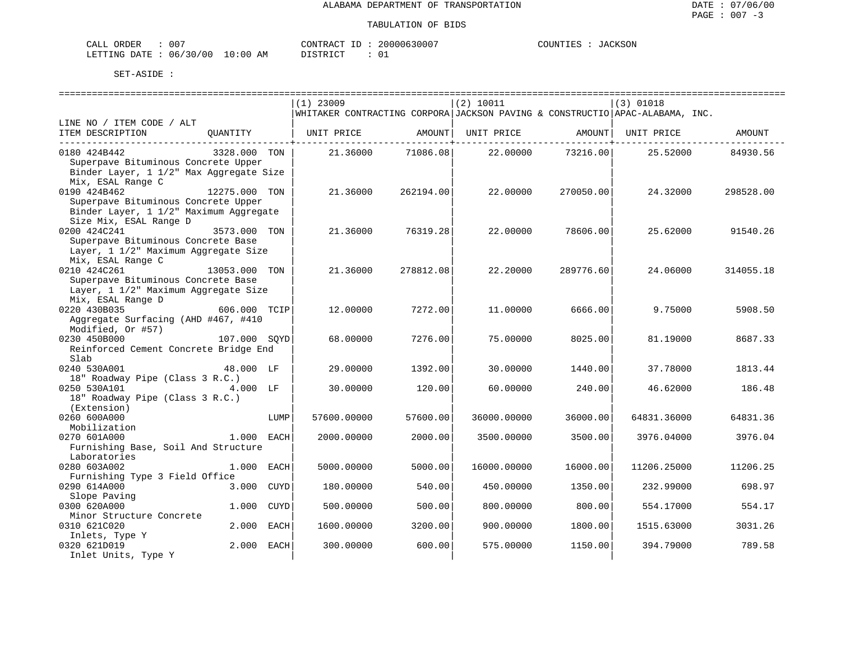| CALL ORDER                      | 00. | CONTRACT                 | : ID | 20000630007 | COUNTIES | JACKSON |
|---------------------------------|-----|--------------------------|------|-------------|----------|---------|
| LETTING DATE: 06/30/00 10:00 AM |     | DISTRICT<br><i>┙</i> ┵┙┵ |      |             |          |         |

|                                                          |                 |      | $(1)$ 23009 |           | (2) 10011                                   |                          | $(3)$ 01018                                                                  |           |
|----------------------------------------------------------|-----------------|------|-------------|-----------|---------------------------------------------|--------------------------|------------------------------------------------------------------------------|-----------|
|                                                          |                 |      |             |           |                                             |                          | WHITAKER CONTRACTING CORPORA JACKSON PAVING & CONSTRUCTIO APAC-ALABAMA, INC. |           |
| LINE NO / ITEM CODE / ALT                                |                 |      |             |           |                                             |                          |                                                                              |           |
| ITEM DESCRIPTION                                         |                 |      |             |           |                                             | -------------+---------- | QUANTITY   UNIT PRICE AMOUNT  UNIT PRICE AMOUNT  UNIT PRICE AMOUNT           |           |
| 0180 424B442                                             | 3328.000 TON    |      |             |           | $21.36000$ $71086.08$ $22.00000$ $73216.00$ |                          | 25.52000                                                                     | 84930.56  |
| Superpave Bituminous Concrete Upper                      |                 |      |             |           |                                             |                          |                                                                              |           |
| Binder Layer, 1 1/2" Max Aggregate Size                  |                 |      |             |           |                                             |                          |                                                                              |           |
| Mix, ESAL Range C                                        |                 |      |             |           |                                             |                          |                                                                              |           |
| 0190 424B462                                             | 12275.000 TON   |      | 21.36000    | 262194.00 | 22.00000                                    | 270050.00                | 24.32000                                                                     | 298528.00 |
| Superpave Bituminous Concrete Upper                      |                 |      |             |           |                                             |                          |                                                                              |           |
| Binder Layer, 1 1/2" Maximum Aggregate                   |                 |      |             |           |                                             |                          |                                                                              |           |
| Size Mix, ESAL Range D                                   |                 |      |             |           |                                             |                          |                                                                              |           |
| 0200 424C241                                             | 3573.000 TON    |      | 21.36000    | 76319.28  | 22.00000                                    | 78606.00                 | 25.62000                                                                     | 91540.26  |
| Superpave Bituminous Concrete Base                       |                 |      |             |           |                                             |                          |                                                                              |           |
| Layer, 1 1/2" Maximum Aggregate Size                     |                 |      |             |           |                                             |                          |                                                                              |           |
| Mix, ESAL Range C                                        |                 |      |             |           |                                             |                          |                                                                              |           |
| 0210 424C261                                             | $13053.000$ TON |      | 21.36000    | 278812.08 | 22.20000                                    | 289776.60                | 24.06000                                                                     | 314055.18 |
| Superpave Bituminous Concrete Base                       |                 |      |             |           |                                             |                          |                                                                              |           |
| Layer, 1 1/2" Maximum Aggregate Size                     |                 |      |             |           |                                             |                          |                                                                              |           |
| Mix, ESAL Range D                                        |                 |      |             |           |                                             |                          |                                                                              |           |
| 0220 430B035                                             | 606.000 TCIP    |      | 12.00000    | 7272.00   | 11.00000                                    | 6666.00                  | 9.75000                                                                      | 5908.50   |
| Aggregate Surfacing (AHD #467, #410<br>Modified, Or #57) |                 |      |             |           |                                             |                          |                                                                              |           |
| 0230 450B000                                             | 107.000 SOYD    |      | 68.00000    | 7276.00   | 75.00000                                    | 8025.00                  | 81.19000                                                                     | 8687.33   |
| Reinforced Cement Concrete Bridge End                    |                 |      |             |           |                                             |                          |                                                                              |           |
| Slab                                                     |                 |      |             |           |                                             |                          |                                                                              |           |
| 0240 530A001                                             | 48.000 LF       |      | 29,00000    | 1392.00   | 30.00000                                    | 1440.00                  | 37.78000                                                                     | 1813.44   |
| 18" Roadway Pipe (Class 3 R.C.)                          |                 |      |             |           |                                             |                          |                                                                              |           |
| 0250 530A101 4.000 LF                                    |                 |      | 30.00000    | 120.00    | 60.00000                                    | 240.00                   | 46.62000                                                                     | 186.48    |
| 18" Roadway Pipe (Class 3 R.C.)                          |                 |      |             |           |                                             |                          |                                                                              |           |
| (Extension)                                              |                 |      |             |           |                                             |                          |                                                                              |           |
| 0260 600A000                                             |                 | LUMP | 57600.00000 | 57600.00  | 36000.00000                                 | 36000.00                 | 64831.36000                                                                  | 64831.36  |
| Mobilization                                             |                 |      |             |           |                                             |                          |                                                                              |           |
| 0270 601A000                                             | 1.000 EACH      |      | 2000.00000  | 2000.00   | 3500.00000                                  | 3500.00                  | 3976.04000                                                                   | 3976.04   |
| Furnishing Base, Soil And Structure                      |                 |      |             |           |                                             |                          |                                                                              |           |
| Laboratories                                             |                 |      |             |           |                                             |                          |                                                                              |           |
| 0280 603A002                                             | 1.000 EACH      |      | 5000.00000  | 5000.00   | 16000.00000                                 | 16000.00                 | 11206.25000                                                                  | 11206.25  |
| Furnishing Type 3 Field Office                           |                 |      |             |           |                                             |                          |                                                                              |           |
| 0290 614A000                                             | 3.000 CUYD      |      | 180.00000   | 540.00    | 450.00000                                   | 1350.00                  | 232.99000                                                                    | 698.97    |
| Slope Paving                                             |                 |      |             |           |                                             |                          |                                                                              |           |
| 0300 620A000                                             | 1.000 CUYD      |      | 500.00000   | 500.00    | 800.00000                                   | 800.00                   | 554.17000                                                                    | 554.17    |
| Minor Structure Concrete                                 |                 |      |             |           |                                             |                          |                                                                              |           |
| 0310 621C020                                             | 2.000 EACH      |      | 1600.00000  | 3200.00   | 900.00000                                   | 1800.00                  | 1515.63000                                                                   | 3031.26   |
| Inlets, Type Y                                           |                 |      |             |           |                                             |                          |                                                                              |           |
| 0320 621D019                                             | 2.000 EACH      |      | 300.00000   | 600.00    | 575.00000                                   | 1150.00                  | 394.79000                                                                    | 789.58    |
| Inlet Units, Type Y                                      |                 |      |             |           |                                             |                          |                                                                              |           |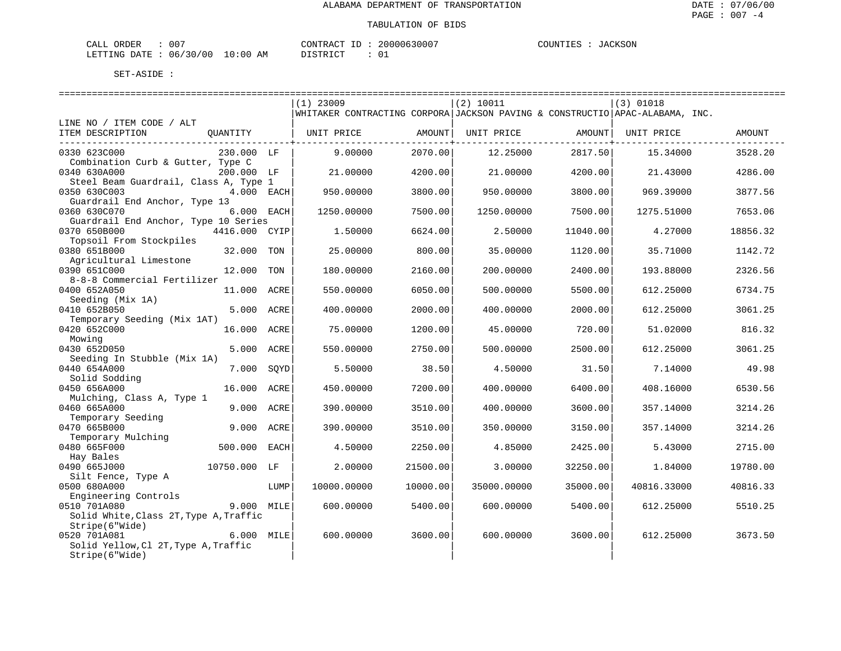| ORDER<br>CALI | $\sim$ $\sim$ $\sim$<br>υυ |               | TONTRACT   | $- -$<br>т | 2000063000' | COUNTIES | <b>CKSON</b><br>$\cdot$ Af |
|---------------|----------------------------|---------------|------------|------------|-------------|----------|----------------------------|
| LETTING DATE  | 06/30/00                   | LO : 00<br>ΆM | DI STR TOT |            |             |          |                            |

|                                        |               |      | $(1)$ 23009                                                                  |          | (2) 10011   |                  | $(3)$ 01018 |          |
|----------------------------------------|---------------|------|------------------------------------------------------------------------------|----------|-------------|------------------|-------------|----------|
|                                        |               |      | WHITAKER CONTRACTING CORPORA JACKSON PAVING & CONSTRUCTIO APAC-ALABAMA, INC. |          |             |                  |             |          |
| LINE NO / ITEM CODE / ALT              |               |      |                                                                              |          |             |                  |             |          |
| ITEM DESCRIPTION                       | OUANTITY      |      | UNIT PRICE                                                                   | AMOUNT   | UNIT PRICE  | AMOUNT           | UNIT PRICE  | AMOUNT   |
|                                        |               |      |                                                                              |          |             | ---------------- |             |          |
| 0330 623C000                           | 230.000 LF    |      | 9,00000                                                                      | 2070.00  | 12.25000    | 2817.50          | 15.34000    | 3528.20  |
| Combination Curb & Gutter, Type C      |               |      |                                                                              |          |             |                  |             |          |
| 0340 630A000                           | 200.000 LF    |      | 21.00000                                                                     | 4200.00  | 21.00000    | 4200.00          | 21.43000    | 4286.00  |
| Steel Beam Guardrail, Class A, Type 1  |               |      |                                                                              |          |             |                  |             |          |
| 0350 630C003                           | 4.000 EACH    |      | 950.00000                                                                    | 3800.00  | 950.00000   | 3800.00          | 969.39000   | 3877.56  |
| Guardrail End Anchor, Type 13          |               |      |                                                                              |          |             |                  |             |          |
| 0360 630C070                           | 6.000 EACH    |      | 1250.00000                                                                   | 7500.00  | 1250.00000  | 7500.00          | 1275.51000  | 7653.06  |
| Guardrail End Anchor, Type 10 Series   |               |      |                                                                              |          |             |                  |             |          |
| 0370 650B000                           | 4416.000 CYIP |      | 1.50000                                                                      | 6624.00  | 2.50000     | 11040.00         | 4.27000     | 18856.32 |
| Topsoil From Stockpiles                |               |      |                                                                              |          |             |                  |             |          |
| 0380 651B000                           | 32.000 TON    |      | 25.00000                                                                     | 800.00   | 35.00000    | 1120.00          | 35.71000    | 1142.72  |
| Agricultural Limestone                 |               |      |                                                                              |          |             |                  |             |          |
| 0390 651C000                           | 12,000        | TON  | 180.00000                                                                    | 2160.00  | 200.00000   | 2400.00          | 193.88000   | 2326.56  |
| 8-8-8 Commercial Fertilizer            |               |      |                                                                              |          |             |                  |             |          |
| 0400 652A050                           | 11.000 ACRE   |      | 550.00000                                                                    | 6050.00  | 500.00000   | 5500.00          | 612.25000   | 6734.75  |
| Seeding (Mix 1A)                       |               |      |                                                                              |          |             |                  |             |          |
| 0410 652B050                           | 5.000 ACRE    |      | 400.00000                                                                    | 2000.00  | 400.00000   | 2000.00          | 612.25000   | 3061.25  |
| Temporary Seeding (Mix 1AT)            |               |      |                                                                              |          |             |                  |             |          |
| 0420 652C000                           | 16.000        | ACRE | 75.00000                                                                     | 1200.00  | 45.00000    | 720.00           | 51.02000    | 816.32   |
| Mowing                                 |               |      |                                                                              |          |             |                  |             |          |
| 0430 652D050                           | 5.000 ACRE    |      | 550.00000                                                                    | 2750.00  | 500.00000   | 2500.00          | 612.25000   | 3061.25  |
| Seeding In Stubble (Mix 1A)            |               |      |                                                                              |          |             |                  |             |          |
| 0440 654A000                           | 7.000         | SQYD | 5.50000                                                                      | 38.50    | 4.50000     | 31.50            | 7.14000     | 49.98    |
| Solid Sodding                          |               |      |                                                                              |          |             |                  |             |          |
| 0450 656A000                           | 16.000 ACRE   |      | 450.00000                                                                    | 7200.00  | 400.00000   | 6400.00          | 408.16000   | 6530.56  |
| Mulching, Class A, Type 1              |               |      |                                                                              |          |             |                  |             |          |
| 0460 665A000                           | 9.000 ACRE    |      | 390.00000                                                                    | 3510.00  | 400.00000   | 3600.00          | 357.14000   | 3214.26  |
| Temporary Seeding                      |               |      |                                                                              |          |             |                  |             |          |
| 0470 665B000                           | 9.000         | ACRE | 390.00000                                                                    | 3510.00  | 350.00000   | 3150.00          | 357.14000   | 3214.26  |
| Temporary Mulching                     |               |      |                                                                              |          |             |                  |             |          |
| 0480 665F000                           | 500.000 EACH  |      | 4.50000                                                                      | 2250.00  | 4.85000     | 2425.00          | 5.43000     | 2715.00  |
| Hay Bales                              |               |      |                                                                              |          |             |                  |             |          |
| 0490 665J000                           | 10750.000 LF  |      | 2.00000                                                                      | 21500.00 | 3.00000     | 32250.00         | 1.84000     | 19780.00 |
| Silt Fence, Type A                     |               |      |                                                                              |          |             |                  |             |          |
| 0500 680A000                           |               | LUMP | 10000.00000                                                                  | 10000.00 | 35000.00000 | 35000.00         | 40816.33000 | 40816.33 |
| Engineering Controls                   |               |      |                                                                              |          |             |                  |             |          |
| 0510 701A080                           | 9.000 MILE    |      | 600.00000                                                                    | 5400.00  | 600.00000   | 5400.00          | 612.25000   | 5510.25  |
| Solid White, Class 2T, Type A, Traffic |               |      |                                                                              |          |             |                  |             |          |
| Stripe(6"Wide)<br>0520 701A081         | 6.000 MILE    |      | 600,00000                                                                    |          |             |                  | 612.25000   | 3673.50  |
| Solid Yellow, Cl 2T, Type A, Traffic   |               |      |                                                                              | 3600.00  | 600.00000   | 3600.00          |             |          |
|                                        |               |      |                                                                              |          |             |                  |             |          |
| Stripe(6"Wide)                         |               |      |                                                                              |          |             |                  |             |          |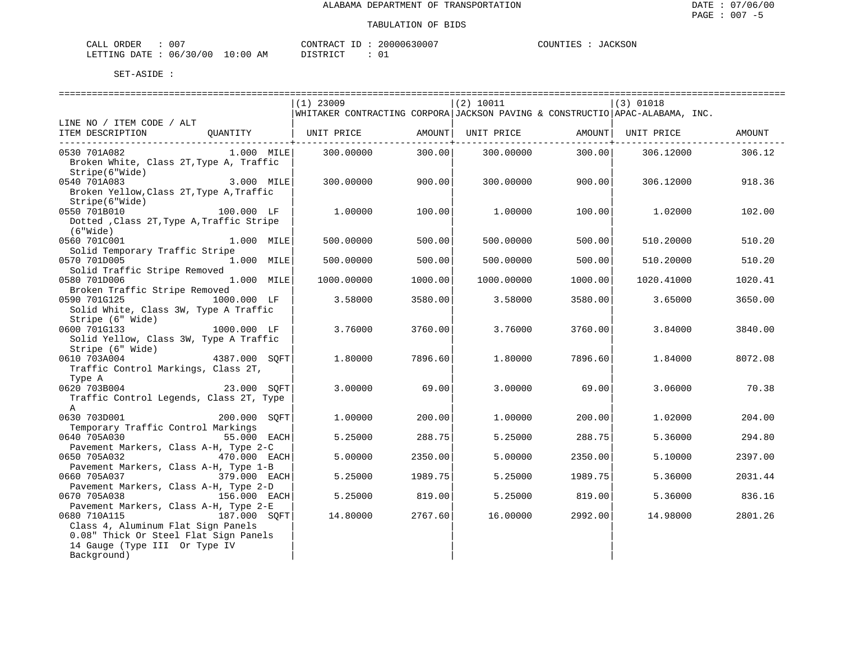| 007<br>L ORDER<br>CALL          | CONTRACT ID | 20000630007 | JACKSON<br>COUNTIES |
|---------------------------------|-------------|-------------|---------------------|
| LETTING DATE: 06/30/00 10:00 AM | DISTRICT    |             |                     |

|                                                                                             | $(1)$ 23009                                                                  |         | (2) 10011                |                          | $(3)$ 01018 |         |
|---------------------------------------------------------------------------------------------|------------------------------------------------------------------------------|---------|--------------------------|--------------------------|-------------|---------|
|                                                                                             | WHITAKER CONTRACTING CORPORA JACKSON PAVING & CONSTRUCTIO APAC-ALABAMA, INC. |         |                          |                          |             |         |
| LINE NO / ITEM CODE / ALT                                                                   |                                                                              |         |                          |                          |             |         |
| ITEM DESCRIPTION<br>QUANTITY   UNIT PRICE       AMOUNT  UNIT PRICE       AMOUNT  UNIT PRICE |                                                                              |         |                          |                          |             | AMOUNT  |
| ____________________________________                                                        |                                                                              |         | ------------+----------- | ------------+----------- |             |         |
| 1.000 MILE<br>0530 701A082                                                                  | 300.00000                                                                    | 300.00  | 300.00000                | 300.00                   | 306.12000   | 306.12  |
| Broken White, Class 2T, Type A, Traffic                                                     |                                                                              |         |                          |                          |             |         |
| Stripe(6"Wide)                                                                              |                                                                              |         |                          |                          |             |         |
| 3.000 MILE<br>0540 701A083                                                                  | 300.00000                                                                    | 900.00  | 300.00000                | 900.00                   | 306.12000   | 918.36  |
| Broken Yellow, Class 2T, Type A, Traffic                                                    |                                                                              |         |                          |                          |             |         |
| Stripe(6" Wide)                                                                             |                                                                              |         |                          |                          |             |         |
| 100.000 LF<br>0550 701B010                                                                  | 1,00000                                                                      | 100.00  | 1.00000                  | 100.00                   | 1,02000     | 102.00  |
| Dotted , Class 2T, Type A, Traffic Stripe                                                   |                                                                              |         |                          |                          |             |         |
| $(6"$ Wide $)$                                                                              |                                                                              |         |                          |                          |             |         |
| 0560 701C001<br>1.000 MILE                                                                  | 500,00000                                                                    | 500.00  | 500.00000                | 500.00                   | 510.20000   | 510.20  |
| Solid Temporary Traffic Stripe                                                              |                                                                              |         |                          |                          |             |         |
| 0570 701D005<br>1.000 MILE                                                                  | 500.00000                                                                    | 500.00  | 500.00000                | 500.00                   | 510.20000   | 510.20  |
| Solid Traffic Stripe Removed                                                                |                                                                              |         |                          |                          |             |         |
| 0580 701D006<br>$1.000$ MILE                                                                | 1000.00000                                                                   | 1000.00 | 1000.00000               | 1000.00                  | 1020.41000  | 1020.41 |
| Broken Traffic Stripe Removed                                                               |                                                                              |         |                          |                          |             |         |
| 1000.000 LF<br>0590 701G125                                                                 | 3.58000                                                                      | 3580.00 | 3.58000                  | 3580.00                  | 3.65000     | 3650.00 |
| Solid White, Class 3W, Type A Traffic                                                       |                                                                              |         |                          |                          |             |         |
| Stripe (6" Wide)                                                                            |                                                                              |         |                          |                          |             |         |
| 1000.000 LF<br>0600 701G133                                                                 | 3.76000                                                                      | 3760.00 | 3.76000                  | 3760.00                  | 3.84000     | 3840.00 |
| Solid Yellow, Class 3W, Type A Traffic                                                      |                                                                              |         |                          |                          |             |         |
| Stripe (6" Wide)                                                                            |                                                                              |         |                          |                          |             |         |
| 4387.000 SOFT<br>0610 703A004                                                               | 1,80000                                                                      | 7896.60 | 1,80000                  | 7896.60                  | 1.84000     | 8072.08 |
| Traffic Control Markings, Class 2T,                                                         |                                                                              |         |                          |                          |             |         |
| Type A                                                                                      |                                                                              |         |                          |                          |             |         |
| 0620 703B004<br>23.000 SOFT                                                                 | 3.00000                                                                      | 69.00   | 3.00000                  | 69.00                    | 3.06000     | 70.38   |
| Traffic Control Legends, Class 2T, Type<br>$\mathbf{A}$                                     |                                                                              |         |                          |                          |             |         |
| 0630 703D001<br>200.000 SOFT                                                                | 1,00000                                                                      | 200.00  | 1,00000                  | 200.00                   | 1.02000     | 204.00  |
| Temporary Traffic Control Markings                                                          |                                                                              |         |                          |                          |             |         |
| 55.000 EACH<br>0640 705A030                                                                 | 5.25000                                                                      | 288.75  | 5.25000                  | 288.75                   | 5.36000     | 294.80  |
| Pavement Markers, Class A-H, Type 2-C                                                       |                                                                              |         |                          |                          |             |         |
| 0650 705A032<br>470.000 EACH                                                                | 5.00000                                                                      | 2350.00 | 5.00000                  | 2350.00                  | 5.10000     | 2397.00 |
| Pavement Markers, Class A-H, Type 1-B                                                       |                                                                              |         |                          |                          |             |         |
| 0660 705A037<br>379.000 EACH                                                                | 5.25000                                                                      | 1989.75 | 5.25000                  | 1989.75                  | 5.36000     | 2031.44 |
| Pavement Markers, Class A-H, Type 2-D                                                       |                                                                              |         |                          |                          |             |         |
| 0670 705A038<br>156.000 EACH                                                                | 5.25000                                                                      | 819.00  | 5.25000                  | 819.00                   | 5.36000     | 836.16  |
| Pavement Markers, Class A-H, Type 2-E                                                       |                                                                              |         |                          |                          |             |         |
| 187.000 SQFT<br>0680 710A115                                                                | 14.80000                                                                     | 2767.60 | 16.00000                 | 2992.00                  | 14.98000    | 2801.26 |
| Class 4, Aluminum Flat Sign Panels                                                          |                                                                              |         |                          |                          |             |         |
| 0.08" Thick Or Steel Flat Sign Panels                                                       |                                                                              |         |                          |                          |             |         |
| 14 Gauge (Type III Or Type IV                                                               |                                                                              |         |                          |                          |             |         |
| Background)                                                                                 |                                                                              |         |                          |                          |             |         |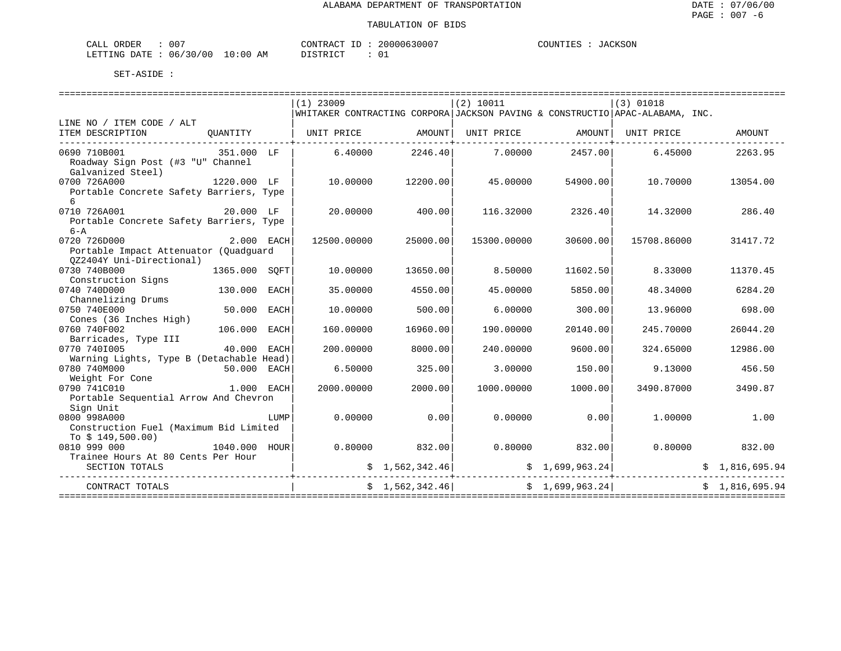|            | 007                              | 20000630007  | JACKSON    |
|------------|----------------------------------|--------------|------------|
| CALL ORDER |                                  | CONTRACT ID: | COUNTIES : |
|            | LETTING DATE : 06/30/00 10:00 AM | DISTRICT     |            |

|                                                   |               |            | $(1)$ 23009                                                                  |                | (2) 10011         |                 | $(3)$ 01018 |                                                                                                                                                                |
|---------------------------------------------------|---------------|------------|------------------------------------------------------------------------------|----------------|-------------------|-----------------|-------------|----------------------------------------------------------------------------------------------------------------------------------------------------------------|
|                                                   |               |            | WHITAKER CONTRACTING CORPORA JACKSON PAVING & CONSTRUCTIO APAC-ALABAMA, INC. |                |                   |                 |             |                                                                                                                                                                |
| LINE NO / ITEM CODE / ALT                         |               |            |                                                                              |                |                   |                 |             |                                                                                                                                                                |
| ITEM DESCRIPTION<br>----------------------------- |               |            | QUANTITY   UNIT PRICE     AMOUNT  UNIT PRICE     AMOUNT  UNIT PRICE          |                |                   |                 |             | AMOUNT                                                                                                                                                         |
| 0690 710B001<br>351.000 LF                        |               |            | $6.40000$ 2246.40                                                            |                | $7.00000$ 2457.00 |                 | 6.45000     | 2263.95                                                                                                                                                        |
| Roadway Sign Post (#3 "U" Channel                 |               |            |                                                                              |                |                   |                 |             |                                                                                                                                                                |
| Galvanized Steel)                                 |               |            |                                                                              |                |                   |                 |             |                                                                                                                                                                |
| 1220.000 LF<br>0700 726A000                       |               |            | 10.00000                                                                     | 12200.00       | 45.00000          | 54900.00        | 10.70000    | 13054.00                                                                                                                                                       |
| Portable Concrete Safety Barriers, Type           |               |            |                                                                              |                |                   |                 |             |                                                                                                                                                                |
| 6                                                 |               |            |                                                                              |                |                   |                 |             |                                                                                                                                                                |
| 0710 726A001<br>20.000 LF                         |               |            | 20.00000                                                                     | 400.00         | 116.32000         | 2326.40         | 14.32000    | 286.40                                                                                                                                                         |
| Portable Concrete Safety Barriers, Type           |               |            |                                                                              |                |                   |                 |             |                                                                                                                                                                |
| $6 - A$                                           |               |            |                                                                              |                |                   |                 |             |                                                                                                                                                                |
| 0720 726D000                                      |               | 2.000 EACH | 12500.00000                                                                  | 25000.00       | 15300.00000       | 30600.00        | 15708.86000 | 31417.72                                                                                                                                                       |
| Portable Impact Attenuator (Quadquard             |               |            |                                                                              |                |                   |                 |             |                                                                                                                                                                |
| 0Z2404Y Uni-Directional)                          |               |            |                                                                              |                |                   |                 |             |                                                                                                                                                                |
| 0730 740B000                                      | 1365.000 SOFT |            | 10,00000                                                                     | 13650.00       | 8.50000           | 11602.50        | 8.33000     | 11370.45                                                                                                                                                       |
| Construction Signs                                |               |            |                                                                              |                |                   |                 |             |                                                                                                                                                                |
| 0740 740D000                                      | 130.000 EACH  |            | 35.00000                                                                     | 4550.00        | 45.00000          | 5850.00         | 48.34000    | 6284.20                                                                                                                                                        |
| Channelizing Drums                                |               |            |                                                                              |                |                   |                 |             |                                                                                                                                                                |
| 0750 740E000                                      | 50.000 EACH   |            | 10.00000                                                                     | 500.00         | 6.00000           | 300.00          | 13.96000    | 698.00                                                                                                                                                         |
| Cones (36 Inches High)                            |               |            |                                                                              |                |                   |                 |             |                                                                                                                                                                |
| 0760 740F002                                      | 106.000 EACH  |            | 160.00000                                                                    | 16960.00       | 190.00000         | 20140.00        | 245.70000   | 26044.20                                                                                                                                                       |
| Barricades, Type III                              |               |            |                                                                              |                |                   |                 |             |                                                                                                                                                                |
| 0770 7401005                                      | 40.000 EACH   |            | 200,00000                                                                    | 8000.00        | 240.00000         | 9600.00         | 324.65000   | 12986.00                                                                                                                                                       |
| Warning Lights, Type B (Detachable Head)          |               |            |                                                                              |                |                   |                 |             |                                                                                                                                                                |
| 0780 740M000                                      | 50.000 EACH   |            | 6.50000                                                                      | 325.00         | 3,00000           | 150.00          | 9.13000     | 456.50                                                                                                                                                         |
| Weight For Cone                                   |               |            |                                                                              |                |                   |                 |             |                                                                                                                                                                |
| 1.000 EACH<br>0790 741C010                        |               |            | 2000.00000                                                                   | 2000.00        | 1000.00000        | 1000.00         | 3490.87000  | 3490.87                                                                                                                                                        |
| Portable Sequential Arrow And Chevron             |               |            |                                                                              |                |                   |                 |             |                                                                                                                                                                |
| Sign Unit                                         |               |            |                                                                              |                |                   |                 |             |                                                                                                                                                                |
| 0800 998A000                                      |               | LUMP       | 0.00000                                                                      | 0.00           | 0.00000           | 0.001           | 1,00000     | 1.00                                                                                                                                                           |
| Construction Fuel (Maximum Bid Limited            |               |            |                                                                              |                |                   |                 |             |                                                                                                                                                                |
| To $$149,500.00)$                                 |               |            |                                                                              |                |                   |                 |             |                                                                                                                                                                |
| 0810 999 000                                      | 1040.000 HOUR |            | $0.80000$ 832.00                                                             |                | $0.80000$ 832.00  |                 | 0.80000     | 832.00                                                                                                                                                         |
| Trainee Hours At 80 Cents Per Hour                |               |            |                                                                              |                |                   |                 |             |                                                                                                                                                                |
| SECTION TOTALS                                    |               |            |                                                                              |                |                   |                 |             | $\begin{array}{cccc} \xi & 1.562.342.46 \end{array}$ $\begin{array}{cccc} \xi & 1.699.963.24 \end{array}$ $\begin{array}{cccc} \xi & 1.816.695.94 \end{array}$ |
| CONTRACT TOTALS                                   |               |            |                                                                              | \$1,562,342.46 |                   | \$1,699,963.24] |             | \$1,816,695.94                                                                                                                                                 |
|                                                   |               |            |                                                                              |                |                   |                 |             |                                                                                                                                                                |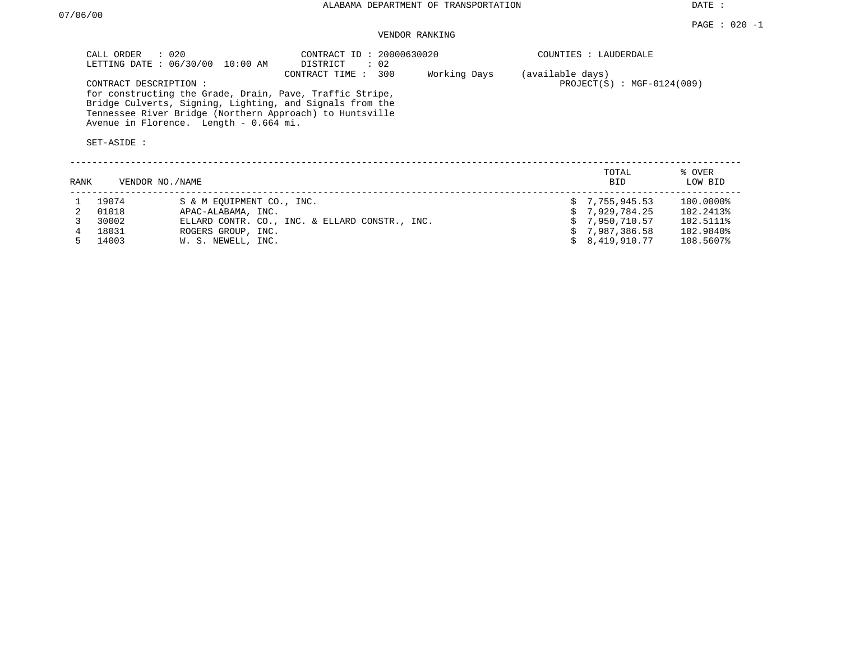DATE :

# VENDOR RANKING

| CALL ORDER : 020<br>LETTING DATE: 06/30/00 10:00 AM                                                                  | CONTRACT ID: 20000630020<br>$\therefore$ 02<br>DISTRICT |              | COUNTIES : LAUDERDALE                            |
|----------------------------------------------------------------------------------------------------------------------|---------------------------------------------------------|--------------|--------------------------------------------------|
| CONTRACT DESCRIPTION:                                                                                                | CONTRACT TIME : 300                                     | Working Days | (available days)<br>$PROJECT(S)$ : MGF-0124(009) |
| for constructing the Grade, Drain, Pave, Traffic Stripe,<br>Bridge Culverts, Signing, Lighting, and Signals from the |                                                         |              |                                                  |
| Tennessee River Bridge (Northern Approach) to Huntsville<br>Avenue in Florence. Length - 0.664 mi.                   |                                                         |              |                                                  |
| SET-ASIDE :                                                                                                          |                                                         |              |                                                  |

| RANK |       | VENDOR NO./NAME                                | TOTAL<br><b>BID</b> | % OVER<br>LOW BID |
|------|-------|------------------------------------------------|---------------------|-------------------|
|      | 19074 | S & M EOUIPMENT CO., INC.                      | \$7,755,945.53      | 100.0000%         |
|      | 01018 | APAC-ALABAMA, INC.                             | 5, 7.929.784.25     | 102.2413%         |
|      | 30002 | ELLARD CONTR. CO., INC. & ELLARD CONSTR., INC. | \$7.950.710.57      | 102.5111%         |
|      | 18031 | ROGERS GROUP, INC.                             | \$7.987.386.58      | 102.9840%         |
|      | 14003 | W. S. NEWELL, INC.                             | \$8.419.910.77      | 108.5607%         |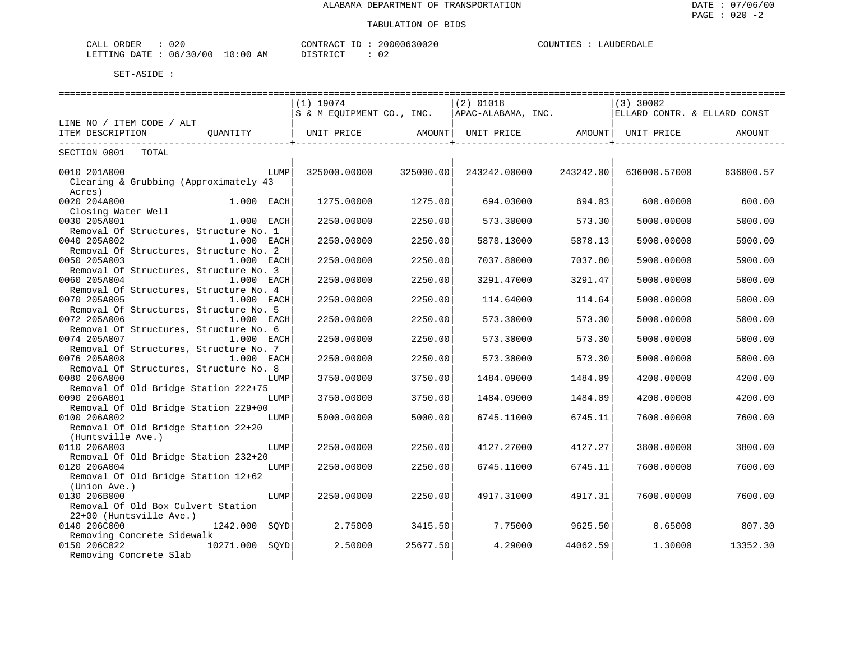| 020<br>CALL<br>ORDER                 |             | CONTRACT | 10000630026 | COUNTIES<br><b>DERDALL</b><br>$\overline{A}$ |
|--------------------------------------|-------------|----------|-------------|----------------------------------------------|
| '30'<br>/ 0.0<br>06.<br>LETTING DATE | 10:00<br>ΆM | TAT      |             |                                              |

|                                        | $(1)$ 19074       |           | $(2)$ 01018                                    |           | $(3)$ 30002                  |           |  |
|----------------------------------------|-------------------|-----------|------------------------------------------------|-----------|------------------------------|-----------|--|
|                                        |                   |           | S & M EQUIPMENT CO., INC.   APAC-ALABAMA, INC. |           | ELLARD CONTR. & ELLARD CONST |           |  |
| LINE NO / ITEM CODE / ALT              |                   |           |                                                |           |                              |           |  |
| OUANTITY<br>ITEM DESCRIPTION           | UNIT PRICE AMOUNT |           | UNIT PRICE AMOUNT UNIT PRICE                   |           |                              | AMOUNT    |  |
| -----------------------------          |                   |           |                                                |           |                              |           |  |
| SECTION 0001 TOTAL                     |                   |           |                                                |           |                              |           |  |
| 0010 201A000<br>LUMP                   | 325000.00000      | 325000.00 | 243242.00000                                   | 243242.00 | 636000.57000                 | 636000.57 |  |
| Clearing & Grubbing (Approximately 43  |                   |           |                                                |           |                              |           |  |
| Acres)                                 |                   |           |                                                |           |                              |           |  |
| 0020 204A000<br>$1.000$ EACH           | 1275.00000        | 1275.00   | 694.03000                                      | 694.03    | 600,00000                    | 600.00    |  |
| Closing Water Well                     |                   |           |                                                |           |                              |           |  |
| 0030 205A001<br>$1.000$ EACH           | 2250.00000        | 2250.00   | 573.30000                                      | 573.30    | 5000.00000                   | 5000.00   |  |
|                                        |                   |           |                                                |           |                              |           |  |
| Removal Of Structures, Structure No. 1 |                   |           |                                                |           |                              |           |  |
| 0040 205A002<br>1.000 EACH             | 2250.00000        | 2250.00   | 5878.13000                                     | 5878.13   | 5900.00000                   | 5900.00   |  |
| Removal Of Structures, Structure No. 2 |                   |           |                                                |           |                              |           |  |
| 0050 205A003<br>1.000 EACH             | 2250.00000        | 2250.00   | 7037.80000                                     | 7037.80   | 5900.00000                   | 5900.00   |  |
| Removal Of Structures, Structure No. 3 |                   |           |                                                |           |                              |           |  |
| 0060 205A004<br>1.000 EACH             | 2250.00000        | 2250.00   | 3291.47000                                     | 3291.47   | 5000.00000                   | 5000.00   |  |
| Removal Of Structures, Structure No. 4 |                   |           |                                                |           |                              |           |  |
| 0070 205A005<br>1.000 EACH             | 2250.00000        | 2250.00   | 114.64000                                      | 114.64    | 5000.00000                   | 5000.00   |  |
| Removal Of Structures, Structure No. 5 |                   |           |                                                |           |                              |           |  |
| 0072 205A006<br>1.000 EACH             | 2250.00000        | 2250.00   | 573.30000                                      | 573.30    | 5000.00000                   | 5000.00   |  |
| Removal Of Structures, Structure No. 6 |                   |           |                                                |           |                              |           |  |
| 0074 205A007<br>1.000 EACH             | 2250.00000        | 2250.00   | 573.30000                                      | 573.30    | 5000.00000                   | 5000.00   |  |
| Removal Of Structures, Structure No. 7 |                   |           |                                                |           |                              |           |  |
| 0076 205A008<br>1.000 EACH             | 2250.00000        | 2250.00   | 573.30000                                      | 573.30    | 5000.00000                   | 5000.00   |  |
| Removal Of Structures, Structure No. 8 |                   |           |                                                |           |                              |           |  |
| 0080 206A000<br>LUMP                   | 3750.00000        | 3750.00   | 1484.09000                                     | 1484.09   | 4200.00000                   | 4200.00   |  |
| Removal Of Old Bridge Station 222+75   |                   |           |                                                |           |                              |           |  |
| 0090 206A001<br>LUMP                   | 3750.00000        | 3750.00   | 1484.09000                                     | 1484.09   | 4200.00000                   | 4200.00   |  |
| Removal Of Old Bridge Station 229+00   |                   |           |                                                |           |                              |           |  |
| 0100 206A002<br>LUMP                   | 5000.00000        | 5000.00   | 6745.11000                                     | 6745.11   | 7600.00000                   | 7600.00   |  |
| Removal Of Old Bridge Station 22+20    |                   |           |                                                |           |                              |           |  |
| (Huntsville Ave.)                      |                   |           |                                                |           |                              |           |  |
| 0110 206A003<br>LUMP                   | 2250.00000        | 2250.00   | 4127.27000                                     | 4127.27   | 3800.00000                   | 3800.00   |  |
| Removal Of Old Bridge Station 232+20   |                   |           |                                                |           |                              |           |  |
| 0120 206A004<br>LUMP                   | 2250.00000        | 2250.00   | 6745.11000                                     | 6745.11   | 7600.00000                   | 7600.00   |  |
| Removal Of Old Bridge Station 12+62    |                   |           |                                                |           |                              |           |  |
| (Union Ave.)                           |                   |           |                                                |           |                              |           |  |
| 0130 206B000<br>LUMP                   | 2250.00000        | 2250.00   | 4917.31000                                     | 4917.31   | 7600.00000                   | 7600.00   |  |
| Removal Of Old Box Culvert Station     |                   |           |                                                |           |                              |           |  |
| 22+00 (Huntsville Ave.)                |                   |           |                                                |           |                              |           |  |
| 0140 206C000<br>1242.000 SOYD          | 2.75000           | 3415.50   | 7.75000                                        | 9625.50   | 0.65000                      | 807.30    |  |
| Removing Concrete Sidewalk             |                   |           |                                                |           |                              |           |  |
| 10271.000 SOYD<br>0150 206C022         | 2.50000           | 25677.50  | 4.29000                                        | 44062.59  | 1,30000                      | 13352.30  |  |
| Removing Concrete Slab                 |                   |           |                                                |           |                              |           |  |
|                                        |                   |           |                                                |           |                              |           |  |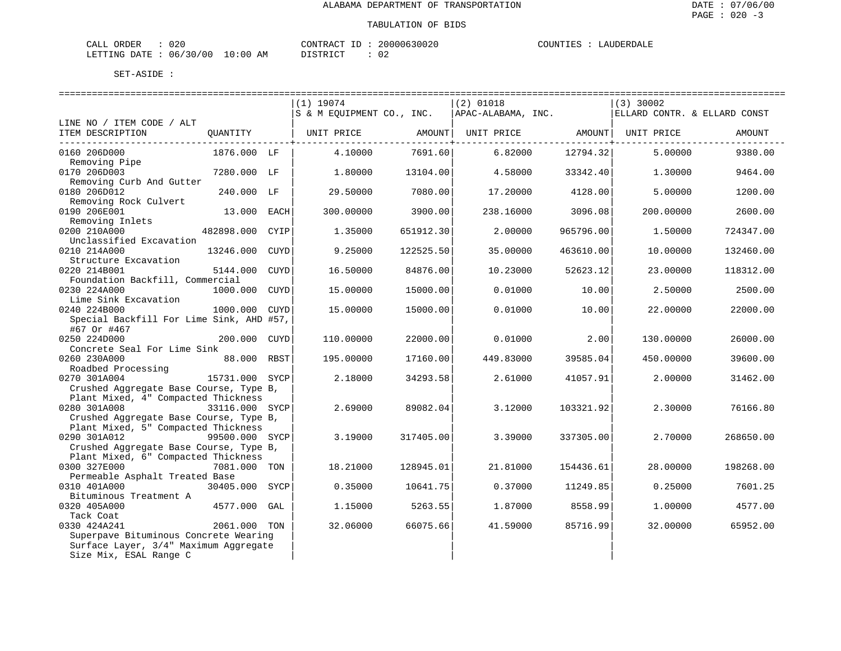| ORDER<br>CALL (  | 020               | CONTRACT<br>ID       | 20000630020 | COUNTIES | LAUDERDALF |
|------------------|-------------------|----------------------|-------------|----------|------------|
| LETTING DATE : ' | 06/30/00 10:00 AM | <b>DISTRICT</b><br>. |             |          |            |

|                                                         |                |             | $(1)$ 19074               |           | $(2)$ 01018                    |           | $(3)$ 30002                  |           |
|---------------------------------------------------------|----------------|-------------|---------------------------|-----------|--------------------------------|-----------|------------------------------|-----------|
|                                                         |                |             | S & M EQUIPMENT CO., INC. |           | APAC-ALABAMA, INC.             |           | ELLARD CONTR. & ELLARD CONST |           |
| LINE NO / ITEM CODE / ALT                               |                |             |                           |           |                                |           |                              |           |
| ITEM DESCRIPTION                                        | OUANTITY       |             | UNIT PRICE                | AMOUNT    | UNIT PRICE AMOUNT   UNIT PRICE |           |                              | AMOUNT    |
|                                                         |                |             |                           |           |                                |           |                              |           |
| 0160 206D000                                            | 1876.000 LF    |             | 4.10000                   | 7691.60   | 6.82000                        | 12794.32  | 5.00000                      | 9380.00   |
| Removing Pipe                                           |                |             |                           |           |                                |           |                              |           |
| 0170 206D003                                            | 7280.000 LF    |             | 1,80000                   | 13104.00  | 4.58000                        | 33342.40  | 1.30000                      | 9464.00   |
| Removing Curb And Gutter                                |                |             |                           |           |                                |           |                              |           |
| 0180 206D012                                            | 240.000 LF     |             | 29.50000                  | 7080.00   | 17.20000                       | 4128.00   | 5.00000                      | 1200.00   |
| Removing Rock Culvert                                   |                |             |                           |           |                                |           |                              |           |
| 0190 206E001                                            | 13.000 EACH    |             | 300.00000                 | 3900.00   | 238.16000                      | 3096.08   | 200.00000                    | 2600.00   |
| Removing Inlets                                         |                |             |                           |           |                                |           |                              |           |
| 0200 210A000                                            | 482898.000     | CYIP        | 1.35000                   | 651912.30 | 2,00000                        | 965796.00 | 1.50000                      | 724347.00 |
| Unclassified Excavation                                 |                |             |                           |           |                                |           |                              |           |
| 0210 214A000                                            | 13246.000      | CUYD        | 9.25000                   | 122525.50 | 35.00000                       | 463610.00 | 10.00000                     | 132460.00 |
| Structure Excavation                                    |                |             |                           |           |                                |           |                              |           |
| 0220 214B001                                            | 5144.000       | CUYD        | 16.50000                  | 84876.00  | 10.23000                       | 52623.12  | 23.00000                     | 118312.00 |
| Foundation Backfill, Commercial                         |                |             |                           |           |                                |           |                              |           |
| 0230 224A000                                            | 1000.000       | <b>CUYD</b> | 15,00000                  | 15000.00  | 0.01000                        | 10.00     | 2.50000                      | 2500.00   |
| Lime Sink Excavation                                    |                |             |                           |           |                                |           |                              |           |
| 0240 224B000                                            | 1000.000       | CUYD        | 15.00000                  | 15000.00  | 0.01000                        | 10.00     | 22.00000                     | 22000.00  |
|                                                         |                |             |                           |           |                                |           |                              |           |
| Special Backfill For Lime Sink, AHD #57,<br>#67 Or #467 |                |             |                           |           |                                |           |                              |           |
|                                                         |                |             |                           |           |                                |           |                              |           |
| 0250 224D000                                            | 200.000 CUYD   |             | 110.00000                 | 22000.00  | 0.01000                        | 2.00      | 130.00000                    | 26000.00  |
| Concrete Seal For Lime Sink                             |                |             |                           |           |                                |           |                              |           |
| 0260 230A000                                            | 88.000 RBST    |             | 195.00000                 | 17160.00  | 449.83000                      | 39585.04  | 450.00000                    | 39600.00  |
| Roadbed Processing                                      |                |             |                           |           |                                |           |                              |           |
| 0270 301A004                                            | 15731.000 SYCP |             | 2.18000                   | 34293.58  | 2.61000                        | 41057.91  | 2.00000                      | 31462.00  |
| Crushed Aggregate Base Course, Type B,                  |                |             |                           |           |                                |           |                              |           |
| Plant Mixed, 4" Compacted Thickness                     |                |             |                           |           |                                |           |                              |           |
| 0280 301A008                                            | 33116.000 SYCP |             | 2.69000                   | 89082.04  | 3.12000                        | 103321.92 | 2.30000                      | 76166.80  |
| Crushed Aggregate Base Course, Type B,                  |                |             |                           |           |                                |           |                              |           |
| Plant Mixed, 5" Compacted Thickness                     |                |             |                           |           |                                |           |                              |           |
| 0290 301A012                                            | 99500.000 SYCP |             | 3.19000                   | 317405.00 | 3.39000                        | 337305.00 | 2.70000                      | 268650.00 |
| Crushed Aggregate Base Course, Type B,                  |                |             |                           |           |                                |           |                              |           |
| Plant Mixed, 6" Compacted Thickness                     |                |             |                           |           |                                |           |                              |           |
| 0300 327E000                                            | 7081.000 TON   |             | 18.21000                  | 128945.01 | 21.81000                       | 154436.61 | 28.00000                     | 198268.00 |
| Permeable Asphalt Treated Base                          |                |             |                           |           |                                |           |                              |           |
| 0310 401A000                                            | 30405.000 SYCP |             | 0.35000                   | 10641.75  | 0.37000                        | 11249.85  | 0.25000                      | 7601.25   |
| Bituminous Treatment A                                  |                |             |                           |           |                                |           |                              |           |
| 0320 405A000                                            | 4577.000 GAL   |             | 1.15000                   | 5263.55   | 1.87000                        | 8558.99   | 1.00000                      | 4577.00   |
| Tack Coat                                               |                |             |                           |           |                                |           |                              |           |
| 0330 424A241                                            | 2061.000 TON   |             | 32.06000                  | 66075.66  | 41.59000                       | 85716.99  | 32.00000                     | 65952.00  |
| Superpave Bituminous Concrete Wearing                   |                |             |                           |           |                                |           |                              |           |
| Surface Layer, 3/4" Maximum Aggregate                   |                |             |                           |           |                                |           |                              |           |
| Size Mix, ESAL Range C                                  |                |             |                           |           |                                |           |                              |           |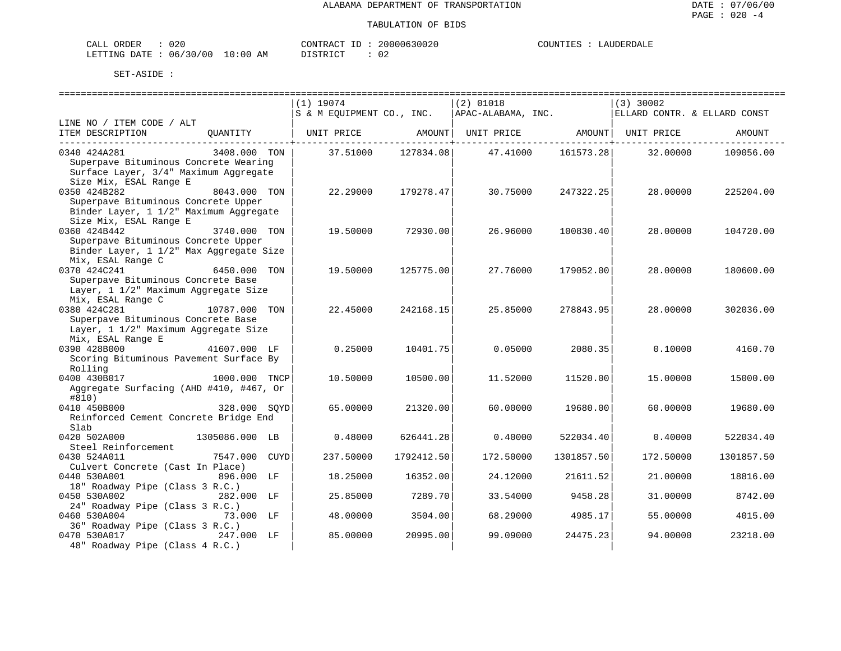| JRDER<br>$\sim$ $ -$<br>020<br>-'ALL |                              | CONTR.<br>TD<br>''RAU | $\sim$ $\sim$ $\sim$<br>UUUUK | $\mathbf{u}$ of INTP $\mathbf{r}$ | $\ldots$ in FRD $\ldots$ |
|--------------------------------------|------------------------------|-----------------------|-------------------------------|-----------------------------------|--------------------------|
| 06<br>DATE.<br>LETTING<br>.          | LO:00<br>/00<br>ີ 3 ()<br>AM | د ت                   | ◡▵                            |                                   |                          |

|                                                              | $(1)$ 19074               | $(2)$ 01018        |            | $(3)$ 30002                  |            |
|--------------------------------------------------------------|---------------------------|--------------------|------------|------------------------------|------------|
|                                                              | S & M EQUIPMENT CO., INC. | APAC-ALABAMA, INC. |            | ELLARD CONTR. & ELLARD CONST |            |
| LINE NO / ITEM CODE / ALT                                    |                           |                    |            |                              |            |
| ITEM DESCRIPTION<br>OUANTITY                                 | AMOUNT  <br>UNIT PRICE    | UNIT PRICE AMOUNT  |            | UNIT PRICE                   | AMOUNT     |
| 3408.000 TON<br>0340 424A281                                 | 127834.08<br>37.51000     | 47.41000           | 161573.28  | 32.00000                     | 109056.00  |
| Superpave Bituminous Concrete Wearing                        |                           |                    |            |                              |            |
| Surface Layer, 3/4" Maximum Aggregate                        |                           |                    |            |                              |            |
| Size Mix, ESAL Range E                                       |                           |                    |            |                              |            |
| 0350 424B282<br>8043.000 TON                                 | 22.29000<br>179278.47     | 30.75000           | 247322.25  | 28,00000                     | 225204.00  |
| Superpave Bituminous Concrete Upper                          |                           |                    |            |                              |            |
| Binder Layer, 1 1/2" Maximum Aggregate                       |                           |                    |            |                              |            |
| Size Mix, ESAL Range E                                       |                           |                    |            |                              |            |
| 0360 424B442<br>3740.000 TON                                 | 19.50000<br>72930.00      | 26.96000           | 100830.40  | 28,00000                     | 104720.00  |
| Superpave Bituminous Concrete Upper                          |                           |                    |            |                              |            |
| Binder Layer, 1 1/2" Max Aggregate Size                      |                           |                    |            |                              |            |
| Mix, ESAL Range C                                            |                           |                    |            |                              |            |
| 0370 424C241<br>6450.000 TON                                 | 19.50000<br>125775.00     | 27.76000           | 179052.00  | 28.00000                     | 180600.00  |
| Superpave Bituminous Concrete Base                           |                           |                    |            |                              |            |
| Layer, 1 1/2" Maximum Aggregate Size                         |                           |                    |            |                              |            |
| Mix, ESAL Range C<br>0380 424C281                            |                           |                    |            |                              |            |
| 10787.000 TON<br>Superpave Bituminous Concrete Base          | 22.45000<br>242168.15     | 25.85000           | 278843.95  | 28,00000                     | 302036.00  |
| Layer, 1 1/2" Maximum Aggregate Size                         |                           |                    |            |                              |            |
| Mix, ESAL Range E                                            |                           |                    |            |                              |            |
| 0390 428B000<br>41607.000 LF                                 | 0.25000<br>10401.75       | 0.05000            | 2080.35    | 0.10000                      | 4160.70    |
| Scoring Bituminous Pavement Surface By                       |                           |                    |            |                              |            |
| Rolling                                                      |                           |                    |            |                              |            |
| 0400 430B017<br>1000.000 TNCP                                | 10.50000<br>10500.00      | 11.52000           | 11520.00   | 15.00000                     | 15000.00   |
| Aggregate Surfacing (AHD #410, #467, Or                      |                           |                    |            |                              |            |
| #810)                                                        |                           |                    |            |                              |            |
| 0410 450B000<br>328.000 SOYD                                 | 65.00000<br>21320.00      | 60.00000           | 19680.00   | 60.00000                     | 19680.00   |
| Reinforced Cement Concrete Bridge End                        |                           |                    |            |                              |            |
| Slab                                                         |                           |                    |            |                              |            |
| 0420 502A000<br>1305086.000 LB                               | 626441.28<br>0.48000      | 0.40000            | 522034.40  | 0.40000                      | 522034.40  |
| Steel Reinforcement                                          |                           |                    |            |                              |            |
| 0430 524A011<br>7547.000<br><b>CUYD</b>                      | 237.50000<br>1792412.50   | 172.50000          | 1301857.50 | 172.50000                    | 1301857.50 |
| Culvert Concrete (Cast In Place)                             |                           |                    |            |                              |            |
| 0440 530A001<br>896.000 LF                                   | 18.25000<br>16352.00      | 24.12000           | 21611.52   | 21,00000                     | 18816.00   |
| 18" Roadway Pipe (Class 3 R.C.)                              |                           |                    |            |                              |            |
| 0450 530A002<br>282.000 LF                                   | 25.85000<br>7289.70       | 33.54000           | 9458.28    | 31.00000                     | 8742.00    |
| 24" Roadway Pipe (Class 3 R.C.)<br>0460 530A004<br>73.000 LF |                           |                    | 4985.17    |                              |            |
| 36" Roadway Pipe (Class 3 R.C.)                              | 48.00000<br>3504.00       | 68.29000           |            | 55.00000                     | 4015.00    |
| 0470 530A017<br>247.000 LF                                   | 85.00000<br>20995.00      | 99.09000           | 24475.23   | 94.00000                     | 23218.00   |
| 48" Roadway Pipe (Class 4 R.C.)                              |                           |                    |            |                              |            |
|                                                              |                           |                    |            |                              |            |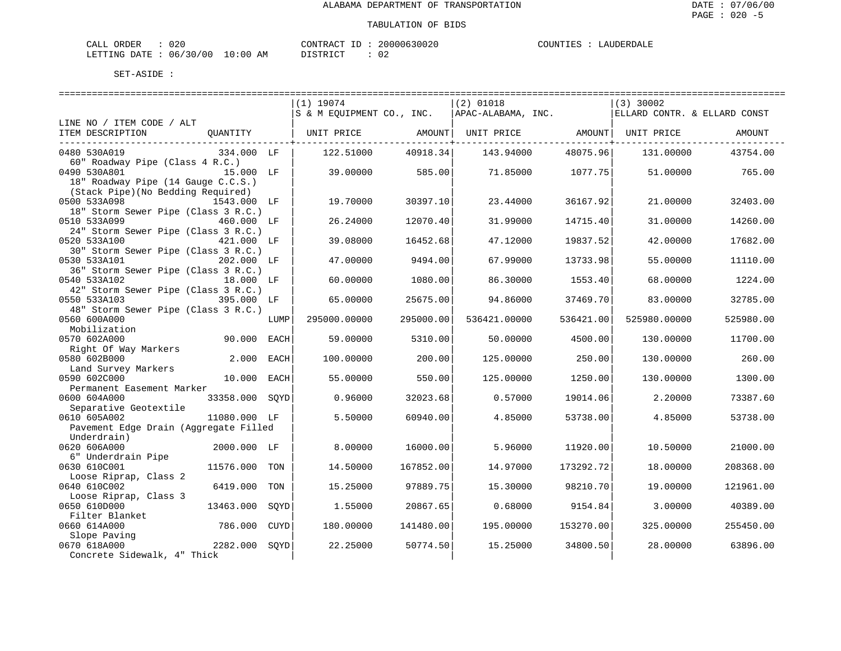| JRDER<br>$\sim$ $ -$<br>020<br>-'ALL |                              | CONTR.<br>TD<br>''RAU | $\sim$ $\sim$ $\sim$<br>UUUUK | $\mathbf{u}$ of INTP $\mathbf{r}$ | $\ldots$ in FRD $\ldots$ |
|--------------------------------------|------------------------------|-----------------------|-------------------------------|-----------------------------------|--------------------------|
| 06<br>DATE.<br>LETTING<br>.          | LO:00<br>/00<br>ີ 3 ()<br>AM | د ت                   | ◡▵                            |                                   |                          |

|                                       |                |             | $(1)$ 19074               |                                  | $(2)$ 01018                    |                     | $(3)$ 30002                  |           |
|---------------------------------------|----------------|-------------|---------------------------|----------------------------------|--------------------------------|---------------------|------------------------------|-----------|
|                                       |                |             | S & M EQUIPMENT CO., INC. |                                  | APAC-ALABAMA, INC.             |                     | ELLARD CONTR. & ELLARD CONST |           |
| LINE NO / ITEM CODE / ALT             |                |             |                           |                                  |                                |                     |                              |           |
| ITEM DESCRIPTION                      | OUANTITY       |             | UNIT PRICE                | AMOUNT                           | UNIT PRICE AMOUNT   UNIT PRICE |                     |                              | AMOUNT    |
|                                       |                |             |                           | ------------ <del>-</del> ------ |                                | ------------+------ |                              |           |
| 0480 530A019                          | 334.000 LF     |             | 122.51000                 | 40918.34                         | 143.94000                      | 48075.96            | 131.00000                    | 43754.00  |
| 60" Roadway Pipe (Class 4 R.C.)       |                |             |                           |                                  |                                |                     |                              |           |
| 0490 530A801                          | 15.000 LF      |             | 39,00000                  | 585.00                           | 71.85000                       | 1077.75             | 51,00000                     | 765.00    |
| 18" Roadway Pipe (14 Gauge C.C.S.)    |                |             |                           |                                  |                                |                     |                              |           |
| (Stack Pipe) (No Bedding Required)    |                |             |                           |                                  |                                |                     |                              |           |
| 0500 533A098                          | 1543.000 LF    |             | 19.70000                  | 30397.10                         | 23.44000                       | 36167.92            | 21.00000                     | 32403.00  |
| 18" Storm Sewer Pipe (Class 3 R.C.)   |                |             |                           |                                  |                                |                     |                              |           |
| 0510 533A099                          | 460.000 LF     |             | 26.24000                  | 12070.40                         | 31.99000                       | 14715.40            | 31.00000                     | 14260.00  |
| 24" Storm Sewer Pipe (Class 3 R.C.)   |                |             |                           |                                  |                                |                     |                              |           |
| 0520 533A100                          | 421.000 LF     |             | 39.08000                  | 16452.68                         | 47.12000                       | 19837.52            | 42.00000                     | 17682.00  |
| 30" Storm Sewer Pipe (Class 3 R.C.)   |                |             |                           |                                  |                                |                     |                              |           |
| 0530 533A101                          | 202.000 LF     |             | 47.00000                  | 9494.00                          | 67.99000                       | 13733.98            | 55.00000                     | 11110.00  |
| 36" Storm Sewer Pipe (Class 3 R.C.)   |                |             |                           |                                  |                                |                     |                              |           |
| 0540 533A102                          | 18.000 LF      |             | 60.00000                  | 1080.00                          | 86.30000                       | 1553.40             | 68.00000                     | 1224.00   |
| 42" Storm Sewer Pipe (Class 3 R.C.)   |                |             |                           |                                  |                                |                     |                              |           |
| 0550 533A103                          | 395.000 LF     |             | 65.00000                  | 25675.00                         | 94.86000                       | 37469.70            | 83.00000                     | 32785.00  |
| 48" Storm Sewer Pipe (Class 3 R.C.)   |                |             |                           |                                  |                                |                     |                              |           |
| 0560 600A000                          |                | LUMP        | 295000.00000              | 295000.00                        | 536421.00000                   | 536421.00           | 525980.00000                 | 525980.00 |
| Mobilization                          |                |             |                           |                                  |                                |                     |                              |           |
| 0570 602A000                          | 90.000         | EACH        | 59.00000                  | 5310.00                          | 50.00000                       | 4500.00             | 130.00000                    | 11700.00  |
| Right Of Way Markers                  |                |             |                           |                                  |                                |                     |                              |           |
| 0580 602B000                          | 2.000          | EACH        | 100.00000                 | 200.00                           | 125.00000                      | 250.00              | 130.00000                    | 260.00    |
| Land Survey Markers                   |                |             |                           |                                  |                                |                     |                              |           |
| 0590 602C000                          | 10.000         | EACH        | 55.00000                  | 550.00                           | 125.00000                      | 1250.00             | 130.00000                    | 1300.00   |
| Permanent Easement Marker             |                |             |                           |                                  |                                |                     |                              |           |
| 0600 604A000                          | 33358.000 SOYD |             | 0.96000                   | 32023.68                         | 0.57000                        | 19014.06            | 2.20000                      | 73387.60  |
| Separative Geotextile                 |                |             |                           |                                  |                                |                     |                              |           |
| 0610 605A002                          | 11080.000 LF   |             | 5.50000                   | 60940.00                         | 4.85000                        | 53738.00            | 4.85000                      | 53738.00  |
| Pavement Edge Drain (Aggregate Filled |                |             |                           |                                  |                                |                     |                              |           |
| Underdrain)                           |                |             |                           |                                  |                                |                     |                              |           |
| 0620 606A000                          | 2000.000 LF    |             | 8,00000                   | 16000.00                         | 5.96000                        | 11920.00            | 10.50000                     | 21000.00  |
| 6" Underdrain Pipe                    |                |             |                           |                                  |                                |                     |                              |           |
| 0630 610C001                          | 11576.000      | TON         | 14.50000                  | 167852.00                        | 14.97000                       | 173292.72           | 18.00000                     | 208368.00 |
| Loose Riprap, Class 2                 |                |             |                           |                                  |                                |                     |                              |           |
| 0640 610C002                          | 6419.000       | TON         | 15.25000                  | 97889.75                         | 15.30000                       | 98210.70            | 19.00000                     | 121961.00 |
| Loose Riprap, Class 3                 |                |             |                           |                                  |                                |                     |                              |           |
| 0650 610D000                          | 13463.000      | SQYD        | 1.55000                   | 20867.65                         | 0.68000                        | 9154.84             | 3.00000                      | 40389.00  |
| Filter Blanket                        |                |             |                           |                                  |                                |                     |                              |           |
| 0660 614A000                          | 786.000        | <b>CUYD</b> | 180.00000                 | 141480.00                        | 195.00000                      | 153270.00           | 325.00000                    | 255450.00 |
| Slope Paving                          |                |             |                           |                                  |                                |                     |                              |           |
| 0670 618A000                          | 2282.000       | SOYD        | 22.25000                  | 50774.50                         | 15.25000                       | 34800.50            | 28.00000                     | 63896.00  |
| Concrete Sidewalk, 4" Thick           |                |             |                           |                                  |                                |                     |                              |           |
|                                       |                |             |                           |                                  |                                |                     |                              |           |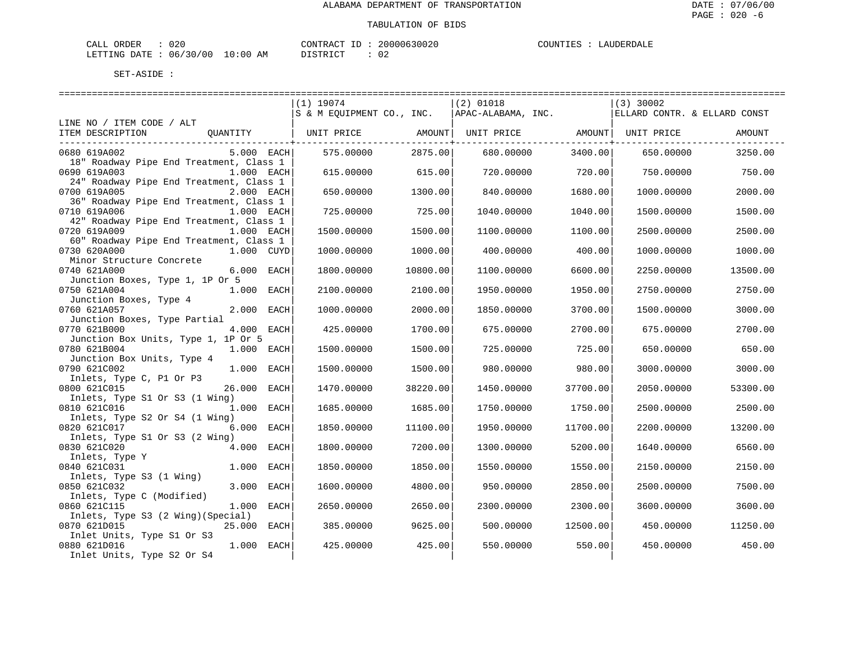| 020<br>ORDER<br>$\sim$ $ -$<br>CALL |               | CONTRACT<br>ID | 20000630020 | $1.11111 + 1.1111$ | <b>LAUDERDAT</b> |
|-------------------------------------|---------------|----------------|-------------|--------------------|------------------|
| 06/30/00<br>LETTING<br>DATE         | LO : 00<br>ΆM | ـ ت            | ◡▵          |                    |                  |

|                                                                       |             |          | =============================                       |          |                              |          |
|-----------------------------------------------------------------------|-------------|----------|-----------------------------------------------------|----------|------------------------------|----------|
|                                                                       | $(1)$ 19074 |          | $(2)$ 01018                                         |          | $(3)$ 30002                  |          |
|                                                                       |             |          | $ S \& M$ EOUIPMENT CO., INC. $ APAC-ALABAMA, INC.$ |          | ELLARD CONTR. & ELLARD CONST |          |
| LINE NO / ITEM CODE / ALT                                             |             |          |                                                     |          |                              |          |
| ITEM DESCRIPTION<br>QUANTITY                                          |             |          |                                                     |          |                              | AMOUNT   |
|                                                                       |             | 2875.00  |                                                     | 3400.00  |                              |          |
| 0680 619A002<br>$5.000$ EACH                                          | 575.00000   |          | 680.00000                                           |          | 650.00000                    | 3250.00  |
| 18" Roadway Pipe End Treatment, Class 1<br>1.000 EACH<br>0690 619A003 | 615.00000   | 615.00   | 720.00000                                           | 720.00   | 750.00000                    |          |
| 24" Roadway Pipe End Treatment, Class 1                               |             |          |                                                     |          |                              | 750.00   |
| 2.000 EACH<br>0700 619A005                                            | 650.00000   | 1300.00  | 840.00000                                           | 1680.00  | 1000.00000                   | 2000.00  |
| 36" Roadway Pipe End Treatment, Class 1                               |             |          |                                                     |          |                              |          |
| 0710 619A006<br>1.000 EACH                                            | 725.00000   | 725.00   | 1040.00000                                          | 1040.00  | 1500.00000                   | 1500.00  |
| 42" Roadway Pipe End Treatment, Class 1                               |             |          |                                                     |          |                              |          |
| 0720 619A009<br>1.000 EACH                                            | 1500.00000  | 1500.00  | 1100.00000                                          | 1100.00  | 2500.00000                   | 2500.00  |
| 60" Roadway Pipe End Treatment, Class 1                               |             |          |                                                     |          |                              |          |
| 0730 620A000<br>1.000 CUYD                                            | 1000.00000  | 1000.00  | 400.00000                                           | 400.00   | 1000.00000                   | 1000.00  |
| Minor Structure Concrete                                              |             |          |                                                     |          |                              |          |
| 6.000 EACH<br>0740 621A000                                            | 1800.00000  | 10800.00 | 1100.00000                                          | 6600.00  | 2250.00000                   | 13500.00 |
| Junction Boxes, Type 1, 1P Or 5                                       |             |          |                                                     |          |                              |          |
| 0750 621A004<br>1.000 EACH                                            | 2100.00000  | 2100.00  | 1950.00000                                          | 1950.00  | 2750.00000                   | 2750.00  |
| Junction Boxes, Type 4                                                |             |          |                                                     |          |                              |          |
| 0760 621A057<br>2.000 EACH                                            | 1000.00000  | 2000.00  | 1850.00000                                          | 3700.00  | 1500.00000                   | 3000.00  |
| Junction Boxes, Type Partial                                          |             |          |                                                     |          |                              |          |
| 0770 621B000<br>4.000 EACH                                            | 425.00000   | 1700.00  | 675.00000                                           | 2700.00  | 675.00000                    | 2700.00  |
| Junction Box Units, Type 1, 1P Or 5                                   |             |          |                                                     |          |                              |          |
| 0780 621B004<br>1.000 EACH                                            | 1500.00000  | 1500.00  | 725.00000                                           | 725.00   | 650.00000                    | 650.00   |
| Junction Box Units, Type 4                                            |             |          |                                                     |          |                              |          |
| 0790 621C002<br>1.000 EACH                                            | 1500.00000  | 1500.00  | 980.00000                                           | 980.00   | 3000.00000                   | 3000.00  |
| Inlets, Type C, P1 Or P3                                              |             |          |                                                     |          |                              |          |
| 26.000 EACH<br>0800 621C015                                           | 1470.00000  | 38220.00 | 1450.00000                                          | 37700.00 | 2050.00000                   | 53300.00 |
| Inlets, Type S1 Or S3 (1 Wing)                                        |             |          |                                                     |          |                              |          |
| 0810 621C016<br>1.000 EACH                                            | 1685.00000  | 1685.00  | 1750.00000                                          | 1750.00  | 2500.00000                   | 2500.00  |
| Inlets, Type S2 Or S4 (1 Wing)                                        |             |          |                                                     |          |                              |          |
| 6.000 EACH<br>0820 621C017                                            | 1850.00000  | 11100.00 | 1950.00000                                          | 11700.00 | 2200.00000                   | 13200.00 |
| Inlets, Type S1 Or S3 (2 Wing)                                        |             |          |                                                     |          |                              |          |
| 0830 621C020<br>4.000 EACH                                            | 1800.00000  | 7200.00  | 1300.00000                                          | 5200.00  | 1640.00000                   | 6560.00  |
| Inlets, Type Y                                                        |             |          |                                                     |          |                              |          |
| 0840 621C031<br>1.000 EACH                                            | 1850.00000  | 1850.00  | 1550.00000                                          | 1550.00  | 2150.00000                   | 2150.00  |
| Inlets, Type S3 (1 Wing)                                              |             |          |                                                     |          |                              |          |
| 0850 621C032<br>3.000 EACH                                            | 1600.00000  | 4800.00  | 950.00000                                           | 2850.00  | 2500.00000                   | 7500.00  |
| Inlets, Type C (Modified)                                             |             |          |                                                     |          |                              |          |
| 0860 621C115<br>1.000 EACH                                            | 2650.00000  | 2650.00  | 2300.00000                                          | 2300.00  | 3600.00000                   | 3600.00  |
| Inlets, Type S3 (2 Wing) (Special)                                    |             |          |                                                     |          |                              |          |
| 0870 621D015<br>25.000 EACH                                           | 385.00000   | 9625.00  | 500.00000                                           | 12500.00 | 450.00000                    | 11250.00 |
| Inlet Units, Type S1 Or S3                                            |             |          |                                                     |          |                              |          |
| 1.000 EACH<br>0880 621D016                                            | 425.00000   | 425.00   | 550.00000                                           | 550.00   | 450.00000                    | 450.00   |
| Inlet Units, Type S2 Or S4                                            |             |          |                                                     |          |                              |          |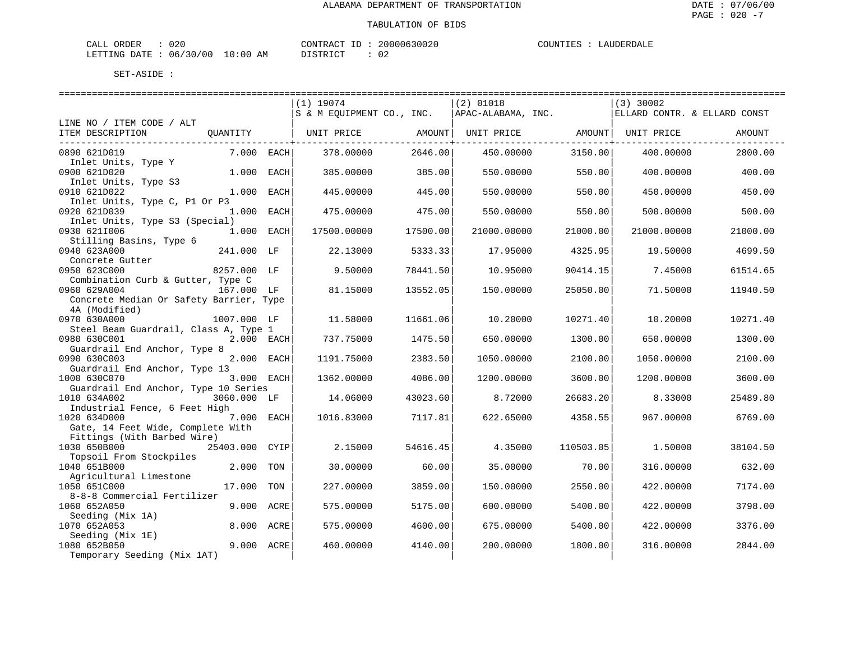| JRDER<br>$\sim$ $ -$<br>020<br>-'ALL |                              | CONTR.<br>TD<br>''RAU | $\sim$ $\sim$ $\sim$<br>UUUUK | $\mathbf{u}$ of INTP $\mathbf{r}$ | $\ldots$ in FRD $\ldots$ |
|--------------------------------------|------------------------------|-----------------------|-------------------------------|-----------------------------------|--------------------------|
| 06<br>DATE.<br>LETTING<br>.          | LO:00<br>/00<br>ີ 3 ()<br>AM | د ت                   | ◡▵                            |                                   |                          |

|                                         |              |      | $(1)$ 19074               |          | $(2)$ 01018        |           | $(3)$ 30002                  |          |
|-----------------------------------------|--------------|------|---------------------------|----------|--------------------|-----------|------------------------------|----------|
|                                         |              |      | S & M EOUIPMENT CO., INC. |          | APAC-ALABAMA, INC. |           | ELLARD CONTR. & ELLARD CONST |          |
| LINE NO / ITEM CODE / ALT               |              |      |                           |          |                    |           |                              |          |
| ITEM DESCRIPTION                        | OUANTITY     |      |                           |          |                    |           |                              | AMOUNT   |
|                                         |              |      |                           |          |                    |           |                              |          |
| 0890 621D019                            | $7.000$ EACH |      | 378.00000                 | 2646.00  | 450.00000          | 3150.00   | 400.00000                    | 2800.00  |
| Inlet Units, Type Y                     |              |      |                           |          |                    |           |                              |          |
| 0900 621D020                            | 1.000 EACH   |      | 385,00000                 | 385.00   | 550.00000          | 550.00    | 400.00000                    | 400.00   |
| Inlet Units, Type S3                    |              |      |                           |          |                    |           |                              |          |
| 0910 621D022                            | 1.000 EACH   |      | 445.00000                 | 445.00   | 550.00000          | 550.00    | 450.00000                    | 450.00   |
| Inlet Units, Type C, P1 Or P3           |              |      |                           |          |                    |           |                              |          |
| 0920 621D039                            | 1.000 EACH   |      | 475.00000                 | 475.00   | 550.00000          | 550.00    | 500.00000                    | 500.00   |
| Inlet Units, Type S3 (Special)          |              |      |                           |          |                    |           |                              |          |
| 0930 6211006                            | 1.000 EACH   |      | 17500.00000               | 17500.00 | 21000.00000        | 21000.00  | 21000.00000                  | 21000.00 |
| Stilling Basins, Type 6                 |              |      |                           |          |                    |           |                              |          |
| 0940 623A000                            | 241.000 LF   |      | 22.13000                  | 5333.33  | 17.95000           | 4325.95   | 19.50000                     | 4699.50  |
| Concrete Gutter                         |              |      |                           |          |                    |           |                              |          |
| 0950 623C000                            | 8257.000 LF  |      | 9.50000                   | 78441.50 | 10.95000           | 90414.15  | 7.45000                      | 61514.65 |
| Combination Curb & Gutter, Type C       |              |      |                           |          |                    |           |                              |          |
| 0960 629A004                            | 167.000 LF   |      | 81.15000                  | 13552.05 | 150.00000          | 25050.00  | 71.50000                     | 11940.50 |
| Concrete Median Or Safety Barrier, Type |              |      |                           |          |                    |           |                              |          |
| 4A (Modified)                           |              |      |                           |          |                    |           |                              |          |
| 0970 630A000                            | 1007.000 LF  |      | 11.58000                  | 11661.06 | 10.20000           | 10271.40  | 10.20000                     | 10271.40 |
| Steel Beam Guardrail, Class A, Type 1   |              |      |                           |          |                    |           |                              |          |
| 0980 630C001                            | 2.000 EACH   |      | 737.75000                 | 1475.50  | 650.00000          | 1300.00   | 650.00000                    | 1300.00  |
| Guardrail End Anchor, Type 8            |              |      |                           |          |                    |           |                              |          |
| 0990 630C003                            | 2.000 EACH   |      | 1191.75000                | 2383.50  | 1050.00000         | 2100.00   | 1050.00000                   | 2100.00  |
| Guardrail End Anchor, Type 13           |              |      |                           |          |                    |           |                              |          |
| 1000 630C070                            | 3.000 EACH   |      | 1362.00000                | 4086.00  | 1200.00000         | 3600.00   | 1200.00000                   | 3600.00  |
| Guardrail End Anchor, Type 10 Series    |              |      |                           |          |                    |           |                              |          |
| 1010 634A002                            | 3060.000 LF  |      | 14.06000                  | 43023.60 | 8.72000            | 26683.20  | 8.33000                      | 25489.80 |
| Industrial Fence, 6 Feet High           |              |      |                           |          |                    |           |                              |          |
| 1020 634D000                            | 7.000 EACH   |      | 1016.83000                | 7117.81  | 622.65000          | 4358.55   | 967.00000                    | 6769.00  |
| Gate, 14 Feet Wide, Complete With       |              |      |                           |          |                    |           |                              |          |
| Fittings (With Barbed Wire)             |              |      |                           |          |                    |           |                              |          |
| 1030 650B000                            | 25403.000    | CYIP | 2.15000                   | 54616.45 | 4.35000            | 110503.05 | 1.50000                      | 38104.50 |
| Topsoil From Stockpiles                 |              |      |                           |          |                    |           |                              |          |
| 1040 651B000                            | 2.000        | TON  | 30.00000                  | 60.00    | 35.00000           | 70.00     | 316.00000                    | 632.00   |
| Agricultural Limestone                  |              |      |                           |          |                    |           |                              |          |
| 1050 651C000                            | 17.000       | TON  | 227.00000                 | 3859.00  | 150.00000          | 2550.00   | 422.00000                    | 7174.00  |
| 8-8-8 Commercial Fertilizer             |              |      |                           |          |                    |           |                              |          |
| 1060 652A050                            | 9.000 ACRE   |      | 575.00000                 | 5175.00  | 600.00000          | 5400.00   | 422.00000                    | 3798.00  |
| Seeding (Mix 1A)                        |              |      |                           |          |                    |           |                              |          |
| 1070 652A053                            | 8.000 ACRE   |      | 575.00000                 | 4600.00  | 675.00000          | 5400.00   | 422.00000                    | 3376.00  |
| Seeding (Mix 1E)                        |              |      |                           |          |                    |           |                              |          |
| 1080 652B050                            | 9.000 ACRE   |      | 460.00000                 | 4140.00  | 200.00000          | 1800.00   | 316.00000                    | 2844.00  |
| Temporary Seeding (Mix 1AT)             |              |      |                           |          |                    |           |                              |          |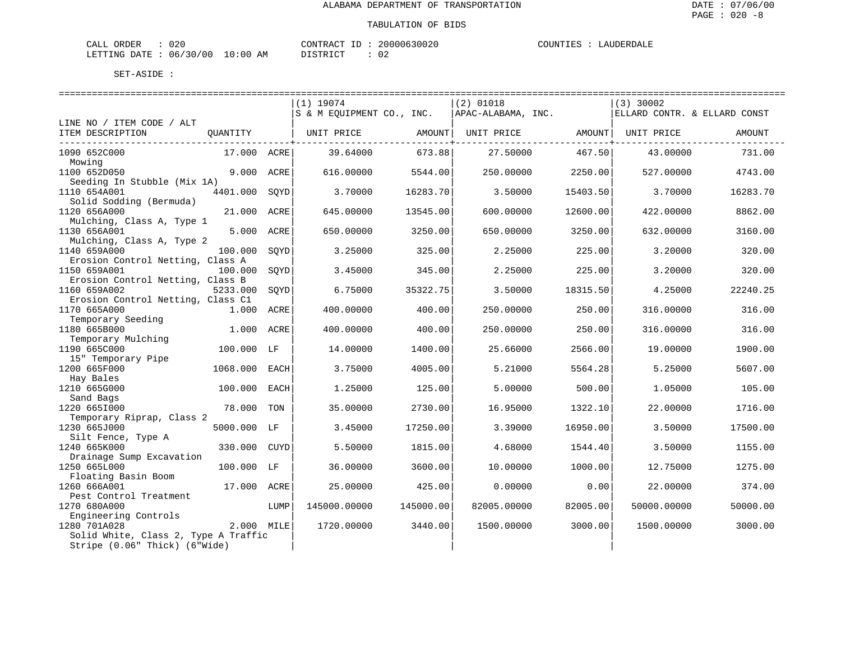| $\sim$ $ -$<br>DER<br>$\cdot$ A T<br>∪∠∪ |                                            | ™™F<br>∵R At | (111111163111       | . INTT | $\overline{ }$ |
|------------------------------------------|--------------------------------------------|--------------|---------------------|--------|----------------|
| LETTING<br>DATE.<br>っい<br>06             | /00<br>AM<br>$\div 0$ (<br>- 61<br>$\cdot$ |              | ◡▵<br>$\sim$ $\sim$ |        |                |

| $(1)$ 19074<br>$(2)$ 01018<br>$(3)$ 30002<br>S & M EQUIPMENT CO., INC.<br>APAC-ALABAMA, INC.<br>ELLARD CONTR. & ELLARD CONST<br>LINE NO / ITEM CODE / ALT<br>ITEM DESCRIPTION<br>QUANTITY<br>UNIT PRICE<br>AMOUNT  <br>UNIT PRICE AMOUNT<br>UNIT PRICE<br>AMOUNT<br>. <u>.</u><br>673.88<br>1090 652C000<br>17.000 ACRE<br>39.64000<br>27.50000<br>467.50<br>43.00000<br>Mowing<br>1100 652D050<br>9.000 ACRE<br>616.00000<br>5544.00<br>250.00000<br>2250.00<br>527.00000<br>Seeding In Stubble (Mix 1A)<br>4401.000<br>1110 654A001<br>3.70000<br>16283.70<br>15403.50<br>3.70000<br>16283.70<br>SOYD<br>3.50000<br>Solid Sodding (Bermuda)<br>1120 656A000<br>21.000 ACRE<br>13545.00<br>12600.00<br>645.00000<br>600.00000<br>422.00000 | 731.00<br>4743.00<br>8862.00<br>3160.00 |
|---------------------------------------------------------------------------------------------------------------------------------------------------------------------------------------------------------------------------------------------------------------------------------------------------------------------------------------------------------------------------------------------------------------------------------------------------------------------------------------------------------------------------------------------------------------------------------------------------------------------------------------------------------------------------------------------------------------------------------------------|-----------------------------------------|
|                                                                                                                                                                                                                                                                                                                                                                                                                                                                                                                                                                                                                                                                                                                                             |                                         |
|                                                                                                                                                                                                                                                                                                                                                                                                                                                                                                                                                                                                                                                                                                                                             |                                         |
|                                                                                                                                                                                                                                                                                                                                                                                                                                                                                                                                                                                                                                                                                                                                             |                                         |
|                                                                                                                                                                                                                                                                                                                                                                                                                                                                                                                                                                                                                                                                                                                                             |                                         |
|                                                                                                                                                                                                                                                                                                                                                                                                                                                                                                                                                                                                                                                                                                                                             |                                         |
|                                                                                                                                                                                                                                                                                                                                                                                                                                                                                                                                                                                                                                                                                                                                             |                                         |
|                                                                                                                                                                                                                                                                                                                                                                                                                                                                                                                                                                                                                                                                                                                                             |                                         |
|                                                                                                                                                                                                                                                                                                                                                                                                                                                                                                                                                                                                                                                                                                                                             |                                         |
|                                                                                                                                                                                                                                                                                                                                                                                                                                                                                                                                                                                                                                                                                                                                             |                                         |
| Mulching, Class A, Type 1<br>1130 656A001<br>5.000 ACRE<br>650.00000<br>3250.00<br>650.00000<br>3250.00<br>632.00000                                                                                                                                                                                                                                                                                                                                                                                                                                                                                                                                                                                                                        |                                         |
| Mulching, Class A, Type 2                                                                                                                                                                                                                                                                                                                                                                                                                                                                                                                                                                                                                                                                                                                   |                                         |
| 1140 659A000<br>100.000<br>3.25000<br>325.00<br>225.00<br>3.20000<br>SOYD<br>2.25000                                                                                                                                                                                                                                                                                                                                                                                                                                                                                                                                                                                                                                                        | 320.00                                  |
| Erosion Control Netting, Class A<br>1150 659A001<br>100.000<br>345.00<br>225.00<br>3.20000<br>SOYD<br>3.45000<br>2.25000                                                                                                                                                                                                                                                                                                                                                                                                                                                                                                                                                                                                                    | 320.00                                  |
| Erosion Control Netting, Class B<br>1160 659A002<br>22240.25                                                                                                                                                                                                                                                                                                                                                                                                                                                                                                                                                                                                                                                                                |                                         |
| 5233.000<br>6.75000<br>35322.75<br>3.50000<br>18315.50<br>4.25000<br>SOYD<br>Erosion Control Netting, Class C1                                                                                                                                                                                                                                                                                                                                                                                                                                                                                                                                                                                                                              |                                         |
| 1170 665A000<br>1.000 ACRE<br>400.00000<br>400.00<br>250.00000<br>250.00<br>316.00000                                                                                                                                                                                                                                                                                                                                                                                                                                                                                                                                                                                                                                                       | 316.00                                  |
| Temporary Seeding<br>1180 665B000<br>1.000 ACRE<br>316.00000<br>400.00000<br>400.00<br>250.00000<br>250.00                                                                                                                                                                                                                                                                                                                                                                                                                                                                                                                                                                                                                                  | 316.00                                  |
| Temporary Mulching<br>1190 665C000<br>100.000<br>14.00000<br>1400.00<br>25.66000<br>2566.00<br>19.00000<br>LF                                                                                                                                                                                                                                                                                                                                                                                                                                                                                                                                                                                                                               | 1900.00                                 |
| 15" Temporary Pipe                                                                                                                                                                                                                                                                                                                                                                                                                                                                                                                                                                                                                                                                                                                          |                                         |
| 1200 665F000<br>1068.000<br>3.75000<br>4005.00<br>5.21000<br>5564.28<br>5.25000<br>EACH                                                                                                                                                                                                                                                                                                                                                                                                                                                                                                                                                                                                                                                     | 5607.00                                 |
| Hay Bales                                                                                                                                                                                                                                                                                                                                                                                                                                                                                                                                                                                                                                                                                                                                   |                                         |
| 1210 665G000<br>100.000<br>1.25000<br>125.00<br>5.00000<br>500.00<br>1.05000<br>EACH<br>Sand Bags                                                                                                                                                                                                                                                                                                                                                                                                                                                                                                                                                                                                                                           | 105.00                                  |
| 1220 6651000<br>78.000<br>35.00000<br>2730.00<br>22.00000<br>TON<br>16.95000<br>1322.10                                                                                                                                                                                                                                                                                                                                                                                                                                                                                                                                                                                                                                                     | 1716.00                                 |
| Temporary Riprap, Class 2                                                                                                                                                                                                                                                                                                                                                                                                                                                                                                                                                                                                                                                                                                                   |                                         |
| 1230 665J000<br>5000.000 LF<br>3.45000<br>17250.00<br>16950.00<br>3.50000<br>17500.00<br>3.39000                                                                                                                                                                                                                                                                                                                                                                                                                                                                                                                                                                                                                                            |                                         |
| Silt Fence, Type A                                                                                                                                                                                                                                                                                                                                                                                                                                                                                                                                                                                                                                                                                                                          |                                         |
| 1240 665K000<br>330.000<br>CUYD<br>5.50000<br>1815.00<br>4.68000<br>1544.40<br>3.50000<br>Drainage Sump Excavation                                                                                                                                                                                                                                                                                                                                                                                                                                                                                                                                                                                                                          | 1155.00                                 |
| 1250 665L000<br>100.000 LF<br>36.00000<br>3600.00<br>10,00000<br>1000.00<br>12.75000                                                                                                                                                                                                                                                                                                                                                                                                                                                                                                                                                                                                                                                        | 1275.00                                 |
| Floating Basin Boom                                                                                                                                                                                                                                                                                                                                                                                                                                                                                                                                                                                                                                                                                                                         |                                         |
| 1260 666A001<br>17.000 ACRE<br>25.00000<br>425.00<br>0.00000<br>0.00<br>22.00000                                                                                                                                                                                                                                                                                                                                                                                                                                                                                                                                                                                                                                                            | 374.00                                  |
| Pest Control Treatment<br>1270 680A000<br>145000.00000<br>145000.00<br>82005.00000<br>82005.00<br>50000.00000<br>50000.00<br>LUMP                                                                                                                                                                                                                                                                                                                                                                                                                                                                                                                                                                                                           |                                         |
| Engineering Controls                                                                                                                                                                                                                                                                                                                                                                                                                                                                                                                                                                                                                                                                                                                        |                                         |
| 2.000 MILE<br>1280 701A028<br>1720.00000<br>3440.00<br>1500.00000<br>3000.00<br>1500.00000                                                                                                                                                                                                                                                                                                                                                                                                                                                                                                                                                                                                                                                  | 3000.00                                 |
| Solid White, Class 2, Type A Traffic<br>Stripe (0.06" Thick) (6"Wide)                                                                                                                                                                                                                                                                                                                                                                                                                                                                                                                                                                                                                                                                       |                                         |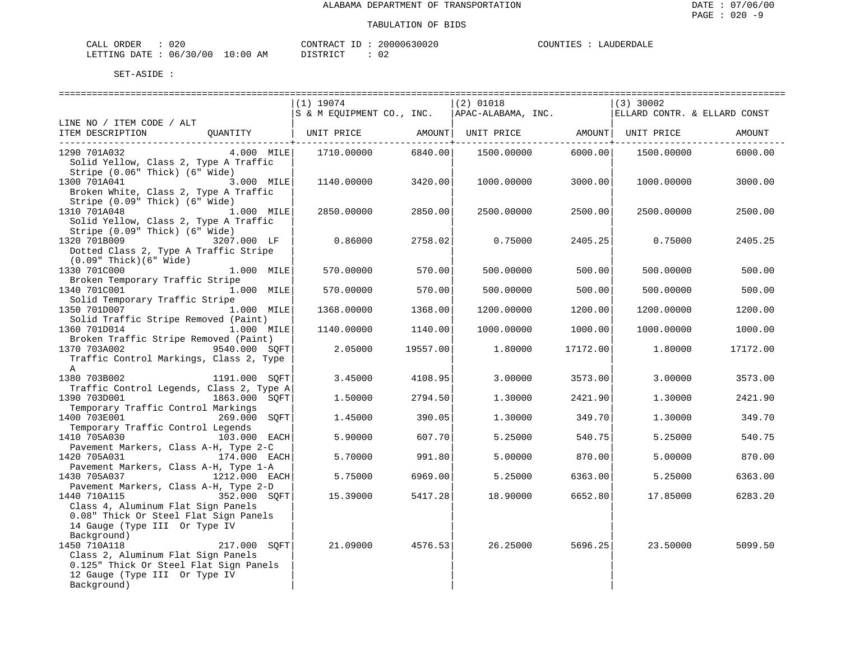| JRDER<br>$\sim$ $ -$<br>020<br>-'ALL |                              | CONTR.<br>TD<br>''RAU | $\sim$ $\sim$ $\sim$<br>UUUUK | $\mathbf{u}$ of INTP $\mathbf{r}$ | $\ldots$ in FRD $\ldots$ |
|--------------------------------------|------------------------------|-----------------------|-------------------------------|-----------------------------------|--------------------------|
| 06<br>DATE.<br>LETTING<br>.          | LO:00<br>/00<br>ີ 3 ()<br>AM | د ت                   | ◡▵                            |                                   |                          |

|                                                                                                                                                              | $(1)$ 19074<br>S & M EQUIPMENT CO., INC. $ $ APAC-ALABAMA, INC. $ $ ELLARD CONTR. & ELLARD CONST |          | $(2)$ 01018        |          | $(3)$ 30002 |          |
|--------------------------------------------------------------------------------------------------------------------------------------------------------------|--------------------------------------------------------------------------------------------------|----------|--------------------|----------|-------------|----------|
| LINE NO / ITEM CODE / ALT                                                                                                                                    |                                                                                                  |          |                    |          |             |          |
| ITEM DESCRIPTION QUANTITY   UNIT PRICE AMOUNT  UNIT PRICE AMOUNT  UNIT PRICE                                                                                 |                                                                                                  |          |                    |          |             | AMOUNT   |
| 1290 701A032<br>Solid Yellow, Class 2, Type A Traffic                                                                                                        |                                                                                                  |          | 1500.00000 6000.00 |          | 1500.00000  | 6000.00  |
| Stripe (0.06" Thick) (6" Wide)<br>3.000 MILE<br>1300 701A041<br>Broken White, Class 2, Type A Traffic                                                        | 1140.00000                                                                                       | 3420.00  | 1000.00000         | 3000.00  | 1000.00000  | 3000.00  |
| Stripe (0.09" Thick) (6" Wide)<br>1310 701A048<br>1.000 MILE<br>Solid Yellow, Class 2, Type A Traffic                                                        | 2850.00000                                                                                       | 2850.00  | 2500.00000         | 2500.00  | 2500.00000  | 2500.00  |
| Stripe (0.09" Thick) (6" Wide)<br>3207.000 LF<br>1320 701B009<br>Dotted Class 2, Type A Traffic Stripe                                                       | 0.86000                                                                                          | 2758.02  | 0.75000            | 2405.25  | 0.75000     | 2405.25  |
| $(0.09"$ Thick $)(6"$ Wide $)$<br>1330 701C000<br>$1.000$ MILE<br>Broken Temporary Traffic Stripe                                                            | 570.00000                                                                                        | 570.00   | 500,00000          | 500.00   | 500,00000   | 500.00   |
| 1340 701C001<br>1.000 MILE<br>Solid Temporary Traffic Stripe                                                                                                 | 570.00000                                                                                        | 570.00   | 500.00000          | 500.00   | 500.00000   | 500.00   |
| 1350 701D007<br>1.000 MILE<br>Solid Traffic Stripe Removed (Paint)                                                                                           | 1368.00000                                                                                       | 1368.00  | 1200.00000         | 1200.00  | 1200.00000  | 1200.00  |
| 1360 701D014<br>1.000 MILE<br>Broken Traffic Stripe Removed (Paint)                                                                                          | 1140.00000                                                                                       | 1140.00  | 1000.00000         | 1000.00  | 1000.00000  | 1000.00  |
| 1370 703A002<br>9540.000 SOFT<br>Traffic Control Markings, Class 2, Type<br>$\mathbb{A}$                                                                     | 2.05000                                                                                          | 19557.00 | 1.80000            | 17172.00 | 1.80000     | 17172.00 |
| 1380 703B002<br>1191.000 SOFT<br>Traffic Control Legends, Class 2, Type A                                                                                    | 3.45000                                                                                          | 4108.95  | 3,00000            | 3573.00  | 3.00000     | 3573.00  |
| 1390 703D001<br>1863.000 SOFT<br>Temporary Traffic Control Markings                                                                                          | 1.50000                                                                                          | 2794.50  | 1,30000            | 2421.90  | 1.30000     | 2421.90  |
| 1400 703E001<br>269.000 SOFT<br>Temporary Traffic Control Legends                                                                                            | 1.45000                                                                                          | 390.05   | 1,30000            | 349.701  | 1,30000     | 349.70   |
| 1410 705A030<br>103.000 EACH<br>Pavement Markers, Class A-H, Type 2-C                                                                                        | 5.90000                                                                                          | 607.70   | 5.25000            | 540.75   | 5.25000     | 540.75   |
| 1420 705A031<br>174.000 EACH<br>Pavement Markers, Class A-H, Type 1-A                                                                                        | 5.70000                                                                                          | 991.80   | 5.00000            | 870.00   | 5.00000     | 870.00   |
| 1430 705A037<br>$1212.000$ EACH<br>Pavement Markers, Class A-H, Type 2-D                                                                                     | 5.75000                                                                                          | 6969.00  | 5.25000            | 6363.00  | 5.25000     | 6363.00  |
| 1440 710A115<br>352.000 SOFT<br>Class 4, Aluminum Flat Sign Panels<br>0.08" Thick Or Steel Flat Sign Panels<br>14 Gauge (Type III Or Type IV<br>Background)  | 15.39000                                                                                         | 5417.28  | 18.90000           | 6652.80  | 17.85000    | 6283.20  |
| 1450 710A118<br>217.000 SOFT<br>Class 2, Aluminum Flat Sign Panels<br>0.125" Thick Or Steel Flat Sign Panels<br>12 Gauge (Type III Or Type IV<br>Background) | 21.09000 4576.53                                                                                 |          | 26.25000           | 5696.25  | 23.50000    | 5099.50  |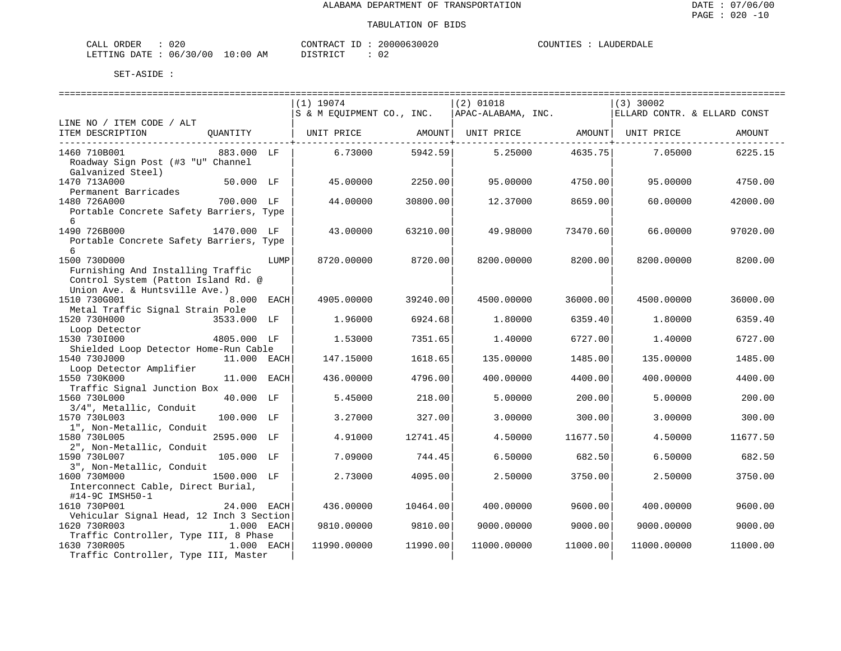| $\cdot$ $\sim$ $\sim$<br><b>PRDER</b><br>しムし |                | $\wedge$ $\cap$ $\Box$<br>יחד גר | $\cup$<br>UZ | ידוחדורי<br>(A A B)<br>.<br>$\cdot$ . $\mathbf{A}$ $\cdot$<br>. |
|----------------------------------------------|----------------|----------------------------------|--------------|-----------------------------------------------------------------|
| . ነ∆ ጥም<br>LETTING<br>06<br>O O              | LU : 00<br>AM. | $ \sim$<br>יחי ר                 | ◡▵           |                                                                 |

|                                          |             |            | ============================== |          | ==============================                |                 | ---------------------------- |          |
|------------------------------------------|-------------|------------|--------------------------------|----------|-----------------------------------------------|-----------------|------------------------------|----------|
|                                          |             |            | $(1)$ 19074                    |          | $(2)$ 01018                                   |                 | $(3)$ 30002                  |          |
|                                          |             |            | S & M EQUIPMENT CO., INC.      |          | APAC-ALABAMA, INC.                            |                 | ELLARD CONTR. & ELLARD CONST |          |
| LINE NO / ITEM CODE / ALT                |             |            |                                |          |                                               |                 |                              |          |
| ITEM DESCRIPTION                         | OUANTITY    |            | UNIT PRICE                     |          | AMOUNT   UNIT PRICE       AMOUNT   UNIT PRICE |                 |                              | AMOUNT   |
|                                          |             |            |                                |          |                                               | -------------+- |                              |          |
| 1460 710B001                             | 883.000 LF  |            | 6.73000                        | 5942.59  | 5.25000                                       | 4635.75         | 7.05000                      | 6225.15  |
| Roadway Sign Post (#3 "U" Channel        |             |            |                                |          |                                               |                 |                              |          |
| Galvanized Steel)                        |             |            |                                |          |                                               |                 |                              |          |
| 1470 713A000                             | 50.000 LF   |            | 45.00000                       | 2250.00  | 95.00000                                      | 4750.00         | 95.00000                     | 4750.00  |
| Permanent Barricades                     |             |            |                                |          |                                               |                 |                              |          |
| 1480 726A000                             | 700.000 LF  |            | 44.00000                       | 30800.00 | 12.37000                                      | 8659.00         | 60.00000                     | 42000.00 |
| Portable Concrete Safety Barriers, Type  |             |            |                                |          |                                               |                 |                              |          |
| 6                                        |             |            |                                |          |                                               |                 |                              |          |
| 1490 726B000                             | 1470.000 LF |            | 43.00000                       | 63210.00 | 49.98000                                      | 73470.60        | 66.00000                     | 97020.00 |
| Portable Concrete Safety Barriers, Type  |             |            |                                |          |                                               |                 |                              |          |
| 6                                        |             |            |                                |          |                                               |                 |                              |          |
| 1500 730D000                             |             | LUMP       | 8720.00000                     | 8720.00  | 8200.00000                                    | 8200.00         | 8200.00000                   | 8200.00  |
| Furnishing And Installing Traffic        |             |            |                                |          |                                               |                 |                              |          |
| Control System (Patton Island Rd. @      |             |            |                                |          |                                               |                 |                              |          |
| Union Ave. & Huntsville Ave.)            |             |            |                                |          |                                               |                 |                              |          |
| 1510 730G001                             |             | 8.000 EACH | 4905.00000                     | 39240.00 | 4500.00000                                    | 36000.00        | 4500.00000                   | 36000.00 |
| Metal Traffic Signal Strain Pole         |             |            |                                |          |                                               |                 |                              |          |
| 1520 730H000                             | 3533.000 LF |            | 1.96000                        | 6924.68  | 1,80000                                       | 6359.40         | 1,80000                      | 6359.40  |
| Loop Detector                            |             |            |                                |          |                                               |                 |                              |          |
| 1530 7301000                             | 4805.000 LF |            | 1.53000                        | 7351.65  | 1,40000                                       | 6727.00         | 1.40000                      | 6727.00  |
| Shielded Loop Detector Home-Run Cable    |             |            |                                |          |                                               |                 |                              |          |
| 1540 730J000                             | 11.000 EACH |            | 147.15000                      | 1618.65  | 135.00000                                     | 1485.00         | 135.00000                    | 1485.00  |
| Loop Detector Amplifier                  |             |            |                                |          |                                               |                 |                              |          |
| 1550 730K000                             | 11.000 EACH |            | 436.00000                      | 4796.00  | 400.00000                                     | 4400.00         | 400.00000                    | 4400.00  |
| Traffic Signal Junction Box              |             |            |                                |          |                                               |                 |                              |          |
| 1560 730L000                             | 40.000 LF   |            | 5.45000                        | 218.00   | 5.00000                                       | 200.00          | 5.00000                      | 200.00   |
| 3/4", Metallic, Conduit                  |             |            |                                |          |                                               |                 |                              |          |
| 1570 730L003                             | 100.000 LF  |            | 3.27000                        | 327.00   | 3.00000                                       | 300.00          | 3.00000                      | 300.00   |
| 1", Non-Metallic, Conduit                |             |            |                                |          |                                               |                 |                              |          |
| 1580 730L005                             | 2595.000 LF |            | 4.91000                        | 12741.45 | 4.50000                                       | 11677.50        | 4.50000                      | 11677.50 |
| 2", Non-Metallic, Conduit                |             |            |                                |          |                                               |                 |                              |          |
| 1590 730L007                             | 105.000 LF  |            | 7.09000                        | 744.45   | 6.50000                                       | 682.50          | 6.50000                      | 682.50   |
| 3", Non-Metallic, Conduit                |             |            |                                |          |                                               |                 |                              |          |
| 1600 730M000                             | 1500.000 LF |            | 2.73000                        | 4095.00  | 2.50000                                       | 3750.00         | 2.50000                      | 3750.00  |
| Interconnect Cable, Direct Burial,       |             |            |                                |          |                                               |                 |                              |          |
| #14-9C IMSH50-1                          |             |            |                                |          |                                               |                 |                              |          |
| 1610 730P001                             | 24.000 EACH |            | 436.00000                      | 10464.00 | 400.00000                                     | 9600.00         | 400.00000                    | 9600.00  |
| Vehicular Signal Head, 12 Inch 3 Section |             |            |                                |          |                                               |                 |                              |          |
| 1620 730R003                             |             | 1.000 EACH | 9810.00000                     | 9810.00  | 9000.00000                                    | 9000.00         | 9000.00000                   | 9000.00  |
| Traffic Controller, Type III, 8 Phase    |             |            |                                |          |                                               |                 |                              |          |
| 1630 730R005                             |             | 1.000 EACH | 11990.00000                    | 11990.00 | 11000.00000                                   | 11000.00        | 11000.00000                  | 11000.00 |
| Traffic Controller, Type III, Master     |             |            |                                |          |                                               |                 |                              |          |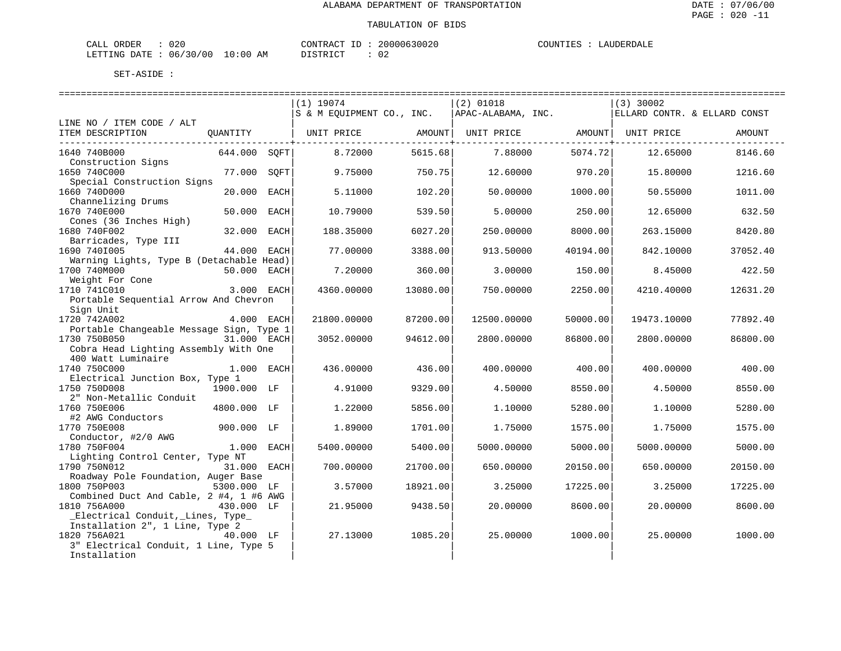| $\sim$<br>ORDER<br>∪∠∪<br>JAL'                                 |            | CONT.              | JZU. | $\cdot$ $\sim$ |
|----------------------------------------------------------------|------------|--------------------|------|----------------|
| L I VIC<br>mmm<br>$.17 -$<br>0 G<br>06<br>-21<br>٠н.<br>______ | AΜ<br>- 00 | $- - - - -$<br>. . | ◡∠   |                |

|                                               |                                 |      |                                                |          |                   |          |                              | ================================ |  |  |
|-----------------------------------------------|---------------------------------|------|------------------------------------------------|----------|-------------------|----------|------------------------------|----------------------------------|--|--|
|                                               |                                 |      | $(1)$ 19074                                    |          | $(2)$ 01018       |          | $(3)$ 30002                  |                                  |  |  |
|                                               |                                 |      | S & M EQUIPMENT CO., INC.   APAC-ALABAMA, INC. |          |                   |          | ELLARD CONTR. & ELLARD CONST |                                  |  |  |
| LINE NO / ITEM CODE / ALT<br>ITEM DESCRIPTION | QUANTITY                        |      | UNIT PRICE AMOUNT                              |          | UNIT PRICE AMOUNT |          | UNIT PRICE                   | AMOUNT                           |  |  |
|                                               |                                 |      |                                                |          |                   |          |                              |                                  |  |  |
| 1640 740B000                                  | 644.000 SOFT                    |      | 8.72000                                        | 5615.68  | 7.88000           | 5074.72  | 12.65000                     | 8146.60                          |  |  |
| Construction Signs                            |                                 |      |                                                |          |                   |          |                              |                                  |  |  |
| 1650 740C000                                  | 77.000                          | SOFT | 9.75000                                        | 750.75   | 12.60000          | 970.20   | 15.80000                     | 1216.60                          |  |  |
| Special Construction Signs                    |                                 |      |                                                |          |                   |          |                              |                                  |  |  |
| 1660 740D000<br>Channelizing Drums            | 20.000                          | EACH | 5.11000                                        | 102.201  | 50.00000          | 1000.00  | 50.55000                     | 1011.00                          |  |  |
| 1670 740E000                                  | 50.000 EACH                     |      | 10.79000                                       | 539.50   | 5.00000           | 250.00   | 12.65000                     | 632.50                           |  |  |
| Cones (36 Inches High)                        |                                 |      |                                                |          |                   |          |                              |                                  |  |  |
| 1680 740F002                                  | 32.000 EACH                     |      | 188.35000                                      | 6027.20  | 250.00000         | 8000.00  | 263.15000                    | 8420.80                          |  |  |
| Barricades, Type III                          |                                 |      |                                                |          |                   |          |                              |                                  |  |  |
| 1690 7401005                                  | 44.000 EACH                     |      | 77.00000                                       | 3388.00  | 913.50000         | 40194.00 | 842.10000                    | 37052.40                         |  |  |
| Warning Lights, Type B (Detachable Head)      |                                 |      |                                                |          |                   |          |                              |                                  |  |  |
| 1700 740M000                                  | 50.000 EACH                     |      | 7.20000                                        | 360.00   | 3.00000           | 150.00   | 8.45000                      | 422.50                           |  |  |
| Weight For Cone                               |                                 |      |                                                |          |                   |          |                              |                                  |  |  |
| 1710 741C010                                  | 3.000 EACH                      |      | 4360.00000                                     | 13080.00 | 750.00000         | 2250.00  | 4210.40000                   | 12631.20                         |  |  |
| Portable Sequential Arrow And Chevron         |                                 |      |                                                |          |                   |          |                              |                                  |  |  |
| Sign Unit                                     |                                 |      |                                                |          |                   |          |                              |                                  |  |  |
| 1720 742A002                                  | $4.000$ EACH                    |      | 21800.00000                                    | 87200.00 | 12500.00000       | 50000.00 | 19473.10000                  | 77892.40                         |  |  |
| Portable Changeable Message Sign, Type 1      |                                 |      |                                                |          |                   |          |                              |                                  |  |  |
| 1730 750B050                                  | 31.000 EACH                     |      | 3052.00000                                     | 94612.00 | 2800.00000        | 86800.00 | 2800.00000                   | 86800.00                         |  |  |
| Cobra Head Lighting Assembly With One         |                                 |      |                                                |          |                   |          |                              |                                  |  |  |
| 400 Watt Luminaire                            |                                 |      |                                                |          |                   |          |                              |                                  |  |  |
| 1740 750C000                                  | 1.000 EACH                      |      | 436.00000                                      | 436.00   | 400.00000         | 400.00   | 400.00000                    | 400.00                           |  |  |
| Electrical Junction Box, Type 1               |                                 |      |                                                |          |                   |          |                              |                                  |  |  |
| 1750 750D008                                  | 1900.000 LF                     |      | 4.91000                                        | 9329.00  | 4.50000           | 8550.00  | 4.50000                      | 8550.00                          |  |  |
| 2" Non-Metallic Conduit                       |                                 |      |                                                |          |                   |          |                              |                                  |  |  |
| 1760 750E006                                  | 4800.000 LF                     |      | 1.22000                                        | 5856.00  | 1.10000           | 5280.00  | 1,10000                      | 5280.00                          |  |  |
| #2 AWG Conductors                             |                                 |      |                                                |          |                   |          |                              |                                  |  |  |
| 1770 750E008                                  | 900.000 LF                      |      | 1.89000                                        | 1701.00  | 1.75000           | 1575.00  | 1.75000                      | 1575.00                          |  |  |
| Conductor, #2/0 AWG<br>1780 750F004           |                                 |      |                                                |          |                   |          |                              |                                  |  |  |
| Lighting Control Center, Type NT              | 1.000 EACH                      |      | 5400.00000                                     | 5400.00  | 5000.00000        | 5000.00  | 5000.00000                   | 5000.00                          |  |  |
| 1790 750N012                                  | 31.000 EACH                     |      | 700.00000                                      | 21700.00 | 650.00000         | 20150.00 | 650.00000                    | 20150.00                         |  |  |
| Roadway Pole Foundation, Auger Base           |                                 |      |                                                |          |                   |          |                              |                                  |  |  |
| 1800 750P003                                  | 5300.000 LF                     |      | 3.57000                                        | 18921.00 | 3.25000           | 17225.00 | 3.25000                      | 17225.00                         |  |  |
| Combined Duct And Cable, 2 #4, 1 #6 AWG       |                                 |      |                                                |          |                   |          |                              |                                  |  |  |
| 1810 756A000                                  | 430.000 LF                      |      | 21.95000                                       | 9438.50  | 20.00000          | 8600.00  | 20,00000                     | 8600.00                          |  |  |
| _Electrical Conduit, _Lines, Type_            |                                 |      |                                                |          |                   |          |                              |                                  |  |  |
|                                               | Installation 2", 1 Line, Type 2 |      |                                                |          |                   |          |                              |                                  |  |  |
| 1820 756A021                                  | 40.000 LF                       |      | 27.13000                                       | 1085.20  | 25.00000          | 1000.00  | 25.00000                     | 1000.00                          |  |  |
| 3" Electrical Conduit, 1 Line, Type 5         |                                 |      |                                                |          |                   |          |                              |                                  |  |  |
| Installation                                  |                                 |      |                                                |          |                   |          |                              |                                  |  |  |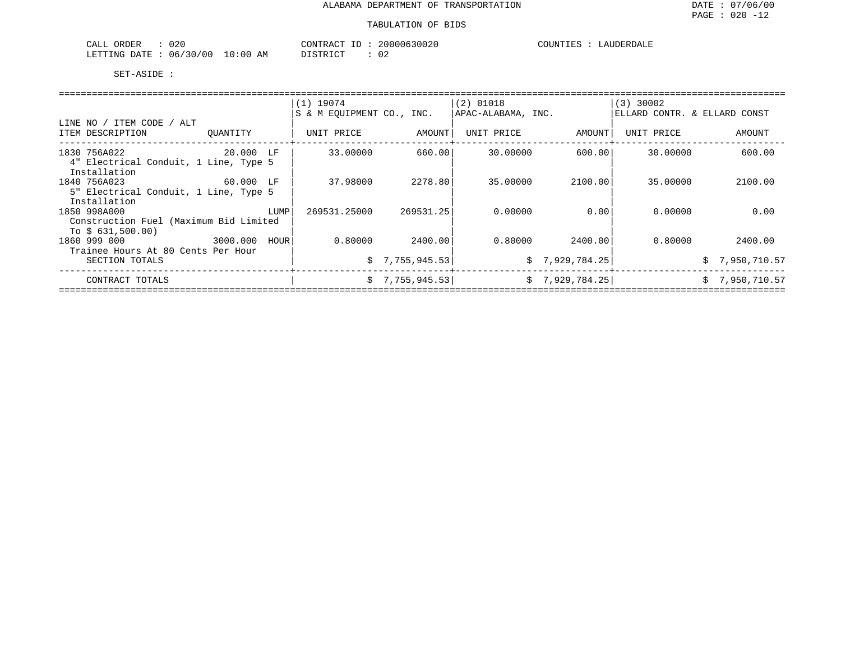| ∩∩∩<br>ORDER<br>CALL<br>UZU                                                                                                                             |             | CONTRAC<br>$\sim$        | 630020<br>∩NNNA. | COUNTIES<br>$H_{H}$<br>DA LE |
|---------------------------------------------------------------------------------------------------------------------------------------------------------|-------------|--------------------------|------------------|------------------------------|
| /30<br>1/00<br>06<br>LETTING<br>חימת<br>the contract of the contract of the contract of the contract of the contract of the contract of the contract of | 10:00<br>AM | T T C T T T C T<br>ו שיו | $\sim$           |                              |

|                                                        |                  | $(1)$ 19074               |                 | $(2)$ 01018        |                 | $(3)$ 30002                  |                |
|--------------------------------------------------------|------------------|---------------------------|-----------------|--------------------|-----------------|------------------------------|----------------|
|                                                        |                  | S & M EOUIPMENT CO., INC. |                 | APAC-ALABAMA, INC. |                 | ELLARD CONTR. & ELLARD CONST |                |
| LINE NO / ITEM CODE / ALT<br>ITEM DESCRIPTION          | OUANTITY         | UNIT PRICE                | AMOUNT          | UNIT PRICE         | AMOUNT          | UNIT PRICE                   | AMOUNT         |
| 1830 756A022                                           | 20.000 LF        | 33.00000                  | 660.00          | 30,00000           | 600.00          | 30,00000                     | 600.00         |
| 4" Electrical Conduit, 1 Line, Type 5<br>Installation  |                  |                           |                 |                    |                 |                              |                |
| 1840 756A023                                           | 60.000 LF        | 37.98000                  | 2278.80         | 35,00000           | 2100.00         | 35.00000                     | 2100.00        |
| 5" Electrical Conduit, 1 Line, Type 5                  |                  |                           |                 |                    |                 |                              |                |
| Installation                                           |                  |                           |                 |                    |                 |                              |                |
| 1850 998A000<br>Construction Fuel (Maximum Bid Limited | LUMP             | 269531.25000              | 269531.25       | 0.00000            | 0.00            | 0.00000                      | 0.00           |
| To $$631,500.00)$                                      |                  |                           |                 |                    |                 |                              |                |
| 1860 999 000                                           | 3000.000<br>HOUR | 0.80000                   | 2400.00         | 0.80000            | 2400.00         | 0.80000                      | 2400.00        |
| Trainee Hours At 80 Cents Per Hour                     |                  |                           |                 |                    |                 |                              |                |
| SECTION TOTALS                                         |                  |                           | \$7,755,945.53  |                    | \$7,929,784.25  |                              | \$7,950,710.57 |
| CONTRACT TOTALS                                        |                  |                           | \$7,755,945.53] |                    | \$7,929,784.25] |                              | \$7,950,710.57 |
|                                                        |                  |                           |                 |                    |                 |                              |                |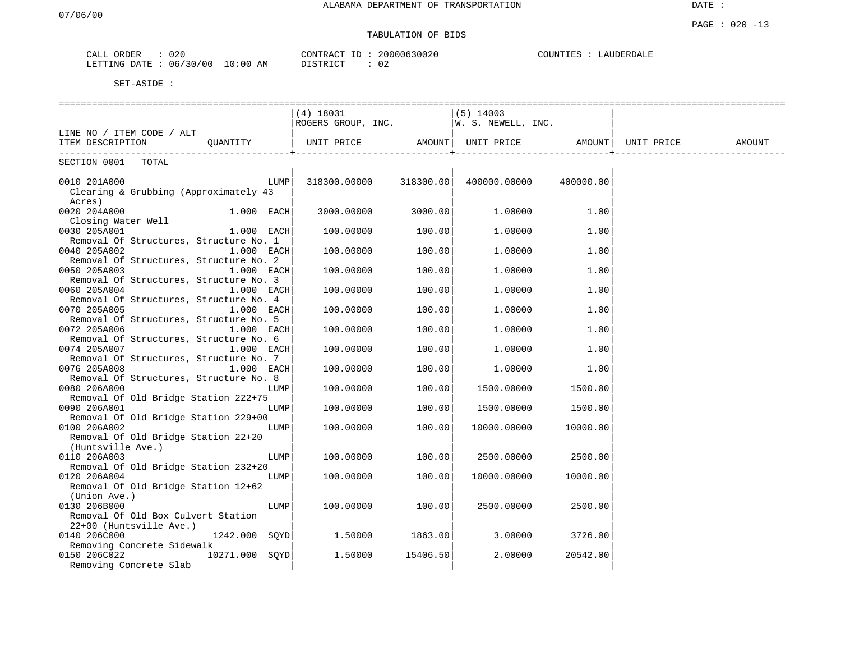# TABULATION OF BIDS

| CALL | ORDER        | 020        |            | CONTRACT ID | ⊥ப | 20000630020  | COUNTIES | LAUDERDALE |
|------|--------------|------------|------------|-------------|----|--------------|----------|------------|
|      | LETTING DATE | : 06/30/00 | $10:00$ AM | DISTRICT    |    | $\sim$<br>◡∠ |          |            |

|                                        | $(4)$ 18031                                      |          | $(5)$ 14003  |           |        |
|----------------------------------------|--------------------------------------------------|----------|--------------|-----------|--------|
|                                        | ROGERS GROUP, INC. $ W. S. NEWELL, INC.$         |          |              |           |        |
| LINE NO / ITEM CODE / ALT              |                                                  |          |              |           |        |
| ITEM DESCRIPTION QUANTITY              | UNIT PRICE AMOUNT  UNIT PRICE AMOUNT  UNIT PRICE |          |              |           | AMOUNT |
|                                        |                                                  |          |              |           |        |
| SECTION 0001<br>TOTAL                  |                                                  |          |              |           |        |
|                                        |                                                  |          |              |           |        |
| 0010 201A000<br>LUMP                   | $318300.00000$ $318300.00$                       |          | 400000.00000 | 400000.00 |        |
| Clearing & Grubbing (Approximately 43  |                                                  |          |              |           |        |
| Acres)                                 |                                                  |          |              |           |        |
| 0020 204A000<br>$1.000$ EACH           | 3000.00000                                       | 3000.00  | 1.00000      | 1.00      |        |
| Closing Water Well                     |                                                  |          |              |           |        |
| 0030 205A001<br>1.000 EACH             | 100.00000                                        | 100.00   | 1,00000      | 1.00      |        |
|                                        |                                                  |          |              |           |        |
| Removal Of Structures, Structure No. 1 |                                                  |          |              |           |        |
| 0040 205A002<br>1.000 EACH             | 100.00000                                        | 100.00   | 1,00000      | 1.00      |        |
| Removal Of Structures, Structure No. 2 |                                                  |          |              |           |        |
| 0050 205A003<br>1.000 EACH             | 100.00000                                        | 100.00   | 1,00000      | 1.00      |        |
| Removal Of Structures, Structure No. 3 |                                                  |          |              |           |        |
| 0060 205A004<br>1.000 EACH             | 100.00000                                        | 100.00   | 1,00000      | 1.00      |        |
| Removal Of Structures, Structure No. 4 |                                                  |          |              |           |        |
| 0070 205A005<br>$1.000$ EACH           | 100.00000                                        | 100.00   | 1,00000      | 1.00      |        |
| Removal Of Structures, Structure No. 5 |                                                  |          |              |           |        |
| 0072 205A006<br>$1.000$ EACH           | 100.00000                                        | 100.00   | 1,00000      | 1.00      |        |
| Removal Of Structures, Structure No. 6 |                                                  |          |              |           |        |
| 0074 205A007<br>$1.000$ EACH           | 100.00000                                        | 100.00   | 1,00000      | 1.00      |        |
| Removal Of Structures, Structure No. 7 |                                                  |          |              |           |        |
| 0076 205A008<br>$1.000$ EACH           | 100.00000                                        | 100.00   | 1,00000      | 1.00      |        |
| Removal Of Structures, Structure No. 8 |                                                  |          |              |           |        |
| 0080 206A000<br>LUMP                   | 100.00000                                        | 100.00   | 1500.00000   | 1500.00   |        |
| Removal Of Old Bridge Station 222+75   |                                                  |          |              |           |        |
| 0090 206A001<br>LUMP                   | 100.00000                                        | 100.00   | 1500.00000   | 1500.00   |        |
| Removal Of Old Bridge Station 229+00   |                                                  |          |              |           |        |
| 0100 206A002<br>LUMP                   | 100.00000                                        | 100.00   | 10000.00000  | 10000.00  |        |
| Removal Of Old Bridge Station 22+20    |                                                  |          |              |           |        |
|                                        |                                                  |          |              |           |        |
| (Huntsville Ave.)<br>LUMP              |                                                  |          |              |           |        |
| 0110 206A003                           | 100.00000                                        | 100.00   | 2500.00000   | 2500.00   |        |
| Removal Of Old Bridge Station 232+20   |                                                  |          |              |           |        |
| 0120 206A004<br>LUMP                   | 100.00000                                        | 100.00   | 10000.00000  | 10000.00  |        |
| Removal Of Old Bridge Station 12+62    |                                                  |          |              |           |        |
| (Union Ave.)                           |                                                  |          |              |           |        |
| 0130 206B000<br>LUMP                   | 100.00000                                        | 100.00   | 2500.00000   | 2500.00   |        |
| Removal Of Old Box Culvert Station     |                                                  |          |              |           |        |
| 22+00 (Huntsville Ave.)                |                                                  |          |              |           |        |
| 1242.000 SQYD<br>0140 206C000          | 1.50000                                          | 1863.00  | 3.00000      | 3726.00   |        |
| Removing Concrete Sidewalk             |                                                  |          |              |           |        |
| 10271.000 SOYD<br>0150 206C022         | 1.50000                                          | 15406.50 | 2,00000      | 20542.00  |        |
| Removing Concrete Slab                 |                                                  |          |              |           |        |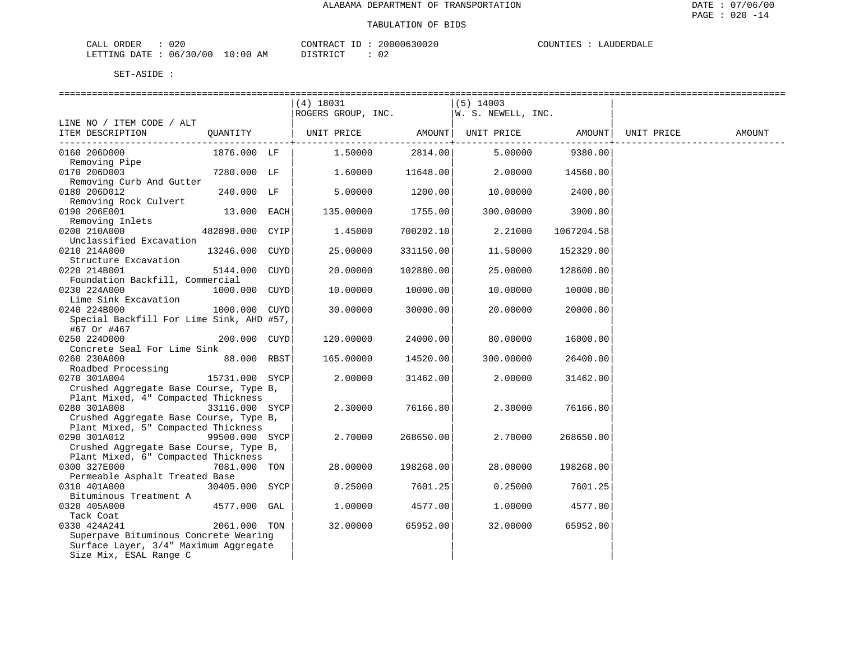| CALL ORDER                      | 020 |          | CONTRACT ID: 20000630020 | COUNTIES : LAUDERDALE |
|---------------------------------|-----|----------|--------------------------|-----------------------|
| LETTING DATE: 06/30/00 10:00 AM |     | DISTRICT |                          |                       |

|                                                                                                                          |                 | $(4)$ 18031<br>ROGERS GROUP, INC.               |                             | $(5)$ 14003<br> W. S. NEWELL, INC. |                            |            |        |
|--------------------------------------------------------------------------------------------------------------------------|-----------------|-------------------------------------------------|-----------------------------|------------------------------------|----------------------------|------------|--------|
| LINE NO / ITEM CODE / ALT<br>ITEM DESCRIPTION                                                                            |                 | QUANTITY   UNIT PRICE AMOUNT  UNIT PRICE AMOUNT |                             |                                    |                            | UNIT PRICE | AMOUNT |
| 0160 206D000<br>Removing Pipe                                                                                            | 1876.000 LF     | 1.50000                                         | -------------+--<br>2814.00 | 5.00000                            | --------------+<br>9380.00 |            |        |
| 0170 206D003<br>Removing Curb And Gutter                                                                                 | 7280.000 LF     | 1.60000                                         | 11648.00                    | 2.00000                            | 14560.00                   |            |        |
| 0180 206D012                                                                                                             | 240.000 LF      | 5.00000                                         | 1200.00                     | 10.00000                           | 2400.00                    |            |        |
| Removing Rock Culvert<br>0190 206E001                                                                                    | 13.000 EACH     | 135.00000                                       | 1755.00                     | 300.00000                          | 3900.00                    |            |        |
| Removing Inlets<br>0200 210A000<br>Unclassified Excavation                                                               | 482898.000 CYIP | 1.45000                                         | 700202.10                   | 2.21000                            | 1067204.58                 |            |        |
| 0210 214A000                                                                                                             | 13246.000 CUYD  | 25.00000                                        | 331150.00                   | 11.50000                           | 152329.00                  |            |        |
| Structure Excavation<br>0220 214B001                                                                                     | 5144.000 CUYD   | 20.00000                                        | 102880.00                   | 25.00000                           | 128600.00                  |            |        |
| Foundation Backfill, Commercial<br>0230 224A000                                                                          | 1000.000 CUYD   | 10.00000                                        | 10000.00                    | 10.00000                           | 10000.00                   |            |        |
| Lime Sink Excavation<br>0240 224B000                                                                                     | 1000.000 CUYD   | 30.00000                                        | 30000.00                    | 20.00000                           | 20000.00                   |            |        |
| Special Backfill For Lime Sink, AHD #57,<br>#67 Or #467                                                                  |                 |                                                 |                             |                                    |                            |            |        |
| 0250 224D000<br>Concrete Seal For Lime Sink                                                                              | 200.000 CUYD    | 120.00000                                       | 24000.00                    | 80.00000                           | 16000.00                   |            |        |
| 0260 230A000<br>Roadbed Processing                                                                                       | 88.000 RBST     | 165.00000                                       | 14520.00                    | 300.00000                          | 26400.00                   |            |        |
| 0270 301A004<br>Crushed Aggregate Base Course, Type B,                                                                   | 15731.000 SYCP  | 2,00000                                         | 31462.00                    | 2,00000                            | 31462.00                   |            |        |
| Plant Mixed, 4" Compacted Thickness<br>0280 301A008                                                                      | 33116.000 SYCP  | 2.30000                                         | 76166.80                    | 2.30000                            | 76166.80                   |            |        |
| Crushed Aggregate Base Course, Type B,<br>Plant Mixed, 5" Compacted Thickness                                            |                 |                                                 |                             |                                    |                            |            |        |
| 0290 301A012                                                                                                             | 99500.000 SYCP  | 2,70000                                         | 268650.00                   | 2.70000                            | 268650.00                  |            |        |
| Crushed Aggregate Base Course, Type B,<br>Plant Mixed, 6" Compacted Thickness                                            |                 |                                                 |                             |                                    |                            |            |        |
| 0300 327E000<br>Permeable Asphalt Treated Base                                                                           | 7081.000 TON    | 28.00000                                        | 198268.00                   | 28.00000                           | 198268.00                  |            |        |
| 0310 401A000<br>Bituminous Treatment A                                                                                   | 30405.000 SYCP  | 0.25000                                         | 7601.25                     | 0.25000                            | 7601.25                    |            |        |
| 0320 405A000<br>Tack Coat                                                                                                | 4577.000 GAL    | 1,00000                                         | 4577.00                     | 1.00000                            | 4577.00                    |            |        |
| 0330 424A241<br>Superpave Bituminous Concrete Wearing<br>Surface Layer, 3/4" Maximum Aggregate<br>Size Mix, ESAL Range C | 2061.000 TON    | 32.00000                                        | 65952.00                    | 32.00000                           | 65952.00                   |            |        |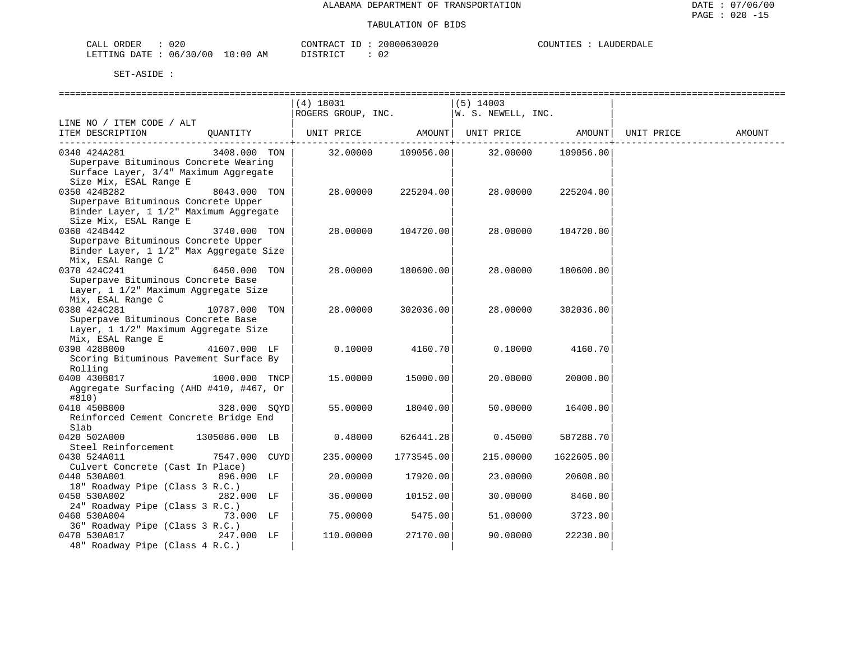| JRDER<br>$\sim$ $ -$<br>020<br>-'ALL |                              | CONTR.<br>TD<br>''RAU | $\sim$ $\sim$ $\sim$<br>UUUUK | $\mathbf{u}$ of INTP $\mathbf{r}$ | $\ldots$ in FRD $\ldots$ |
|--------------------------------------|------------------------------|-----------------------|-------------------------------|-----------------------------------|--------------------------|
| 06<br>DATE.<br>LETTING<br>.          | LO:00<br>/00<br>ີ 3 ()<br>AM | د ت                   | ◡▵                            |                                   |                          |

|                                                                              |                | $(4)$ 18031 |                 | (5) 14003                                |                |        |
|------------------------------------------------------------------------------|----------------|-------------|-----------------|------------------------------------------|----------------|--------|
|                                                                              |                |             |                 |                                          |                |        |
| LINE NO / ITEM CODE / ALT                                                    |                |             |                 |                                          |                |        |
| ITEM DESCRIPTION QUANTITY   UNIT PRICE AMOUNT  UNIT PRICE AMOUNT  UNIT PRICE |                |             |                 |                                          |                | AMOUNT |
|                                                                              |                |             | ------------+-- |                                          | . <u>.</u> . 4 |        |
| 0340 424A281                                                                 | 3408.000 TON   |             |                 | 32.00000  109056.00  32.00000  109056.00 |                |        |
| Superpave Bituminous Concrete Wearing                                        |                |             |                 |                                          |                |        |
| Surface Layer, 3/4" Maximum Aggregate                                        |                |             |                 |                                          |                |        |
| Size Mix, ESAL Range E                                                       |                |             |                 |                                          |                |        |
| 0350 424B282<br>8043.000 TON                                                 |                | 28.00000    | 225204.00       | 28.00000                                 | 225204.00      |        |
| Superpave Bituminous Concrete Upper                                          |                |             |                 |                                          |                |        |
| Binder Layer, 1 1/2" Maximum Aggregate                                       |                |             |                 |                                          |                |        |
| Size Mix, ESAL Range E                                                       |                |             |                 |                                          |                |        |
| 0360 424B442                                                                 | 3740.000 TON   | 28.00000    | 104720.00       | 28.00000                                 | 104720.00      |        |
| Superpave Bituminous Concrete Upper                                          |                |             |                 |                                          |                |        |
| Binder Layer, 1 1/2" Max Aggregate Size                                      |                |             |                 |                                          |                |        |
| Mix, ESAL Range C                                                            |                |             |                 |                                          |                |        |
| 0370 424C241                                                                 | 6450.000 TON   | 28.00000    | 180600.00       | 28.00000                                 | 180600.00      |        |
| Superpave Bituminous Concrete Base                                           |                |             |                 |                                          |                |        |
| Layer, 1 1/2" Maximum Aggregate Size                                         |                |             |                 |                                          |                |        |
| Mix, ESAL Range C                                                            |                |             |                 |                                          |                |        |
| 0380 424C281                                                                 | 10787.000 TON  | 28.00000    | 302036.00       | 28.00000                                 | 302036.00      |        |
| Superpave Bituminous Concrete Base                                           |                |             |                 |                                          |                |        |
| Layer, 1 1/2" Maximum Aggregate Size                                         |                |             |                 |                                          |                |        |
| Mix, ESAL Range E                                                            |                |             |                 |                                          |                |        |
| 0390 428B000                                                                 | 41607.000 LF   | 0.10000     | 4160.70         | 0.10000                                  | 4160.70        |        |
| Scoring Bituminous Pavement Surface By                                       |                |             |                 |                                          |                |        |
| Rolling<br>0400 430B017                                                      | 1000.000 TNCP  | 15.00000    | 15000.00        | 20.00000                                 | 20000.00       |        |
| Aggregate Surfacing (AHD #410, #467, Or                                      |                |             |                 |                                          |                |        |
| #810)                                                                        |                |             |                 |                                          |                |        |
| 0410 450B000                                                                 | 328.000 SOYD   | 55.00000    | 18040.00        | 50.00000                                 | 16400.00       |        |
| Reinforced Cement Concrete Bridge End                                        |                |             |                 |                                          |                |        |
| Slab                                                                         |                |             |                 |                                          |                |        |
| 0420 502A000                                                                 | 1305086.000 LB | 0.48000     | 626441.28       | 0.45000                                  | 587288.70      |        |
| Steel Reinforcement                                                          |                |             |                 |                                          |                |        |
| 0430 524A011                                                                 | 7547.000 CUYD  | 235.00000   | 1773545.00      | 215,00000                                | 1622605.00     |        |
| Culvert Concrete (Cast In Place)                                             |                |             |                 |                                          |                |        |
| 0440 530A001                                                                 | 896.000 LF     | 20.00000    | 17920.00        | 23.00000                                 | 20608.00       |        |
| 18" Roadway Pipe (Class 3 R.C.)                                              |                |             |                 |                                          |                |        |
| 0450 530A002                                                                 | 282.000 LF     | 36.00000    | 10152.00        | 30.00000                                 | 8460.00        |        |
| 24" Roadway Pipe (Class 3 R.C.)                                              |                |             |                 |                                          |                |        |
| 0460 530A004                                                                 | 73.000 LF      | 75.00000    | 5475.00         | 51.00000                                 | 3723.00        |        |
| 36" Roadway Pipe (Class 3 R.C.)                                              |                |             |                 |                                          |                |        |
| 0470 530A017                                                                 | 247.000 LF     | 110.00000   | 27170.00        | 90.00000                                 | 22230.00       |        |
| 48" Roadway Pipe (Class 4 R.C.)                                              |                |             |                 |                                          |                |        |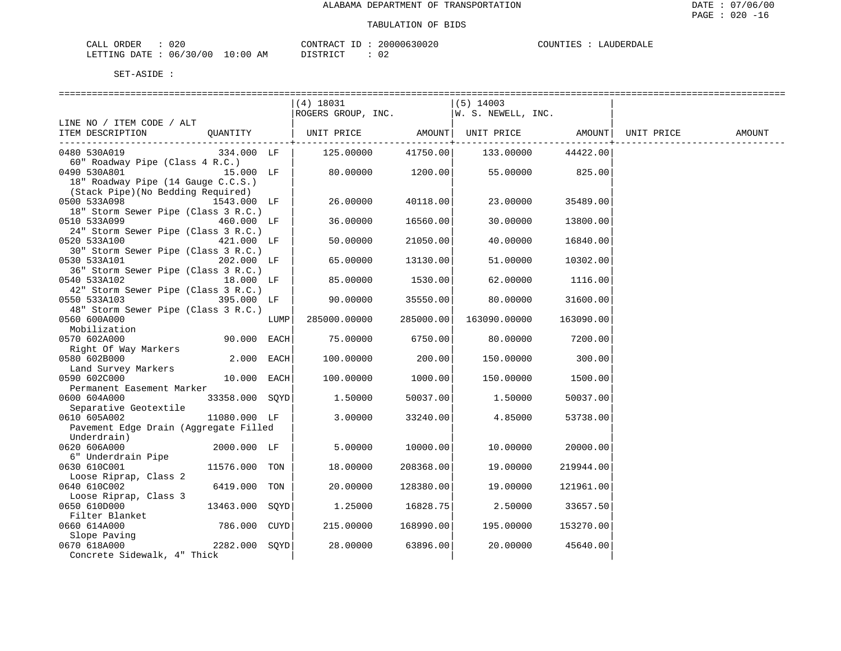| 020<br>ORDER<br>$\sim$ $ -$<br>CALL |             | CONTRACT<br>ID          | 20000630020 | COUNTIES | LAUDERD <sup>7</sup> |
|-------------------------------------|-------------|-------------------------|-------------|----------|----------------------|
| 06/30/00<br>DATE<br>LETTING         | 10:00<br>ΑM | DIAMPIAM<br>+ + + + + + | ◡▵          |          |                      |

DISTRICT : 02

| SET-ASIDE |  |
|-----------|--|
|           |  |

| (4) 18031<br>$(5)$ 14003<br>ROGERS GROUP, INC. $\vert \overline{W}. S. NEWELL, INC.$                         |  |  |  |  |
|--------------------------------------------------------------------------------------------------------------|--|--|--|--|
|                                                                                                              |  |  |  |  |
|                                                                                                              |  |  |  |  |
| LINE NO / ITEM CODE / ALT                                                                                    |  |  |  |  |
| QUANTITY<br>ITEM DESCRIPTION<br>AMOUNT                                                                       |  |  |  |  |
| -------------+--------                                                                                       |  |  |  |  |
| 125.00000 41750.00 133.00000<br>334.000 LF  <br>44422.00<br>0480 530A019                                     |  |  |  |  |
| 60" Roadway Pipe (Class 4 R.C.)                                                                              |  |  |  |  |
| $15.000$ LF $\vert$ 80.00000 $1200.00$ 55.00000 825.00<br>0490 530A801                                       |  |  |  |  |
| 18" Roadway Pipe (14 Gauge C.C.S.)                                                                           |  |  |  |  |
| (Stack Pipe)(No Bedding Required)                                                                            |  |  |  |  |
| 0500 533A098 1543.000 LF<br>26.00000<br>23.00000<br>40118.00 <br>35489.00                                    |  |  |  |  |
| 18" Storm Sewer Pipe (Class 3 R.C.)                                                                          |  |  |  |  |
| 0510 533A099<br>460.000 LF<br>36.00000<br>16560.00<br>30.00000<br>13800.00                                   |  |  |  |  |
| 24" Storm Sewer Pipe (Class 3 R.C.)                                                                          |  |  |  |  |
| 0520 533A100 421.000 LF<br>50.00000<br>21050.00<br>40.00000<br>16840.00                                      |  |  |  |  |
| 30" Storm Sewer Pipe (Class 3 R.C.)                                                                          |  |  |  |  |
| 0530 533A101<br>202.000 LF<br>65.00000<br>13130.00<br>51.00000<br>10302.00                                   |  |  |  |  |
| 36" Storm Sewer Pipe (Class 3 R.C.)                                                                          |  |  |  |  |
| 0540 533A102 18.000 LF<br>1530.00<br>85.00000<br>62.00000<br>1116.00                                         |  |  |  |  |
| 42" Storm Sewer Pipe (Class 3 R.C.)                                                                          |  |  |  |  |
| 0550 533A103<br>395.000 LF<br>90.00000<br>35550.00<br>80.00000<br>31600.00                                   |  |  |  |  |
| 48" Storm Sewer Pipe (Class 3 R.C.)                                                                          |  |  |  |  |
| 285000.00000<br>0560 600A000<br>285000.00<br>163090.00000<br>163090.00<br>LUMP                               |  |  |  |  |
| Mobilization                                                                                                 |  |  |  |  |
| $90.000$ EACH<br>6750.00<br>80.00000 7200.00                                                                 |  |  |  |  |
| 0570 602A000<br>75.00000                                                                                     |  |  |  |  |
| Right Of Way Markers                                                                                         |  |  |  |  |
| 2.000 EACH<br>200.00<br>150.00000 300.00<br>0580 602B000<br>100.00000                                        |  |  |  |  |
| Land Survey Markers                                                                                          |  |  |  |  |
| $100.00000$ 1000.00<br>$10.000$ EACH<br>0590 602C000<br>150.00000 1500.00                                    |  |  |  |  |
| Permanent Easement Marker                                                                                    |  |  |  |  |
| 0600 604A000<br>33358.000 SQYD <br>50037.00<br>1.50000<br>1,50000<br>50037.00                                |  |  |  |  |
| Separative Geotextile                                                                                        |  |  |  |  |
| 0610 605A002<br>11080.000 LF<br>3.00000<br>33240.00<br>4.85000<br>53738.00                                   |  |  |  |  |
| Pavement Edge Drain (Aggregate Filled                                                                        |  |  |  |  |
| Underdrain)                                                                                                  |  |  |  |  |
| 2000.000 LF<br>0620 606A000<br>5.00000<br>10000.00<br>10.00000<br>20000.00                                   |  |  |  |  |
| 6" Underdrain Pipe                                                                                           |  |  |  |  |
| 11576.000 TON<br>0630 610C001<br>18.00000<br>208368.00<br>19.00000<br>219944.00                              |  |  |  |  |
| Loose Riprap, Class 2                                                                                        |  |  |  |  |
| 6419.000 TON<br>0640 610C002<br>20.00000<br>128380.00<br>19.00000<br>121961.00                               |  |  |  |  |
| Loose Riprap, Class 3                                                                                        |  |  |  |  |
| 0650 610D000<br>13463.000 SOYD<br>1.25000<br>16828.75<br>2.50000<br>33657.50                                 |  |  |  |  |
| Filter Blanket                                                                                               |  |  |  |  |
| 786.000 CUYD<br>0660 614A000<br>215.00000<br>168990.00<br>195.00000<br>153270.00                             |  |  |  |  |
|                                                                                                              |  |  |  |  |
| Slope Paving<br>670 618A000<br>2282.000 SOYD<br>28.00000<br>63896.00<br>20.00000<br>0670 618A000<br>45640.00 |  |  |  |  |
| Concrete Sidewalk, 4" Thick                                                                                  |  |  |  |  |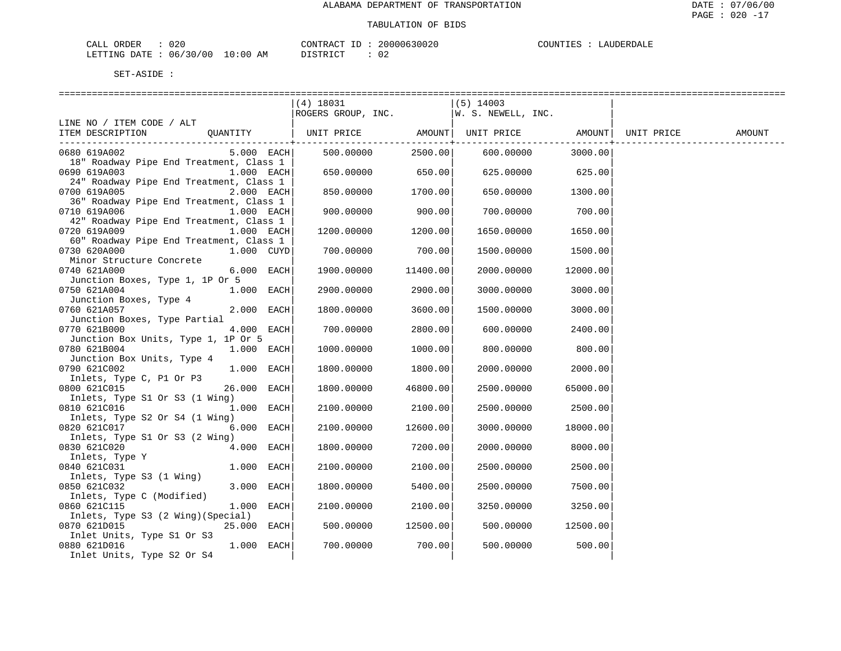| 020<br>CALL ORDER               |          | CONTRACT ID: 20000630020 | COUNTIES : LAUDERDALE |
|---------------------------------|----------|--------------------------|-----------------------|
| LETTING DATE: 06/30/00 10:00 AM | DISTRICT |                          |                       |

M DISTRICT : 02

|                                                                                                                              | (4) 18031                                |                    | (5) 14003  |                    |  |
|------------------------------------------------------------------------------------------------------------------------------|------------------------------------------|--------------------|------------|--------------------|--|
|                                                                                                                              | ROGERS GROUP, INC. $ W. S. NEWELL, INC.$ |                    |            |                    |  |
| LINE NO / ITEM CODE / ALT                                                                                                    |                                          |                    |            |                    |  |
| ITEM DESCRIPTION QUANTITY   UNIT PRICE AMOUNT  UNIT PRICE AMOUNT  UNIT PRICE AMOUNT<br>. _ _ _ _ _ _ _ _ _ + _ _ _ _ _ _ _ _ |                                          | ---------------+-- |            | -----------------+ |  |
| $5.000$ EACH<br>0680 619A002                                                                                                 | 500.00000                                | 2500.00            | 600.00000  | 3000.00            |  |
| 18" Roadway Pipe End Treatment, Class 1                                                                                      |                                          |                    |            |                    |  |
| 0690 619A003<br>$1.000$ EACH                                                                                                 | 650.00000                                | 650.00             | 625.00000  | 625.00             |  |
| 24" Roadway Pipe End Treatment, Class 1                                                                                      |                                          |                    |            |                    |  |
| 0700 619A005<br>2.000 EACH                                                                                                   | 850.00000                                | 1700.00            | 650.00000  | 1300.00            |  |
| 36" Roadway Pipe End Treatment, Class 1                                                                                      |                                          |                    |            |                    |  |
| 0710 619A006<br>1.000 EACH                                                                                                   | 900.00000                                | 900.00             | 700.00000  | 700.00             |  |
| 42" Roadway Pipe End Treatment, Class 1                                                                                      |                                          |                    |            |                    |  |
| 0720 619A009<br>1.000 EACH                                                                                                   | 1200.00000                               | 1200.00            | 1650.00000 | 1650.00            |  |
| 60" Roadway Pipe End Treatment, Class 1                                                                                      |                                          |                    |            |                    |  |
| 0730 620A000<br>$1.000$ $CUYD$                                                                                               | 700.00000                                | 700.00             | 1500.00000 | 1500.00            |  |
| Minor Structure Concrete                                                                                                     |                                          |                    |            |                    |  |
| 0740 621A000<br>6.000 EACH                                                                                                   | 1900.00000                               | 11400.00           | 2000.00000 | 12000.00           |  |
| Junction Boxes, Type 1, 1P Or 5                                                                                              |                                          |                    |            |                    |  |
| 1.000 EACH<br>0750 621A004<br>Junction Boxes, Type 4                                                                         | 2900.00000                               | 2900.00            | 3000.00000 | 3000.00            |  |
| 0760 621A057<br>2.000 EACH                                                                                                   | 1800.00000                               | 3600.00            | 1500.00000 | 3000.00            |  |
| Junction Boxes, Type Partial                                                                                                 |                                          |                    |            |                    |  |
| 4.000 EACH<br>0770 621B000                                                                                                   | 700.00000                                | 2800.00            | 600.00000  | 2400.00            |  |
| Junction Box Units, Type 1, 1P Or 5                                                                                          |                                          |                    |            |                    |  |
| 0780 621B004<br>$1.000$ EACH                                                                                                 | 1000.00000                               | 1000.00            | 800.00000  | 800.00             |  |
| Junction Box Units, Type 4                                                                                                   |                                          |                    |            |                    |  |
| 0790 621C002<br>1.000 EACH                                                                                                   | 1800.00000                               | 1800.00            | 2000.00000 | 2000.00            |  |
| Inlets, Type C, P1 Or P3                                                                                                     |                                          |                    |            |                    |  |
| 26.000 EACH<br>0800 621C015                                                                                                  | 1800.00000                               | 46800.00           | 2500.00000 | 65000.00           |  |
| Inlets, Type S1 Or S3 (1 Wing)                                                                                               |                                          |                    |            |                    |  |
| 0810 621C016<br>1.000 EACH                                                                                                   | 2100.00000                               | 2100.00            | 2500.00000 | 2500.00            |  |
| Inlets, Type S2 Or S4 (1 Wing)                                                                                               |                                          |                    |            |                    |  |
| 6.000 EACH<br>0820 621C017                                                                                                   | 2100.00000                               | 12600.00           | 3000.00000 | 18000.00           |  |
| Inlets, Type S1 Or S3 (2 Wing)                                                                                               |                                          |                    |            |                    |  |
| 0830 621C020<br>4.000 EACH                                                                                                   | 1800.00000                               | 7200.00            | 2000.00000 | 8000.00            |  |
| Inlets, Type Y<br>1.000 EACH<br>0840 621C031                                                                                 | 2100.00000                               | 2100.00            | 2500.00000 | 2500.00            |  |
| Inlets, Type S3 (1 Wing)                                                                                                     |                                          |                    |            |                    |  |
| 0850 621C032<br>3.000 EACH                                                                                                   | 1800.00000                               | 5400.00            | 2500.00000 | 7500.00            |  |
| Inlets, Type C (Modified)                                                                                                    |                                          |                    |            |                    |  |
| 0860 621C115<br>1.000 EACH                                                                                                   | 2100.00000                               | 2100.00            | 3250.00000 | 3250.00            |  |
| Inlets, Type S3 (2 Wing) (Special)                                                                                           |                                          |                    |            |                    |  |
| 0870 621D015<br>25.000 EACH                                                                                                  | 500.00000                                | 12500.00           | 500.00000  | 12500.00           |  |
| Inlet Units, Type S1 Or S3                                                                                                   |                                          |                    |            |                    |  |
| 1.000 EACH<br>0880 621D016                                                                                                   | 700.00000                                | 700.00             | 500.00000  | 500.00             |  |
| Inlet Units, Type S2 Or S4                                                                                                   |                                          |                    |            |                    |  |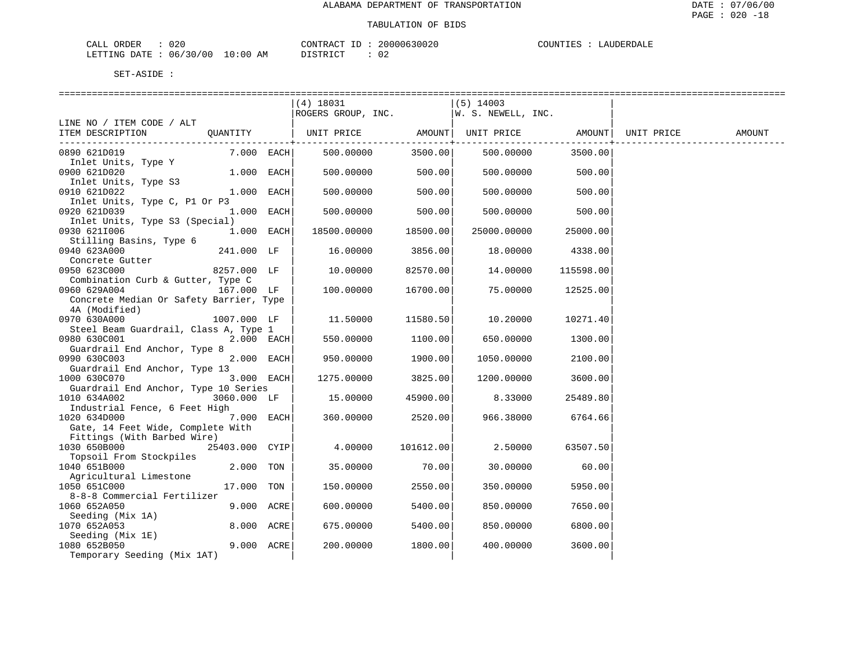| 020<br>CALL ORDER               |          | CONTRACT ID: 20000630020 | COUNTIES : LAUDERDALE |
|---------------------------------|----------|--------------------------|-----------------------|
| LETTING DATE: 06/30/00 10:00 AM | DISTRICT |                          |                       |

|                                                                  |                |              | ----------------------------                         |           | ------------------------------- |           |                    |        |
|------------------------------------------------------------------|----------------|--------------|------------------------------------------------------|-----------|---------------------------------|-----------|--------------------|--------|
|                                                                  |                |              | $(4)$ 18031<br>ROGERS GROUP, INC. W. S. NEWELL, INC. |           | (5) 14003                       |           |                    |        |
| LINE NO / ITEM CODE / ALT                                        |                |              |                                                      |           |                                 |           |                    |        |
| ITEM DESCRIPTION                                                 | QUANTITY       |              | UNIT PRICE AMOUNT   UNIT PRICE                       |           |                                 |           | AMOUNT  UNIT PRICE | AMOUNT |
| 0890 621D019                                                     |                | $7.000$ EACH | 500.00000                                            | 3500.00   | 500.00000                       | 3500.00   |                    |        |
| Inlet Units, Type Y<br>0900 621D020                              | $1.000$ EACH   |              | 500.00000                                            | 500.00    | 500.00000                       | 500.00    |                    |        |
| Inlet Units, Type S3<br>0910 621D022                             | $1.000$ EACH   |              | 500.00000                                            | 500.00    | 500.00000                       | 500.00    |                    |        |
| Inlet Units, Type C, P1 Or P3<br>0920 621D039                    |                | 1.000 EACH   | 500.00000                                            | 500.00    | 500.00000                       | 500.00    |                    |        |
| Inlet Units, Type S3 (Special)<br>0930 6211006                   |                | $1.000$ EACH | 18500.00000                                          | 18500.00  | 25000.00000                     | 25000.00  |                    |        |
| Stilling Basins, Type 6<br>0940 623A000                          | 241.000 LF     |              | 16.00000                                             | 3856.00   | 18.00000                        | 4338.00   |                    |        |
| Concrete Gutter<br>0950 623C000                                  | 8257.000 LF    |              | 10.00000                                             | 82570.00  | 14.00000                        | 115598.00 |                    |        |
| Combination Curb & Gutter, Type C<br>0960 629A004                | 167.000 LF     |              | 100.00000                                            | 16700.00  | 75.00000                        | 12525.00  |                    |        |
| Concrete Median Or Safety Barrier, Type<br>4A (Modified)         |                |              |                                                      |           |                                 |           |                    |        |
| 0970 630A000<br>Steel Beam Guardrail, Class A, Type 1            | 1007.000 LF    |              | 11.50000                                             | 11580.50  | 10.20000                        | 10271.40  |                    |        |
| 0980 630C001                                                     |                | 2.000 EACH   | 550.00000                                            | 1100.00   | 650.00000                       | 1300.00   |                    |        |
| Guardrail End Anchor, Type 8<br>0990 630C003                     |                | 2.000 EACH   | 950.00000                                            | 1900.00   | 1050.00000                      | 2100.00   |                    |        |
| Guardrail End Anchor, Type 13<br>1000 630C070                    |                | 3.000 EACH   | 1275.00000                                           | 3825.00   | 1200.00000                      | 3600.00   |                    |        |
| Guardrail End Anchor, Type 10 Series<br>1010 634A002             | 3060.000 LF    |              | 15.00000                                             | 45900.00  | 8.33000                         | 25489.80  |                    |        |
| Industrial Fence, 6 Feet High<br>1020 634D000                    |                | 7.000 EACH   | 360.00000                                            | 2520.00   | 966.38000                       | 6764.66   |                    |        |
| Gate, 14 Feet Wide, Complete With<br>Fittings (With Barbed Wire) |                |              |                                                      |           |                                 |           |                    |        |
| 1030 650B000<br>Topsoil From Stockpiles                          | 25403.000 CYIP |              | 4.00000                                              | 101612.00 | 2.50000                         | 63507.50  |                    |        |
| 1040 651B000<br>Agricultural Limestone                           | 2.000 TON      |              | 35.00000                                             | 70.00     | 30.00000                        | 60.00     |                    |        |
| 1050 651C000<br>8-8-8 Commercial Fertilizer                      | 17.000 TON     |              | 150.00000                                            | 2550.00   | 350.00000                       | 5950.00   |                    |        |
| 1060 652A050                                                     | 9.000 ACRE     |              | 600.00000                                            | 5400.00   | 850.00000                       | 7650.00   |                    |        |
| Seeding (Mix 1A)<br>1070 652A053                                 | 8.000 ACRE     |              | 675.00000                                            | 5400.00   | 850.00000                       | 6800.00   |                    |        |
| Seeding (Mix 1E)<br>1080 652B050                                 |                | 9.000 ACRE   | 200.00000                                            | 1800.00   | 400.00000                       | 3600.00   |                    |        |
| Temporary Seeding (Mix 1AT)                                      |                |              |                                                      |           |                                 |           |                    |        |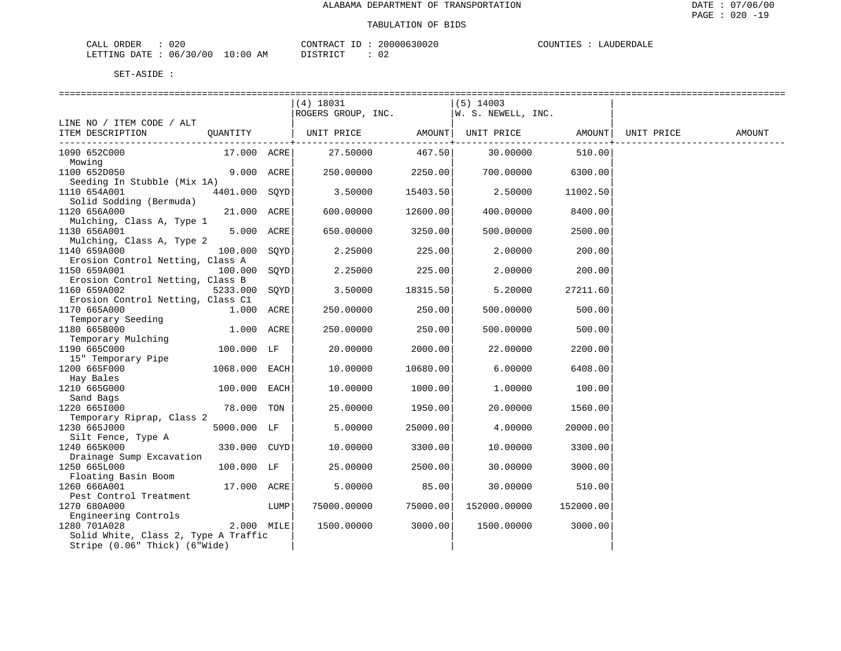| 020<br>CALL ORDER               |          | CONTRACT ID: 20000630020 | COUNTIES : LAUDERDALE |
|---------------------------------|----------|--------------------------|-----------------------|
| LETTING DATE: 06/30/00 10:00 AM | DISTRICT |                          |                       |

|                                                  |               |      | $(4)$ 18031                             |          | $(5)$ 14003     |           |        |
|--------------------------------------------------|---------------|------|-----------------------------------------|----------|-----------------|-----------|--------|
|                                                  |               |      | ROGERS GROUP, INC.   W. S. NEWELL, INC. |          |                 |           |        |
| LINE NO / ITEM CODE / ALT<br>ITEM DESCRIPTION    |               |      |                                         |          |                 |           | AMOUNT |
|                                                  |               |      |                                         |          |                 |           |        |
| 1090 652C000                                     | 17.000 ACRE   |      | 27.50000                                |          | 467.50 30.00000 | 510.00    |        |
| Mowing                                           |               |      |                                         |          |                 |           |        |
| 1100 652D050                                     | 9.000 ACRE    |      | 250.00000                               | 2250.00  | 700.00000       | 6300.00   |        |
| Seeding In Stubble (Mix 1A)<br>1110 654A001      | 4401.000 SOYD |      | 3.50000                                 | 15403.50 | 2.50000         | 11002.50  |        |
| Solid Sodding (Bermuda)                          |               |      |                                         |          |                 |           |        |
| 1120 656A000                                     | 21.000 ACRE   |      | 600.00000                               | 12600.00 | 400.00000       | 8400.00   |        |
| Mulching, Class A, Type 1                        |               |      |                                         |          |                 |           |        |
| 1130 656A001                                     | 5.000 ACRE    |      | 650.00000                               | 3250.00  | 500.00000       | 2500.00   |        |
| Mulching, Class A, Type 2                        |               |      |                                         |          |                 |           |        |
| 1140 659A000                                     | 100.000       | SOYD | 2.25000                                 | 225.00   | 2,00000         | 200.00    |        |
| Erosion Control Netting, Class A<br>1150 659A001 | 100.000       | SOYD | 2.25000                                 | 225.00   | 2,00000         | 200.00    |        |
| Erosion Control Netting, Class B                 |               |      |                                         |          |                 |           |        |
| 1160 659A002                                     | 5233.000      | SOYD | 3.50000                                 | 18315.50 | 5.20000         | 27211.60  |        |
| Erosion Control Netting, Class C1                |               |      |                                         |          |                 |           |        |
| 1170 665A000                                     | 1.000 ACRE    |      | 250.00000                               | 250.00   | 500.00000       | 500.00    |        |
| Temporary Seeding                                |               |      |                                         |          |                 |           |        |
| 1180 665B000                                     | 1.000 ACRE    |      | 250.00000                               | 250.00   | 500.00000       | 500.00    |        |
| Temporary Mulching<br>1190 665C000               | 100.000 LF    |      | 20.00000                                | 2000.00  | 22.00000        | 2200.00   |        |
| 15" Temporary Pipe                               |               |      |                                         |          |                 |           |        |
| 1200 665F000                                     | 1068.000 EACH |      | 10.00000                                | 10680.00 | 6.00000         | 6408.00   |        |
| Hay Bales                                        |               |      |                                         |          |                 |           |        |
| 1210 665G000                                     | 100.000 EACH  |      | 10.00000                                | 1000.00  | 1,00000         | 100.00    |        |
| Sand Bags                                        |               |      |                                         |          |                 |           |        |
| 1220 6651000                                     | 78.000 TON    |      | 25.00000                                | 1950.00  | 20.00000        | 1560.00   |        |
| Temporary Riprap, Class 2<br>1230 665J000        | 5000.000 LF   |      | 5.00000                                 | 25000.00 | 4.00000         | 20000.00  |        |
| Silt Fence, Type A                               |               |      |                                         |          |                 |           |        |
| 1240 665K000                                     | 330.000 CUYD  |      | 10.00000                                | 3300.00  | 10.00000        | 3300.00   |        |
| Drainage Sump Excavation                         |               |      |                                         |          |                 |           |        |
| 1250 665L000                                     | 100.000 LF    |      | 25.00000                                | 2500.00  | 30.00000        | 3000.00   |        |
| Floating Basin Boom                              |               |      |                                         |          |                 |           |        |
| 1260 666A001                                     | 17.000 ACRE   |      | 5.00000                                 | 85.00    | 30.00000        | 510.00    |        |
| Pest Control Treatment<br>1270 680A000           |               | LUMP | 75000.00000                             | 75000.00 | 152000.00000    | 152000.00 |        |
| Engineering Controls                             |               |      |                                         |          |                 |           |        |
| 1280 701A028                                     | 2.000 MILE    |      | 1500.00000                              | 3000.00  | 1500.00000      | 3000.00   |        |
| Solid White, Class 2, Type A Traffic             |               |      |                                         |          |                 |           |        |
| Stripe (0.06" Thick) (6"Wide)                    |               |      |                                         |          |                 |           |        |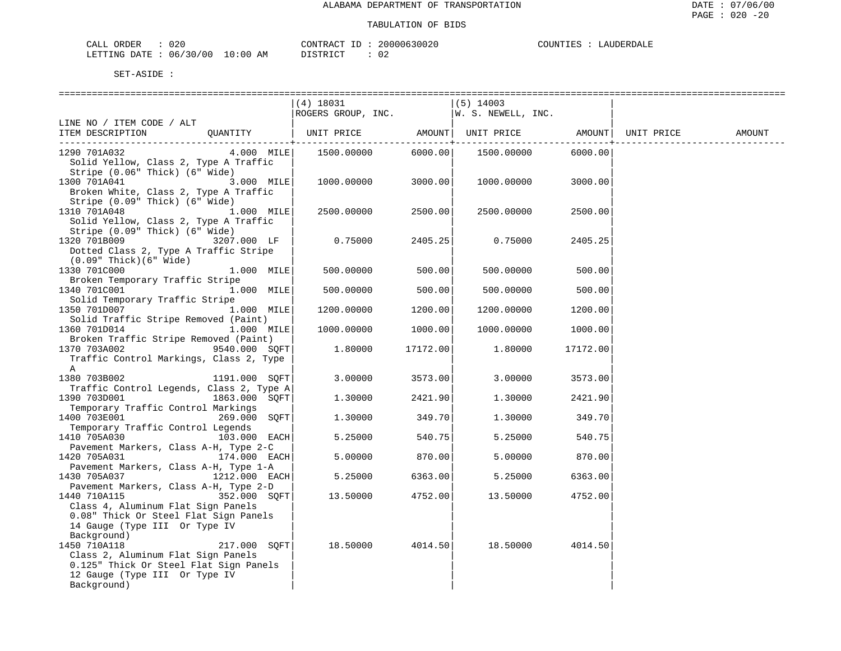| 020<br>ORDER<br>$\sim$ $ -$<br>CALL |             | CONTRACT<br>ID          | 20000630020 | COUNTIES | LAUDERD <sup>7</sup> |
|-------------------------------------|-------------|-------------------------|-------------|----------|----------------------|
| 06/30/00<br>DATE<br>LETTING         | 10:00<br>ΑM | DIAMPIAM<br>+ + + + + + | ◡▵          |          |                      |

| SET-ASIDE |  |  |
|-----------|--|--|
|           |  |  |

|                                                                                                 |                         | $(4)$ 18031                              |          | (5) 14003  |          |        |
|-------------------------------------------------------------------------------------------------|-------------------------|------------------------------------------|----------|------------|----------|--------|
|                                                                                                 |                         | ROGERS GROUP, INC. $ W. S. NEWELL, INC.$ |          |            |          |        |
| LINE NO / ITEM CODE / ALT                                                                       |                         |                                          |          |            |          |        |
|                                                                                                 |                         |                                          |          |            |          | AMOUNT |
| ITEM DESCRIPTION QUANTITY   UNIT PRICE AMOUNT  UNIT PRICE AMOUNT  UNIT PRICE AMOUNT  UNIT PRICE |                         |                                          |          |            |          |        |
| 1290 701A032                                                                                    |                         | 4.000 MILE   1500.00000                  |          |            |          |        |
| Solid Yellow, Class 2, Type A Traffic                                                           |                         |                                          |          |            |          |        |
|                                                                                                 |                         |                                          |          |            |          |        |
| Stripe (0.06" Thick) (6" Wide)                                                                  |                         |                                          |          |            |          |        |
| 1300 701A041                                                                                    | 3.000 MILE              | $1000.00000$ 3000.00                     |          | 1000.00000 | 3000.00  |        |
| Broken White, Class 2, Type A Traffic                                                           |                         |                                          |          |            |          |        |
| Stripe (0.09" Thick) (6" Wide)                                                                  |                         |                                          |          |            |          |        |
| 1310 701A048 1.000 MILE                                                                         |                         | 2500.00000                               | 2500.00  | 2500.00000 | 2500.00  |        |
| Solid Yellow, Class 2, Type A Traffic                                                           |                         |                                          |          |            |          |        |
| Stripe (0.09" Thick) (6" Wide)                                                                  |                         |                                          |          |            |          |        |
| 1320 701B009                                                                                    | 3207.000 LF             | 0.75000                                  | 2405.25  | 0.75000    | 2405.25  |        |
| Dotted Class 2, Type A Traffic Stripe                                                           |                         |                                          |          |            |          |        |
|                                                                                                 |                         |                                          |          |            |          |        |
| $(0.09"$ Thick $)(6"$ Wide $)$                                                                  |                         |                                          |          |            |          |        |
| 1330 701C000                                                                                    | $1.000$ MILE            | $500.00000$ 500.00                       |          | 500.00000  | 500.00   |        |
| Broken Temporary Traffic Stripe                                                                 |                         |                                          |          |            |          |        |
| 1340 701C001                                                                                    | $1.000$ MILE            | 500.00000                                | 500.00   | 500.00000  | 500.00   |        |
| Solid Temporary Traffic Stripe                                                                  |                         |                                          |          |            |          |        |
| 1350 701D007                                                                                    | $1.000$ MILE            | 1200.00000                               | 1200.00  | 1200.00000 | 1200.00  |        |
| Solid Traffic Stripe Removed (Paint)                                                            |                         |                                          |          |            |          |        |
| 1360 701D014                                                                                    | $1.000$ $\texttt{MILE}$ | 1000.00000                               | 1000.00  | 1000.00000 | 1000.00  |        |
| Broken Traffic Stripe Removed (Paint)                                                           |                         |                                          |          |            |          |        |
| 1370 703A002                                                                                    | 9540.000 SOFT           | 1.80000                                  | 17172.00 | 1.80000    | 17172.00 |        |
| Traffic Control Markings, Class 2, Type                                                         |                         |                                          |          |            |          |        |
|                                                                                                 |                         |                                          |          |            |          |        |
| Α                                                                                               |                         |                                          |          |            |          |        |
| 1380 703B002                                                                                    | 1191.000 SOFT           | 3.00000                                  | 3573.00  | 3.00000    | 3573.00  |        |
| Traffic Control Legends, Class 2, Type A                                                        |                         |                                          |          |            |          |        |
| 1390 703D001                                                                                    | 1863.000 SQFT           | 1,30000                                  | 2421.90  | 1.30000    | 2421.90  |        |
| Temporary Traffic Control Markings                                                              |                         |                                          |          |            |          |        |
| 1400 703E001                                                                                    | 269.000 SOFT            | 1,30000                                  | 349.70   | 1.30000    | 349.70   |        |
| Temporary Traffic Control Legends                                                               |                         |                                          |          |            |          |        |
| 1410 705A030                                                                                    | $103.000$ EACH          | 5.25000                                  | 540.75   | 5.25000    | 540.75   |        |
| Pavement Markers, Class A-H, Type 2-C                                                           |                         |                                          |          |            |          |        |
| 1420 705A031                                                                                    | 174.000 EACH            | 5.00000                                  | 870.00   | 5.00000    | 870.00   |        |
| Pavement Markers, Class A-H, Type 1-A                                                           |                         |                                          |          |            |          |        |
|                                                                                                 |                         |                                          |          |            |          |        |
| 1430 705A037                                                                                    | 1212.000 EACH           | 5.25000                                  | 6363.00  | 5.25000    | 6363.00  |        |
| Pavement Markers, Class A-H, Type 2-D                                                           |                         |                                          |          |            |          |        |
| 1440 710A115                                                                                    | 352.000 SOFT            | 13.50000                                 | 4752.00  | 13.50000   | 4752.00  |        |
| Class 4, Aluminum Flat Sign Panels                                                              |                         |                                          |          |            |          |        |
| 0.08" Thick Or Steel Flat Sign Panels                                                           |                         |                                          |          |            |          |        |
| 14 Gauge (Type III Or Type IV                                                                   |                         |                                          |          |            |          |        |
| Background)                                                                                     |                         |                                          |          |            |          |        |
| 1450 710A118                                                                                    | 217.000 SOFT            | 18.50000 4014.50                         |          | 18.50000   | 4014.50  |        |
| Class 2, Aluminum Flat Sign Panels                                                              |                         |                                          |          |            |          |        |
| 0.125" Thick Or Steel Flat Sign Panels                                                          |                         |                                          |          |            |          |        |
|                                                                                                 |                         |                                          |          |            |          |        |
| 12 Gauge (Type III Or Type IV                                                                   |                         |                                          |          |            |          |        |
| Background)                                                                                     |                         |                                          |          |            |          |        |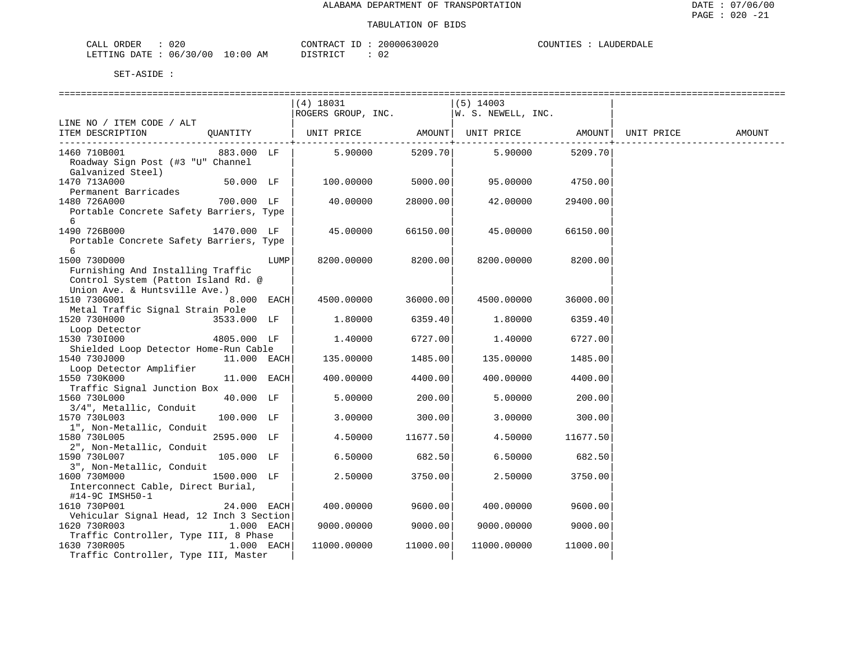| ORDER<br>CALL    |                       | CONTRACT<br>TD. | 20000630020 | COUNTIES : | LAUDERDALE |
|------------------|-----------------------|-----------------|-------------|------------|------------|
| LETTING DATE : ' | : : 06/30/00 10:00 AM | DISTRICT        | -02         |            |            |

|                                                                                                                           |             |              | (4) 18031<br>ROGERS GROUP, INC.      |          | $(5)$ 14003<br>W. S. NEWELL, INC. |          |            |        |
|---------------------------------------------------------------------------------------------------------------------------|-------------|--------------|--------------------------------------|----------|-----------------------------------|----------|------------|--------|
| LINE NO / ITEM CODE / ALT                                                                                                 |             |              |                                      |          |                                   |          |            |        |
| ITEM DESCRIPTION                                                                                                          | OUANTITY    |              | UNIT PRICE AMOUNT  UNIT PRICE AMOUNT | -------+ |                                   |          | UNIT PRICE | AMOUNT |
| 1460 710B001<br>Roadway Sign Post (#3 "U" Channel<br>Galvanized Steel)                                                    | 883.000 LF  |              | 5.90000                              | 5209.70  | 5.90000                           | 5209.70  |            |        |
| 1470 713A000<br>Permanent Barricades                                                                                      | 50.000 LF   |              | 100.00000                            | 5000.00  | 95.00000                          | 4750.00  |            |        |
| 1480 726A000<br>Portable Concrete Safety Barriers, Type<br>6                                                              | 700.000 LF  |              | 40.00000                             | 28000.00 | 42.00000                          | 29400.00 |            |        |
| 1490 726B000<br>Portable Concrete Safety Barriers, Type<br>6                                                              | 1470.000 LF |              | 45.00000                             | 66150.00 | 45.00000                          | 66150.00 |            |        |
| 1500 730D000<br>Furnishing And Installing Traffic<br>Control System (Patton Island Rd. @<br>Union Ave. & Huntsville Ave.) |             | LUMP         | 8200.00000                           | 8200.00  | 8200.00000                        | 8200.00  |            |        |
| 1510 730G001<br>Metal Traffic Signal Strain Pole                                                                          |             | 8.000 EACH   | 4500.00000                           | 36000.00 | 4500.00000                        | 36000.00 |            |        |
| 1520 730H000<br>Loop Detector                                                                                             | 3533.000 LF |              | 1.80000                              | 6359.40  | 1,80000                           | 6359.40  |            |        |
| 1530 7301000<br>Shielded Loop Detector Home-Run Cable                                                                     | 4805.000 LF |              | 1,40000                              | 6727.00  | 1,40000                           | 6727.00  |            |        |
| 1540 730J000<br>Loop Detector Amplifier                                                                                   | 11.000 EACH |              | 135.00000                            | 1485.00  | 135.00000                         | 1485.00  |            |        |
| 1550 730K000<br>Traffic Signal Junction Box                                                                               | 11.000 EACH |              | 400.00000                            | 4400.00  | 400.00000                         | 4400.00  |            |        |
| 1560 730L000<br>3/4", Metallic, Conduit                                                                                   | 40.000 LF   |              | 5.00000                              | 200.00   | 5.00000                           | 200.00   |            |        |
| 1570 730L003<br>1", Non-Metallic, Conduit                                                                                 | 100.000 LF  |              | 3.00000                              | 300.00   | 3.00000                           | 300.00   |            |        |
| 1580 730L005<br>2", Non-Metallic, Conduit                                                                                 | 2595.000 LF |              | 4.50000                              | 11677.50 | 4.50000                           | 11677.50 |            |        |
| 1590 730L007<br>3", Non-Metallic, Conduit                                                                                 | 105.000 LF  |              | 6.50000                              | 682.50   | 6.50000                           | 682.50   |            |        |
| 1600 730M000<br>Interconnect Cable, Direct Burial,<br>#14-9C IMSH50-1                                                     | 1500.000 LF |              | 2.50000                              | 3750.00  | 2.50000                           | 3750.00  |            |        |
| 1610 730P001<br>Vehicular Signal Head, 12 Inch 3 Section                                                                  | 24.000 EACH |              | 400.00000                            | 9600.00  | 400.00000                         | 9600.00  |            |        |
| 1620 730R003<br>Traffic Controller, Type III, 8 Phase                                                                     |             | $1.000$ EACH | 9000.00000                           | 9000.00  | 9000.00000                        | 9000.00  |            |        |
| 1630 730R005<br>Traffic Controller, Type III, Master                                                                      |             | $1.000$ EACH | 11000.00000                          | 11000.00 | 11000.00000                       | 11000.00 |            |        |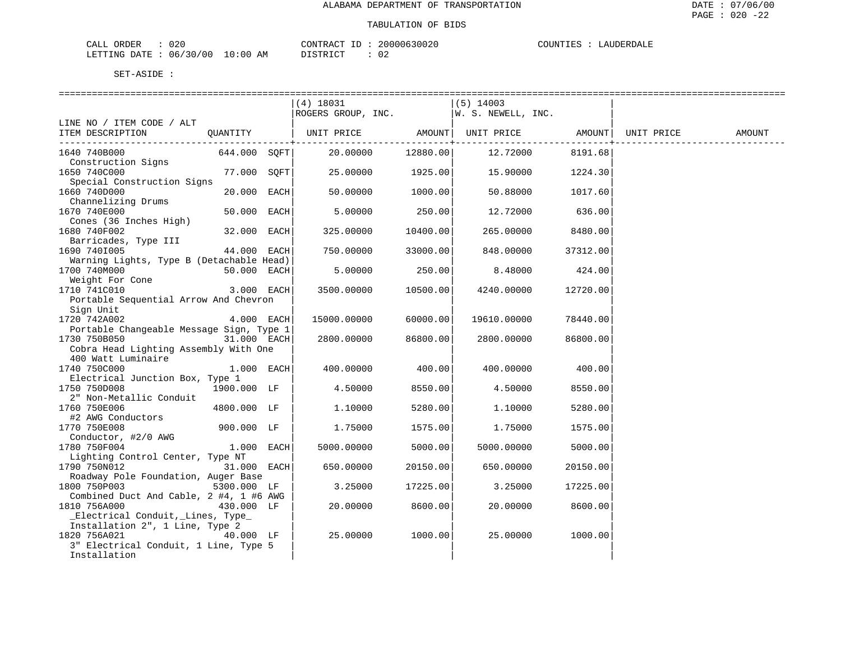| ORDER<br>CALL (  | 020               | CONTRACT<br>ID       | 20000630020 | COUNTIES | LAUDERDALF |
|------------------|-------------------|----------------------|-------------|----------|------------|
| LETTING DATE : ' | 06/30/00 10:00 AM | <b>DISTRICT</b><br>. |             |          |            |

|                                            |               |      | $(4)$ 18031<br>ROGERS GROUP, INC. |                      | $(5)$ 14003<br>W. S. NEWELL, INC. |          |            |        |
|--------------------------------------------|---------------|------|-----------------------------------|----------------------|-----------------------------------|----------|------------|--------|
| LINE NO / ITEM CODE / ALT                  |               |      |                                   |                      |                                   |          |            |        |
| ITEM DESCRIPTION                           | OUANTITY      |      | UNIT PRICE                        | AMOUNT               | UNIT PRICE                        | AMOUNT   | UNIT PRICE | AMOUNT |
| 1640 740B000                               | 644.000 SOFT  |      | 20,00000                          | -------+<br>12880.00 | 12.72000                          | 8191.68  |            |        |
| Construction Signs                         |               |      |                                   |                      |                                   |          |            |        |
| 1650 740C000                               | 77.000        | SOFT | 25.00000                          | 1925.00              | 15.90000                          | 1224.30  |            |        |
| Special Construction Signs<br>1660 740D000 | 20.000        | EACH | 50.00000                          | 1000.00              | 50.88000                          | 1017.60  |            |        |
| Channelizing Drums                         |               |      |                                   |                      |                                   |          |            |        |
| 1670 740E000                               | 50.000        | EACH | 5.00000                           | 250.00               | 12.72000                          | 636.00   |            |        |
| Cones (36 Inches High)                     |               |      |                                   |                      |                                   |          |            |        |
| 1680 740F002                               | 32.000        | EACH | 325.00000                         | 10400.00             | 265.00000                         | 8480.00  |            |        |
| Barricades, Type III                       |               |      |                                   |                      |                                   |          |            |        |
| 1690 7401005                               | 44.000        | EACH | 750.00000                         | 33000.00             | 848.00000                         | 37312.00 |            |        |
| Warning Lights, Type B (Detachable Head)   |               |      |                                   |                      |                                   |          |            |        |
| 1700 740M000                               | 50.000 EACH   |      | 5.00000                           | 250.00               | 8.48000                           | 424.00   |            |        |
| Weight For Cone                            |               |      |                                   |                      |                                   |          |            |        |
| 1710 741C010                               | $3.000$ EACH  |      | 3500.00000                        | 10500.00             | 4240.00000                        | 12720.00 |            |        |
| Portable Sequential Arrow And Chevron      |               |      |                                   |                      |                                   |          |            |        |
| Sign Unit                                  |               |      |                                   |                      |                                   |          |            |        |
| 1720 742A002                               | $4.000$ EACH  |      | 15000.00000                       | 60000.00             | 19610.00000                       | 78440.00 |            |        |
| Portable Changeable Message Sign, Type 1   |               |      |                                   |                      |                                   |          |            |        |
| 1730 750B050                               | $31.000$ EACH |      | 2800.00000                        | 86800.00             | 2800.00000                        | 86800.00 |            |        |
| Cobra Head Lighting Assembly With One      |               |      |                                   |                      |                                   |          |            |        |
| 400 Watt Luminaire                         |               |      |                                   |                      |                                   |          |            |        |
| 1740 750C000                               | $1.000$ EACH  |      | 400.00000                         | 400.00               | 400.00000                         | 400.00   |            |        |
| Electrical Junction Box, Type 1            |               |      |                                   |                      |                                   |          |            |        |
| 1750 750D008                               | 1900.000 LF   |      | 4.50000                           | 8550.00              | 4.50000                           | 8550.00  |            |        |
| 2" Non-Metallic Conduit<br>1760 750E006    | 4800.000 LF   |      | 1,10000                           | 5280.00              | 1,10000                           | 5280.00  |            |        |
| #2 AWG Conductors                          |               |      |                                   |                      |                                   |          |            |        |
| 1770 750E008                               | 900.000 LF    |      | 1.75000                           | 1575.00              | 1.75000                           | 1575.00  |            |        |
| Conductor, #2/0 AWG                        |               |      |                                   |                      |                                   |          |            |        |
| 1780 750F004                               | $1.000$ EACH  |      | 5000.00000                        | 5000.00              | 5000.00000                        | 5000.00  |            |        |
| Lighting Control Center, Type NT           |               |      |                                   |                      |                                   |          |            |        |
| 1790 750N012                               | $31.000$ EACH |      | 650.00000                         | 20150.00             | 650.00000                         | 20150.00 |            |        |
| Roadway Pole Foundation, Auger Base        |               |      |                                   |                      |                                   |          |            |        |
| 1800 750P003                               | 5300.000 LF   |      | 3.25000                           | 17225.00             | 3.25000                           | 17225.00 |            |        |
| Combined Duct And Cable, 2 #4, 1 #6 AWG    |               |      |                                   |                      |                                   |          |            |        |
| 1810 756A000                               | 430.000 LF    |      | 20.00000                          | 8600.00              | 20.00000                          | 8600.00  |            |        |
| Electrical Conduit, Lines, Type            |               |      |                                   |                      |                                   |          |            |        |
| Installation 2", 1 Line, Type 2            |               |      |                                   |                      |                                   |          |            |        |
| 1820 756A021                               | 40.000 LF     |      | 25.00000                          | 1000.00              | 25.00000                          | 1000.00  |            |        |
| 3" Electrical Conduit, 1 Line, Type 5      |               |      |                                   |                      |                                   |          |            |        |
| Installation                               |               |      |                                   |                      |                                   |          |            |        |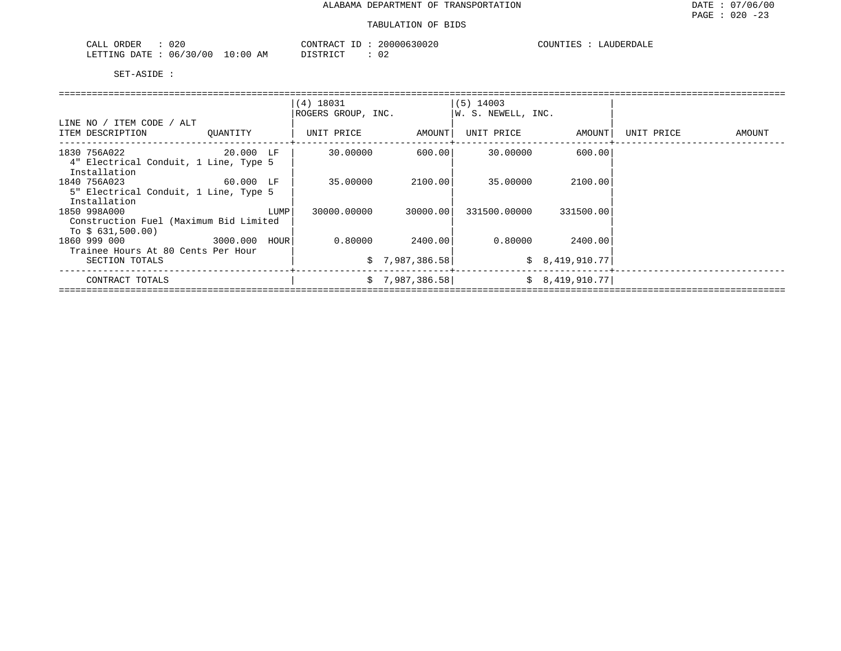| ORDER<br>$\cdot$ , $\Lambda$ ,<br>، ئىللەت | 02C                |           | ⊼ מידיזגר∕<br>$\sim$ $\sim$ $\sim$<br>,,,, | 200<br>020   | JUNT LE<br>.<br>، د ۱ | $\overline{A}$ |
|--------------------------------------------|--------------------|-----------|--------------------------------------------|--------------|-----------------------|----------------|
| <b>ETTING</b><br>DATF                      | ີ ? ∩<br>06<br>U C | :00<br>AΜ | .0007707                                   | $\sim$<br>∪∠ |                       |                |

|                                        |          | $(4)$ 18031        |                 | $(5)$ 14003        |                 |            |        |
|----------------------------------------|----------|--------------------|-----------------|--------------------|-----------------|------------|--------|
|                                        |          | ROGERS GROUP, INC. |                 | W. S. NEWELL, INC. |                 |            |        |
| LINE NO / ITEM CODE / ALT              |          |                    |                 |                    |                 |            |        |
| ITEM DESCRIPTION                       | OUANTITY | UNIT PRICE         | AMOUNT          | UNIT PRICE         | AMOUNT          | UNIT PRICE | AMOUNT |
| 1830 756A022 20.000 LF                 |          | 30.00000           | 600.00          | 30.00000           | 600.001         |            |        |
| 4" Electrical Conduit, 1 Line, Type 5  |          |                    |                 |                    |                 |            |        |
| Installation                           |          |                    |                 |                    |                 |            |        |
| 1840 756A023                           |          | 35,00000           | 2100.001        | 35.00000           | 2100.00         |            |        |
| 5" Electrical Conduit, 1 Line, Type 5  |          |                    |                 |                    |                 |            |        |
| Installation                           |          |                    |                 |                    |                 |            |        |
| 1850 998A000                           | LUMP     | 30000.00000        | 30000.001       | 331500.00000       | 331500.00       |            |        |
| Construction Fuel (Maximum Bid Limited |          |                    |                 |                    |                 |            |        |
| To $$631,500.00)$                      |          |                    |                 |                    |                 |            |        |
| 1860 999 000 3000.000 HOUR             |          | 0.80000            | 2400.00         |                    | 0.80000 2400.00 |            |        |
| Trainee Hours At 80 Cents Per Hour     |          |                    |                 |                    |                 |            |        |
| SECTION TOTALS                         |          |                    | \$7,987,386.58] |                    | \$8,419,910.77  |            |        |
| CONTRACT TOTALS                        |          |                    | \$7,987,386.58] |                    | \$8,419,910.77] |            |        |
|                                        |          |                    |                 |                    |                 |            |        |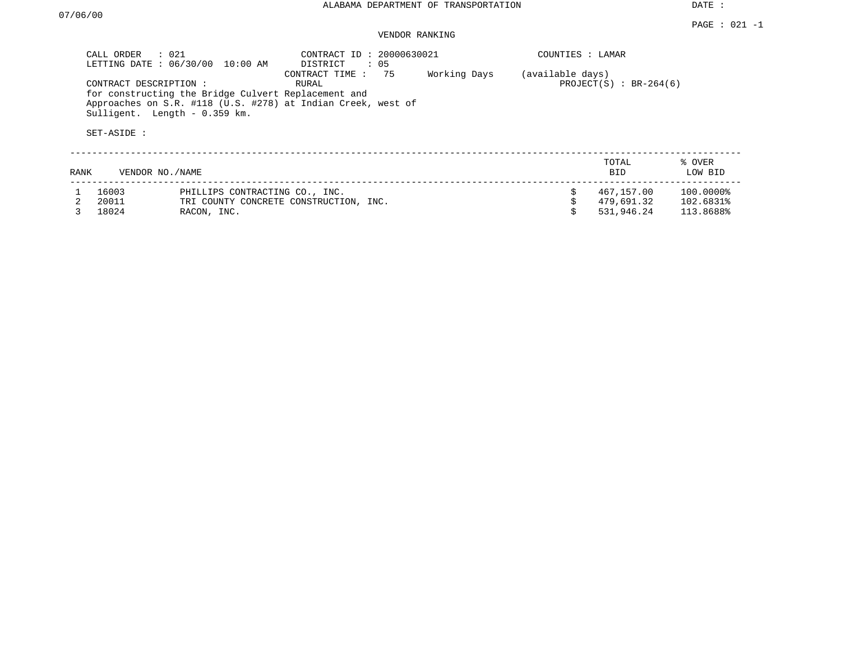## VENDOR RANKING

|      | CALL ORDER                           | $\therefore$ 021<br>LETTING DATE : 06/30/00 10:00 AM | CONTRACT ID: 20000630021<br>DISTRICT                                                                                                           | : 05 |              | COUNTIES : LAMAR |                              |                   |
|------|--------------------------------------|------------------------------------------------------|------------------------------------------------------------------------------------------------------------------------------------------------|------|--------------|------------------|------------------------------|-------------------|
|      | CONTRACT DESCRIPTION:<br>SET-ASIDE : | Sulligent. Length - 0.359 km.                        | CONTRACT TIME:<br>RURAL<br>for constructing the Bridge Culvert Replacement and<br>Approaches on S.R. #118 (U.S. #278) at Indian Creek, west of | 75   | Working Days | (available days) | PROJECT $(S)$ : BR-264 $(6)$ |                   |
| RANK | VENDOR NO. / NAME                    |                                                      |                                                                                                                                                |      |              |                  | TOTAL<br><b>BID</b>          | % OVER<br>LOW BID |
|      | 16003                                |                                                      | PHILLIPS CONTRACTING CO., INC.                                                                                                                 |      |              | Ŝ.               | 467,157.00                   | 100.0000%         |
|      | 20011                                |                                                      | TRI COUNTY CONCRETE CONSTRUCTION, INC.                                                                                                         |      |              |                  | 479,691.32                   | 102.6831%         |
|      | 18024                                | RACON, INC.                                          |                                                                                                                                                |      |              |                  | 531,946.24                   | 113.8688%         |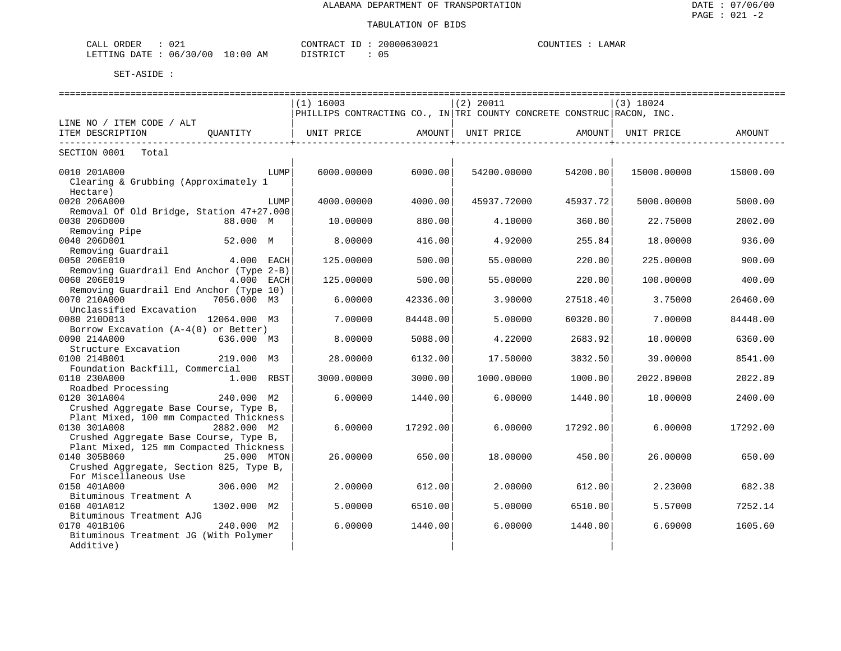| ∩∩∙<br>ORDER<br>CALL<br>∪∠⊥                 | 20000630021<br>$- -$<br>CONTRACT | LAMAR<br>COUNTIEC |
|---------------------------------------------|----------------------------------|-------------------|
| 06/30/00<br>10:00<br>LETTING<br><b>DATE</b> | DISTRICT<br>ΆM<br>◡ ◡<br>.       |                   |

|                                                         |              |      | $(1)$ 16003       |                   | $(2)$ 20011                                                           |                    | $(3)$ 18024 |          |
|---------------------------------------------------------|--------------|------|-------------------|-------------------|-----------------------------------------------------------------------|--------------------|-------------|----------|
|                                                         |              |      |                   |                   | PHILLIPS CONTRACTING CO., IN TRI COUNTY CONCRETE CONSTRUC RACON, INC. |                    |             |          |
| LINE NO / ITEM CODE / ALT                               |              |      |                   |                   |                                                                       |                    |             |          |
| ITEM DESCRIPTION                                        | OUANTITY     |      | UNIT PRICE AMOUNT |                   | UNIT PRICE AMOUNT                                                     |                    | UNIT PRICE  | AMOUNT   |
| _______________________                                 |              |      |                   | ----------------+ |                                                                       | -----------------+ |             |          |
| SECTION 0001 Total                                      |              |      |                   |                   |                                                                       |                    |             |          |
| 0010 201A000                                            |              | LUMP | 6000,00000        | 6000.00           | 54200.00000                                                           | 54200.00           | 15000.00000 | 15000.00 |
| Clearing & Grubbing (Approximately 1                    |              |      |                   |                   |                                                                       |                    |             |          |
| Hectare)                                                |              |      |                   |                   |                                                                       |                    |             |          |
| 0020 206A000                                            |              | LUMP | 4000.00000        | 4000.00           | 45937.72000                                                           | 45937.72           | 5000.00000  | 5000.00  |
| Removal Of Old Bridge, Station 47+27.000                |              |      |                   |                   |                                                                       |                    |             |          |
| 0030 206D000                                            | 88.000 M     |      | 10.00000          | 880.00            | 4.10000                                                               | 360.80             | 22.75000    | 2002.00  |
| Removing Pipe                                           |              |      |                   |                   |                                                                       |                    |             |          |
| 0040 206D001                                            | 52.000 M     |      | 8,00000           | 416.00            | 4.92000                                                               | 255.84             | 18.00000    | 936.00   |
| Removing Guardrail                                      |              |      |                   |                   |                                                                       |                    |             |          |
| 0050 206E010                                            | 4.000 EACH   |      | 125.00000         | 500.00            | 55.00000                                                              | 220.00             | 225.00000   | 900.00   |
| Removing Guardrail End Anchor (Type 2-B)                |              |      |                   |                   |                                                                       |                    |             |          |
| 0060 206E019                                            | 4.000 EACH   |      | 125.00000         | 500.00            | 55.00000                                                              | 220.00             | 100.00000   | 400.00   |
| Removing Guardrail End Anchor (Type 10)                 |              |      |                   |                   |                                                                       |                    |             |          |
| 0070 210A000                                            | 7056.000 M3  |      | 6.00000           | 42336.00          | 3.90000                                                               | 27518.40           | 3.75000     | 26460.00 |
| Unclassified Excavation                                 |              |      |                   |                   |                                                                       |                    |             |          |
| 0080 210D013                                            | 12064.000 M3 |      | 7.00000           | 84448.00          | 5.00000                                                               | 60320.00           | 7.00000     | 84448.00 |
| Borrow Excavation (A-4(0) or Better)                    |              |      |                   |                   |                                                                       |                    |             |          |
| 0090 214A000                                            | 636.000 M3   |      | 8.00000           | 5088.00           | 4.22000                                                               | 2683.92            | 10.00000    | 6360.00  |
| Structure Excavation                                    |              |      |                   |                   |                                                                       |                    |             |          |
| 0100 214B001                                            | 219.000 M3   |      | 28.00000          | 6132.00           | 17.50000                                                              | 3832.50            | 39.00000    | 8541.00  |
| Foundation Backfill, Commercial                         |              |      |                   |                   |                                                                       |                    |             |          |
| 0110 230A000                                            | 1.000 RBST   |      | 3000.00000        | 3000.00           | 1000.00000                                                            | 1000.00            | 2022.89000  | 2022.89  |
| Roadbed Processing                                      |              |      |                   |                   |                                                                       |                    |             |          |
| 0120 301A004                                            | 240.000 M2   |      | 6.00000           | 1440.00           | 6.00000                                                               | 1440.00            | 10.00000    | 2400.00  |
| Crushed Aggregate Base Course, Type B,                  |              |      |                   |                   |                                                                       |                    |             |          |
| Plant Mixed, 100 mm Compacted Thickness<br>0130 301A008 |              |      |                   |                   |                                                                       |                    |             |          |
| Crushed Aggregate Base Course, Type B,                  | 2882.000 M2  |      | 6.00000           | 17292.00          | 6.00000                                                               | 17292.00           | 6.00000     | 17292.00 |
| Plant Mixed, 125 mm Compacted Thickness                 |              |      |                   |                   |                                                                       |                    |             |          |
| 0140 305B060                                            | 25.000 MTON  |      | 26.00000          | 650.00            | 18,00000                                                              | 450.00             | 26,00000    | 650.00   |
| Crushed Aggregate, Section 825, Type B,                 |              |      |                   |                   |                                                                       |                    |             |          |
| For Miscellaneous Use                                   |              |      |                   |                   |                                                                       |                    |             |          |
| 0150 401A000                                            | 306.000 M2   |      | 2,00000           | 612.00            | 2,00000                                                               | 612.00             | 2.23000     | 682.38   |
| Bituminous Treatment A                                  |              |      |                   |                   |                                                                       |                    |             |          |
| 0160 401A012                                            | 1302.000 M2  |      | 5.00000           | 6510.00           | 5,00000                                                               | 6510.00            | 5.57000     | 7252.14  |
| Bituminous Treatment AJG                                |              |      |                   |                   |                                                                       |                    |             |          |
| 0170 401B106                                            | 240.000 M2   |      | 6.00000           | 1440.00           | 6,00000                                                               | 1440.00            | 6.69000     | 1605.60  |
| Bituminous Treatment JG (With Polymer                   |              |      |                   |                   |                                                                       |                    |             |          |
| Additive)                                               |              |      |                   |                   |                                                                       |                    |             |          |
|                                                         |              |      |                   |                   |                                                                       |                    |             |          |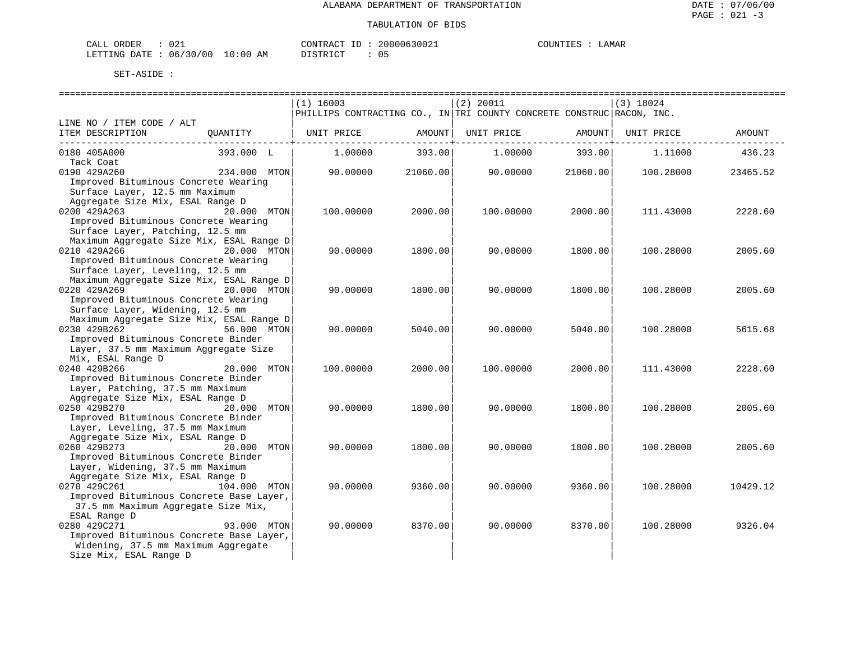| CALI | ORDER            | 021            |    | CONTRACT         | . | 2000063002. | $\mu$ tint $\tau$ | <b>AMAR</b> |
|------|------------------|----------------|----|------------------|---|-------------|-------------------|-------------|
|      | DATE.<br>LETTING | 06/30/00 10:00 | AM | ידי איד פידי פור |   | ັັ          |                   |             |

|                                                  |              | $(1)$ 16003 |                    | $(2)$ 20011                                                           |                        | $(3)$ 18024 |          |
|--------------------------------------------------|--------------|-------------|--------------------|-----------------------------------------------------------------------|------------------------|-------------|----------|
|                                                  |              |             |                    | PHILLIPS CONTRACTING CO., IN TRI COUNTY CONCRETE CONSTRUC RACON, INC. |                        |             |          |
| LINE NO / ITEM CODE / ALT                        |              |             |                    |                                                                       |                        |             |          |
| ITEM DESCRIPTION                                 | OUANTITY     | UNIT PRICE  | AMOUNT             | UNIT PRICE                                                            | AMOUNT                 | UNIT PRICE  | AMOUNT   |
| 0180 405A000                                     | 393.000 L    | 1,00000     | --------<br>393.00 | 1,00000                                                               | ------------<br>393.00 | 1,11000     | 436.23   |
| Tack Coat                                        |              |             |                    |                                                                       |                        |             |          |
| 0190 429A260                                     | 234.000 MTON | 90.00000    | 21060.00           | 90.00000                                                              | 21060.00               | 100.28000   | 23465.52 |
| Improved Bituminous Concrete Wearing             |              |             |                    |                                                                       |                        |             |          |
| Surface Layer, 12.5 mm Maximum                   |              |             |                    |                                                                       |                        |             |          |
| Aggregate Size Mix, ESAL Range D                 |              |             |                    |                                                                       |                        |             |          |
| 0200 429A263                                     | 20.000 MTON  | 100.00000   | 2000.00            | 100.00000                                                             | 2000.00                | 111.43000   | 2228.60  |
| Improved Bituminous Concrete Wearing             |              |             |                    |                                                                       |                        |             |          |
| Surface Layer, Patching, 12.5 mm                 |              |             |                    |                                                                       |                        |             |          |
| Maximum Aggregate Size Mix, ESAL Range D         |              |             |                    |                                                                       |                        |             |          |
| 0210 429A266                                     | 20.000 MTON  | 90.00000    | 1800.00            | 90.00000                                                              | 1800.00                | 100.28000   | 2005.60  |
| Improved Bituminous Concrete Wearing             |              |             |                    |                                                                       |                        |             |          |
| Surface Layer, Leveling, 12.5 mm                 |              |             |                    |                                                                       |                        |             |          |
| Maximum Aggregate Size Mix, ESAL Range D         |              |             |                    |                                                                       |                        |             |          |
| 0220 429A269                                     | 20.000 MTON  | 90.00000    | 1800.00            | 90.00000                                                              | 1800.00                | 100.28000   | 2005.60  |
| Improved Bituminous Concrete Wearing             |              |             |                    |                                                                       |                        |             |          |
| Surface Layer, Widening, 12.5 mm                 |              |             |                    |                                                                       |                        |             |          |
| Maximum Aggregate Size Mix, ESAL Range D         |              |             |                    |                                                                       |                        |             |          |
| 0230 429B262                                     | 56.000 MTON  | 90.00000    | 5040.00            | 90.00000                                                              | 5040.00                | 100.28000   | 5615.68  |
| Improved Bituminous Concrete Binder              |              |             |                    |                                                                       |                        |             |          |
| Layer, 37.5 mm Maximum Aggregate Size            |              |             |                    |                                                                       |                        |             |          |
| Mix, ESAL Range D                                |              |             |                    |                                                                       |                        |             |          |
| 0240 429B266                                     | 20.000 MTON  | 100.00000   | 2000.00            | 100.00000                                                             | 2000.00                | 111.43000   | 2228.60  |
| Improved Bituminous Concrete Binder              |              |             |                    |                                                                       |                        |             |          |
| Layer, Patching, 37.5 mm Maximum                 |              |             |                    |                                                                       |                        |             |          |
| Aggregate Size Mix, ESAL Range D<br>0250 429B270 | 20.000 MTON  | 90.00000    | 1800.00            | 90.00000                                                              | 1800.00                | 100.28000   | 2005.60  |
| Improved Bituminous Concrete Binder              |              |             |                    |                                                                       |                        |             |          |
| Layer, Leveling, 37.5 mm Maximum                 |              |             |                    |                                                                       |                        |             |          |
| Aggregate Size Mix, ESAL Range D                 |              |             |                    |                                                                       |                        |             |          |
| 0260 429B273                                     | 20.000 MTON  | 90.00000    | 1800.00            | 90.00000                                                              | 1800.00                | 100.28000   | 2005.60  |
| Improved Bituminous Concrete Binder              |              |             |                    |                                                                       |                        |             |          |
| Layer, Widening, 37.5 mm Maximum                 |              |             |                    |                                                                       |                        |             |          |
| Aggregate Size Mix, ESAL Range D                 |              |             |                    |                                                                       |                        |             |          |
| 0270 429C261                                     | 104.000 MTON | 90.00000    | 9360.00            | 90.00000                                                              | 9360.00                | 100.28000   | 10429.12 |
| Improved Bituminous Concrete Base Layer,         |              |             |                    |                                                                       |                        |             |          |
| 37.5 mm Maximum Aggregate Size Mix,              |              |             |                    |                                                                       |                        |             |          |
| ESAL Range D                                     |              |             |                    |                                                                       |                        |             |          |
| 0280 429C271                                     | 93.000 MTON  | 90.00000    | 8370.00            | 90.00000                                                              | 8370.00                | 100.28000   | 9326.04  |
| Improved Bituminous Concrete Base Layer,         |              |             |                    |                                                                       |                        |             |          |
| Widening, 37.5 mm Maximum Aggregate              |              |             |                    |                                                                       |                        |             |          |
| Size Mix, ESAL Range D                           |              |             |                    |                                                                       |                        |             |          |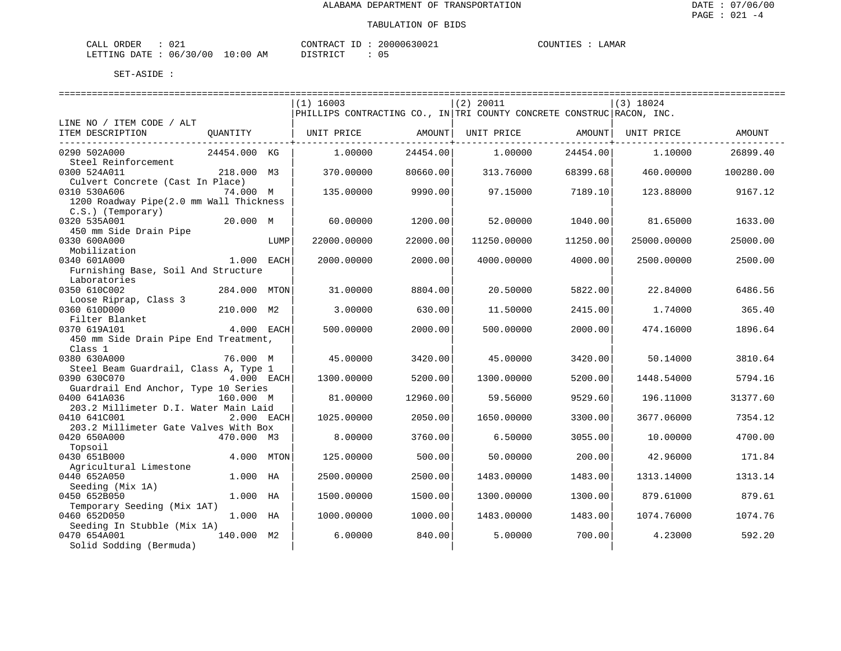| CALI<br>ORDER    | 021          |             | CONTRACT        | ~^0006300 <sub>4+</sub> | ּי ידוחדר ר<br>. | <b>AMAR</b> |
|------------------|--------------|-------------|-----------------|-------------------------|------------------|-------------|
| LETTING<br>DATE. | 06/30<br>/00 | 10:00<br>AΜ | ידי איד אידי את | ັ                       |                  |             |

|                                                  |              |      | $(1)$ 16003                                                           |          | (2) 20011   |            | $(3)$ 18024 |           |
|--------------------------------------------------|--------------|------|-----------------------------------------------------------------------|----------|-------------|------------|-------------|-----------|
|                                                  |              |      | PHILLIPS CONTRACTING CO., IN TRI COUNTY CONCRETE CONSTRUC RACON, INC. |          |             |            |             |           |
| LINE NO / ITEM CODE / ALT                        |              |      |                                                                       |          |             |            |             |           |
| ITEM DESCRIPTION                                 | OUANTITY     |      | UNIT PRICE                                                            | AMOUNT   | UNIT PRICE  | AMOUNT     | UNIT PRICE  | AMOUNT    |
|                                                  |              |      |                                                                       |          |             | ---------+ |             |           |
| 0290 502A000                                     | 24454.000 KG |      | 1,00000                                                               | 24454.00 | 1,00000     | 24454.00   | 1,10000     | 26899.40  |
| Steel Reinforcement                              |              |      |                                                                       |          |             |            |             |           |
| 0300 524A011                                     | 218.000 M3   |      | 370.00000                                                             | 80660.00 | 313.76000   | 68399.68   | 460.00000   | 100280.00 |
| Culvert Concrete (Cast In Place)<br>0310 530A606 | 74.000 M     |      | 135.00000                                                             | 9990.00  | 97.15000    | 7189.10    | 123.88000   | 9167.12   |
| 1200 Roadway Pipe(2.0 mm Wall Thickness          |              |      |                                                                       |          |             |            |             |           |
| $C.S.$ ) (Temporary)                             |              |      |                                                                       |          |             |            |             |           |
| 0320 535A001                                     | 20.000 M     |      | 60.00000                                                              | 1200.00  | 52.00000    | 1040.00    | 81.65000    | 1633.00   |
| 450 mm Side Drain Pipe                           |              |      |                                                                       |          |             |            |             |           |
| 0330 600A000                                     |              | LUMP | 22000.00000                                                           | 22000.00 | 11250.00000 | 11250.00   | 25000.00000 | 25000.00  |
| Mobilization                                     |              |      |                                                                       |          |             |            |             |           |
| 0340 601A000                                     | 1.000 EACH   |      | 2000.00000                                                            | 2000.00  | 4000.00000  | 4000.00    | 2500.00000  | 2500.00   |
| Furnishing Base, Soil And Structure              |              |      |                                                                       |          |             |            |             |           |
| Laboratories                                     |              |      |                                                                       |          |             |            |             |           |
| 0350 610C002                                     | 284.000 MTON |      | 31.00000                                                              | 8804.00  | 20.50000    | 5822.00    | 22.84000    | 6486.56   |
| Loose Riprap, Class 3                            |              |      |                                                                       |          |             |            |             |           |
| 0360 610D000                                     | 210.000 M2   |      | 3.00000                                                               | 630.00   | 11.50000    | 2415.00    | 1.74000     | 365.40    |
| Filter Blanket<br>0370 619A101                   | 4.000 EACH   |      | 500.00000                                                             | 2000.00  | 500.00000   | 2000.00    | 474.16000   | 1896.64   |
| 450 mm Side Drain Pipe End Treatment,            |              |      |                                                                       |          |             |            |             |           |
| Class 1                                          |              |      |                                                                       |          |             |            |             |           |
| 0380 630A000                                     | 76.000 M     |      | 45.00000                                                              | 3420.00  | 45.00000    | 3420.00    | 50.14000    | 3810.64   |
| Steel Beam Guardrail, Class A, Type 1            |              |      |                                                                       |          |             |            |             |           |
| 0390 630C070                                     | 4.000 EACH   |      | 1300.00000                                                            | 5200.00  | 1300.00000  | 5200.00    | 1448.54000  | 5794.16   |
| Guardrail End Anchor, Type 10 Series             |              |      |                                                                       |          |             |            |             |           |
| 0400 641A036                                     | 160.000 M    |      | 81.00000                                                              | 12960.00 | 59.56000    | 9529.60    | 196.11000   | 31377.60  |
| 203.2 Millimeter D.I. Water Main Laid            |              |      |                                                                       |          |             |            |             |           |
| 0410 641C001                                     | 2.000 EACH   |      | 1025.00000                                                            | 2050.00  | 1650.00000  | 3300.00    | 3677.06000  | 7354.12   |
| 203.2 Millimeter Gate Valves With Box            |              |      |                                                                       |          |             |            |             |           |
| 0420 650A000                                     | 470.000 M3   |      | 8,00000                                                               | 3760.00  | 6.50000     | 3055.00    | 10,00000    | 4700.00   |
| Topsoil                                          |              |      |                                                                       |          |             |            |             |           |
| 0430 651B000<br>Agricultural Limestone           | 4.000 MTON   |      | 125.00000                                                             | 500.00   | 50.00000    | 200.00     | 42.96000    | 171.84    |
| 0440 652A050                                     | 1.000 HA     |      | 2500.00000                                                            | 2500.00  | 1483.00000  | 1483.00    | 1313.14000  | 1313.14   |
| Seeding (Mix 1A)                                 |              |      |                                                                       |          |             |            |             |           |
| 0450 652B050                                     | 1.000 HA     |      | 1500.00000                                                            | 1500.00  | 1300.00000  | 1300.00    | 879.61000   | 879.61    |
| Temporary Seeding (Mix 1AT)                      |              |      |                                                                       |          |             |            |             |           |
| 0460 652D050                                     | 1.000 HA     |      | 1000.00000                                                            | 1000.00  | 1483.00000  | 1483.00    | 1074.76000  | 1074.76   |
| Seeding In Stubble (Mix 1A)                      |              |      |                                                                       |          |             |            |             |           |
| 0470 654A001                                     | 140.000 M2   |      | 6.00000                                                               | 840.00   | 5.00000     | 700.00     | 4.23000     | 592.20    |
| Solid Sodding (Bermuda)                          |              |      |                                                                       |          |             |            |             |           |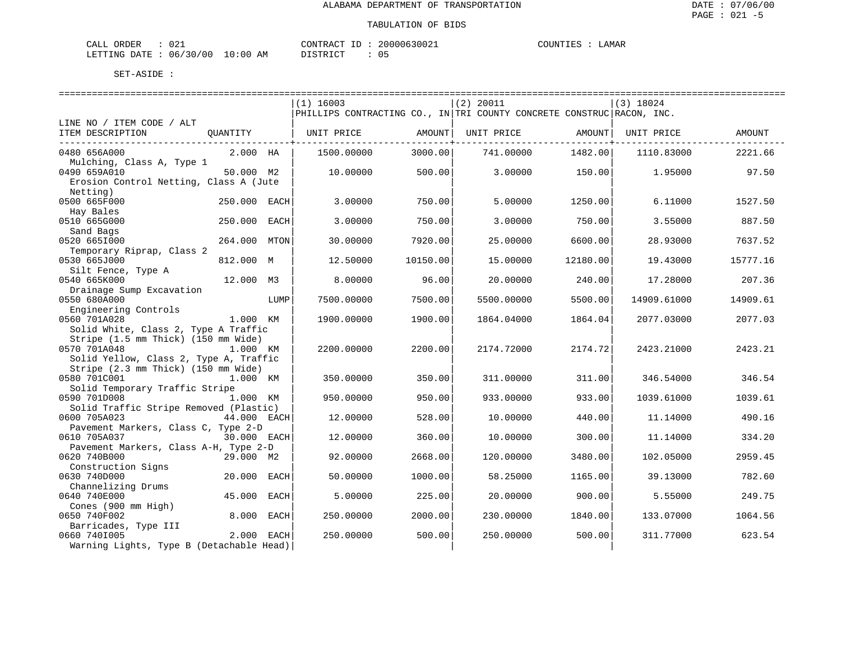| CALI<br>ORDER    | 021          |             | CONTRACT        | ~^0006300 <sub>4+</sub> | ּי ידוחדר ר<br>. | <b>AMAR</b> |
|------------------|--------------|-------------|-----------------|-------------------------|------------------|-------------|
| LETTING<br>DATE. | 06/30<br>/00 | 10:00<br>AΜ | ידי איד אידי את | ັ                       |                  |             |

|                                                        |                 | $(1)$ 16003                                                           |          | $(2)$ 20011 |                                   | $(3)$ 18024 |          |
|--------------------------------------------------------|-----------------|-----------------------------------------------------------------------|----------|-------------|-----------------------------------|-------------|----------|
|                                                        |                 | PHILLIPS CONTRACTING CO., IN TRI COUNTY CONCRETE CONSTRUC RACON, INC. |          |             |                                   |             |          |
| LINE NO / ITEM CODE / ALT                              |                 |                                                                       |          |             |                                   |             |          |
| ITEM DESCRIPTION                                       | QUANTITY        | UNIT PRICE                                                            | AMOUNT   | UNIT PRICE  | AMOUNT  <br>-------------+------- | UNIT PRICE  | AMOUNT   |
| 0480 656A000                                           | 2.000 HA        | 1500.00000                                                            | 3000.00  | 741.00000   | 1482.00                           | 1110.83000  | 2221.66  |
| Mulching, Class A, Type 1                              |                 |                                                                       |          |             |                                   |             |          |
| 0490 659A010                                           | 50.000 M2       | 10,00000                                                              | 500.00   | 3,00000     | 150.00                            | 1,95000     | 97.50    |
| Erosion Control Netting, Class A (Jute                 |                 |                                                                       |          |             |                                   |             |          |
| Netting)                                               |                 |                                                                       |          |             |                                   |             |          |
| 0500 665F000                                           | 250.000 EACH    | 3.00000                                                               | 750.00   | 5.00000     | 1250.00                           | 6.11000     | 1527.50  |
| Hay Bales                                              |                 |                                                                       |          |             |                                   |             |          |
| 0510 665G000                                           | 250.000<br>EACH | 3.00000                                                               | 750.00   | 3.00000     | 750.00                            | 3.55000     | 887.50   |
| Sand Bags                                              |                 |                                                                       |          |             |                                   |             |          |
| 0520 6651000                                           | 264.000<br>MTON | 30.00000                                                              | 7920.00  | 25.00000    | 6600.00                           | 28.93000    | 7637.52  |
| Temporary Riprap, Class 2                              |                 |                                                                       |          |             |                                   |             |          |
| 0530 665J000                                           | 812.000 M       | 12.50000                                                              | 10150.00 | 15.00000    | 12180.00                          | 19.43000    | 15777.16 |
| Silt Fence, Type A                                     |                 |                                                                       |          |             |                                   |             |          |
| 0540 665K000                                           | 12.000 M3       | 8,00000                                                               | 96.00    | 20.00000    | 240.00                            | 17.28000    | 207.36   |
| Drainage Sump Excavation                               |                 |                                                                       |          |             |                                   |             |          |
| 0550 680A000                                           | LUMP            | 7500.00000                                                            | 7500.00  | 5500.00000  | 5500.00                           | 14909.61000 | 14909.61 |
| Engineering Controls                                   |                 |                                                                       |          |             |                                   |             |          |
| 0560 701A028                                           | 1.000 KM        | 1900.00000                                                            | 1900.00  | 1864.04000  | 1864.04                           | 2077.03000  | 2077.03  |
| Solid White, Class 2, Type A Traffic                   |                 |                                                                       |          |             |                                   |             |          |
| Stripe (1.5 mm Thick) (150 mm Wide)                    |                 |                                                                       |          |             |                                   |             |          |
| 0570 701A048                                           | 1.000 KM        | 2200.00000                                                            | 2200.00  | 2174.72000  | 2174.72                           | 2423.21000  | 2423.21  |
| Solid Yellow, Class 2, Type A, Traffic                 |                 |                                                                       |          |             |                                   |             |          |
| Stripe (2.3 mm Thick) (150 mm Wide)                    |                 |                                                                       |          |             |                                   |             |          |
| 0580 701C001                                           | 1.000 KM        | 350.00000                                                             | 350.00   | 311,00000   | 311.00                            | 346.54000   | 346.54   |
| Solid Temporary Traffic Stripe                         |                 |                                                                       |          |             |                                   |             |          |
| 0590 701D008<br>Solid Traffic Stripe Removed (Plastic) | 1.000 KM        | 950.00000                                                             | 950.00   | 933.00000   | 933.00                            | 1039.61000  | 1039.61  |
| 0600 705A023                                           | 44.000 EACH     | 12,00000                                                              | 528.00   | 10.00000    | 440.00                            | 11.14000    | 490.16   |
| Pavement Markers, Class C, Type 2-D                    |                 |                                                                       |          |             |                                   |             |          |
| 0610 705A037                                           | 30.000 EACH     | 12.00000                                                              | 360.00   | 10.00000    | 300.00                            | 11.14000    | 334.20   |
| Pavement Markers, Class A-H, Type 2-D                  |                 |                                                                       |          |             |                                   |             |          |
| 0620 740B000                                           | 29.000 M2       | 92.00000                                                              | 2668.00  | 120.00000   | 3480.00                           | 102.05000   | 2959.45  |
| Construction Signs                                     |                 |                                                                       |          |             |                                   |             |          |
| 0630 740D000                                           | 20.000<br>EACH  | 50.00000                                                              | 1000.00  | 58.25000    | 1165.00                           | 39.13000    | 782.60   |
| Channelizing Drums                                     |                 |                                                                       |          |             |                                   |             |          |
| 0640 740E000                                           | 45.000<br>EACH  | 5.00000                                                               | 225.00   | 20.00000    | 900.00                            | 5.55000     | 249.75   |
| Cones (900 mm High)                                    |                 |                                                                       |          |             |                                   |             |          |
| 0650 740F002                                           | 8.000<br>EACH   | 250.00000                                                             | 2000.00  | 230.00000   | 1840.00                           | 133.07000   | 1064.56  |
| Barricades, Type III                                   |                 |                                                                       |          |             |                                   |             |          |
| 0660 7401005                                           | 2.000 EACH      | 250.00000                                                             | 500.00   | 250.00000   | 500.00                            | 311.77000   | 623.54   |
| Warning Lights, Type B (Detachable Head)               |                 |                                                                       |          |             |                                   |             |          |
|                                                        |                 |                                                                       |          |             |                                   |             |          |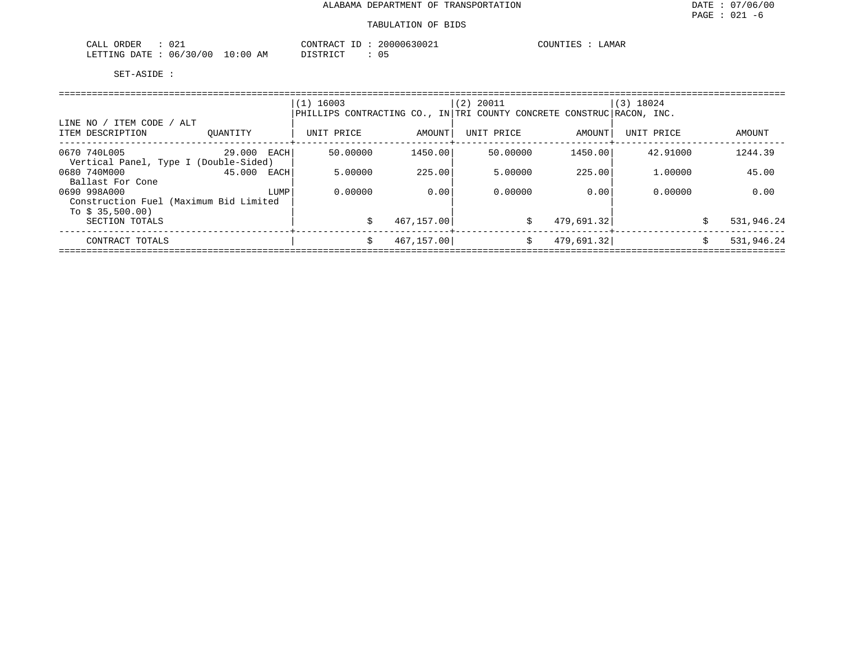| $\cap$ $\cap$<br>ORDER<br>CALL<br>- 9 4 ± |             | CONTRACT | 20000630021 | LAMAR<br>COUNTIES |
|-------------------------------------------|-------------|----------|-------------|-------------------|
| 06/30/00<br>LETTING DATE                  | 10:00<br>AΜ | DISTRICT |             |                   |

|                                                           |                | $(1)$ 16003<br>PHILLIPS CONTRACTING CO., IN TRI COUNTY CONCRETE CONSTRUC RACON, INC. |            | $(2)$ 20011 |            | $(3)$ 18024 |                  |
|-----------------------------------------------------------|----------------|--------------------------------------------------------------------------------------|------------|-------------|------------|-------------|------------------|
| LINE NO / ITEM CODE / ALT<br>ITEM DESCRIPTION             | OUANTITY       | UNIT PRICE                                                                           | AMOUNT     | UNIT PRICE  | AMOUNT     | UNIT PRICE  | AMOUNT           |
| 0670 740L005<br>Vertical Panel, Type I (Double-Sided)     | 29.000 EACH    | 50.00000                                                                             | 1450.00    | 50.00000    | 1450.00    | 42.91000    | 1244.39          |
| 0680 740M000<br>Ballast For Cone                          | 45.000<br>EACH | 5.00000                                                                              | 225.00     | 5.00000     | 225.00     | 1,00000     | 45.00            |
| 0690 998A000                                              | LUMP           | 0.00000                                                                              | 0.00       | 0.00000     | 0.00       | 0.00000     | 0.00             |
| Construction Fuel (Maximum Bid Limited<br>To $$35,500.00$ |                |                                                                                      |            |             |            |             |                  |
| SECTION TOTALS                                            |                | \$                                                                                   | 467,157.00 | Ŝ.          | 479,691.32 |             | 531,946.24       |
| CONTRACT TOTALS                                           |                | \$                                                                                   | 467,157.00 | \$          | 479,691.32 |             | \$<br>531,946.24 |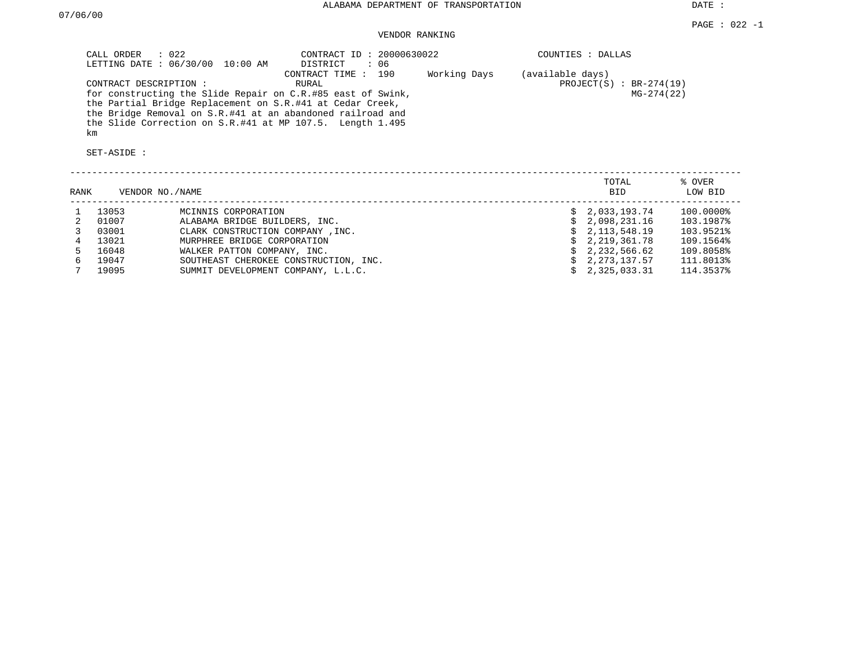DATE :

### VENDOR RANKING

|      | $\therefore$ 022<br>CALL ORDER              | LETTING DATE : 06/30/00 10:00 AM   | CONTRACT ID: 20000630022<br>DISTRICT<br>: 06                                                                                                                                                                                                                                        |              |                  | COUNTIES : DALLAS                        |                   |
|------|---------------------------------------------|------------------------------------|-------------------------------------------------------------------------------------------------------------------------------------------------------------------------------------------------------------------------------------------------------------------------------------|--------------|------------------|------------------------------------------|-------------------|
|      | CONTRACT DESCRIPTION :<br>km<br>SET-ASIDE : |                                    | CONTRACT TIME : 190<br>RURAL<br>for constructing the Slide Repair on C.R.#85 east of Swink,<br>the Partial Bridge Replacement on S.R.#41 at Cedar Creek,<br>the Bridge Removal on S.R.#41 at an abandoned railroad and<br>the Slide Correction on S.R.#41 at MP 107.5. Length 1.495 | Working Days | (available days) | PROJECT $(S)$ : BR-274(19)<br>MG-274(22) |                   |
| RANK | VENDOR NO./NAME                             |                                    |                                                                                                                                                                                                                                                                                     |              |                  | TOTAL<br>BID                             | % OVER<br>LOW BID |
|      | 13053                                       | MCINNIS CORPORATION                |                                                                                                                                                                                                                                                                                     |              |                  | \$2,033,193.74                           | $100.0000\$       |
| 2    | 01007                                       | ALABAMA BRIDGE BUILDERS, INC.      |                                                                                                                                                                                                                                                                                     |              | Ŝ.               | 2,098,231.16                             | 103.1987%         |
| 3    | 03001                                       | CLARK CONSTRUCTION COMPANY, INC.   |                                                                                                                                                                                                                                                                                     |              |                  | 2,113,548.19                             | 103.9521%         |
|      | 13021                                       | MURPHREE BRIDGE CORPORATION        |                                                                                                                                                                                                                                                                                     |              |                  | 2,219,361.78                             | 109.1564%         |
|      | 16048                                       | WALKER PATTON COMPANY, INC.        |                                                                                                                                                                                                                                                                                     |              |                  | 2,232,566.62                             | 109.8058%         |
| 6    | 19047                                       |                                    | SOUTHEAST CHEROKEE CONSTRUCTION, INC.                                                                                                                                                                                                                                               |              | Ŝ.               | 2,273,137.57                             | 111.8013%         |
|      | 19095                                       | SUMMIT DEVELOPMENT COMPANY, L.L.C. |                                                                                                                                                                                                                                                                                     |              |                  | 2,325,033.31                             | 114.3537%         |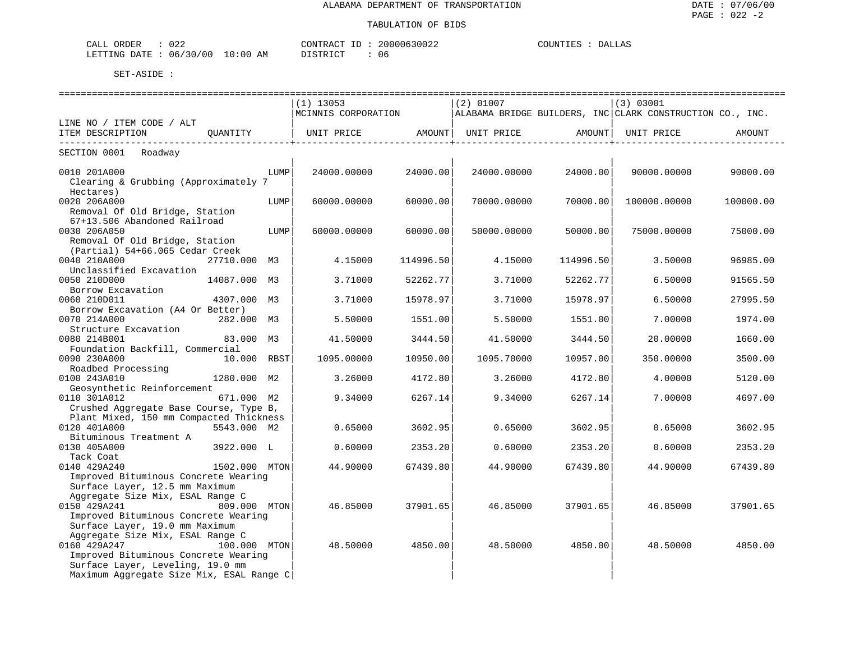| CALL ORDER             | ን22 |             | CONTRACT | 20000630022 | COUNTIES | DALLAS |
|------------------------|-----|-------------|----------|-------------|----------|--------|
| LETTING DATE: 06/30/00 |     | 10:00<br>AM | DISTRICT | 06          |          |        |

|                                                          | $(1)$ 13053         |           | $(2)$ 01007 |           | (3) 03001                                                 |           |
|----------------------------------------------------------|---------------------|-----------|-------------|-----------|-----------------------------------------------------------|-----------|
|                                                          | MCINNIS CORPORATION |           |             |           | ALABAMA BRIDGE BUILDERS, INC CLARK CONSTRUCTION CO., INC. |           |
| LINE NO / ITEM CODE / ALT                                |                     |           |             |           |                                                           |           |
| ITEM DESCRIPTION<br>OUANTITY                             | UNIT PRICE AMOUNT   |           | UNIT PRICE  | AMOUNT    | UNIT PRICE                                                | AMOUNT    |
| SECTION 0001 Roadway                                     |                     |           |             |           |                                                           |           |
| 0010 201A000<br>LUMP                                     | 24000.00000         | 24000.00  | 24000.00000 | 24000.00  | 90000.00000                                               | 90000.00  |
| Clearing & Grubbing (Approximately 7                     |                     |           |             |           |                                                           |           |
| Hectares)                                                |                     |           |             |           |                                                           |           |
| 0020 206A000                                             | LUMP<br>60000.00000 | 60000.00  | 70000.00000 | 70000.00  | 100000.00000                                              | 100000.00 |
| Removal Of Old Bridge, Station                           |                     |           |             |           |                                                           |           |
| 67+13.506 Abandoned Railroad                             |                     |           |             |           |                                                           |           |
| 0030 206A050<br>LUMP                                     | 60000.00000         | 60000.00  | 50000.00000 | 50000.00  | 75000.00000                                               | 75000.00  |
| Removal Of Old Bridge, Station                           |                     |           |             |           |                                                           |           |
| (Partial) 54+66.065 Cedar Creek                          |                     |           |             |           |                                                           |           |
| 0040 210A000<br>27710.000 M3                             | 4.15000             | 114996.50 | 4.15000     | 114996.50 | 3.50000                                                   | 96985.00  |
| Unclassified Excavation                                  |                     |           |             |           |                                                           |           |
| 0050 210D000<br>14087.000 M3                             | 3.71000             | 52262.77  | 3.71000     | 52262.77  | 6.50000                                                   | 91565.50  |
| Borrow Excavation                                        |                     |           |             |           |                                                           |           |
| 0060 210D011<br>4307.000 M3                              | 3.71000             | 15978.97  | 3.71000     | 15978.97  | 6.50000                                                   | 27995.50  |
| Borrow Excavation (A4 Or Better)                         |                     |           |             |           |                                                           |           |
| 0070 214A000<br>282.000 M3                               | 5.50000             | 1551.00   | 5.50000     | 1551.00   | 7.00000                                                   | 1974.00   |
| Structure Excavation                                     |                     |           |             |           |                                                           |           |
| 0080 214B001<br>83.000 M3                                | 41.50000            | 3444.50   | 41.50000    | 3444.50   | 20.00000                                                  | 1660.00   |
| Foundation Backfill, Commercial                          |                     |           |             |           |                                                           |           |
| 0090 230A000<br>10.000 RBST                              | 1095.00000          | 10950.00  | 1095.70000  | 10957.00  | 350.00000                                                 | 3500.00   |
| Roadbed Processing                                       |                     |           |             |           |                                                           |           |
| 0100 243A010<br>1280.000 M2                              | 3.26000             | 4172.80   | 3.26000     | 4172.80   | 4.00000                                                   | 5120.00   |
| Geosynthetic Reinforcement<br>0110 301A012<br>671.000 M2 |                     | 6267.14   | 9.34000     |           | 7.00000                                                   | 4697.00   |
| Crushed Aggregate Base Course, Type B,                   | 9.34000             |           |             | 6267.14   |                                                           |           |
| Plant Mixed, 150 mm Compacted Thickness                  |                     |           |             |           |                                                           |           |
| 5543.000 M2<br>0120 401A000                              | 0.65000             | 3602.95   | 0.65000     | 3602.95   | 0.65000                                                   | 3602.95   |
| Bituminous Treatment A                                   |                     |           |             |           |                                                           |           |
| 0130 405A000<br>3922.000 L                               | 0.60000             | 2353.20   | 0.60000     | 2353.20   | 0.60000                                                   | 2353.20   |
| Tack Coat                                                |                     |           |             |           |                                                           |           |
| 0140 429A240<br>1502.000 MTON                            | 44.90000            | 67439.80  | 44.90000    | 67439.80  | 44.90000                                                  | 67439.80  |
| Improved Bituminous Concrete Wearing                     |                     |           |             |           |                                                           |           |
| Surface Layer, 12.5 mm Maximum                           |                     |           |             |           |                                                           |           |
| Aggregate Size Mix, ESAL Range C                         |                     |           |             |           |                                                           |           |
| 0150 429A241<br>809.000 MTON                             | 46.85000            | 37901.65  | 46.85000    | 37901.65  | 46.85000                                                  | 37901.65  |
| Improved Bituminous Concrete Wearing                     |                     |           |             |           |                                                           |           |
| Surface Layer, 19.0 mm Maximum                           |                     |           |             |           |                                                           |           |
| Aggregate Size Mix, ESAL Range C                         |                     |           |             |           |                                                           |           |
| 0160 429A247<br>100.000 MTON                             | 48.50000            | 4850.00   | 48.50000    | 4850.00   | 48.50000                                                  | 4850.00   |
| Improved Bituminous Concrete Wearing                     |                     |           |             |           |                                                           |           |
| Surface Layer, Leveling, 19.0 mm                         |                     |           |             |           |                                                           |           |
| Maximum Aggregate Size Mix, ESAL Range C                 |                     |           |             |           |                                                           |           |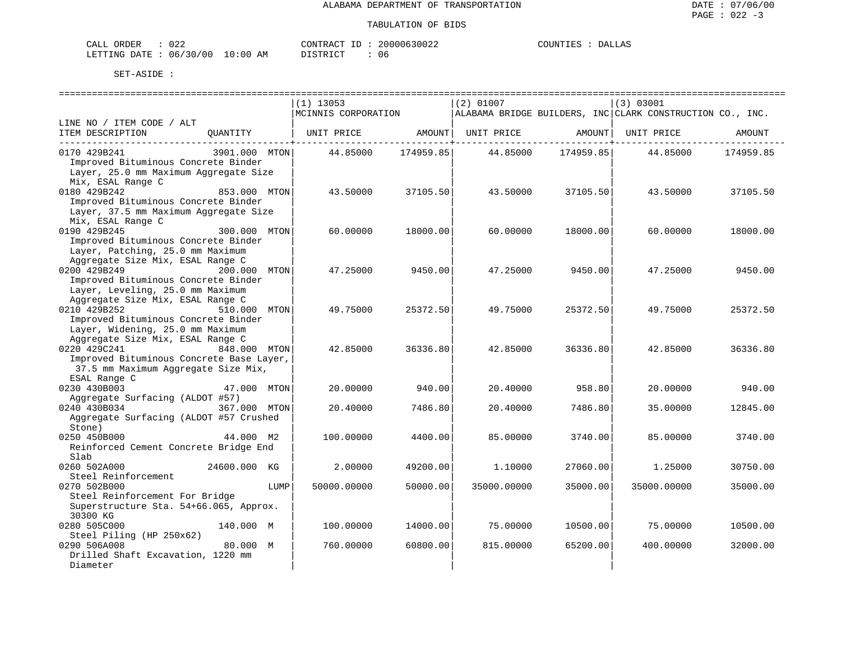| ORDER<br>CALL          | ר ר<br>∠ ∠ ل |             | TD.<br>CONTRACT | 20000630022 | COUNTIES<br>TER | DALLAS |
|------------------------|--------------|-------------|-----------------|-------------|-----------------|--------|
| LETTING DATE: 06/30/00 |              | 10:00<br>AΜ | חים דמים דת     | u c         |                 |        |

|                                          |               |      | ----------------------------- |           |                   |                       |                                                           |           |
|------------------------------------------|---------------|------|-------------------------------|-----------|-------------------|-----------------------|-----------------------------------------------------------|-----------|
|                                          |               |      | $(1)$ 13053                   |           | $(2)$ 01007       |                       | (3) 03001                                                 |           |
|                                          |               |      | MCINNIS CORPORATION           |           |                   |                       | ALABAMA BRIDGE BUILDERS, INC CLARK CONSTRUCTION CO., INC. |           |
| LINE NO / ITEM CODE / ALT                |               |      |                               |           |                   |                       |                                                           |           |
| ITEM DESCRIPTION                         | OUANTITY      |      | UNIT PRICE                    |           | AMOUNT UNIT PRICE | AMOUNT                | UNIT PRICE                                                | AMOUNT    |
|                                          |               |      |                               |           |                   | --------------------- |                                                           |           |
| 0170 429B241                             | 3901.000 MTON |      | 44.85000                      | 174959.85 | 44.85000          | 174959.85             | 44.85000                                                  | 174959.85 |
| Improved Bituminous Concrete Binder      |               |      |                               |           |                   |                       |                                                           |           |
| Layer, 25.0 mm Maximum Aggregate Size    |               |      |                               |           |                   |                       |                                                           |           |
| Mix, ESAL Range C                        |               |      |                               |           |                   |                       |                                                           |           |
| 0180 429B242                             | 853.000 MTON  |      | 43.50000                      | 37105.50  | 43.50000          | 37105.50              | 43.50000                                                  | 37105.50  |
| Improved Bituminous Concrete Binder      |               |      |                               |           |                   |                       |                                                           |           |
| Layer, 37.5 mm Maximum Aggregate Size    |               |      |                               |           |                   |                       |                                                           |           |
| Mix, ESAL Range C                        |               |      |                               |           |                   |                       |                                                           |           |
| 0190 429B245                             | 300.000 MTON  |      | 60.00000                      | 18000.00  | 60.00000          | 18000.00              | 60.00000                                                  | 18000.00  |
| Improved Bituminous Concrete Binder      |               |      |                               |           |                   |                       |                                                           |           |
| Layer, Patching, 25.0 mm Maximum         |               |      |                               |           |                   |                       |                                                           |           |
| Aggregate Size Mix, ESAL Range C         |               |      |                               |           |                   |                       |                                                           |           |
| 0200 429B249                             | 200.000 MTON  |      | 47.25000                      | 9450.00   | 47.25000          | 9450.00               | 47.25000                                                  | 9450.00   |
| Improved Bituminous Concrete Binder      |               |      |                               |           |                   |                       |                                                           |           |
| Layer, Leveling, 25.0 mm Maximum         |               |      |                               |           |                   |                       |                                                           |           |
| Aggregate Size Mix, ESAL Range C         |               |      |                               |           |                   |                       |                                                           |           |
| 0210 429B252                             | 510.000 MTON  |      | 49.75000                      | 25372.50  | 49.75000          | 25372.50              | 49.75000                                                  | 25372.50  |
| Improved Bituminous Concrete Binder      |               |      |                               |           |                   |                       |                                                           |           |
| Layer, Widening, 25.0 mm Maximum         |               |      |                               |           |                   |                       |                                                           |           |
| Aggregate Size Mix, ESAL Range C         |               |      |                               |           |                   |                       |                                                           |           |
| 0220 429C241                             | 848.000 MTON  |      | 42.85000                      | 36336.80  | 42.85000          | 36336.80              | 42.85000                                                  | 36336.80  |
| Improved Bituminous Concrete Base Layer, |               |      |                               |           |                   |                       |                                                           |           |
| 37.5 mm Maximum Aggregate Size Mix,      |               |      |                               |           |                   |                       |                                                           |           |
| ESAL Range C                             |               |      |                               |           |                   |                       |                                                           |           |
| 0230 430B003                             | 47.000 MTON   |      | 20.00000                      | 940.00    | 20.40000          | 958.80                | 20.00000                                                  | 940.00    |
| Aggregate Surfacing (ALDOT #57)          |               |      |                               |           |                   |                       |                                                           |           |
| 0240 430B034                             | 367.000 MTON  |      | 20.40000                      | 7486.80   | 20.40000          | 7486.80               | 35.00000                                                  | 12845.00  |
| Aggregate Surfacing (ALDOT #57 Crushed   |               |      |                               |           |                   |                       |                                                           |           |
| Stone)                                   |               |      |                               |           |                   |                       |                                                           |           |
| 0250 450B000                             | 44.000 M2     |      | 100.00000                     | 4400.00   | 85.00000          | 3740.00               | 85.00000                                                  | 3740.00   |
| Reinforced Cement Concrete Bridge End    |               |      |                               |           |                   |                       |                                                           |           |
| Slab                                     |               |      |                               |           |                   |                       |                                                           |           |
| 0260 502A000                             | 24600.000 KG  |      | 2.00000                       | 49200.00  | 1,10000           | 27060.00              | 1.25000                                                   | 30750.00  |
| Steel Reinforcement                      |               |      |                               |           |                   |                       |                                                           |           |
| 0270 502B000                             |               | LUMP | 50000.00000                   | 50000.00  | 35000.00000       | 35000.00              | 35000.00000                                               | 35000.00  |
| Steel Reinforcement For Bridge           |               |      |                               |           |                   |                       |                                                           |           |
| Superstructure Sta. 54+66.065, Approx.   |               |      |                               |           |                   |                       |                                                           |           |
| 30300 KG                                 |               |      |                               |           |                   |                       |                                                           |           |
| 0280 505C000                             | 140.000 M     |      | 100.00000                     | 14000.00  | 75.00000          | 10500.00              | 75.00000                                                  | 10500.00  |
| Steel Piling (HP 250x62)                 |               |      |                               |           |                   |                       |                                                           |           |
| 0290 506A008                             | 80.000 M      |      | 760.00000                     | 60800.00  | 815.00000         | 65200.00              | 400.00000                                                 | 32000.00  |
| Drilled Shaft Excavation, 1220 mm        |               |      |                               |           |                   |                       |                                                           |           |
| Diameter                                 |               |      |                               |           |                   |                       |                                                           |           |
|                                          |               |      |                               |           |                   |                       |                                                           |           |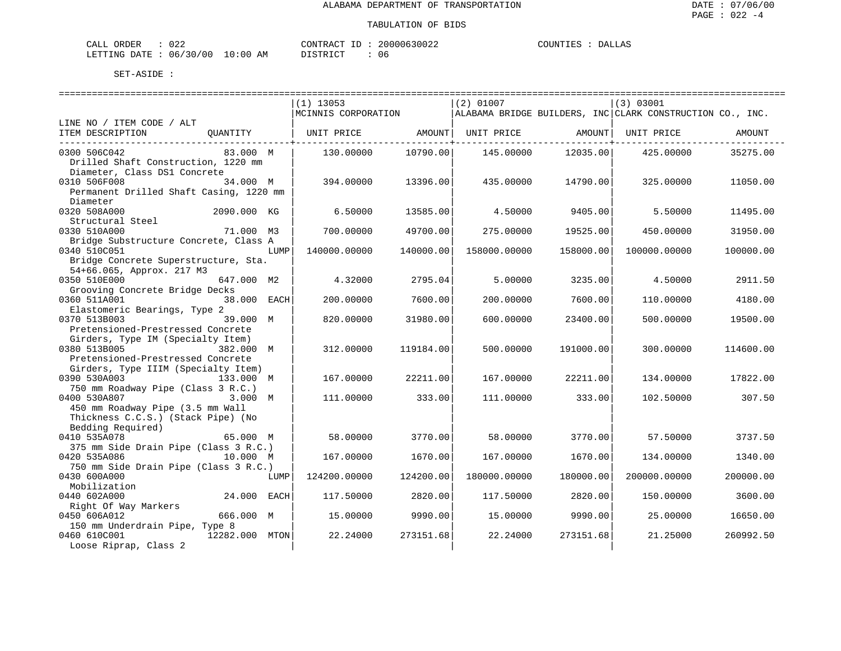| CALL ORDER                       | 022 | CONTRACT ID: |  | 20000630022 | COUNTIES | <b>DALLAS</b> |
|----------------------------------|-----|--------------|--|-------------|----------|---------------|
| LETTING DATE : 06/30/00 10:00 AM |     | DISTRICT     |  | 06          |          |               |

|                                                                     | =============================<br>$(1)$ 13053<br>$ MCINNIS$ CORPORATION $ALABAMA$ BRIDGE BUILDERS, INC CLARK CONSTRUCTION CO., INC. |           | $(2)$ 01007  |           | (3) 03001    |           |
|---------------------------------------------------------------------|------------------------------------------------------------------------------------------------------------------------------------|-----------|--------------|-----------|--------------|-----------|
| LINE NO / ITEM CODE / ALT                                           |                                                                                                                                    |           |              |           |              |           |
| ITEM DESCRIPTION<br>QUANTITY                                        | UNIT PRICE                  AMOUNT     UNIT PRICE                   AMOUNT     UNIT PRICE                                          |           |              |           |              | AMOUNT    |
| 83.000 M<br>0300 506C042                                            | 130.00000                                                                                                                          | 10790.00  | 145.00000    | 12035.00  | 425.00000    | 35275.00  |
| Drilled Shaft Construction, 1220 mm                                 |                                                                                                                                    |           |              |           |              |           |
| Diameter, Class DS1 Concrete                                        |                                                                                                                                    |           |              |           |              |           |
| 0310 506F008<br>34.000 M<br>Permanent Drilled Shaft Casing, 1220 mm | 394.00000                                                                                                                          | 13396.00  | 435.00000    | 14790.00  | 325.00000    | 11050.00  |
| Diameter                                                            |                                                                                                                                    |           |              |           |              |           |
| 0320 508A000<br>2090.000 KG                                         | 6.50000                                                                                                                            | 13585.00  | 4.50000      | 9405.00   | 5.50000      | 11495.00  |
| Structural Steel                                                    |                                                                                                                                    |           |              |           |              |           |
| 0330 510A000<br>71.000 M3                                           | 700.00000                                                                                                                          | 49700.00  | 275,00000    | 19525.00  | 450.00000    | 31950.00  |
| Bridge Substructure Concrete, Class A                               |                                                                                                                                    |           |              |           |              |           |
| 0340 510C051<br>LUMP                                                | 140000.00000                                                                                                                       | 140000.00 | 158000.00000 | 158000.00 | 100000.00000 | 100000.00 |
| Bridge Concrete Superstructure, Sta.                                |                                                                                                                                    |           |              |           |              |           |
| 54+66.065, Approx. 217 M3                                           |                                                                                                                                    |           |              |           |              |           |
| 0350 510E000<br>647.000 M2                                          | 4.32000                                                                                                                            | 2795.04   | 5.00000      | 3235.00   | 4.50000      | 2911.50   |
| Grooving Concrete Bridge Decks                                      |                                                                                                                                    |           |              |           |              |           |
| 0360 511A001<br>38.000 EACH                                         | 200.00000                                                                                                                          | 7600.00   | 200.00000    | 7600.00   | 110.00000    | 4180.00   |
| Elastomeric Bearings, Type 2                                        |                                                                                                                                    |           |              |           |              |           |
| 0370 513B003<br>39.000 M                                            | 820.00000                                                                                                                          | 31980.00  | 600,00000    | 23400.00  | 500,00000    | 19500.00  |
| Pretensioned-Prestressed Concrete                                   |                                                                                                                                    |           |              |           |              |           |
| Girders, Type IM (Specialty Item)<br>0380 513B005                   |                                                                                                                                    |           |              |           |              |           |
| Pretensioned-Prestressed Concrete                                   | 312,00000                                                                                                                          | 119184.00 | 500.00000    | 191000.00 | 300.00000    | 114600.00 |
| Girders, Type IIIM (Specialty Item)                                 |                                                                                                                                    |           |              |           |              |           |
| 0390 530A003<br>133.000 M                                           | 167.00000                                                                                                                          | 22211.00  | 167.00000    | 22211.00  | 134.00000    | 17822.00  |
| 750 mm Roadway Pipe (Class 3 R.C.)                                  |                                                                                                                                    |           |              |           |              |           |
| 0400 530A807                                                        | 111,00000                                                                                                                          | 333.00    | 111.00000    | 333.00    | 102.50000    | 307.50    |
| 450 mm Roadway Pipe (3.5 mm Wall                                    |                                                                                                                                    |           |              |           |              |           |
| Thickness C.C.S.) (Stack Pipe) (No                                  |                                                                                                                                    |           |              |           |              |           |
| Bedding Required)                                                   |                                                                                                                                    |           |              |           |              |           |
| 65.000 M<br>0410 535A078                                            | 58.00000                                                                                                                           | 3770.00   | 58.00000     | 3770.00   | 57.50000     | 3737.50   |
| 375 mm Side Drain Pipe (Class 3 R.C.)                               |                                                                                                                                    |           |              |           |              |           |
| 0420 535A086<br>10.000 M                                            | 167.00000                                                                                                                          | 1670.00   | 167.00000    | 1670.00   | 134.00000    | 1340.00   |
| 750 mm Side Drain Pipe (Class 3 R.C.)                               |                                                                                                                                    |           |              |           |              |           |
| 0430 600A000<br>LUMP                                                | 124200.00000                                                                                                                       | 124200.00 | 180000.00000 | 180000.00 | 200000.00000 | 200000.00 |
| Mobilization                                                        |                                                                                                                                    |           |              |           |              |           |
| 0440 602A000<br>24.000 EACH                                         | 117.50000                                                                                                                          | 2820.00   | 117.50000    | 2820.00   | 150.00000    | 3600.00   |
| Right Of Way Markers                                                |                                                                                                                                    |           |              |           |              |           |
| 0450 606A012<br>666.000 M<br>150 mm Underdrain Pipe, Type 8         | 15.00000                                                                                                                           | 9990.00   | 15.00000     | 9990.00   | 25.00000     | 16650.00  |
| 12282.000 MTON<br>0460 610C001                                      | 22.24000                                                                                                                           | 273151.68 | 22.24000     | 273151.68 | 21.25000     | 260992.50 |
| Loose Riprap, Class 2                                               |                                                                                                                                    |           |              |           |              |           |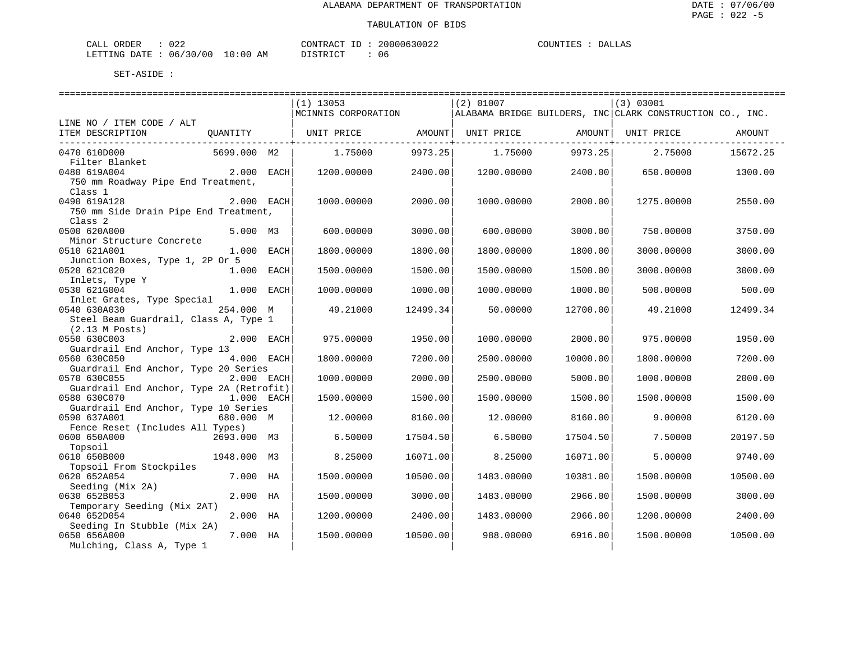| ORDER<br>CALL ( | 022                              | CONTRACT ID: | 20000630022 | COUNTIES | <b>DALLAS</b> |
|-----------------|----------------------------------|--------------|-------------|----------|---------------|
|                 | LETTING DATE : 06/30/00 10:00 AM | DISTRICT     | 06          |          |               |

|                                               |              | $(1)$ 13053         |          | $(2)$ 01007 |                   | (3) 03001                                                 |          |
|-----------------------------------------------|--------------|---------------------|----------|-------------|-------------------|-----------------------------------------------------------|----------|
|                                               |              | MCINNIS CORPORATION |          |             |                   | ALABAMA BRIDGE BUILDERS, INC CLARK CONSTRUCTION CO., INC. |          |
| LINE NO / ITEM CODE / ALT<br>ITEM DESCRIPTION |              | UNIT PRICE AMOUNT   |          |             |                   | UNIT PRICE                                                | AMOUNT   |
| ----------------------------                  | QUANTITY     |                     |          |             | UNIT PRICE AMOUNT |                                                           |          |
| 0470 610D000                                  | 5699.000 M2  | 1.75000             | 9973.25  | 1.75000     | 9973.25           | 2.75000                                                   | 15672.25 |
| Filter Blanket                                |              |                     |          |             |                   |                                                           |          |
| 0480 619A004                                  | $2.000$ EACH | 1200.00000          | 2400.00  | 1200.00000  | 2400.00           | 650.00000                                                 | 1300.00  |
| 750 mm Roadway Pipe End Treatment,            |              |                     |          |             |                   |                                                           |          |
| Class 1                                       |              |                     |          |             |                   |                                                           |          |
| 0490 619A128                                  | 2.000 EACH   | 1000.00000          | 2000.00  | 1000.00000  | 2000.00           | 1275.00000                                                | 2550.00  |
| 750 mm Side Drain Pipe End Treatment,         |              |                     |          |             |                   |                                                           |          |
| Class <sub>2</sub>                            |              |                     |          |             |                   |                                                           |          |
| 0500 620A000                                  | 5.000 M3     | 600,00000           | 3000.00  | 600,00000   | 3000.00           | 750.00000                                                 | 3750.00  |
| Minor Structure Concrete                      |              |                     |          |             |                   |                                                           |          |
| 0510 621A001                                  | 1.000 EACH   | 1800.00000          | 1800.00  | 1800.00000  | 1800.00           | 3000.00000                                                | 3000.00  |
| Junction Boxes, Type 1, 2P Or 5               |              |                     |          |             |                   |                                                           |          |
| 0520 621C020                                  | $1.000$ EACH | 1500.00000          | 1500.00  | 1500.00000  | 1500.00           | 3000.00000                                                | 3000.00  |
| Inlets, Type Y                                |              |                     |          |             |                   |                                                           |          |
| 0530 621G004                                  | $1.000$ EACH | 1000.00000          | 1000.00  | 1000.00000  | 1000.00           | 500.00000                                                 | 500.00   |
| Inlet Grates, Type Special                    |              |                     |          |             |                   |                                                           |          |
| 0540 630A030                                  | 254.000 M    | 49.21000            | 12499.34 | 50.00000    | 12700.00          | 49.21000                                                  | 12499.34 |
| Steel Beam Guardrail, Class A, Type 1         |              |                     |          |             |                   |                                                           |          |
| $(2.13 \,$ M Posts)                           |              |                     |          |             |                   |                                                           |          |
| 0550 630C003                                  | 2.000 EACH   | 975.00000           | 1950.00  | 1000.00000  | 2000.00           | 975,00000                                                 | 1950.00  |
| Guardrail End Anchor, Type 13                 |              |                     |          |             |                   |                                                           |          |
| 0560 630C050                                  | 4.000 EACH   | 1800.00000          | 7200.00  | 2500.00000  | 10000.00          | 1800.00000                                                | 7200.00  |
| Guardrail End Anchor, Type 20 Series          |              |                     |          |             |                   |                                                           |          |
| 0570 630C055                                  | 2.000 EACH   | 1000.00000          | 2000.00  | 2500.00000  | 5000.00           | 1000.00000                                                | 2000.00  |
| Guardrail End Anchor, Type 2A (Retrofit)      |              |                     |          |             |                   |                                                           |          |
| 0580 630C070                                  | 1.000 EACH   | 1500.00000          | 1500.00  | 1500.00000  | 1500.00           | 1500.00000                                                | 1500.00  |
| Guardrail End Anchor, Type 10 Series          |              |                     |          |             |                   |                                                           |          |
| 0590 637A001                                  | 680.000 M    | 12.00000            | 8160.00  | 12.00000    | 8160.00           | 9.00000                                                   | 6120.00  |
| Fence Reset (Includes All Types)              |              |                     |          |             | 17504.50          |                                                           |          |
| 2693.000 M3<br>0600 650A000                   |              | 6.50000             | 17504.50 | 6.50000     |                   | 7.50000                                                   | 20197.50 |
| Topsoil<br>0610 650B000                       | 1948.000 M3  | 8.25000             | 16071.00 | 8.25000     | 16071.00          | 5.00000                                                   | 9740.00  |
| Topsoil From Stockpiles                       |              |                     |          |             |                   |                                                           |          |
| 0620 652A054                                  | 7.000 HA     | 1500.00000          | 10500.00 | 1483.00000  | 10381.00          | 1500.00000                                                | 10500.00 |
| Seeding (Mix 2A)                              |              |                     |          |             |                   |                                                           |          |
| 0630 652B053                                  | 2.000 HA     | 1500.00000          | 3000.00  | 1483.00000  | 2966.00           | 1500.00000                                                | 3000.00  |
| Temporary Seeding (Mix 2AT)                   |              |                     |          |             |                   |                                                           |          |
| 0640 652D054                                  | 2.000 HA     | 1200.00000          | 2400.00  | 1483.00000  | 2966.00           | 1200.00000                                                | 2400.00  |
| Seeding In Stubble (Mix 2A)                   |              |                     |          |             |                   |                                                           |          |
| 0650 656A000                                  | 7.000 HA     | 1500.00000          | 10500.00 | 988.00000   | 6916.00           | 1500.00000                                                | 10500.00 |
| Mulching, Class A, Type 1                     |              |                     |          |             |                   |                                                           |          |
|                                               |              |                     |          |             |                   |                                                           |          |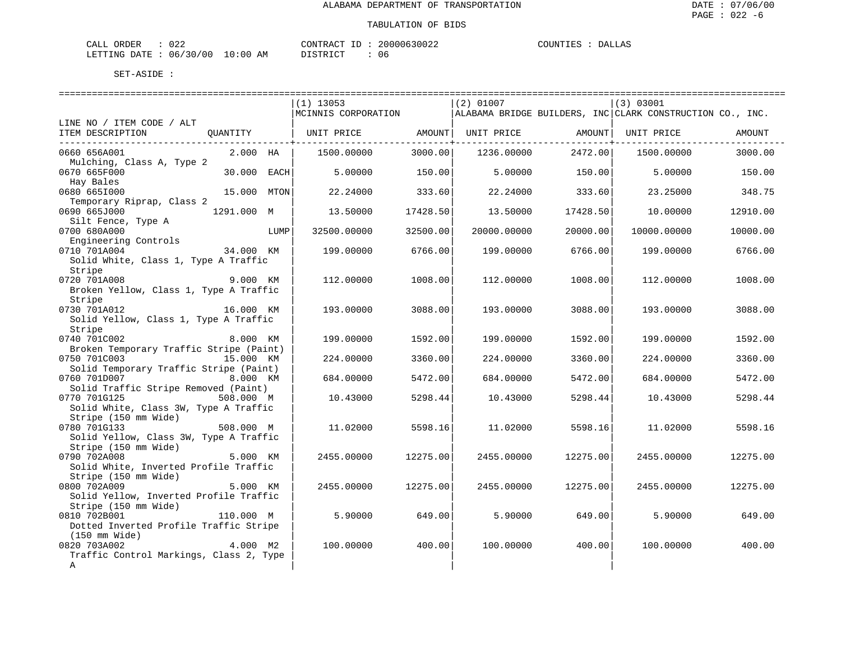| CALL ORDER                       | 022 | CONTRACT ID: |  | 20000630022 | COUNTIES | <b>DALLAS</b> |
|----------------------------------|-----|--------------|--|-------------|----------|---------------|
| LETTING DATE : 06/30/00 10:00 AM |     | DISTRICT     |  | 06          |          |               |

|                                                        |             |      | $(1)$ 13053                                     |          | $(2)$ 01007                 |          | (3) 03001                                                 |          |
|--------------------------------------------------------|-------------|------|-------------------------------------------------|----------|-----------------------------|----------|-----------------------------------------------------------|----------|
|                                                        |             |      | MCINNIS CORPORATION                             |          |                             |          | ALABAMA BRIDGE BUILDERS, INC CLARK CONSTRUCTION CO., INC. |          |
| LINE NO / ITEM CODE / ALT                              |             |      |                                                 |          |                             |          |                                                           |          |
| ITEM DESCRIPTION                                       |             |      | QUANTITY   UNIT PRICE AMOUNT  UNIT PRICE AMOUNT |          |                             |          | UNIT PRICE                                                | AMOUNT   |
|                                                        |             |      |                                                 |          | -----------------+--------- |          |                                                           |          |
| 0660 656A001                                           | 2.000 HA    |      | 1500.00000                                      | 3000.00  | 1236.00000                  | 2472.00  | 1500.00000                                                | 3000.00  |
| Mulching, Class A, Type 2<br>0670 665F000              | 30.000 EACH |      | 5.00000                                         | 150.00   | 5.00000                     | 150.00   | 5.00000                                                   | 150.00   |
| Hay Bales                                              |             |      |                                                 |          |                             |          |                                                           |          |
| 0680 6651000                                           | 15.000 MTON |      | 22.24000                                        | 333.60   | 22.24000                    | 333.60   | 23.25000                                                  | 348.75   |
| Temporary Riprap, Class 2                              |             |      |                                                 |          |                             |          |                                                           |          |
| 0690 665J000                                           | 1291.000 M  |      | 13.50000                                        | 17428.50 | 13.50000                    | 17428.50 | 10.00000                                                  | 12910.00 |
| Silt Fence, Type A                                     |             |      |                                                 |          |                             |          |                                                           |          |
| 0700 680A000                                           |             | LUMP | 32500.00000                                     | 32500.00 | 20000.00000                 | 20000.00 | 10000.00000                                               | 10000.00 |
| Engineering Controls                                   |             |      |                                                 |          |                             |          |                                                           |          |
| 0710 701A004                                           | 34.000 KM   |      | 199.00000                                       | 6766.00  | 199.00000                   | 6766.00  | 199.00000                                                 | 6766.00  |
| Solid White, Class 1, Type A Traffic                   |             |      |                                                 |          |                             |          |                                                           |          |
| Stripe                                                 |             |      |                                                 |          |                             |          |                                                           |          |
| 0720 701A008                                           | 9.000 KM    |      | 112,00000                                       | 1008.00  | 112,00000                   | 1008.00  | 112,00000                                                 | 1008.00  |
| Broken Yellow, Class 1, Type A Traffic                 |             |      |                                                 |          |                             |          |                                                           |          |
| Stripe                                                 |             |      |                                                 |          |                             |          |                                                           |          |
| 0730 701A012                                           | 16.000 KM   |      | 193.00000                                       | 3088.00  | 193.00000                   | 3088.00  | 193.00000                                                 | 3088.00  |
| Solid Yellow, Class 1, Type A Traffic                  |             |      |                                                 |          |                             |          |                                                           |          |
| Stripe                                                 |             |      |                                                 |          |                             |          |                                                           |          |
| 0740 701C002 8.000 KM                                  |             |      | 199.00000                                       | 1592.00  | 199.00000                   | 1592.00  | 199.00000                                                 | 1592.00  |
| Broken Temporary Traffic Stripe (Paint)                |             |      |                                                 |          |                             |          |                                                           |          |
| 0750 701C003<br>Solid Temporary Traffic Stripe (Paint) | 15.000 KM   |      | 224.00000                                       | 3360.00  | 224.00000                   | 3360.00  | 224.00000                                                 | 3360.00  |
| 0760 701D007                                           | 8.000 KM    |      | 684.00000                                       | 5472.00  | 684.00000                   | 5472.00  | 684.00000                                                 | 5472.00  |
| Solid Traffic Stripe Removed (Paint)                   |             |      |                                                 |          |                             |          |                                                           |          |
| 0770 701G125                                           | 508.000 M   |      | 10.43000                                        | 5298.44  | 10.43000                    | 5298.44  | 10.43000                                                  | 5298.44  |
| Solid White, Class 3W, Type A Traffic                  |             |      |                                                 |          |                             |          |                                                           |          |
| Stripe (150 mm Wide)                                   |             |      |                                                 |          |                             |          |                                                           |          |
| 0780 701G133                                           | — 508.000 м |      | 11.02000                                        | 5598.16  | 11.02000                    | 5598.16  | 11.02000                                                  | 5598.16  |
| Solid Yellow, Class 3W, Type A Traffic                 |             |      |                                                 |          |                             |          |                                                           |          |
| Stripe (150 mm Wide)                                   |             |      |                                                 |          |                             |          |                                                           |          |
| 0790 702A008                                           | 5.000 KM    |      | 2455.00000                                      | 12275.00 | 2455.00000                  | 12275.00 | 2455.00000                                                | 12275.00 |
| Solid White, Inverted Profile Traffic                  |             |      |                                                 |          |                             |          |                                                           |          |
| Stripe (150 mm Wide)                                   |             |      |                                                 |          |                             |          |                                                           |          |
| 0800 702A009                                           | 5.000 KM    |      | 2455.00000                                      | 12275.00 | 2455.00000                  | 12275.00 | 2455.00000                                                | 12275.00 |
| Solid Yellow, Inverted Profile Traffic                 |             |      |                                                 |          |                             |          |                                                           |          |
| Stripe (150 mm Wide)                                   |             |      |                                                 |          |                             |          |                                                           |          |
| 0810 702B001                                           | 110.000 M   |      | 5.90000                                         | 649.00   | 5.90000                     | 649.00   | 5.90000                                                   | 649.00   |
| Dotted Inverted Profile Traffic Stripe                 |             |      |                                                 |          |                             |          |                                                           |          |
| (150 mm Wide)<br>0820 703A002                          | 4.000 M2    |      | 100.00000                                       | 400.00   | 100.00000                   | 400.00   | 100.00000                                                 | 400.00   |
| Traffic Control Markings, Class 2, Type                |             |      |                                                 |          |                             |          |                                                           |          |
| $\mathbf{A}$                                           |             |      |                                                 |          |                             |          |                                                           |          |
|                                                        |             |      |                                                 |          |                             |          |                                                           |          |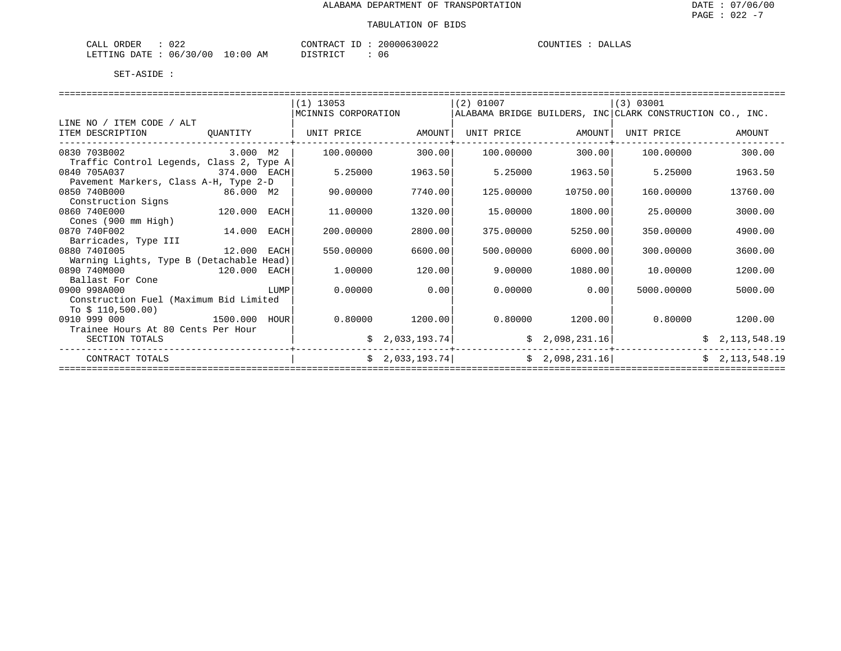| ORDER<br>CALL                          | 022 |             | CONTRACT<br>TD. | 20000630022 | COUNTIES | DALLAS |
|----------------------------------------|-----|-------------|-----------------|-------------|----------|--------|
| LETTING DATE : $06/30/00$ <sup>1</sup> |     | 10:00<br>AΜ | DISTRICT        | u c         |          |        |

|                                          |             |      | $(1)$ 13053         |                             | $(2)$ 01007 |                   | $ (3)$ 03001                                              |                   |
|------------------------------------------|-------------|------|---------------------|-----------------------------|-------------|-------------------|-----------------------------------------------------------|-------------------|
|                                          |             |      | MCINNIS CORPORATION |                             |             |                   | ALABAMA BRIDGE BUILDERS, INC CLARK CONSTRUCTION CO., INC. |                   |
| LINE NO / ITEM CODE / ALT                |             |      |                     |                             |             |                   |                                                           |                   |
| ITEM DESCRIPTION                         | QUANTITY    |      | UNIT PRICE          | AMOUNT                      |             | UNIT PRICE AMOUNT | UNIT PRICE                                                | AMOUNT            |
|                                          |             |      |                     |                             |             |                   |                                                           |                   |
| 0830 703B002                             | 3.000 M2    |      | 100,00000           | 300.00                      | 100,00000   | 300.00            | 100,00000                                                 | 300.00            |
| Traffic Control Legends, Class 2, Type A |             |      |                     |                             |             |                   |                                                           |                   |
| 374.000 EACH<br>0840 705A037             |             |      | 5.25000             | 1963.50                     | 5.25000     | 1963.50           | 5.25000                                                   | 1963.50           |
| Pavement Markers, Class A-H, Type 2-D    |             |      |                     |                             |             |                   |                                                           |                   |
| 0850 740B000                             | 86.000 M2   |      | 90.00000            | 7740.00                     | 125.00000   | 10750.00          | 160.00000                                                 | 13760.00          |
| Construction Signs                       |             |      |                     |                             |             |                   |                                                           |                   |
| 120.000<br>0860 740E000                  |             | EACH | 11,00000            | 1320.00                     | 15.00000    | 1800.00           | 25.00000                                                  | 3000.00           |
| Cones (900 mm High)                      |             |      |                     |                             |             |                   |                                                           |                   |
| 0870 740F002                             | 14.000 EACH |      | 200.00000           | 2800.00                     | 375,00000   | 5250.00           | 350.00000                                                 | 4900.00           |
| Barricades, Type III                     |             |      |                     |                             |             |                   |                                                           |                   |
| 0880 7401005                             | 12.000 EACH |      | 550.00000           | 6600.00                     | 500.00000   | 6000.00           | 300.00000                                                 | 3600.00           |
| Warning Lights, Type B (Detachable Head) |             |      |                     |                             |             |                   |                                                           |                   |
| 0890 740M000<br>120.000 EACH             |             |      | 1,00000             | 120.00                      | 9,00000     | 1080.00           | 10.00000                                                  | 1200.00           |
| Ballast For Cone                         |             |      |                     |                             |             |                   |                                                           |                   |
| 0900 998A000                             |             | LUMP | 0.00000             | 0.00                        | 0.00000     | 0.00              | 5000.00000                                                | 5000.00           |
| Construction Fuel (Maximum Bid Limited   |             |      |                     |                             |             |                   |                                                           |                   |
| To $$110,500.00)$                        |             |      |                     |                             |             |                   |                                                           |                   |
| 1500.000 HOUR<br>0910 999 000            |             |      |                     | $0.80000$ 1200.00           |             | $0.80000$ 1200.00 |                                                           | $0.80000$ 1200.00 |
| Trainee Hours At 80 Cents Per Hour       |             |      |                     |                             |             |                   |                                                           |                   |
| SECTION TOTALS                           |             |      |                     | $\frac{1}{2}$ , 033, 193.74 |             | \$2,098,231.16]   |                                                           | \$2,113,548.19    |
| CONTRACT TOTALS                          |             |      |                     | \$2,033,193.74]             |             | \$2,098,231.16]   |                                                           | \$2,113,548.19    |
|                                          |             |      |                     |                             |             |                   |                                                           |                   |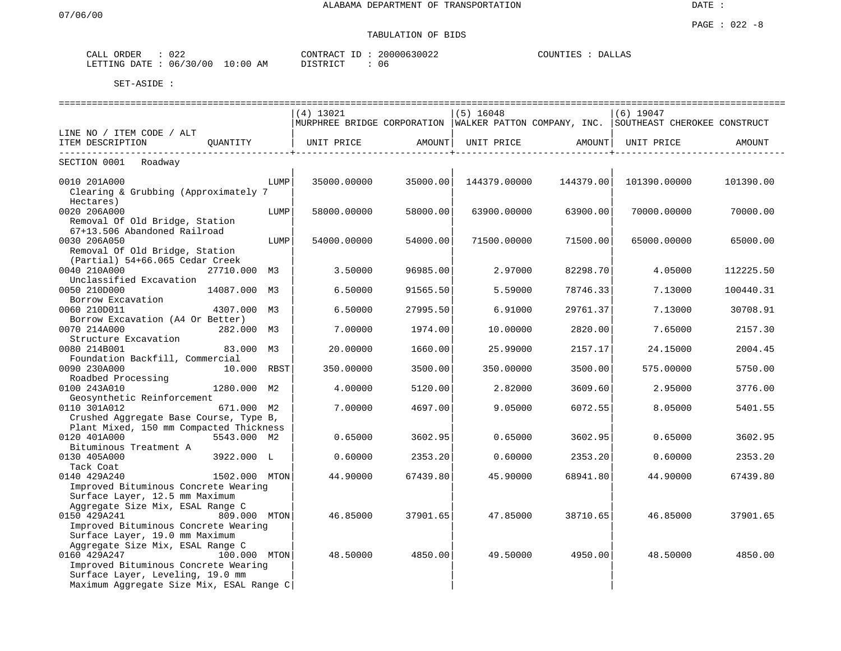## TABULATION OF BIDS

| ORDER<br>CALL | 022      |             | CONTRACT<br>T <sub>D</sub> | 20000630022 | COUNTIES | ↑LLAS<br>.) A I |
|---------------|----------|-------------|----------------------------|-------------|----------|-----------------|
| LETTING DATE  | 06/30/00 | 10:00<br>AM | T T C T T T C T            | 06          |          |                 |

|                                                                                                                      | $(4)$ 13021 |          | $(5)$ 16048  |           | $(6)$ 19047                                                                            |           |
|----------------------------------------------------------------------------------------------------------------------|-------------|----------|--------------|-----------|----------------------------------------------------------------------------------------|-----------|
|                                                                                                                      |             |          |              |           | MURPHREE BRIDGE CORPORATION  WALKER PATTON COMPANY, INC.  SOUTHEAST CHEROKEE CONSTRUCT |           |
| LINE NO / ITEM CODE / ALT                                                                                            |             |          |              |           |                                                                                        |           |
| ITEM DESCRIPTION<br>OUANTITY                                                                                         | UNIT PRICE  | AMOUNT   | UNIT PRICE   | AMOUNT    | UNIT PRICE                                                                             | AMOUNT    |
| SECTION 0001 Roadway                                                                                                 |             |          |              |           |                                                                                        |           |
| 0010 201A000<br>LUMP<br>Clearing & Grubbing (Approximately 7                                                         | 35000.00000 | 35000.00 | 144379.00000 | 144379.00 | 101390.00000                                                                           | 101390.00 |
| Hectares)<br>0020 206A000<br>LUMP<br>Removal Of Old Bridge, Station                                                  | 58000.00000 | 58000.00 | 63900.00000  | 63900.00  | 70000.00000                                                                            | 70000.00  |
| 67+13.506 Abandoned Railroad<br>0030 206A050<br>LUMP                                                                 | 54000.00000 | 54000.00 | 71500.00000  | 71500.00  | 65000.00000                                                                            | 65000.00  |
| Removal Of Old Bridge, Station<br>(Partial) 54+66.065 Cedar Creek                                                    |             |          |              |           |                                                                                        |           |
| 0040 210A000<br>27710.000 M3<br>Unclassified Excavation                                                              | 3.50000     | 96985.00 | 2.97000      | 82298.70  | 4.05000                                                                                | 112225.50 |
| 0050 210D000<br>14087.000 M3<br>Borrow Excavation                                                                    | 6.50000     | 91565.50 | 5.59000      | 78746.33  | 7.13000                                                                                | 100440.31 |
| 0060 210D011<br>4307.000 M3                                                                                          | 6.50000     | 27995.50 | 6.91000      | 29761.37  | 7.13000                                                                                | 30708.91  |
| Borrow Excavation (A4 Or Better)<br>0070 214A000<br>282.000 M3                                                       | 7.00000     | 1974.00  | 10.00000     | 2820.00   | 7.65000                                                                                | 2157.30   |
| Structure Excavation                                                                                                 |             |          |              |           |                                                                                        |           |
| 0080 214B001<br>83.000 M3<br>Foundation Backfill, Commercial                                                         | 20.00000    | 1660.00  | 25.99000     | 2157.17   | 24.15000                                                                               | 2004.45   |
| 0090 230A000<br>10.000 RBST<br>Roadbed Processing                                                                    | 350.00000   | 3500.00  | 350.00000    | 3500.00   | 575.00000                                                                              | 5750.00   |
| 0100 243A010<br>1280.000 M2                                                                                          | 4.00000     | 5120.00  | 2.82000      | 3609.60   | 2.95000                                                                                | 3776.00   |
| Geosynthetic Reinforcement<br>0110 301A012<br>671.000 M2                                                             | 7.00000     | 4697.00  | 9.05000      | 6072.55   | 8.05000                                                                                | 5401.55   |
| Crushed Aggregate Base Course, Type B,                                                                               |             |          |              |           |                                                                                        |           |
| Plant Mixed, 150 mm Compacted Thickness<br>5543.000 M2<br>0120 401A000                                               | 0.65000     | 3602.95  | 0.65000      | 3602.95   | 0.65000                                                                                | 3602.95   |
| Bituminous Treatment A<br>0130 405A000<br>3922.000 L                                                                 | 0.60000     | 2353.20  | 0.60000      | 2353.20   | 0.60000                                                                                | 2353.20   |
| Tack Coat<br>0140 429A240<br>1502.000 MTON                                                                           | 44.90000    | 67439.80 | 45.90000     | 68941.80  | 44.90000                                                                               | 67439.80  |
| Improved Bituminous Concrete Wearing<br>Surface Layer, 12.5 mm Maximum                                               |             |          |              |           |                                                                                        |           |
| Aggregate Size Mix, ESAL Range C<br>0150 429A241<br>809.000 MTON<br>Improved Bituminous Concrete Wearing             | 46.85000    | 37901.65 | 47.85000     | 38710.65  | 46.85000                                                                               | 37901.65  |
| Surface Layer, 19.0 mm Maximum<br>Aggregate Size Mix, ESAL Range C                                                   |             |          |              |           |                                                                                        |           |
| 0160 429A247<br>100.000 MTON                                                                                         | 48.50000    | 4850.00  | 49.50000     | 4950.00   | 48.50000                                                                               | 4850.00   |
| Improved Bituminous Concrete Wearing<br>Surface Layer, Leveling, 19.0 mm<br>Maximum Aggregate Size Mix, ESAL Range C |             |          |              |           |                                                                                        |           |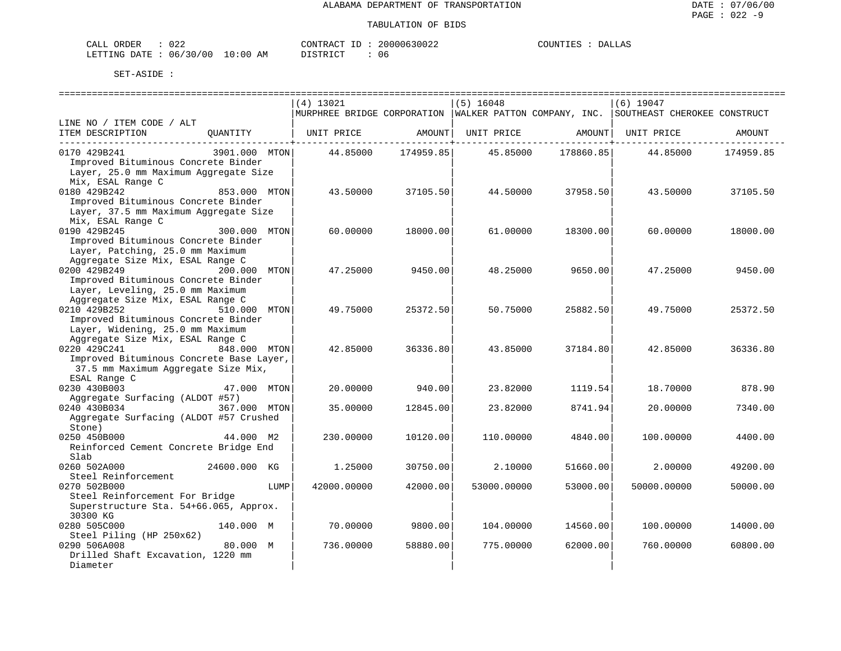| CALL | ORDER | 022                       |             | CONTRACT | TD. | 20000630022 | COUNTIES | DALLAS |
|------|-------|---------------------------|-------------|----------|-----|-------------|----------|--------|
|      |       | LETTING DATE : 06/30/00 ? | 10:00<br>ΆM | DISTRICT |     | u c         |          |        |

|                                          |               |      |                                                         |           |             | ============================== |                              |           |
|------------------------------------------|---------------|------|---------------------------------------------------------|-----------|-------------|--------------------------------|------------------------------|-----------|
|                                          |               |      | $(4)$ 13021                                             |           | $(5)$ 16048 |                                | $(6)$ 19047                  |           |
|                                          |               |      | MURPHREE BRIDGE CORPORATION WALKER PATTON COMPANY, INC. |           |             |                                | SOUTHEAST CHEROKEE CONSTRUCT |           |
| LINE NO / ITEM CODE / ALT                |               |      |                                                         |           |             |                                |                              |           |
| ITEM DESCRIPTION                         | QUANTITY      |      | UNIT PRICE                                              | AMOUNT    | UNIT PRICE  | AMOUNT                         | UNIT PRICE                   | AMOUNT    |
|                                          |               |      |                                                         |           |             |                                |                              |           |
| 0170 429B241                             | 3901.000 MTON |      | 44.85000                                                | 174959.85 | 45.85000    | 178860.85                      | 44.85000                     | 174959.85 |
| Improved Bituminous Concrete Binder      |               |      |                                                         |           |             |                                |                              |           |
| Layer, 25.0 mm Maximum Aggregate Size    |               |      |                                                         |           |             |                                |                              |           |
| Mix, ESAL Range C                        |               |      |                                                         |           |             |                                |                              |           |
| 0180 429B242                             | 853.000 MTON  |      | 43.50000                                                | 37105.50  | 44.50000    | 37958.50                       | 43.50000                     | 37105.50  |
| Improved Bituminous Concrete Binder      |               |      |                                                         |           |             |                                |                              |           |
| Layer, 37.5 mm Maximum Aggregate Size    |               |      |                                                         |           |             |                                |                              |           |
| Mix, ESAL Range C                        |               |      |                                                         |           |             |                                |                              |           |
| 0190 429B245                             | 300.000 MTON  |      | 60.00000                                                | 18000.00  | 61.00000    | 18300.00                       | 60.00000                     | 18000.00  |
| Improved Bituminous Concrete Binder      |               |      |                                                         |           |             |                                |                              |           |
| Layer, Patching, 25.0 mm Maximum         |               |      |                                                         |           |             |                                |                              |           |
| Aggregate Size Mix, ESAL Range C         |               |      |                                                         |           |             |                                |                              |           |
| 0200 429B249                             | 200.000 MTON  |      | 47.25000                                                | 9450.00   | 48.25000    | 9650.00                        | 47.25000                     | 9450.00   |
| Improved Bituminous Concrete Binder      |               |      |                                                         |           |             |                                |                              |           |
| Layer, Leveling, 25.0 mm Maximum         |               |      |                                                         |           |             |                                |                              |           |
| Aggregate Size Mix, ESAL Range C         |               |      |                                                         |           |             |                                |                              |           |
| 0210 429B252                             | 510.000 MTON  |      | 49.75000                                                | 25372.50  | 50.75000    | 25882.50                       | 49.75000                     | 25372.50  |
| Improved Bituminous Concrete Binder      |               |      |                                                         |           |             |                                |                              |           |
| Layer, Widening, 25.0 mm Maximum         |               |      |                                                         |           |             |                                |                              |           |
| Aggregate Size Mix, ESAL Range C         |               |      |                                                         |           |             |                                |                              |           |
| 0220 429C241                             | 848.000 MTON  |      | 42.85000                                                | 36336.80  | 43.85000    | 37184.80                       | 42.85000                     | 36336.80  |
| Improved Bituminous Concrete Base Layer, |               |      |                                                         |           |             |                                |                              |           |
| 37.5 mm Maximum Aggregate Size Mix,      |               |      |                                                         |           |             |                                |                              |           |
| ESAL Range C                             |               |      |                                                         |           |             |                                |                              |           |
| 0230 430B003                             | 47.000 MTON   |      | 20.00000                                                | 940.00    | 23.82000    | 1119.54                        | 18.70000                     | 878.90    |
| Aggregate Surfacing (ALDOT #57)          |               |      |                                                         |           |             |                                |                              |           |
| 0240 430B034                             | 367.000 MTON  |      | 35.00000                                                | 12845.00  | 23.82000    | 8741.94                        | 20.00000                     | 7340.00   |
| Aggregate Surfacing (ALDOT #57 Crushed   |               |      |                                                         |           |             |                                |                              |           |
| Stone)                                   |               |      |                                                         |           |             |                                |                              |           |
| 0250 450B000                             | 44.000 M2     |      | 230.00000                                               | 10120.00  | 110.00000   | 4840.00                        | 100.00000                    | 4400.00   |
| Reinforced Cement Concrete Bridge End    |               |      |                                                         |           |             |                                |                              |           |
| Slab                                     |               |      |                                                         |           |             |                                |                              |           |
| 0260 502A000                             | 24600.000 KG  |      | 1.25000                                                 | 30750.00  | 2.10000     | 51660.00                       | 2.00000                      | 49200.00  |
| Steel Reinforcement                      |               |      |                                                         |           |             |                                |                              |           |
| 0270 502B000                             |               | LUMP | 42000.00000                                             | 42000.00  | 53000.00000 | 53000.00                       | 50000.00000                  | 50000.00  |
| Steel Reinforcement For Bridge           |               |      |                                                         |           |             |                                |                              |           |
| Superstructure Sta. 54+66.065, Approx.   |               |      |                                                         |           |             |                                |                              |           |
| 30300 KG                                 |               |      |                                                         |           |             |                                |                              |           |
| 0280 505C000                             | 140.000 M     |      | 70.00000                                                | 9800.00   | 104.00000   | 14560.00                       | 100.00000                    | 14000.00  |
| Steel Piling (HP 250x62)                 |               |      |                                                         |           |             |                                |                              |           |
| 0290 506A008                             | 80.000 M      |      | 736.00000                                               | 58880.00  | 775.00000   | 62000.00                       | 760.00000                    | 60800.00  |
| Drilled Shaft Excavation, 1220 mm        |               |      |                                                         |           |             |                                |                              |           |
| Diameter                                 |               |      |                                                         |           |             |                                |                              |           |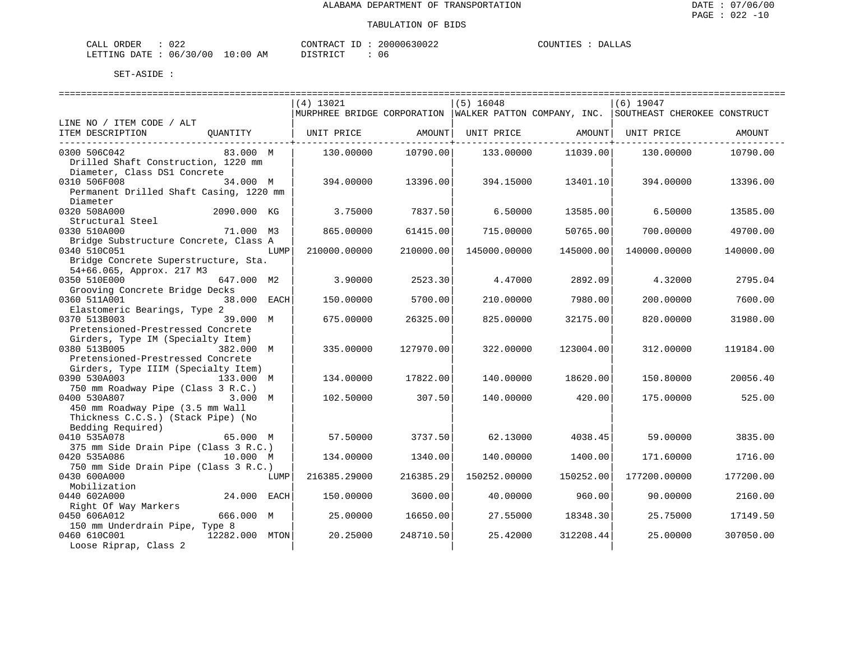| CALL ORDER                       | 022 | CONTRACT ID: |  | 20000630022 | COUNTIES | <b>DALLAS</b> |
|----------------------------------|-----|--------------|--|-------------|----------|---------------|
| LETTING DATE : 06/30/00 10:00 AM |     | DISTRICT     |  | 06          |          |               |

|                                                                  | (4) 13021                                                 |           | $(5)$ 16048  |           | $(6)$ 19047                  |           |
|------------------------------------------------------------------|-----------------------------------------------------------|-----------|--------------|-----------|------------------------------|-----------|
|                                                                  | MURPHREE BRIDGE CORPORATION   WALKER PATTON COMPANY, INC. |           |              |           | SOUTHEAST CHEROKEE CONSTRUCT |           |
| LINE NO / ITEM CODE / ALT                                        |                                                           |           |              |           |                              |           |
| ITEM DESCRIPTION<br>QUANTITY                                     | UNIT PRICE                                                | AMOUNT    | UNIT PRICE   | AMOUNT    | UNIT PRICE                   | AMOUNT    |
| 0300 506C042<br>83.000 M                                         | 130.00000                                                 | 10790.00  | 133.00000    | 11039.00  | 130.00000                    | 10790.00  |
| Drilled Shaft Construction, 1220 mm                              |                                                           |           |              |           |                              |           |
| Diameter, Class DS1 Concrete                                     |                                                           |           |              |           |                              |           |
| 0310 506F008<br>34.000 M                                         | 394.00000                                                 | 13396.00  | 394.15000    | 13401.10  | 394.00000                    | 13396.00  |
| Permanent Drilled Shaft Casing, 1220 mm                          |                                                           |           |              |           |                              |           |
| Diameter                                                         |                                                           |           |              |           |                              |           |
| 2090.000 KG<br>0320 508A000                                      | 3.75000                                                   | 7837.50   | 6.50000      | 13585.00  | 6.50000                      | 13585.00  |
| Structural Steel                                                 |                                                           |           |              |           |                              |           |
| 0330 510A000<br>71.000 M3                                        | 865,00000                                                 | 61415.00  | 715.00000    | 50765.00  | 700.00000                    | 49700.00  |
| Bridge Substructure Concrete, Class A                            |                                                           |           |              |           |                              |           |
| 0340 510C051<br>LUMP                                             | 210000.00000                                              | 210000.00 | 145000.00000 | 145000.00 | 140000.00000                 | 140000.00 |
| Bridge Concrete Superstructure, Sta.                             |                                                           |           |              |           |                              |           |
| 54+66.065, Approx. 217 M3                                        |                                                           |           |              |           |                              |           |
| 0350 510E000<br>647.000 M2                                       | 3.90000                                                   | 2523.30   | 4.47000      | 2892.09   | 4.32000                      | 2795.04   |
| Grooving Concrete Bridge Decks                                   |                                                           |           |              |           |                              |           |
| 0360 511A001<br>38.000 EACH                                      | 150.00000                                                 | 5700.00   | 210.00000    | 7980.00   | 200.00000                    | 7600.00   |
| Elastomeric Bearings, Type 2                                     |                                                           |           |              |           |                              |           |
| 0370 513B003<br>39.000 M                                         | 675,00000                                                 | 26325.00  | 825.00000    | 32175.00  | 820,00000                    | 31980.00  |
| Pretensioned-Prestressed Concrete                                |                                                           |           |              |           |                              |           |
| Girders, Type IM (Specialty Item)                                |                                                           |           |              |           |                              |           |
| 0380 513B005<br>382.000 M                                        | 335.00000                                                 | 127970.00 | 322.00000    | 123004.00 | 312,00000                    | 119184.00 |
| Pretensioned-Prestressed Concrete                                |                                                           |           |              |           |                              |           |
| Girders, Type IIIM (Specialty Item)<br>0390 530A003<br>133.000 M | 134.00000                                                 | 17822.00  | 140.00000    | 18620.00  | 150.80000                    | 20056.40  |
| 750 mm Roadway Pipe (Class 3 R.C.)                               |                                                           |           |              |           |                              |           |
| 0400 530A807<br>3.000 M                                          | 102.50000                                                 | 307.50    | 140.00000    | 420.00    | 175.00000                    | 525.00    |
| 450 mm Roadway Pipe (3.5 mm Wall                                 |                                                           |           |              |           |                              |           |
| Thickness C.C.S.) (Stack Pipe) (No                               |                                                           |           |              |           |                              |           |
| Bedding Required)                                                |                                                           |           |              |           |                              |           |
| 0410 535A078<br>65.000 M                                         | 57.50000                                                  | 3737.50   | 62.13000     | 4038.45   | 59.00000                     | 3835.00   |
| 375 mm Side Drain Pipe (Class 3 R.C.)                            |                                                           |           |              |           |                              |           |
| 0420 535A086<br>10.000 M                                         | 134.00000                                                 | 1340.00   | 140.00000    | 1400.00   | 171.60000                    | 1716.00   |
| 750 mm Side Drain Pipe (Class 3 R.C.)                            |                                                           |           |              |           |                              |           |
| 0430 600A000<br>LUMP                                             | 216385.29000                                              | 216385.29 | 150252.00000 | 150252.00 | 177200.00000                 | 177200.00 |
| Mobilization                                                     |                                                           |           |              |           |                              |           |
| 0440 602A000<br>24.000 EACH                                      | 150.00000                                                 | 3600.00   | 40.00000     | 960.00    | 90.00000                     | 2160.00   |
| Right Of Way Markers                                             |                                                           |           |              |           |                              |           |
| 0450 606A012<br>666.000 M                                        | 25.00000                                                  | 16650.00  | 27.55000     | 18348.30  | 25.75000                     | 17149.50  |
| 150 mm Underdrain Pipe, Type 8                                   |                                                           |           |              |           |                              |           |
| 0460 610C001<br>12282.000 MTON                                   | 20.25000                                                  | 248710.50 | 25.42000     | 312208.44 | 25,00000                     | 307050.00 |
| Loose Riprap, Class 2                                            |                                                           |           |              |           |                              |           |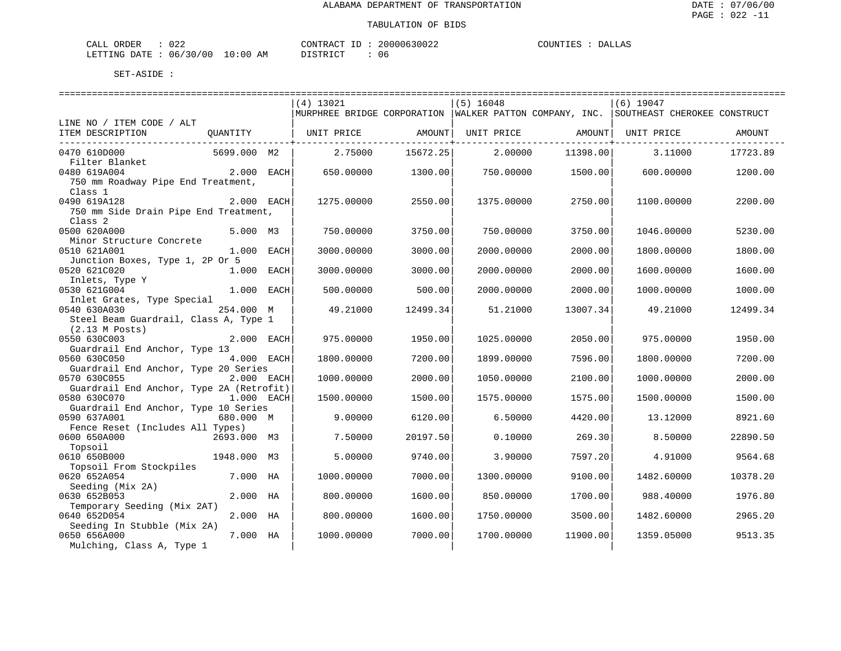| ORDER<br>CALL (                  | 022 |  | CONTRACT ID: | 20000630022 | COUNTIES |  | <b>DALLAS</b> |
|----------------------------------|-----|--|--------------|-------------|----------|--|---------------|
| LETTING DATE : 06/30/00 10:00 AM |     |  | DISTRICT     | 06          |          |  |               |

|                                                          |              | ==============================                                                           |          | . _______________________________ |                                |             |          |
|----------------------------------------------------------|--------------|------------------------------------------------------------------------------------------|----------|-----------------------------------|--------------------------------|-------------|----------|
|                                                          |              | $(4)$ 13021                                                                              |          | $(5)$ 16048                       |                                | $(6)$ 19047 |          |
|                                                          |              | MURPHREE BRIDGE CORPORATION   WALKER PATTON COMPANY, INC.   SOUTHEAST CHEROKEE CONSTRUCT |          |                                   |                                |             |          |
| LINE NO / ITEM CODE / ALT                                |              |                                                                                          |          |                                   |                                |             |          |
| ITEM DESCRIPTION                                         | QUANTITY     | UNIT PRICE AMOUNT                                                                        |          |                                   | UNIT PRICE AMOUNT   UNIT PRICE |             | AMOUNT   |
| _____________________________<br>0470 610D000            | 5699.000 M2  | 2.75000                                                                                  | 15672.25 | 2.00000                           | 11398.00                       | 3.11000     | 17723.89 |
| Filter Blanket                                           |              |                                                                                          |          |                                   |                                |             |          |
| 0480 619A004                                             | $2.000$ EACH | 650.00000                                                                                | 1300.001 | 750.00000                         | 1500.00                        | 600.00000   | 1200.00  |
| 750 mm Roadway Pipe End Treatment,                       |              |                                                                                          |          |                                   |                                |             |          |
| Class 1                                                  |              |                                                                                          |          |                                   |                                |             |          |
| 0490 619A128                                             | 2.000 EACH   | 1275.00000                                                                               | 2550.00  | 1375.00000                        | 2750.00                        | 1100.00000  | 2200.00  |
| 750 mm Side Drain Pipe End Treatment,                    |              |                                                                                          |          |                                   |                                |             |          |
| Class <sub>2</sub><br>0500 620A000                       | 5.000 M3     |                                                                                          |          |                                   |                                |             |          |
| Minor Structure Concrete                                 |              | 750.00000                                                                                | 3750.00  | 750.00000                         | 3750.00                        | 1046.00000  | 5230.00  |
| 0510 621A001                                             | 1.000 EACH   | 3000.00000                                                                               | 3000.00  | 2000.00000                        | 2000.00                        | 1800.00000  | 1800.00  |
| Junction Boxes, Type 1, 2P Or 5                          |              |                                                                                          |          |                                   |                                |             |          |
| 0520 621C020                                             | 1.000 EACH   | 3000.00000                                                                               | 3000.00  | 2000.00000                        | 2000.00                        | 1600.00000  | 1600.00  |
| Inlets, Type Y                                           |              |                                                                                          |          |                                   |                                |             |          |
| 0530 621G004                                             | 1.000 EACH   | 500.00000                                                                                | 500.00   | 2000.00000                        | 2000.00                        | 1000.00000  | 1000.00  |
| Inlet Grates, Type Special                               |              |                                                                                          |          |                                   |                                |             |          |
| 0540 630A030                                             | 254.000 M    | 49.21000                                                                                 | 12499.34 | 51.21000                          | 13007.34                       | 49.21000    | 12499.34 |
| Steel Beam Guardrail, Class A, Type 1                    |              |                                                                                          |          |                                   |                                |             |          |
| $(2.13 \t{M} \t{Post})$                                  |              |                                                                                          |          |                                   |                                |             |          |
| 0550 630C003                                             | 2.000 EACH   | 975.00000                                                                                | 1950.00  | 1025.00000                        | 2050.00                        | 975.00000   | 1950.00  |
| Guardrail End Anchor, Type 13                            |              |                                                                                          |          |                                   |                                |             |          |
| 0560 630C050                                             | 4.000 EACH   | 1800.00000                                                                               | 7200.00  | 1899.00000                        | 7596.00                        | 1800.00000  | 7200.00  |
| Guardrail End Anchor, Type 20 Series                     |              | 1000.00000                                                                               | 2000.00  |                                   |                                |             |          |
| 0570 630C055<br>Guardrail End Anchor, Type 2A (Retrofit) | 2.000 EACH   |                                                                                          |          | 1050.00000                        | 2100.00                        | 1000.00000  | 2000.00  |
| 0580 630C070                                             | 1.000 EACH   | 1500.00000                                                                               | 1500.00  | 1575.00000                        | 1575.00                        | 1500.00000  | 1500.00  |
| Guardrail End Anchor, Type 10 Series                     |              |                                                                                          |          |                                   |                                |             |          |
| 0590 637A001                                             | 680.000 M    | 9.00000                                                                                  | 6120.00  | 6.50000                           | 4420.00                        | 13.12000    | 8921.60  |
| Fence Reset (Includes All Types)                         |              |                                                                                          |          |                                   |                                |             |          |
| 0600 650A000                                             | 2693.000 M3  | 7.50000                                                                                  | 20197.50 | 0.10000                           | 269.30                         | 8.50000     | 22890.50 |
| Topsoil                                                  |              |                                                                                          |          |                                   |                                |             |          |
| 0610 650B000                                             | 1948.000 M3  | 5.00000                                                                                  | 9740.00  | 3.90000                           | 7597.20                        | 4.91000     | 9564.68  |
| Topsoil From Stockpiles                                  |              |                                                                                          |          |                                   |                                |             |          |
| 0620 652A054                                             | 7.000 HA     | 1000.00000                                                                               | 7000.00  | 1300.00000                        | 9100.00                        | 1482.60000  | 10378.20 |
| Seeding (Mix 2A)                                         |              |                                                                                          |          |                                   |                                |             |          |
| 0630 652B053                                             | 2.000 HA     | 800.00000                                                                                | 1600.00  | 850.00000                         | 1700.00                        | 988.40000   | 1976.80  |
| Temporary Seeding (Mix 2AT)<br>0640 652D054              | 2.000 HA     | 800,00000                                                                                | 1600.00  | 1750.00000                        | 3500.00                        | 1482.60000  | 2965.20  |
| Seeding In Stubble (Mix 2A)                              |              |                                                                                          |          |                                   |                                |             |          |
| 0650 656A000                                             | 7.000 HA     | 1000.00000                                                                               | 7000.00  | 1700.00000                        | 11900.00                       | 1359.05000  | 9513.35  |
| Mulching, Class A, Type 1                                |              |                                                                                          |          |                                   |                                |             |          |
|                                                          |              |                                                                                          |          |                                   |                                |             |          |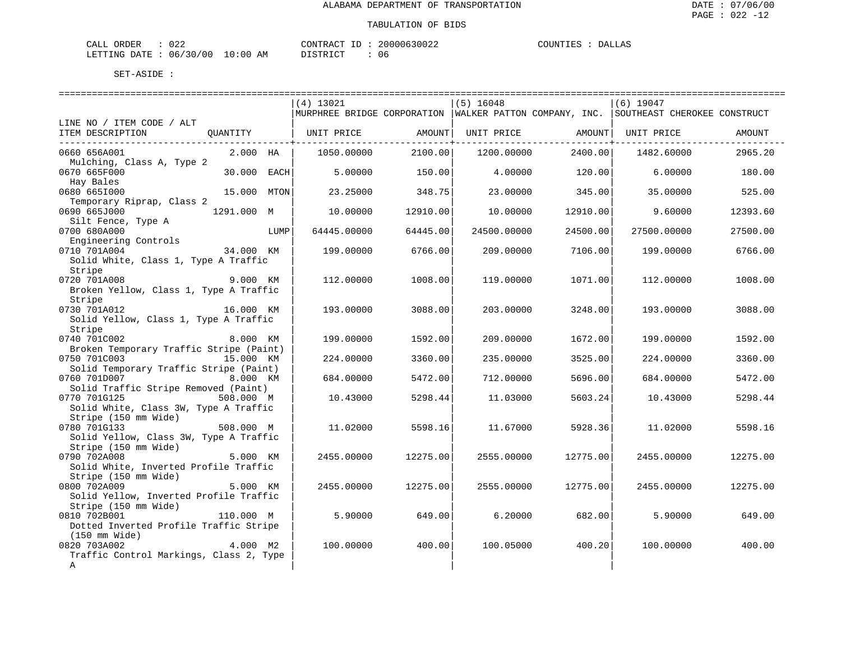| CALL ORDER                       | 022 | CONTRACT ID: |  | 20000630022 | COUNTIES | <b>DALLAS</b> |
|----------------------------------|-----|--------------|--|-------------|----------|---------------|
| LETTING DATE : 06/30/00 10:00 AM |     | DISTRICT     |  | 06          |          |               |

|                                                         |             |      | (4) 13021             |          | $(5)$ 16048 |                                                | $(6)$ 19047<br>MURPHREE BRIDGE CORPORATION   WALKER PATTON COMPANY, INC.   SOUTHEAST CHEROKEE CONSTRUCT |          |
|---------------------------------------------------------|-------------|------|-----------------------|----------|-------------|------------------------------------------------|---------------------------------------------------------------------------------------------------------|----------|
| LINE NO / ITEM CODE / ALT<br>ITEM DESCRIPTION           |             |      | QUANTITY   UNIT PRICE | AMOUNT   | UNIT PRICE  | AMOUNT                                         | UNIT PRICE                                                                                              | AMOUNT   |
| 0660 656A001                                            | 2.000 HA    |      | 1050.00000            | 2100.00  | 1200.00000  | ------------ <del>-</del> ---------<br>2400.00 | 1482.60000                                                                                              | 2965.20  |
| Mulching, Class A, Type 2                               |             |      |                       |          |             |                                                |                                                                                                         |          |
| 0670 665F000                                            | 30.000 EACH |      | 5.00000               | 150.00   | 4.00000     | 120.00                                         | 6.00000                                                                                                 | 180.00   |
| Hay Bales<br>0680 6651000                               | 15.000 MTON |      | 23.25000              | 348.75   | 23.00000    | 345.00                                         | 35.00000                                                                                                | 525.00   |
| Temporary Riprap, Class 2                               |             |      |                       |          |             |                                                |                                                                                                         |          |
| 0690 665J000                                            | 1291.000 M  |      | 10.00000              | 12910.00 | 10.00000    | 12910.00                                       | 9.60000                                                                                                 | 12393.60 |
| Silt Fence, Type A                                      |             |      |                       |          |             |                                                |                                                                                                         |          |
| 0700 680A000                                            |             | LUMP | 64445.00000           | 64445.00 | 24500.00000 | 24500.00                                       | 27500.00000                                                                                             | 27500.00 |
| Engineering Controls                                    |             |      |                       |          |             |                                                |                                                                                                         |          |
| 0710 701A004                                            | 34.000 KM   |      | 199.00000             | 6766.00  | 209.00000   | 7106.00                                        | 199.00000                                                                                               | 6766.00  |
| Solid White, Class 1, Type A Traffic                    |             |      |                       |          |             |                                                |                                                                                                         |          |
| Stripe<br>0720 701A008                                  | 9.000 KM    |      | 112,00000             | 1008.00  | 119.00000   | 1071.00                                        | 112,00000                                                                                               | 1008.00  |
| Broken Yellow, Class 1, Type A Traffic                  |             |      |                       |          |             |                                                |                                                                                                         |          |
| Stripe                                                  |             |      |                       |          |             |                                                |                                                                                                         |          |
| 0730 701A012 16.000 KM                                  |             |      | 193.00000             | 3088.00  | 203.00000   | 3248.00                                        | 193.00000                                                                                               | 3088.00  |
| Solid Yellow, Class 1, Type A Traffic                   |             |      |                       |          |             |                                                |                                                                                                         |          |
| Stripe                                                  |             |      |                       |          |             |                                                |                                                                                                         |          |
| 0740 701C002                                            | 8.000 KM    |      | 199.00000             | 1592.00  | 209.00000   | 1672.00                                        | 199.00000                                                                                               | 1592.00  |
| Broken Temporary Traffic Stripe (Paint)                 |             |      |                       |          |             |                                                |                                                                                                         |          |
| 0750 701C003<br>Solid Temporary Traffic Stripe (Paint)  | 15.000 KM   |      | 224.00000             | 3360.00  | 235.00000   | 3525.00                                        | 224,00000                                                                                               | 3360.00  |
| 0760 701D007                                            | 8.000 KM    |      | 684.00000             | 5472.00  | 712.00000   | 5696.00                                        | 684.00000                                                                                               | 5472.00  |
| Solid Traffic Stripe Removed (Paint)                    |             |      |                       |          |             |                                                |                                                                                                         |          |
| 0770 701G125                                            | 508.000 M   |      | 10.43000              | 5298.44  | 11.03000    | 5603.24                                        | 10.43000                                                                                                | 5298.44  |
| Solid White, Class 3W, Type A Traffic                   |             |      |                       |          |             |                                                |                                                                                                         |          |
| Stripe (150 mm Wide)                                    |             |      |                       |          |             |                                                |                                                                                                         |          |
| 0780 701G133                                            | 508.000 M   |      | 11.02000              | 5598.16  | 11.67000    | 5928.36                                        | 11,02000                                                                                                | 5598.16  |
| Solid Yellow, Class 3W, Type A Traffic                  |             |      |                       |          |             |                                                |                                                                                                         |          |
| Stripe (150 mm Wide)<br>0790 702A008                    | 5.000 KM    |      | 2455.00000            | 12275.00 | 2555.00000  | 12775.00                                       | 2455.00000                                                                                              | 12275.00 |
| Solid White, Inverted Profile Traffic                   |             |      |                       |          |             |                                                |                                                                                                         |          |
| Stripe (150 mm Wide)                                    |             |      |                       |          |             |                                                |                                                                                                         |          |
| 0800 702A009                                            | 5.000 KM    |      | 2455.00000            | 12275.00 | 2555.00000  | 12775.00                                       | 2455.00000                                                                                              | 12275.00 |
| Solid Yellow, Inverted Profile Traffic                  |             |      |                       |          |             |                                                |                                                                                                         |          |
| Stripe (150 mm Wide)                                    |             |      |                       |          |             |                                                |                                                                                                         |          |
| 0810 702B001                                            | 110.000 M   |      | 5.90000               | 649.00   | 6.20000     | 682.00                                         | 5.90000                                                                                                 | 649.00   |
| Dotted Inverted Profile Traffic Stripe                  |             |      |                       |          |             |                                                |                                                                                                         |          |
| (150 mm Wide)                                           |             |      |                       |          |             |                                                |                                                                                                         |          |
| 0820 703A002<br>Traffic Control Markings, Class 2, Type | 4.000 M2    |      | 100.00000             | 400.00   | 100.05000   | 400.20                                         | 100.00000                                                                                               | 400.00   |
| A                                                       |             |      |                       |          |             |                                                |                                                                                                         |          |
|                                                         |             |      |                       |          |             |                                                |                                                                                                         |          |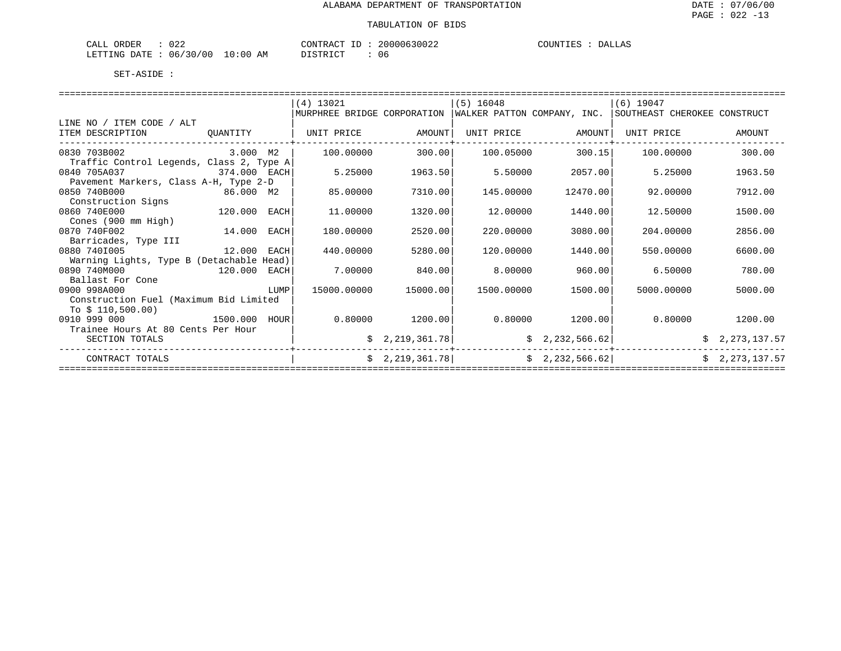| ORDER<br>CALL (                  | $\sim$ $\sim$ $\sim$<br>∪∠∠ |  | CONTRACT ID |  | 20000630022 | COUNTIES | DALLAS |
|----------------------------------|-----------------------------|--|-------------|--|-------------|----------|--------|
| LETTING DATE : 06/30/00 10:00 AM |                             |  | DISTRICT    |  | 06          |          |        |

|  |                                                | (4) 13021                                                                                                                                                                                                                     |                                                                         | $(5)$ 16048 |                                                                                                                                                          |                         |                                                                                                                                                                                                                                                                                              |  |  |  |
|--|------------------------------------------------|-------------------------------------------------------------------------------------------------------------------------------------------------------------------------------------------------------------------------------|-------------------------------------------------------------------------|-------------|----------------------------------------------------------------------------------------------------------------------------------------------------------|-------------------------|----------------------------------------------------------------------------------------------------------------------------------------------------------------------------------------------------------------------------------------------------------------------------------------------|--|--|--|
|  |                                                |                                                                                                                                                                                                                               |                                                                         |             |                                                                                                                                                          |                         |                                                                                                                                                                                                                                                                                              |  |  |  |
|  |                                                |                                                                                                                                                                                                                               |                                                                         |             |                                                                                                                                                          |                         |                                                                                                                                                                                                                                                                                              |  |  |  |
|  |                                                |                                                                                                                                                                                                                               |                                                                         | UNIT PRICE  |                                                                                                                                                          | UNIT PRICE              | AMOUNT                                                                                                                                                                                                                                                                                       |  |  |  |
|  |                                                | 100.00000                                                                                                                                                                                                                     |                                                                         |             |                                                                                                                                                          | 100.00000               | 300.00                                                                                                                                                                                                                                                                                       |  |  |  |
|  |                                                |                                                                                                                                                                                                                               |                                                                         |             |                                                                                                                                                          |                         |                                                                                                                                                                                                                                                                                              |  |  |  |
|  |                                                | 5.25000                                                                                                                                                                                                                       |                                                                         | 5.50000     |                                                                                                                                                          | 5.25000                 | 1963.50                                                                                                                                                                                                                                                                                      |  |  |  |
|  |                                                |                                                                                                                                                                                                                               |                                                                         |             |                                                                                                                                                          |                         |                                                                                                                                                                                                                                                                                              |  |  |  |
|  |                                                | 85.00000                                                                                                                                                                                                                      |                                                                         | 145.00000   |                                                                                                                                                          | 92.00000                | 7912.00                                                                                                                                                                                                                                                                                      |  |  |  |
|  |                                                |                                                                                                                                                                                                                               |                                                                         |             |                                                                                                                                                          |                         |                                                                                                                                                                                                                                                                                              |  |  |  |
|  | EACH                                           | 11,00000                                                                                                                                                                                                                      |                                                                         | 12.00000    |                                                                                                                                                          | 12.50000                | 1500.00                                                                                                                                                                                                                                                                                      |  |  |  |
|  |                                                |                                                                                                                                                                                                                               |                                                                         |             |                                                                                                                                                          |                         |                                                                                                                                                                                                                                                                                              |  |  |  |
|  |                                                | 180.00000                                                                                                                                                                                                                     |                                                                         | 220,00000   |                                                                                                                                                          | 204,00000               | 2856.00                                                                                                                                                                                                                                                                                      |  |  |  |
|  |                                                |                                                                                                                                                                                                                               |                                                                         |             |                                                                                                                                                          |                         |                                                                                                                                                                                                                                                                                              |  |  |  |
|  |                                                | 440.00000                                                                                                                                                                                                                     |                                                                         | 120.00000   |                                                                                                                                                          | 550.00000               | 6600.00                                                                                                                                                                                                                                                                                      |  |  |  |
|  |                                                |                                                                                                                                                                                                                               |                                                                         |             |                                                                                                                                                          |                         |                                                                                                                                                                                                                                                                                              |  |  |  |
|  |                                                | 7.00000                                                                                                                                                                                                                       |                                                                         | 8,00000     |                                                                                                                                                          | 6.50000                 | 780.00                                                                                                                                                                                                                                                                                       |  |  |  |
|  |                                                |                                                                                                                                                                                                                               |                                                                         |             |                                                                                                                                                          |                         |                                                                                                                                                                                                                                                                                              |  |  |  |
|  | LUMP                                           | 15000.00000                                                                                                                                                                                                                   |                                                                         |             |                                                                                                                                                          |                         | 5000.00                                                                                                                                                                                                                                                                                      |  |  |  |
|  |                                                |                                                                                                                                                                                                                               |                                                                         |             |                                                                                                                                                          |                         |                                                                                                                                                                                                                                                                                              |  |  |  |
|  |                                                |                                                                                                                                                                                                                               |                                                                         |             |                                                                                                                                                          |                         |                                                                                                                                                                                                                                                                                              |  |  |  |
|  |                                                |                                                                                                                                                                                                                               |                                                                         |             |                                                                                                                                                          |                         | 1200.00                                                                                                                                                                                                                                                                                      |  |  |  |
|  |                                                |                                                                                                                                                                                                                               |                                                                         |             |                                                                                                                                                          |                         |                                                                                                                                                                                                                                                                                              |  |  |  |
|  |                                                |                                                                                                                                                                                                                               |                                                                         |             |                                                                                                                                                          |                         | \$2,273,137.57                                                                                                                                                                                                                                                                               |  |  |  |
|  |                                                |                                                                                                                                                                                                                               |                                                                         |             |                                                                                                                                                          |                         | \$2,273,137.57                                                                                                                                                                                                                                                                               |  |  |  |
|  | OUANTITY<br>Trainee Hours At 80 Cents Per Hour | 3.000 M2<br>374.000 EACH<br>Pavement Markers, Class A-H, Type 2-D<br>86.000 M2<br>120.000<br>14.000 EACH<br>12.000 EACH<br>Warning Lights, Type B (Detachable Head)<br>120.000 EACH<br>Construction Fuel (Maximum Bid Limited | UNIT PRICE<br>Traffic Control Legends, Class 2, Type A<br>1500.000 HOUR |             | AMOUNT<br>300.00<br>1963.50<br>7310.00<br>1320.00<br>2520.00<br>5280.00<br>840.00<br>15000.00<br>$0.80000$ 1200.00<br>\$2,219,361.78]<br>\$2,219,361.78] | 100.05000<br>1500.00000 | $(6)$ 19047<br>MURPHREE BRIDGE CORPORATION   WALKER PATTON COMPANY, INC.   SOUTHEAST CHEROKEE CONSTRUCT<br>AMOUNT<br>300.15<br>2057.00<br>12470.00<br>1440.00<br>3080.00<br>1440.00<br>960.00<br>1500.00<br>5000.00000<br>$0.80000$ 1200.00<br>0.80000<br>\$2,232,566.62]<br>\$2,232,566.62] |  |  |  |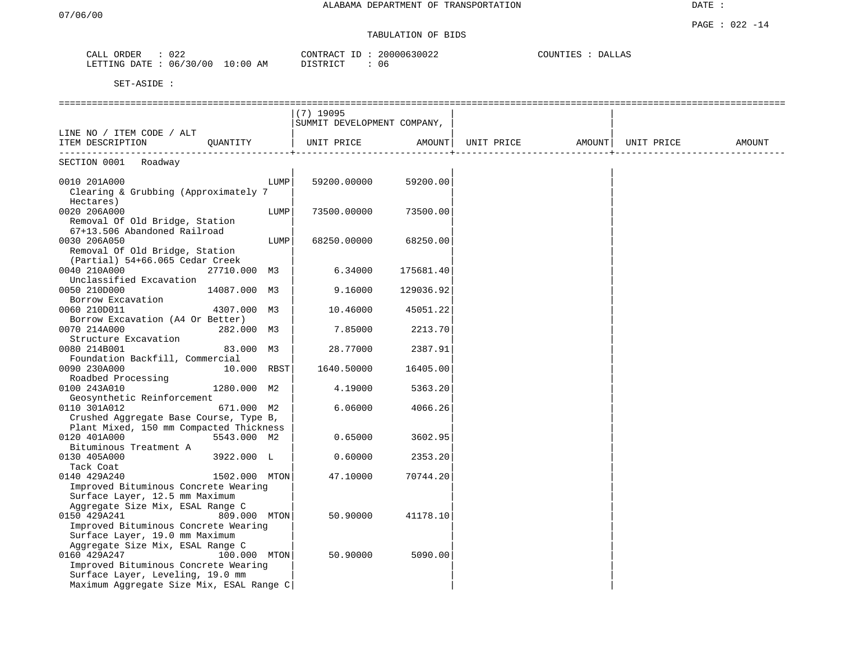## TABULATION OF BIDS

| $\sim$ $\sim$ $\sim$<br>ORDER<br>ىلىلى | $\sim$ $\sim$<br>∪∠∠ |                     | CONTR.<br>$-1$<br>$\pi$ $\sim$<br>. RAC | 20000630022 | COUNTIES<br>DALLAS |
|----------------------------------------|----------------------|---------------------|-----------------------------------------|-------------|--------------------|
| LETTING<br><b>DATR</b>                 | 06/30/00             | 10.<br>00 : ۱<br>AΜ | DICTDICT <sub>O</sub><br>.              | U c         |                    |

|                                                                    |                |      | $(7)$ 19095                 |           |                                |  |        |
|--------------------------------------------------------------------|----------------|------|-----------------------------|-----------|--------------------------------|--|--------|
|                                                                    |                |      | SUMMIT DEVELOPMENT COMPANY, |           |                                |  |        |
| LINE NO / ITEM CODE / ALT                                          |                |      |                             |           |                                |  |        |
| ITEM DESCRIPTION QUANTITY                                          |                |      | UNIT PRICE                  | AMOUNT    | UNIT PRICE AMOUNT   UNIT PRICE |  | AMOUNT |
| SECTION 0001 Roadway                                               |                |      |                             |           |                                |  |        |
|                                                                    |                |      |                             |           |                                |  |        |
| 0010 201A000                                                       |                | LUMP | 59200.00000                 | 59200.00  |                                |  |        |
| Clearing & Grubbing (Approximately 7                               |                |      |                             |           |                                |  |        |
| Hectares)<br>0020 206A000                                          |                | LUMP | 73500.00000                 | 73500.00  |                                |  |        |
| Removal Of Old Bridge, Station                                     |                |      |                             |           |                                |  |        |
| 67+13.506 Abandoned Railroad                                       |                |      |                             |           |                                |  |        |
| 0030 206A050                                                       |                | LUMP | 68250.00000                 | 68250.00  |                                |  |        |
| Removal Of Old Bridge, Station                                     |                |      |                             |           |                                |  |        |
| (Partial) 54+66.065 Cedar Creek                                    |                |      |                             |           |                                |  |        |
| 0040 210A000                                                       | 27710.000 M3   |      | 6.34000                     | 175681.40 |                                |  |        |
| Unclassified Excavation                                            |                |      |                             |           |                                |  |        |
| 0050 210D000                                                       | 14087.000 M3   |      | 9.16000                     | 129036.92 |                                |  |        |
| Borrow Excavation                                                  |                |      |                             |           |                                |  |        |
| 0060 210D011                                                       | 4307.000 M3    |      | 10.46000                    | 45051.22  |                                |  |        |
| Borrow Excavation (A4 Or Better)                                   |                |      |                             |           |                                |  |        |
| 0070 214A000                                                       | 282.000 M3     |      | 7.85000                     | 2213.70   |                                |  |        |
| Structure Excavation                                               |                |      |                             |           |                                |  |        |
| 0080 214B001                                                       | 83.000 M3      |      | 28.77000                    | 2387.91   |                                |  |        |
| Foundation Backfill, Commercial<br>0090 230A000                    | 10.000 RBST    |      |                             |           |                                |  |        |
| Roadbed Processing                                                 |                |      | 1640.50000                  | 16405.00  |                                |  |        |
| 0100 243A010                                                       | 1280.000 M2    |      | 4.19000                     | 5363.20   |                                |  |        |
| Geosynthetic Reinforcement                                         |                |      |                             |           |                                |  |        |
| 0110 301A012                                                       | 671.000 M2     |      | 6.06000                     | 4066.26   |                                |  |        |
| Crushed Aggregate Base Course, Type B,                             |                |      |                             |           |                                |  |        |
| Plant Mixed, 150 mm Compacted Thickness                            |                |      |                             |           |                                |  |        |
| 0120 401A000                                                       | 5543.000 M2    |      | 0.65000                     | 3602.95   |                                |  |        |
| Bituminous Treatment A                                             |                |      |                             |           |                                |  |        |
| 0130 405A000                                                       | 3922.000 L     |      | 0.60000                     | 2353.20   |                                |  |        |
| Tack Coat                                                          |                |      |                             |           |                                |  |        |
| 0140 429A240                                                       | 1502.000 MTON  |      | 47.10000                    | 70744.20  |                                |  |        |
| Improved Bituminous Concrete Wearing                               |                |      |                             |           |                                |  |        |
| Surface Layer, 12.5 mm Maximum<br>Aggregate Size Mix, ESAL Range C |                |      |                             |           |                                |  |        |
| 0150 429A241                                                       | 809.000 MTON   |      | 50.90000                    | 41178.10  |                                |  |        |
| Improved Bituminous Concrete Wearing                               |                |      |                             |           |                                |  |        |
| Surface Layer, 19.0 mm Maximum                                     |                |      |                             |           |                                |  |        |
| Aggregate Size Mix, ESAL Range C                                   |                |      |                             |           |                                |  |        |
| 0160 429A247                                                       | $100.000$ MTON |      | 50.90000                    | 5090.00   |                                |  |        |
| Improved Bituminous Concrete Wearing                               |                |      |                             |           |                                |  |        |
| Surface Layer, Leveling, 19.0 mm                                   |                |      |                             |           |                                |  |        |
| Maximum Aggregate Size Mix, ESAL Range C                           |                |      |                             |           |                                |  |        |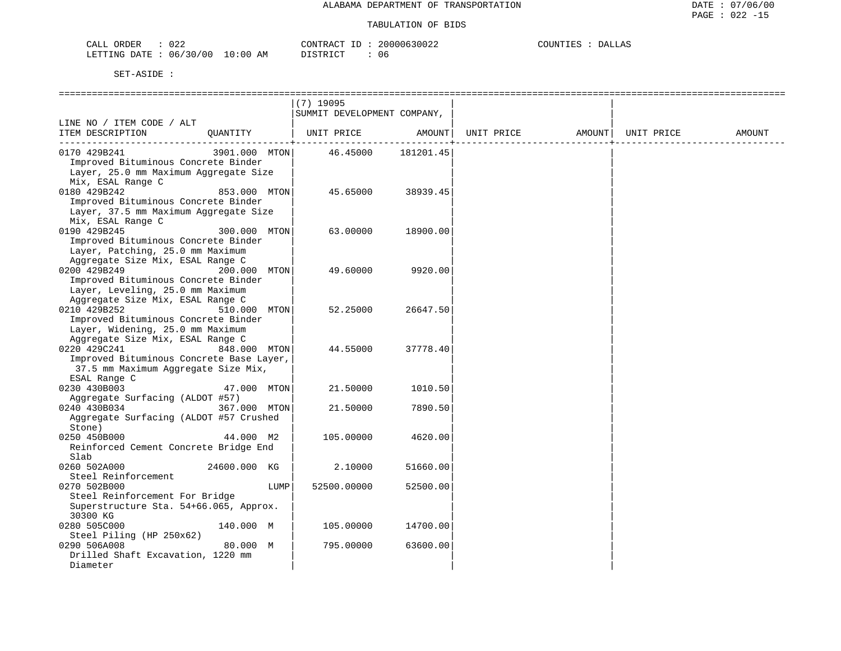| $\sim$ $\sim$ $\sim$<br>CALL<br>ORDER<br>∪∠∠ |                                   | CONTRACT<br>___ | 20000630022 | COUNTIES<br>DALLAS |
|----------------------------------------------|-----------------------------------|-----------------|-------------|--------------------|
| LETTING DATE<br>06/30/00                     | 10:00<br><b>דר סידפיד</b> ת<br>AΜ |                 | U6.         |                    |

|                                                                                                                             |               | $(7)$ 19095<br>SUMMIT DEVELOPMENT COMPANY, |                        |            |        |            |        |
|-----------------------------------------------------------------------------------------------------------------------------|---------------|--------------------------------------------|------------------------|------------|--------|------------|--------|
| LINE NO / ITEM CODE / ALT                                                                                                   |               |                                            |                        |            |        |            |        |
| ITEM DESCRIPTION<br>OUANTITY                                                                                                |               | UNIT PRICE                                 | AMOUNT  <br>__________ | UNIT PRICE | AMOUNT | UNIT PRICE | AMOUNT |
| 0170 429B241<br>Improved Bituminous Concrete Binder<br>Layer, 25.0 mm Maximum Aggregate Size<br>Mix, ESAL Range C           | 3901.000 MTON | 46.45000                                   | 181201.45              |            |        |            |        |
| 0180 429B242<br>Improved Bituminous Concrete Binder<br>Layer, 37.5 mm Maximum Aggregate Size<br>Mix, ESAL Range C           | 853.000 MTON  | 45.65000                                   | 38939.45               |            |        |            |        |
| 0190 429B245<br>Improved Bituminous Concrete Binder<br>Layer, Patching, 25.0 mm Maximum<br>Aggregate Size Mix, ESAL Range C | 300.000 MTON  | 63.00000                                   | 18900.00               |            |        |            |        |
| 0200 429B249<br>Improved Bituminous Concrete Binder<br>Layer, Leveling, 25.0 mm Maximum<br>Aggregate Size Mix, ESAL Range C | 200.000 MTON  | 49.60000                                   | 9920.00                |            |        |            |        |
| 0210 429B252<br>Improved Bituminous Concrete Binder<br>Layer, Widening, 25.0 mm Maximum<br>Aggregate Size Mix, ESAL Range C | 510.000 MTON  | 52.25000                                   | 26647.50               |            |        |            |        |
| 0220 429C241<br>Improved Bituminous Concrete Base Layer,<br>37.5 mm Maximum Aggregate Size Mix,<br>ESAL Range C             | 848.000 MTON  | 44.55000                                   | 37778.40               |            |        |            |        |
| 0230 430B003<br>Aggregate Surfacing (ALDOT #57)                                                                             | 47.000 MTON   | 21.50000                                   | 1010.50                |            |        |            |        |
| 0240 430B034<br>Aggregate Surfacing (ALDOT #57 Crushed<br>Stone)                                                            | 367.000 MTON  | 21.50000                                   | 7890.50                |            |        |            |        |
| 0250 450B000<br>Reinforced Cement Concrete Bridge End<br>Slab                                                               | 44.000 M2     | 105.00000                                  | 4620.00                |            |        |            |        |
| 0260 502A000<br>Steel Reinforcement                                                                                         | 24600.000 KG  | 2.10000                                    | 51660.00               |            |        |            |        |
| 0270 502B000<br>Steel Reinforcement For Bridge<br>Superstructure Sta. 54+66.065, Approx.<br>30300 KG                        | LUMP          | 52500.00000                                | 52500.00               |            |        |            |        |
| 0280 505C000<br>Steel Piling (HP 250x62)                                                                                    | 140.000 M     | 105.00000                                  | 14700.00               |            |        |            |        |
| 0290 506A008<br>Drilled Shaft Excavation, 1220 mm<br>Diameter                                                               | 80.000 M      | 795.00000                                  | 63600.00               |            |        |            |        |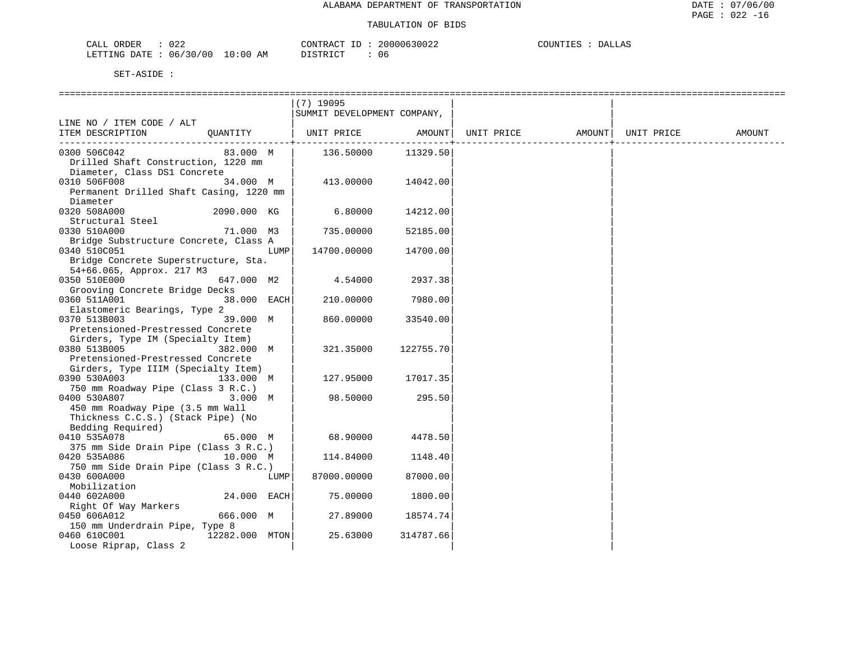| $\Lambda$ $\Lambda$ $\sigma$<br>ORDER<br>$\sim$ $\sim$ $\sim$<br>لىلطا<br>◡∠∠ |             | $\sim$<br>'ONTF<br>א שי | ۱h        | $\cdot$ TNT $\cdot$<br>∆ ۱.<br>$\overline{\phantom{a}}$<br>. |
|-------------------------------------------------------------------------------|-------------|-------------------------|-----------|--------------------------------------------------------------|
| $\cap$<br>06<br><b>ETTING</b><br>DATE.<br>$\sim$ 11<br>.                      | - 111<br>AМ | $\cap$<br><b>CITID</b>  | <b>U6</b> |                                                              |

|                                         |                |      | $(7)$ 19095                 |           |                   |            |        |
|-----------------------------------------|----------------|------|-----------------------------|-----------|-------------------|------------|--------|
|                                         |                |      | SUMMIT DEVELOPMENT COMPANY, |           |                   |            |        |
| LINE NO / ITEM CODE / ALT               |                |      |                             |           |                   |            |        |
| ITEM DESCRIPTION                        | OUANTITY       |      | UNIT PRICE                  | AMOUNT    | UNIT PRICE AMOUNT | UNIT PRICE | AMOUNT |
|                                         |                |      |                             |           |                   |            |        |
| 0300 506C042                            | 83.000 M       |      | 136.50000                   | 11329.50  |                   |            |        |
| Drilled Shaft Construction, 1220 mm     |                |      |                             |           |                   |            |        |
| Diameter, Class DS1 Concrete            |                |      |                             |           |                   |            |        |
| 0310 506F008                            | 34.000 M       |      | 413.00000                   | 14042.00  |                   |            |        |
| Permanent Drilled Shaft Casing, 1220 mm |                |      |                             |           |                   |            |        |
| Diameter                                |                |      |                             |           |                   |            |        |
| 0320 508A000                            | 2090.000 KG    |      | 6.80000                     | 14212.00  |                   |            |        |
|                                         |                |      |                             |           |                   |            |        |
| Structural Steel                        |                |      |                             |           |                   |            |        |
| 0330 510A000                            | 71.000 M3      |      | 735.00000                   | 52185.00  |                   |            |        |
| Bridge Substructure Concrete, Class A   |                |      |                             |           |                   |            |        |
| 0340 510C051                            |                | LUMP | 14700.00000                 | 14700.00  |                   |            |        |
| Bridge Concrete Superstructure, Sta.    |                |      |                             |           |                   |            |        |
| 54+66.065, Approx. 217 M3               |                |      |                             |           |                   |            |        |
| 0350 510E000                            | 647.000 M2     |      | 4.54000                     | 2937.38   |                   |            |        |
| Grooving Concrete Bridge Decks          |                |      |                             |           |                   |            |        |
| 0360 511A001                            | 38.000 EACH    |      | 210.00000                   | 7980.00   |                   |            |        |
| Elastomeric Bearings, Type 2            |                |      |                             |           |                   |            |        |
| 0370 513B003                            | 39.000 M       |      | 860.00000                   | 33540.00  |                   |            |        |
| Pretensioned-Prestressed Concrete       |                |      |                             |           |                   |            |        |
| Girders, Type IM (Specialty Item)       |                |      |                             |           |                   |            |        |
| 0380 513B005                            | 382.000 M      |      | 321.35000                   | 122755.70 |                   |            |        |
| Pretensioned-Prestressed Concrete       |                |      |                             |           |                   |            |        |
| Girders, Type IIIM (Specialty Item)     |                |      |                             |           |                   |            |        |
| 0390 530A003                            | 133.000 M      |      | 127.95000                   | 17017.35  |                   |            |        |
| 750 mm Roadway Pipe (Class 3 R.C.)      |                |      |                             |           |                   |            |        |
| 0400 530A807                            | 3.000 M        |      | 98.50000                    | 295.50    |                   |            |        |
| 450 mm Roadway Pipe (3.5 mm Wall        |                |      |                             |           |                   |            |        |
| Thickness C.C.S.) (Stack Pipe) (No      |                |      |                             |           |                   |            |        |
| Bedding Required)                       |                |      |                             |           |                   |            |        |
| 0410 535A078                            | 65.000 M       |      | 68.90000                    | 4478.50   |                   |            |        |
| 375 mm Side Drain Pipe (Class 3 R.C.)   |                |      |                             |           |                   |            |        |
| 0420 535A086                            | 10.000 M       |      | 114.84000                   | 1148.40   |                   |            |        |
| 750 mm Side Drain Pipe (Class 3 R.C.)   |                |      |                             |           |                   |            |        |
|                                         |                |      |                             |           |                   |            |        |
| 0430 600A000                            |                | LUMP | 87000.00000                 | 87000.00  |                   |            |        |
| Mobilization                            |                |      |                             |           |                   |            |        |
| 0440 602A000                            | 24.000 EACH    |      | 75.00000                    | 1800.00   |                   |            |        |
| Right Of Way Markers                    |                |      |                             |           |                   |            |        |
| 0450 606A012                            | 666.000 M      |      | 27.89000                    | 18574.74  |                   |            |        |
| 150 mm Underdrain Pipe, Type 8          |                |      |                             |           |                   |            |        |
| 0460 610C001                            | 12282.000 MTON |      | 25.63000                    | 314787.66 |                   |            |        |
| Loose Riprap, Class 2                   |                |      |                             |           |                   |            |        |
|                                         |                |      |                             |           |                   |            |        |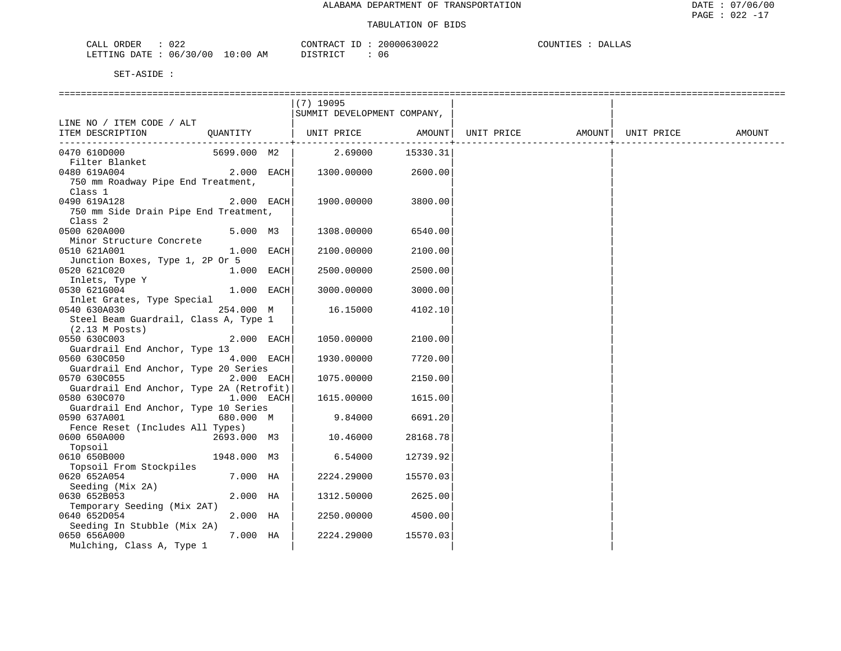| 022<br>ORDER<br>CALL                 | CONTRACT ID | 20000630022 | COUNTIES<br>DALLAS |
|--------------------------------------|-------------|-------------|--------------------|
| 1: 06/30/00 10:00 AM<br>LETTING DATE | DISTRICT    | 06          |                    |

|                                               |              |            | $(7)$ 19095                  |          |                                |  |        |
|-----------------------------------------------|--------------|------------|------------------------------|----------|--------------------------------|--|--------|
|                                               |              |            | SUMMIT DEVELOPMENT COMPANY,  |          |                                |  |        |
| LINE NO / ITEM CODE / ALT                     |              |            |                              |          |                                |  |        |
| ITEM DESCRIPTION                              |              |            | QUANTITY   UNIT PRICE AMOUNT |          | UNIT PRICE AMOUNT   UNIT PRICE |  | AMOUNT |
|                                               |              |            |                              |          |                                |  |        |
| 0470 610D000                                  | 5699.000 M2  |            | 2.69000 15330.31             |          |                                |  |        |
| Filter Blanket                                | $2.000$ EACH |            |                              | 2600.00  |                                |  |        |
| 0480 619A004                                  |              |            | 1300.00000                   |          |                                |  |        |
| 750 mm Roadway Pipe End Treatment,<br>Class 1 |              |            |                              |          |                                |  |        |
| 0490 619A128                                  | $2.000$ EACH |            | 1900.00000                   | 3800.00  |                                |  |        |
| 750 mm Side Drain Pipe End Treatment,         |              |            |                              |          |                                |  |        |
| Class <sub>2</sub>                            |              |            |                              |          |                                |  |        |
| 0500 620A000                                  | $5.000$ M3   |            | 1308.00000                   | 6540.00  |                                |  |        |
| Minor Structure Concrete                      |              |            |                              |          |                                |  |        |
| 0510 621A001                                  | $1.000$ EACH |            | 2100.00000                   | 2100.00  |                                |  |        |
| Junction Boxes, Type 1, 2P Or 5               |              |            |                              |          |                                |  |        |
| 0520 621C020                                  | 1.000 EACH   |            | 2500.00000                   | 2500.00  |                                |  |        |
| Inlets, Type Y                                |              |            |                              |          |                                |  |        |
| 0530 621G004                                  | $1.000$ EACH |            | 3000.00000                   | 3000.00  |                                |  |        |
| Inlet Grates, Type Special                    |              |            |                              |          |                                |  |        |
| 0540 630A030                                  | 254.000 M    |            | 16.15000                     | 4102.10  |                                |  |        |
| Steel Beam Guardrail, Class A, Type 1         |              |            |                              |          |                                |  |        |
| (2.13 M Posts)                                |              |            |                              |          |                                |  |        |
| 0550 630C003                                  | 2.000 EACH   |            | 1050.00000                   | 2100.00  |                                |  |        |
| Guardrail End Anchor, Type 13                 |              |            |                              |          |                                |  |        |
| 0560 630C050                                  |              | 4.000 EACH | 1930.00000                   | 7720.00  |                                |  |        |
| Guardrail End Anchor, Type 20 Series          |              |            |                              |          |                                |  |        |
| 0570 630C055                                  |              | 2.000 EACH | 1075.00000                   | 2150.00  |                                |  |        |
| Guardrail End Anchor, Type 2A (Retrofit)      |              |            |                              |          |                                |  |        |
| 1.000 EACH<br>0580 630C070                    |              |            | 1615.00000                   | 1615.00  |                                |  |        |
| Guardrail End Anchor, Type 10 Series          |              |            |                              |          |                                |  |        |
| 0590 637A001                                  | 680.000 M    |            | 9.84000                      | 6691.20  |                                |  |        |
| Fence Reset (Includes All Types)              |              |            |                              |          |                                |  |        |
| 0600 650A000<br>2693.000 M3                   |              |            | 10.46000                     | 28168.78 |                                |  |        |
| Topsoil                                       |              |            |                              |          |                                |  |        |
| 0610 650B000                                  | 1948.000 M3  |            | 6.54000                      | 12739.92 |                                |  |        |
| Topsoil From Stockpiles                       |              |            |                              |          |                                |  |        |
| 0620 652A054                                  | 7.000 HA     |            | 2224.29000                   | 15570.03 |                                |  |        |
| Seeding (Mix 2A)                              |              |            |                              |          |                                |  |        |
| 0630 652B053                                  | 2.000 HA     |            | 1312.50000                   | 2625.00  |                                |  |        |
| Temporary Seeding (Mix 2AT)<br>0640 652D054   | 2.000 HA     |            | 2250.00000                   | 4500.00  |                                |  |        |
| Seeding In Stubble (Mix 2A)                   |              |            |                              |          |                                |  |        |
| 0650 656A000                                  | 7.000 HA     |            | 2224.29000                   | 15570.03 |                                |  |        |
| Mulching, Class A, Type 1                     |              |            |                              |          |                                |  |        |
|                                               |              |            |                              |          |                                |  |        |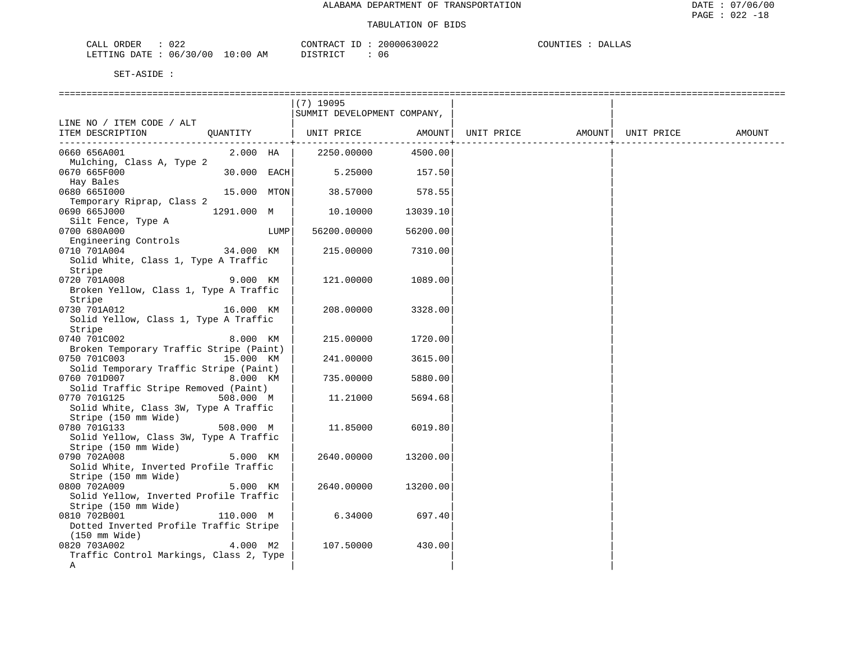| $\cap$ $\cap$<br>CALL<br>ORDER<br>U 44 | CONTRACT ID                      | 20000630022 | COUNTIES<br>DALLAS |
|----------------------------------------|----------------------------------|-------------|--------------------|
| 06/30/00<br>LETTING DATE :             | $10:00$ AM<br>DISTRICT<br>⊥⊥∖⊥∪⊥ | 06          |                    |

|                                                                                             |               | $(7)$ 19095<br>SUMMIT DEVELOPMENT COMPANY, |          |            |                     |        |
|---------------------------------------------------------------------------------------------|---------------|--------------------------------------------|----------|------------|---------------------|--------|
| LINE NO / ITEM CODE / ALT<br>ITEM DESCRIPTION<br>OUANTITY                                   |               | UNIT PRICE AMOUNT                          |          | UNIT PRICE | AMOUNT   UNIT PRICE | AMOUNT |
| 0660 656A001<br>Mulching, Class A, Type 2                                                   | 2.000 HA      | 2250.00000                                 | 4500.00  |            |                     |        |
| 0670 665F000<br>Hay Bales                                                                   | $30.000$ EACH | 5.25000                                    | 157.50   |            |                     |        |
| 0680 6651000<br>Temporary Riprap, Class 2                                                   | 15.000 MTON   | 38.57000                                   | 578.55   |            |                     |        |
| 0690 665J000<br>1291.000 M<br>Silt Fence, Type A                                            |               | 10.10000                                   | 13039.10 |            |                     |        |
| 0700 680A000<br>Engineering Controls                                                        | LUMP          | 56200.00000                                | 56200.00 |            |                     |        |
| 34.000 KM<br>0710 701A004<br>Solid White, Class 1, Type A Traffic<br>Stripe                 |               | 215.00000                                  | 7310.00  |            |                     |        |
| 0720 701A008<br>Broken Yellow, Class 1, Type A Traffic<br>Stripe                            | 9.000 KM      | 121.00000                                  | 1089.00  |            |                     |        |
| 0730 701A012<br>Solid Yellow, Class 1, Type A Traffic<br>Stripe                             | 16.000 KM     | 208,00000                                  | 3328.00  |            |                     |        |
| 0740 701C002<br>Broken Temporary Traffic Stripe (Paint)                                     | 8.000 KM      | 215.00000                                  | 1720.00  |            |                     |        |
| 0750 701C003<br>Solid Temporary Traffic Stripe (Paint)                                      | 15.000 KM     | 241.00000                                  | 3615.00  |            |                     |        |
| 0760 701D007<br>Solid Traffic Stripe Removed (Paint)                                        | 8.000 KM      | 735.00000                                  | 5880.00  |            |                     |        |
| 0770 701G125<br>508.000 M<br>Solid White, Class 3W, Type A Traffic<br>Stripe (150 mm Wide)  |               | 11.21000                                   | 5694.68  |            |                     |        |
| 0780 701G133<br>508.000 M<br>Solid Yellow, Class 3W, Type A Traffic<br>Stripe (150 mm Wide) |               | 11.85000                                   | 6019.80  |            |                     |        |
| 0790 702A008<br>Solid White, Inverted Profile Traffic<br>Stripe (150 mm Wide)               | 5.000 KM      | 2640.00000                                 | 13200.00 |            |                     |        |
| 0800 702A009<br>Solid Yellow, Inverted Profile Traffic<br>Stripe (150 mm Wide)              | 5.000 KM      | 2640.00000                                 | 13200.00 |            |                     |        |
| 0810 702B001<br>110.000 M<br>Dotted Inverted Profile Traffic Stripe<br>(150 mm Wide)        |               | 6.34000                                    | 697.40   |            |                     |        |
| 0820 703A002<br>Traffic Control Markings, Class 2, Type<br>Α                                | 4.000 M2      | 107.50000                                  | 430.00   |            |                     |        |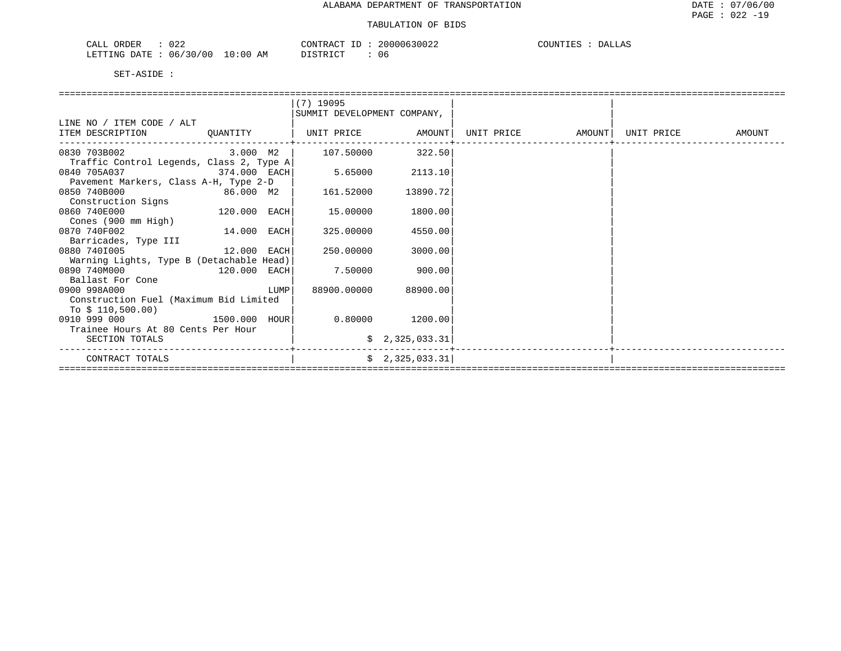| )22<br>$\sim$ $\sim$ $\sim$<br>ORDER<br>سسدت | CONTRACT                | 30000630022 | COUNTIES<br>DALLAS<br>н. ~ |
|----------------------------------------------|-------------------------|-------------|----------------------------|
| 06/30/00<br>LETTING DATE                     | 10:00<br>AM<br>DISTRICT | U b         |                            |

|                                          |             |      | (7) 19095                   |                 |                   |            |        |
|------------------------------------------|-------------|------|-----------------------------|-----------------|-------------------|------------|--------|
|                                          |             |      | SUMMIT DEVELOPMENT COMPANY, |                 |                   |            |        |
| LINE NO / ITEM CODE / ALT                |             |      |                             |                 |                   |            |        |
| ITEM DESCRIPTION                         |             |      |                             |                 | UNIT PRICE AMOUNT | UNIT PRICE | AMOUNT |
| 0830 703B002                             | 3.000 M2    |      | 107.50000                   | 322.50          |                   |            |        |
| Traffic Control Legends, Class 2, Type A |             |      |                             |                 |                   |            |        |
| 0840 705A037<br>374.000 EACH             |             |      | 5.65000                     | 2113.10         |                   |            |        |
| Pavement Markers, Class A-H, Type 2-D    |             |      |                             |                 |                   |            |        |
| 0850 740B000<br>86.000 M2                |             |      | 161.52000                   | 13890.72        |                   |            |        |
| Construction Signs                       |             |      |                             |                 |                   |            |        |
| 120.000 EACH<br>0860 740E000             |             |      | 15.00000                    | 1800.00         |                   |            |        |
| Cones (900 mm High)                      |             |      |                             |                 |                   |            |        |
| 0870 740F002                             | 14.000 EACH |      | 325.00000                   | 4550.00         |                   |            |        |
| Barricades, Type III                     |             |      |                             |                 |                   |            |        |
| 12.000 EACH<br>0880 7401005              |             |      | 250.00000                   | 3000.00         |                   |            |        |
| Warning Lights, Type B (Detachable Head) |             |      |                             |                 |                   |            |        |
| 0890 740M000<br>120.000 EACH             |             |      | 7.50000                     | 900.00          |                   |            |        |
| Ballast For Cone                         |             |      |                             |                 |                   |            |        |
| 0900 998A000                             |             | LUMP | 88900.00000                 | 88900.00        |                   |            |        |
| Construction Fuel (Maximum Bid Limited   |             |      |                             |                 |                   |            |        |
| To $$110,500.00)$                        |             |      |                             |                 |                   |            |        |
| 1500.000 HOUR<br>0910 999 000            |             |      | 0.80000                     | 1200.00         |                   |            |        |
| Trainee Hours At 80 Cents Per Hour       |             |      |                             |                 |                   |            |        |
| SECTION TOTALS                           |             |      |                             | \$2,325,033.31  |                   |            |        |
| CONTRACT TOTALS                          |             |      |                             | \$2,325,033.31] |                   |            |        |
|                                          |             |      |                             |                 |                   |            |        |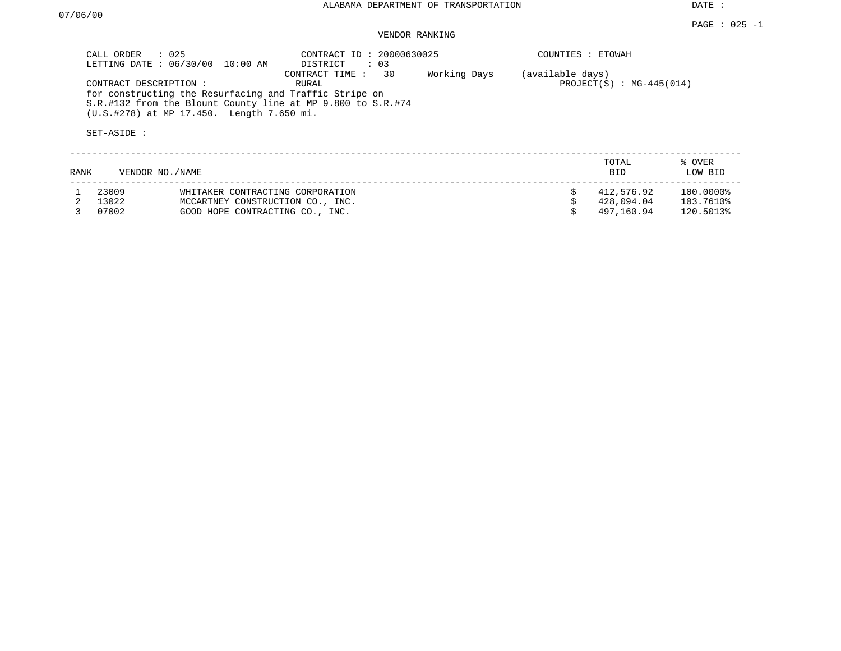DATE :

#### PAGE : 025 -1 VENDOR RANKING

| CALL ORDER : 025<br>LETTING DATE: 06/30/00<br>10:00 AM                                                                                                                                      | CONTRACT ID: 20000630025<br>$\therefore$ 03<br>DISTRICT | COUNTIES : ETOWAH                |                                          |
|---------------------------------------------------------------------------------------------------------------------------------------------------------------------------------------------|---------------------------------------------------------|----------------------------------|------------------------------------------|
| CONTRACT DESCRIPTION:<br>for constructing the Resurfacing and Traffic Stripe on<br>S.R.#132 from the Blount County line at MP 9.800 to S.R.#74<br>(U.S.#278) at MP 17.450. Length 7.650 mi. | 30<br>CONTRACT TIME:<br>RURAL                           | (available days)<br>Working Days | $PROJECT(S) : MG-445(014)$               |
| SET-ASIDE:                                                                                                                                                                                  |                                                         |                                  |                                          |
| RANK<br>VENDOR NO. / NAME                                                                                                                                                                   |                                                         |                                  | TOTAL<br>% OVER<br><b>BID</b><br>LOW BID |

| 23009 | WHITAKER CONTRACTING CORPORATION    | 412,576.92 | 100.0000% |
|-------|-------------------------------------|------------|-----------|
| 13022 | MCCARTNEY CONSTRUCTION CO.,<br>INC. | 428,094.04 | 103.7610% |
| 07002 | GOOD HOPE CONTRACTING CO., INC.     | 497.160.94 | 120.5013% |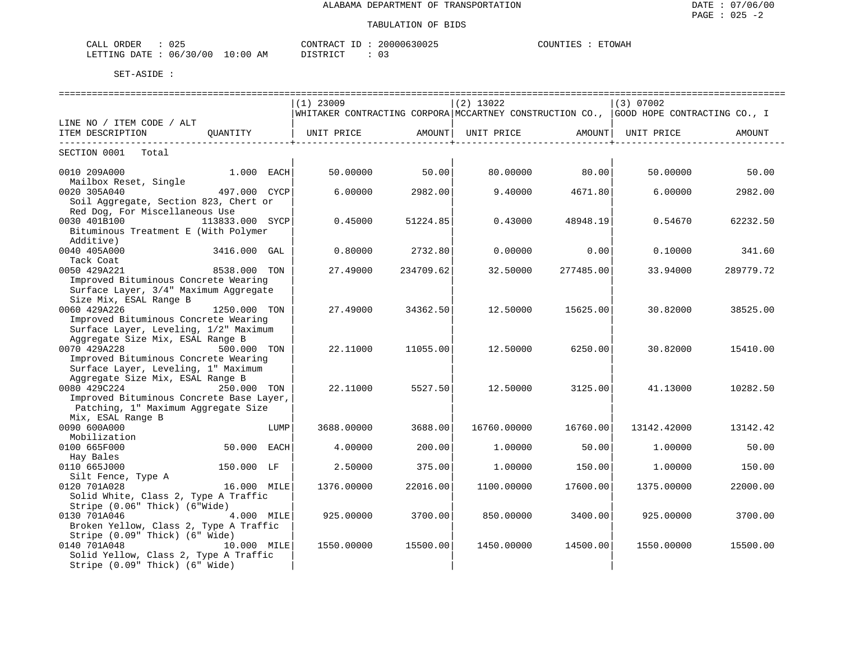| $\sim$ $\sim$ $\sim$<br><b>CRDER</b><br>ັບພ                                                                                                       |                          | $\wedge \wedge \neg \neg$<br>ייחד גר | nnn<br>¬∪∪∠.   | ETOWAH<br><b>COUNTIFS</b><br>. |
|---------------------------------------------------------------------------------------------------------------------------------------------------|--------------------------|--------------------------------------|----------------|--------------------------------|
| ⊤ ⊤۳۵.<br>LETTING<br>00.<br>06<br>the contract of the contract of the contract of the contract of the contract of the contract of the contract of | 10:00<br><b>BB</b><br>АM | $T$ $\cap$<br>$\sim$                 | $\mathbf{v}$ . |                                |

|                                                               | $(1)$ 23009                                                                            |                    | $(2)$ 13022 |                                                   | (3) 07002   |           |
|---------------------------------------------------------------|----------------------------------------------------------------------------------------|--------------------|-------------|---------------------------------------------------|-------------|-----------|
|                                                               | WHITAKER CONTRACTING CORPORA MCCARTNEY CONSTRUCTION CO.,  GOOD HOPE CONTRACTING CO., I |                    |             |                                                   |             |           |
| LINE NO / ITEM CODE / ALT                                     |                                                                                        |                    |             |                                                   |             |           |
| ITEM DESCRIPTION<br>OUANTITY<br>----------------------------- | UNIT PRICE AMOUNT                                                                      | ----------------+- | UNIT PRICE  | AMOUNT<br>. _ _ _ _ _ _ _ _ _ _ _ _ _ _ _ _ _ _ + | UNIT PRICE  | AMOUNT    |
| SECTION 0001 Total                                            |                                                                                        |                    |             |                                                   |             |           |
| $1.000$ EACH<br>0010 209A000                                  | 50.00000                                                                               | 50.00              | 80.00000    | 80.00                                             | 50.00000    | 50.00     |
| Mailbox Reset, Single                                         |                                                                                        |                    |             |                                                   |             |           |
| 0020 305A040<br>497.000 CYCP                                  | 6.00000                                                                                | 2982.00            | 9.40000     | 4671.80                                           | 6.00000     | 2982.00   |
| Soil Aggregate, Section 823, Chert or                         |                                                                                        |                    |             |                                                   |             |           |
| Red Dog, For Miscellaneous Use                                |                                                                                        |                    |             |                                                   |             |           |
| 0030 401B100<br>113833.000 SYCP                               | 0.45000                                                                                | 51224.85           | 0.43000     | 48948.19                                          | 0.54670     | 62232.50  |
| Bituminous Treatment E (With Polymer                          |                                                                                        |                    |             |                                                   |             |           |
| Additive)                                                     |                                                                                        |                    |             |                                                   |             |           |
| 0040 405A000<br>3416.000 GAL                                  | 0.80000                                                                                | 2732.80            | 0.00000     | 0.00                                              | 0.10000     | 341.60    |
| Tack Coat                                                     |                                                                                        |                    |             |                                                   |             |           |
| 0050 429A221<br>8538.000 TON                                  | 27.49000                                                                               | 234709.62          | 32.50000    | 277485.00                                         | 33.94000    | 289779.72 |
| Improved Bituminous Concrete Wearing                          |                                                                                        |                    |             |                                                   |             |           |
| Surface Layer, 3/4" Maximum Aggregate                         |                                                                                        |                    |             |                                                   |             |           |
| Size Mix, ESAL Range B                                        |                                                                                        |                    |             |                                                   |             |           |
| 0060 429A226<br>1250.000 TON                                  | 27.49000                                                                               | 34362.50           | 12.50000    | 15625.00                                          | 30.82000    | 38525.00  |
| Improved Bituminous Concrete Wearing                          |                                                                                        |                    |             |                                                   |             |           |
| Surface Layer, Leveling, 1/2" Maximum                         |                                                                                        |                    |             |                                                   |             |           |
| Aggregate Size Mix, ESAL Range B                              |                                                                                        |                    |             |                                                   |             |           |
| 0070 429A228<br>500.000 TON                                   | 22.11000                                                                               | 11055.00           | 12.50000    | 6250.00                                           | 30.82000    | 15410.00  |
| Improved Bituminous Concrete Wearing                          |                                                                                        |                    |             |                                                   |             |           |
| Surface Layer, Leveling, 1" Maximum                           |                                                                                        |                    |             |                                                   |             |           |
| Aggregate Size Mix, ESAL Range B                              |                                                                                        |                    |             |                                                   |             |           |
| 0080 429C224<br>250.000 TON                                   | 22.11000                                                                               | 5527.50            | 12.50000    | 3125.00                                           | 41.13000    | 10282.50  |
| Improved Bituminous Concrete Base Layer,                      |                                                                                        |                    |             |                                                   |             |           |
| Patching, 1" Maximum Aggregate Size                           |                                                                                        |                    |             |                                                   |             |           |
| Mix, ESAL Range B                                             |                                                                                        |                    |             |                                                   |             |           |
| 0090 600A000<br>LUMP                                          | 3688.00000                                                                             | 3688.00            | 16760.00000 | 16760.00                                          | 13142.42000 | 13142.42  |
| Mobilization<br>50.000 EACH<br>0100 665F000                   | 4,00000                                                                                | 200.00             | 1,00000     | 50.00                                             | 1,00000     | 50.00     |
| Hay Bales                                                     |                                                                                        |                    |             |                                                   |             |           |
| 0110 665J000<br>150.000 LF                                    | 2.50000                                                                                | 375.00             | 1,00000     | 150.00                                            | 1,00000     | 150.00    |
| Silt Fence, Type A                                            |                                                                                        |                    |             |                                                   |             |           |
| 0120 701A028<br>16.000 MILE                                   | 1376.00000                                                                             | 22016.00           | 1100.00000  | 17600.00                                          | 1375.00000  | 22000.00  |
| Solid White, Class 2, Type A Traffic                          |                                                                                        |                    |             |                                                   |             |           |
| Stripe (0.06" Thick) (6"Wide)                                 |                                                                                        |                    |             |                                                   |             |           |
| 0130 701A046<br>4.000 MILE                                    | 925.00000                                                                              | 3700.00            | 850.00000   | 3400.00                                           | 925.00000   | 3700.00   |
| Broken Yellow, Class 2, Type A Traffic                        |                                                                                        |                    |             |                                                   |             |           |
| Stripe (0.09" Thick) (6" Wide)                                |                                                                                        |                    |             |                                                   |             |           |
| 10.000 MILE<br>0140 701A048                                   | 1550.00000                                                                             | 15500.00           | 1450.00000  | 14500.00                                          | 1550.00000  | 15500.00  |
| Solid Yellow, Class 2, Type A Traffic                         |                                                                                        |                    |             |                                                   |             |           |
| Stripe (0.09" Thick) (6" Wide)                                |                                                                                        |                    |             |                                                   |             |           |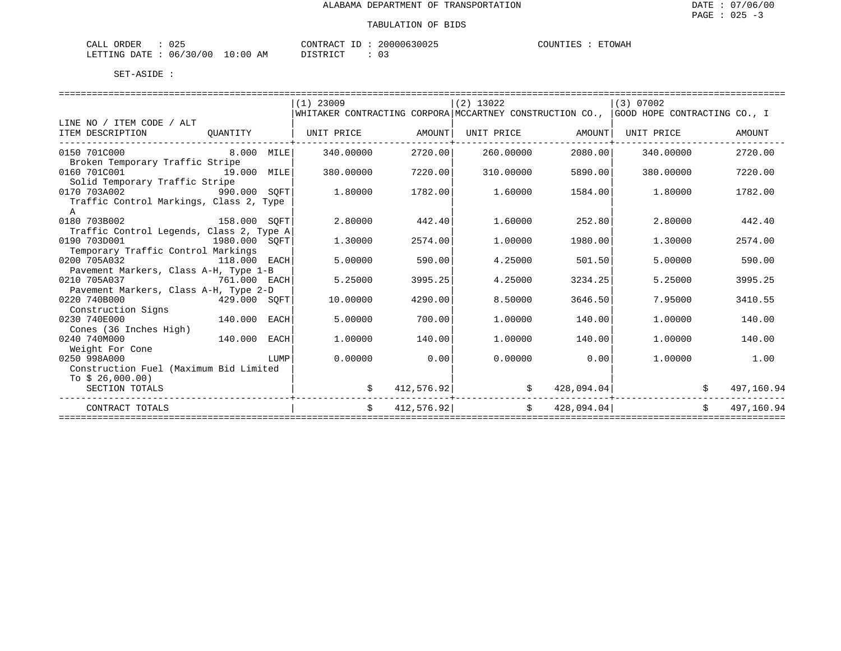| : 025<br>CALL ORDER              |          | CONTRACT ID: 20000630025 | COUNTIES : ETOWAH |
|----------------------------------|----------|--------------------------|-------------------|
| LETTING DATE : 06/30/00 10:00 AM | DISTRICT |                          |                   |

|                                                       |          |      | $(1)$ 23009                                                                            |            | $(2)$ 13022 |                | (3) 07002                       |                          |
|-------------------------------------------------------|----------|------|----------------------------------------------------------------------------------------|------------|-------------|----------------|---------------------------------|--------------------------|
|                                                       |          |      | WHITAKER CONTRACTING CORPORA MCCARTNEY CONSTRUCTION CO.,  GOOD HOPE CONTRACTING CO., I |            |             |                |                                 |                          |
| LINE NO / ITEM CODE / ALT                             |          |      |                                                                                        |            |             |                |                                 |                          |
| ITEM DESCRIPTION                                      | QUANTITY |      | UNIT PRICE                                                                             | AMOUNT     | UNIT PRICE  | AMOUNT         | UNIT PRICE                      | AMOUNT                   |
| -----------------------<br>0150 701C000<br>8.000 MILE |          |      | 340.00000                                                                              | 2720.00    | 260,00000   | 2080.00        | 340.00000                       | 2720.00                  |
| Broken Temporary Traffic Stripe                       |          |      |                                                                                        |            |             |                |                                 |                          |
| 0160 701C001<br>19.000 MILE                           |          |      | 380,00000                                                                              | 7220.00    | 310,00000   | 5890.00        | 380,00000                       | 7220.00                  |
| Solid Temporary Traffic Stripe                        |          |      |                                                                                        |            |             |                |                                 |                          |
| 0170 703A002<br>990.000 SOFT                          |          |      | 1.80000                                                                                | 1782.00    | 1.60000     | 1584.00        | 1.80000                         | 1782.00                  |
| Traffic Control Markings, Class 2, Type               |          |      |                                                                                        |            |             |                |                                 |                          |
| $\mathsf{A}$                                          |          |      |                                                                                        |            |             |                |                                 |                          |
| 0180 703B002<br>158.000 SOFT                          |          |      | 2.80000                                                                                | 442.40     | 1.60000     | 252.80         | 2.80000                         | 442.40                   |
| Traffic Control Legends, Class 2, Type A              |          |      |                                                                                        |            |             |                |                                 |                          |
| 0190 703D001<br>1980.000 SOFT                         |          |      | 1.30000                                                                                | 2574.00    | 1,00000     | 1980.00        | 1,30000                         | 2574.00                  |
| Temporary Traffic Control Markings                    |          |      |                                                                                        |            |             |                |                                 |                          |
| 0200 705A032<br>118.000 EACH                          |          |      | 5.00000                                                                                | 590.00     | 4.25000     | 501.50         | 5,00000                         | 590.00                   |
| Pavement Markers, Class A-H, Type 1-B                 |          |      |                                                                                        |            |             |                |                                 |                          |
| 0210 705A037<br>761.000 EACH                          |          |      | 5.25000                                                                                | 3995.25    | 4.25000     | 3234.25        | 5.25000                         | 3995.25                  |
| Pavement Markers, Class A-H, Type 2-D                 |          |      |                                                                                        |            |             |                |                                 |                          |
| 0220 740B000<br>$429.000$ SQFT                        |          |      | 10.00000                                                                               | 4290.00    | 8.50000     | 3646.50        | 7.95000                         | 3410.55                  |
| Construction Signs                                    |          |      |                                                                                        |            |             |                |                                 |                          |
| 140.000 EACH<br>0230 740E000                          |          |      | 5.00000                                                                                | 700.00     | 1,00000     | 140.00         | 1,00000                         | 140.00                   |
| Cones (36 Inches High)                                |          |      |                                                                                        |            |             |                |                                 |                          |
| 0240 740M000                                          | 140.000  | EACH | 1,00000                                                                                | 140.00     | 1,00000     | 140.00         | 1,00000                         | 140.00                   |
| Weight For Cone                                       |          |      |                                                                                        |            |             |                |                                 |                          |
| 0250 998A000                                          |          | LUMP | 0.00000                                                                                | 0.00       | 0.00000     | 0.00           | 1,00000                         | 1.00                     |
| Construction Fuel (Maximum Bid Limited                |          |      |                                                                                        |            |             |                |                                 |                          |
| To $$26,000.00)$                                      |          |      |                                                                                        |            |             |                |                                 |                          |
| SECTION TOTALS                                        |          |      |                                                                                        | 412,576.92 | \$          | 428,094.04     |                                 | 497,160.94               |
| CONTRACT TOTALS                                       |          |      | $\ddot{s}$                                                                             |            | 412,576.92  | \$ 428,094.04] |                                 | 497,160.94<br>$\ddot{s}$ |
|                                                       |          |      |                                                                                        |            |             |                | ------------------------------- |                          |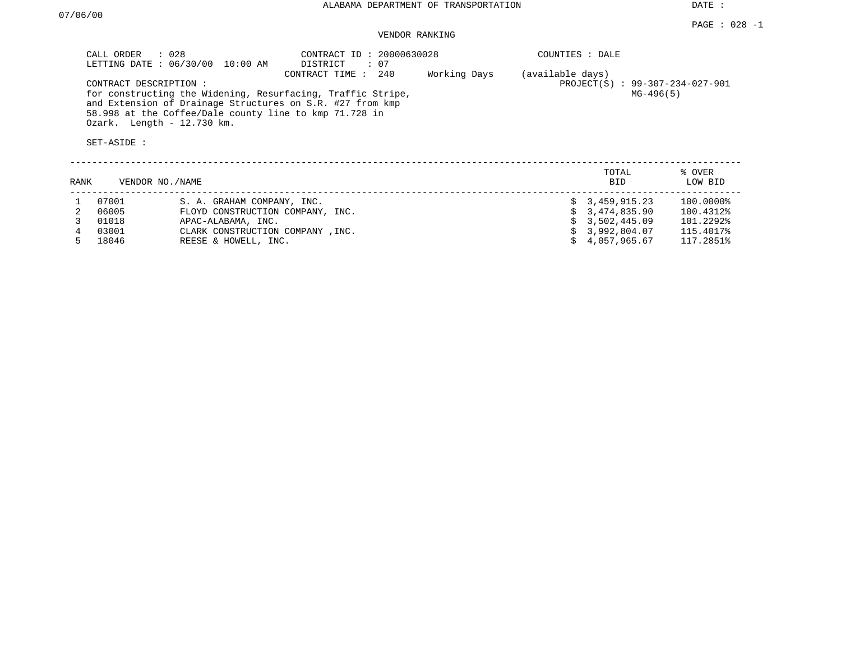DATE :

### VENDOR RANKING

| : 028<br>CALL ORDER<br>LETTING DATE: 06/30/00<br>10:00 AM                                                                                                                                                                                 | CONTRACT ID: 20000630028<br>: 07<br>DISTRICT |              | COUNTIES : DALE                                     |             |        |
|-------------------------------------------------------------------------------------------------------------------------------------------------------------------------------------------------------------------------------------------|----------------------------------------------|--------------|-----------------------------------------------------|-------------|--------|
| CONTRACT DESCRIPTION:<br>for constructing the Widening, Resurfacing, Traffic Stripe,<br>and Extension of Drainage Structures on S.R. #27 from kmp<br>58.998 at the Coffee/Dale county line to kmp 71.728 in<br>Ozark. Length - 12.730 km. | 240<br>CONTRACT TIME:                        | Working Days | (available days)<br>PROJECT(S) : 99-307-234-027-901 | $MG-496(5)$ |        |
| SET-ASIDE:                                                                                                                                                                                                                                |                                              |              |                                                     |             |        |
|                                                                                                                                                                                                                                           |                                              |              | TOTAL                                               |             | % OVER |

| RANK   | VENDOR NO./NAME |                                  | <b>BID</b>      | LOW BID   |
|--------|-----------------|----------------------------------|-----------------|-----------|
|        | 1 07001         | S. A. GRAHAM COMPANY, INC.       | \$3,459,915.23  | 100.0000% |
|        | 06005           | FLOYD CONSTRUCTION COMPANY, INC. | \$3,474,835.90  | 100.4312% |
|        | 01018           | APAC-ALABAMA, INC.               | \$3,502,445.09  | 101.2292% |
|        | 03001           | CLARK CONSTRUCTION COMPANY, INC. | \$ 3,992,804.07 | 115.4017% |
| $\sim$ | 18046           | REESE & HOWELL, INC.             | \$4,057,965.67  | 117.2851% |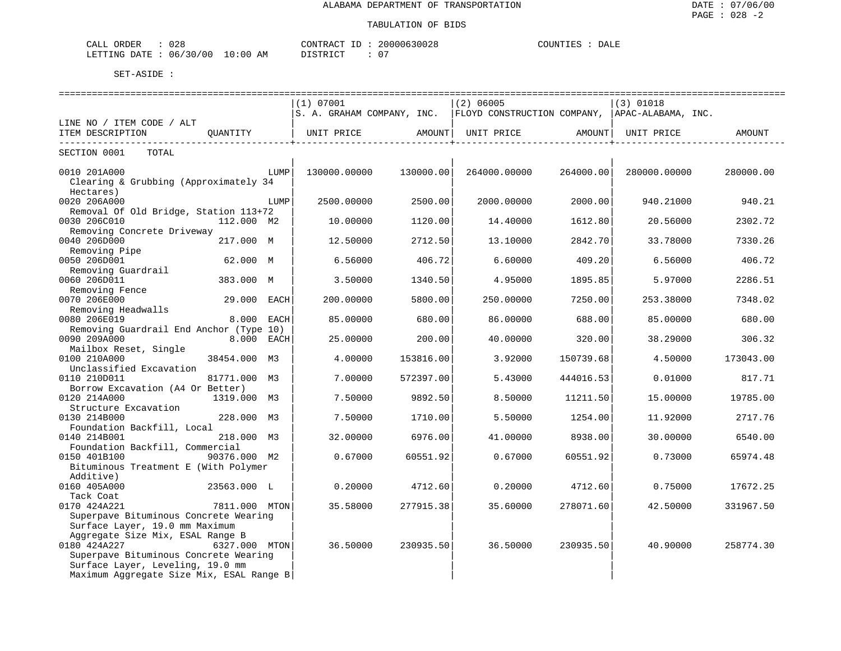| 028<br><b>ORDER</b><br>CALL |             | $ -$<br>$\cap$ $\cap$ $\cap$<br>$\mathbb{R} \times \mathbb{R} \cap \mathbb{R}$ | 30028<br>.00006 | COUNTIL<br>$  -$<br>DATF |
|-----------------------------|-------------|--------------------------------------------------------------------------------|-----------------|--------------------------|
| 06/30/00<br>LETTING DATE    | 10:00<br>AM | 11.1                                                                           | $\mathbf{u}$    |                          |

| =======================                                                      |               |      |                                                                                  |           |              |                              |              |           |
|------------------------------------------------------------------------------|---------------|------|----------------------------------------------------------------------------------|-----------|--------------|------------------------------|--------------|-----------|
|                                                                              |               |      | (1) 07001                                                                        |           | $(2)$ 06005  |                              | $(3)$ 01018  |           |
|                                                                              |               |      | $ S. A. GRAHAM COMPANY, INC.   FLOYD CONSTRUCTION COMPANY,   APAC-ALABAMA, INC.$ |           |              |                              |              |           |
| LINE NO / ITEM CODE / ALT                                                    |               |      |                                                                                  |           |              |                              |              |           |
| ITEM DESCRIPTION                                                             | OUANTITY      |      | UNIT PRICE                                                                       | AMOUNT    | UNIT PRICE   | AMOUNT<br>__________________ | UNIT PRICE   | AMOUNT    |
| TOTAL<br>SECTION 0001                                                        |               |      |                                                                                  |           |              |                              |              |           |
|                                                                              |               |      |                                                                                  |           |              |                              |              |           |
| 0010 201A000                                                                 |               | LUMP | 130000.00000                                                                     | 130000.00 | 264000.00000 | 264000.00                    | 280000.00000 | 280000.00 |
| Clearing & Grubbing (Approximately 34                                        |               |      |                                                                                  |           |              |                              |              |           |
| Hectares)<br>0020 206A000                                                    |               | LUMP | 2500.00000                                                                       | 2500.00   |              | 2000.00                      |              | 940.21    |
| Removal Of Old Bridge, Station 113+72                                        |               |      |                                                                                  |           | 2000.00000   |                              | 940.21000    |           |
| 0030 206C010                                                                 | 112.000 M2    |      | 10.00000                                                                         | 1120.00   | 14.40000     | 1612.80                      | 20.56000     | 2302.72   |
| Removing Concrete Driveway                                                   |               |      |                                                                                  |           |              |                              |              |           |
| 0040 206D000                                                                 | 217.000 M     |      | 12.50000                                                                         | 2712.50   | 13.10000     | 2842.70                      | 33.78000     | 7330.26   |
| Removing Pipe                                                                |               |      |                                                                                  |           |              |                              |              |           |
| 0050 206D001                                                                 | 62.000 M      |      | 6.56000                                                                          | 406.72    | 6.60000      | 409.20                       | 6.56000      | 406.72    |
| Removing Guardrail                                                           |               |      |                                                                                  |           |              |                              |              |           |
| 0060 206D011                                                                 | 383.000 M     |      | 3.50000                                                                          | 1340.50   | 4.95000      | 1895.85                      | 5.97000      | 2286.51   |
| Removing Fence                                                               |               |      |                                                                                  |           |              |                              |              |           |
| 0070 206E000                                                                 | 29.000 EACH   |      | 200.00000                                                                        | 5800.00   | 250.00000    | 7250.00                      | 253.38000    | 7348.02   |
| Removing Headwalls                                                           |               |      |                                                                                  |           |              |                              |              |           |
| 0080 206E019                                                                 | 8.000 EACH    |      | 85.00000                                                                         | 680.00    | 86.00000     | 688.00                       | 85.00000     | 680.00    |
| Removing Guardrail End Anchor (Type 10)                                      |               |      |                                                                                  |           |              |                              |              |           |
| 0090 209A000                                                                 | 8.000 EACH    |      | 25.00000                                                                         | 200.00    | 40.00000     | 320.00                       | 38.29000     | 306.32    |
| Mailbox Reset, Single                                                        |               |      |                                                                                  |           |              |                              |              |           |
| 0100 210A000                                                                 | 38454.000 M3  |      | 4.00000                                                                          | 153816.00 | 3.92000      | 150739.68                    | 4.50000      | 173043.00 |
| Unclassified Excavation                                                      |               |      |                                                                                  |           |              |                              |              |           |
| 0110 210D011                                                                 | 81771.000 M3  |      | 7.00000                                                                          | 572397.00 | 5.43000      | 444016.53                    | 0.01000      | 817.71    |
| Borrow Excavation (A4 Or Better)<br>0120 214A000                             | 1319.000 M3   |      |                                                                                  |           |              |                              | 15.00000     | 19785.00  |
| Structure Excavation                                                         |               |      | 7.50000                                                                          | 9892.50   | 8.50000      | 11211.50                     |              |           |
| 0130 214B000                                                                 | 228.000 M3    |      | 7.50000                                                                          | 1710.00   | 5.50000      | 1254.00                      | 11.92000     | 2717.76   |
| Foundation Backfill, Local                                                   |               |      |                                                                                  |           |              |                              |              |           |
| 0140 214B001                                                                 | 218.000 M3    |      | 32.00000                                                                         | 6976.00   | 41.00000     | 8938.00                      | 30.00000     | 6540.00   |
| Foundation Backfill, Commercial                                              |               |      |                                                                                  |           |              |                              |              |           |
| 0150 401B100                                                                 | 90376.000 M2  |      | 0.67000                                                                          | 60551.92  | 0.67000      | 60551.92                     | 0.73000      | 65974.48  |
| Bituminous Treatment E (With Polymer                                         |               |      |                                                                                  |           |              |                              |              |           |
| Additive)                                                                    |               |      |                                                                                  |           |              |                              |              |           |
| 0160 405A000                                                                 | 23563.000 L   |      | 0.20000                                                                          | 4712.60   | 0.20000      | 4712.60                      | 0.75000      | 17672.25  |
| Tack Coat                                                                    |               |      |                                                                                  |           |              |                              |              |           |
| 0170 424A221                                                                 | 7811.000 MTON |      | 35.58000                                                                         | 277915.38 | 35.60000     | 278071.60                    | 42.50000     | 331967.50 |
| Superpave Bituminous Concrete Wearing                                        |               |      |                                                                                  |           |              |                              |              |           |
| Surface Layer, 19.0 mm Maximum                                               |               |      |                                                                                  |           |              |                              |              |           |
| Aggregate Size Mix, ESAL Range B                                             |               |      |                                                                                  |           |              |                              |              |           |
| 0180 424A227                                                                 | 6327.000 MTON |      | 36.50000                                                                         | 230935.50 | 36.50000     | 230935.50                    | 40.90000     | 258774.30 |
| Superpave Bituminous Concrete Wearing                                        |               |      |                                                                                  |           |              |                              |              |           |
| Surface Layer, Leveling, 19.0 mm<br>Maximum Aggregate Size Mix, ESAL Range B |               |      |                                                                                  |           |              |                              |              |           |
|                                                                              |               |      |                                                                                  |           |              |                              |              |           |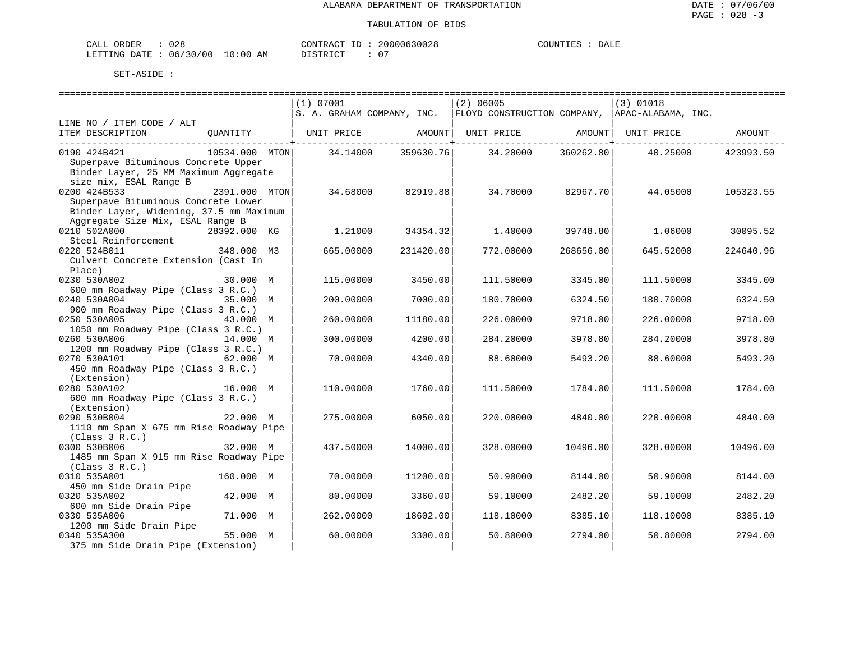| ORDER<br>CALL                    | 028 | CONTRACT ID: | 20000630028 | COUNTIES |  | DALE |
|----------------------------------|-----|--------------|-------------|----------|--|------|
| LETTING DATE : 06/30/00 10:00 AM |     | DISTRICT     | $\cap$      |          |  |      |

|                                                                 |              | (1) 07001               |                     | $(2)$ 06005        |                   | (3) 01018<br>S. A. GRAHAM COMPANY, INC. FLOYD CONSTRUCTION COMPANY, APAC-ALABAMA, INC. |           |
|-----------------------------------------------------------------|--------------|-------------------------|---------------------|--------------------|-------------------|----------------------------------------------------------------------------------------|-----------|
| LINE NO / ITEM CODE / ALT                                       |              |                         |                     |                    |                   |                                                                                        |           |
| ITEM DESCRIPTION                                                |              |                         |                     |                    |                   |                                                                                        |           |
| ---------------------------------                               |              |                         | ------------+------ |                    | ------------+---- |                                                                                        |           |
| 0190 424B421                                                    |              | 10534.000 MTON 34.14000 |                     | 359630.76 34.20000 | 360262.80         | 40.25000                                                                               | 423993.50 |
| Superpave Bituminous Concrete Upper                             |              |                         |                     |                    |                   |                                                                                        |           |
| Binder Layer, 25 MM Maximum Aggregate<br>size mix, ESAL Range B |              |                         |                     |                    |                   |                                                                                        |           |
| $2391.000$ MTON<br>0200 424B533                                 |              | 34.68000                | 82919.88            | 34.70000           | 82967.701         | 44.05000                                                                               | 105323.55 |
| Superpave Bituminous Concrete Lower                             |              |                         |                     |                    |                   |                                                                                        |           |
| Binder Layer, Widening, 37.5 mm Maximum                         |              |                         |                     |                    |                   |                                                                                        |           |
| Aggregate Size Mix, ESAL Range B                                |              |                         |                     |                    |                   |                                                                                        |           |
| 0210 502A000                                                    | 28392.000 KG | 1,21000                 | 34354.32            | 1.40000            | 39748.80          | 1.06000                                                                                | 30095.52  |
| Steel Reinforcement                                             |              |                         |                     |                    |                   |                                                                                        |           |
| 0220 524B011<br>348.000 M3                                      |              | 665.00000               | 231420.00           | 772.00000          | 268656.00         | 645.52000                                                                              | 224640.96 |
| Culvert Concrete Extension (Cast In                             |              |                         |                     |                    |                   |                                                                                        |           |
| Place)                                                          |              |                         |                     |                    |                   |                                                                                        |           |
| 0230 530A002                                                    | 30.000 M     | 115.00000               | 3450.00             | 111.50000          | 3345.00           | 111.50000                                                                              | 3345.00   |
| 600 mm Roadway Pipe (Class 3 R.C.)                              |              |                         |                     |                    |                   |                                                                                        |           |
| 0240 530A004                                                    | 35.000 M     | 200.00000               | 7000.00             | 180.70000          | 6324.50           | 180.70000                                                                              | 6324.50   |
| 900 mm Roadway Pipe (Class 3 R.C.)<br>0250 530A005              | 43.000 M     | 260.00000               | 11180.00            | 226.00000          | 9718.00           | 226.00000                                                                              | 9718.00   |
| 1050 mm Roadway Pipe (Class 3 R.C.)                             |              |                         |                     |                    |                   |                                                                                        |           |
| 0260 530A006                                                    | 14.000 M     | 300.00000               | 4200.00             | 284.20000          | 3978.80           | 284.20000                                                                              | 3978.80   |
| 1200 mm Roadway Pipe (Class 3 R.C.)                             |              |                         |                     |                    |                   |                                                                                        |           |
| 62.000 M<br>0270 530A101                                        |              | 70.00000                | 4340.00             | 88.60000           | 5493.20           | 88.60000                                                                               | 5493.20   |
| 450 mm Roadway Pipe (Class 3 R.C.)                              |              |                         |                     |                    |                   |                                                                                        |           |
| (Extension)                                                     |              |                         |                     |                    |                   |                                                                                        |           |
| 0280 530A102                                                    | 16.000 M     | 110.00000               | 1760.00             | 111.50000          | 1784.00           | 111.50000                                                                              | 1784.00   |
| 600 mm Roadway Pipe (Class 3 R.C.)                              |              |                         |                     |                    |                   |                                                                                        |           |
| (Extension)                                                     |              |                         |                     |                    |                   |                                                                                        |           |
| 0290 530B004                                                    | 22.000 M     | 275,00000               | 6050.00             | 220,00000          | 4840.00           | 220,00000                                                                              | 4840.00   |
| 1110 mm Span X 675 mm Rise Roadway Pipe                         |              |                         |                     |                    |                   |                                                                                        |           |
| (Class 3 R.C.)<br>0300 530B006                                  | 32.000 M     | 437.50000               | 14000.00            | 328,00000          | 10496.00          | 328,00000                                                                              | 10496.00  |
| 1485 mm Span X 915 mm Rise Roadway Pipe                         |              |                         |                     |                    |                   |                                                                                        |           |
| (Class 3 R.C.)                                                  |              |                         |                     |                    |                   |                                                                                        |           |
| 0310 535A001                                                    | 160.000 M    | 70.00000                | 11200.00            | 50.90000           | 8144.00           | 50.90000                                                                               | 8144.00   |
| 450 mm Side Drain Pipe                                          |              |                         |                     |                    |                   |                                                                                        |           |
| 0320 535A002                                                    | 42.000 M     | 80.00000                | 3360.00             | 59.10000           | 2482.20           | 59.10000                                                                               | 2482.20   |
| 600 mm Side Drain Pipe                                          |              |                         |                     |                    |                   |                                                                                        |           |
| 0330 535A006                                                    | 71.000 M     | 262.00000               | 18602.00            | 118.10000          | 8385.10           | 118.10000                                                                              | 8385.10   |
| 1200 mm Side Drain Pipe                                         |              |                         |                     |                    |                   |                                                                                        |           |
| 0340 535A300                                                    | 55.000 M     | 60.00000                | 3300.00             | 50.80000           | 2794.00           | 50.80000                                                                               | 2794.00   |
| 375 mm Side Drain Pipe (Extension)                              |              |                         |                     |                    |                   |                                                                                        |           |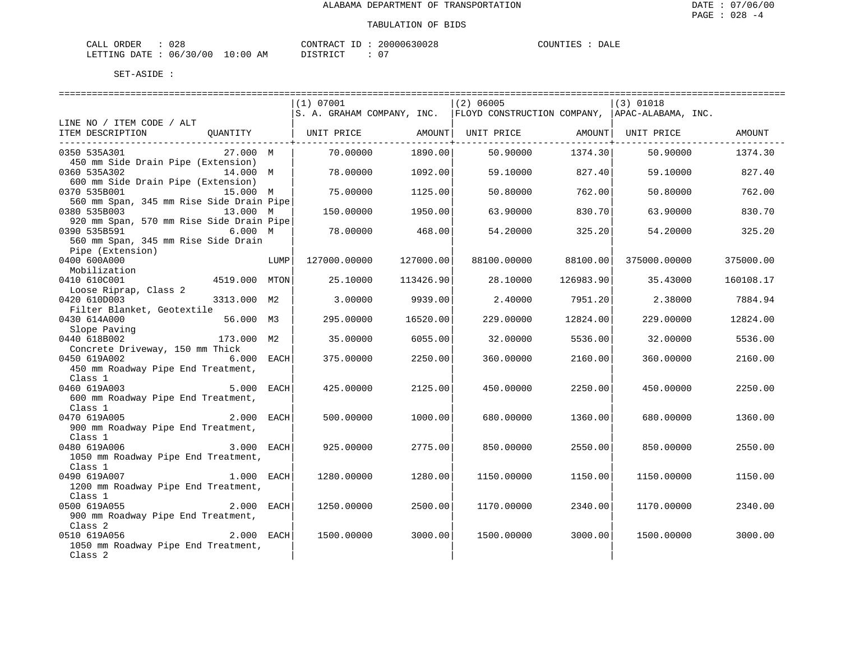| ORDER<br>CALL | 028      |             | CONTRACT             | 20000630028 | COUNTIES | DALE |
|---------------|----------|-------------|----------------------|-------------|----------|------|
| LETTING DATE  | 06/30/00 | 10:00<br>AΜ | DISTRICT<br>ມ⊥ມ⊥ນ⊥ພ⊥ | ∩ ⊓         |          |      |

|                                          |               |      | (1) 07001         |           | $(2)$ 06005                                                                      |           | $(3)$ 01018  |           |
|------------------------------------------|---------------|------|-------------------|-----------|----------------------------------------------------------------------------------|-----------|--------------|-----------|
|                                          |               |      |                   |           | $ S. A. GRAHAM COMPANY, INC.   FLOYD CONSTRUCTION COMPANY,   APAC-ALABAMA, INC.$ |           |              |           |
| LINE NO / ITEM CODE / ALT                |               |      |                   |           |                                                                                  |           |              |           |
| ITEM DESCRIPTION                         | QUANTITY      |      | UNIT PRICE AMOUNT |           | UNIT PRICE AMOUNT                                                                |           | UNIT PRICE   | AMOUNT    |
| ----------------------------             |               |      |                   |           |                                                                                  |           |              |           |
| 0350 535A301                             | 27.000 M      |      | 70.00000          | 1890.00   | 50.90000                                                                         | 1374.30   | 50.90000     | 1374.30   |
| 450 mm Side Drain Pipe (Extension)       |               |      |                   |           |                                                                                  |           |              |           |
| 0360 535A302                             | 14.000 M      |      | 78.00000          | 1092.00   | 59.10000 827.40                                                                  |           | 59.10000     | 827.40    |
| 600 mm Side Drain Pipe (Extension)       |               |      |                   |           |                                                                                  |           |              |           |
| 0370 535B001                             | 15.000 M      |      | 75.00000          | 1125.00   | 50.80000                                                                         | 762.00    | 50.80000     | 762.00    |
| 560 mm Span, 345 mm Rise Side Drain Pipe |               |      |                   |           |                                                                                  |           |              |           |
| 0380 535B003                             | 13.000 M      |      | 150.00000         | 1950.00   | 63.90000                                                                         | 830.70    | 63.90000     | 830.70    |
| 920 mm Span, 570 mm Rise Side Drain Pipe |               |      |                   |           |                                                                                  |           |              |           |
| 0390 535B591                             | 6.000 M       |      | 78.00000          | 468.00    | 54.20000                                                                         | 325.20    | 54.20000     | 325.20    |
| 560 mm Span, 345 mm Rise Side Drain      |               |      |                   |           |                                                                                  |           |              |           |
|                                          |               |      |                   |           |                                                                                  |           |              |           |
| Pipe (Extension)                         |               |      |                   |           |                                                                                  |           |              |           |
| 0400 600A000                             |               | LUMP | 127000.00000      | 127000.00 | 88100.00000                                                                      | 88100.00  | 375000.00000 | 375000.00 |
| Mobilization                             |               |      |                   |           |                                                                                  |           |              |           |
| 0410 610C001                             | 4519.000 MTON |      | 25.10000          | 113426.90 | 28.10000                                                                         | 126983.90 | 35.43000     | 160108.17 |
| Loose Riprap, Class 2                    |               |      |                   |           |                                                                                  |           |              |           |
| 0420 610D003                             | 3313.000 M2   |      | 3.00000           | 9939.00   | 2.40000                                                                          | 7951.20   | 2.38000      | 7884.94   |
| Filter Blanket, Geotextile               |               |      |                   |           |                                                                                  |           |              |           |
| 0430 614A000                             | 56.000 M3     |      | 295,00000         | 16520.00  | 229,00000                                                                        | 12824.00  | 229,00000    | 12824.00  |
| Slope Paving                             |               |      |                   |           |                                                                                  |           |              |           |
| 0440 618B002                             | 173.000 M2    |      | 35,00000          | 6055.00   | 32.00000                                                                         | 5536.00   | 32.00000     | 5536.00   |
| Concrete Driveway, 150 mm Thick          |               |      |                   |           |                                                                                  |           |              |           |
| 0450 619A002                             | 6.000 EACH    |      | 375.00000         | 2250.00   | 360.00000                                                                        | 2160.00   | 360.00000    | 2160.00   |
| 450 mm Roadway Pipe End Treatment,       |               |      |                   |           |                                                                                  |           |              |           |
| Class 1                                  |               |      |                   |           |                                                                                  |           |              |           |
| 0460 619A003                             | 5.000 EACH    |      | 425.00000         | 2125.00   | 450.00000                                                                        | 2250.00   | 450.00000    | 2250.00   |
| 600 mm Roadway Pipe End Treatment,       |               |      |                   |           |                                                                                  |           |              |           |
| Class 1                                  |               |      |                   |           |                                                                                  |           |              |           |
| 2.000 EACH<br>0470 619A005               |               |      | 500.00000         | 1000.00   | 680.00000                                                                        | 1360.00   | 680,00000    | 1360.00   |
| 900 mm Roadway Pipe End Treatment,       |               |      |                   |           |                                                                                  |           |              |           |
| Class 1                                  |               |      |                   |           |                                                                                  |           |              |           |
| 0480 619A006                             | $3.000$ EACH  |      | 925.00000         | 2775.00   | 850.00000                                                                        | 2550.00   | 850.00000    | 2550.00   |
| 1050 mm Roadway Pipe End Treatment,      |               |      |                   |           |                                                                                  |           |              |           |
| Class 1                                  |               |      |                   |           |                                                                                  |           |              |           |
| 0490 619A007                             | 1.000 EACH    |      | 1280.00000        | 1280.00   | 1150.00000                                                                       | 1150.00   | 1150.00000   | 1150.00   |
| 1200 mm Roadway Pipe End Treatment,      |               |      |                   |           |                                                                                  |           |              |           |
| Class 1                                  |               |      |                   |           |                                                                                  |           |              |           |
| 2.000 EACH<br>0500 619A055               |               |      | 1250.00000        | 2500.00   | 1170.00000                                                                       | 2340.00   | 1170.00000   | 2340.00   |
| 900 mm Roadway Pipe End Treatment,       |               |      |                   |           |                                                                                  |           |              |           |
| Class 2                                  |               |      |                   |           |                                                                                  |           |              |           |
| 0510 619A056                             | $2.000$ EACH  |      | 1500.00000        | 3000.00   | 1500.00000                                                                       | 3000.001  | 1500.00000   | 3000.00   |
| 1050 mm Roadway Pipe End Treatment,      |               |      |                   |           |                                                                                  |           |              |           |
| Class <sub>2</sub>                       |               |      |                   |           |                                                                                  |           |              |           |
|                                          |               |      |                   |           |                                                                                  |           |              |           |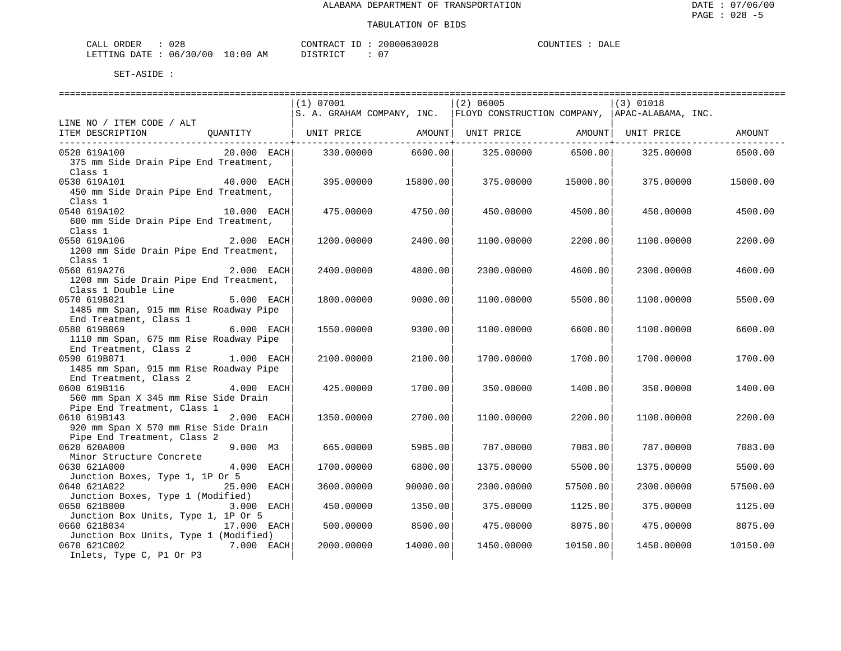| 028<br>CALL<br>ORDER           |    | CONTRACT<br>TD.           | 20000630028 | DALE<br><b>~OUNTIES</b> |
|--------------------------------|----|---------------------------|-------------|-------------------------|
| 06/30/00 10:00<br>LETTING DATE | AM | DISTR'<br>$T \cap T$<br>. | $\sim$ $-$  |                         |

|                                                                              |             | ==============================                                            |                             |            |                      | ============================== |          |
|------------------------------------------------------------------------------|-------------|---------------------------------------------------------------------------|-----------------------------|------------|----------------------|--------------------------------|----------|
|                                                                              |             | (1) 07001                                                                 |                             | (2) 06005  |                      | $(3)$ 01018                    |          |
|                                                                              |             | S. A. GRAHAM COMPANY, INC. FLOYD CONSTRUCTION COMPANY, APAC-ALABAMA, INC. |                             |            |                      |                                |          |
| LINE NO / ITEM CODE / ALT                                                    |             |                                                                           |                             |            |                      |                                |          |
| ITEM DESCRIPTION OUANTITY   UNIT PRICE AMOUNT  UNIT PRICE AMOUNT  UNIT PRICE |             |                                                                           |                             |            |                      |                                | AMOUNT   |
|                                                                              |             |                                                                           | -----------------+--------- |            | ------------------+- |                                |          |
| 0520 619A100                                                                 | 20.000 EACH | 330.00000                                                                 | 6600.00                     | 325.00000  | 6500.00              | 325,00000                      | 6500.00  |
| 375 mm Side Drain Pipe End Treatment,                                        |             |                                                                           |                             |            |                      |                                |          |
| Class 1                                                                      |             |                                                                           |                             |            |                      |                                |          |
| 40.000 EACH<br>0530 619A101                                                  |             | 395.00000                                                                 | 15800.00                    | 375,00000  | 15000.00             | 375.00000                      | 15000.00 |
| 450 mm Side Drain Pipe End Treatment,                                        |             |                                                                           |                             |            |                      |                                |          |
| Class 1                                                                      |             |                                                                           |                             |            |                      |                                |          |
| 0540 619A102                                                                 | 10.000 EACH | 475.00000                                                                 | 4750.00                     | 450.00000  | 4500.00              | 450.00000                      | 4500.00  |
| 600 mm Side Drain Pipe End Treatment,                                        |             |                                                                           |                             |            |                      |                                |          |
| Class 1                                                                      |             |                                                                           |                             |            |                      |                                |          |
| 0550 619A106                                                                 | 2.000 EACH  |                                                                           |                             |            |                      |                                |          |
|                                                                              |             | 1200.00000                                                                | 2400.00                     | 1100.00000 | 2200.00              | 1100.00000                     | 2200.00  |
| 1200 mm Side Drain Pipe End Treatment,                                       |             |                                                                           |                             |            |                      |                                |          |
| Class 1                                                                      |             |                                                                           |                             |            |                      |                                |          |
| 2.000 EACH<br>0560 619A276                                                   |             | 2400.00000                                                                | 4800.00                     | 2300.00000 | 4600.00              | 2300.00000                     | 4600.00  |
| 1200 mm Side Drain Pipe End Treatment,                                       |             |                                                                           |                             |            |                      |                                |          |
| Class 1 Double Line                                                          |             |                                                                           |                             |            |                      |                                |          |
| 0570 619B021                                                                 | 5.000 EACH  | 1800.00000                                                                | 9000.00                     | 1100.00000 | 5500.00              | 1100.00000                     | 5500.00  |
| 1485 mm Span, 915 mm Rise Roadway Pipe                                       |             |                                                                           |                             |            |                      |                                |          |
| End Treatment, Class 1                                                       |             |                                                                           |                             |            |                      |                                |          |
| 0580 619B069                                                                 | 6.000 EACH  | 1550.00000                                                                | 9300.00                     | 1100.00000 | 6600.00              | 1100.00000                     | 6600.00  |
| 1110 mm Span, 675 mm Rise Roadway Pipe                                       |             |                                                                           |                             |            |                      |                                |          |
| End Treatment, Class 2                                                       |             |                                                                           |                             |            |                      |                                |          |
| 0590 619B071                                                                 | 1.000 EACH  | 2100.00000                                                                | 2100.00                     | 1700.00000 | 1700.00              | 1700.00000                     | 1700.00  |
| 1485 mm Span, 915 mm Rise Roadway Pipe                                       |             |                                                                           |                             |            |                      |                                |          |
| End Treatment, Class 2                                                       |             |                                                                           |                             |            |                      |                                |          |
| 0600 619B116                                                                 | 4.000 EACH  | 425.00000                                                                 | 1700.00                     | 350.00000  | 1400.00              | 350.00000                      | 1400.00  |
| 560 mm Span X 345 mm Rise Side Drain                                         |             |                                                                           |                             |            |                      |                                |          |
| Pipe End Treatment, Class 1                                                  |             |                                                                           |                             |            |                      |                                |          |
| 0610 619B143                                                                 | 2.000 EACH  | 1350.00000                                                                | 2700.00                     | 1100.00000 | 2200.00              | 1100.00000                     | 2200.00  |
|                                                                              |             |                                                                           |                             |            |                      |                                |          |
| 920 mm Span X 570 mm Rise Side Drain                                         |             |                                                                           |                             |            |                      |                                |          |
| Pipe End Treatment, Class 2                                                  |             |                                                                           |                             |            |                      |                                |          |
| 0620 620A000                                                                 | $9.000$ M3  | 665,00000                                                                 | 5985.00                     | 787.00000  | 7083.00              | 787.00000                      | 7083.00  |
| Minor Structure Concrete                                                     |             |                                                                           |                             |            |                      |                                |          |
| 0630 621A000                                                                 | 4.000 EACH  | 1700.00000                                                                | 6800.00                     | 1375.00000 | 5500.00              | 1375.00000                     | 5500.00  |
| Junction Boxes, Type 1, 1P Or 5                                              |             |                                                                           |                             |            |                      |                                |          |
| 0640 621A022                                                                 | 25.000 EACH | 3600.00000                                                                | 90000.00                    | 2300.00000 | 57500.00             | 2300.00000                     | 57500.00 |
| Junction Boxes, Type 1 (Modified)                                            |             |                                                                           |                             |            |                      |                                |          |
| 0650 621B000                                                                 | 3.000 EACH  | 450.00000                                                                 | 1350.00                     | 375.00000  | 1125.00              | 375.00000                      | 1125.00  |
| Junction Box Units, Type 1, 1P Or 5                                          |             |                                                                           |                             |            |                      |                                |          |
| 0660 621B034                                                                 | 17.000 EACH | 500.00000                                                                 | 8500.00                     | 475.00000  | 8075.00              | 475.00000                      | 8075.00  |
| Junction Box Units, Type 1 (Modified)                                        |             |                                                                           |                             |            |                      |                                |          |
| 0670 621C002                                                                 | 7.000 EACH  | 2000.00000                                                                | 14000.00                    | 1450.00000 | 10150.00             | 1450.00000                     | 10150.00 |
| Inlets, Type C, P1 Or P3                                                     |             |                                                                           |                             |            |                      |                                |          |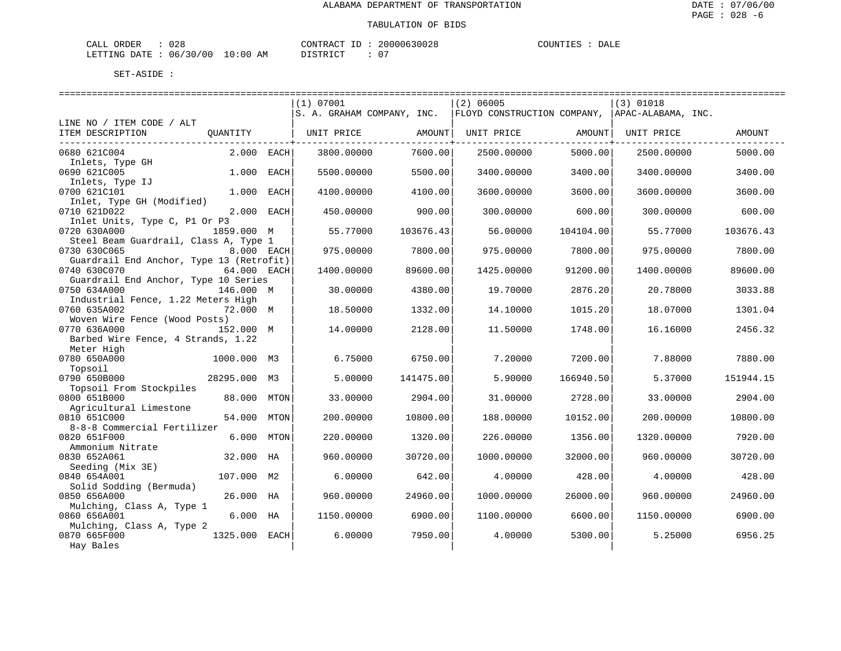| CALL ORDER | 028                              |          |  | CONTRACT ID: 20000630028 | COUNTIES |  | DALE |
|------------|----------------------------------|----------|--|--------------------------|----------|--|------|
|            | LETTING DATE : 06/30/00 10:00 AM | DISTRICT |  | $\sim$                   |          |  |      |

|                                                          |               |                | (1) 07001                  |           | (2) 06005                   |           | $(3)$ 01018        |           |
|----------------------------------------------------------|---------------|----------------|----------------------------|-----------|-----------------------------|-----------|--------------------|-----------|
|                                                          |               |                | S. A. GRAHAM COMPANY, INC. |           | FLOYD CONSTRUCTION COMPANY, |           | APAC-ALABAMA, INC. |           |
| LINE NO / ITEM CODE / ALT                                |               |                |                            |           |                             |           |                    |           |
| ITEM DESCRIPTION                                         | OUANTITY      |                | UNIT PRICE                 | AMOUNT    | UNIT PRICE                  | AMOUNT    | UNIT PRICE         | AMOUNT    |
| 0680 621C004                                             | 2.000         | EACH           | 3800.00000                 | 7600.00   | 2500.00000                  | 5000.00   | 2500.00000         | 5000.00   |
| Inlets, Type GH                                          |               |                |                            |           |                             |           |                    |           |
| 0690 621C005                                             | 1,000         | EACH           | 5500.00000                 | 5500.00   | 3400.00000                  | 3400.00   | 3400.00000         | 3400.00   |
| Inlets, Type IJ<br>0700 621C101                          | 1.000         | EACH           | 4100.00000                 | 4100.00   | 3600.00000                  | 3600.00   | 3600.00000         | 3600.00   |
| Inlet, Type GH (Modified)<br>0710 621D022                | 2,000         | EACH           | 450.00000                  | 900.00    | 300.00000                   | 600.00    | 300.00000          | 600.00    |
| Inlet Units, Type C, P1 Or P3                            |               |                |                            |           |                             |           |                    |           |
| 0720 630A000<br>Steel Beam Guardrail, Class A, Type 1    | 1859.000 M    |                | 55.77000                   | 103676.43 | 56.00000                    | 104104.00 | 55.77000           | 103676.43 |
| 0730 630C065                                             | 8.000 EACH    |                | 975.00000                  | 7800.00   | 975.00000                   | 7800.00   | 975.00000          | 7800.00   |
| Guardrail End Anchor, Type 13 (Retrofit)<br>0740 630C070 | 64.000 EACH   |                | 1400.00000                 | 89600.00  | 1425.00000                  | 91200.00  | 1400.00000         | 89600.00  |
| Guardrail End Anchor, Type 10 Series                     |               |                |                            |           |                             |           |                    |           |
| 0750 634A000<br>Industrial Fence, 1.22 Meters High       | 146.000 M     |                | 30.00000                   | 4380.00   | 19.70000                    | 2876.20   | 20.78000           | 3033.88   |
| 0760 635A002                                             | 72.000 M      |                | 18.50000                   | 1332.00   | 14.10000                    | 1015.20   | 18.07000           | 1301.04   |
| Woven Wire Fence (Wood Posts)                            |               |                |                            |           |                             |           |                    |           |
| 0770 636A000                                             | 152.000 M     |                | 14,00000                   | 2128.00   | 11.50000                    | 1748.00   | 16.16000           | 2456.32   |
| Barbed Wire Fence, 4 Strands, 1.22                       |               |                |                            |           |                             |           |                    |           |
| Meter High<br>0780 650A000                               |               | M3             | 6.75000                    | 6750.00   | 7.20000                     | 7200.00   | 7.88000            | 7880.00   |
| Topsoil                                                  | 1000.000      |                |                            |           |                             |           |                    |           |
| 0790 650B000                                             | 28295.000     | M3             | 5.00000                    | 141475.00 | 5.90000                     | 166940.50 | 5.37000            | 151944.15 |
| Topsoil From Stockpiles                                  |               |                |                            |           |                             |           |                    |           |
| 0800 651B000                                             | 88,000        | MTON           | 33.00000                   | 2904.00   | 31,00000                    | 2728.00   | 33.00000           | 2904.00   |
| Agricultural Limestone                                   |               |                |                            |           |                             |           |                    |           |
| 0810 651C000                                             | 54.000        | <b>MTON</b>    | 200.00000                  | 10800.00  | 188.00000                   | 10152.00  | 200.00000          | 10800.00  |
| 8-8-8 Commercial Fertilizer                              |               |                |                            |           |                             |           |                    |           |
| 0820 651F000                                             | 6.000         | MTON           | 220.00000                  | 1320.00   | 226.00000                   | 1356.00   | 1320.00000         | 7920.00   |
| Ammonium Nitrate                                         |               |                |                            |           |                             |           |                    |           |
| 0830 652A061                                             | 32.000        | HA             | 960.00000                  | 30720.00  | 1000.00000                  | 32000.00  | 960.00000          | 30720.00  |
| Seeding (Mix 3E)                                         |               |                |                            |           |                             |           |                    |           |
| 0840 654A001<br>Solid Sodding (Bermuda)                  | 107.000       | M <sub>2</sub> | 6.00000                    | 642.00    | 4.00000                     | 428.00    | 4.00000            | 428.00    |
| 0850 656A000                                             | 26.000        | НA             | 960.00000                  | 24960.00  | 1000.00000                  | 26000.00  | 960,00000          | 24960.00  |
| Mulching, Class A, Type 1                                |               |                |                            |           |                             |           |                    |           |
| 0860 656A001                                             | 6.000 HA      |                | 1150.00000                 | 6900.00   | 1100.00000                  | 6600.00   | 1150.00000         | 6900.00   |
| Mulching, Class A, Type 2                                |               |                |                            |           |                             |           |                    |           |
| 0870 665F000                                             | 1325.000 EACH |                | 6.00000                    | 7950.00   | 4.00000                     | 5300.00   | 5.25000            | 6956.25   |
| Hay Bales                                                |               |                |                            |           |                             |           |                    |           |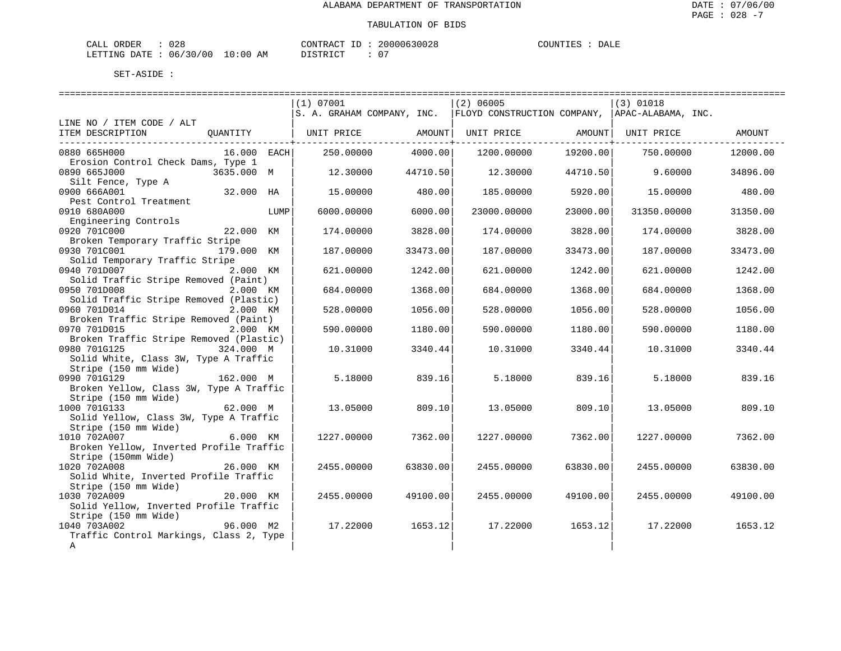| CALL | ORDER | 028                              | CONTRACT ID: |  | 20000630028   | COUNTIES | DALE |
|------|-------|----------------------------------|--------------|--|---------------|----------|------|
|      |       | LETTING DATE : 06/30/00 10:00 AM | DISTRICT     |  | $\sim$ $\sim$ |          |      |

|                                                                                                   |          | (1) 07001  |          | ============================<br>$(2)$ 06005 |          | (3) 01018                                                                 |          |
|---------------------------------------------------------------------------------------------------|----------|------------|----------|---------------------------------------------|----------|---------------------------------------------------------------------------|----------|
| LINE NO / ITEM CODE / ALT                                                                         |          |            |          |                                             |          | S. A. GRAHAM COMPANY, INC. FLOYD CONSTRUCTION COMPANY, APAC-ALABAMA, INC. |          |
| QUANTITY   UNIT PRICE   AMOUNT <br>ITEM DESCRIPTION                                               |          |            |          | UNIT PRICE AMOUNT UNIT PRICE                |          |                                                                           | AMOUNT   |
| 16.000 EACH<br>0880 665H000<br>Erosion Control Check Dams, Type 1                                 |          | 250.00000  | 4000.00  | 1200.00000                                  | 19200.00 | 750.00000                                                                 | 12000.00 |
| 0890 665J000<br>3635.000 M                                                                        |          | 12.30000   | 44710.50 | 12.30000                                    | 44710.50 | 9.60000                                                                   | 34896.00 |
| Silt Fence, Type A<br>32.000 HA<br>0900 666A001                                                   |          | 15,00000   | 480.00   | 185.00000                                   | 5920.00  | 15.00000                                                                  | 480.00   |
| Pest Control Treatment<br>0910 680A000                                                            | LUMP     | 6000.00000 | 6000.00  | 23000.00000                                 | 23000.00 | 31350.00000                                                               | 31350.00 |
| Engineering Controls<br>0920 701C000<br>22.000 KM                                                 |          | 174.00000  | 3828.00  | 174.00000                                   | 3828.00  | 174.00000                                                                 | 3828.00  |
| Broken Temporary Traffic Stripe<br>0930 701C001<br>179.000 KM                                     |          | 187.00000  | 33473.00 | 187.00000                                   | 33473.00 | 187.00000                                                                 | 33473.00 |
| Solid Temporary Traffic Stripe<br>0940 701D007                                                    | 2.000 KM | 621,00000  | 1242.00  | 621,00000                                   | 1242.00  | 621.00000                                                                 | 1242.00  |
| Solid Traffic Stripe Removed (Paint)<br>0950 701D008                                              | 2.000 KM | 684.00000  | 1368.00  | 684.00000                                   | 1368.00  | 684.00000                                                                 | 1368.00  |
| Solid Traffic Stripe Removed (Plastic)<br>0960 701D014                                            | 2.000 KM | 528.00000  | 1056.00  | 528.00000                                   | 1056.00  | 528.00000                                                                 | 1056.00  |
| Broken Traffic Stripe Removed (Paint)<br>0970 701D015                                             | 2.000 KM | 590.00000  | 1180.00  | 590.00000                                   | 1180.00  | 590.00000                                                                 | 1180.00  |
| Broken Traffic Stripe Removed (Plastic)<br>0980 701G125<br>324.000 M                              |          | 10.31000   | 3340.44  | 10.31000                                    | 3340.44  | 10.31000                                                                  | 3340.44  |
| Solid White, Class 3W, Type A Traffic<br>Stripe (150 mm Wide)                                     |          |            |          |                                             |          |                                                                           |          |
| 0990 701G129<br>162.000 M<br>Broken Yellow, Class 3W, Type A Traffic                              |          | 5.18000    | 839.16   | 5.18000                                     | 839.16   | 5.18000                                                                   | 839.16   |
| Stripe (150 mm Wide)<br>1000 701G133<br>62.000 M<br>Solid Yellow, Class 3W, Type A Traffic        |          | 13.05000   | 809.10   | 13.05000                                    | 809.10   | 13.05000                                                                  | 809.10   |
| Stripe (150 mm Wide)<br>1010 702A007<br>6.000 KM<br>Broken Yellow, Inverted Profile Traffic       |          | 1227.00000 | 7362.00  | 1227.00000                                  | 7362.00  | 1227.00000                                                                | 7362.00  |
| Stripe (150mm Wide)<br>1020 702A008<br>26.000 KM<br>Solid White, Inverted Profile Traffic         |          | 2455.00000 | 63830.00 | 2455.00000                                  | 63830.00 | 2455.00000                                                                | 63830.00 |
| Stripe (150 mm Wide)<br>1030 702A009<br>20.000 KM<br>Solid Yellow, Inverted Profile Traffic       |          | 2455.00000 | 49100.00 | 2455.00000                                  | 49100.00 | 2455.00000                                                                | 49100.00 |
| Stripe (150 mm Wide)<br>96.000 M2<br>1040 703A002<br>Traffic Control Markings, Class 2, Type<br>Α |          | 17.22000   | 1653.12  | 17.22000                                    | 1653.12  | 17.22000                                                                  | 1653.12  |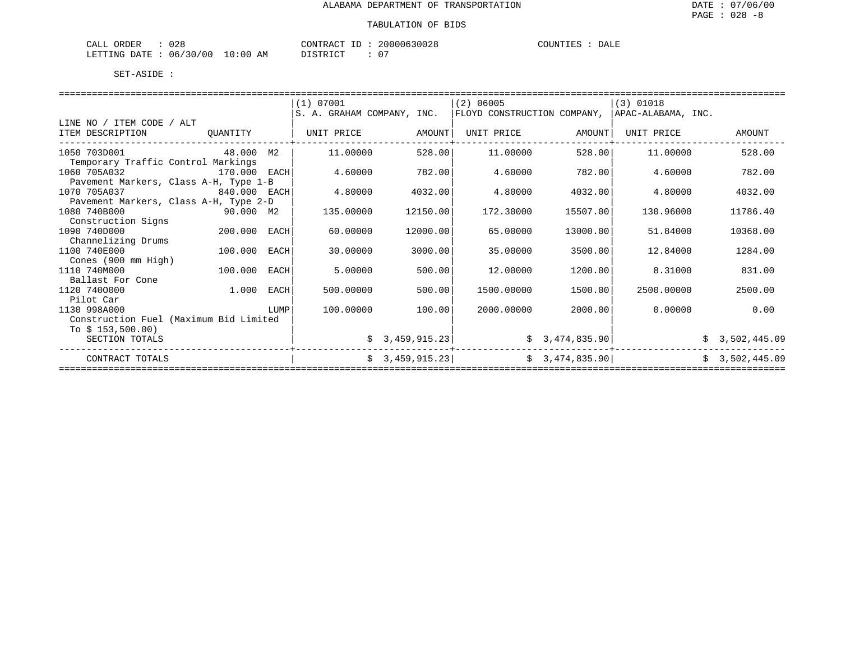| $\sim$<br>. п.<br>. <del>.</del><br>J ∠ O<br>دىسدىم |                                | $ -$<br>.ONTRAC |                   | $- - -$<br>. JITNTT<br>DALE |
|-----------------------------------------------------|--------------------------------|-----------------|-------------------|-----------------------------|
| 00 '<br>⊤י⊤ ∆ו<br>16<br>∩NG ⊑                       | ΔM<br>- 111<br>$\cdot$ $\cdot$ | . וחד           | $\cap$<br>$\cdot$ |                             |

|                                        |              |      | (1) 07001                  |                 | $(2)$ 06005                                     |                | $(3)$ 01018 |                |
|----------------------------------------|--------------|------|----------------------------|-----------------|-------------------------------------------------|----------------|-------------|----------------|
|                                        |              |      | S. A. GRAHAM COMPANY, INC. |                 | FLOYD CONSTRUCTION COMPANY,  APAC-ALABAMA, INC. |                |             |                |
| LINE NO / ITEM CODE / ALT              |              |      |                            |                 |                                                 |                |             |                |
| ITEM DESCRIPTION                       | QUANTITY     |      | UNIT PRICE                 | AMOUNT          | UNIT PRICE                                      | AMOUNT         | UNIT PRICE  | AMOUNT         |
|                                        |              |      |                            |                 |                                                 |                |             |                |
| 1050 703D001                           | 48.000       | M2   | 11,00000                   | 528.00          | 11,00000                                        | 528.00         | 11,00000    | 528.00         |
| Temporary Traffic Control Markings     |              |      |                            |                 |                                                 |                |             |                |
| 1060 705A032                           | 170.000 EACH |      | 4.60000                    | 782.00          | 4.60000                                         | 782.00         | 4.60000     | 782.00         |
| Pavement Markers, Class A-H, Type 1-B  |              |      |                            |                 |                                                 |                |             |                |
| 1070 705A037                           | 840.000 EACH |      | 4.80000                    | 4032.00         | 4.80000                                         | 4032.00        | 4.80000     | 4032.00        |
| Pavement Markers, Class A-H, Type 2-D  |              |      |                            |                 |                                                 |                |             |                |
| 1080 740B000                           |              |      | 135.00000                  | 12150.00        | 172.30000                                       | 15507.00       | 130.96000   | 11786.40       |
| Construction Signs                     |              |      |                            |                 |                                                 |                |             |                |
| 1090 740D000                           | 200.000      | EACH | 60.00000                   | 12000.00        | 65.00000                                        | 13000.00       | 51.84000    | 10368.00       |
| Channelizing Drums                     |              |      |                            |                 |                                                 |                |             |                |
| 1100 740E000                           | 100.000      | EACH | 30.00000                   | 3000.00         | 35.00000                                        | 3500.00        | 12.84000    | 1284.00        |
| Cones (900 mm High)                    |              |      |                            |                 |                                                 |                |             |                |
| 1110 740M000                           | 100.000      | EACH | 5.00000                    | 500.00          | 12,00000                                        | 1200.00        | 8.31000     | 831.00         |
| Ballast For Cone                       |              |      |                            |                 |                                                 |                |             |                |
| 1120 7400000                           | 1.000        | EACH | 500.00000                  | 500.00          | 1500.00000                                      | 1500.00        | 2500.00000  | 2500.00        |
| Pilot Car                              |              |      |                            |                 |                                                 |                |             |                |
| 1130 998A000                           |              | LUMP | 100.00000                  | 100.00          | 2000.00000                                      | 2000.00        | 0.00000     | 0.00           |
| Construction Fuel (Maximum Bid Limited |              |      |                            |                 |                                                 |                |             |                |
| To $$153,500.00)$                      |              |      |                            |                 |                                                 |                |             |                |
| SECTION TOTALS                         |              |      |                            | \$3,459,915.23] |                                                 | \$3,474,835.90 |             | \$3,502,445.09 |
|                                        |              |      |                            |                 |                                                 |                |             |                |
| CONTRACT TOTALS                        |              |      |                            | \$3,459,915.23] |                                                 | \$3,474,835.90 |             | \$3,502,445.09 |
|                                        |              |      |                            |                 |                                                 |                |             |                |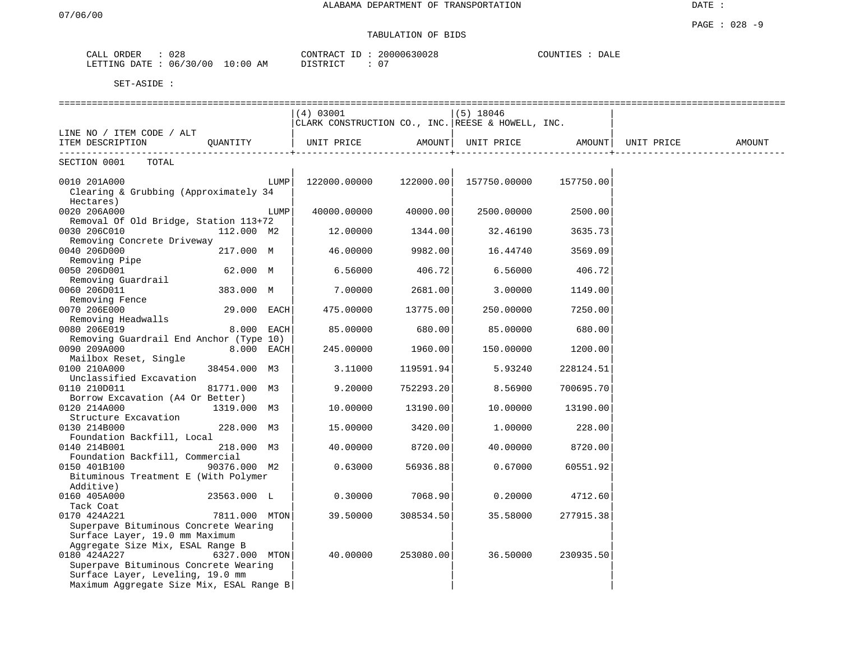# TABULATION OF BIDS

| ORDER<br>-'ALL                                      | 028          |                            | חידא∩י<br>$\pi$ $\sim$<br>$\cdots$ |  | 0028<br>$\sim$ $\sim$    | DALE |  |
|-----------------------------------------------------|--------------|----------------------------|------------------------------------|--|--------------------------|------|--|
| <b>ETTING</b><br>DA <del>m</del> p<br>∵ ⊿ س<br>ىللى | 06/<br>' O C | $\cap$<br>AМ<br>(1()<br>ᅩ∪ | $T \cap T$                         |  | $\sim$ $\sim$<br>$\cdot$ |      |  |

|                                                                         | (4) 03001                                         |           | $(5)$ 18046                                           |           |        |
|-------------------------------------------------------------------------|---------------------------------------------------|-----------|-------------------------------------------------------|-----------|--------|
|                                                                         | CLARK CONSTRUCTION CO., INC. REESE & HOWELL, INC. |           |                                                       |           |        |
| LINE NO / ITEM CODE / ALT                                               |                                                   |           |                                                       |           |        |
| ITEM DESCRIPTION QUANTITY                                               | UNIT PRICE                                        | AMOUNT    | UNIT PRICE AMOUNT   UNIT PRICE                        |           | AMOUNT |
| SECTION 0001 TOTAL                                                      |                                                   |           |                                                       |           |        |
| 0010 201A000                                                            | LUMP                                              |           | $122000.00000$ $122000.00$ $157750.00000$ $157750.00$ |           |        |
| Clearing & Grubbing (Approximately 34                                   |                                                   |           |                                                       |           |        |
| Hectares)                                                               |                                                   |           |                                                       |           |        |
| 0020 206A000                                                            | 40000.00000<br>LUMP                               | 40000.00  | 2500.00000                                            | 2500.00   |        |
| Removal Of Old Bridge, Station 113+72                                   |                                                   |           |                                                       |           |        |
| 0030 206C010<br>112.000 M2                                              | 12.00000                                          | 1344.00   | 32.46190                                              | 3635.73   |        |
| Removing Concrete Driveway                                              |                                                   |           |                                                       |           |        |
| 0040 206D000<br>217.000 M                                               | 46.00000                                          | 9982.00   | 16.44740                                              | 3569.09   |        |
| Removing Pipe                                                           |                                                   |           |                                                       |           |        |
| 0050 206D001<br>62.000 M                                                | 6.56000                                           | 406.72    | 6.56000                                               | 406.72    |        |
| Removing Guardrail                                                      |                                                   |           |                                                       |           |        |
| 0060 206D011<br>383.000 M                                               | 7.00000                                           | 2681.00   | 3.00000                                               | 1149.00   |        |
| Removing Fence                                                          |                                                   |           |                                                       |           |        |
| 0070 206E000<br>29.000 EACH                                             | 475.00000                                         | 13775.00  | 250.00000                                             | 7250.00   |        |
| Removing Headwalls                                                      |                                                   |           |                                                       |           |        |
| 0080 206E019<br>$8.000$ EACH                                            | 85.00000                                          | 680.00    | 85.00000                                              | 680.00    |        |
| Removing Guardrail End Anchor (Type 10)<br>0090 209A000<br>$8.000$ EACH | 245.00000                                         | 1960.00   | 150.00000                                             | 1200.00   |        |
| Mailbox Reset, Single                                                   |                                                   |           |                                                       |           |        |
| 0100 210A000<br>38454.000 M3                                            | 3.11000                                           | 119591.94 | 5.93240                                               | 228124.51 |        |
| Unclassified Excavation                                                 |                                                   |           |                                                       |           |        |
| 0110 210D011<br>81771.000 M3                                            | 9.20000                                           | 752293.20 | 8.56900                                               | 700695.70 |        |
| Borrow Excavation (A4 Or Better)                                        |                                                   |           |                                                       |           |        |
| 0120 214A000<br>1319.000 M3                                             | 10.00000                                          | 13190.00  | 10.00000                                              | 13190.00  |        |
| Structure Excavation                                                    |                                                   |           |                                                       |           |        |
| 0130 214B000<br>228.000 M3                                              | 15.00000                                          | 3420.00   | 1.00000                                               | 228.00    |        |
| Foundation Backfill, Local                                              |                                                   |           |                                                       |           |        |
| 0140 214B001<br>218.000 M3                                              | 40.00000                                          | 8720.00   | 40.00000                                              | 8720.00   |        |
| Foundation Backfill, Commercial                                         |                                                   |           |                                                       |           |        |
| 0150 401B100<br>90376.000 M2                                            | 0.63000                                           | 56936.88  | 0.67000                                               | 60551.92  |        |
| Bituminous Treatment E (With Polymer                                    |                                                   |           |                                                       |           |        |
| Additive)                                                               |                                                   |           |                                                       |           |        |
| 0160 405A000<br>23563.000 L<br>Tack Coat                                | 0.30000                                           | 7068.90   | 0.20000                                               | 4712.60   |        |
| 0170 424A221<br>7811.000 MTON                                           | 39.50000                                          | 308534.50 | 35.58000                                              | 277915.38 |        |
| Superpave Bituminous Concrete Wearing                                   |                                                   |           |                                                       |           |        |
| Surface Layer, 19.0 mm Maximum                                          |                                                   |           |                                                       |           |        |
| Aggregate Size Mix, ESAL Range B                                        |                                                   |           |                                                       |           |        |
| 0180 424A227<br>6327.000 MTON                                           | 40.00000                                          | 253080.00 | 36.50000                                              | 230935.50 |        |
| Superpave Bituminous Concrete Wearing                                   |                                                   |           |                                                       |           |        |
| Surface Layer, Leveling, 19.0 mm                                        |                                                   |           |                                                       |           |        |
| Maximum Aggregate Size Mix, ESAL Range B                                |                                                   |           |                                                       |           |        |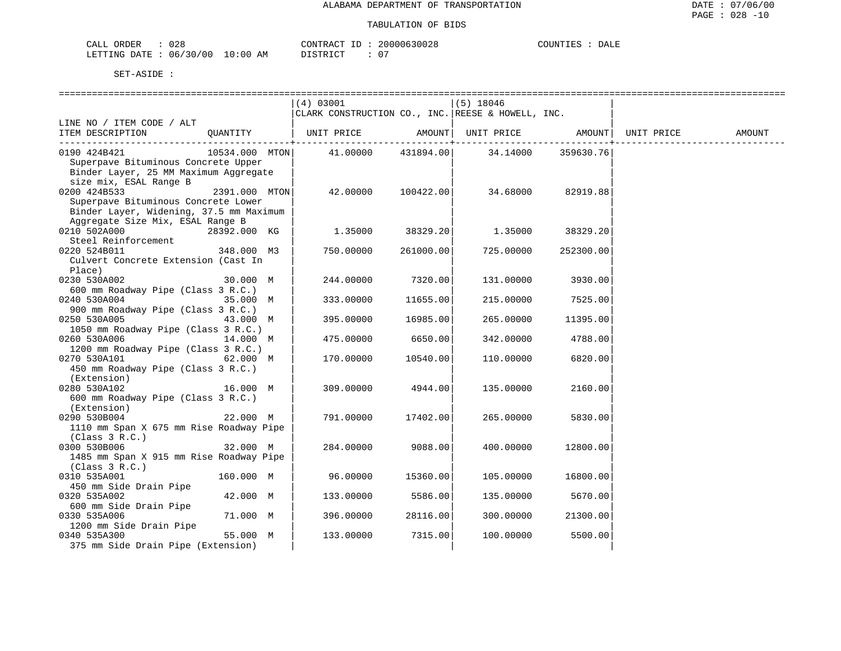| ORDER<br>CALL                    | 028 | CONTRACT ID: |  | 20000630028 | COUNTIES | DALE |
|----------------------------------|-----|--------------|--|-------------|----------|------|
| LETTING DATE : 06/30/00 10:00 AM |     | DISTRICT     |  | $\cap$      |          |      |

|                                         |                | (4) 03001                                         |                 | $(5)$ 18046 |           |            |        |
|-----------------------------------------|----------------|---------------------------------------------------|-----------------|-------------|-----------|------------|--------|
|                                         |                | CLARK CONSTRUCTION CO., INC. REESE & HOWELL, INC. |                 |             |           |            |        |
| LINE NO / ITEM CODE / ALT               |                |                                                   |                 |             |           |            |        |
| ITEM DESCRIPTION                        | QUANTITY       | UNIT PRICE                                        | AMOUNT          | UNIT PRICE  | AMOUNT    | UNIT PRICE | AMOUNT |
|                                         |                |                                                   | - - - - - - - + |             |           |            |        |
| 0190 424B421                            | 10534.000 MTON | 41.00000                                          | 431894.00       | 34.14000    | 359630.76 |            |        |
| Superpave Bituminous Concrete Upper     |                |                                                   |                 |             |           |            |        |
| Binder Layer, 25 MM Maximum Aggregate   |                |                                                   |                 |             |           |            |        |
| size mix, ESAL Range B                  |                |                                                   |                 |             |           |            |        |
| 0200 424B533                            | 2391.000 MTON  | 42.00000                                          | 100422.00       | 34.68000    | 82919.88  |            |        |
| Superpave Bituminous Concrete Lower     |                |                                                   |                 |             |           |            |        |
| Binder Layer, Widening, 37.5 mm Maximum |                |                                                   |                 |             |           |            |        |
| Aggregate Size Mix, ESAL Range B        |                |                                                   |                 |             |           |            |        |
| 0210 502A000                            |                | 1.35000                                           |                 | 1.35000     |           |            |        |
| Steel Reinforcement                     | 28392.000 KG   |                                                   | 38329.201       |             | 38329.20  |            |        |
|                                         |                |                                                   |                 |             |           |            |        |
| 0220 524B011                            | 348.000 M3     | 750.00000                                         | 261000.00       | 725.00000   | 252300.00 |            |        |
| Culvert Concrete Extension (Cast In     |                |                                                   |                 |             |           |            |        |
| Place)                                  |                |                                                   |                 |             |           |            |        |
| 0230 530A002                            | 30.000 M       | 244.00000                                         | 7320.00         | 131.00000   | 3930.00   |            |        |
| 600 mm Roadway Pipe (Class 3 R.C.)      |                |                                                   |                 |             |           |            |        |
| 0240 530A004                            | 35.000 M       | 333.00000                                         | 11655.00        | 215.00000   | 7525.00   |            |        |
| 900 mm Roadway Pipe (Class 3 R.C.)      |                |                                                   |                 |             |           |            |        |
| 0250 530A005                            | 43.000 M       | 395.00000                                         | 16985.00        | 265.00000   | 11395.00  |            |        |
| 1050 mm Roadway Pipe (Class 3 R.C.)     |                |                                                   |                 |             |           |            |        |
| 0260 530A006                            | 14.000 M       | 475.00000                                         | 6650.00         | 342.00000   | 4788.00   |            |        |
| 1200 mm Roadway Pipe (Class 3 R.C.)     |                |                                                   |                 |             |           |            |        |
| 0270 530A101                            | 62.000 M       | 170.00000                                         | 10540.00        | 110.00000   | 6820.00   |            |        |
| 450 mm Roadway Pipe (Class 3 R.C.)      |                |                                                   |                 |             |           |            |        |
| (Extension)                             |                |                                                   |                 |             |           |            |        |
| 0280 530A102                            | 16.000 M       | 309.00000                                         | 4944.00         | 135.00000   | 2160.00   |            |        |
| 600 mm Roadway Pipe (Class 3 R.C.)      |                |                                                   |                 |             |           |            |        |
| (Extension)                             |                |                                                   |                 |             |           |            |        |
| 0290 530B004                            | 22.000 M       | 791.00000                                         | 17402.00        | 265.00000   | 5830.00   |            |        |
| 1110 mm Span X 675 mm Rise Roadway Pipe |                |                                                   |                 |             |           |            |        |
| (Class 3 R.C.)                          |                |                                                   |                 |             |           |            |        |
| 0300 530B006                            | 32.000 M       | 284.00000                                         | 9088.00         | 400.00000   | 12800.00  |            |        |
| 1485 mm Span X 915 mm Rise Roadway Pipe |                |                                                   |                 |             |           |            |        |
| (Class 3 R.C.)                          |                |                                                   |                 |             |           |            |        |
| 0310 535A001                            | 160.000 M      | 96.00000                                          | 15360.00        | 105.00000   | 16800.00  |            |        |
| 450 mm Side Drain Pipe                  |                |                                                   |                 |             |           |            |        |
| 0320 535A002                            | 42.000 M       | 133.00000                                         | 5586.00         | 135.00000   | 5670.00   |            |        |
| 600 mm Side Drain Pipe                  |                |                                                   |                 |             |           |            |        |
| 0330 535A006                            | 71.000 M       | 396.00000                                         | 28116.00        | 300.00000   | 21300.00  |            |        |
| 1200 mm Side Drain Pipe                 |                |                                                   |                 |             |           |            |        |
| 0340 535A300                            | 55.000 M       | 133.00000                                         | 7315.00         | 100.00000   | 5500.00   |            |        |
| 375 mm Side Drain Pipe (Extension)      |                |                                                   |                 |             |           |            |        |
|                                         |                |                                                   |                 |             |           |            |        |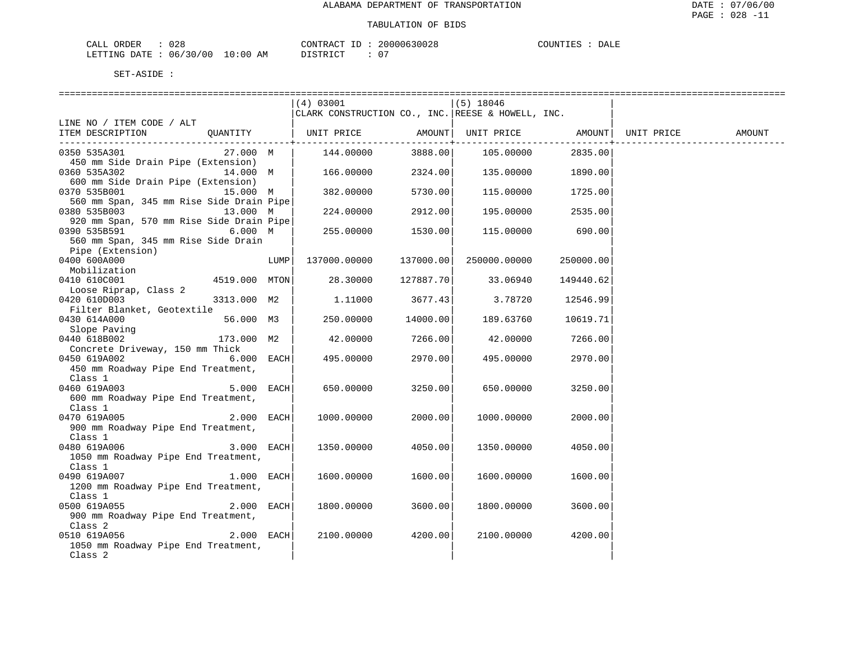| ORDER<br>CALL                    | 028 | CONTRACT ID: | 20000630028 | COUNTIES | DALE |
|----------------------------------|-----|--------------|-------------|----------|------|
| LETTING DATE : 06/30/00 10:00 AM |     | DISTRICT     | $\cap$      |          |      |

|                                               |               |      | (4) 03001                                         |           | (5) 18046          |           |                     |        |
|-----------------------------------------------|---------------|------|---------------------------------------------------|-----------|--------------------|-----------|---------------------|--------|
|                                               |               |      | CLARK CONSTRUCTION CO., INC. REESE & HOWELL, INC. |           |                    |           |                     |        |
| LINE NO / ITEM CODE / ALT                     |               |      |                                                   |           |                    |           |                     |        |
| ITEM DESCRIPTION                              | QUANTITY      |      | UNIT PRICE                                        |           | AMOUNT  UNIT PRICE |           | AMOUNT   UNIT PRICE | AMOUNT |
|                                               |               |      |                                                   |           |                    |           |                     |        |
| 0350 535A301                                  | 27.000 M      |      | 144.00000                                         | 3888.00   | 105.00000          | 2835.00   |                     |        |
| 450 mm Side Drain Pipe (Extension)            |               |      |                                                   |           |                    |           |                     |        |
| 0360 535A302                                  | 14.000 M      |      | 166.00000                                         | 2324.00   | 135.00000          | 1890.00   |                     |        |
| 600 mm Side Drain Pipe (Extension)            |               |      |                                                   |           |                    |           |                     |        |
| 0370 535B001                                  | 15.000 M      |      | 382.00000                                         | 5730.00   | 115.00000          | 1725.00   |                     |        |
| 560 mm Span, 345 mm Rise Side Drain Pipe      |               |      |                                                   |           |                    |           |                     |        |
| 0380 535B003 13.000 M                         |               |      | 224.00000                                         | 2912.00   | 195.00000          | 2535.00   |                     |        |
| 920 mm Span, 570 mm Rise Side Drain Pipe      |               |      |                                                   |           |                    |           |                     |        |
| 0390 535B591                                  | 6.000 M       |      | 255.00000                                         | 1530.00   | 115.00000          | 690.00    |                     |        |
| 560 mm Span, 345 mm Rise Side Drain           |               |      |                                                   |           |                    |           |                     |        |
| Pipe (Extension)                              |               |      |                                                   |           |                    |           |                     |        |
| 0400 600A000                                  |               | LUMP | 137000.00000                                      | 137000.00 | 250000.00000       | 250000.00 |                     |        |
| Mobilization                                  |               |      |                                                   |           |                    |           |                     |        |
| 0410 610C001                                  | 4519.000 MTON |      | 28.30000                                          | 127887.70 | 33.06940           | 149440.62 |                     |        |
| Loose Riprap, Class 2                         |               |      |                                                   |           |                    |           |                     |        |
| 0420 610D003                                  | 3313.000 M2   |      | 1.11000                                           | 3677.43   | 3.78720            | 12546.99  |                     |        |
| Filter Blanket, Geotextile                    |               |      |                                                   |           |                    |           |                     |        |
| 0430 614A000                                  | 56.000 M3     |      | 250.00000                                         | 14000.00  | 189.63760          | 10619.71  |                     |        |
| Slope Paving                                  |               |      |                                                   |           |                    |           |                     |        |
| 0440 618B002                                  | 173.000 M2    |      | 42.00000                                          | 7266.00   | 42.00000           | 7266.00   |                     |        |
| Concrete Driveway, 150 mm Thick               |               |      |                                                   |           |                    |           |                     |        |
| 0450 619A002                                  | $6.000$ EACH  |      | 495.00000                                         | 2970.00   | 495.00000          | 2970.00   |                     |        |
| 450 mm Roadway Pipe End Treatment,            |               |      |                                                   |           |                    |           |                     |        |
| Class 1                                       |               |      |                                                   |           |                    |           |                     |        |
| 0460 619A003                                  | 5.000 EACH    |      | 650.00000                                         | 3250.00   | 650.00000          | 3250.00   |                     |        |
| 600 mm Roadway Pipe End Treatment,            |               |      |                                                   |           |                    |           |                     |        |
| Class 1                                       | 2.000 EACH    |      |                                                   |           |                    |           |                     |        |
| 0470 619A005                                  |               |      | 1000.00000                                        | 2000.00   | 1000.00000         | 2000.00   |                     |        |
| 900 mm Roadway Pipe End Treatment,<br>Class 1 |               |      |                                                   |           |                    |           |                     |        |
| 0480 619A006                                  | $3.000$ EACH  |      | 1350.00000                                        | 4050.00   | 1350.00000         | 4050.00   |                     |        |
| 1050 mm Roadway Pipe End Treatment,           |               |      |                                                   |           |                    |           |                     |        |
| Class 1                                       |               |      |                                                   |           |                    |           |                     |        |
| 0490 619A007                                  | $1.000$ EACH  |      | 1600.00000                                        | 1600.00   | 1600.00000         | 1600.00   |                     |        |
| 1200 mm Roadway Pipe End Treatment,           |               |      |                                                   |           |                    |           |                     |        |
| Class 1                                       |               |      |                                                   |           |                    |           |                     |        |
| 0500 619A055                                  | $2.000$ EACH  |      | 1800.00000                                        | 3600.00   | 1800.00000         | 3600.00   |                     |        |
| 900 mm Roadway Pipe End Treatment,            |               |      |                                                   |           |                    |           |                     |        |
| Class 2                                       |               |      |                                                   |           |                    |           |                     |        |
| 0510 619A056                                  | $2.000$ EACH  |      | 2100.00000                                        | 4200.00   | 2100.00000         | 4200.00   |                     |        |
| 1050 mm Roadway Pipe End Treatment,           |               |      |                                                   |           |                    |           |                     |        |
| Class 2                                       |               |      |                                                   |           |                    |           |                     |        |
|                                               |               |      |                                                   |           |                    |           |                     |        |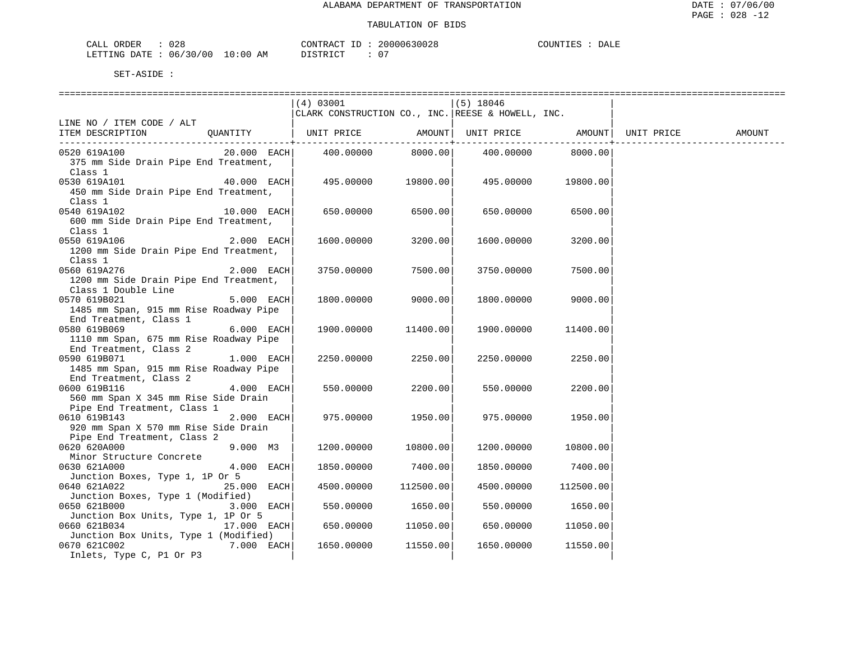| 028<br>ORDER<br>CALL                 |              | $\cap$ תר תיחזג $\cap$<br>$- -$<br>CUNTRAC. | 20000630028        | $- - - -$<br>COUNTIEL<br>DALF. |
|--------------------------------------|--------------|---------------------------------------------|--------------------|--------------------------------|
| 00 '<br>30<br>06.<br>ETTIMA<br>∏ ר ב | ΑM<br>ነ: 0 ( | די הרו אידי פי                              | $\sim$ $\sim$<br>ັ |                                |

|                                        | (4) 03001  |                          | $(5)$ 18046                                       |                                     |            |        |
|----------------------------------------|------------|--------------------------|---------------------------------------------------|-------------------------------------|------------|--------|
|                                        |            |                          | CLARK CONSTRUCTION CO., INC. REESE & HOWELL, INC. |                                     |            |        |
| LINE NO / ITEM CODE / ALT              |            |                          |                                                   |                                     |            |        |
| ITEM DESCRIPTION<br>QUANTITY           | UNIT PRICE | AMOUNT                   |                                                   | UNIT PRICE AMOUNT                   | UNIT PRICE | AMOUNT |
| $20.000$ EACH<br>0520 619A100          | 400.00000  | ------------+<br>8000.00 |                                                   | --------------<br>400.00000 8000.00 |            |        |
| 375 mm Side Drain Pipe End Treatment,  |            |                          |                                                   |                                     |            |        |
| Class 1                                |            |                          |                                                   |                                     |            |        |
| 0530 619A101<br>40.000 EACH            | 495.00000  | 19800.00                 | 495.00000                                         | 19800.00                            |            |        |
| 450 mm Side Drain Pipe End Treatment,  |            |                          |                                                   |                                     |            |        |
| Class 1                                |            |                          |                                                   |                                     |            |        |
| 0540 619A102<br>$10.000$ EACH          | 650.00000  | 6500.00                  | 650.00000                                         | 6500.00                             |            |        |
| 600 mm Side Drain Pipe End Treatment,  |            |                          |                                                   |                                     |            |        |
| Class 1                                |            |                          |                                                   |                                     |            |        |
| $2.000$ EACH<br>0550 619A106           | 1600.00000 | 3200.00                  | 1600.00000                                        | 3200.00                             |            |        |
| 1200 mm Side Drain Pipe End Treatment, |            |                          |                                                   |                                     |            |        |
| Class 1                                |            |                          |                                                   |                                     |            |        |
| 0560 619A276<br>2.000 EACH             | 3750.00000 | 7500.00                  | 3750.00000                                        | 7500.00                             |            |        |
| 1200 mm Side Drain Pipe End Treatment, |            |                          |                                                   |                                     |            |        |
| Class 1 Double Line                    |            |                          |                                                   |                                     |            |        |
| 5.000 EACH<br>0570 619B021             | 1800.00000 | 9000.00                  | 1800.00000                                        | 9000.00                             |            |        |
| 1485 mm Span, 915 mm Rise Roadway Pipe |            |                          |                                                   |                                     |            |        |
| End Treatment, Class 1                 |            |                          |                                                   |                                     |            |        |
| 0580 619B069<br>6.000 EACH             | 1900.00000 | 11400.00                 | 1900.00000                                        | 11400.00                            |            |        |
| 1110 mm Span, 675 mm Rise Roadway Pipe |            |                          |                                                   |                                     |            |        |
| End Treatment, Class 2                 |            |                          |                                                   |                                     |            |        |
| 0590 619B071<br>$1.000$ EACH           | 2250.00000 | 2250.00                  | 2250.00000                                        | 2250.00                             |            |        |
| 1485 mm Span, 915 mm Rise Roadway Pipe |            |                          |                                                   |                                     |            |        |
| End Treatment, Class 2                 |            |                          |                                                   |                                     |            |        |
| 0600 619B116<br>$4.000$ EACH           | 550.00000  | 2200.00                  | 550.00000                                         | 2200.00                             |            |        |
| 560 mm Span X 345 mm Rise Side Drain   |            |                          |                                                   |                                     |            |        |
| Pipe End Treatment, Class 1            |            |                          |                                                   |                                     |            |        |
| 0610 619B143<br>2.000 EACH             | 975.00000  | 1950.00                  | 975.00000                                         | 1950.00                             |            |        |
| 920 mm Span X 570 mm Rise Side Drain   |            |                          |                                                   |                                     |            |        |
| Pipe End Treatment, Class 2            |            |                          |                                                   |                                     |            |        |
| 0620 620A000<br>9.000 M3               | 1200.00000 | 10800.00                 | 1200.00000                                        | 10800.00                            |            |        |
| Minor Structure Concrete               |            |                          |                                                   |                                     |            |        |
| 4.000 EACH<br>0630 621A000             | 1850.00000 | 7400.00                  | 1850.00000                                        | 7400.00                             |            |        |
| Junction Boxes, Type 1, 1P Or 5        |            |                          |                                                   |                                     |            |        |
| 0640 621A022<br>25.000 EACH            | 4500.00000 | 112500.00                | 4500.00000                                        | 112500.00                           |            |        |
| Junction Boxes, Type 1 (Modified)      |            |                          |                                                   |                                     |            |        |
| 0650 621B000<br>3.000 EACH             | 550.00000  | 1650.00                  | 550.00000                                         | 1650.00                             |            |        |
| Junction Box Units, Type 1, 1P Or 5    |            |                          |                                                   |                                     |            |        |
| 0660 621B034<br>17.000 EACH            | 650.00000  | 11050.00                 | 650.00000                                         | 11050.00                            |            |        |
| Junction Box Units, Type 1 (Modified)  |            |                          |                                                   |                                     |            |        |
| 0670 621C002<br>7.000 EACH             | 1650.00000 | 11550.00                 | 1650.00000                                        | 11550.00                            |            |        |
| Inlets, Type C, P1 Or P3               |            |                          |                                                   |                                     |            |        |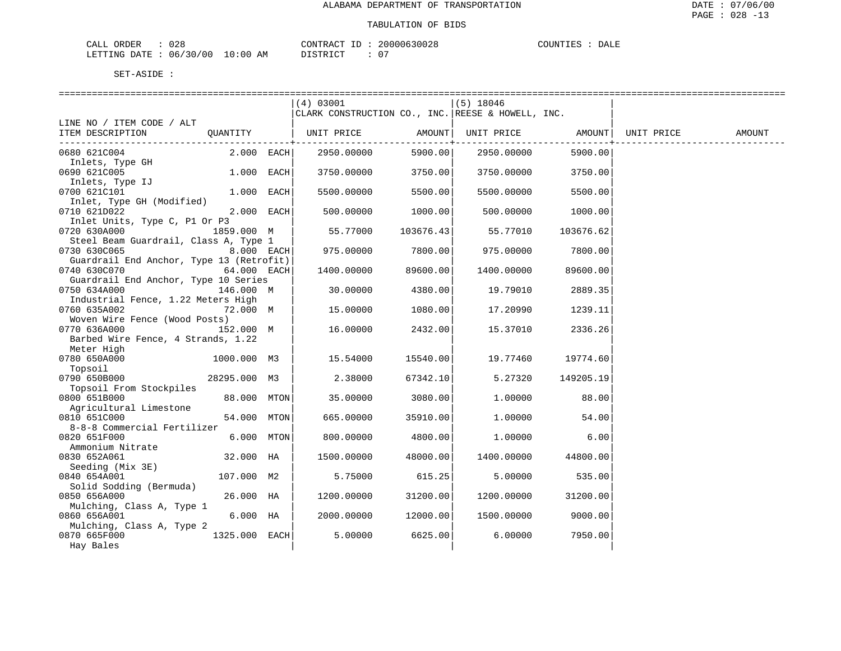| CALI    | <b>ORDER</b> | ∪∠o      |                                                                                                                                | CONTRACT                     | 20000630028 | <b>POTTN</b><br>- P.C | DALF |
|---------|--------------|----------|--------------------------------------------------------------------------------------------------------------------------------|------------------------------|-------------|-----------------------|------|
| LETTING | DATE.        | 06/30/00 | 10:0C<br>ΑМ<br>the contract of the contract of the contract of the contract of the contract of the contract of the contract of | , סידפ דרי<br>$ \cap$ $\Box$ |             |                       |      |

|                                                       |               |      | (4) 03001<br>CLARK CONSTRUCTION CO., INC. REESE & HOWELL, INC. |           | $(5)$ 18046 |           |            |        |
|-------------------------------------------------------|---------------|------|----------------------------------------------------------------|-----------|-------------|-----------|------------|--------|
| LINE NO / ITEM CODE / ALT                             |               |      |                                                                |           |             |           |            |        |
| ITEM DESCRIPTION                                      | QUANTITY      |      | UNIT PRICE                                                     | AMOUNT    | UNIT PRICE  | AMOUNT    | UNIT PRICE | AMOUNT |
| 0680 621C004                                          | $2.000$ EACH  |      | 2950.00000                                                     | 5900.00   | 2950.00000  | 5900.00   |            |        |
| Inlets, Type GH<br>0690 621C005                       | 1.000         | EACH | 3750.00000                                                     | 3750.00   | 3750.00000  | 3750.00   |            |        |
| Inlets, Type IJ<br>0700 621C101                       | 1.000 EACH    |      | 5500.00000                                                     | 5500.00   | 5500.00000  | 5500.00   |            |        |
| Inlet, Type GH (Modified)<br>0710 621D022             | 2.000 EACH    |      | 500.00000                                                      | 1000.00   | 500.00000   | 1000.00   |            |        |
| Inlet Units, Type C, P1 Or P3<br>0720 630A000         | 1859.000 M    |      | 55.77000                                                       | 103676.43 | 55.77010    | 103676.62 |            |        |
| Steel Beam Guardrail, Class A, Type 1<br>0730 630C065 | 8.000 EACH    |      | 975.00000                                                      | 7800.00   | 975.00000   | 7800.00   |            |        |
| Guardrail End Anchor, Type 13 (Retrofit)              |               |      |                                                                |           |             |           |            |        |
| 0740 630C070<br>Guardrail End Anchor, Type 10 Series  | 64.000 EACH   |      | 1400.00000                                                     | 89600.00  | 1400.00000  | 89600.00  |            |        |
| 0750 634A000<br>Industrial Fence, 1.22 Meters High    | 146.000 M     |      | 30.00000                                                       | 4380.00   | 19.79010    | 2889.35   |            |        |
| 0760 635A002<br>Woven Wire Fence (Wood Posts)         | 72.000 M      |      | 15.00000                                                       | 1080.00   | 17.20990    | 1239.11   |            |        |
| 0770 636A000<br>Barbed Wire Fence, 4 Strands, 1.22    | 152.000 M     |      | 16,00000                                                       | 2432.00   | 15.37010    | 2336.26   |            |        |
| Meter High<br>0780 650A000                            | 1000.000 M3   |      | 15.54000                                                       | 15540.00  | 19.77460    | 19774.60  |            |        |
| Topsoil<br>0790 650B000                               | 28295.000 M3  |      | 2.38000                                                        | 67342.10  | 5.27320     | 149205.19 |            |        |
| Topsoil From Stockpiles<br>0800 651B000               | 88.000 MTON   |      | 35.00000                                                       | 3080.00   | 1,00000     | 88.00     |            |        |
| Agricultural Limestone<br>0810 651C000                | 54.000 MTON   |      | 665.00000                                                      | 35910.00  | 1,00000     | 54.00     |            |        |
| 8-8-8 Commercial Fertilizer<br>0820 651F000           | 6.000 MTON    |      | 800.00000                                                      | 4800.00   | 1.00000     | 6.00      |            |        |
| Ammonium Nitrate<br>0830 652A061                      | 32.000 HA     |      | 1500.00000                                                     | 48000.00  | 1400.00000  | 44800.00  |            |        |
| Seeding (Mix 3E)<br>0840 654A001                      | 107.000 M2    |      | 5.75000                                                        | 615.25    | 5.00000     | 535.00    |            |        |
| Solid Sodding (Bermuda)<br>0850 656A000               | 26.000 HA     |      |                                                                | 31200.00  |             | 31200.00  |            |        |
| Mulching, Class A, Type 1                             |               |      | 1200.00000                                                     |           | 1200.00000  |           |            |        |
| 0860 656A001<br>Mulching, Class A, Type 2             | 6.000 HA      |      | 2000.00000                                                     | 12000.00  | 1500.00000  | 9000.00   |            |        |
| 0870 665F000<br>Hay Bales                             | 1325.000 EACH |      | 5.00000                                                        | 6625.00   | 6.00000     | 7950.00   |            |        |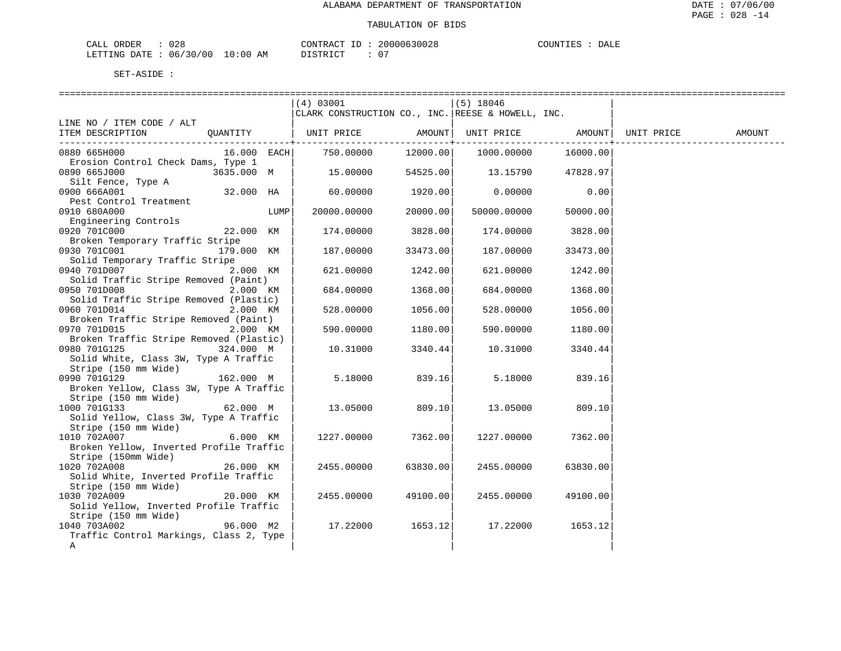| CALI    | <b>ORDER</b> | ∪∠o      |                                                                                                                                | CONTRACT                     | 20000630028 | <b>POTTN</b><br>- P.C | DALF |
|---------|--------------|----------|--------------------------------------------------------------------------------------------------------------------------------|------------------------------|-------------|-----------------------|------|
| LETTING | DATE.        | 06/30/00 | 10:0C<br>ΑМ<br>the contract of the contract of the contract of the contract of the contract of the contract of the contract of | , סידפ דרי<br>$ \cap$ $\Box$ |             |                       |      |

|                                                                | (4) 03001                                         |          | $(5)$ 18046 |          |            |        |
|----------------------------------------------------------------|---------------------------------------------------|----------|-------------|----------|------------|--------|
|                                                                | CLARK CONSTRUCTION CO., INC. REESE & HOWELL, INC. |          |             |          |            |        |
| LINE NO / ITEM CODE / ALT                                      |                                                   |          |             |          |            |        |
| ITEM DESCRIPTION<br>OUANTITY                                   | UNIT PRICE                                        | AMOUNT   | UNIT PRICE  | AMOUNT   | UNIT PRICE | AMOUNT |
| 0880 665H000<br>$16.000$ EACH                                  | 750.00000                                         | 12000.00 | 1000.00000  | 16000.00 |            |        |
| Erosion Control Check Dams, Type 1                             |                                                   |          |             |          |            |        |
| 0890 665J000<br>3635.000 M                                     | 15.00000                                          | 54525.00 | 13.15790    | 47828.97 |            |        |
| Silt Fence, Type A                                             |                                                   |          |             |          |            |        |
| 0900 666A001<br>32.000 HA                                      | 60.00000                                          | 1920.00  | 0.00000     | 0.00     |            |        |
| Pest Control Treatment<br>0910 680A000<br>LUMP                 | 20000.00000                                       | 20000.00 | 50000.00000 | 50000.00 |            |        |
| Engineering Controls                                           |                                                   |          |             |          |            |        |
| 0920 701C000<br>22.000 KM                                      | 174.00000                                         | 3828.00  | 174.00000   | 3828.00  |            |        |
| Broken Temporary Traffic Stripe                                |                                                   |          |             |          |            |        |
| 0930 701C001<br>179.000 KM                                     | 187.00000                                         | 33473.00 | 187.00000   | 33473.00 |            |        |
| Solid Temporary Traffic Stripe                                 |                                                   |          |             |          |            |        |
| 2.000 KM<br>0940 701D007                                       | 621,00000                                         | 1242.00  | 621.00000   | 1242.00  |            |        |
| Solid Traffic Stripe Removed (Paint)                           |                                                   |          |             |          |            |        |
| 0950 701D008<br>2.000 KM                                       | 684.00000                                         | 1368.00  | 684.00000   | 1368.00  |            |        |
| Solid Traffic Stripe Removed (Plastic)                         |                                                   |          |             |          |            |        |
| 0960 701D014<br>2.000 KM                                       | 528.00000                                         | 1056.00  | 528.00000   | 1056.00  |            |        |
| Broken Traffic Stripe Removed (Paint)<br>0970 701D015          |                                                   |          |             |          |            |        |
| 2.000 KM<br>Broken Traffic Stripe Removed (Plastic)            | 590.00000                                         | 1180.00  | 590.00000   | 1180.00  |            |        |
| 0980 701G125<br>324.000 M                                      | 10.31000                                          | 3340.44  | 10.31000    | 3340.44  |            |        |
| Solid White, Class 3W, Type A Traffic                          |                                                   |          |             |          |            |        |
| Stripe (150 mm Wide)                                           |                                                   |          |             |          |            |        |
| 0990 701G129<br>162.000 M                                      | 5.18000                                           | 839.16   | 5.18000     | 839.16   |            |        |
| Broken Yellow, Class 3W, Type A Traffic                        |                                                   |          |             |          |            |        |
| Stripe (150 mm Wide)                                           |                                                   |          |             |          |            |        |
| 1000 701G133<br>62.000 M                                       | 13.05000                                          | 809.10   | 13.05000    | 809.10   |            |        |
| Solid Yellow, Class 3W, Type A Traffic                         |                                                   |          |             |          |            |        |
| Stripe (150 mm Wide)                                           |                                                   |          |             |          |            |        |
| 1010 702A007<br>6.000 KM                                       | 1227.00000                                        | 7362.00  | 1227.00000  | 7362.00  |            |        |
| Broken Yellow, Inverted Profile Traffic<br>Stripe (150mm Wide) |                                                   |          |             |          |            |        |
| 1020 702A008<br>26.000 KM                                      | 2455.00000                                        | 63830.00 | 2455.00000  | 63830.00 |            |        |
| Solid White, Inverted Profile Traffic                          |                                                   |          |             |          |            |        |
| Stripe (150 mm Wide)                                           |                                                   |          |             |          |            |        |
| 1030 702A009<br>20.000 KM                                      | 2455.00000                                        | 49100.00 | 2455.00000  | 49100.00 |            |        |
| Solid Yellow, Inverted Profile Traffic                         |                                                   |          |             |          |            |        |
| Stripe (150 mm Wide)                                           |                                                   |          |             |          |            |        |
| 1040 703A002<br>96.000 M2                                      | 17.22000                                          | 1653.12  | 17.22000    | 1653.12  |            |        |
| Traffic Control Markings, Class 2, Type                        |                                                   |          |             |          |            |        |
| Α                                                              |                                                   |          |             |          |            |        |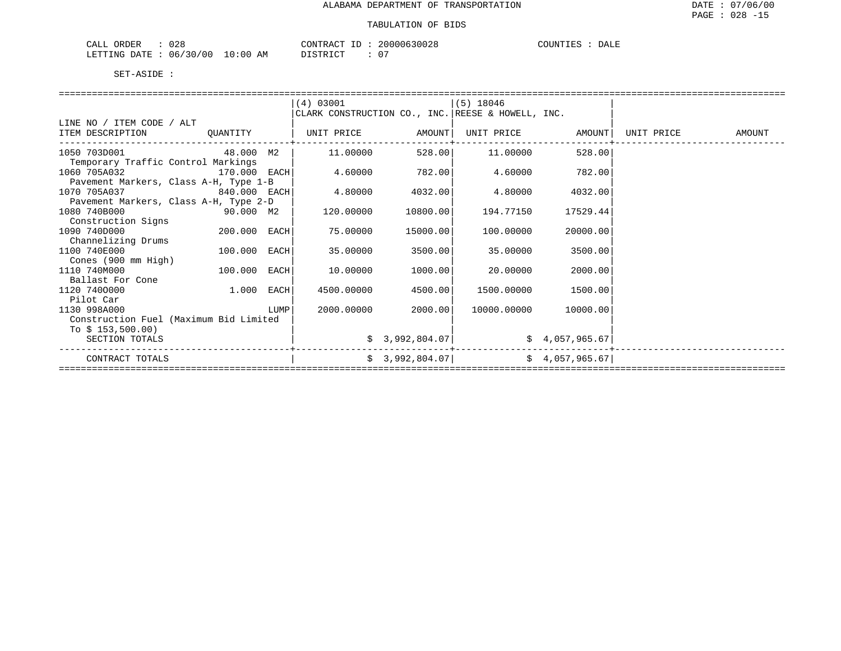| ORDER<br>TAT.T<br>∵⊥⊔A | ე 28         |                 | $C$ $C$ $D$ $D$ $D$ $D$ $D$ $D$ $D$<br>CONTRAC | ⊥∟ | 20000630028 | COUNTIES | DALE |
|------------------------|--------------|-----------------|------------------------------------------------|----|-------------|----------|------|
| LETTING<br>DATE.       | 06/30<br>'00 | ີ ດ : ດ ດ<br>AΜ | ידי מידי פידי בת                               |    | 07          |          |      |

|                                        |              |      | (4) 03001         |                | $(5)$ 18046                                       |                |            |        |
|----------------------------------------|--------------|------|-------------------|----------------|---------------------------------------------------|----------------|------------|--------|
|                                        |              |      |                   |                | CLARK CONSTRUCTION CO., INC. REESE & HOWELL, INC. |                |            |        |
| LINE NO / ITEM CODE / ALT              |              |      |                   |                |                                                   |                |            |        |
| ITEM DESCRIPTION                       | OUANTITY     |      | UNIT PRICE AMOUNT |                | UNIT PRICE                                        | AMOUNT         | UNIT PRICE | AMOUNT |
| 1050 703D001                           | 48.000 M2    |      | 11.00000          | 528.00         | 11.00000                                          | 528.00         |            |        |
| Temporary Traffic Control Markings     |              |      |                   |                |                                                   |                |            |        |
| 1060 705A032<br>170.000 EACH           |              |      | 4.60000           | 782.00         | 4.60000                                           | 782.00         |            |        |
| Pavement Markers, Class A-H, Type 1-B  |              |      |                   |                |                                                   |                |            |        |
| 1070 705A037<br>840.000 EACH           |              |      | 4.80000           | 4032.00        | 4.80000                                           | 4032.00        |            |        |
| Pavement Markers, Class A-H, Type 2-D  |              |      |                   |                |                                                   |                |            |        |
| 1080 740B000<br>$90.000$ M2            |              |      | 120.00000         | 10800.00       | 194.77150                                         | 17529.44       |            |        |
| Construction Signs                     |              |      |                   |                |                                                   |                |            |        |
| 1090 740D000                           | 200.000 EACH |      | 75.00000          | 15000.00       | 100.00000                                         | 20000.00       |            |        |
| Channelizing Drums                     |              |      |                   |                |                                                   |                |            |        |
| 1100 740E000                           | 100.000 EACH |      | 35,00000          | 3500.00        | 35.00000                                          | 3500.00        |            |        |
| Cones (900 mm High)                    |              |      |                   |                |                                                   |                |            |        |
| 1110 740M000                           | 100.000 EACH |      | 10.00000          | 1000.00        | 20,00000                                          | 2000.00        |            |        |
| Ballast For Cone                       |              |      |                   |                |                                                   |                |            |        |
| 1120 7400000                           | 1.000 EACH   |      | 4500.00000        | 4500.00        | 1500.00000                                        | 1500.00        |            |        |
| Pilot Car                              |              |      |                   |                |                                                   |                |            |        |
| 1130 998A000                           |              | LUMP | 2000.00000        | 2000.00        | 10000.00000                                       | 10000.00       |            |        |
| Construction Fuel (Maximum Bid Limited |              |      |                   |                |                                                   |                |            |        |
| To $$153,500.00)$                      |              |      |                   |                |                                                   |                |            |        |
| SECTION TOTALS                         |              |      |                   | \$3,992,804.07 |                                                   | \$4,057,965.67 |            |        |
| CONTRACT TOTALS                        |              |      |                   | \$3,992,804.07 |                                                   | \$4,057,965.67 |            |        |
|                                        |              |      |                   |                |                                                   |                |            |        |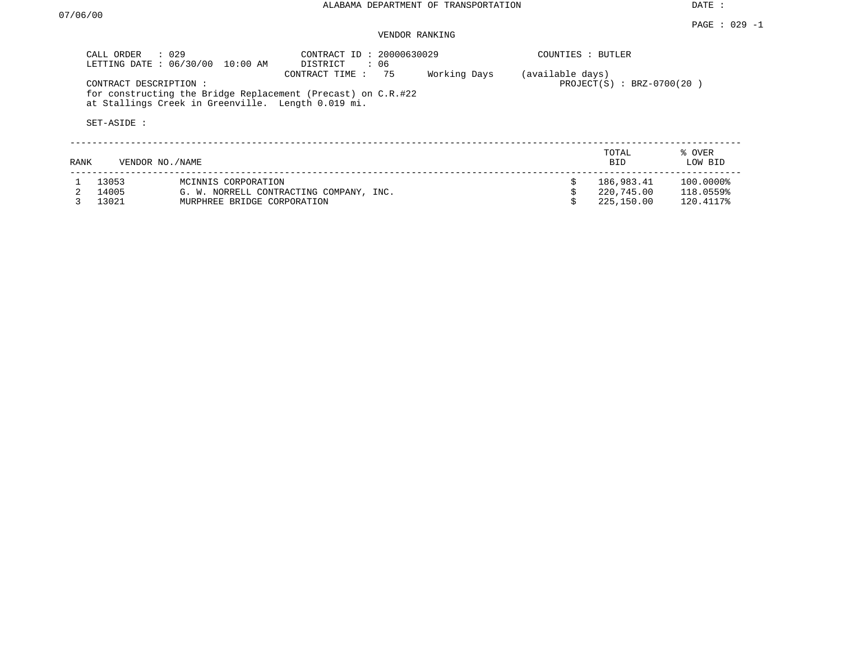DATE :

### VENDOR RANKING

|      | CALL ORDER<br>LETTING DATE: 06/30/00 | $\therefore$ 029<br>10:00 AM                       | CONTRACT ID: 20000630029<br>DISTRICT<br>$\colon$ 06                                  |              | COUNTIES : BUTLER |                           |                   |
|------|--------------------------------------|----------------------------------------------------|--------------------------------------------------------------------------------------|--------------|-------------------|---------------------------|-------------------|
|      | CONTRACT DESCRIPTION:                | at Stallings Creek in Greenville. Length 0.019 mi. | 75<br>CONTRACT TIME:<br>for constructing the Bridge Replacement (Precast) on C.R.#22 | Working Days | (available days)  | PROJECT(S) : BRZ-0700(20) |                   |
|      | SET-ASIDE :                          |                                                    |                                                                                      |              |                   |                           |                   |
| RANK | VENDOR NO./NAME                      |                                                    |                                                                                      |              |                   | TOTAL<br><b>BID</b>       | % OVER<br>LOW BID |
|      | 13053                                | MCINNIS CORPORATION                                |                                                                                      |              |                   | 186,983.41                | 100.0000%         |
|      | 14005                                |                                                    | G. W. NORRELL CONTRACTING COMPANY, INC.                                              |              |                   | 220,745.00                | 118.0559%         |
|      | 13021                                | MURPHREE BRIDGE CORPORATION                        |                                                                                      |              |                   | 225,150.00                | 120.4117%         |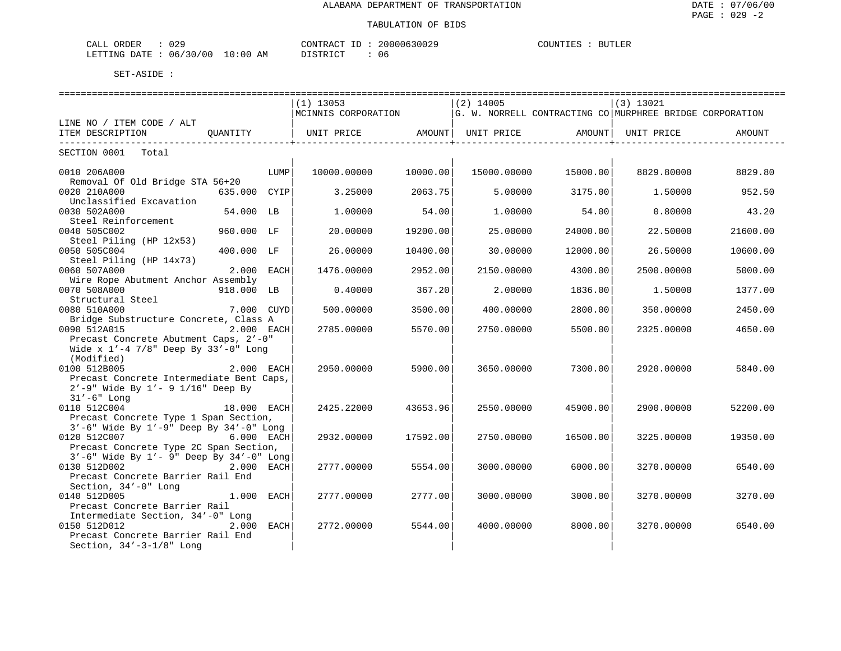| 029<br>ORDER<br>CALL         |             | CONTRACT ID : | 20000630029 | COUNTIES<br>BUTLER |
|------------------------------|-------------|---------------|-------------|--------------------|
| 06/30/00<br>LETTING DATE : ' | 10:00<br>ΑM | DISTRICT      |             |                    |

| ===================                                                                                                | ========================= |                                                                               |                        |
|--------------------------------------------------------------------------------------------------------------------|---------------------------|-------------------------------------------------------------------------------|------------------------|
|                                                                                                                    | $(1)$ 13053               | $(2)$ 14005                                                                   | $(3)$ 13021            |
|                                                                                                                    |                           | NCINNIS CORPORATION (G. W. NORRELL CONTRACTING CO NURPHREE BRIDGE CORPORATION |                        |
| LINE NO / ITEM CODE / ALT                                                                                          |                           |                                                                               |                        |
| ITEM DESCRIPTION OUANTITY   UNIT PRICE AMOUNT  UNIT PRICE AMOUNT  UNIT PRICE AMOUNT                                |                           |                                                                               |                        |
| SECTION 0001 Total                                                                                                 |                           |                                                                               |                        |
| 0010 206A000<br>LUMP<br>Removal Of Old Bridge STA 56+20                                                            | 10000.00000<br>10000.00   | 15000.00000 15000.00                                                          | 8829.80000<br>8829.80  |
| 0020 210A000<br>635.000 CYIP<br>Unclassified Excavation                                                            | 3.25000<br>2063.75        | 5.00000<br>3175.00                                                            | 1.50000<br>952.50      |
| 0030 502A000<br>54.000 LB<br>Steel Reinforcement                                                                   | 1,00000<br>54.00          | 54.00<br>1,00000                                                              | 0.80000<br>43.20       |
| 0040 505C002<br>960.000 LF<br>Steel Piling (HP 12x53)                                                              | 20,00000<br>19200.00      | 25,00000<br>24000.00                                                          | 22.50000<br>21600.00   |
| 0050 505C004<br>400.000 LF<br>Steel Piling (HP 14x73)                                                              | 26.00000<br>10400.00      | 30,00000<br>12000.00                                                          | 26.50000<br>10600.00   |
| 0060 507A000<br>2.000 EACH<br>Wire Rope Abutment Anchor Assembly                                                   | 1476.00000<br>2952.00     | 2150.00000<br>4300.00                                                         | 2500.00000<br>5000.00  |
| 0070 508A000<br>918.000 LB<br>Structural Steel                                                                     | 0.40000<br>367.20         | 2,00000<br>1836.00                                                            | 1.50000<br>1377.00     |
| 0080 510A000<br>7.000 CUYD<br>Bridge Substructure Concrete, Class A                                                | 500.00000<br>3500.00      | 400.00000<br>2800.00                                                          | 350.00000<br>2450.00   |
| 0090 512A015<br>2.000 EACH<br>Precast Concrete Abutment Caps, 2'-0"                                                | 5570.00<br>2785.00000     | 2750.00000<br>5500.00                                                         | 2325.00000<br>4650.00  |
| Wide x $1'-4$ 7/8" Deep By 33'-0" Long<br>(Modified)                                                               |                           |                                                                               |                        |
| 0100 512B005<br>2.000 EACH<br>Precast Concrete Intermediate Bent Caps,<br>$2' - 9$ Wide By $1' - 9$ $1/16$ Deep By | 5900.00<br>2950.00000     | 7300.00<br>3650.00000                                                         | 2920.00000<br>5840.00  |
| $31' - 6"$ Long<br>0110 512C004<br>18.000 EACH                                                                     | 2425.22000<br>43653.96    | 2550.00000<br>45900.00                                                        | 2900.00000<br>52200.00 |
| Precast Concrete Type 1 Span Section,<br>3'-6" Wide By 1'-9" Deep By 34'-0" Long                                   |                           |                                                                               |                        |
| 0120 512C007<br>6.000 EACH<br>Precast Concrete Type 2C Span Section,                                               | 17592.00<br>2932.00000    | 2750.00000<br>16500.00                                                        | 3225.00000<br>19350.00 |
| $3'-6$ " Wide By $1'-9$ " Deep By $34'-0$ " Long                                                                   |                           |                                                                               |                        |
| 0130 512D002<br>2.000 EACH<br>Precast Concrete Barrier Rail End                                                    | 2777.00000<br>5554.00     | 3000.00000<br>6000.00                                                         | 3270.00000<br>6540.00  |
| Section, 34'-0" Long<br>0140 512D005<br>1.000 EACH                                                                 | 2777.00<br>2777.00000     | 3000.00000<br>3000.00                                                         | 3270.00<br>3270.00000  |
| Precast Concrete Barrier Rail<br>Intermediate Section, 34'-0" Long                                                 |                           |                                                                               |                        |
| 0150 512D012<br>2.000<br>EACH<br>Precast Concrete Barrier Rail End<br>Section, $34' - 3 - 1/8$ " Long              | 2772.00000<br>5544.00     | 4000.00000<br>8000.00                                                         | 3270.00000<br>6540.00  |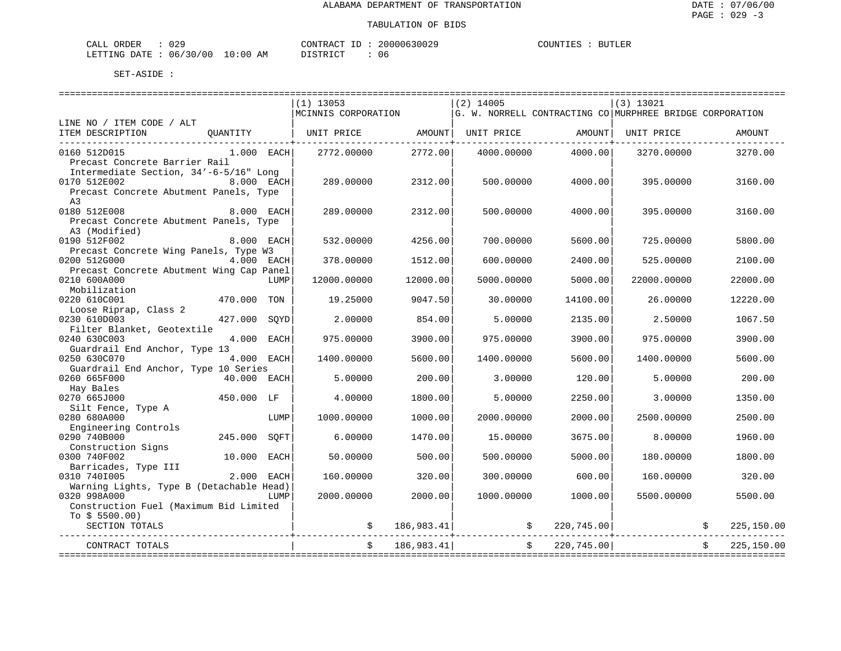| ORDER<br>CALL          | 029 |             | $-1$<br>CONTRACT | 20000630029 | COUNTIES | <b>BUTLER</b> |
|------------------------|-----|-------------|------------------|-------------|----------|---------------|
| LETTING DATE: 06/30/00 |     | 10:00<br>ΑM | חי הדי אידי את   | 06          |          |               |

|                                                     | $(1)$ 13053         |               | $(2)$ 14005 |                    | (3) 13021                                                |            |
|-----------------------------------------------------|---------------------|---------------|-------------|--------------------|----------------------------------------------------------|------------|
|                                                     | MCINNIS CORPORATION |               |             |                    | G. W. NORRELL CONTRACTING CO MURPHREE BRIDGE CORPORATION |            |
| LINE NO / ITEM CODE / ALT                           |                     |               |             |                    |                                                          |            |
| ITEM DESCRIPTION<br>QUANTITY                        | UNIT PRICE          | AMOUNT        | UNIT PRICE  | AMOUNT             | UNIT PRICE                                               | AMOUNT     |
|                                                     |                     | ------------+ |             |                    |                                                          |            |
| 0160 512D015<br>$1.000$ EACH                        | 2772.00000          | 2772.00       | 4000.00000  | 4000.00            | 3270.00000                                               | 3270.00    |
| Precast Concrete Barrier Rail                       |                     |               |             |                    |                                                          |            |
| Intermediate Section, 34'-6-5/16" Long              |                     |               |             |                    |                                                          |            |
| 0170 512E002<br>8.000 EACH                          | 289.00000           | 2312.00       | 500.00000   | 4000.00            | 395,00000                                                | 3160.00    |
| Precast Concrete Abutment Panels, Type              |                     |               |             |                    |                                                          |            |
| A <sub>3</sub>                                      |                     |               |             |                    |                                                          |            |
| 0180 512E008<br>8.000 EACH                          | 289.00000           | 2312.00       | 500.00000   | 4000.00            | 395.00000                                                | 3160.00    |
| Precast Concrete Abutment Panels, Type              |                     |               |             |                    |                                                          |            |
| A3 (Modified)                                       |                     |               |             |                    |                                                          |            |
| 0190 512F002<br>8.000 EACH                          | 532.00000           | 4256.00       | 700.00000   | 5600.00            | 725.00000                                                | 5800.00    |
| Precast Concrete Wing Panels, Type W3               |                     |               |             |                    |                                                          |            |
| 0200 512G000<br>4.000 EACH                          | 378,00000           | 1512.00       | 600,00000   | 2400.00            | 525.00000                                                | 2100.00    |
| Precast Concrete Abutment Wing Cap Panel            |                     |               |             |                    |                                                          |            |
| 0210 600A000<br>LUMP                                | 12000.00000         | 12000.00      | 5000.00000  | 5000.00            | 22000.00000                                              | 22000.00   |
| Mobilization                                        |                     |               |             |                    |                                                          |            |
| 0220 610C001<br>470.000<br>TON                      | 19.25000            | 9047.50       | 30.00000    | 14100.00           | 26.00000                                                 | 12220.00   |
| Loose Riprap, Class 2                               |                     |               |             |                    |                                                          |            |
| 0230 610D003<br>427.000<br>SOYD                     | 2.00000             | 854.00        | 5.00000     | 2135.00            | 2.50000                                                  | 1067.50    |
| Filter Blanket, Geotextile                          |                     |               |             |                    |                                                          |            |
| 0240 630C003<br>4.000<br>EACH                       | 975.00000           | 3900.00       | 975.00000   | 3900.00            | 975.00000                                                | 3900.00    |
| Guardrail End Anchor, Type 13                       |                     |               |             |                    |                                                          |            |
| 0250 630C070<br>4.000 EACH                          | 1400.00000          | 5600.00       | 1400.00000  | 5600.00            | 1400.00000                                               | 5600.00    |
|                                                     |                     |               |             |                    |                                                          |            |
| Guardrail End Anchor, Type 10 Series<br>40.000 EACH | 5.00000             | 200.00        |             | 120.00             |                                                          |            |
| 0260 665F000                                        |                     |               | 3.00000     |                    | 5.00000                                                  | 200.00     |
| Hay Bales                                           |                     |               |             |                    |                                                          |            |
| 0270 665J000<br>450.000 LF                          | 4.00000             | 1800.00       | 5.00000     | 2250.00            | 3.00000                                                  | 1350.00    |
| Silt Fence, Type A                                  |                     |               |             |                    |                                                          |            |
| 0280 680A000<br>LUMP                                | 1000.00000          | 1000.00       | 2000.00000  | 2000.00            | 2500.00000                                               | 2500.00    |
| Engineering Controls                                |                     |               |             |                    |                                                          |            |
| 0290 740B000<br>245.000<br>SOFT                     | 6.00000             | 1470.00       | 15.00000    | 3675.00            | 8.00000                                                  | 1960.00    |
| Construction Signs                                  |                     |               |             |                    |                                                          |            |
| 0300 740F002<br>10.000<br>EACH                      | 50.00000            | 500.00        | 500.00000   | 5000.00            | 180.00000                                                | 1800.00    |
| Barricades, Type III                                |                     |               |             |                    |                                                          |            |
| 0310 7401005<br>2.000<br>EACH                       | 160.00000           | 320.00        | 300.00000   | 600.00             | 160.00000                                                | 320.00     |
| Warning Lights, Type B (Detachable Head)            |                     |               |             |                    |                                                          |            |
| 0320 998A000<br>LUMP                                | 2000.00000          | 2000.00       | 1000.00000  | 1000.00            | 5500.00000                                               | 5500.00    |
| Construction Fuel (Maximum Bid Limited              |                     |               |             |                    |                                                          |            |
| To $$5500.00)$                                      |                     |               |             |                    |                                                          |            |
| SECTION TOTALS                                      |                     | \$186,983.41] |             | $\sin 220, 745.00$ |                                                          | 225,150.00 |
|                                                     |                     |               |             |                    |                                                          |            |
| CONTRACT TOTALS                                     |                     | 186,983.41    |             | \$ 220,745.00      |                                                          | 225,150.00 |
|                                                     |                     |               |             |                    |                                                          |            |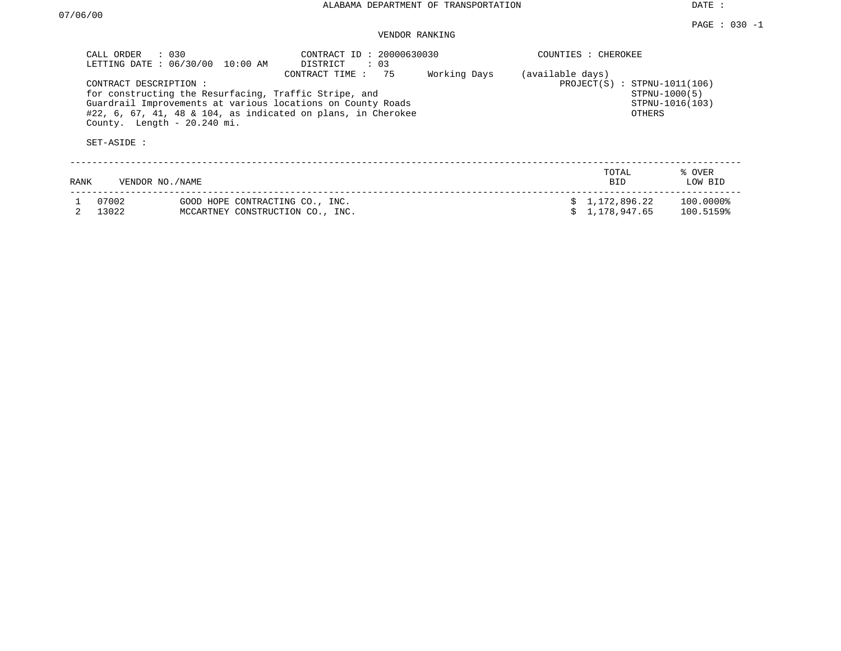DATE :

## VENDOR RANKING

|      | $\therefore$ 030<br>CALL ORDER<br>LETTING DATE: 06/30/00            | 10:00 AM                                                                                                                                                                                |              | COUNTIES : CHEROKEE |                                          |                                  |                        |  |  |
|------|---------------------------------------------------------------------|-----------------------------------------------------------------------------------------------------------------------------------------------------------------------------------------|--------------|---------------------|------------------------------------------|----------------------------------|------------------------|--|--|
|      | CONTRACT DESCRIPTION:<br>County. Length - 20.240 mi.<br>SET-ASIDE : | for constructing the Resurfacing, Traffic Stripe, and<br>Guardrail Improvements at various locations on County Roads<br>$#22, 6, 67, 41, 48 \& 104, as indicated on plans, in Cherokee$ | Working Days | (available days)    | $PROJECT(S)$ : STPNU-1011(106)<br>OTHERS | STPNU-1000(5)<br>STPNU-1016(103) |                        |  |  |
| RANK | VENDOR NO. / NAME                                                   |                                                                                                                                                                                         |              |                     |                                          | TOTAL<br><b>BID</b>              | % OVER<br>LOW BID      |  |  |
|      | 07002<br>13022                                                      | GOOD HOPE CONTRACTING CO., INC.<br>MCCARTNEY CONSTRUCTION CO., INC.                                                                                                                     |              |                     |                                          | \$1,172,896.22<br>1,178,947.65   | 100.0000%<br>100.5159% |  |  |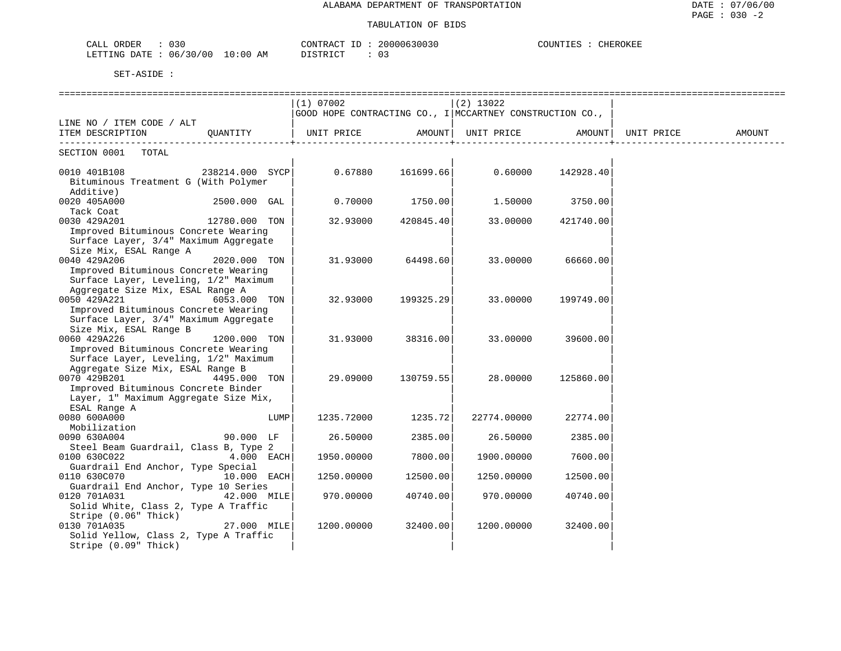| 030<br>ORDER<br>CALL                   | 20000630030<br>- TD<br>CONTRACT     | COUNTIES | CHEROKEE |
|----------------------------------------|-------------------------------------|----------|----------|
| 06/30/00<br>$10:00$ AM<br>LETTING DATE | DI STR TAT<br><b>U.</b><br>-------- |          |          |

|                                                                           |                  |      | =========================                                        |           | ------------------------------ |           |            |        |
|---------------------------------------------------------------------------|------------------|------|------------------------------------------------------------------|-----------|--------------------------------|-----------|------------|--------|
|                                                                           |                  |      | $(1)$ 07002<br>$(2)$ 13022                                       |           |                                |           |            |        |
|                                                                           |                  |      | $ $ GOOD HOPE CONTRACTING CO., I $ $ MCCARTNEY CONSTRUCTION CO., |           |                                |           |            |        |
| LINE NO / ITEM CODE / ALT                                                 |                  |      |                                                                  |           |                                |           |            |        |
| ITEM DESCRIPTION                                                          | QUANTITY         |      | UNIT PRICE                                                       |           | AMOUNT   UNIT PRICE            | AMOUNT    | UNIT PRICE | AMOUNT |
| SECTION 0001 TOTAL                                                        |                  |      |                                                                  |           |                                |           |            |        |
| 0010 401B108<br>Bituminous Treatment G (With Polymer<br>Additive)         | 238214.000 SYCPI |      | $0.67880$ $161699.66$ $0.60000$ $142928.40$                      |           |                                |           |            |        |
| 0020 405A000 2500.000 GAL<br>Tack Coat                                    |                  |      | 0.70000                                                          | 1750.00   | 1.50000                        | 3750.00   |            |        |
| 0030 429A201<br>Improved Bituminous Concrete Wearing                      | 12780.000 TON    |      | 32.93000                                                         | 420845.40 | 33.00000                       | 421740.00 |            |        |
| Surface Layer, 3/4" Maximum Aggregate<br>Size Mix, ESAL Range A           |                  |      |                                                                  |           |                                |           |            |        |
| 0040 429A206<br>Improved Bituminous Concrete Wearing                      | 2020.000 TON     |      | 31.93000                                                         | 64498.60  | 33.00000                       | 66660.00  |            |        |
| Surface Layer, Leveling, 1/2" Maximum<br>Aggregate Size Mix, ESAL Range A |                  |      |                                                                  |           |                                |           |            |        |
| 0050 429A221<br>Improved Bituminous Concrete Wearing                      | 6053.000 TON     |      | 32.93000                                                         | 199325.29 | 33.00000                       | 199749.00 |            |        |
| Surface Layer, 3/4" Maximum Aggregate<br>Size Mix, ESAL Range B           |                  |      |                                                                  |           |                                |           |            |        |
| 0060 429A226<br>Improved Bituminous Concrete Wearing                      | 1200.000 TON     |      | 31.93000                                                         | 38316.00  | 33.00000                       | 39600.00  |            |        |
| Surface Layer, Leveling, 1/2" Maximum<br>Aggregate Size Mix, ESAL Range B |                  |      |                                                                  |           |                                |           |            |        |
| 0070 429B201<br>Improved Bituminous Concrete Binder                       | 4495.000 TON     |      | 29.09000                                                         | 130759.55 | 28.00000                       | 125860.00 |            |        |
| Layer, 1" Maximum Aggregate Size Mix,<br>ESAL Range A                     |                  |      |                                                                  |           |                                |           |            |        |
| 0080 600A000                                                              |                  | LUMP | 1235.72000                                                       | 1235.72   | 22774.00000                    | 22774.00  |            |        |
| Mobilization<br>0090 630A004<br>Steel Beam Guardrail, Class B, Type 2     | 90.000 LF        |      | 26.50000                                                         | 2385.00   | 26.50000                       | 2385.00   |            |        |
| 0100 630C022<br>Guardrail End Anchor, Type Special                        | $4.000$ EACH     |      | 1950.00000                                                       | 7800.00   | 1900.00000                     | 7600.00   |            |        |
| 0110 630C070<br>Guardrail End Anchor, Type 10 Series                      | 10.000 EACH      |      | 1250.00000                                                       | 12500.00  | 1250.00000                     | 12500.00  |            |        |
| 0120 701A031<br>Solid White, Class 2, Type A Traffic                      | 42.000 MILE      |      | 970.00000                                                        | 40740.00  | 970.00000                      | 40740.00  |            |        |
| Stripe (0.06" Thick)<br>0130 701A035                                      | 27.000 MILE      |      | 1200.00000                                                       | 32400.00  | 1200.00000                     | 32400.00  |            |        |
| Solid Yellow, Class 2, Type A Traffic<br>Stripe (0.09" Thick)             |                  |      |                                                                  |           |                                |           |            |        |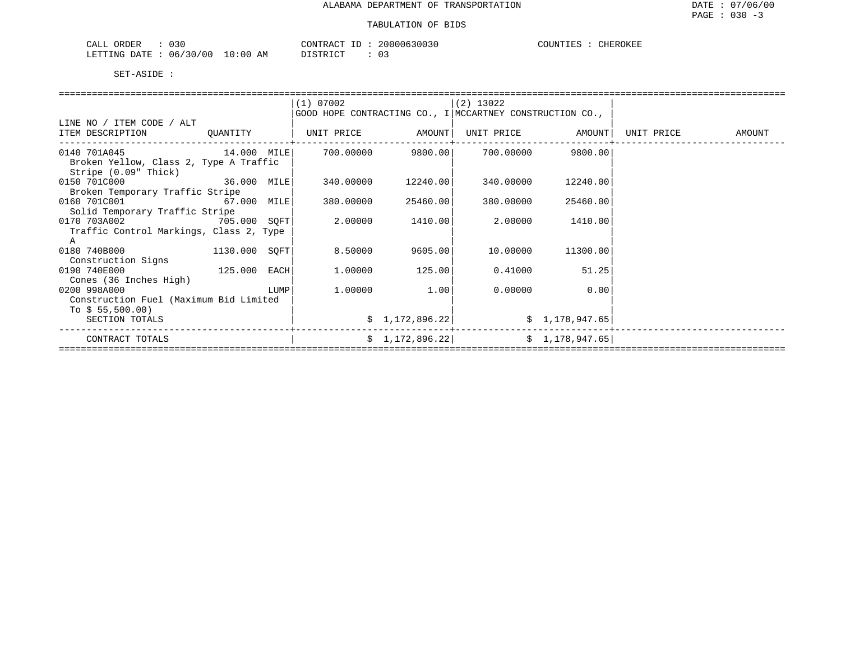# TABULATION OF BIDS

| ORDER<br>$\Omega$<br>CALL<br>U 3 U |             | CONTRACT | 20000630030 | COUNTIES<br>CHEROKEE |
|------------------------------------|-------------|----------|-------------|----------------------|
| 06/30/00<br>LETTING DATE           | 10:00<br>ΑM | STR TOT  | UJ.         |                      |

|                                         |                                                                                                                      | (1) 07002         |                    | $(2)$ 13022                                              |                   |                   |
|-----------------------------------------|----------------------------------------------------------------------------------------------------------------------|-------------------|--------------------|----------------------------------------------------------|-------------------|-------------------|
|                                         |                                                                                                                      |                   |                    | GOOD HOPE CONTRACTING CO., I MCCARTNEY CONSTRUCTION CO., |                   |                   |
| LINE NO / ITEM CODE / ALT               |                                                                                                                      |                   |                    |                                                          |                   |                   |
| ITEM DESCRIPTION QUANTITY               |                                                                                                                      | UNIT PRICE AMOUNT |                    |                                                          | UNIT PRICE AMOUNT | UNIT PRICE AMOUNT |
|                                         |                                                                                                                      |                   |                    |                                                          |                   |                   |
| 0140 701A045 14.000 MILE                |                                                                                                                      |                   | 700.00000 9800.00  |                                                          | 700.00000 9800.00 |                   |
| Broken Yellow, Class 2, Type A Traffic  |                                                                                                                      |                   |                    |                                                          |                   |                   |
| Stripe (0.09" Thick)                    |                                                                                                                      |                   |                    |                                                          |                   |                   |
| 0150 701C000 36.000 MILE                |                                                                                                                      |                   | 340.00000 12240.00 | 340.00000                                                | 12240.00          |                   |
| Broken Temporary Traffic Stripe         |                                                                                                                      |                   |                    |                                                          |                   |                   |
| 0160 701C001 67.000 MILE                |                                                                                                                      | 380.00000         | 25460.00           | 380.00000                                                | 25460.00          |                   |
| Solid Temporary Traffic Stripe          |                                                                                                                      |                   |                    |                                                          |                   |                   |
| 0170 703A002 705.000 SQFT               |                                                                                                                      | 2.00000           | 1410.00            | 2,00000                                                  | 1410.00           |                   |
| Traffic Control Markings, Class 2, Type |                                                                                                                      |                   |                    |                                                          |                   |                   |
| A                                       |                                                                                                                      |                   |                    |                                                          |                   |                   |
| 0180 740B000 1130.000 SOFT              |                                                                                                                      | 8.50000           | 9605.00            | 10.00000                                                 | 11300.00          |                   |
| Construction Signs                      |                                                                                                                      |                   |                    |                                                          |                   |                   |
| 125.000 EACH<br>0190 740E000            |                                                                                                                      | 1.00000           | 125.00             | 0.41000                                                  | 51.25             |                   |
| Cones (36 Inches High)                  |                                                                                                                      |                   |                    |                                                          |                   |                   |
| 0200 998A000                            | <b>EXECUTE IN THE EXECUTIVE IN THE EXECUTIVE IN THE EXECUTIVE IN THE EXECUTIVE IN THE EXECUTIVE IN THE EXECUTIVE</b> | 1,00000           | 1.00               | 0.00000                                                  | 0.00              |                   |
| Construction Fuel (Maximum Bid Limited  |                                                                                                                      |                   |                    |                                                          |                   |                   |
| To $$55,500.00$                         |                                                                                                                      |                   |                    |                                                          |                   |                   |
| SECTION TOTALS                          |                                                                                                                      |                   | \$1,172,896.22]    |                                                          | \$1,178,947.65    |                   |
|                                         |                                                                                                                      |                   |                    |                                                          |                   |                   |
| CONTRACT TOTALS                         |                                                                                                                      |                   | \$1,172,896.22]    |                                                          | \$1,178,947.65    |                   |
|                                         |                                                                                                                      |                   |                    |                                                          |                   |                   |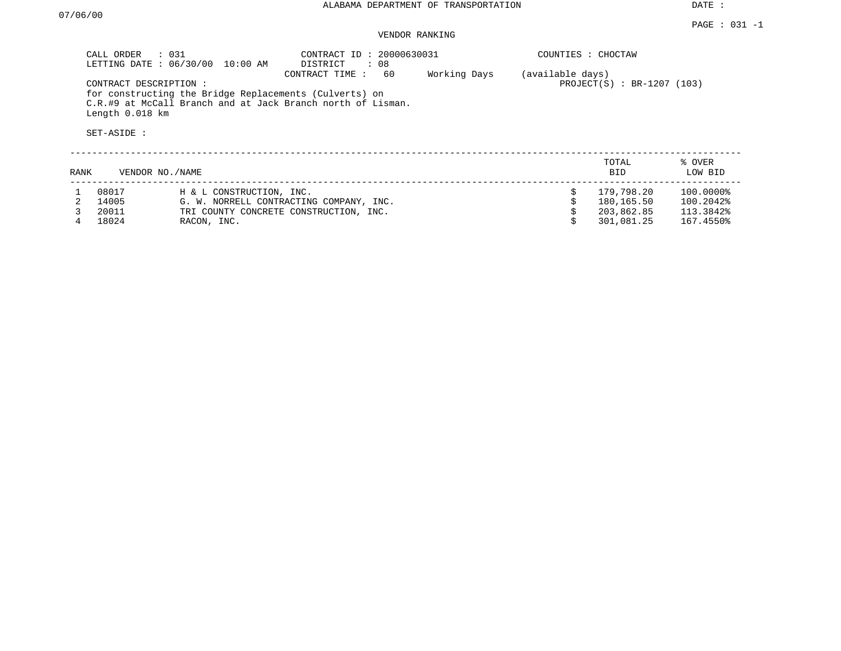# VENDOR RANKING

|      | CALL ORDER : 031<br>CONTRACT DESCRIPTION:<br>Length 0.018 km<br>SET-ASIDE : | LETTING DATE : 06/30/00 10:00 AM | CONTRACT ID: 20000630031<br>DISTRICT<br>: 08<br>60<br>CONTRACT TIME:<br>for constructing the Bridge Replacements (Culverts) on<br>C.R.#9 at McCall Branch and at Jack Branch north of Lisman. | Working Days | COUNTIES : CHOCTAW<br>(available days) | $PROJECT(S) : BR-1207 (103)$           |                                     |
|------|-----------------------------------------------------------------------------|----------------------------------|-----------------------------------------------------------------------------------------------------------------------------------------------------------------------------------------------|--------------|----------------------------------------|----------------------------------------|-------------------------------------|
| RANK | VENDOR NO./NAME                                                             |                                  |                                                                                                                                                                                               |              |                                        | TOTAL<br><b>BID</b>                    | % OVER<br>LOW BID                   |
|      | 08017<br>14005<br>20011                                                     | H & L CONSTRUCTION, INC.         | G. W. NORRELL CONTRACTING COMPANY, INC.<br>TRI COUNTY CONCRETE CONSTRUCTION, INC.                                                                                                             |              | Ŝ.                                     | 179,798.20<br>180,165.50<br>203,862.85 | 100.0000%<br>100.2042%<br>113.3842% |

4 18024 RACON, INC. \$ 301,081.25 167.4550%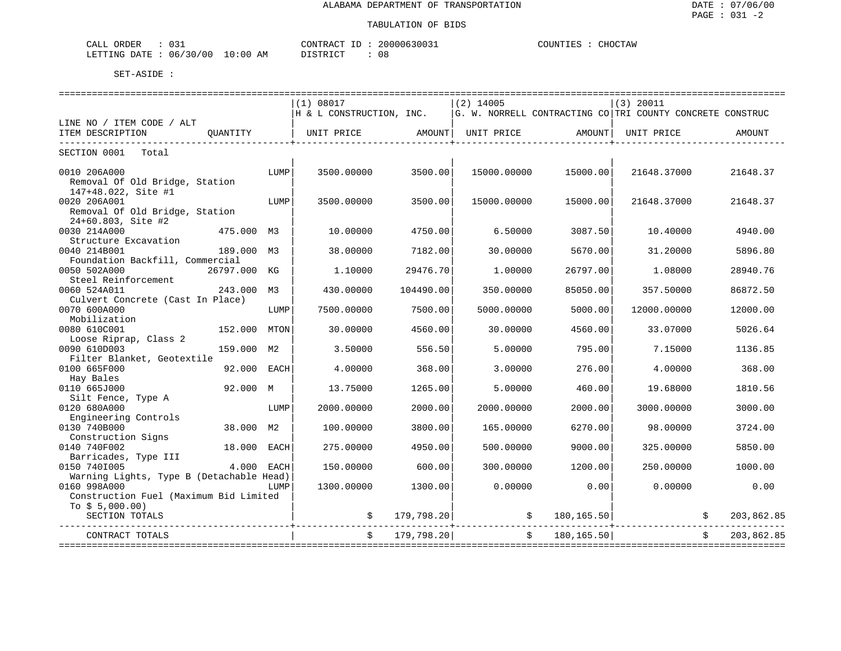| $\bigcap$ $\bigcap$<br>ORDER<br>CALL<br>◡◡∸ |             | CONTRACT<br>-11                  | 20000630031 | COUNTIES<br>CHOCTAW |
|---------------------------------------------|-------------|----------------------------------|-------------|---------------------|
| 06/30/00<br>LETTING DATE                    | 10:00<br>AM | דת דירות דת<br><b>_______</b> __ | 08          |                     |

|                                          |              |      | (1) 08017                                                               |            | $(2)$ 14005 |                | $(3)$ 20011                                               |            |
|------------------------------------------|--------------|------|-------------------------------------------------------------------------|------------|-------------|----------------|-----------------------------------------------------------|------------|
|                                          |              |      | H & L CONSTRUCTION, INC.                                                |            |             |                | G. W. NORRELL CONTRACTING CO TRI COUNTY CONCRETE CONSTRUC |            |
| LINE NO / ITEM CODE / ALT                |              |      |                                                                         |            |             |                |                                                           |            |
| ITEM DESCRIPTION                         | OUANTITY     |      | UNIT PRICE                 AMOUNT    UNIT PRICE                  AMOUNT |            |             |                | UNIT PRICE                                                | AMOUNT     |
| SECTION 0001<br>Total                    |              |      |                                                                         |            |             |                |                                                           |            |
|                                          |              |      |                                                                         |            |             |                |                                                           |            |
| 0010 206A000                             |              | LUMP | 3500.00000                                                              | 3500.00    | 15000.00000 | 15000.00       | 21648.37000                                               | 21648.37   |
| Removal Of Old Bridge, Station           |              |      |                                                                         |            |             |                |                                                           |            |
| 147+48.022, Site #1                      |              |      |                                                                         |            |             |                |                                                           |            |
| 0020 206A001                             |              | LUMP | 3500.00000                                                              | 3500.00    | 15000.00000 | 15000.00       | 21648.37000                                               | 21648.37   |
| Removal Of Old Bridge, Station           |              |      |                                                                         |            |             |                |                                                           |            |
| 24+60.803, Site #2<br>0030 214A000       | 475.000 M3   |      | 10.00000                                                                | 4750.00    | 6.50000     | 3087.50        | 10.40000                                                  | 4940.00    |
| Structure Excavation                     |              |      |                                                                         |            |             |                |                                                           |            |
| 0040 214B001                             | 189.000      | M3   | 38.00000                                                                | 7182.00    | 30.00000    | 5670.00        | 31,20000                                                  | 5896.80    |
| Foundation Backfill, Commercial          |              |      |                                                                         |            |             |                |                                                           |            |
| 0050 502A000                             | 26797.000 KG |      | 1,10000                                                                 | 29476.70   | 1,00000     | 26797.00       | 1,08000                                                   | 28940.76   |
| Steel Reinforcement                      |              |      |                                                                         |            |             |                |                                                           |            |
| 0060 524A011                             | 243.000      | М3   | 430.00000                                                               | 104490.00  | 350.00000   | 85050.00       | 357.50000                                                 | 86872.50   |
| Culvert Concrete (Cast In Place)         |              |      |                                                                         |            |             |                |                                                           |            |
| 0070 600A000                             |              | LUMP | 7500.00000                                                              | 7500.00    | 5000.00000  | 5000.00        | 12000.00000                                               | 12000.00   |
| Mobilization                             |              |      |                                                                         |            |             |                |                                                           |            |
| 0080 610C001                             | 152.000      | MTON | 30.00000                                                                | 4560.00    | 30.00000    | 4560.00        | 33.07000                                                  | 5026.64    |
| Loose Riprap, Class 2                    |              |      |                                                                         |            |             |                |                                                           |            |
| 0090 610D003                             | 159.000      | M2   | 3.50000                                                                 | 556.50     | 5.00000     | 795.00         | 7.15000                                                   | 1136.85    |
| Filter Blanket, Geotextile               |              |      |                                                                         |            |             |                |                                                           |            |
| 0100 665F000                             | 92.000       | EACH | 4.00000                                                                 | 368.00     | 3.00000     | 276.00         | 4,00000                                                   | 368.00     |
| Hay Bales                                |              |      |                                                                         |            |             |                |                                                           |            |
| 0110 665J000                             | 92.000 M     |      | 13.75000                                                                | 1265.00    | 5.00000     | 460.00         | 19.68000                                                  | 1810.56    |
| Silt Fence, Type A<br>0120 680A000       |              |      |                                                                         | 2000.00    |             |                |                                                           | 3000.00    |
| Engineering Controls                     |              | LUMP | 2000.00000                                                              |            | 2000.00000  | 2000.00        | 3000.00000                                                |            |
| 0130 740B000                             | 38.000 M2    |      | 100.00000                                                               | 3800.00    | 165.00000   | 6270.00        | 98.00000                                                  | 3724.00    |
| Construction Signs                       |              |      |                                                                         |            |             |                |                                                           |            |
| 0140 740F002                             | 18.000       | EACH | 275.00000                                                               | 4950.00    | 500.00000   | 9000.00        | 325.00000                                                 | 5850.00    |
| Barricades, Type III                     |              |      |                                                                         |            |             |                |                                                           |            |
| 0150 7401005                             | 4.000        | EACH | 150.00000                                                               | 600.00     | 300.00000   | 1200.00        | 250.00000                                                 | 1000.00    |
| Warning Lights, Type B (Detachable Head) |              |      |                                                                         |            |             |                |                                                           |            |
| 0160 998A000                             |              | LUMP | 1300.00000                                                              | 1300.00    | 0.00000     | 0.00           | 0.00000                                                   | 0.00       |
| Construction Fuel (Maximum Bid Limited   |              |      |                                                                         |            |             |                |                                                           |            |
| To $$5,000.00)$                          |              |      |                                                                         |            |             |                |                                                           |            |
| SECTION TOTALS                           |              |      |                                                                         | 179,798.20 |             | \$180,165.50   |                                                           | 203,862.85 |
| CONTRACT TOTALS                          |              |      | $\ddot{s}$                                                              | 179,798.20 |             | \$180, 165.50] |                                                           | 203,862.85 |
|                                          |              |      |                                                                         |            |             |                |                                                           |            |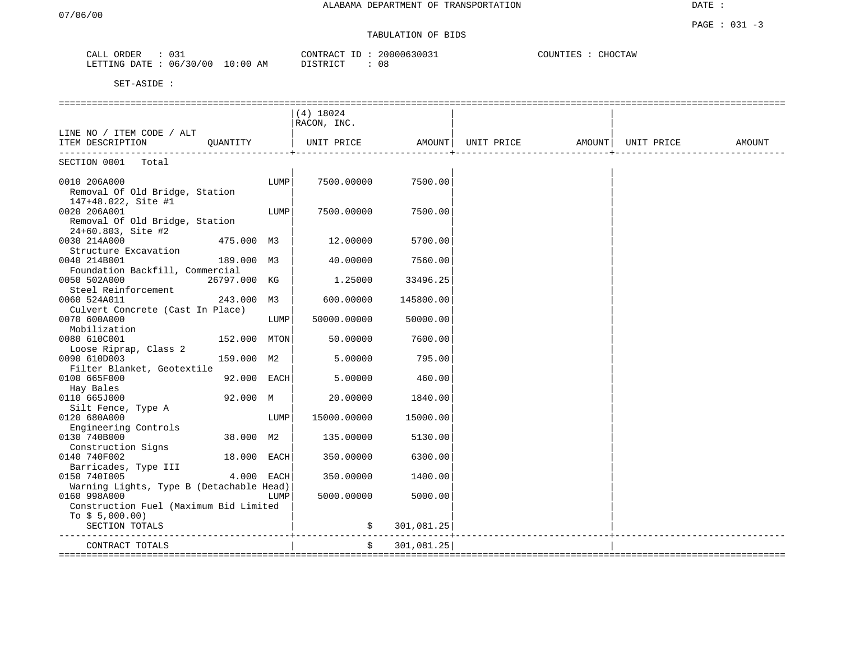# TABULATION OF BIDS

| ORDER<br>CALL | 031      |            | CONTRACT ID | 20000630031 | COUNTIES<br>CHOCTAW |
|---------------|----------|------------|-------------|-------------|---------------------|
| LETTING DATE  | 06/30/00 | $10:00$ AM | DISTRICT    | 08          |                     |

|                                          |             | $(4)$ 18024 |            |                                                      |  |        |
|------------------------------------------|-------------|-------------|------------|------------------------------------------------------|--|--------|
|                                          |             | RACON, INC. |            |                                                      |  |        |
| LINE NO / ITEM CODE / ALT                |             |             |            |                                                      |  |        |
| ITEM DESCRIPTION<br>OUANTITY             |             |             |            | UNIT PRICE   AMOUNT  UNIT PRICE   AMOUNT  UNIT PRICE |  | AMOUNT |
|                                          |             |             |            |                                                      |  |        |
| SECTION 0001 Total                       |             |             |            |                                                      |  |        |
|                                          |             |             |            |                                                      |  |        |
| 0010 206A000                             | LUMP        | 7500.00000  | 7500.00    |                                                      |  |        |
| Removal Of Old Bridge, Station           |             |             |            |                                                      |  |        |
| 147+48.022, Site #1                      |             |             |            |                                                      |  |        |
| 0020 206A001                             | LUMP        | 7500.00000  | 7500.00    |                                                      |  |        |
| Removal Of Old Bridge, Station           |             |             |            |                                                      |  |        |
| 24+60.803, Site #2                       |             |             |            |                                                      |  |        |
| 0030 214A000<br>475.000 M3               |             | 12.00000    | 5700.00    |                                                      |  |        |
| Structure Excavation                     |             |             |            |                                                      |  |        |
| 0040 214B001<br>189.000 M3               |             | 40.00000    | 7560.00    |                                                      |  |        |
| Foundation Backfill, Commercial          |             |             |            |                                                      |  |        |
| 0050 502A000<br>26797.000 KG             |             | 1.25000     | 33496.25   |                                                      |  |        |
| Steel Reinforcement                      |             |             |            |                                                      |  |        |
| 0060 524A011<br>243.000 M3               |             | 600.00000   | 145800.00  |                                                      |  |        |
| Culvert Concrete (Cast In Place)         |             |             |            |                                                      |  |        |
| 0070 600A000                             | LUMP        | 50000.00000 | 50000.00   |                                                      |  |        |
| Mobilization                             |             |             |            |                                                      |  |        |
| 0080 610C001<br>152.000 MTON             |             | 50.00000    | 7600.00    |                                                      |  |        |
| Loose Riprap, Class 2                    |             |             |            |                                                      |  |        |
| 0090 610D003<br>159.000 M2               |             | 5.00000     | 795.00     |                                                      |  |        |
| Filter Blanket, Geotextile               |             |             |            |                                                      |  |        |
| 0100 665F000                             | 92.000 EACH | 5.00000     | 460.00     |                                                      |  |        |
| Hay Bales                                |             |             |            |                                                      |  |        |
| 0110 665J000<br>92.000 M                 |             | 20.00000    | 1840.00    |                                                      |  |        |
| Silt Fence, Type A                       |             |             |            |                                                      |  |        |
| 0120 680A000                             | LUMP        | 15000.00000 | 15000.00   |                                                      |  |        |
| Engineering Controls                     |             |             |            |                                                      |  |        |
| 0130 740B000<br>38.000 M2                |             | 135.00000   | 5130.00    |                                                      |  |        |
| Construction Signs                       |             |             |            |                                                      |  |        |
| 0140 740F002                             | 18.000 EACH | 350.00000   | 6300.00    |                                                      |  |        |
| Barricades, Type III                     |             |             |            |                                                      |  |        |
| 0150 7401005                             | 4.000 EACH  | 350.00000   | 1400.00    |                                                      |  |        |
| Warning Lights, Type B (Detachable Head) |             |             |            |                                                      |  |        |
| 0160 998A000                             | LUMP        | 5000.00000  | 5000.00    |                                                      |  |        |
| Construction Fuel (Maximum Bid Limited   |             |             |            |                                                      |  |        |
| To $$5,000.00)$                          |             |             |            |                                                      |  |        |
| SECTION TOTALS                           |             | \$          | 301,081.25 |                                                      |  |        |
| CONTRACT TOTALS                          |             | \$          | 301,081.25 |                                                      |  |        |
|                                          |             |             |            |                                                      |  |        |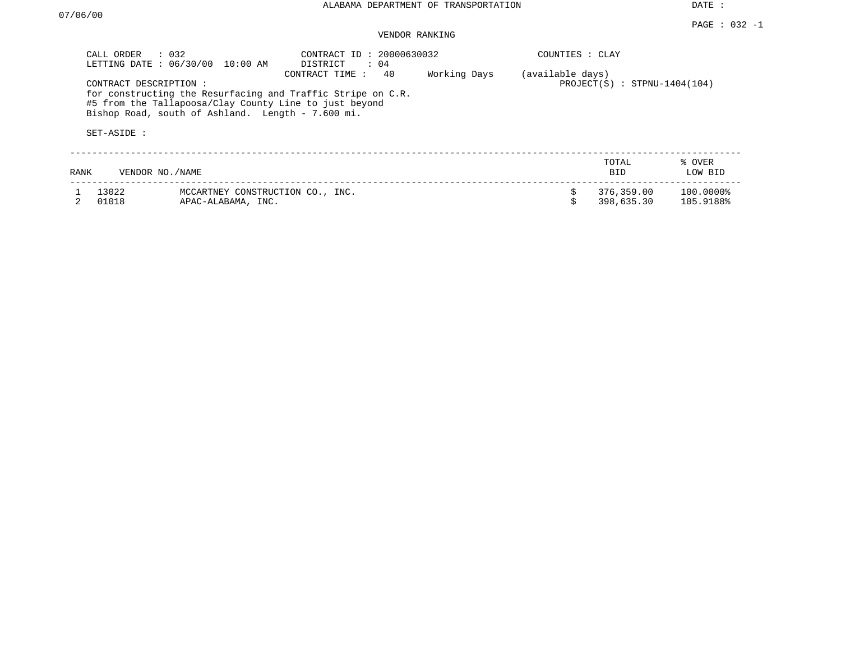DATE :

#### PAGE : 032 -1 VENDOR RANKING

| CALL ORDER            | $\therefore$ 0.32<br>LETTING DATE: 06/30/00<br>$10:00$ AM                                                                                                                                    | CONTRACT ID: 20000630032<br>DISTRICT<br>$\therefore$ 04 |  | COUNTIES : CLAY |                          |                        |
|-----------------------|----------------------------------------------------------------------------------------------------------------------------------------------------------------------------------------------|---------------------------------------------------------|--|-----------------|--------------------------|------------------------|
| CONTRACT DESCRIPTION: | CONTRACT TIME:<br>for constructing the Resurfacing and Traffic Stripe on C.R.<br>#5 from the Tallapoosa/Clay County Line to just beyond<br>Bishop Road, south of Ashland. Length - 7.600 mi. | (available days)<br>$PROJECT(S)$ : STPNU-1404(104)      |  |                 |                          |                        |
| SET-ASIDE :           |                                                                                                                                                                                              |                                                         |  |                 |                          |                        |
| RANK                  | VENDOR NO. / NAME                                                                                                                                                                            |                                                         |  |                 | TOTAL<br><b>BID</b>      | % OVER<br>LOW BID      |
| 13022<br>01018        | MCCARTNEY CONSTRUCTION CO., INC.<br>APAC-ALABAMA, INC.                                                                                                                                       |                                                         |  |                 | 376,359.00<br>398,635.30 | 100.0000%<br>105.9188% |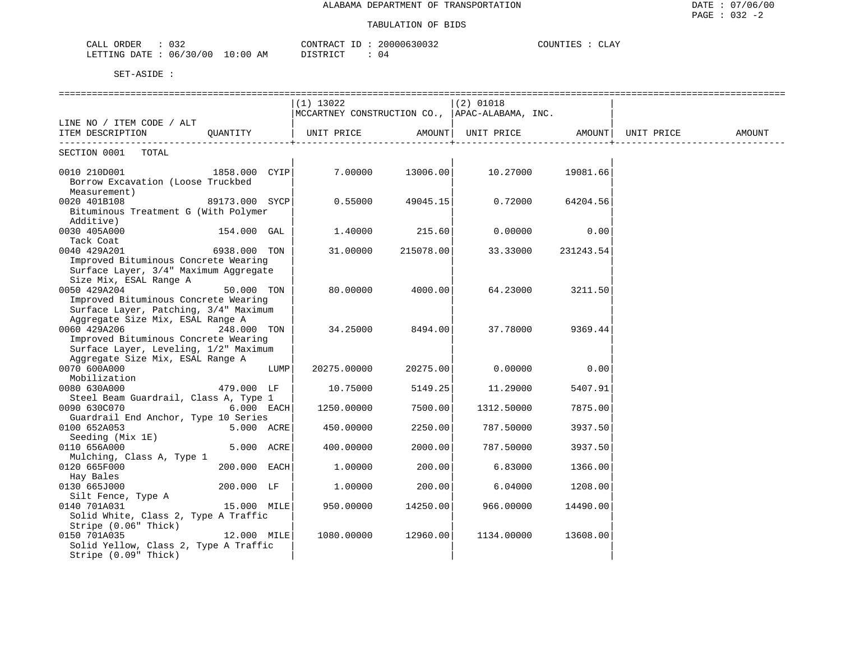| CALL ORDER<br>032               | CONTRACT ID: 20000630032 | COUNTIES :<br>: CLAY |  |
|---------------------------------|--------------------------|----------------------|--|
| LETTING DATE: 06/30/00 10:00 AM | DISTRICT<br>04           |                      |  |

|                                       |                |      | $(1)$ 13022                                                       |           | $(2)$ 01018                    |           |        |
|---------------------------------------|----------------|------|-------------------------------------------------------------------|-----------|--------------------------------|-----------|--------|
|                                       |                |      | $ {\tt MCCARTNEY}$ CONSTRUCTION CO., $ {\tt APAC-ALABAMA}$ , INC. |           |                                |           |        |
| LINE NO / ITEM CODE / ALT             |                |      |                                                                   |           |                                |           |        |
| ITEM DESCRIPTION                      | QUANTITY       |      | UNIT PRICE                                                        | AMOUNT    | UNIT PRICE AMOUNT   UNIT PRICE |           | AMOUNT |
| SECTION 0001 TOTAL                    |                |      |                                                                   |           |                                |           |        |
| 1858.000 CYIP<br>0010 210D001         |                |      | 7.00000                                                           | 13006.00  | 10.27000                       | 19081.66  |        |
| Borrow Excavation (Loose Truckbed     |                |      |                                                                   |           |                                |           |        |
| Measurement)                          |                |      |                                                                   |           |                                |           |        |
| 0020 401B108                          | 89173.000 SYCP |      | 0.55000                                                           | 49045.15  | 0.72000                        | 64204.56  |        |
| Bituminous Treatment G (With Polymer  |                |      |                                                                   |           |                                |           |        |
| Additive)                             |                |      |                                                                   |           |                                |           |        |
| 0030 405A000                          | 154.000 GAL    |      | 1,40000                                                           | 215.60    | 0.00000                        | 0.00      |        |
| Tack Coat                             |                |      |                                                                   |           |                                |           |        |
| 0040 429A201                          | 6938.000 TON   |      | 31.00000                                                          | 215078.00 | 33.33000                       | 231243.54 |        |
| Improved Bituminous Concrete Wearing  |                |      |                                                                   |           |                                |           |        |
| Surface Layer, 3/4" Maximum Aggregate |                |      |                                                                   |           |                                |           |        |
| Size Mix, ESAL Range A                |                |      |                                                                   |           |                                |           |        |
| 0050 429A204                          | 50.000 TON     |      | 80.00000                                                          | 4000.00   | 64.23000                       | 3211.50   |        |
| Improved Bituminous Concrete Wearing  |                |      |                                                                   |           |                                |           |        |
| Surface Layer, Patching, 3/4" Maximum |                |      |                                                                   |           |                                |           |        |
| Aggregate Size Mix, ESAL Range A      |                |      |                                                                   |           |                                |           |        |
| 0060 429A206                          | 248.000 TON    |      | 34.25000                                                          | 8494.00   | 37.78000                       | 9369.44   |        |
| Improved Bituminous Concrete Wearing  |                |      |                                                                   |           |                                |           |        |
| Surface Layer, Leveling, 1/2" Maximum |                |      |                                                                   |           |                                |           |        |
| Aggregate Size Mix, ESAL Range A      |                |      |                                                                   |           |                                |           |        |
| 0070 600A000                          |                | LUMP | 20275.00000                                                       | 20275.00  | 0.00000                        | 0.00      |        |
| Mobilization                          |                |      |                                                                   |           |                                |           |        |
| 0080 630A000                          | 479.000 LF     |      | 10.75000                                                          | 5149.25   | 11.29000                       | 5407.91   |        |
| Steel Beam Guardrail, Class A, Type 1 |                |      |                                                                   |           |                                |           |        |
| 0090 630C070                          | $6.000$ EACH   |      | 1250.00000                                                        | 7500.00   | 1312.50000                     | 7875.00   |        |
| Guardrail End Anchor, Type 10 Series  |                |      |                                                                   |           |                                |           |        |
| 0100 652A053                          | 5.000 ACRE     |      | 450.00000                                                         | 2250.00   | 787.50000                      | 3937.50   |        |
| Seeding (Mix 1E)                      |                |      |                                                                   |           |                                |           |        |
| 0110 656A000                          | 5.000 ACRE     |      | 400.00000                                                         | 2000.00   | 787.50000                      | 3937.50   |        |
| Mulching, Class A, Type 1             |                |      |                                                                   |           |                                |           |        |
| 0120 665F000                          | $200.000$ EACH |      | 1,00000                                                           | 200.00    | 6.83000                        | 1366.00   |        |
| Hay Bales                             |                |      |                                                                   |           |                                |           |        |
| 0130 665J000                          | 200.000 LF     |      | 1,00000                                                           | 200.00    | 6.04000                        | 1208.00   |        |
| Silt Fence, Type A                    |                |      |                                                                   |           |                                |           |        |
| 0140 701A031                          | 15.000 MILE    |      | 950.00000                                                         | 14250.00  | 966.00000                      | 14490.00  |        |
| Solid White, Class 2, Type A Traffic  |                |      |                                                                   |           |                                |           |        |
| Stripe (0.06" Thick)                  |                |      |                                                                   |           |                                |           |        |
| 0150 701A035                          | $12.000$ MILE  |      | 1080.00000                                                        | 12960.00  | 1134.00000                     | 13608.00  |        |
| Solid Yellow, Class 2, Type A Traffic |                |      |                                                                   |           |                                |           |        |
| Stripe (0.09" Thick)                  |                |      |                                                                   |           |                                |           |        |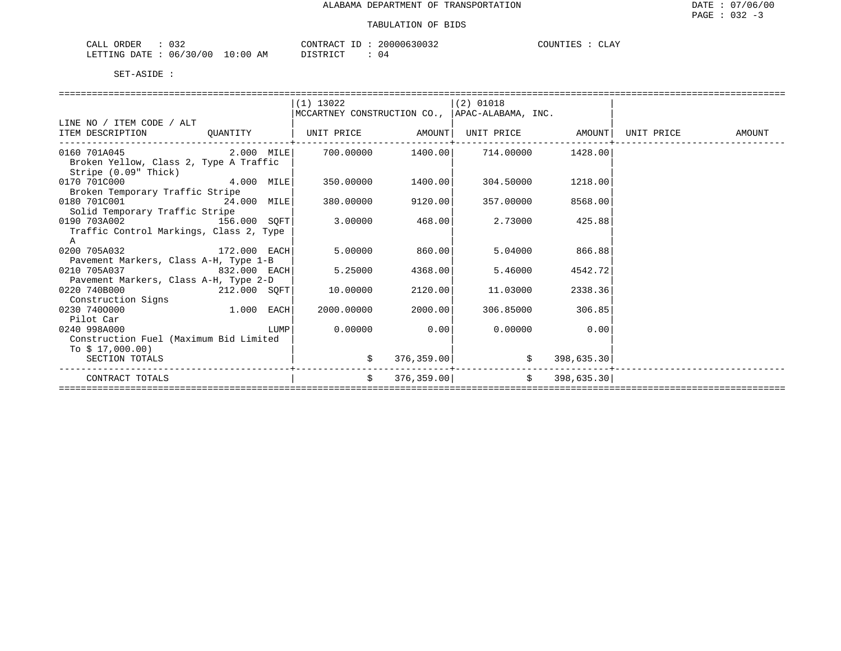| ORDER<br>CALL    | 0 J 4         |                 | CONTRACT     | $- -$ | 20000630032 | COUNTIES | ATZ<br><b>CLAI</b> |
|------------------|---------------|-----------------|--------------|-------|-------------|----------|--------------------|
| LETTING<br>DATE. | '30/00<br>06. | ΆM<br>. 0 : 0 C | דת לידי את ה |       | () 4        |          |                    |

|                                         |              | $(1)$ 13022       |                   |                                                |                   |            |        |
|-----------------------------------------|--------------|-------------------|-------------------|------------------------------------------------|-------------------|------------|--------|
|                                         |              |                   |                   | MCCARTNEY CONSTRUCTION CO., APAC-ALABAMA, INC. |                   |            |        |
| LINE NO / ITEM CODE / ALT               |              |                   |                   |                                                |                   |            |        |
| ITEM DESCRIPTION                        | QUANTITY     | UNIT PRICE AMOUNT |                   |                                                | UNIT PRICE AMOUNT | UNIT PRICE | AMOUNT |
| 0160 701A045 2.000 MILE                 |              |                   | 700.00000 1400.00 |                                                | 714.00000 1428.00 |            |        |
| Broken Yellow, Class 2, Type A Traffic  |              |                   |                   |                                                |                   |            |        |
| Stripe (0.09" Thick)                    |              |                   |                   |                                                |                   |            |        |
| 0170 701C000                            | 4.000 MILE   | 350.00000         | 1400.00           | 304.50000                                      | 1218.00           |            |        |
| Broken Temporary Traffic Stripe         |              |                   |                   |                                                |                   |            |        |
| 0180 701C001 24.000 MILE                |              | 380.00000         | 9120.00           | 357.00000                                      | 8568.00           |            |        |
| Solid Temporary Traffic Stripe          |              |                   |                   |                                                |                   |            |        |
| 0190 703A002                            | 156.000 SOFT | 3,00000           | 468.00            | 2.73000                                        | 425.88            |            |        |
| Traffic Control Markings, Class 2, Type |              |                   |                   |                                                |                   |            |        |
| A                                       |              |                   |                   |                                                |                   |            |        |
| 0200 705A032                            | 172.000 EACH | 5,00000           | 860.00            | 5.04000                                        | 866.88            |            |        |
| Pavement Markers, Class A-H, Type 1-B   |              |                   |                   |                                                |                   |            |        |
| 0210 705A037                            | 832.000 EACH | 5.25000           | 4368.00           | 5.46000                                        | 4542.72           |            |        |
| Pavement Markers, Class A-H, Type 2-D   |              |                   |                   |                                                |                   |            |        |
| 0220 740B000                            | 212.000 SOFT | 10.00000          | 2120.00           | 11.03000                                       | 2338.36           |            |        |
| Construction Signs                      |              |                   |                   |                                                |                   |            |        |
| 0230 7400000                            | 1.000 EACH   | 2000.00000        | 2000.00           | 306.85000                                      | 306.85            |            |        |
| Pilot Car                               |              |                   |                   |                                                |                   |            |        |
| 0240 998A000                            | LUMP         | 0.00000           | 0.00              | 0.00000                                        | 0.00              |            |        |
| Construction Fuel (Maximum Bid Limited  |              |                   |                   |                                                |                   |            |        |
| To $$17,000.00)$                        |              |                   |                   |                                                |                   |            |        |
| SECTION TOTALS                          |              |                   | 376, 359.00       |                                                | 398,635.30        |            |        |
| CONTRACT TOTALS                         |              | $\mathsf{S}$      | 376,359,00        | $\mathbf{s}$                                   | 398,635.30        |            |        |
|                                         |              |                   |                   |                                                |                   |            |        |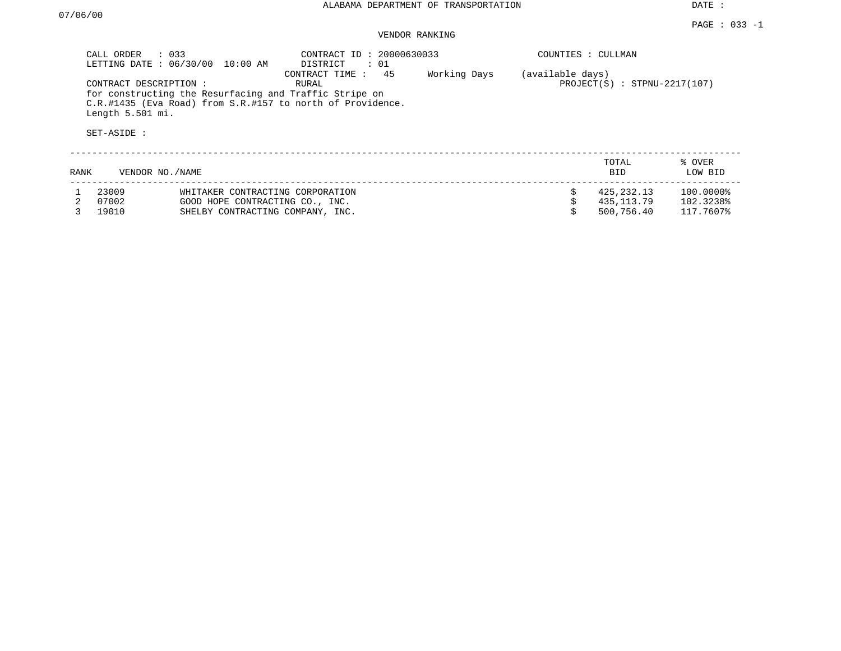DATE :

### VENDOR RANKING

|      | $\therefore$ 033<br>CALL ORDER<br>LETTING DATE: 06/30/00<br>10:00 AM |                                                                                                                      | CONTRACT ID: 20000630033<br>DISTRICT<br>: 01 |              | COUNTIES : CULLMAN |                                |                   |  |
|------|----------------------------------------------------------------------|----------------------------------------------------------------------------------------------------------------------|----------------------------------------------|--------------|--------------------|--------------------------------|-------------------|--|
|      | CONTRACT DESCRIPTION:<br>Length 5.501 mi.<br>SET-ASIDE :             | for constructing the Resurfacing and Traffic Stripe on<br>C.R.#1435 (Eva Road) from S.R.#157 to north of Providence. | 45<br>CONTRACT TIME:<br>RURAL                | Working Days | (available days)   | $PROJECT(S)$ : STPNU-2217(107) |                   |  |
| RANK |                                                                      | VENDOR NO./NAME                                                                                                      |                                              |              |                    | TOTAL<br><b>BID</b>            | % OVER<br>LOW BID |  |
|      | 23009                                                                | WHITAKER CONTRACTING CORPORATION                                                                                     |                                              |              |                    | 425,232.13                     | 100.0000%         |  |
|      | 07002                                                                | GOOD HOPE CONTRACTING CO., INC.                                                                                      |                                              |              |                    | 435,113.79                     | 102.3238%         |  |
|      | 19010                                                                | SHELBY CONTRACTING COMPANY, INC.                                                                                     |                                              |              |                    | 500,756.40                     | 117.7607%         |  |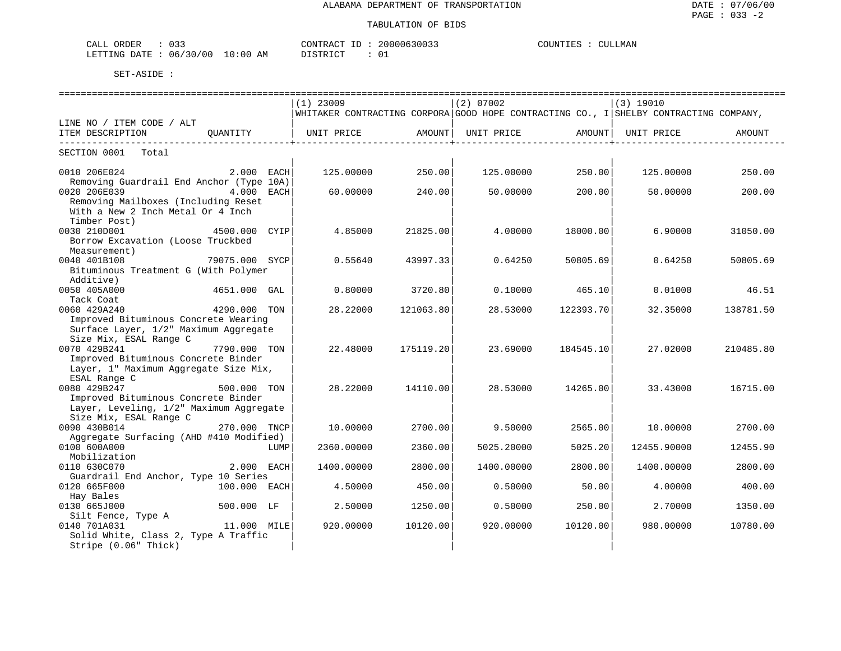| ORDER<br>$\sim$<br>لىلط<br>◡ ◡ ◡                               |         | וחד ר∩ו<br>$\sim$<br>$\Lambda$<br>. | LMAN<br>וחוו |
|----------------------------------------------------------------|---------|-------------------------------------|--------------|
| . ነ አ ጥ<br>' () (,<br>1 <sub>h</sub><br>$\sim 150$<br>$\cdots$ | .<br>AM | $ \cap$ $\pi$                       |              |

| =================                                 |                |      |                                                                                       |           |             |                   |             |           |  |
|---------------------------------------------------|----------------|------|---------------------------------------------------------------------------------------|-----------|-------------|-------------------|-------------|-----------|--|
|                                                   |                |      | $(1)$ 23009                                                                           |           | $(2)$ 07002 |                   | $(3)$ 19010 |           |  |
|                                                   |                |      | WHITAKER CONTRACTING CORPORA GOOD HOPE CONTRACTING CO., I SHELBY CONTRACTING COMPANY, |           |             |                   |             |           |  |
| LINE NO / ITEM CODE / ALT                         |                |      |                                                                                       |           |             |                   |             |           |  |
| ITEM DESCRIPTION                                  | OUANTITY       |      | UNIT PRICE                                                                            | AMOUNT    | UNIT PRICE  | AMOUNT            | UNIT PRICE  | AMOUNT    |  |
| -------------<br>SECTION 0001<br>Total            |                |      |                                                                                       |           |             | ----------------- |             |           |  |
|                                                   |                |      |                                                                                       |           |             |                   |             |           |  |
| 0010 206E024                                      | 2.000 EACH     |      | 125.00000                                                                             | 250.00    | 125.00000   | 250.00            | 125.00000   | 250.00    |  |
| Removing Guardrail End Anchor (Type 10A)          |                |      |                                                                                       |           |             |                   |             |           |  |
| 0020 206E039                                      | 4.000 EACH     |      | 60.00000                                                                              | 240.00    | 50.00000    | 200.00            | 50.00000    | 200.00    |  |
| Removing Mailboxes (Including Reset               |                |      |                                                                                       |           |             |                   |             |           |  |
| With a New 2 Inch Metal Or 4 Inch                 |                |      |                                                                                       |           |             |                   |             |           |  |
| Timber Post)                                      |                |      |                                                                                       |           |             |                   |             |           |  |
| 0030 210D001                                      | 4500.000 CYIP  |      | 4.85000                                                                               | 21825.00  | 4.00000     | 18000.00          | 6.90000     | 31050.00  |  |
| Borrow Excavation (Loose Truckbed                 |                |      |                                                                                       |           |             |                   |             |           |  |
| Measurement)                                      |                |      |                                                                                       |           |             |                   |             |           |  |
| 0040 401B108                                      | 79075.000 SYCP |      | 0.55640                                                                               | 43997.33  | 0.64250     | 50805.69          | 0.64250     | 50805.69  |  |
| Bituminous Treatment G (With Polymer<br>Additive) |                |      |                                                                                       |           |             |                   |             |           |  |
| 0050 405A000                                      | 4651.000 GAL   |      | 0.80000                                                                               | 3720.80   | 0.10000     | 465.10            | 0.01000     | 46.51     |  |
| Tack Coat                                         |                |      |                                                                                       |           |             |                   |             |           |  |
| 0060 429A240                                      | 4290.000 TON   |      | 28.22000                                                                              | 121063.80 | 28.53000    | 122393.70         | 32.35000    | 138781.50 |  |
| Improved Bituminous Concrete Wearing              |                |      |                                                                                       |           |             |                   |             |           |  |
| Surface Layer, 1/2" Maximum Aggregate             |                |      |                                                                                       |           |             |                   |             |           |  |
| Size Mix, ESAL Range C                            |                |      |                                                                                       |           |             |                   |             |           |  |
| 0070 429B241                                      | 7790.000 TON   |      | 22.48000                                                                              | 175119.20 | 23.69000    | 184545.10         | 27.02000    | 210485.80 |  |
| Improved Bituminous Concrete Binder               |                |      |                                                                                       |           |             |                   |             |           |  |
| Layer, 1" Maximum Aggregate Size Mix,             |                |      |                                                                                       |           |             |                   |             |           |  |
| ESAL Range C                                      |                |      |                                                                                       |           |             |                   |             |           |  |
| 0080 429B247                                      | 500.000 TON    |      | 28.22000                                                                              | 14110.00  | 28.53000    | 14265.00          | 33.43000    | 16715.00  |  |
| Improved Bituminous Concrete Binder               |                |      |                                                                                       |           |             |                   |             |           |  |
| Layer, Leveling, 1/2" Maximum Aggregate           |                |      |                                                                                       |           |             |                   |             |           |  |
| Size Mix, ESAL Range C                            |                |      |                                                                                       |           |             |                   |             |           |  |
| 0090 430B014                                      | 270.000 TNCP   |      | 10.00000                                                                              | 2700.00   | 9.50000     | 2565.00           | 10.00000    | 2700.00   |  |
| Aggregate Surfacing (AHD #410 Modified)           |                |      |                                                                                       |           |             |                   |             |           |  |
| 0100 600A000<br>Mobilization                      |                | LUMP | 2360.00000                                                                            | 2360.00   | 5025.20000  | 5025.20           | 12455.90000 | 12455.90  |  |
| 0110 630C070                                      | 2.000 EACH     |      | 1400.00000                                                                            | 2800.00   | 1400.00000  | 2800.00           | 1400.00000  | 2800.00   |  |
| Guardrail End Anchor, Type 10 Series              |                |      |                                                                                       |           |             |                   |             |           |  |
| 0120 665F000                                      | 100.000 EACH   |      | 4.50000                                                                               | 450.00    | 0.50000     | 50.00             | 4.00000     | 400.00    |  |
| Hay Bales                                         |                |      |                                                                                       |           |             |                   |             |           |  |
| 0130 665J000                                      | 500.000 LF     |      | 2.50000                                                                               | 1250.00   | 0.50000     | 250.00            | 2.70000     | 1350.00   |  |
| Silt Fence, Type A                                |                |      |                                                                                       |           |             |                   |             |           |  |
| 0140 701A031                                      | 11.000 MILE    |      | 920.00000                                                                             | 10120.00  | 920.00000   | 10120.00          | 980,00000   | 10780.00  |  |
| Solid White, Class 2, Type A Traffic              |                |      |                                                                                       |           |             |                   |             |           |  |
| Stripe (0.06" Thick)                              |                |      |                                                                                       |           |             |                   |             |           |  |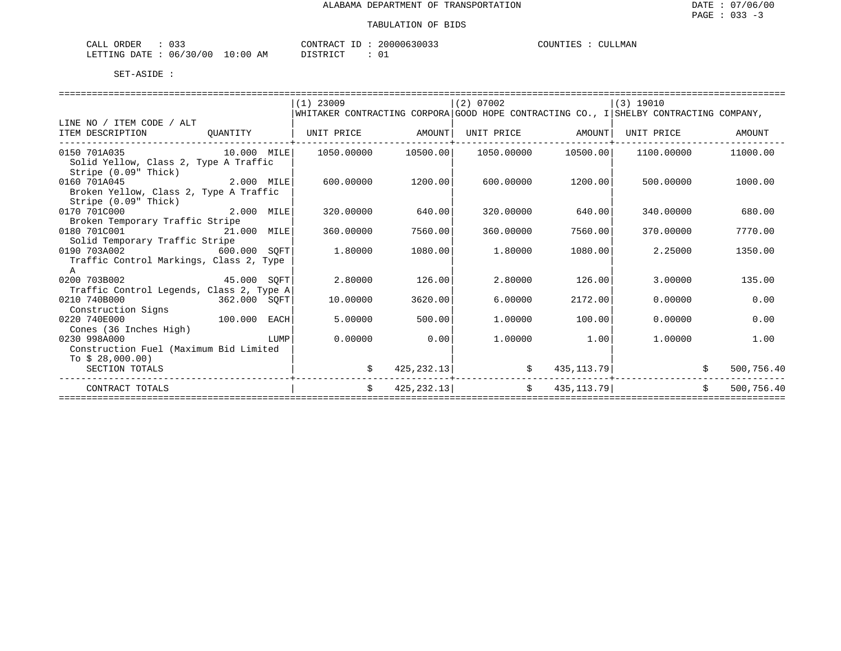| $\sim$ $\sim$ $\sim$<br>ORDER<br>′ ىلىلAت<br>ັບ ມີ |             | CONTRACT<br>⊥ D   | 20000630033 | COUNTIES<br><b>ULLMAN</b> |
|----------------------------------------------------|-------------|-------------------|-------------|---------------------------|
| 06/30/00<br>LETTING DATE : '                       | 10:00<br>AΜ | <b>PT STR TOT</b> | ັ           |                           |

|           |                                                                                                                                                                                                                                                                                                                                                                                                                                                                                                     |                                          |                                                                                                                                                      |                                                                     |                                                                                                                                                                                                                                          | AMOUNT                                                                                              |
|-----------|-----------------------------------------------------------------------------------------------------------------------------------------------------------------------------------------------------------------------------------------------------------------------------------------------------------------------------------------------------------------------------------------------------------------------------------------------------------------------------------------------------|------------------------------------------|------------------------------------------------------------------------------------------------------------------------------------------------------|---------------------------------------------------------------------|------------------------------------------------------------------------------------------------------------------------------------------------------------------------------------------------------------------------------------------|-----------------------------------------------------------------------------------------------------|
|           |                                                                                                                                                                                                                                                                                                                                                                                                                                                                                                     |                                          |                                                                                                                                                      |                                                                     |                                                                                                                                                                                                                                          | 11000.00                                                                                            |
|           |                                                                                                                                                                                                                                                                                                                                                                                                                                                                                                     |                                          |                                                                                                                                                      |                                                                     |                                                                                                                                                                                                                                          |                                                                                                     |
|           |                                                                                                                                                                                                                                                                                                                                                                                                                                                                                                     |                                          |                                                                                                                                                      |                                                                     |                                                                                                                                                                                                                                          | 1000.00                                                                                             |
|           |                                                                                                                                                                                                                                                                                                                                                                                                                                                                                                     |                                          |                                                                                                                                                      |                                                                     |                                                                                                                                                                                                                                          |                                                                                                     |
|           |                                                                                                                                                                                                                                                                                                                                                                                                                                                                                                     |                                          |                                                                                                                                                      |                                                                     |                                                                                                                                                                                                                                          |                                                                                                     |
| 320.00000 | 640.00                                                                                                                                                                                                                                                                                                                                                                                                                                                                                              | 320,00000                                |                                                                                                                                                      | 340.00000                                                           |                                                                                                                                                                                                                                          | 680.00                                                                                              |
|           |                                                                                                                                                                                                                                                                                                                                                                                                                                                                                                     |                                          |                                                                                                                                                      |                                                                     |                                                                                                                                                                                                                                          |                                                                                                     |
| 360.00000 | 7560.00                                                                                                                                                                                                                                                                                                                                                                                                                                                                                             | 360.00000                                |                                                                                                                                                      | 370.00000                                                           |                                                                                                                                                                                                                                          | 7770.00                                                                                             |
|           |                                                                                                                                                                                                                                                                                                                                                                                                                                                                                                     |                                          |                                                                                                                                                      |                                                                     |                                                                                                                                                                                                                                          |                                                                                                     |
| 1.80000   |                                                                                                                                                                                                                                                                                                                                                                                                                                                                                                     | 1.80000                                  |                                                                                                                                                      | 2.25000                                                             |                                                                                                                                                                                                                                          | 1350.00                                                                                             |
|           |                                                                                                                                                                                                                                                                                                                                                                                                                                                                                                     |                                          |                                                                                                                                                      |                                                                     |                                                                                                                                                                                                                                          |                                                                                                     |
|           |                                                                                                                                                                                                                                                                                                                                                                                                                                                                                                     |                                          |                                                                                                                                                      |                                                                     |                                                                                                                                                                                                                                          |                                                                                                     |
|           |                                                                                                                                                                                                                                                                                                                                                                                                                                                                                                     |                                          |                                                                                                                                                      |                                                                     |                                                                                                                                                                                                                                          | 135.00                                                                                              |
|           |                                                                                                                                                                                                                                                                                                                                                                                                                                                                                                     |                                          |                                                                                                                                                      |                                                                     |                                                                                                                                                                                                                                          |                                                                                                     |
|           |                                                                                                                                                                                                                                                                                                                                                                                                                                                                                                     |                                          |                                                                                                                                                      |                                                                     |                                                                                                                                                                                                                                          | 0.00                                                                                                |
|           |                                                                                                                                                                                                                                                                                                                                                                                                                                                                                                     |                                          |                                                                                                                                                      |                                                                     |                                                                                                                                                                                                                                          |                                                                                                     |
|           |                                                                                                                                                                                                                                                                                                                                                                                                                                                                                                     |                                          |                                                                                                                                                      |                                                                     |                                                                                                                                                                                                                                          | 0.00                                                                                                |
|           |                                                                                                                                                                                                                                                                                                                                                                                                                                                                                                     |                                          |                                                                                                                                                      |                                                                     |                                                                                                                                                                                                                                          |                                                                                                     |
|           |                                                                                                                                                                                                                                                                                                                                                                                                                                                                                                     |                                          |                                                                                                                                                      |                                                                     |                                                                                                                                                                                                                                          | 1.00                                                                                                |
|           |                                                                                                                                                                                                                                                                                                                                                                                                                                                                                                     |                                          |                                                                                                                                                      |                                                                     |                                                                                                                                                                                                                                          |                                                                                                     |
|           |                                                                                                                                                                                                                                                                                                                                                                                                                                                                                                     |                                          |                                                                                                                                                      |                                                                     |                                                                                                                                                                                                                                          |                                                                                                     |
|           |                                                                                                                                                                                                                                                                                                                                                                                                                                                                                                     |                                          |                                                                                                                                                      |                                                                     |                                                                                                                                                                                                                                          | 500,756.40                                                                                          |
|           |                                                                                                                                                                                                                                                                                                                                                                                                                                                                                                     |                                          |                                                                                                                                                      |                                                                     | Ŝ.                                                                                                                                                                                                                                       | 500,756.40                                                                                          |
|           | $(1)$ 23009<br>10.000 MILE<br>2.000 MILE<br>Broken Yellow, Class 2, Type A Traffic<br>2.000 MILE<br>0180 701C001 21.000 MILE<br>600.000 SOFT<br>Traffic Control Markings, Class 2, Type<br>0200 703B002 45.000 SQFT<br>2.80000<br>Traffic Control Legends, Class 2, Type A<br>362.000 SQFT<br>10.00000<br>100.000 EACH<br>5.00000<br><b>EXECUTE IN THE EXECUTIVE PROPERTY OF A SET OF A SET OF A SET OF A SET OF A SET OF A SET OF A SET OF A SET OF </b><br>Construction Fuel (Maximum Bid Limited | 600.00000<br>0.00000<br>\$<br>$\ddot{s}$ | $(2)$ 07002<br>UNIT PRICE AMOUNT<br>1050.00000 10500.00<br>1200.00<br>1080.00<br>126.00<br>3620.00<br>500.00<br>0.00<br>425, 232. 13<br>425, 232. 13 | 1050.00000<br>600.00000<br>2.80000<br>6.00000<br>1,00000<br>1,00000 | (3) 19010<br>UNIT PRICE AMOUNT<br>UNIT PRICE<br>10500.00<br>1200.001<br>500.00000<br>640.00<br>7560.00<br>1080.00<br>126.00<br>3,00000<br>2172.00<br>0.00000<br>100.00<br>0.00000<br>1.00<br>1,00000<br>\$ 435, 113.79<br>\$ 435, 113.79 | WHITAKER CONTRACTING CORPORA GOOD HOPE CONTRACTING CO., I SHELBY CONTRACTING COMPANY,<br>1100.00000 |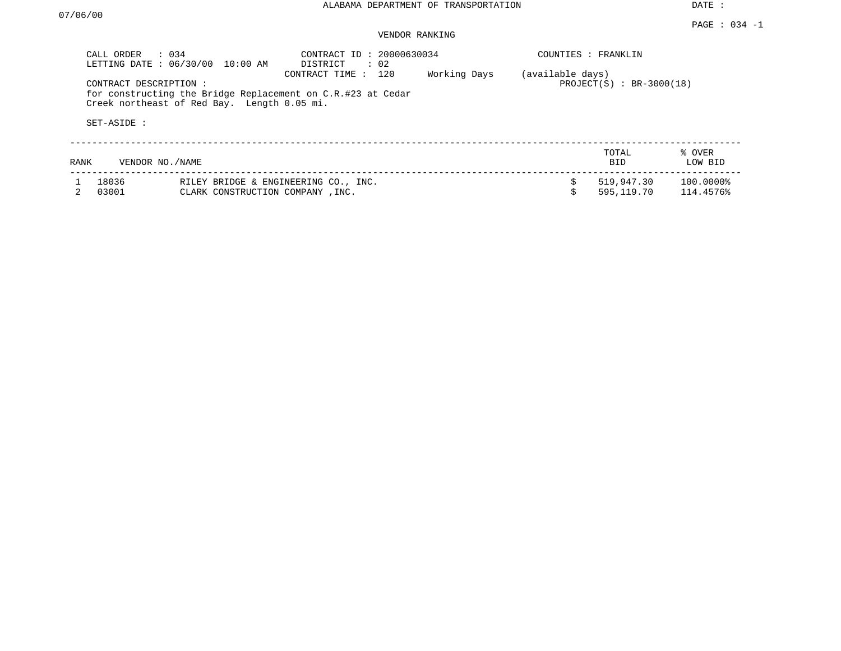DATE :

#### PAGE : 034 -1 VENDOR RANKING

| CALL ORDER : 034<br>LETTING DATE: 06/30/00<br>10:00 AM |                                             | $\therefore$ 02<br>DISTRICT                                                          | CONTRACT ID: 20000630034 |                  |                            | COUNTIES : FRANKLIN    |  |  |  |
|--------------------------------------------------------|---------------------------------------------|--------------------------------------------------------------------------------------|--------------------------|------------------|----------------------------|------------------------|--|--|--|
| CONTRACT DESCRIPTION:<br>SET-ASIDE:                    | Creek northeast of Red Bay. Length 0.05 mi. | 120<br>CONTRACT TIME:<br>for constructing the Bridge Replacement on C.R.#23 at Cedar | Working Days             | (available days) | $PROJECT(S) : BR-3000(18)$ |                        |  |  |  |
| RANK                                                   | VENDOR NO./NAME                             |                                                                                      |                          |                  | TOTAL<br><b>BID</b>        | % OVER<br>LOW BID      |  |  |  |
| 18036<br>03001                                         | CLARK CONSTRUCTION COMPANY, INC.            | RILEY BRIDGE & ENGINEERING CO., INC.                                                 |                          |                  | 519,947.30<br>595,119.70   | 100.0000%<br>114.4576% |  |  |  |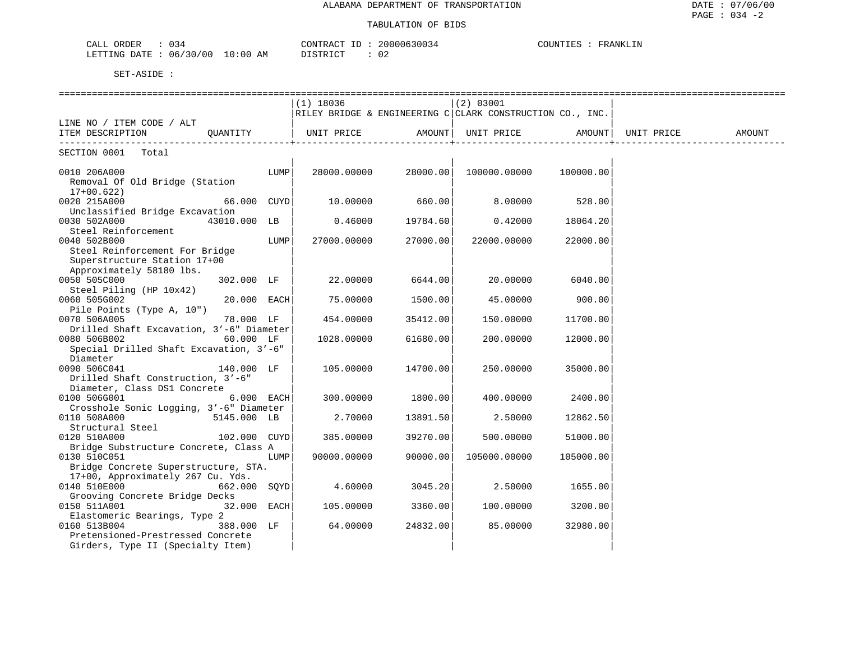| $\sim$ $-$<br>$\sim$ nnn<br>ושו<br>YNER .<br>134<br>: படிப | $\sim$ $\sim$<br>20000<br>ו א ש | COUNTIES<br>NNKT.TN<br>'R∆N<br>ا التلا علي |
|------------------------------------------------------------|---------------------------------|--------------------------------------------|
| 100<br>AΜ<br>DATF<br>06<br>. . 00<br>TRIJIMA               | n,<br>T T T T T T<br>◡∠<br>.    |                                            |

|                                          | $(1)$ 18036                                               |          | (2) 03001    |                   |            |        |
|------------------------------------------|-----------------------------------------------------------|----------|--------------|-------------------|------------|--------|
|                                          | RILEY BRIDGE & ENGINEERING C CLARK CONSTRUCTION CO., INC. |          |              |                   |            |        |
| LINE NO / ITEM CODE / ALT                |                                                           |          |              |                   |            |        |
| QUANTITY<br>ITEM DESCRIPTION             | UNIT PRICE AMOUNT                                         |          |              | UNIT PRICE AMOUNT | UNIT PRICE | AMOUNT |
|                                          |                                                           |          |              |                   |            |        |
| SECTION 0001<br>Total                    |                                                           |          |              |                   |            |        |
|                                          |                                                           |          |              |                   |            |        |
| 0010 206A000<br>LUMP                     | 28000.00000                                               | 28000.00 | 100000.00000 | 100000.00         |            |        |
| Removal Of Old Bridge (Station           |                                                           |          |              |                   |            |        |
| $17+00.622)$                             |                                                           |          |              |                   |            |        |
| 0020 215A000<br>66.000 CUYD              | 10.00000                                                  | 660.00   | 8.00000      | 528.00            |            |        |
| Unclassified Bridge Excavation           |                                                           |          |              |                   |            |        |
| 43010.000 LB<br>0030 502A000             | 0.46000                                                   | 19784.60 | 0.42000      | 18064.20          |            |        |
| Steel Reinforcement                      |                                                           |          |              |                   |            |        |
| LUMP<br>0040 502B000                     | 27000.00000                                               | 27000.00 | 22000.00000  | 22000.00          |            |        |
| Steel Reinforcement For Bridge           |                                                           |          |              |                   |            |        |
| Superstructure Station 17+00             |                                                           |          |              |                   |            |        |
| Approximately 58180 lbs.                 |                                                           |          |              |                   |            |        |
| 0050 505C000<br>302.000 LF               | 22.00000                                                  | 6644.00  | 20.00000     | 6040.00           |            |        |
| Steel Piling (HP 10x42)                  |                                                           |          |              |                   |            |        |
| 0060 505G002<br>20.000 EACH              | 75.00000                                                  | 1500.00  | 45.00000     | 900.00            |            |        |
| Pile Points (Type A, 10")                |                                                           |          |              |                   |            |        |
| 0070 506A005<br>78.000 LF                | 454.00000                                                 | 35412.00 | 150.00000    | 11700.00          |            |        |
| Drilled Shaft Excavation, 3'-6" Diameter |                                                           |          |              |                   |            |        |
| 0080 506B002<br>60.000 LF                | 1028.00000                                                | 61680.00 | 200,00000    | 12000.00          |            |        |
| Special Drilled Shaft Excavation, 3'-6"  |                                                           |          |              |                   |            |        |
| Diameter                                 |                                                           |          |              |                   |            |        |
| 0090 506C041<br>140.000 LF               | 105.00000                                                 | 14700.00 | 250.00000    | 35000.00          |            |        |
| Drilled Shaft Construction, 3'-6"        |                                                           |          |              |                   |            |        |
| Diameter, Class DS1 Concrete             |                                                           |          |              |                   |            |        |
| 0100 506G001<br>$6.000$ EACH             | 300.00000                                                 | 1800.00  | 400.00000    | 2400.00           |            |        |
| Crosshole Sonic Logging, 3'-6" Diameter  |                                                           |          |              |                   |            |        |
| 0110 508A000<br>5145.000 LB              | 2.70000                                                   | 13891.50 | 2.50000      | 12862.50          |            |        |
| Structural Steel                         |                                                           |          |              |                   |            |        |
| 0120 510A000<br>102.000 CUYD             | 385.00000                                                 | 39270.00 | 500.00000    | 51000.00          |            |        |
| Bridge Substructure Concrete, Class A    |                                                           |          |              |                   |            |        |
| 0130 510C051<br>LUMP                     | 90000.00000                                               | 90000.00 | 105000.00000 | 105000.00         |            |        |
| Bridge Concrete Superstructure, STA.     |                                                           |          |              |                   |            |        |
| 17+00, Approximately 267 Cu. Yds.        |                                                           |          |              |                   |            |        |
| 0140 510E000<br>662.000 SQYD             | 4.60000                                                   | 3045.20  | 2.50000      | 1655.00           |            |        |
| Grooving Concrete Bridge Decks           |                                                           |          |              |                   |            |        |
| 32.000 EACH<br>0150 511A001              | 105.00000                                                 | 3360.00  | 100.00000    | 3200.00           |            |        |
| Elastomeric Bearings, Type 2             |                                                           |          |              |                   |            |        |
| 0160 513B004<br>388.000 LF               | 64.00000                                                  | 24832.00 | 85.00000     | 32980.00          |            |        |
| Pretensioned-Prestressed Concrete        |                                                           |          |              |                   |            |        |
| Girders, Type II (Specialty Item)        |                                                           |          |              |                   |            |        |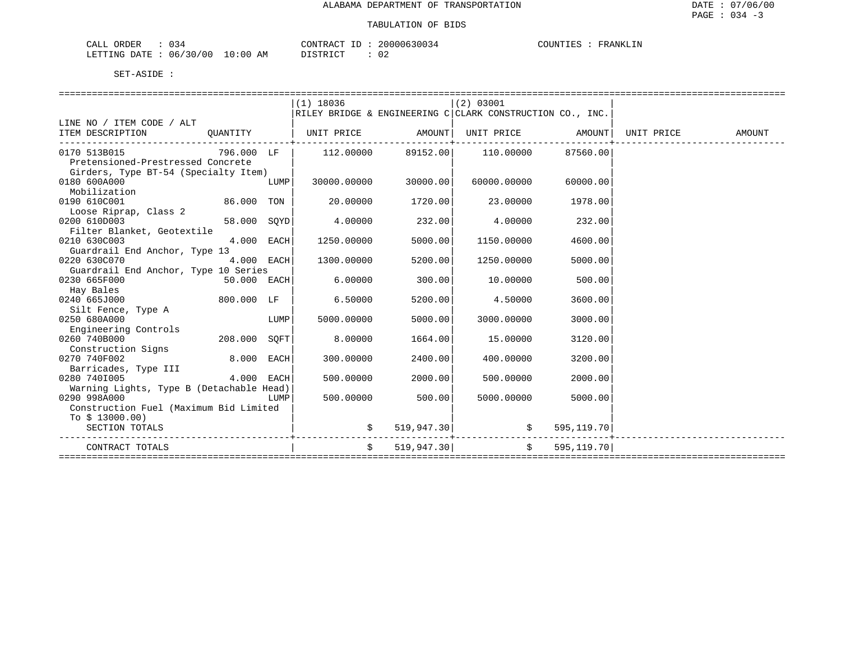| ORDER<br>CALL | 034                    | CONTRACT ID | 20000630034  | COUNTIES<br>FRANKLIN |
|---------------|------------------------|-------------|--------------|----------------------|
| LETTING DATE  | 06/30/00<br>$10:00$ AM | DISTRICT    | $\sim$<br>∪∠ |                      |

|                                                                                     |             |      | $(1)$ 18036                                               |            | (2) 03001       |             |  |
|-------------------------------------------------------------------------------------|-------------|------|-----------------------------------------------------------|------------|-----------------|-------------|--|
|                                                                                     |             |      | RILEY BRIDGE & ENGINEERING C CLARK CONSTRUCTION CO., INC. |            |                 |             |  |
| LINE NO / ITEM CODE / ALT                                                           |             |      |                                                           |            |                 |             |  |
| ITEM DESCRIPTION QUANTITY   UNIT PRICE AMOUNT  UNIT PRICE AMOUNT  UNIT PRICE AMOUNT |             |      |                                                           |            |                 |             |  |
|                                                                                     |             |      |                                                           |            |                 |             |  |
| 0170 513B015                                                                        | 796.000 LF  |      | $112.00000$ $89152.00$ $110.00000$                        |            |                 | 87560.00    |  |
| Pretensioned-Prestressed Concrete                                                   |             |      |                                                           |            |                 |             |  |
| Girders, Type BT-54 (Specialty Item)                                                |             |      |                                                           |            |                 |             |  |
| 0180 600A000                                                                        |             | LUMP | 30000.00000                                               | 30000.00   | 60000.00000     | 60000.00    |  |
| Mobilization                                                                        |             |      |                                                           |            |                 |             |  |
| 0190 610C001                                                                        | 86.000 TON  |      | 20.00000                                                  | 1720.00    | 23.00000        | 1978.00     |  |
| Loose Riprap, Class 2                                                               |             |      |                                                           |            |                 |             |  |
| 0200 610D003                                                                        | 58.000 SOYD |      | 4.00000                                                   | 232.00     | 4.00000         | 232.00      |  |
| Filter Blanket, Geotextile                                                          |             |      |                                                           |            |                 |             |  |
| 0210 630C003                                                                        | 4.000 EACH  |      | 1250.00000                                                | 5000.00    | 1150.00000      | 4600.00     |  |
| Guardrail End Anchor, Type 13                                                       |             |      |                                                           |            |                 |             |  |
| 0220 630C070                                                                        | 4.000 EACH  |      | 1300.00000                                                | 5200.00    | 1250.00000      | 5000.00     |  |
| Guardrail End Anchor, Type 10 Series                                                |             |      |                                                           |            |                 |             |  |
| $50.000$ EACH<br>0230 665F000                                                       |             |      | 6.00000                                                   | 300.00     | 10.00000        | 500.00      |  |
| Hay Bales                                                                           |             |      |                                                           |            |                 |             |  |
| 800.000 LF<br>0240 665J000                                                          |             |      | 6.50000                                                   | 5200.00    | 4.50000         | 3600.00     |  |
| Silt Fence, Type A                                                                  |             |      |                                                           |            |                 |             |  |
| 0250 680A000                                                                        |             | LUMP | 5000.00000                                                | 5000.00    | 3000.00000      | 3000.00     |  |
| Engineering Controls                                                                |             |      |                                                           |            |                 |             |  |
| 0260 740B000<br>208.000 SOFT                                                        |             |      | 8,00000                                                   | 1664.00    | 15.00000        | 3120.00     |  |
| Construction Signs                                                                  |             |      |                                                           |            |                 |             |  |
| 0270 740F002                                                                        | 8.000 EACH  |      | 300.00000                                                 | 2400.00    | 400,00000       | 3200.00     |  |
| Barricades, Type III                                                                |             |      |                                                           |            |                 |             |  |
| 0280 7401005                                                                        | 4.000 EACH  |      | 500,00000                                                 | 2000.00    | 500,00000       | 2000.00     |  |
| Warning Lights, Type B (Detachable Head)                                            |             |      |                                                           |            |                 |             |  |
| 0290 998A000                                                                        |             | LUMP | 500.00000                                                 | 500.00     | 5000.00000      | 5000.00     |  |
| Construction Fuel (Maximum Bid Limited                                              |             |      |                                                           |            |                 |             |  |
| To $$13000.00)$                                                                     |             |      |                                                           |            |                 |             |  |
| SECTION TOTALS                                                                      |             |      |                                                           | 519,947.30 |                 | 595, 119.70 |  |
| CONTRACT TOTALS                                                                     |             |      | $\ddot{s}$                                                |            | $519,947.30$ \$ | 595,119.70  |  |
|                                                                                     |             |      |                                                           |            |                 |             |  |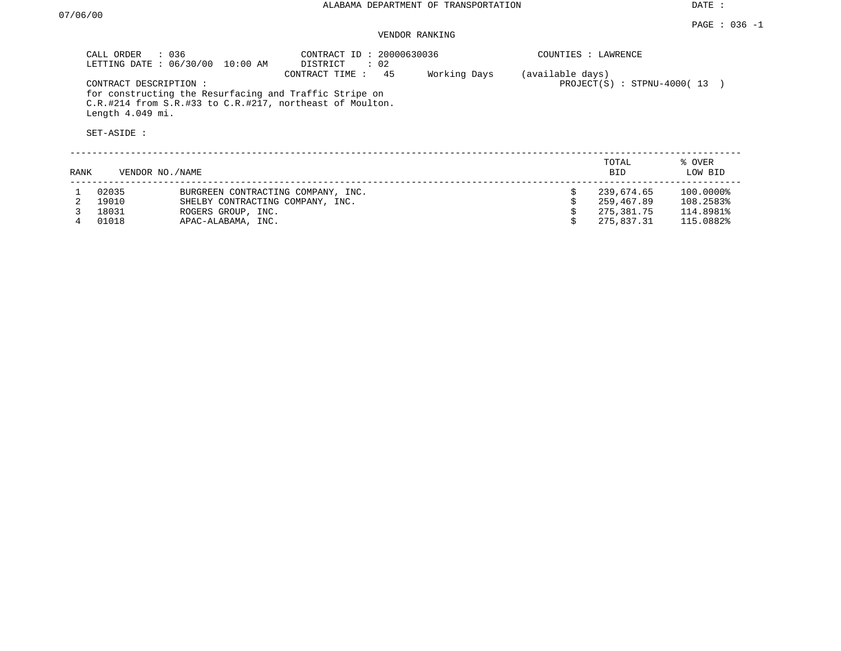DATE :

#### PAGE : 036 -1 VENDOR RANKING

|      | CALL ORDER : 036<br>CONTRACT DESCRIPTION:<br>Length 4.049 mi.<br>SET-ASIDE : | LETTING DATE : 06/30/00 10:00 AM                                                                                   | CONTRACT ID: 20000630036<br>DISTRICT<br>: 02<br>45<br>CONTRACT TIME :<br>for constructing the Resurfacing and Traffic Stripe on<br>C.R.#214 from S.R.#33 to C.R.#217, northeast of Moulton. | Working Days | COUNTIES : LAWRENCE<br>(available days) | $PROJECT(S) : STPNU-4000(13)$                        |                                                  |
|------|------------------------------------------------------------------------------|--------------------------------------------------------------------------------------------------------------------|---------------------------------------------------------------------------------------------------------------------------------------------------------------------------------------------|--------------|-----------------------------------------|------------------------------------------------------|--------------------------------------------------|
| RANK | VENDOR NO./NAME                                                              |                                                                                                                    |                                                                                                                                                                                             |              |                                         | TOTAL<br>BID                                         | % OVER<br>LOW BID                                |
|      | 02035<br>19010<br>18031<br>01018                                             | BURGREEN CONTRACTING COMPANY, INC.<br>SHELBY CONTRACTING COMPANY, INC.<br>ROGERS GROUP, INC.<br>APAC-ALABAMA, INC. |                                                                                                                                                                                             |              | \$                                      | 239,674.65<br>259,467.89<br>275,381.75<br>275,837.31 | 100.0000%<br>108.2583%<br>114.8981%<br>115.0882% |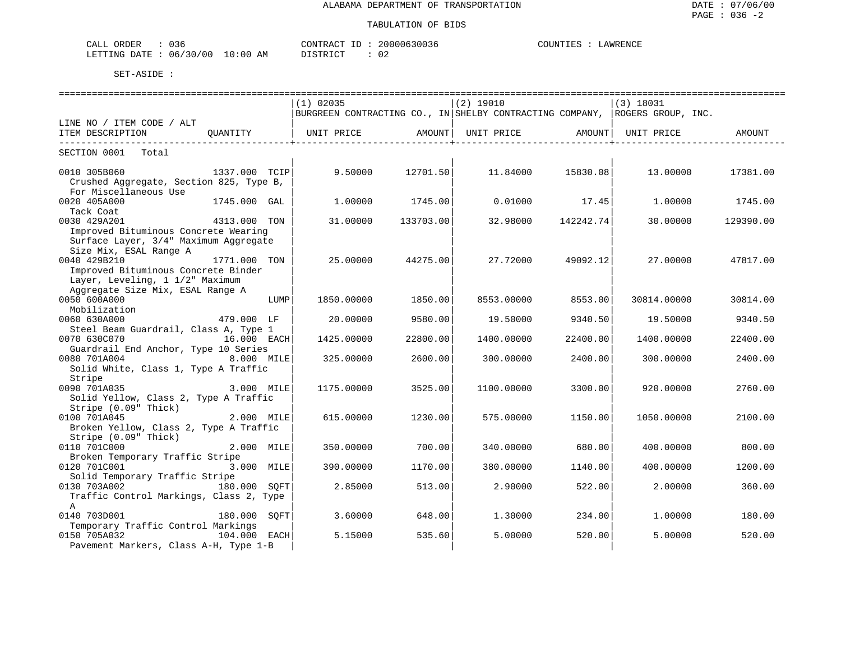| $\sim$ $\sim$<br><b>ORDER</b><br>$\sim$ $ -$<br>U 3 b<br>لىلط |               | ו A קידו <b>אר</b> " | ,,,,,,,, | COUNTIES<br>AWRENCI |
|---------------------------------------------------------------|---------------|----------------------|----------|---------------------|
| 06/<br>DATT<br>.ETTTNG                                        | .<br>AM<br>⊥∪ | תיחים ־              | ◡∠       |                     |

| $(1)$ 02035<br>$(2)$ 19010<br>$(3)$ 18031<br>BURGREEN CONTRACTING CO., IN SHELBY CONTRACTING COMPANY, ROGERS GROUP, INC.<br>LINE NO / ITEM CODE / ALT<br>OUANTITY<br>UNIT PRICE<br>ITEM DESCRIPTION<br>AMOUNT  <br>UNIT PRICE<br>AMOUNT  <br>UNIT PRICE<br>AMOUNT |  |
|-------------------------------------------------------------------------------------------------------------------------------------------------------------------------------------------------------------------------------------------------------------------|--|
|                                                                                                                                                                                                                                                                   |  |
|                                                                                                                                                                                                                                                                   |  |
|                                                                                                                                                                                                                                                                   |  |
|                                                                                                                                                                                                                                                                   |  |
| SECTION 0001<br>Total                                                                                                                                                                                                                                             |  |
| 9.50000<br>12701.50<br>0010 305B060<br>1337.000 TCIP<br>11.84000<br>15830.08<br>13.00000<br>17381.00                                                                                                                                                              |  |
| Crushed Aggregate, Section 825, Type B,<br>For Miscellaneous Use                                                                                                                                                                                                  |  |
| 0020 405A000<br>1745.000 GAL<br>0.01000<br>1,00000<br>1745.00<br>17.45<br>1,00000<br>1745.00                                                                                                                                                                      |  |
| Tack Coat                                                                                                                                                                                                                                                         |  |
| 0030 429A201<br>4313.000 TON<br>31,00000<br>133703.00<br>32.98000<br>142242.74<br>30,00000<br>129390.00                                                                                                                                                           |  |
| Improved Bituminous Concrete Wearing                                                                                                                                                                                                                              |  |
| Surface Layer, 3/4" Maximum Aggregate                                                                                                                                                                                                                             |  |
| Size Mix, ESAL Range A                                                                                                                                                                                                                                            |  |
| 0040 429B210<br>1771.000 TON<br>25.00000<br>44275.00<br>27.72000<br>49092.12<br>27.00000<br>47817.00                                                                                                                                                              |  |
| Improved Bituminous Concrete Binder                                                                                                                                                                                                                               |  |
| Layer, Leveling, 1 1/2" Maximum                                                                                                                                                                                                                                   |  |
| Aggregate Size Mix, ESAL Range A<br>0050 600A000<br>LUMP<br>1850.00000<br>1850.00<br>8553.00000<br>8553.00<br>30814.00000<br>30814.00                                                                                                                             |  |
| Mobilization                                                                                                                                                                                                                                                      |  |
| 0060 630A000<br>479.000 LF<br>9580.00<br>19.50000<br>9340.50<br>20.00000<br>19.50000<br>9340.50                                                                                                                                                                   |  |
| Steel Beam Guardrail, Class A, Type 1                                                                                                                                                                                                                             |  |
| 0070 630C070<br>16.000 EACH<br>1425.00000<br>22800.00<br>1400.00000<br>22400.00<br>1400.00000<br>22400.00                                                                                                                                                         |  |
| Guardrail End Anchor, Type 10 Series                                                                                                                                                                                                                              |  |
| 0080 701A004<br>8.000 MILE<br>2600.00<br>325,00000<br>300.00000<br>2400.00<br>300,00000<br>2400.00                                                                                                                                                                |  |
| Solid White, Class 1, Type A Traffic                                                                                                                                                                                                                              |  |
| Stripe                                                                                                                                                                                                                                                            |  |
| 3.000 MILE<br>0090 701A035<br>1175.00000<br>3525.00<br>1100.00000<br>3300.00<br>920.00000<br>2760.00                                                                                                                                                              |  |
| Solid Yellow, Class 2, Type A Traffic<br>Stripe (0.09" Thick)                                                                                                                                                                                                     |  |
| 0100 701A045<br>2.000 MILE<br>615.00000<br>1230.00<br>575.00000<br>1150.00<br>1050.00000<br>2100.00                                                                                                                                                               |  |
| Broken Yellow, Class 2, Type A Traffic                                                                                                                                                                                                                            |  |
| Stripe (0.09" Thick)                                                                                                                                                                                                                                              |  |
| 0110 701C000<br>2.000 MILE<br>350.00000<br>700.00<br>340.00000<br>800.00<br>680.00<br>400.00000                                                                                                                                                                   |  |
| Broken Temporary Traffic Stripe                                                                                                                                                                                                                                   |  |
| 0120 701C001<br>3.000 MILE<br>390.00000<br>1170.00<br>380.00000<br>1140.00<br>400,00000<br>1200.00                                                                                                                                                                |  |
| Solid Temporary Traffic Stripe                                                                                                                                                                                                                                    |  |
| 0130 703A002<br>180.000 SOFT<br>2.90000<br>2,00000<br>2.85000<br>513.00<br>522.00<br>360.00                                                                                                                                                                       |  |
| Traffic Control Markings, Class 2, Type                                                                                                                                                                                                                           |  |
| A                                                                                                                                                                                                                                                                 |  |
| 0140 703D001<br>180.000<br>3.60000<br>648.00<br>1,30000<br>234.00<br>1,00000<br>180.00<br>SOFT<br>Temporary Traffic Control Markings                                                                                                                              |  |
| 0150 705A032<br>104.000 EACH<br>5.00000<br>5.15000<br>535.60<br>5.00000<br>520.00<br>520.00                                                                                                                                                                       |  |
| Pavement Markers, Class A-H, Type 1-B                                                                                                                                                                                                                             |  |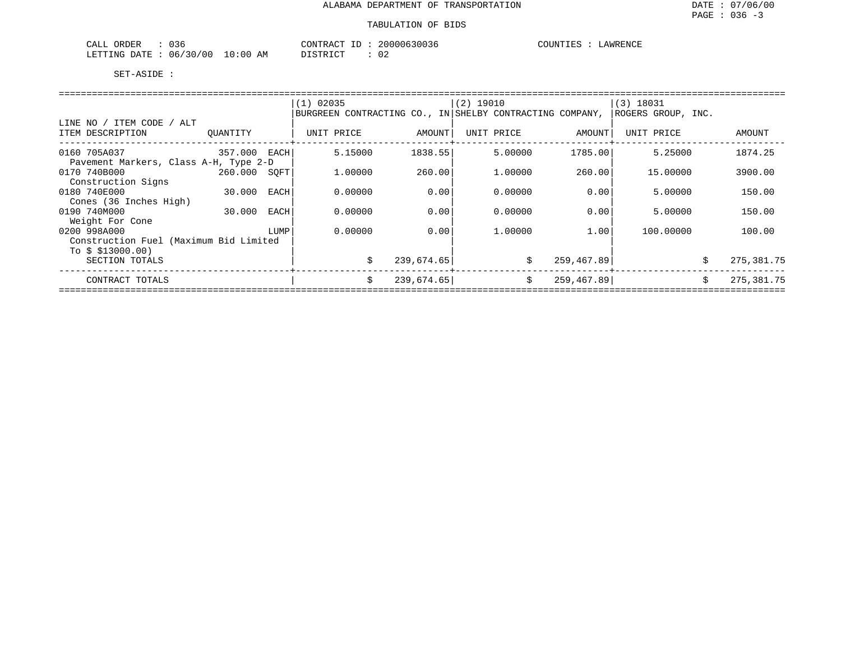| 036<br>ORDER<br>$\sim$ $\sim$ $\sim$ $\sim$<br>ىلىلى | 20000630036<br>CONTRACT                                    | COUNTIES<br>LAWRENCE |
|------------------------------------------------------|------------------------------------------------------------|----------------------|
| 06/30/00<br>10:00<br>LETTING<br>DATE                 | $\sim$ $\sim$<br>חי חים דת<br>ΑM<br>◡∠<br><i>⊔</i> ⊥∟⊥⊥⊾∟⊥ |                      |

|                                               |          |      | $(1)$ 02035                                              |            | $(2)$ 19010 |            | $(3)$ 18031        |    |            |
|-----------------------------------------------|----------|------|----------------------------------------------------------|------------|-------------|------------|--------------------|----|------------|
|                                               |          |      | BURGREEN CONTRACTING CO., IN SHELBY CONTRACTING COMPANY, |            |             |            | ROGERS GROUP, INC. |    |            |
| LINE NO / ITEM CODE / ALT<br>ITEM DESCRIPTION | OUANTITY |      | UNIT PRICE                                               | AMOUNT     | UNIT PRICE  | AMOUNT     | UNIT PRICE         |    | AMOUNT     |
| 0160 705A037                                  | 357.000  | EACH | 5.15000                                                  | 1838.55    | 5.00000     | 1785.00    | 5.25000            |    | 1874.25    |
| Pavement Markers, Class A-H, Type 2-D         |          |      |                                                          |            |             |            |                    |    |            |
| 0170 740B000                                  | 260.000  | SOFT | 1,00000                                                  | 260.00     | 1,00000     | 260.00     | 15,00000           |    | 3900.00    |
| Construction Signs                            |          |      |                                                          |            |             |            |                    |    |            |
| 0180 740E000                                  | 30.000   | EACH | 0.00000                                                  | 0.00       | 0.00000     | 0.001      | 5.00000            |    | 150.00     |
| Cones (36 Inches High)                        |          |      |                                                          |            |             |            |                    |    |            |
| 0190 740M000                                  | 30.000   | EACH | 0.00000                                                  | 0.00       | 0.00000     | 0.00       | 5.00000            |    | 150.00     |
| Weight For Cone                               |          |      |                                                          |            |             |            |                    |    |            |
| 0200 998A000                                  |          | LUMP | 0.00000                                                  | 0.00       | 1.00000     | 1.001      | 100.00000          |    | 100.00     |
| Construction Fuel (Maximum Bid Limited        |          |      |                                                          |            |             |            |                    |    |            |
| To $$313000.00)$                              |          |      |                                                          |            |             |            |                    |    |            |
| SECTION TOTALS                                |          |      |                                                          | 239,674.65 | S.          | 259,467.89 |                    | S  | 275,381.75 |
| CONTRACT TOTALS                               |          |      | Ŝ.                                                       | 239,674.65 | Ŝ.          | 259,467.89 |                    | Ŝ. | 275,381.75 |
|                                               |          |      |                                                          |            |             |            |                    |    |            |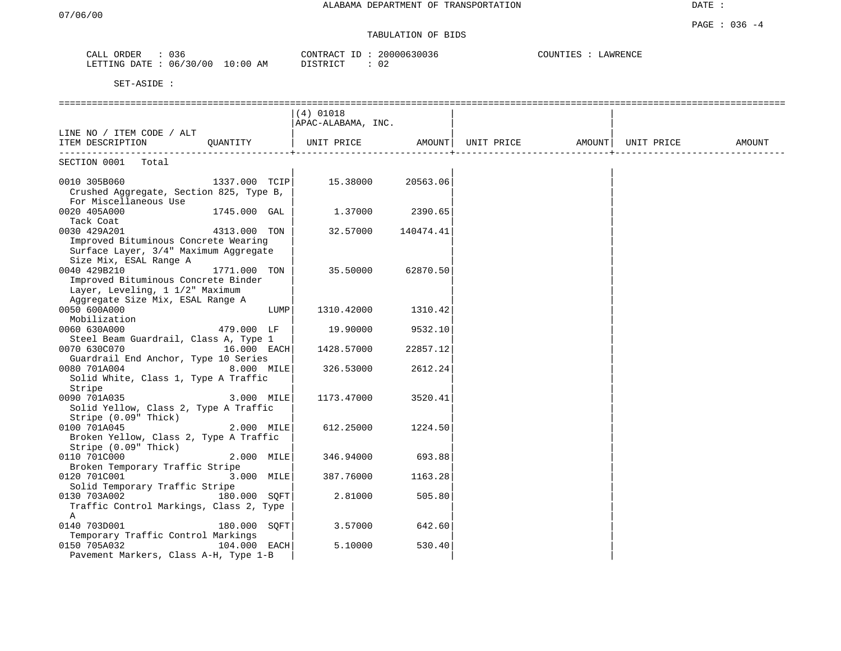# TABULATION OF BIDS

| 036<br>CALL<br>ORDER |                         | 20000630036<br>CONTRAC<br>TD. | COUNTIES<br>LAWRENCE |
|----------------------|-------------------------|-------------------------------|----------------------|
| LETTING<br>DATE.     | 06/30/00<br>10:00<br>AM | DISTRICT                      |                      |

|                                                                                                                            |               | $(4)$ 01018<br> APAC-ALABAMA, INC.               |           |  |        |
|----------------------------------------------------------------------------------------------------------------------------|---------------|--------------------------------------------------|-----------|--|--------|
| LINE NO / ITEM CODE / ALT<br>ITEM DESCRIPTION                                                                              | OUANTITY      | UNIT PRICE AMOUNT  UNIT PRICE AMOUNT  UNIT PRICE |           |  | AMOUNT |
| SECTION 0001<br>Total                                                                                                      |               |                                                  |           |  |        |
| 0010 305B060<br>Crushed Aggregate, Section 825, Type B,<br>For Miscellaneous Use                                           | 1337.000 TCIP | 15.38000                                         | 20563.06  |  |        |
| 0020 405A000<br>Tack Coat                                                                                                  | 1745.000 GAL  | 1.37000                                          | 2390.65   |  |        |
| 0030 429A201<br>Improved Bituminous Concrete Wearing<br>Surface Layer, 3/4" Maximum Aggregate<br>Size Mix, ESAL Range A    | 4313.000 TON  | 32.57000                                         | 140474.41 |  |        |
| 0040 429B210<br>Improved Bituminous Concrete Binder<br>Layer, Leveling, 1 1/2" Maximum<br>Aggregate Size Mix, ESAL Range A | 1771.000 TON  | 35.50000                                         | 62870.50  |  |        |
| 0050 600A000<br>Mobilization                                                                                               | LUMP          | 1310.42000                                       | 1310.42   |  |        |
| 0060 630A000<br>Steel Beam Guardrail, Class A, Type 1                                                                      | 479.000 LF    | 19.90000                                         | 9532.10   |  |        |
| 0070 630C070<br>Guardrail End Anchor, Type 10 Series                                                                       | 16.000 EACH   | 1428.57000                                       | 22857.12  |  |        |
| 0080 701A004<br>Solid White, Class 1, Type A Traffic<br>Stripe                                                             | 8.000 MILE    | 326.53000                                        | 2612.24   |  |        |
| 0090 701A035<br>Solid Yellow, Class 2, Type A Traffic<br>Stripe (0.09" Thick)                                              | 3.000 MILE    | 1173.47000                                       | 3520.41   |  |        |
| 0100 701A045<br>Broken Yellow, Class 2, Type A Traffic<br>Stripe $(0.09"$ Thick)                                           | $2.000$ MILE  | 612.25000                                        | 1224.50   |  |        |
| 0110 701C000<br>Broken Temporary Traffic Stripe                                                                            | 2.000 MILE    | 346.94000                                        | 693.88    |  |        |
| 0120 701C001<br>Solid Temporary Traffic Stripe                                                                             | 3.000 MILE    | 387.76000                                        | 1163.28   |  |        |
| 0130 703A002<br>Traffic Control Markings, Class 2, Type<br>Α                                                               | 180.000 SOFT  | 2.81000                                          | 505.80    |  |        |
| 0140 703D001<br>Temporary Traffic Control Markings                                                                         | 180.000 SOFT  | 3.57000                                          | 642.60    |  |        |
| 0150 705A032<br>Pavement Markers, Class A-H, Type 1-B                                                                      | 104.000 EACH  | 5.10000                                          | 530.40    |  |        |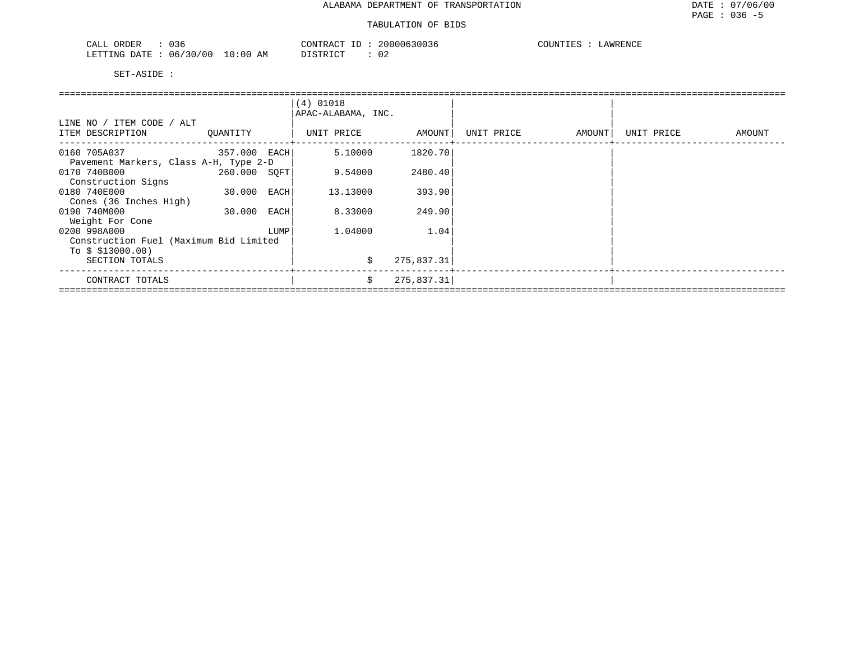| 036<br>ORDER<br>CALL     | CONTRACT                               | $ -$ | 20000630036 | COUNTIES | LAWRENCE |
|--------------------------|----------------------------------------|------|-------------|----------|----------|
| 06/30/00<br>LETTING DATE | 10:00<br><b>DISTRICT</b><br>ΆM<br>---- |      | . U 4       |          |          |

|                                        |              |      | $(4)$ 01018<br>APAC-ALABAMA, INC. |            |            |        |            |        |
|----------------------------------------|--------------|------|-----------------------------------|------------|------------|--------|------------|--------|
| LINE NO / ITEM CODE / ALT              |              |      |                                   |            |            |        |            |        |
| ITEM DESCRIPTION                       | OUANTITY     |      | UNIT PRICE                        | AMOUNT     | UNIT PRICE | AMOUNT | UNIT PRICE | AMOUNT |
| 0160 705A037<br>357.000 EACH           |              |      | 5.10000                           | 1820.70    |            |        |            |        |
| Pavement Markers, Class A-H, Type 2-D  |              |      |                                   |            |            |        |            |        |
| 0170 740B000                           | 260.000 SOFT |      | 9.54000                           | 2480.40    |            |        |            |        |
| Construction Signs                     |              |      |                                   |            |            |        |            |        |
| 0180 740E000                           | 30.000       | EACH | 13.13000                          | 393.90     |            |        |            |        |
| Cones (36 Inches High)                 |              |      |                                   |            |            |        |            |        |
| 0190 740M000                           | 30.000       | EACH | 8.33000                           | 249.90     |            |        |            |        |
| Weight For Cone                        |              |      |                                   |            |            |        |            |        |
| 0200 998A000                           |              | LUMP | 1,04000                           | 1.04       |            |        |            |        |
| Construction Fuel (Maximum Bid Limited |              |      |                                   |            |            |        |            |        |
| To $$313000.00)$                       |              |      |                                   |            |            |        |            |        |
| SECTION TOTALS                         |              |      | \$                                | 275,837.31 |            |        |            |        |
| CONTRACT TOTALS                        |              |      | Ŝ.                                | 275,837.31 |            |        |            |        |
|                                        |              |      |                                   |            |            |        |            |        |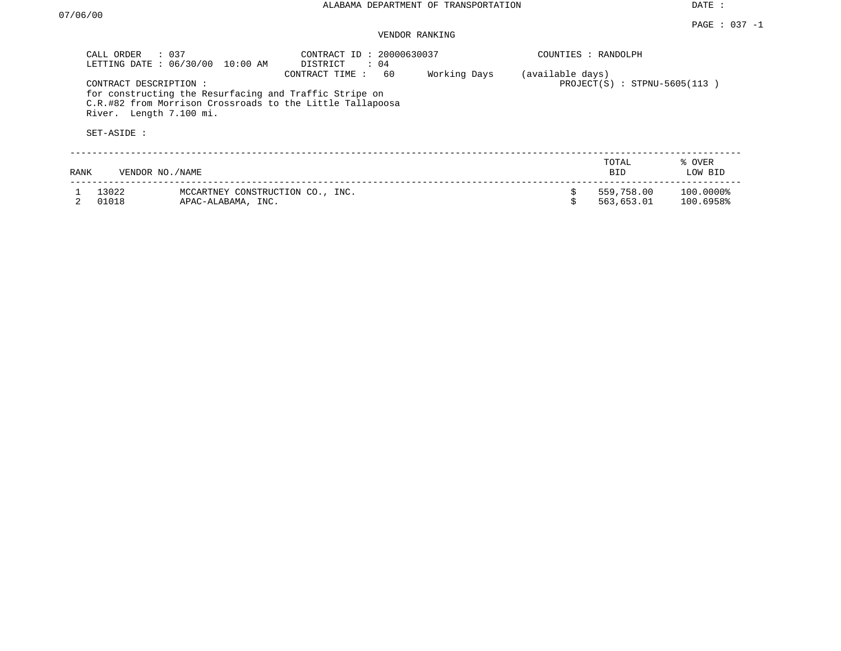## VENDOR RANKING

|      | $\therefore$ 0.37<br>CALL ORDER<br>LETTING DATE: 06/30/00 | 10:00 AM                                               | CONTRACT ID: 20000630037<br>$\therefore$ 04<br>DISTRICT                                                                                     |              |                  | COUNTIES : RANDOLPH            |                        |
|------|-----------------------------------------------------------|--------------------------------------------------------|---------------------------------------------------------------------------------------------------------------------------------------------|--------------|------------------|--------------------------------|------------------------|
|      | CONTRACT DESCRIPTION:<br>River. Length 7.100 mi.          |                                                        | 60<br>CONTRACT TIME:<br>for constructing the Resurfacing and Traffic Stripe on<br>C.R.#82 from Morrison Crossroads to the Little Tallapoosa | Working Days | (available days) | $PROJECT(S)$ : STPNU-5605(113) |                        |
|      | SET-ASIDE :                                               |                                                        |                                                                                                                                             |              |                  |                                |                        |
| RANK | VENDOR NO. / NAME                                         |                                                        |                                                                                                                                             |              |                  | TOTAL<br><b>BID</b>            | % OVER<br>LOW BID      |
|      | 13022<br>01018                                            | MCCARTNEY CONSTRUCTION CO., INC.<br>APAC-ALABAMA, INC. |                                                                                                                                             |              |                  | 559,758.00<br>563,653.01       | 100.0000%<br>100.6958% |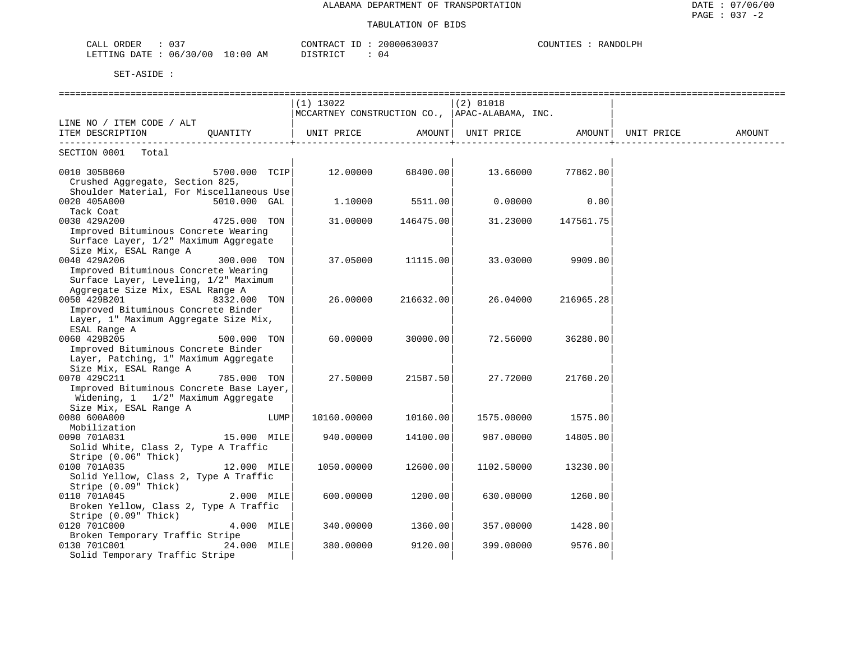| $\sim$ $\sim$ $\sim$<br>JRDEP.<br>د ∪<br>- THT |             | ⊤™∆ ہ<br>$\cap$ NTR $\sim$ | ົດ<br>(1111111631111 | דית. ANDOT<br><b>ALLUL</b> |
|------------------------------------------------|-------------|----------------------------|----------------------|----------------------------|
| 30/00<br>LETTING<br>חימת<br>06                 | '0:00<br>AΜ | יחי הרים דרי<br>.          | 04                   |                            |

|                                                |               |      | $(1)$ 13022                                    |                   | $(2)$ 01018       |                                         |            |        |
|------------------------------------------------|---------------|------|------------------------------------------------|-------------------|-------------------|-----------------------------------------|------------|--------|
|                                                |               |      | MCCARTNEY CONSTRUCTION CO., APAC-ALABAMA, INC. |                   |                   |                                         |            |        |
| LINE NO / ITEM CODE / ALT                      |               |      |                                                |                   |                   |                                         |            |        |
| ITEM DESCRIPTION QUANTITY                      |               |      | UNIT PRICE AMOUNT                              |                   | UNIT PRICE AMOUNT |                                         | UNIT PRICE | AMOUNT |
| ------------------------<br>SECTION 0001 Total |               |      |                                                |                   |                   | . _ _ _ _ _ _ _ _ _ _ _ _ _ _ _ _ _ _ + |            |        |
|                                                | 5700.000 TCIP |      |                                                | 12.00000 68400.00 | 13.66000 77862.00 |                                         |            |        |
| 0010 305B060                                   |               |      |                                                |                   |                   |                                         |            |        |
| Crushed Aggregate, Section 825,                |               |      |                                                |                   |                   |                                         |            |        |
| Shoulder Material, For Miscellaneous Use       |               |      |                                                |                   |                   |                                         |            |        |
| 0020 405A000                                   | 5010.000 GAL  |      | 1,10000                                        | 5511.00           | 0.00000           | 0.00                                    |            |        |
| Tack Coat                                      |               |      |                                                |                   |                   |                                         |            |        |
| 0030 429A200                                   | 4725.000 TON  |      | 31.00000                                       | 146475.00         | 31.23000          | 147561.75                               |            |        |
| Improved Bituminous Concrete Wearing           |               |      |                                                |                   |                   |                                         |            |        |
| Surface Layer, 1/2" Maximum Aggregate          |               |      |                                                |                   |                   |                                         |            |        |
| Size Mix, ESAL Range A                         |               |      |                                                |                   |                   |                                         |            |        |
| 0040 429A206                                   | 300.000 TON   |      | 37.05000                                       | 11115.00          |                   | 33.03000 9909.00                        |            |        |
| Improved Bituminous Concrete Wearing           |               |      |                                                |                   |                   |                                         |            |        |
| Surface Layer, Leveling, 1/2" Maximum          |               |      |                                                |                   |                   |                                         |            |        |
| Aggregate Size Mix, ESAL Range A               |               |      |                                                |                   |                   |                                         |            |        |
| 0050 429B201                                   | 8332.000 TON  |      | 26.00000                                       | 216632.00         | 26.04000          | 216965.28                               |            |        |
| Improved Bituminous Concrete Binder            |               |      |                                                |                   |                   |                                         |            |        |
| Layer, 1" Maximum Aggregate Size Mix,          |               |      |                                                |                   |                   |                                         |            |        |
| ESAL Range A                                   |               |      |                                                |                   |                   |                                         |            |        |
| 0060 429B205                                   | 500.000 TON   |      | 60.00000                                       | 30000.00          | 72.56000          | 36280.00                                |            |        |
| Improved Bituminous Concrete Binder            |               |      |                                                |                   |                   |                                         |            |        |
| Layer, Patching, 1" Maximum Aggregate          |               |      |                                                |                   |                   |                                         |            |        |
| Size Mix, ESAL Range A                         |               |      |                                                |                   |                   |                                         |            |        |
| 0070 429C211                                   | 785.000 TON   |      | 27.50000                                       | 21587.50          | 27.72000          | 21760.20                                |            |        |
| Improved Bituminous Concrete Base Layer,       |               |      |                                                |                   |                   |                                         |            |        |
| Widening, 1 1/2" Maximum Aggregate             |               |      |                                                |                   |                   |                                         |            |        |
| Size Mix, ESAL Range A                         |               |      |                                                |                   |                   |                                         |            |        |
| 0080 600A000                                   |               | LUMP | 10160.00000                                    | 10160.00          | 1575.00000        | 1575.00                                 |            |        |
| Mobilization                                   |               |      |                                                |                   |                   |                                         |            |        |
| 0090 701A031                                   | 15.000 MILE   |      | 940.00000                                      | 14100.00          | 987.00000         | 14805.00                                |            |        |
| Solid White, Class 2, Type A Traffic           |               |      |                                                |                   |                   |                                         |            |        |
| Stripe (0.06" Thick)                           |               |      |                                                |                   |                   |                                         |            |        |
| 0100 701A035<br>12.000 MILE                    |               |      | 1050.00000                                     | 12600.00          | 1102.50000        | 13230.00                                |            |        |
| Solid Yellow, Class 2, Type A Traffic          |               |      |                                                |                   |                   |                                         |            |        |
| Stripe (0.09" Thick)                           |               |      |                                                |                   |                   |                                         |            |        |
| 0110 701A045                                   | $2.000$ MILE  |      | 600.00000                                      | 1200.00           | 630.00000         | 1260.00                                 |            |        |
| Broken Yellow, Class 2, Type A Traffic         |               |      |                                                |                   |                   |                                         |            |        |
| Stripe (0.09" Thick)                           |               |      |                                                |                   |                   |                                         |            |        |
| 0120 701C000                                   | $4.000$ MILE  |      | 340.00000                                      | 1360.00           | 357.00000         | 1428.00                                 |            |        |
| Broken Temporary Traffic Stripe                |               |      |                                                |                   |                   |                                         |            |        |
| 0130 701C001                                   | 24.000 MILE   |      | 380.00000                                      | 9120.00           | 399.00000         | 9576.00                                 |            |        |
| Solid Temporary Traffic Stripe                 |               |      |                                                |                   |                   |                                         |            |        |
|                                                |               |      |                                                |                   |                   |                                         |            |        |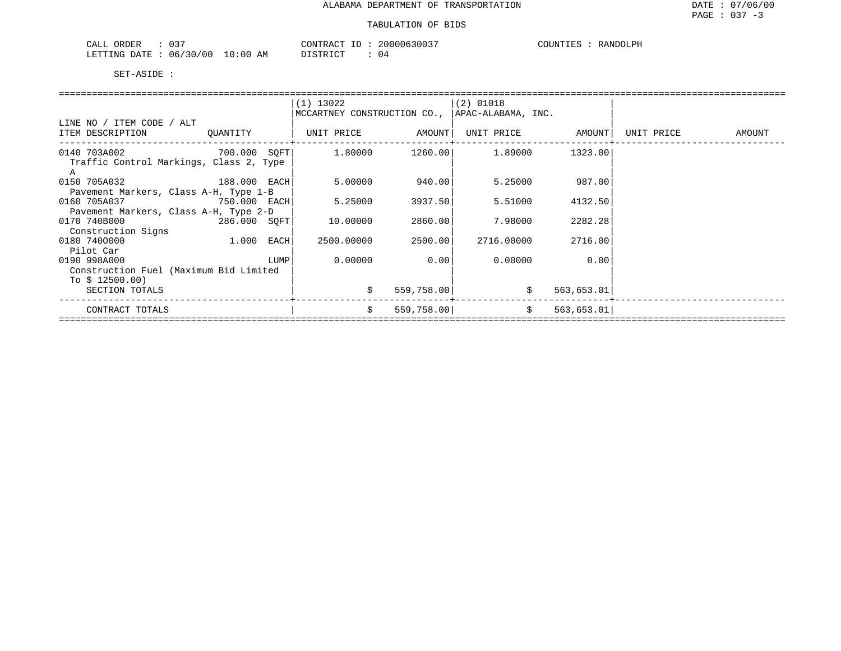| ハマワ<br>ORDER<br>CALI<br>ັບມ             |                   | CONTR<br>$\cdot$ , $\cdot$ D $\Lambda$ $\cap$ $\Gamma$<br>D.                                                                                                                                                                                                                                                       | ን በ በ<br>163003 | COUNTIES<br>RANDOLPH |
|-----------------------------------------|-------------------|--------------------------------------------------------------------------------------------------------------------------------------------------------------------------------------------------------------------------------------------------------------------------------------------------------------------|-----------------|----------------------|
| ີ ? ∩<br>LETTING<br>06/<br>DATE.<br>700 | 10:6<br>AΜ<br>00. | $\sqrt{7}$ $\sqrt{2}$ $\sqrt{2}$ $\sqrt{2}$ $\sqrt{2}$ $\sqrt{2}$ $\sqrt{2}$ $\sqrt{2}$ $\sqrt{2}$ $\sqrt{2}$ $\sqrt{2}$ $\sqrt{2}$ $\sqrt{2}$ $\sqrt{2}$ $\sqrt{2}$ $\sqrt{2}$ $\sqrt{2}$ $\sqrt{2}$ $\sqrt{2}$ $\sqrt{2}$ $\sqrt{2}$ $\sqrt{2}$ $\sqrt{2}$ $\sqrt{2}$ $\sqrt{2}$ $\sqrt{2}$ $\sqrt{2}$ $\sqrt{2$ | 04              |                      |

|                                                                           |          |      | $(1)$ 13022<br>MCCARTNEY CONSTRUCTION CO., |            | $ (2)$ 01018<br>  APAC-ALABAMA, INC. |                  |            |        |
|---------------------------------------------------------------------------|----------|------|--------------------------------------------|------------|--------------------------------------|------------------|------------|--------|
| LINE NO / ITEM CODE / ALT<br>ITEM DESCRIPTION                             | OUANTITY |      | UNIT PRICE                                 | AMOUNT     | UNIT PRICE                           | AMOUNT           | UNIT PRICE | AMOUNT |
| 0140 703A002 700.000 SOFT<br>Traffic Control Markings, Class 2, Type<br>Α |          |      | 1.80000                                    | 1260.00    | 1.89000                              | 1323.00          |            |        |
| 0150 705A032<br>188.000 EACH<br>Pavement Markers, Class A-H, Type 1-B     |          |      | 5.00000                                    | 940.00     | 5.25000                              | 987.00           |            |        |
| 0160 705A037<br>750.000 EACH<br>Pavement Markers, Class A-H, Type 2-D     |          |      | 5.25000                                    | 3937.50    | 5.51000                              | 4132.50          |            |        |
| 0170 740B000<br>286.000 SOFT<br>Construction Signs                        |          |      | 10.00000                                   | 2860.00    | 7.98000                              | 2282.28          |            |        |
| 0180 7400000<br>Pilot Car                                                 | 1.000    | EACH | 2500.00000                                 | 2500.00    | 2716.00000                           | 2716.00          |            |        |
| 0190 998A000<br>Construction Fuel (Maximum Bid Limited<br>To $$12500.00)$ |          | LUMP | 0.00000                                    | 0.00       | 0.00000                              | 0.00             |            |        |
| SECTION TOTALS                                                            |          |      | \$                                         | 559,758.00 |                                      | \$<br>563,653.01 |            |        |
| CONTRACT TOTALS                                                           |          |      | Ŝ.                                         | 559,758.00 | $\ddot{s}$                           | 563,653.01       |            |        |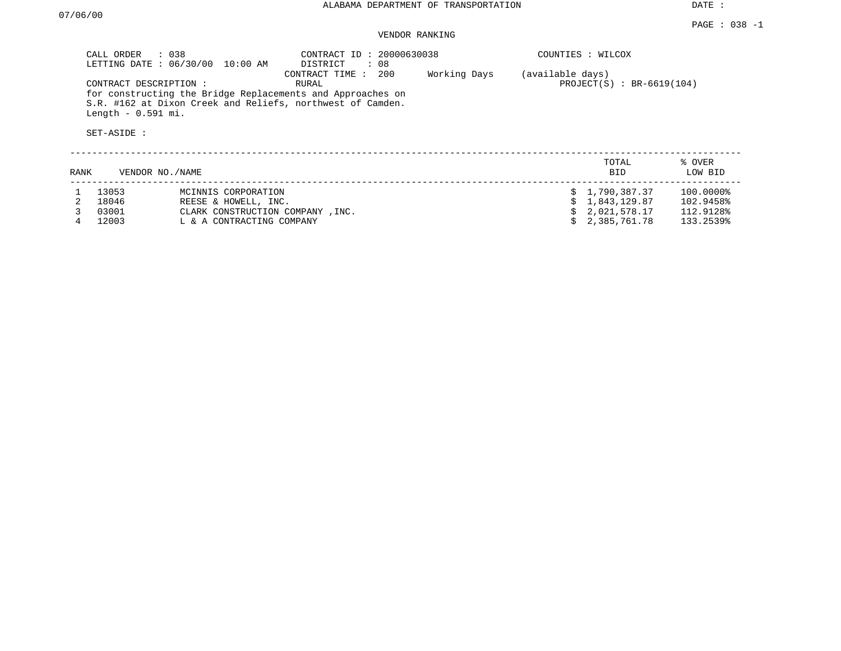## VENDOR RANKING

|      | CALL ORDER : 038<br>LETTING DATE: 06/30/00                  | 10:00 AM                                                                                                     | CONTRACT ID: 20000630038<br>DISTRICT<br>: 08                                                                                                            |              |                  | COUNTIES : WILCOX                                            |                                                  |
|------|-------------------------------------------------------------|--------------------------------------------------------------------------------------------------------------|---------------------------------------------------------------------------------------------------------------------------------------------------------|--------------|------------------|--------------------------------------------------------------|--------------------------------------------------|
|      | CONTRACT DESCRIPTION:<br>Length $-0.591$ mi.<br>SET-ASIDE : |                                                                                                              | CONTRACT TIME: 200<br>RURAL<br>for constructing the Bridge Replacements and Approaches on<br>S.R. #162 at Dixon Creek and Reliefs, northwest of Camden. | Working Days | (available days) | $PROJECT(S) : BR-6619(104)$                                  |                                                  |
| RANK | VENDOR NO./NAME                                             |                                                                                                              |                                                                                                                                                         |              |                  | TOTAL<br><b>BID</b>                                          | % OVER<br>LOW BID                                |
| 4    | 13053<br>18046<br>03001<br>12003                            | MCINNIS CORPORATION<br>REESE & HOWELL, INC.<br>CLARK CONSTRUCTION COMPANY, INC.<br>L & A CONTRACTING COMPANY |                                                                                                                                                         |              |                  | 1,790,387.37<br>1,843,129.87<br>2,021,578.17<br>2,385,761.78 | 100.0000%<br>102.9458%<br>112.9128%<br>133.2539% |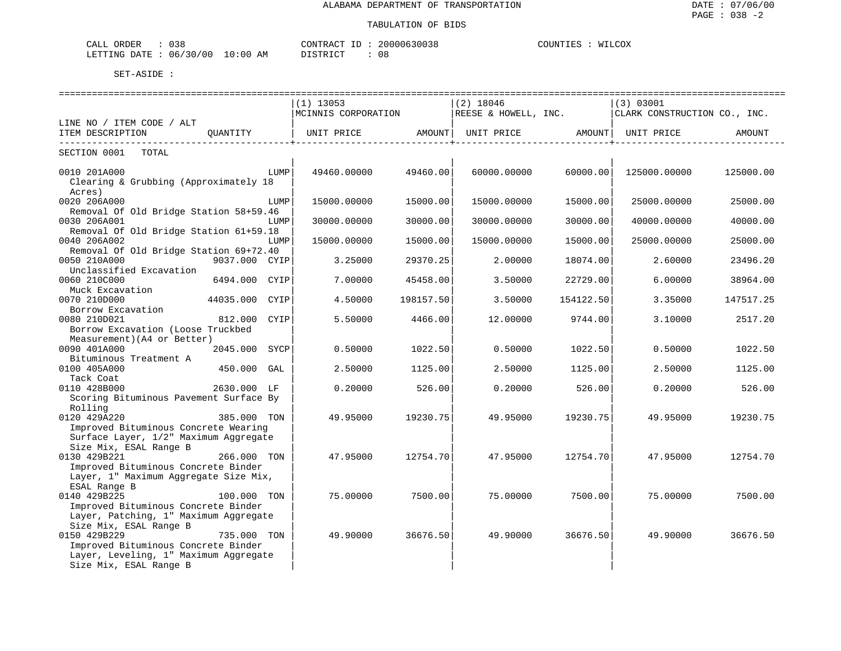| CALL ORDER                      | 038 |  | CONTRACT | ID | 20000630038 | COUNTIES | WILCOX |
|---------------------------------|-----|--|----------|----|-------------|----------|--------|
| LETTING DATE: 06/30/00 10:00 AM |     |  | DISTRICT |    | 08          |          |        |

|                                                                              |                |      | ------------------------------                                                                                |           |             |                           |                                                     |           |
|------------------------------------------------------------------------------|----------------|------|---------------------------------------------------------------------------------------------------------------|-----------|-------------|---------------------------|-----------------------------------------------------|-----------|
|                                                                              |                |      | $(1)$ 13053                                                                                                   |           | $(2)$ 18046 |                           | (3) 03001                                           |           |
|                                                                              |                |      | MCINNIS CORPORATION                                                                                           |           |             |                           | REESE & HOWELL, INC.   CLARK CONSTRUCTION CO., INC. |           |
| LINE NO / ITEM CODE / ALT                                                    |                |      |                                                                                                               |           |             |                           |                                                     |           |
| ITEM DESCRIPTION QUANTITY                                                    |                |      | UNIT PRICE                 AMOUNT    UNIT PRICE                 AMOUNT    UNIT PRICE                   AMOUNT |           |             | ------------------------- |                                                     |           |
| SECTION 0001 TOTAL                                                           |                |      |                                                                                                               |           |             |                           |                                                     |           |
| 0010 201A000<br>Clearing & Grubbing (Approximately 18                        |                | LUMP | 49460.00000                                                                                                   | 49460.00  | 60000.00000 |                           | 60000.00 125000.00000                               | 125000.00 |
| Acres)                                                                       |                |      |                                                                                                               |           |             |                           |                                                     |           |
| 0020 206A000                                                                 |                | LUMP | 15000.00000                                                                                                   | 15000.00  | 15000.00000 | 15000.00                  | 25000.00000                                         | 25000.00  |
| Removal Of Old Bridge Station 58+59.46                                       |                |      |                                                                                                               |           |             |                           |                                                     |           |
| 0030 206A001                                                                 |                | LUMP | 30000.00000                                                                                                   | 30000.00  | 30000.00000 | 30000.00                  | 40000.00000                                         | 40000.00  |
| Removal Of Old Bridge Station 61+59.18<br>0040 206A002                       |                | LUMP | 15000.00000                                                                                                   | 15000.00  | 15000.00000 | 15000.00                  | 25000.00000                                         | 25000.00  |
| Removal Of Old Bridge Station 69+72.40                                       |                |      |                                                                                                               |           |             |                           |                                                     |           |
| 0050 210A000                                                                 | 9037.000 CYIP  |      | 3.25000                                                                                                       | 29370.25  | 2,00000     | 18074.00                  | 2.60000                                             | 23496.20  |
| Unclassified Excavation<br>0060 210C000                                      | 6494.000 CYIP  |      | 7.00000                                                                                                       | 45458.00  | 3.50000     | 22729.00                  | 6.00000                                             | 38964.00  |
| Muck Excavation                                                              |                |      |                                                                                                               |           |             |                           |                                                     |           |
| 0070 210D000                                                                 | 44035.000 CYIP |      | 4.50000                                                                                                       | 198157.50 | 3.50000     | 154122.50                 | 3.35000                                             | 147517.25 |
| Borrow Excavation<br>0080 210D021                                            | 812.000 CYIP   |      | 5.50000                                                                                                       | 4466.00   | 12.00000    | 9744.00                   | 3.10000                                             | 2517.20   |
| Borrow Excavation (Loose Truckbed                                            |                |      |                                                                                                               |           |             |                           |                                                     |           |
| Measurement) (A4 or Better)                                                  |                |      |                                                                                                               |           |             |                           |                                                     |           |
| 0090 401A000                                                                 | 2045.000 SYCP  |      | 0.50000                                                                                                       | 1022.50   | 0.50000     | 1022.50                   | 0.50000                                             | 1022.50   |
| Bituminous Treatment A<br>0100 405A000                                       | 450.000 GAL    |      | 2.50000                                                                                                       | 1125.00   | 2.50000     | 1125.00                   | 2.50000                                             | 1125.00   |
| Tack Coat                                                                    |                |      |                                                                                                               |           |             |                           |                                                     |           |
| 0110 428B000                                                                 | 2630.000 LF    |      | 0.20000                                                                                                       | 526.00    | 0.20000     | 526.00                    | 0.20000                                             | 526.00    |
| Scoring Bituminous Pavement Surface By                                       |                |      |                                                                                                               |           |             |                           |                                                     |           |
| Rolling                                                                      |                |      |                                                                                                               |           |             |                           |                                                     |           |
| 0120 429A220                                                                 | 385.000 TON    |      | 49.95000                                                                                                      | 19230.75  | 49.95000    | 19230.75                  | 49.95000                                            | 19230.75  |
| Improved Bituminous Concrete Wearing                                         |                |      |                                                                                                               |           |             |                           |                                                     |           |
| Surface Layer, 1/2" Maximum Aggregate                                        |                |      |                                                                                                               |           |             |                           |                                                     |           |
| Size Mix, ESAL Range B                                                       |                |      |                                                                                                               |           |             |                           |                                                     |           |
| 0130 429B221                                                                 | 266.000 TON    |      | 47.95000                                                                                                      | 12754.70  | 47.95000    | 12754.701                 | 47.95000                                            | 12754.70  |
| Improved Bituminous Concrete Binder                                          |                |      |                                                                                                               |           |             |                           |                                                     |           |
| Layer, 1" Maximum Aggregate Size Mix,                                        |                |      |                                                                                                               |           |             |                           |                                                     |           |
| ESAL Range B                                                                 |                |      |                                                                                                               |           |             |                           |                                                     |           |
| 0140 429B225                                                                 | 100.000 TON    |      | 75.00000                                                                                                      | 7500.00   | 75.00000    | 7500.00                   | 75.00000                                            | 7500.00   |
| Improved Bituminous Concrete Binder<br>Layer, Patching, 1" Maximum Aggregate |                |      |                                                                                                               |           |             |                           |                                                     |           |
| Size Mix, ESAL Range B                                                       |                |      |                                                                                                               |           |             |                           |                                                     |           |
| 0150 429B229                                                                 | 735.000 TON    |      | 49.90000                                                                                                      | 36676.50  | 49.90000    | 36676.50                  | 49.90000                                            | 36676.50  |
| Improved Bituminous Concrete Binder                                          |                |      |                                                                                                               |           |             |                           |                                                     |           |
| Layer, Leveling, 1" Maximum Aggregate                                        |                |      |                                                                                                               |           |             |                           |                                                     |           |
| Size Mix, ESAL Range B                                                       |                |      |                                                                                                               |           |             |                           |                                                     |           |
|                                                                              |                |      |                                                                                                               |           |             |                           |                                                     |           |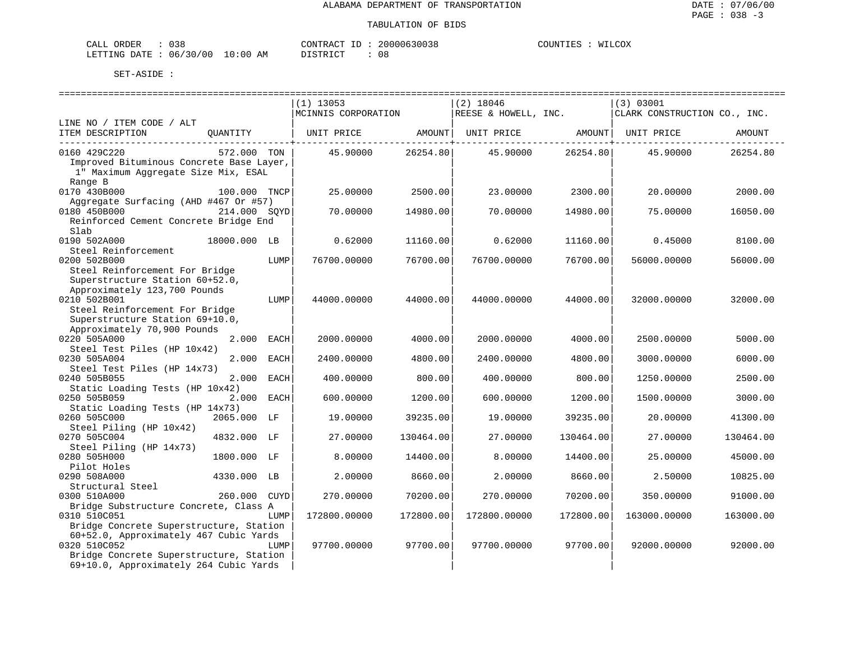| CALL ORDER                       | 038 | CONTRACT ID : | 20000630038 | COUNTIES | WILCOX |
|----------------------------------|-----|---------------|-------------|----------|--------|
| LETTING DATE : 06/30/00 10:00 AM |     | DISTRICT      | 0 a         |          |        |

|                                             |              |      | $(1)$ 13053                                        |           | $(2)$ 18046          |           | (3) 03001                    |           |
|---------------------------------------------|--------------|------|----------------------------------------------------|-----------|----------------------|-----------|------------------------------|-----------|
|                                             |              |      | MCINNIS CORPORATION                                |           | REESE & HOWELL, INC. |           | CLARK CONSTRUCTION CO., INC. |           |
| LINE NO / ITEM CODE / ALT                   |              |      |                                                    |           |                      |           |                              |           |
| ITEM DESCRIPTION                            | OUANTITY     |      | UNIT PRICE AMOUNT   UNIT PRICE AMOUNT   UNIT PRICE |           |                      |           |                              | AMOUNT    |
| 0160 429C220                                | 572.000 TON  |      | 45.90000                                           | 26254.80  | 45.90000             | 26254.80  | 45.90000                     | 26254.80  |
| Improved Bituminous Concrete Base Layer,    |              |      |                                                    |           |                      |           |                              |           |
| 1" Maximum Aggregate Size Mix, ESAL         |              |      |                                                    |           |                      |           |                              |           |
| Range B                                     |              |      |                                                    |           |                      |           |                              |           |
| 0170 430B000                                | 100.000 TNCP |      | 25.00000                                           | 2500.00   | 23.00000             | 2300.00   | 20.00000                     | 2000.00   |
| Aggregate Surfacing (AHD #467 Or #57)       |              |      |                                                    |           |                      |           |                              |           |
| 0180 450B000                                | 214.000 SOYD |      | 70.00000                                           | 14980.00  | 70.00000             | 14980.00  | 75.00000                     | 16050.00  |
| Reinforced Cement Concrete Bridge End       |              |      |                                                    |           |                      |           |                              |           |
| Slab                                        |              |      |                                                    |           |                      |           |                              |           |
| 0190 502A000                                | 18000.000 LB |      | 0.62000                                            | 11160.00  | 0.62000              | 11160.00  | 0.45000                      | 8100.00   |
| Steel Reinforcement<br>0200 502B000         |              | LUMP | 76700.00000                                        | 76700.00  | 76700.00000          | 76700.00  |                              | 56000.00  |
| Steel Reinforcement For Bridge              |              |      |                                                    |           |                      |           | 56000.00000                  |           |
| Superstructure Station 60+52.0,             |              |      |                                                    |           |                      |           |                              |           |
| Approximately 123,700 Pounds                |              |      |                                                    |           |                      |           |                              |           |
| 0210 502B001                                |              | LUMP | 44000.00000                                        | 44000.00  | 44000.00000          | 44000.00  | 32000.00000                  | 32000.00  |
| Steel Reinforcement For Bridge              |              |      |                                                    |           |                      |           |                              |           |
| Superstructure Station 69+10.0,             |              |      |                                                    |           |                      |           |                              |           |
| Approximately 70,900 Pounds                 |              |      |                                                    |           |                      |           |                              |           |
| 0220 505A000                                | 2.000 EACH   |      | 2000.00000                                         | 4000.00   | 2000.00000           | 4000.00   | 2500.00000                   | 5000.00   |
| Steel Test Piles (HP 10x42)                 |              |      |                                                    |           |                      |           |                              |           |
| 0230 505A004                                | 2,000        | EACH | 2400.00000                                         | 4800.00   | 2400.00000           | 4800.00   | 3000.00000                   | 6000.00   |
| Steel Test Piles (HP 14x73)<br>0240 505B055 | 2.000        | EACH | 400.00000                                          | 800.00    | 400.00000            | 800.00    | 1250.00000                   | 2500.00   |
| Static Loading Tests (HP 10x42)             |              |      |                                                    |           |                      |           |                              |           |
| 0250 505B059                                | 2.000 EACH   |      | 600.00000                                          | 1200.00   | 600.00000            | 1200.00   | 1500.00000                   | 3000.00   |
| Static Loading Tests (HP 14x73)             |              |      |                                                    |           |                      |           |                              |           |
| 0260 505C000                                | 2065.000 LF  |      | 19.00000                                           | 39235.00  | 19.00000             | 39235.00  | 20.00000                     | 41300.00  |
| Steel Piling (HP 10x42)                     |              |      |                                                    |           |                      |           |                              |           |
| 0270 505C004                                | 4832.000 LF  |      | 27.00000                                           | 130464.00 | 27.00000             | 130464.00 | 27.00000                     | 130464.00 |
| Steel Piling (HP 14x73)                     |              |      |                                                    |           |                      |           |                              |           |
| 0280 505H000                                | 1800.000 LF  |      | 8.00000                                            | 14400.00  | 8,00000              | 14400.00  | 25.00000                     | 45000.00  |
| Pilot Holes<br>0290 508A000                 | 4330.000 LB  |      | 2.00000                                            | 8660.00   | 2.00000              | 8660.00   | 2.50000                      | 10825.00  |
| Structural Steel                            |              |      |                                                    |           |                      |           |                              |           |
| 0300 510A000                                | 260.000 CUYD |      | 270.00000                                          | 70200.00  | 270.00000            | 70200.00  | 350.00000                    | 91000.00  |
| Bridge Substructure Concrete, Class A       |              |      |                                                    |           |                      |           |                              |           |
| 0310 510C051                                |              | LUMP | 172800.00000                                       | 172800.00 | 172800.00000         | 172800.00 | 163000.00000                 | 163000.00 |
| Bridge Concrete Superstructure, Station     |              |      |                                                    |           |                      |           |                              |           |
| 60+52.0, Approximately 467 Cubic Yards      |              |      |                                                    |           |                      |           |                              |           |
| 0320 510C052                                |              | LUMP | 97700.00000                                        | 97700.00  | 97700.00000          | 97700.00  | 92000.00000                  | 92000.00  |
| Bridge Concrete Superstructure, Station     |              |      |                                                    |           |                      |           |                              |           |
| 69+10.0, Approximately 264 Cubic Yards      |              |      |                                                    |           |                      |           |                              |           |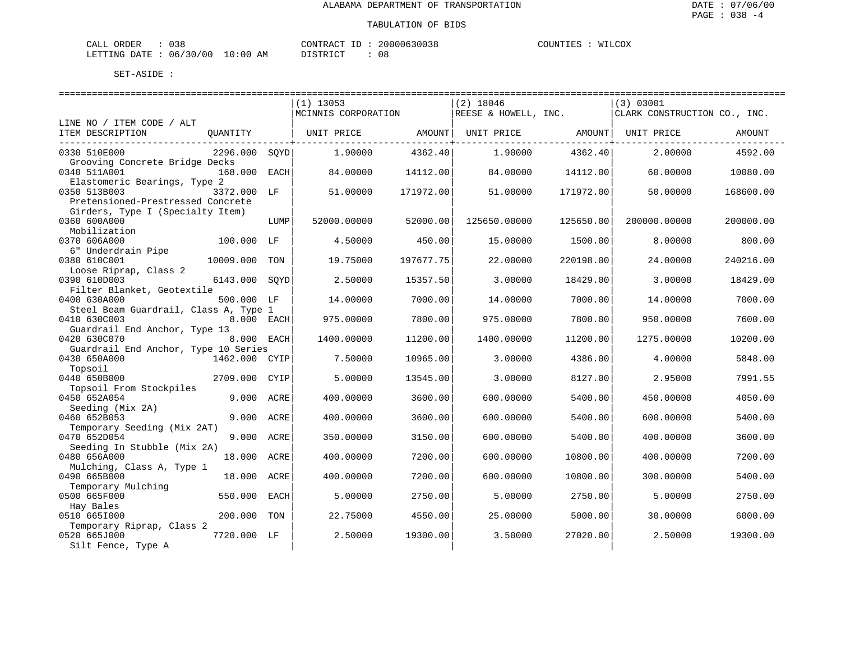| CALL ORDER                       | 038 | CONTRACT ID : |  | 20000630038 | COUNTIES | WILCOX |
|----------------------------------|-----|---------------|--|-------------|----------|--------|
| LETTING DATE : 06/30/00 10:00 AM |     | DISTRICT      |  | 08          |          |        |

|                                       |               |      | $(1)$ 13053         |           | $(2)$ 18046          |           | (3) 03001                    |           |
|---------------------------------------|---------------|------|---------------------|-----------|----------------------|-----------|------------------------------|-----------|
|                                       |               |      | MCINNIS CORPORATION |           | REESE & HOWELL, INC. |           | CLARK CONSTRUCTION CO., INC. |           |
| LINE NO / ITEM CODE / ALT             |               |      |                     |           |                      |           |                              |           |
| ITEM DESCRIPTION                      | QUANTITY      |      | UNIT PRICE          | AMOUNT    | UNIT PRICE AMOUNT    |           | UNIT PRICE                   | AMOUNT    |
|                                       |               |      |                     |           |                      |           |                              |           |
| 0330 510E000                          | 2296.000 SOYD |      | 1,90000             | 4362.40   | 1,90000              | 4362.40   | 2,00000                      | 4592.00   |
| Grooving Concrete Bridge Decks        |               |      |                     |           |                      |           |                              |           |
| 0340 511A001                          | 168.000 EACH  |      | 84.00000            | 14112.00  | 84,00000             | 14112.00  | 60.00000                     | 10080.00  |
|                                       |               |      |                     |           |                      |           |                              |           |
| Elastomeric Bearings, Type 2          |               |      |                     |           |                      |           |                              |           |
| 0350 513B003                          | 3372.000 LF   |      | 51.00000            | 171972.00 | 51.00000             | 171972.00 | 50.00000                     | 168600.00 |
| Pretensioned-Prestressed Concrete     |               |      |                     |           |                      |           |                              |           |
| Girders, Type I (Specialty Item)      |               |      |                     |           |                      |           |                              |           |
| 0360 600A000                          |               | LUMP | 52000.00000         | 52000.00  | 125650.00000         | 125650.00 | 200000.00000                 | 200000.00 |
| Mobilization                          |               |      |                     |           |                      |           |                              |           |
| 0370 606A000                          | 100.000 LF    |      | 4.50000             | 450.00    | 15.00000             | 1500.00   | 8.00000                      | 800.00    |
| 6" Underdrain Pipe                    |               |      |                     |           |                      |           |                              |           |
| 0380 610C001                          | 10009.000     | TON  | 19.75000            | 197677.75 | 22.00000             | 220198.00 | 24.00000                     | 240216.00 |
| Loose Riprap, Class 2                 |               |      |                     |           |                      |           |                              |           |
| 0390 610D003                          | 6143.000 SOYD |      | 2.50000             | 15357.50  | 3.00000              | 18429.00  | 3.00000                      | 18429.00  |
|                                       |               |      |                     |           |                      |           |                              |           |
| Filter Blanket, Geotextile            |               |      |                     |           |                      |           |                              |           |
| 0400 630A000                          | 500.000 LF    |      | 14.00000            | 7000.00   | 14.00000             | 7000.00   | 14.00000                     | 7000.00   |
| Steel Beam Guardrail, Class A, Type 1 |               |      |                     |           |                      |           |                              |           |
| 0410 630C003                          | 8.000 EACH    |      | 975.00000           | 7800.00   | 975.00000            | 7800.00   | 950.00000                    | 7600.00   |
| Guardrail End Anchor, Type 13         |               |      |                     |           |                      |           |                              |           |
| 0420 630C070                          | 8.000 EACH    |      | 1400.00000          | 11200.00  | 1400.00000           | 11200.00  | 1275.00000                   | 10200.00  |
| Guardrail End Anchor, Type 10 Series  |               |      |                     |           |                      |           |                              |           |
| 0430 650A000                          | 1462.000 CYIP |      | 7.50000             | 10965.00  | 3.00000              | 4386.00   | 4.00000                      | 5848.00   |
| Topsoil                               |               |      |                     |           |                      |           |                              |           |
| 0440 650B000                          | 2709.000 CYIP |      | 5.00000             | 13545.00  | 3.00000              | 8127.00   | 2.95000                      | 7991.55   |
| Topsoil From Stockpiles               |               |      |                     |           |                      |           |                              |           |
| 0450 652A054                          | 9.000 ACRE    |      | 400.00000           | 3600.00   | 600.00000            | 5400.00   | 450.00000                    | 4050.00   |
| Seeding (Mix 2A)                      |               |      |                     |           |                      |           |                              |           |
| 0460 652B053                          |               |      |                     |           |                      |           |                              |           |
|                                       | 9.000 ACRE    |      | 400.00000           | 3600.00   | 600.00000            | 5400.00   | 600.00000                    | 5400.00   |
| Temporary Seeding (Mix 2AT)           |               |      |                     |           |                      |           |                              |           |
| 0470 652D054                          | 9.000         | ACRE | 350.00000           | 3150.00   | 600.00000            | 5400.00   | 400.00000                    | 3600.00   |
| Seeding In Stubble (Mix 2A)           |               |      |                     |           |                      |           |                              |           |
| 0480 656A000                          | 18.000 ACRE   |      | 400.00000           | 7200.00   | 600.00000            | 10800.00  | 400.00000                    | 7200.00   |
| Mulching, Class A, Type 1             |               |      |                     |           |                      |           |                              |           |
| 0490 665B000                          | 18.000 ACRE   |      | 400.00000           | 7200.00   | 600.00000            | 10800.00  | 300.00000                    | 5400.00   |
| Temporary Mulching                    |               |      |                     |           |                      |           |                              |           |
| 0500 665F000                          | 550.000       | EACH | 5.00000             | 2750.00   | 5.00000              | 2750.00   | 5.00000                      | 2750.00   |
| Hay Bales                             |               |      |                     |           |                      |           |                              |           |
| 0510 6651000                          | 200.000       | TON  | 22.75000            | 4550.00   | 25.00000             | 5000.00   | 30,00000                     | 6000.00   |
| Temporary Riprap, Class 2             |               |      |                     |           |                      |           |                              |           |
| 0520 665J000                          | 7720.000 LF   |      | 2.50000             | 19300.00  | 3.50000              | 27020.00  | 2.50000                      | 19300.00  |
|                                       |               |      |                     |           |                      |           |                              |           |
| Silt Fence, Type A                    |               |      |                     |           |                      |           |                              |           |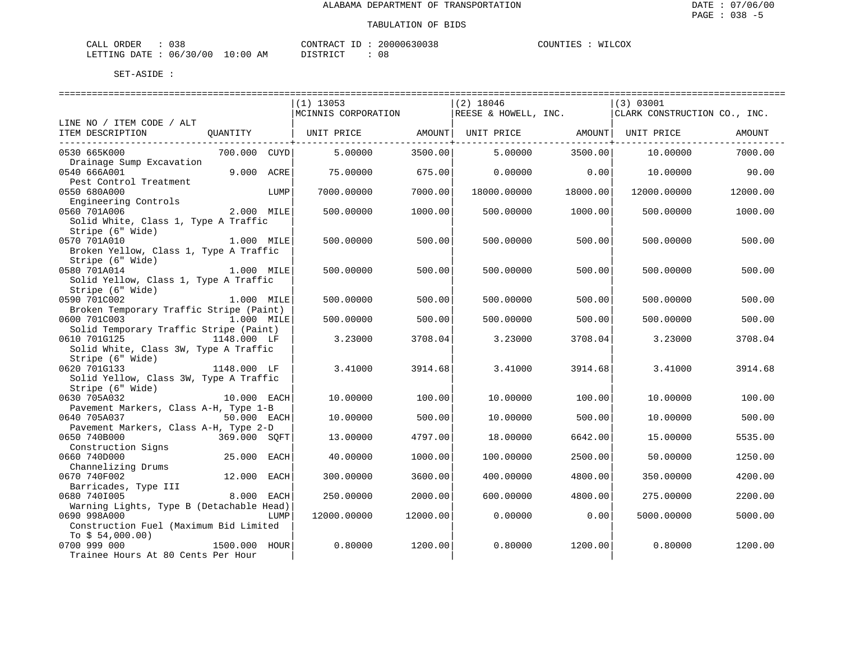| CALL ORDER                       | 038 | CONTRACT ID : | 20000630038 | COUNTIES | WILCOX |
|----------------------------------|-----|---------------|-------------|----------|--------|
| LETTING DATE : 06/30/00 10:00 AM |     | DISTRICT      | 0 a         |          |        |

|                                                            |               |      | $(1)$ 13053                                                         |          | $(2)$ 18046               |                                            | (3) 03001                    |          |
|------------------------------------------------------------|---------------|------|---------------------------------------------------------------------|----------|---------------------------|--------------------------------------------|------------------------------|----------|
|                                                            |               |      | MCINNIS CORPORATION                                                 |          | REESE & HOWELL, INC.      |                                            | CLARK CONSTRUCTION CO., INC. |          |
| LINE NO / ITEM CODE / ALT                                  |               |      |                                                                     |          |                           |                                            |                              |          |
| ITEM DESCRIPTION                                           |               |      | QUANTITY   UNIT PRICE     AMOUNT  UNIT PRICE     AMOUNT  UNIT PRICE |          |                           |                                            |                              | AMOUNT   |
| 0530 665K000                                               | 700.000 CUYD  |      | 5.00000                                                             | 3500.00  | ----------------+-------- | ---------------+-------<br>5.00000 3500.00 | 10.00000                     | 7000.00  |
| Drainage Sump Excavation                                   |               |      |                                                                     |          |                           |                                            |                              |          |
| 0540 666A001                                               | 9.000 ACRE    |      | 75,00000                                                            | 675.00   | 0.00000                   | 0.00                                       | 10.00000                     | 90.00    |
| Pest Control Treatment                                     |               |      |                                                                     |          |                           |                                            |                              |          |
| 0550 680A000                                               |               | LUMP | 7000.00000                                                          | 7000.00  | 18000.00000               | 18000.00                                   | 12000.00000                  | 12000.00 |
| Engineering Controls                                       |               |      |                                                                     |          |                           |                                            |                              |          |
| 0560 701A006                                               | 2.000 MILE    |      | 500.00000                                                           | 1000.00  | 500.00000                 | 1000.00                                    | 500.00000                    | 1000.00  |
| Solid White, Class 1, Type A Traffic                       |               |      |                                                                     |          |                           |                                            |                              |          |
| Stripe (6" Wide)                                           |               |      |                                                                     |          |                           |                                            |                              |          |
| 0570 701A010                                               | 1.000 MILE    |      | 500.00000                                                           | 500.00   | 500.00000                 | 500.00                                     | 500.00000                    | 500.00   |
| Broken Yellow, Class 1, Type A Traffic<br>Stripe (6" Wide) |               |      |                                                                     |          |                           |                                            |                              |          |
| 0580 701A014                                               | 1.000 MILE    |      | 500.00000                                                           | 500.00   | 500.00000                 | 500.00                                     | 500.00000                    | 500.00   |
| Solid Yellow, Class 1, Type A Traffic                      |               |      |                                                                     |          |                           |                                            |                              |          |
| Stripe (6" Wide)                                           |               |      |                                                                     |          |                           |                                            |                              |          |
| 0590 701C002                                               | 1.000 MILE    |      | 500.00000                                                           | 500.00   | 500.00000                 | 500.00                                     | 500.00000                    | 500.00   |
| Broken Temporary Traffic Stripe (Paint)                    |               |      |                                                                     |          |                           |                                            |                              |          |
| 0600 701C003                                               | $1.000$ MILE  |      | 500.00000                                                           | 500.00   | 500.00000                 | 500.00                                     | 500.00000                    | 500.00   |
| Solid Temporary Traffic Stripe (Paint)                     |               |      |                                                                     |          |                           |                                            |                              |          |
| 0610 701G125                                               | 1148.000 LF   |      | 3.23000                                                             | 3708.04  | 3.23000                   | 3708.04                                    | 3.23000                      | 3708.04  |
| Solid White, Class 3W, Type A Traffic                      |               |      |                                                                     |          |                           |                                            |                              |          |
| Stripe (6" Wide)                                           |               |      |                                                                     |          |                           |                                            |                              |          |
| 1148.000 LF<br>0620 701G133                                |               |      | 3.41000                                                             | 3914.68  | 3.41000                   | 3914.68                                    | 3.41000                      | 3914.68  |
| Solid Yellow, Class 3W, Type A Traffic                     |               |      |                                                                     |          |                           |                                            |                              |          |
| Stripe (6" Wide)                                           |               |      |                                                                     |          |                           |                                            |                              |          |
| 0630 705A032                                               | 10.000 EACH   |      | 10.00000                                                            | 100.00   | 10.00000                  | 100.00                                     | 10.00000                     | 100.00   |
| Pavement Markers, Class A-H, Type 1-B                      |               |      |                                                                     |          |                           |                                            |                              |          |
| 0640 705A037                                               | 50.000 EACH   |      | 10.00000                                                            | 500.00   | 10.00000                  | 500.00                                     | 10.00000                     | 500.00   |
| Pavement Markers, Class A-H, Type 2-D                      |               |      |                                                                     |          |                           |                                            |                              |          |
| 0650 740B000                                               | 369.000 SQFT  |      | 13.00000                                                            | 4797.00  | 18.00000                  | 6642.00                                    | 15.00000                     | 5535.00  |
| Construction Signs                                         |               |      |                                                                     |          |                           |                                            |                              |          |
| 0660 740D000                                               | 25.000 EACH   |      | 40.00000                                                            | 1000.00  | 100.00000                 | 2500.00                                    | 50.00000                     | 1250.00  |
| Channelizing Drums                                         | 12.000        |      |                                                                     |          |                           |                                            |                              |          |
| 0670 740F002<br>Barricades, Type III                       |               | EACH | 300.00000                                                           | 3600.00  | 400.00000                 | 4800.00                                    | 350.00000                    | 4200.00  |
| 0680 7401005                                               | 8.000         | EACH | 250.00000                                                           | 2000.00  | 600,00000                 | 4800.00                                    | 275,00000                    | 2200.00  |
| Warning Lights, Type B (Detachable Head)                   |               |      |                                                                     |          |                           |                                            |                              |          |
| 0690 998A000                                               |               | LUMP | 12000.00000                                                         | 12000.00 | 0.00000                   | 0.00                                       | 5000.00000                   | 5000.00  |
| Construction Fuel (Maximum Bid Limited                     |               |      |                                                                     |          |                           |                                            |                              |          |
| To $$54,000.00)$                                           |               |      |                                                                     |          |                           |                                            |                              |          |
| 0700 999 000                                               | 1500.000 HOUR |      | 0.80000                                                             | 1200.00  | 0.80000                   | 1200.00                                    | 0.80000                      | 1200.00  |
| Trainee Hours At 80 Cents Per Hour                         |               |      |                                                                     |          |                           |                                            |                              |          |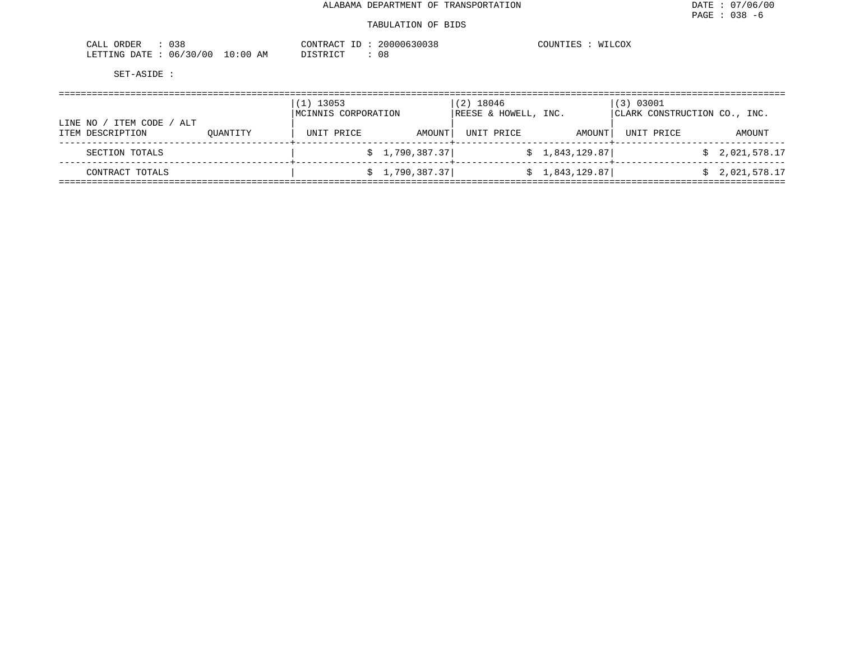| 038<br>ORDER<br>CALL       |            | CONTRACT                      | 20000630038 | COUNTIES<br>WILCOX |
|----------------------------|------------|-------------------------------|-------------|--------------------|
| : 06/30/00<br>LETTING DATE | $10:00$ AM | חי היה די היה מיד<br>7771 LTC | U ŏ         |                    |

|                                                     | (1) 13053<br>MCINNIS CORPORATION |                 | $(2)$ 18046<br>REESE & HOWELL, INC. |                | (3) 03001<br>CLARK CONSTRUCTION CO., INC. |                |  |
|-----------------------------------------------------|----------------------------------|-----------------|-------------------------------------|----------------|-------------------------------------------|----------------|--|
| ITEM CODE /<br>ALT<br>LINE NO /<br>ITEM DESCRIPTION | UNIT PRICE<br>OUANTITY           | AMOUNT          | UNIT PRICE                          | AMOUNT         | UNIT PRICE                                | AMOUNT         |  |
| SECTION TOTALS                                      |                                  | \$1,790,387.37] |                                     | \$1,843,129.87 |                                           | \$2,021,578.17 |  |
| CONTRACT TOTALS                                     |                                  | \$1,790,387.37] |                                     | \$1,843,129.87 |                                           | \$2,021,578.17 |  |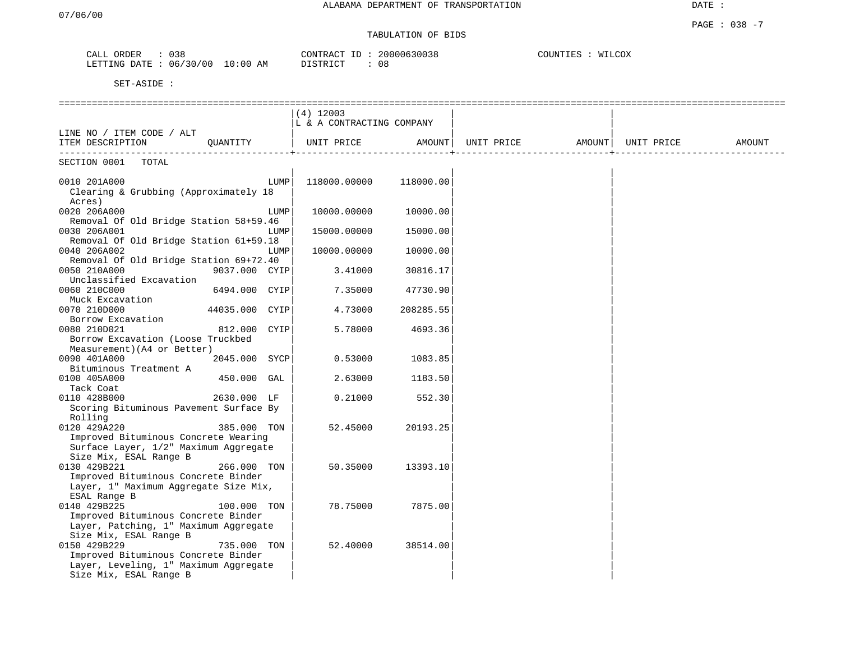# TABULATION OF BIDS

| CALL<br>ORDER | 038                     | 20000630038<br>CONTRACT | COUNTIES<br>WILCOX |
|---------------|-------------------------|-------------------------|--------------------|
| LETTING DATE  | 06/30/00<br>10:00<br>AΜ | 08<br>חי הדאי אידי את   |                    |

|                                                              | $(4)$ 12003                |           |                                |  |        |
|--------------------------------------------------------------|----------------------------|-----------|--------------------------------|--|--------|
|                                                              | LL & A CONTRACTING COMPANY |           |                                |  |        |
| LINE NO / ITEM CODE / ALT                                    |                            |           |                                |  |        |
| QUANTITY<br>ITEM DESCRIPTION                                 | UNIT PRICE                 | AMOUNT    | UNIT PRICE AMOUNT   UNIT PRICE |  | AMOUNT |
| -------------------------<br>SECTION 0001<br>TOTAL           |                            |           |                                |  |        |
|                                                              |                            |           |                                |  |        |
| 0010 201A000<br>LUMP                                         | 118000.00000               | 118000.00 |                                |  |        |
| Clearing & Grubbing (Approximately 18                        |                            |           |                                |  |        |
| Acres)                                                       |                            |           |                                |  |        |
| 0020 206A000<br>LUMP                                         | 10000.00000                | 10000.00  |                                |  |        |
| Removal Of Old Bridge Station 58+59.46                       |                            |           |                                |  |        |
| 0030 206A001<br>LUMP                                         | 15000.00000                | 15000.00  |                                |  |        |
| Removal Of Old Bridge Station 61+59.18                       |                            |           |                                |  |        |
| 0040 206A002<br>LUMP                                         | 10000.00000                | 10000.00  |                                |  |        |
| Removal Of Old Bridge Station 69+72.40                       |                            |           |                                |  |        |
| 0050 210A000<br>9037.000 CYIP                                | 3.41000                    | 30816.17  |                                |  |        |
| Unclassified Excavation                                      |                            |           |                                |  |        |
| 0060 210C000<br>6494.000 CYIP                                | 7.35000                    | 47730.90  |                                |  |        |
| Muck Excavation                                              |                            |           |                                |  |        |
| 0070 210D000<br>44035.000 CYIP                               | 4.73000                    | 208285.55 |                                |  |        |
| Borrow Excavation                                            |                            |           |                                |  |        |
| 0080 210D021<br>812.000<br>CYIP                              | 5.78000                    | 4693.36   |                                |  |        |
| Borrow Excavation (Loose Truckbed                            |                            |           |                                |  |        |
| Measurement) (A4 or Better)<br>0090 401A000<br>2045.000 SYCP | 0.53000                    | 1083.85   |                                |  |        |
| Bituminous Treatment A                                       |                            |           |                                |  |        |
| 0100 405A000<br>450.000 GAL                                  | 2.63000                    | 1183.50   |                                |  |        |
| Tack Coat                                                    |                            |           |                                |  |        |
| 2630.000 LF<br>0110 428B000                                  | 0.21000                    | 552.30    |                                |  |        |
| Scoring Bituminous Pavement Surface By                       |                            |           |                                |  |        |
| Rolling                                                      |                            |           |                                |  |        |
| 0120 429A220<br>385.000 TON                                  | 52.45000                   | 20193.25  |                                |  |        |
| Improved Bituminous Concrete Wearing                         |                            |           |                                |  |        |
| Surface Layer, 1/2" Maximum Aggregate                        |                            |           |                                |  |        |
| Size Mix, ESAL Range B                                       |                            |           |                                |  |        |
| 0130 429B221<br>266.000 TON                                  | 50.35000                   | 13393.10  |                                |  |        |
| Improved Bituminous Concrete Binder                          |                            |           |                                |  |        |
| Layer, 1" Maximum Aggregate Size Mix,                        |                            |           |                                |  |        |
| ESAL Range B                                                 |                            |           |                                |  |        |
| 0140 429B225<br>100.000 TON                                  | 78.75000                   | 7875.00   |                                |  |        |
| Improved Bituminous Concrete Binder                          |                            |           |                                |  |        |
| Layer, Patching, 1" Maximum Aggregate                        |                            |           |                                |  |        |
| Size Mix, ESAL Range B                                       |                            |           |                                |  |        |
| 0150 429B229<br>735.000 TON                                  | 52.40000                   | 38514.00  |                                |  |        |
| Improved Bituminous Concrete Binder                          |                            |           |                                |  |        |
| Layer, Leveling, 1" Maximum Aggregate                        |                            |           |                                |  |        |
| Size Mix, ESAL Range B                                       |                            |           |                                |  |        |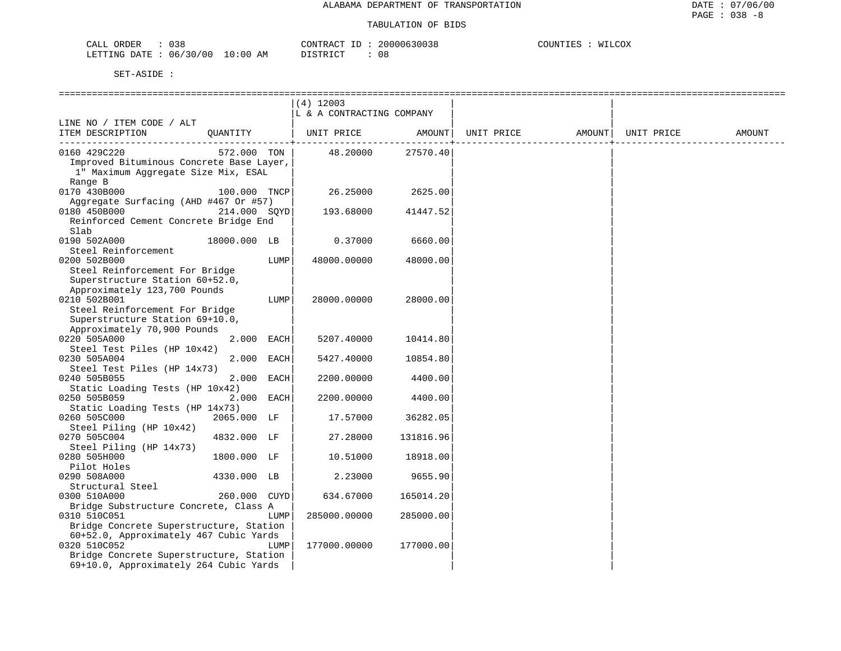| 038<br>ORDER<br>CALL     |          | CONTRACT ID | 20000630038<br>$\sim$ | COUNTIES<br>WILCOX |
|--------------------------|----------|-------------|-----------------------|--------------------|
| 06/30/00<br>LETTING DATE | 10:00 AM | DISTRICT    | 08                    |                    |

|                                                                                 |              |      | (4) 12003                 |              |            |        |            |        |
|---------------------------------------------------------------------------------|--------------|------|---------------------------|--------------|------------|--------|------------|--------|
|                                                                                 |              |      | L & A CONTRACTING COMPANY |              |            |        |            |        |
| LINE NO / ITEM CODE / ALT<br>ITEM DESCRIPTION                                   | QUANTITY     |      | UNIT PRICE AMOUNT         | -----------+ | UNIT PRICE | AMOUNT | UNIT PRICE | AMOUNT |
| 0160 429C220                                                                    | 572.000 TON  |      | 48.20000                  | 27570.40     |            |        |            |        |
| Improved Bituminous Concrete Base Layer,<br>1" Maximum Aggregate Size Mix, ESAL |              |      |                           |              |            |        |            |        |
| Range B<br>0170 430B000                                                         | 100.000 TNCP |      | 26.25000                  | 2625.00      |            |        |            |        |
| Aggregate Surfacing (AHD #467 Or #57)                                           |              |      |                           |              |            |        |            |        |
| 0180 450B000                                                                    | 214.000 SOYD |      | 193.68000                 | 41447.52     |            |        |            |        |
| Reinforced Cement Concrete Bridge End                                           |              |      |                           |              |            |        |            |        |
| Slab                                                                            |              |      |                           |              |            |        |            |        |
| 0190 502A000                                                                    | 18000.000 LB |      | 0.37000                   | 6660.00      |            |        |            |        |
| Steel Reinforcement                                                             |              |      |                           |              |            |        |            |        |
| 0200 502B000                                                                    |              | LUMP | 48000.00000               | 48000.00     |            |        |            |        |
| Steel Reinforcement For Bridge                                                  |              |      |                           |              |            |        |            |        |
| Superstructure Station 60+52.0,                                                 |              |      |                           |              |            |        |            |        |
| Approximately 123,700 Pounds                                                    |              |      |                           |              |            |        |            |        |
| 0210 502B001                                                                    |              | LUMP | 28000.00000               | 28000.00     |            |        |            |        |
| Steel Reinforcement For Bridge                                                  |              |      |                           |              |            |        |            |        |
| Superstructure Station 69+10.0,<br>Approximately 70,900 Pounds                  |              |      |                           |              |            |        |            |        |
| 0220 505A000                                                                    | 2.000 EACH   |      | 5207.40000                | 10414.80     |            |        |            |        |
| Steel Test Piles (HP 10x42)                                                     |              |      |                           |              |            |        |            |        |
| 0230 505A004                                                                    | 2.000 EACH   |      | 5427.40000                | 10854.80     |            |        |            |        |
| Steel Test Piles (HP 14x73)                                                     |              |      |                           |              |            |        |            |        |
| 0240 505B055                                                                    | 2.000 EACH   |      | 2200.00000                | 4400.00      |            |        |            |        |
| Static Loading Tests (HP 10x42)                                                 |              |      |                           |              |            |        |            |        |
| 0250 505B059                                                                    | 2.000 EACH   |      | 2200.00000                | 4400.00      |            |        |            |        |
| Static Loading Tests (HP 14x73)                                                 |              |      |                           |              |            |        |            |        |
| 0260 505C000                                                                    | 2065.000 LF  |      | 17.57000                  | 36282.05     |            |        |            |        |
| Steel Piling (HP 10x42)                                                         |              |      |                           |              |            |        |            |        |
| 0270 505C004                                                                    | 4832.000 LF  |      | 27.28000                  | 131816.96    |            |        |            |        |
| Steel Piling (HP 14x73)                                                         |              |      |                           |              |            |        |            |        |
| 0280 505H000                                                                    | 1800.000 LF  |      | 10.51000                  | 18918.00     |            |        |            |        |
| Pilot Holes                                                                     |              |      |                           |              |            |        |            |        |
| 0290 508A000<br>Structural Steel                                                | 4330.000 LB  |      | 2.23000                   | 9655.90      |            |        |            |        |
| 0300 510A000                                                                    | 260.000 CUYD |      | 634.67000                 | 165014.20    |            |        |            |        |
| Bridge Substructure Concrete, Class A                                           |              |      |                           |              |            |        |            |        |
| 0310 510C051                                                                    |              | LUMP | 285000.00000              | 285000.00    |            |        |            |        |
| Bridge Concrete Superstructure, Station                                         |              |      |                           |              |            |        |            |        |
| 60+52.0, Approximately 467 Cubic Yards                                          |              |      |                           |              |            |        |            |        |
| 0320 510C052                                                                    |              | LUMP | 177000.00000              | 177000.00    |            |        |            |        |
| Bridge Concrete Superstructure, Station                                         |              |      |                           |              |            |        |            |        |
| 69+10.0, Approximately 264 Cubic Yards                                          |              |      |                           |              |            |        |            |        |
|                                                                                 |              |      |                           |              |            |        |            |        |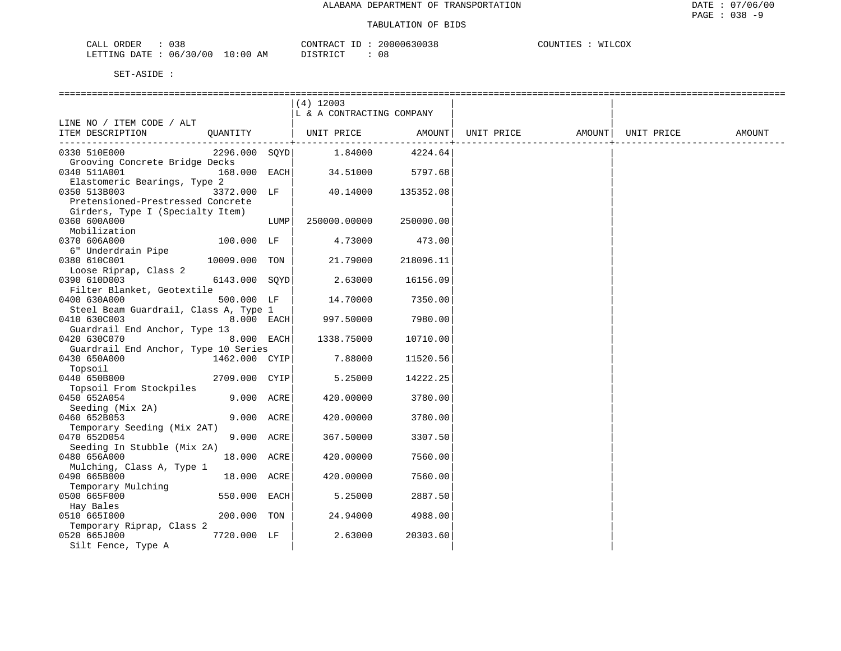| $\cdot$ $\sim$ $\cdot$<br>ORDER<br>.             |                        | "ON" |     | $\sim$ $\sim$ $\sim$<br>- 1AI - |
|--------------------------------------------------|------------------------|------|-----|---------------------------------|
| <b>FTTING</b><br>00<br>$.17 -$<br>06<br>$\sim$ 1 | ΑM<br>$\cdot$ $\cdots$ |      | U O |                                 |

|                                       |               |      | $(4)$ 12003               |                 |            |        |            |        |
|---------------------------------------|---------------|------|---------------------------|-----------------|------------|--------|------------|--------|
|                                       |               |      | L & A CONTRACTING COMPANY |                 |            |        |            |        |
| LINE NO / ITEM CODE / ALT             |               |      |                           |                 |            |        |            |        |
| ITEM DESCRIPTION                      |               |      | QUANTITY   UNIT PRICE     | AMOUNT          | UNIT PRICE | AMOUNT | UNIT PRICE | AMOUNT |
|                                       |               |      |                           | --------------+ |            |        |            |        |
| 0330 510E000                          | 2296.000 SOYD |      | 1.84000                   | 4224.64         |            |        |            |        |
| Grooving Concrete Bridge Decks        |               |      |                           |                 |            |        |            |        |
| 0340 511A001                          | 168.000 EACH  |      | 34.51000                  | 5797.68         |            |        |            |        |
| Elastomeric Bearings, Type 2          |               |      |                           |                 |            |        |            |        |
| 0350 513B003                          | 3372.000 LF   |      | 40.14000                  | 135352.08       |            |        |            |        |
| Pretensioned-Prestressed Concrete     |               |      |                           |                 |            |        |            |        |
| Girders, Type I (Specialty Item)      |               |      |                           |                 |            |        |            |        |
| 0360 600A000                          |               | LUMP | 250000.00000              | 250000.00       |            |        |            |        |
| Mobilization                          |               |      |                           |                 |            |        |            |        |
| 0370 606A000                          | 100.000 LF    |      | 4.73000                   | 473.00          |            |        |            |        |
| 6" Underdrain Pipe                    |               |      |                           |                 |            |        |            |        |
|                                       |               |      |                           |                 |            |        |            |        |
| 0380 610C001                          | 10009.000 TON |      | 21.79000                  | 218096.11       |            |        |            |        |
| Loose Riprap, Class 2                 |               |      |                           |                 |            |        |            |        |
| 0390 610D003                          | 6143.000 SOYD |      | 2.63000                   | 16156.09        |            |        |            |        |
| Filter Blanket, Geotextile            |               |      |                           |                 |            |        |            |        |
| 0400 630A000                          | 500.000 LF    |      | 14.70000                  | 7350.00         |            |        |            |        |
| Steel Beam Guardrail, Class A, Type 1 |               |      |                           |                 |            |        |            |        |
| 0410 630C003                          | 8.000 EACH    |      | 997.50000                 | 7980.00         |            |        |            |        |
| Guardrail End Anchor, Type 13         |               |      |                           |                 |            |        |            |        |
| 0420 630C070                          | 8.000 EACH    |      | 1338.75000                | 10710.00        |            |        |            |        |
| Guardrail End Anchor, Type 10 Series  |               |      |                           |                 |            |        |            |        |
| 0430 650A000                          | 1462.000 CYIP |      | 7.88000                   | 11520.56        |            |        |            |        |
| Topsoil                               |               |      |                           |                 |            |        |            |        |
| 0440 650B000                          | 2709.000 CYIP |      | 5.25000                   | 14222.25        |            |        |            |        |
| Topsoil From Stockpiles               |               |      |                           |                 |            |        |            |        |
| 0450 652A054                          | 9.000 ACRE    |      | 420.00000                 | 3780.00         |            |        |            |        |
| Seeding (Mix 2A)                      |               |      |                           |                 |            |        |            |        |
| 0460 652B053                          | 9.000 ACRE    |      | 420.00000                 | 3780.00         |            |        |            |        |
| Temporary Seeding (Mix 2AT)           |               |      |                           |                 |            |        |            |        |
| 0470 652D054                          | 9.000 ACRE    |      | 367.50000                 | 3307.50         |            |        |            |        |
| Seeding In Stubble (Mix 2A)           |               |      |                           |                 |            |        |            |        |
| 0480 656A000                          | 18.000 ACRE   |      | 420.00000                 | 7560.00         |            |        |            |        |
| Mulching, Class A, Type 1             |               |      |                           |                 |            |        |            |        |
|                                       |               |      |                           |                 |            |        |            |        |
| 0490 665B000                          | 18.000 ACRE   |      | 420.00000                 | 7560.00         |            |        |            |        |
| Temporary Mulching                    |               |      |                           |                 |            |        |            |        |
| 0500 665F000                          | 550.000 EACH  |      | 5.25000                   | 2887.50         |            |        |            |        |
| Hay Bales                             |               |      |                           |                 |            |        |            |        |
| 0510 6651000                          | 200.000 TON   |      | 24.94000                  | 4988.00         |            |        |            |        |
| Temporary Riprap, Class 2             |               |      |                           |                 |            |        |            |        |
| 0520 665J000                          | 7720.000 LF   |      | 2.63000                   | 20303.60        |            |        |            |        |
| Silt Fence, Type A                    |               |      |                           |                 |            |        |            |        |
|                                       |               |      |                           |                 |            |        |            |        |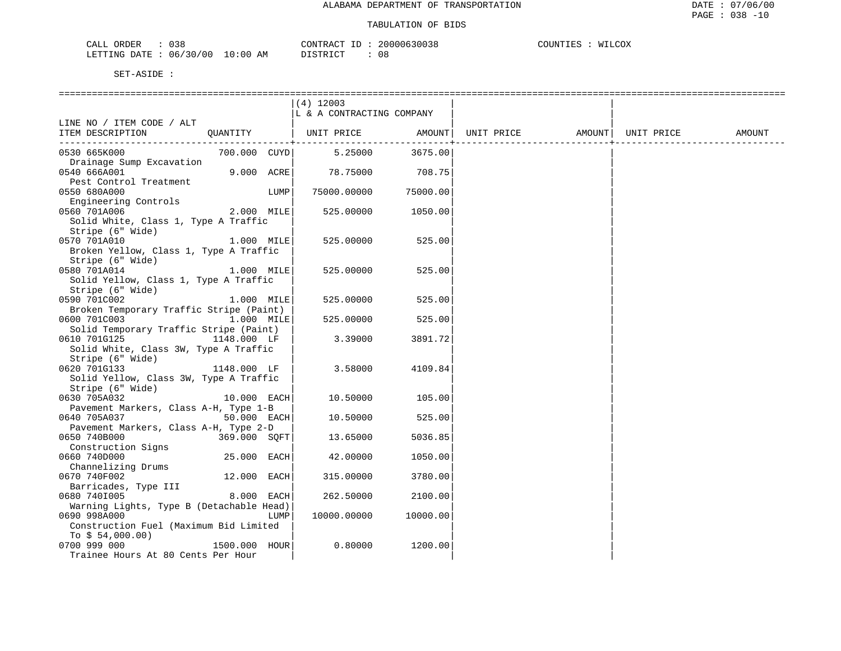| 038<br>CALL<br>ORDER                                                                                                                            | <b>AONTRAL</b> | $\pi$ $\sim$ | 200006300 | COUNT)<br>COX<br>--- |
|-------------------------------------------------------------------------------------------------------------------------------------------------|----------------|--------------|-----------|----------------------|
| 06/30/00<br>LETTING<br>DATE.<br>the contract of the contract of the contract of the contract of the contract of the contract of the contract of | 10:00<br>ΆM    |              | 08        |                      |

|                                                                       |               |      | (4) 12003                          |                       |                                                              |  |        |
|-----------------------------------------------------------------------|---------------|------|------------------------------------|-----------------------|--------------------------------------------------------------|--|--------|
|                                                                       |               |      | L & A CONTRACTING COMPANY          |                       |                                                              |  |        |
| LINE NO / ITEM CODE / ALT<br>ITEM DESCRIPTION                         | QUANTITY      |      |                                    |                       | UNIT PRICE       AMOUNT  UNIT PRICE       AMOUNT  UNIT PRICE |  | AMOUNT |
|                                                                       |               |      |                                    | --------------------- |                                                              |  |        |
| 0530 665K000                                                          |               |      | 700.000 CUYD   5.25000 3675.00     |                       |                                                              |  |        |
| Drainage Sump Excavation                                              |               |      |                                    |                       |                                                              |  |        |
| 0540 666A001                                                          |               |      | $9.000$ $ACRE$ $78.75000$ $708.75$ |                       |                                                              |  |        |
| Pest Control Treatment                                                |               |      |                                    |                       |                                                              |  |        |
| 0550 680A000                                                          |               | LUMP | 75000.00000                        | 75000.00              |                                                              |  |        |
| Engineering Controls<br>0560 701A006                                  | 2.000 MILE    |      | 525.00000                          | 1050.00               |                                                              |  |        |
| Solid White, Class 1, Type A Traffic                                  |               |      |                                    |                       |                                                              |  |        |
| Stripe (6" Wide)                                                      |               |      |                                    |                       |                                                              |  |        |
| 0570 701A010                                                          | $1.000$ MILE  |      | 525.00000                          | 525.00                |                                                              |  |        |
| Broken Yellow, Class 1, Type A Traffic                                |               |      |                                    |                       |                                                              |  |        |
| Stripe (6" Wide)                                                      |               |      |                                    |                       |                                                              |  |        |
| 1.000 MILE<br>0580 701A014                                            |               |      | 525.00000                          | 525.00                |                                                              |  |        |
| Solid Yellow, Class 1, Type A Traffic                                 |               |      |                                    |                       |                                                              |  |        |
| Stripe (6" Wide)                                                      |               |      |                                    |                       |                                                              |  |        |
| 0590 701C002                                                          | 1.000 MILE    |      | 525.00000                          | 525.00                |                                                              |  |        |
| Broken Temporary Traffic Stripe (Paint)                               |               |      |                                    |                       |                                                              |  |        |
| 0600 701C003 1.000 MILE<br>Solid Temporary Traffic Stripe (Paint)     |               |      | 525.00000                          | 525.00                |                                                              |  |        |
| 0610 701G125                                                          | 1148.000 LF   |      | 3.39000                            | 3891.72               |                                                              |  |        |
| Solid White, Class 3W, Type A Traffic                                 |               |      |                                    |                       |                                                              |  |        |
| Stripe (6" Wide)                                                      |               |      |                                    |                       |                                                              |  |        |
| 1148.000 LF<br>0620 701G133                                           |               |      | 3.58000                            | 4109.84               |                                                              |  |        |
| Solid Yellow, Class 3W, Type A Traffic                                |               |      |                                    |                       |                                                              |  |        |
| Stripe (6" Wide)                                                      |               |      |                                    |                       |                                                              |  |        |
| 0630 705A032                                                          | $10.000$ EACH |      | 10.50000                           | 105.00                |                                                              |  |        |
| Pavement Markers, Class A-H, Type 1-B                                 |               |      |                                    |                       |                                                              |  |        |
| 0640 705A037                                                          | $50.000$ EACH |      | 10.50000                           | 525.00                |                                                              |  |        |
| Pavement Markers, Class A-H, Type 2-D<br>0650 740B000<br>369.000 SOFT |               |      | 13.65000                           | 5036.85               |                                                              |  |        |
| Construction Signs                                                    |               |      |                                    |                       |                                                              |  |        |
| 0660 740D000                                                          | 25.000 EACH   |      | 42.00000                           | 1050.00               |                                                              |  |        |
| Channelizing Drums                                                    |               |      |                                    |                       |                                                              |  |        |
| 0670 740F002                                                          | 12.000 EACH   |      | 315.00000                          | 3780.00               |                                                              |  |        |
| Barricades, Type III                                                  |               |      |                                    |                       |                                                              |  |        |
| 0680 7401005                                                          | 8.000 EACH    |      | 262.50000                          | 2100.00               |                                                              |  |        |
| Warning Lights, Type B (Detachable Head)                              |               |      |                                    |                       |                                                              |  |        |
| 0690 998A000                                                          |               | LUMP | 10000.00000                        | 10000.00              |                                                              |  |        |
| Construction Fuel (Maximum Bid Limited                                |               |      |                                    |                       |                                                              |  |        |
| To $$54,000.00)$                                                      |               |      | 0.80000                            |                       |                                                              |  |        |
| 0700 999 000<br>1500.000 HOUR<br>Trainee Hours At 80 Cents Per Hour   |               |      |                                    | 1200.00               |                                                              |  |        |
|                                                                       |               |      |                                    |                       |                                                              |  |        |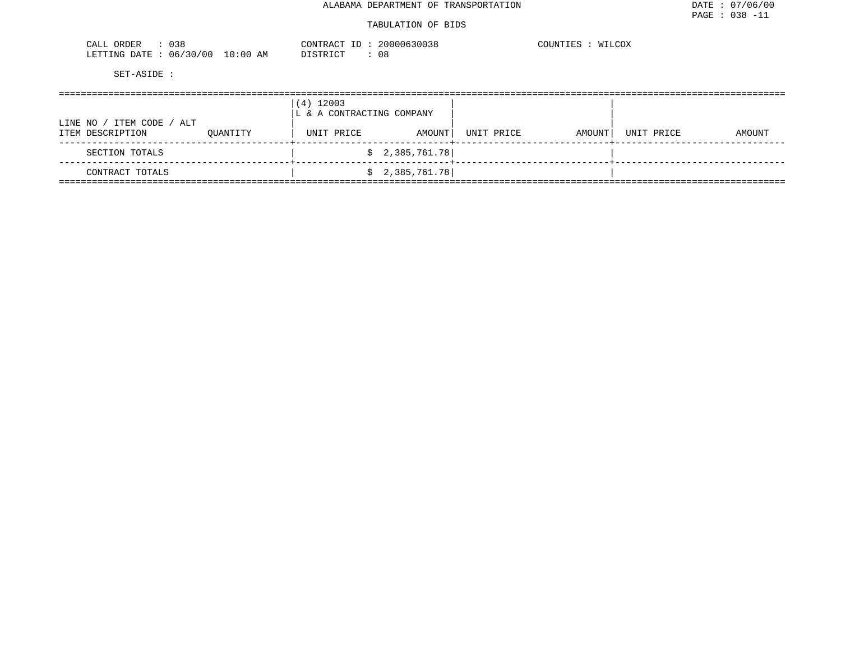| ORDER<br>$\cdot$<br>しろと<br>للدائب       |                           | W.<br>. .<br>$\Delta$ | ,,,,,, | WILCOX<br>~∩ttn"<br>,,, |
|-----------------------------------------|---------------------------|-----------------------|--------|-------------------------|
| LETTING<br>00'<br>DATE.<br>06<br>$\sim$ | ΑM<br>$\sim$ (11.1)<br>LU | . .                   | 08     |                         |

|                                               |          | $(4)$ 12003<br>LL & A CONTRACTING COMPANY |                 |            |        |            |        |
|-----------------------------------------------|----------|-------------------------------------------|-----------------|------------|--------|------------|--------|
| LINE NO / ITEM CODE / ALT<br>ITEM DESCRIPTION | OUANTITY | UNIT PRICE                                | AMOUNT          | UNIT PRICE | AMOUNT | UNIT PRICE | AMOUNT |
| SECTION TOTALS                                |          |                                           | \$2,385,761.78] |            |        |            |        |
| CONTRACT TOTALS                               |          |                                           | \$2,385,761.78] |            |        |            |        |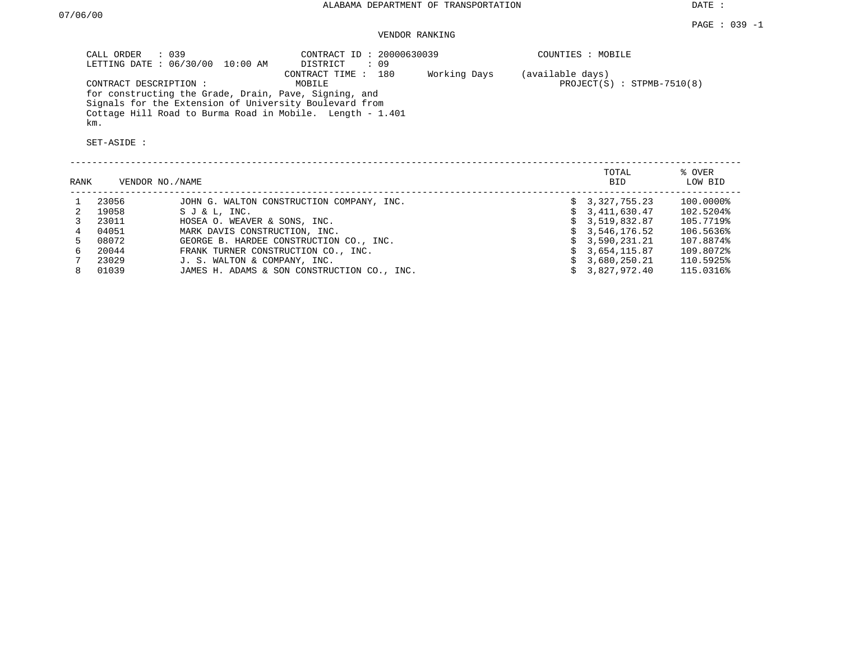DATE :

# VENDOR RANKING

| CALL ORDER : 039<br>LETTING DATE : 06/30/00 10:00 AM      | CONTRACT ID: 20000630039<br>DISTRICT<br>: 09 | COUNTIES : MOBILE            |
|-----------------------------------------------------------|----------------------------------------------|------------------------------|
|                                                           | Working Days<br>CONTRACT TIME : 180          | (available days)             |
| CONTRACT DESCRIPTION :                                    | MOBILE                                       | $PROJECT(S) : STPMB-7510(8)$ |
| for constructing the Grade, Drain, Pave, Signing, and     |                                              |                              |
| Signals for the Extension of University Boulevard from    |                                              |                              |
| Cottage Hill Road to Burma Road in Mobile. Length - 1.401 |                                              |                              |
| km.                                                       |                                              |                              |

| % OVER<br>LOW BID |
|-------------------|
|                   |
| 100.0000%         |
| 102.5204%         |
| 105.7719%         |
| 106.5636%         |
| 107.8874%         |
| 109.8072%         |
| 110.5925%         |
| 115.0316%         |
|                   |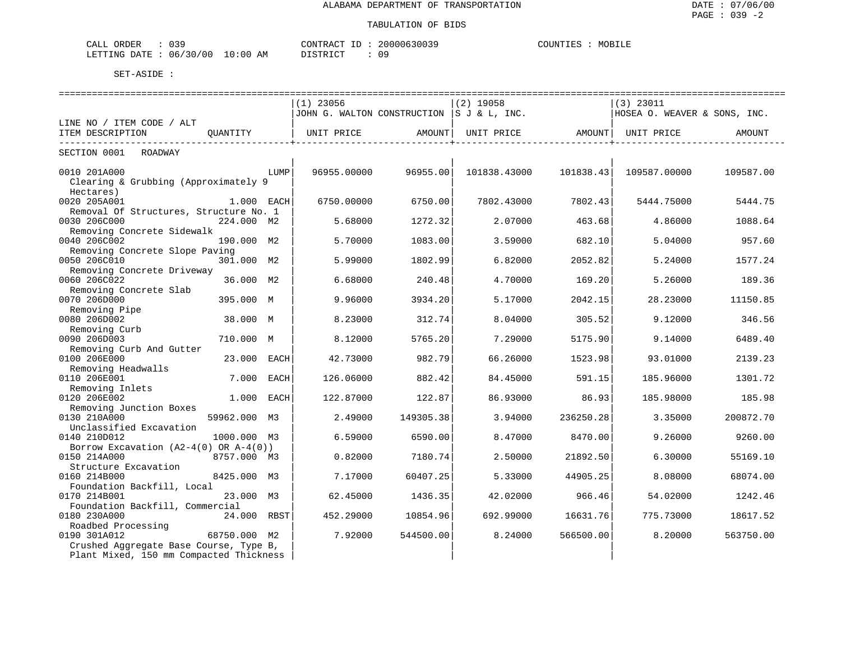| 039<br>ORDER<br>CALL     | CONTRACT                      | 20000630039 | MOBILE<br>COUNTIES |
|--------------------------|-------------------------------|-------------|--------------------|
| 06/30/00<br>LETTING DATE | 10:00<br>ΆM<br>די הדי אידי את | $\cap$ C    |                    |

|                                            |              |      | $(1)$ 23056                               |           | $(2)$ 19058       |           | $(3)$ 23011                  |           |  |  |
|--------------------------------------------|--------------|------|-------------------------------------------|-----------|-------------------|-----------|------------------------------|-----------|--|--|
|                                            |              |      | JOHN G. WALTON CONSTRUCTION S J & L, INC. |           |                   |           | HOSEA O. WEAVER & SONS, INC. |           |  |  |
| LINE NO / ITEM CODE / ALT                  |              |      |                                           |           |                   |           |                              |           |  |  |
| ITEM DESCRIPTION                           | OUANTITY     |      | UNIT PRICE                                | AMOUNT    | UNIT PRICE AMOUNT |           | UNIT PRICE                   | AMOUNT    |  |  |
|                                            |              |      |                                           |           |                   |           |                              |           |  |  |
| SECTION 0001<br>ROADWAY                    |              |      |                                           |           |                   |           |                              |           |  |  |
| 0010 201A000                               |              | LUMP | 96955.00000                               | 96955.00  | 101838.43000      | 101838.43 | 109587.00000                 | 109587.00 |  |  |
| Clearing & Grubbing (Approximately 9       |              |      |                                           |           |                   |           |                              |           |  |  |
| Hectares)                                  |              |      |                                           |           |                   |           |                              |           |  |  |
| 0020 205A001                               | 1.000 EACH   |      | 6750.00000                                | 6750.00   | 7802.43000        | 7802.43   | 5444.75000                   | 5444.75   |  |  |
| Removal Of Structures, Structure No. 1     |              |      |                                           |           |                   |           |                              |           |  |  |
| 0030 206C000                               | 224.000 M2   |      | 5.68000                                   | 1272.32   | 2.07000           | 463.68    | 4.86000                      | 1088.64   |  |  |
| Removing Concrete Sidewalk                 |              |      |                                           |           |                   |           |                              |           |  |  |
| 0040 206C002                               | 190.000 M2   |      | 5.70000                                   | 1083.00   | 3.59000           | 682.10    | 5.04000                      | 957.60    |  |  |
| Removing Concrete Slope Paving             |              |      |                                           |           |                   |           |                              |           |  |  |
| 0050 206C010                               | 301.000 M2   |      | 5.99000                                   | 1802.99   | 6.82000           | 2052.82   | 5.24000                      | 1577.24   |  |  |
| Removing Concrete Driveway                 |              |      |                                           |           |                   |           |                              |           |  |  |
| 0060 206C022                               | 36.000 M2    |      | 6.68000                                   | 240.48    | 4.70000           | 169.20    | 5.26000                      | 189.36    |  |  |
| Removing Concrete Slab                     |              |      |                                           |           |                   |           |                              |           |  |  |
| 0070 206D000                               | 395.000 M    |      | 9.96000                                   | 3934.20   | 5.17000           | 2042.15   | 28.23000                     | 11150.85  |  |  |
| Removing Pipe                              |              |      |                                           |           |                   |           |                              |           |  |  |
| 0080 206D002                               | 38.000 M     |      | 8.23000                                   | 312.74    | 8.04000           | 305.52    | 9.12000                      | 346.56    |  |  |
| Removing Curb                              |              |      |                                           |           |                   |           |                              |           |  |  |
| 0090 206D003                               | 710.000 M    |      | 8.12000                                   | 5765.20   | 7.29000           | 5175.90   | 9.14000                      | 6489.40   |  |  |
| Removing Curb And Gutter                   |              |      |                                           |           |                   |           |                              |           |  |  |
| 0100 206E000                               | 23.000 EACH  |      | 42.73000                                  | 982.79    | 66.26000          | 1523.98   | 93.01000                     | 2139.23   |  |  |
| Removing Headwalls                         |              |      |                                           |           |                   |           |                              |           |  |  |
| 0110 206E001                               | 7.000        | EACH | 126.06000                                 | 882.42    | 84.45000          | 591.15    | 185.96000                    | 1301.72   |  |  |
| Removing Inlets                            |              |      |                                           |           |                   |           |                              |           |  |  |
| 0120 206E002                               | 1.000 EACH   |      | 122.87000                                 | 122.87    | 86.93000          | 86.93     | 185.98000                    | 185.98    |  |  |
| Removing Junction Boxes                    |              |      |                                           |           |                   |           |                              |           |  |  |
| 0130 210A000                               | 59962.000 M3 |      | 2.49000                                   | 149305.38 | 3.94000           | 236250.28 | 3.35000                      | 200872.70 |  |  |
| Unclassified Excavation                    |              |      |                                           |           |                   |           |                              |           |  |  |
| 0140 210D012                               | 1000.000 M3  |      | 6.59000                                   | 6590.00   | 8.47000           | 8470.00   | 9.26000                      | 9260.00   |  |  |
| Borrow Excavation $(A2-4(0)$ OR $A-4(0)$ ) |              |      |                                           |           |                   |           |                              |           |  |  |
| 0150 214A000                               | 8757.000 M3  |      | 0.82000                                   | 7180.74   | 2.50000           | 21892.50  | 6.30000                      | 55169.10  |  |  |
| Structure Excavation                       |              |      |                                           |           |                   |           |                              |           |  |  |
| 0160 214B000                               | 8425.000 M3  |      | 7.17000                                   | 60407.25  | 5.33000           | 44905.25  | 8.08000                      | 68074.00  |  |  |
| Foundation Backfill, Local                 |              |      |                                           |           |                   |           |                              |           |  |  |
| 0170 214B001                               | 23.000 M3    |      | 62.45000                                  | 1436.35   | 42.02000          | 966.46    | 54.02000                     | 1242.46   |  |  |
| Foundation Backfill, Commercial            |              |      |                                           |           |                   |           |                              |           |  |  |
| 0180 230A000                               | 24.000 RBST  |      | 452.29000                                 | 10854.96  | 692.99000         | 16631.76  | 775.73000                    | 18617.52  |  |  |
| Roadbed Processing                         |              |      |                                           |           |                   |           |                              |           |  |  |
| 0190 301A012                               | 68750.000 M2 |      | 7.92000                                   | 544500.00 | 8.24000           | 566500.00 | 8.20000                      | 563750.00 |  |  |
| Crushed Aggregate Base Course, Type B,     |              |      |                                           |           |                   |           |                              |           |  |  |
| Plant Mixed, 150 mm Compacted Thickness    |              |      |                                           |           |                   |           |                              |           |  |  |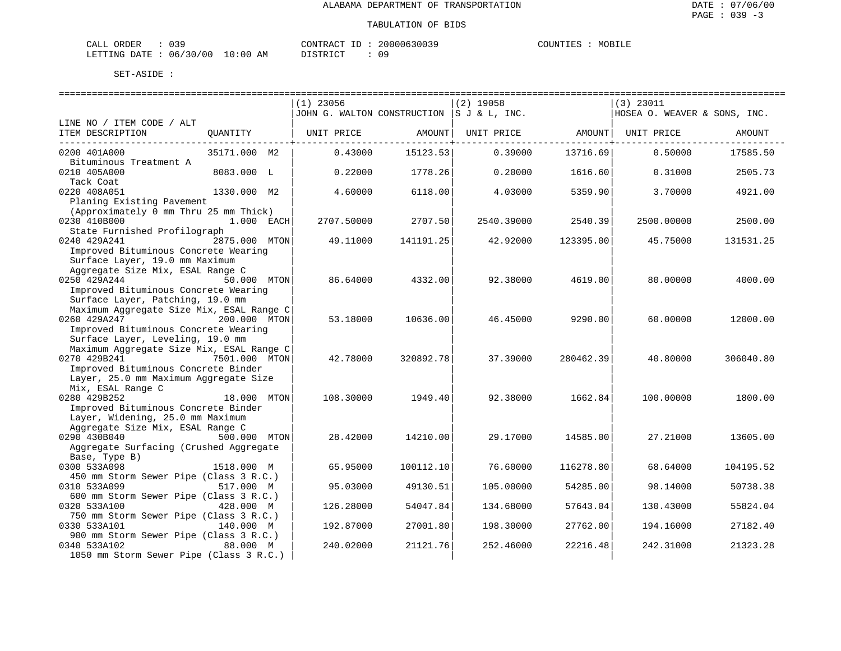### TABULATION OF BIDS

| CALL ORDER | 039                             | CONTRACT ID: 20000630039 |     | COUNTIES | MOBILE |
|------------|---------------------------------|--------------------------|-----|----------|--------|
|            | LETTING DATE: 06/30/00 10:00 AM | DISTRICT                 | n c |          |        |

|                                          |               | $(1)$ 23056 |           | $(2)$ 19058                                |           | $(3)$ 23011                  |           |
|------------------------------------------|---------------|-------------|-----------|--------------------------------------------|-----------|------------------------------|-----------|
|                                          |               |             |           | JOHN G. WALTON CONSTRUCTION  S J & L, INC. |           | HOSEA O. WEAVER & SONS, INC. |           |
| LINE NO / ITEM CODE / ALT                |               |             |           |                                            |           |                              |           |
| ITEM DESCRIPTION                         | QUANTITY      | UNIT PRICE  | AMOUNT    | UNIT PRICE                                 |           | AMOUNT   UNIT PRICE          | AMOUNT    |
|                                          |               |             |           |                                            |           |                              |           |
| 0200 401A000                             | 35171.000 M2  | 0.43000     | 15123.53  | 0.39000                                    | 13716.69  | 0.50000                      | 17585.50  |
| Bituminous Treatment A                   |               |             |           |                                            |           |                              |           |
| 0210 405A000                             | 8083.000 L    | 0.22000     | 1778.26   | 0.20000                                    | 1616.60   | 0.31000                      | 2505.73   |
| Tack Coat                                |               |             |           |                                            |           |                              |           |
| 0220 408A051                             | 1330.000 M2   | 4.60000     | 6118.00   | 4.03000                                    | 5359.90   | 3.70000                      | 4921.00   |
| Planing Existing Pavement                |               |             |           |                                            |           |                              |           |
| (Approximately 0 mm Thru 25 mm Thick)    |               |             |           |                                            |           |                              |           |
| 0230 410B000                             | $1.000$ EACH  | 2707.50000  | 2707.50   | 2540.39000                                 | 2540.39   | 2500.00000                   | 2500.00   |
| State Furnished Profilograph             |               |             |           |                                            |           |                              |           |
| 0240 429A241                             | 2875.000 MTON |             | 141191.25 |                                            | 123395.00 |                              |           |
|                                          |               | 49.11000    |           | 42.92000                                   |           | 45.75000                     | 131531.25 |
| Improved Bituminous Concrete Wearing     |               |             |           |                                            |           |                              |           |
| Surface Layer, 19.0 mm Maximum           |               |             |           |                                            |           |                              |           |
| Aggregate Size Mix, ESAL Range C         |               |             |           |                                            |           |                              |           |
| 0250 429A244                             | 50.000 MTON   | 86.64000    | 4332.00   | 92.38000                                   | 4619.00   | 80,00000                     | 4000.00   |
| Improved Bituminous Concrete Wearing     |               |             |           |                                            |           |                              |           |
| Surface Layer, Patching, 19.0 mm         |               |             |           |                                            |           |                              |           |
| Maximum Aggregate Size Mix, ESAL Range C |               |             |           |                                            |           |                              |           |
| 0260 429A247                             | 200.000 MTON  | 53.18000    | 10636.00  | 46.45000                                   | 9290.00   | 60.00000                     | 12000.00  |
| Improved Bituminous Concrete Wearing     |               |             |           |                                            |           |                              |           |
| Surface Layer, Leveling, 19.0 mm         |               |             |           |                                            |           |                              |           |
| Maximum Aggregate Size Mix, ESAL Range C |               |             |           |                                            |           |                              |           |
| 0270 429B241                             | 7501.000 MTON | 42.78000    | 320892.78 | 37.39000                                   | 280462.39 | 40.80000                     | 306040.80 |
| Improved Bituminous Concrete Binder      |               |             |           |                                            |           |                              |           |
| Layer, 25.0 mm Maximum Aggregate Size    |               |             |           |                                            |           |                              |           |
| Mix, ESAL Range C                        |               |             |           |                                            |           |                              |           |
| 0280 429B252                             | 18.000 MTON   | 108.30000   | 1949.40   | 92.38000                                   | 1662.84   | 100.00000                    | 1800.00   |
| Improved Bituminous Concrete Binder      |               |             |           |                                            |           |                              |           |
| Layer, Widening, 25.0 mm Maximum         |               |             |           |                                            |           |                              |           |
| Aggregate Size Mix, ESAL Range C         |               |             |           |                                            |           |                              |           |
| 0290 430B040                             | 500.000 MTON  | 28.42000    | 14210.00  | 29.17000                                   | 14585.00  | 27.21000                     | 13605.00  |
| Aggregate Surfacing (Crushed Aggregate   |               |             |           |                                            |           |                              |           |
| Base, Type B)                            |               |             |           |                                            |           |                              |           |
| 0300 533A098                             | 1518.000 M    | 65.95000    | 100112.10 | 76.60000                                   | 116278.80 | 68.64000                     | 104195.52 |
| 450 mm Storm Sewer Pipe (Class 3 R.C.)   |               |             |           |                                            |           |                              |           |
| 0310 533A099                             | 517.000 M     | 95.03000    | 49130.51  | 105.00000                                  | 54285.00  | 98.14000                     | 50738.38  |
| 600 mm Storm Sewer Pipe (Class 3 R.C.)   |               |             |           |                                            |           |                              |           |
| 0320 533A100                             | 428.000 M     | 126.28000   | 54047.84  | 134.68000                                  | 57643.04  | 130.43000                    | 55824.04  |
| 750 mm Storm Sewer Pipe (Class 3 R.C.)   |               |             |           |                                            |           |                              |           |
| 0330 533A101                             | 140.000 M     | 192.87000   | 27001.80  | 198.30000                                  | 27762.00  | 194.16000                    | 27182.40  |
| 900 mm Storm Sewer Pipe (Class 3 R.C.)   |               |             |           |                                            |           |                              |           |
| 0340 533A102                             | 88.000 M      | 240.02000   | 21121.76  | 252.46000                                  | 22216.48  | 242.31000                    | 21323.28  |
| 1050 mm Storm Sewer Pipe (Class 3 R.C.)  |               |             |           |                                            |           |                              |           |
|                                          |               |             |           |                                            |           |                              |           |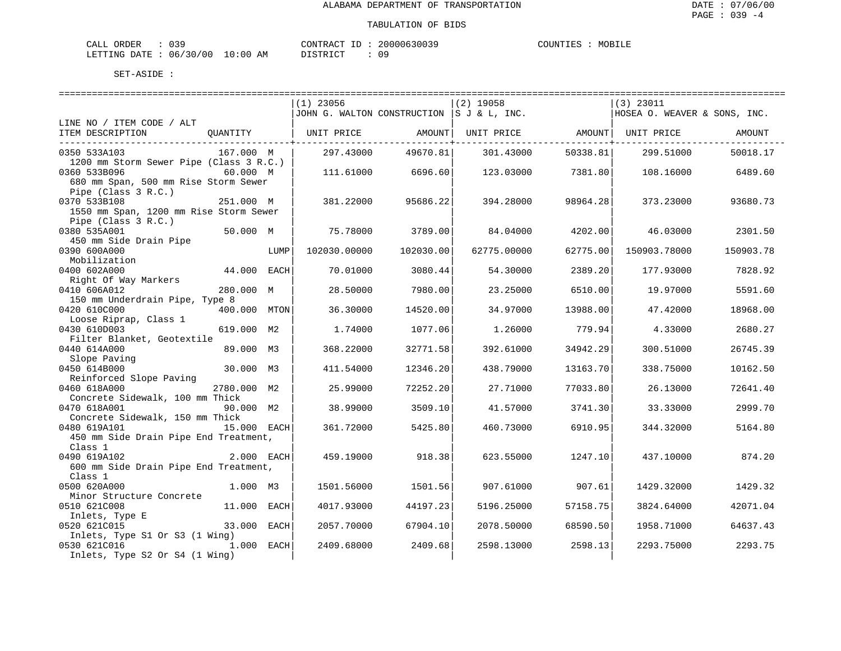| ORDER<br>CALL          | ົ່ |             | CONTRACT<br>TD. | 20000630039 | COUNTIES | MOBILE |
|------------------------|----|-------------|-----------------|-------------|----------|--------|
| LETTING DATE: 06/30/00 |    | 10:00<br>ΆM | חים דמים דת     |             |          |        |

|                                                                         |              |      | $(1)$ 23056                                                         |                      | $(2)$ 19058 |          | $(3)$ 23011                  |           |
|-------------------------------------------------------------------------|--------------|------|---------------------------------------------------------------------|----------------------|-------------|----------|------------------------------|-----------|
|                                                                         |              |      | JJOHN G. WALTON CONSTRUCTION $ S\,J\, \&\, L$ , INC.                |                      |             |          | HOSEA O. WEAVER & SONS, INC. |           |
| LINE NO / ITEM CODE / ALT                                               |              |      |                                                                     |                      |             |          |                              |           |
| ITEM DESCRIPTION                                                        |              |      | QUANTITY   UNIT PRICE     AMOUNT  UNIT PRICE     AMOUNT  UNIT PRICE |                      |             |          |                              | AMOUNT    |
| ___________________________________                                     |              |      |                                                                     | ------------+------- |             |          |                              |           |
| 0350 533A103                                                            | 167.000 M    |      | 297.43000                                                           | 49670.81             | 301.43000   | 50338.81 | 299.51000                    | 50018.17  |
| 1200 mm Storm Sewer Pipe (Class 3 R.C.)                                 |              |      |                                                                     |                      |             |          |                              |           |
| 0360 533B096                                                            | 60.000 M     |      | 111.61000                                                           | 6696.60              | 123.03000   | 7381.80  | 108.16000                    | 6489.60   |
| 680 mm Span, 500 mm Rise Storm Sewer                                    |              |      |                                                                     |                      |             |          |                              |           |
| Pipe (Class 3 R.C.)                                                     |              |      |                                                                     |                      |             |          |                              |           |
| 0370 533B108                                                            | 251.000 M    |      | 381.22000                                                           | 95686.22             | 394.28000   | 98964.28 | 373.23000                    | 93680.73  |
| 1550 mm Span, 1200 mm Rise Storm Sewer                                  |              |      |                                                                     |                      |             |          |                              |           |
| Pipe (Class 3 R.C.)                                                     |              |      |                                                                     |                      |             |          |                              |           |
| 0380 535A001                                                            | 50.000 M     |      | 75.78000                                                            | 3789.00              | 84.04000    | 4202.00  | 46.03000                     | 2301.50   |
| 450 mm Side Drain Pipe                                                  |              |      |                                                                     |                      |             |          |                              |           |
| 0390 600A000                                                            |              | LUMP | 102030.00000                                                        | 102030.00            | 62775.00000 | 62775.00 | 150903.78000                 | 150903.78 |
| Mobilization                                                            |              |      |                                                                     |                      |             |          |                              |           |
| 0400 602A000                                                            | 44.000 EACH  |      | 70.01000                                                            | 3080.44              | 54.30000    | 2389.20  | 177.93000                    | 7828.92   |
| Right Of Way Markers                                                    |              |      |                                                                     |                      |             |          |                              |           |
| 0410 606A012                                                            | 280.000 M    |      | 28.50000                                                            | 7980.00              | 23.25000    | 6510.00  | 19.97000                     | 5591.60   |
| 150 mm Underdrain Pipe, Type 8                                          |              |      |                                                                     |                      |             |          |                              |           |
| 0420 610C000                                                            | 400.000 MTON |      | 36.30000                                                            | 14520.00             | 34.97000    | 13988.00 | 47.42000                     | 18968.00  |
| Loose Riprap, Class 1                                                   |              |      |                                                                     |                      |             |          |                              |           |
| 0430 610D003                                                            | 619.000 M2   |      | 1.74000                                                             | 1077.06              | 1.26000     | 779.94   | 4.33000                      | 2680.27   |
| Filter Blanket, Geotextile                                              |              |      |                                                                     |                      |             |          |                              |           |
| 0440 614A000                                                            | 89.000 M3    |      | 368.22000                                                           | 32771.58             | 392.61000   | 34942.29 | 300.51000                    | 26745.39  |
| $\frac{140 \text{ V} + 100 \text{ V}}{20 \text{ V}} = 30.000 \text{ M}$ |              |      |                                                                     |                      |             |          |                              |           |
| 0450 614B000                                                            |              |      | 411.54000                                                           | 12346.20             | 438.79000   | 13163.70 | 338.75000                    | 10162.50  |
| Reinforced Slope Paving                                                 |              |      |                                                                     |                      |             |          |                              |           |
| 0460 618A000                                                            | 2780.000 M2  |      | 25.99000                                                            | 72252.20             | 27.71000    | 77033.80 | 26.13000                     | 72641.40  |
| Concrete Sidewalk, 100 mm Thick                                         |              |      |                                                                     |                      |             |          |                              |           |
| 0470 618A001                                                            | 90.000 M2    |      | 38.99000                                                            | 3509.10              | 41.57000    | 3741.30  | 33.33000                     | 2999.70   |
| Concrete Sidewalk, 150 mm Thick                                         |              |      |                                                                     |                      |             |          |                              |           |
| 0480 619A101<br>15.000 EACH                                             |              |      | 361.72000                                                           | 5425.80              | 460.73000   | 6910.95  | 344.32000                    | 5164.80   |
| 450 mm Side Drain Pipe End Treatment,                                   |              |      |                                                                     |                      |             |          |                              |           |
| Class 1                                                                 |              |      |                                                                     |                      |             |          |                              |           |
| 2.000 EACH<br>0490 619A102                                              |              |      | 459.19000                                                           | 918.38               | 623.55000   | 1247.10  | 437.10000                    | 874.20    |
| 600 mm Side Drain Pipe End Treatment,                                   |              |      |                                                                     |                      |             |          |                              |           |
| Class 1                                                                 |              |      |                                                                     |                      |             |          |                              |           |
| 0500 620A000                                                            | 1.000 M3     |      | 1501.56000                                                          | 1501.56              | 907.61000   | 907.61   | 1429.32000                   | 1429.32   |
| Minor Structure Concrete                                                |              |      |                                                                     |                      |             |          |                              |           |
| 0510 621C008                                                            | 11.000 EACH  |      | 4017.93000                                                          | 44197.23             | 5196.25000  | 57158.75 | 3824.64000                   | 42071.04  |
| Inlets, Type E                                                          |              |      |                                                                     |                      |             |          |                              |           |
| 0520 621C015                                                            | 33.000 EACH  |      | 2057.70000                                                          | 67904.10             | 2078.50000  | 68590.50 | 1958.71000                   | 64637.43  |
| Inlets, Type S1 Or S3 (1 Wing)                                          |              |      |                                                                     |                      |             |          |                              |           |
| 0530 621C016                                                            | 1.000 EACH   |      | 2409.68000                                                          | 2409.68              | 2598.13000  | 2598.13  | 2293.75000                   | 2293.75   |
| Inlets, Type S2 Or S4 (1 Wing)                                          |              |      |                                                                     |                      |             |          |                              |           |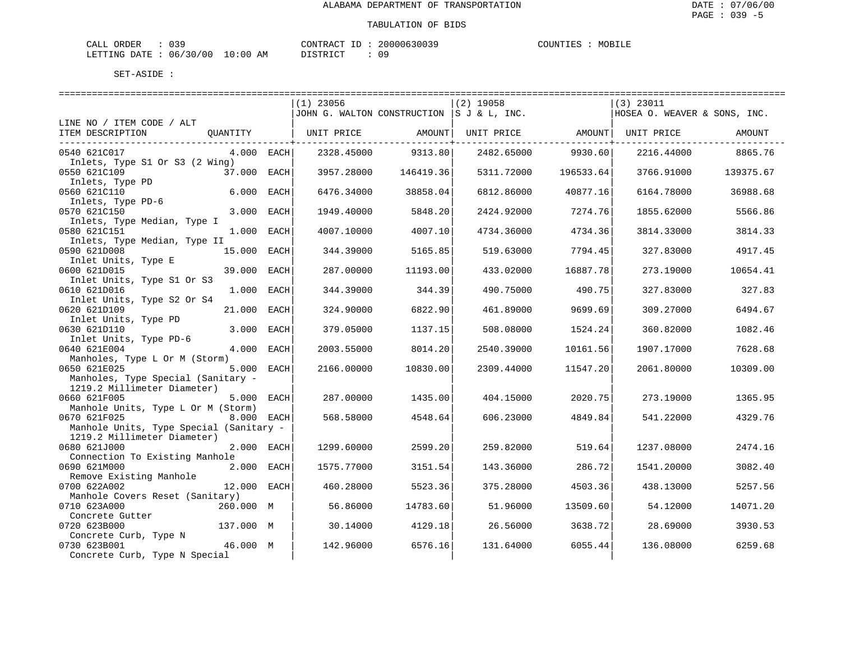| ORDER<br>CALL          | ົ່ |             | CONTRACT<br>TD. | 20000630039 | COUNTIES | MOBILE |
|------------------------|----|-------------|-----------------|-------------|----------|--------|
| LETTING DATE: 06/30/00 |    | 10:00<br>ΆM | חים דמים דת     |             |          |        |

|                                         |              |  | $(1)$ 23056 |                 | $(2)$ 19058                                |                         | $(3)$ 23011                  |           |  |  |
|-----------------------------------------|--------------|--|-------------|-----------------|--------------------------------------------|-------------------------|------------------------------|-----------|--|--|
|                                         |              |  |             |                 | JOHN G. WALTON CONSTRUCTION  S J & L, INC. |                         | HOSEA O. WEAVER & SONS, INC. |           |  |  |
| LINE NO / ITEM CODE / ALT               |              |  |             |                 |                                            |                         |                              |           |  |  |
| ITEM DESCRIPTION                        | OUANTITY     |  | UNIT PRICE  | AMOUNT          | UNIT PRICE AMOUNT UNIT PRICE               |                         |                              | AMOUNT    |  |  |
|                                         |              |  |             | -------------+- |                                            | ---------------+------- |                              |           |  |  |
| 0540 621C017                            | $4.000$ EACH |  | 2328.45000  | 9313.80         | 2482.65000                                 | 9930.60                 | 2216.44000                   | 8865.76   |  |  |
| Inlets, Type S1 Or S3 (2 Wing)          |              |  |             |                 |                                            |                         |                              |           |  |  |
| 0550 621C109                            | 37.000 EACH  |  | 3957.28000  | 146419.36       | 5311.72000                                 | 196533.64               | 3766.91000                   | 139375.67 |  |  |
| Inlets, Type PD                         |              |  |             |                 |                                            |                         |                              |           |  |  |
| 0560 621C110                            | 6.000 EACH   |  | 6476.34000  | 38858.04        | 6812.86000                                 | 40877.16                | 6164.78000                   | 36988.68  |  |  |
| Inlets, Type PD-6                       |              |  |             |                 |                                            |                         |                              |           |  |  |
| 0570 621C150                            | 3.000 EACH   |  | 1949.40000  | 5848.20         | 2424.92000                                 | 7274.76                 | 1855.62000                   | 5566.86   |  |  |
| Inlets, Type Median, Type I             |              |  |             |                 |                                            |                         |                              |           |  |  |
| 0580 621C151                            | 1.000 EACH   |  | 4007.10000  | 4007.10         | 4734.36000                                 | 4734.36                 | 3814.33000                   | 3814.33   |  |  |
| Inlets, Type Median, Type II            |              |  |             |                 |                                            |                         |                              |           |  |  |
| 0590 621D008                            | 15.000 EACH  |  | 344.39000   | 5165.85         | 519.63000                                  | 7794.45                 | 327.83000                    | 4917.45   |  |  |
| Inlet Units, Type E                     |              |  |             |                 |                                            |                         |                              |           |  |  |
| 0600 621D015                            | 39.000 EACH  |  | 287.00000   | 11193.00        | 433.02000                                  | 16887.78                | 273.19000                    | 10654.41  |  |  |
| Inlet Units, Type S1 Or S3              |              |  |             |                 |                                            |                         |                              |           |  |  |
| 0610 621D016                            | 1.000 EACH   |  | 344.39000   | 344.39          | 490.75000                                  | 490.75                  | 327.83000                    | 327.83    |  |  |
| Inlet Units, Type S2 Or S4              |              |  |             |                 |                                            |                         |                              |           |  |  |
| 0620 621D109                            | 21.000 EACH  |  | 324.90000   | 6822.90         | 461.89000                                  | 9699.69                 | 309.27000                    | 6494.67   |  |  |
| Inlet Units, Type PD                    |              |  |             |                 |                                            |                         |                              |           |  |  |
| 0630 621D110                            | 3.000 EACH   |  | 379.05000   | 1137.15         | 508.08000                                  | 1524.24                 | 360.82000                    | 1082.46   |  |  |
| Inlet Units, Type PD-6                  |              |  |             |                 |                                            |                         |                              |           |  |  |
| 0640 621E004                            | 4.000 EACH   |  | 2003.55000  | 8014.20         | 2540.39000                                 | 10161.56                | 1907.17000                   | 7628.68   |  |  |
| Manholes, Type L Or M (Storm)           |              |  |             |                 |                                            |                         |                              |           |  |  |
| 0650 621E025                            | 5.000 EACH   |  | 2166.00000  | 10830.00        | 2309.44000                                 | 11547.20                | 2061.80000                   | 10309.00  |  |  |
| Manholes, Type Special (Sanitary -      |              |  |             |                 |                                            |                         |                              |           |  |  |
| 1219.2 Millimeter Diameter)             |              |  |             |                 |                                            |                         |                              |           |  |  |
| 0660 621F005                            | 5.000 EACH   |  | 287.00000   | 1435.00         | 404.15000                                  | 2020.75                 | 273.19000                    | 1365.95   |  |  |
| Manhole Units, Type L Or M (Storm)      |              |  |             |                 |                                            |                         |                              |           |  |  |
| 0670 621F025                            | 8.000 EACH   |  | 568.58000   | 4548.64         | 606.23000                                  | 4849.84                 | 541.22000                    | 4329.76   |  |  |
| Manhole Units, Type Special (Sanitary - |              |  |             |                 |                                            |                         |                              |           |  |  |
| 1219.2 Millimeter Diameter)             |              |  |             |                 |                                            |                         |                              |           |  |  |
| 0680 621J000                            | 2.000 EACH   |  | 1299.60000  | 2599.20         | 259.82000                                  | 519.64                  | 1237.08000                   | 2474.16   |  |  |
| Connection To Existing Manhole          |              |  |             |                 |                                            |                         |                              |           |  |  |
| 0690 621M000                            | 2.000 EACH   |  | 1575.77000  | 3151.54         | 143.36000                                  | 286.72                  | 1541.20000                   | 3082.40   |  |  |
| Remove Existing Manhole                 |              |  |             |                 |                                            |                         |                              |           |  |  |
| 0700 622A002                            | 12.000 EACH  |  | 460.28000   | 5523.36         | 375.28000                                  | 4503.36                 | 438.13000                    | 5257.56   |  |  |
| Manhole Covers Reset (Sanitary)         |              |  |             |                 |                                            |                         |                              |           |  |  |
| 0710 623A000                            | 260.000 M    |  | 56.86000    | 14783.60        | 51.96000                                   | 13509.60                | 54.12000                     | 14071.20  |  |  |
| Concrete Gutter                         |              |  |             |                 |                                            |                         |                              |           |  |  |
| 0720 623B000                            | 137.000 M    |  | 30.14000    | 4129.18         | 26.56000                                   | 3638.72                 | 28.69000                     | 3930.53   |  |  |
| Concrete Curb, Type N                   |              |  |             |                 |                                            |                         |                              |           |  |  |
| 0730 623B001                            | 46.000 M     |  | 142.96000   | 6576.16         | 131.64000                                  | 6055.44                 | 136.08000                    | 6259.68   |  |  |
| Concrete Curb, Type N Special           |              |  |             |                 |                                            |                         |                              |           |  |  |
|                                         |              |  |             |                 |                                            |                         |                              |           |  |  |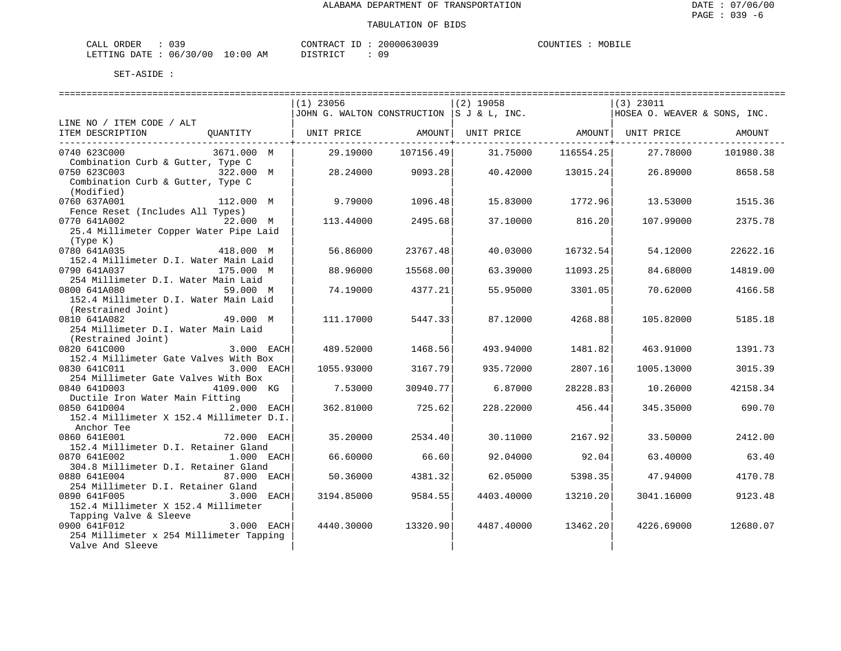| ORDER<br>CALL          | ົ່ |             | CONTRACT<br>TD. | 20000630039 | COUNTIES | MOBILE |
|------------------------|----|-------------|-----------------|-------------|----------|--------|
| LETTING DATE: 06/30/00 |    | 10:00<br>ΆM | חים דמים דת     |             |          |        |

|                                                                   | $(1)$ 23056 |           | $(2)$ 19058                                |           | $(3)$ 23011                  |           |
|-------------------------------------------------------------------|-------------|-----------|--------------------------------------------|-----------|------------------------------|-----------|
|                                                                   |             |           | JOHN G. WALTON CONSTRUCTION  S J & L, INC. |           | HOSEA O. WEAVER & SONS, INC. |           |
| LINE NO / ITEM CODE / ALT                                         |             |           |                                            |           |                              |           |
| ITEM DESCRIPTION<br>QUANTITY                                      | UNIT PRICE  | AMOUNT    | UNIT PRICE                                 |           | AMOUNT   UNIT PRICE          | AMOUNT    |
|                                                                   |             |           |                                            |           |                              |           |
| 0740 623C000<br>3671.000 M                                        | 29.19000    | 107156.49 | 31.75000                                   | 116554.25 | 27.78000                     | 101980.38 |
| Combination Curb & Gutter, Type C                                 |             |           |                                            |           |                              |           |
| 0750 623C003<br>322.000 M                                         | 28.24000    | 9093.28   | 40.42000                                   | 13015.24  | 26.89000                     | 8658.58   |
| Combination Curb & Gutter, Type C                                 |             |           |                                            |           |                              |           |
| (Modified)<br>0760 637A001<br>112.000 M                           | 9.79000     | 1096.48   | 15.83000                                   | 1772.96   | 13.53000                     | 1515.36   |
| Fence Reset (Includes All Types)                                  |             |           |                                            |           |                              |           |
| 0770 641A002<br>22.000 M                                          | 113.44000   | 2495.68   | 37.10000                                   | 816.20    | 107.99000                    | 2375.78   |
| 25.4 Millimeter Copper Water Pipe Laid                            |             |           |                                            |           |                              |           |
| (Type K)                                                          |             |           |                                            |           |                              |           |
| 0780 641A035<br>418.000 M                                         | 56.86000    | 23767.48  | 40.03000                                   | 16732.54  | 54.12000                     | 22622.16  |
| 152.4 Millimeter D.I. Water Main Laid                             |             |           |                                            |           |                              |           |
| 0790 641A037<br>175.000 M                                         | 88.96000    | 15568.00  | 63.39000                                   | 11093.25  | 84.68000                     | 14819.00  |
| 254 Millimeter D.I. Water Main Laid                               |             |           |                                            |           |                              |           |
| 0800 641A080<br>59.000 M                                          | 74.19000    | 4377.21   | 55.95000                                   | 3301.05   | 70.62000                     | 4166.58   |
| 152.4 Millimeter D.I. Water Main Laid                             |             |           |                                            |           |                              |           |
| (Restrained Joint)                                                |             |           |                                            |           |                              |           |
| 0810 641A082<br>49.000 M                                          | 111.17000   | 5447.33   | 87.12000                                   | 4268.88   | 105.82000                    | 5185.18   |
| 254 Millimeter D.I. Water Main Laid                               |             |           |                                            |           |                              |           |
| (Restrained Joint)                                                |             |           |                                            |           |                              |           |
| 0820 641C000<br>3.000 EACH                                        | 489.52000   | 1468.56   | 493.94000                                  | 1481.82   | 463.91000                    | 1391.73   |
| 152.4 Millimeter Gate Valves With Box                             |             |           |                                            |           |                              |           |
| 0830 641C011<br>3.000 EACH<br>254 Millimeter Gate Valves With Box | 1055.93000  | 3167.79   | 935.72000                                  | 2807.16   | 1005.13000                   | 3015.39   |
| 0840 641D003<br>4109.000 KG                                       | 7.53000     | 30940.77  | 6.87000                                    | 28228.83  | 10.26000                     | 42158.34  |
| Ductile Iron Water Main Fitting                                   |             |           |                                            |           |                              |           |
| 0850 641D004<br>2.000 EACH                                        | 362.81000   | 725.62    | 228.22000                                  | 456.44    | 345.35000                    | 690.70    |
| 152.4 Millimeter X 152.4 Millimeter D.I.                          |             |           |                                            |           |                              |           |
| Anchor Tee                                                        |             |           |                                            |           |                              |           |
| 0860 641E001<br>72.000 EACH                                       | 35.20000    | 2534.40   | 30.11000                                   | 2167.92   | 33.50000                     | 2412.00   |
| 152.4 Millimeter D.I. Retainer Gland                              |             |           |                                            |           |                              |           |
| 0870 641E002<br>$1.000$ EACH                                      | 66.60000    | 66.60     | 92.04000                                   | 92.04     | 63.40000                     | 63.40     |
| 304.8 Millimeter D.I. Retainer Gland                              |             |           |                                            |           |                              |           |
| 0880 641E004<br>87.000 EACH                                       | 50.36000    | 4381.32   | 62.05000                                   | 5398.35   | 47.94000                     | 4170.78   |
| 254 Millimeter D.I. Retainer Gland                                |             |           |                                            |           |                              |           |
| 0890 641F005<br>3.000<br>EACH                                     | 3194.85000  | 9584.55   | 4403.40000                                 | 13210.20  | 3041.16000                   | 9123.48   |
| 152.4 Millimeter X 152.4 Millimeter                               |             |           |                                            |           |                              |           |
| Tapping Valve & Sleeve                                            |             |           |                                            |           |                              |           |
| 0900 641F012<br>3.000 EACH                                        | 4440.30000  | 13320.90  | 4487.40000                                 | 13462.20  | 4226.69000                   | 12680.07  |
| 254 Millimeter x 254 Millimeter Tapping                           |             |           |                                            |           |                              |           |
| Valve And Sleeve                                                  |             |           |                                            |           |                              |           |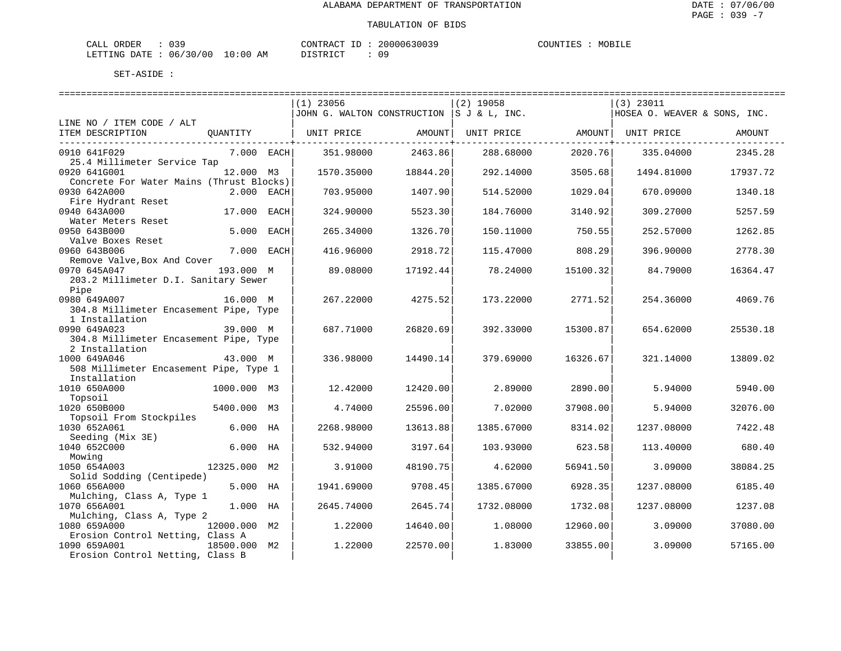| ORDER<br>CALL (               | $\sim$ $\sim$ $\sim$ |    | CONTRACT ID: | 20000630039 | COUNTIES | MOBILE |
|-------------------------------|----------------------|----|--------------|-------------|----------|--------|
| LETTING DATE : 06/30/00 10:00 |                      | AM | DISTRICT     |             |          |        |

|                                          |              |      | $(1)$ 23056                               |          | $(2)$ 19058 |          | $(3)$ 23011                  |          |  |  |  |
|------------------------------------------|--------------|------|-------------------------------------------|----------|-------------|----------|------------------------------|----------|--|--|--|
|                                          |              |      | JOHN G. WALTON CONSTRUCTION S J & L, INC. |          |             |          | HOSEA O. WEAVER & SONS, INC. |          |  |  |  |
| LINE NO / ITEM CODE / ALT                |              |      |                                           |          |             |          |                              |          |  |  |  |
| ITEM DESCRIPTION                         | QUANTITY     |      | UNIT PRICE                                | AMOUNT   | UNIT PRICE  | AMOUNT   | UNIT PRICE                   | AMOUNT   |  |  |  |
|                                          |              |      |                                           |          |             |          |                              |          |  |  |  |
| 0910 641F029                             | 7.000 EACH   |      | 351.98000                                 | 2463.86  | 288.68000   | 2020.76  | 335.04000                    | 2345.28  |  |  |  |
| 25.4 Millimeter Service Tap              |              |      |                                           |          |             |          |                              |          |  |  |  |
| 0920 641G001                             | 12.000 M3    |      | 1570.35000                                | 18844.20 | 292.14000   | 3505.68  | 1494.81000                   | 17937.72 |  |  |  |
| Concrete For Water Mains (Thrust Blocks) |              |      |                                           |          |             |          |                              |          |  |  |  |
| 0930 642A000                             | 2.000 EACH   |      | 703.95000                                 | 1407.90  | 514.52000   | 1029.04  | 670.09000                    | 1340.18  |  |  |  |
| Fire Hydrant Reset                       |              |      |                                           |          |             |          |                              |          |  |  |  |
| 0940 643A000                             | 17.000 EACH  |      | 324.90000                                 | 5523.30  | 184.76000   | 3140.92  | 309.27000                    | 5257.59  |  |  |  |
| Water Meters Reset                       |              |      |                                           |          |             |          |                              |          |  |  |  |
| 0950 643B000                             | 5.000        | EACH | 265.34000                                 | 1326.70  | 150.11000   | 750.55   | 252.57000                    | 1262.85  |  |  |  |
| Valve Boxes Reset                        |              |      |                                           |          |             |          |                              |          |  |  |  |
| 0960 643B006                             | 7.000 EACH   |      | 416.96000                                 | 2918.72  | 115.47000   | 808.29   | 396.90000                    | 2778.30  |  |  |  |
| Remove Valve, Box And Cover              |              |      |                                           |          |             |          |                              |          |  |  |  |
| 0970 645A047                             | 193.000 M    |      | 89.08000                                  | 17192.44 | 78.24000    | 15100.32 | 84.79000                     | 16364.47 |  |  |  |
| 203.2 Millimeter D.I. Sanitary Sewer     |              |      |                                           |          |             |          |                              |          |  |  |  |
| Pipe                                     |              |      |                                           |          |             |          |                              |          |  |  |  |
| 0980 649A007                             | 16.000 M     |      | 267.22000                                 | 4275.52  | 173.22000   | 2771.52  | 254.36000                    | 4069.76  |  |  |  |
| 304.8 Millimeter Encasement Pipe, Type   |              |      |                                           |          |             |          |                              |          |  |  |  |
| 1 Installation                           |              |      |                                           |          |             |          |                              |          |  |  |  |
| 0990 649A023                             | 39.000 M     |      | 687.71000                                 | 26820.69 | 392.33000   | 15300.87 | 654.62000                    | 25530.18 |  |  |  |
| 304.8 Millimeter Encasement Pipe, Type   |              |      |                                           |          |             |          |                              |          |  |  |  |
| 2 Installation                           |              |      |                                           |          |             |          |                              |          |  |  |  |
| 1000 649A046                             | 43.000 M     |      | 336.98000                                 | 14490.14 | 379.69000   | 16326.67 | 321.14000                    | 13809.02 |  |  |  |
| 508 Millimeter Encasement Pipe, Type 1   |              |      |                                           |          |             |          |                              |          |  |  |  |
| Installation                             |              |      |                                           |          |             |          |                              |          |  |  |  |
| 1010 650A000                             | 1000.000 M3  |      | 12.42000                                  | 12420.00 | 2.89000     | 2890.00  | 5.94000                      | 5940.00  |  |  |  |
| Topsoil                                  |              |      |                                           |          |             |          |                              |          |  |  |  |
| 1020 650B000                             | 5400.000 M3  |      | 4.74000                                   | 25596.00 | 7.02000     | 37908.00 | 5.94000                      | 32076.00 |  |  |  |
| Topsoil From Stockpiles                  |              |      |                                           |          |             |          |                              |          |  |  |  |
| 1030 652A061                             | 6.000 HA     |      | 2268.98000                                | 13613.88 | 1385.67000  | 8314.02  | 1237.08000                   | 7422.48  |  |  |  |
| Seeding (Mix 3E)                         |              |      |                                           |          |             |          |                              |          |  |  |  |
| 1040 652C000                             | $6.000$ HA   |      | 532.94000                                 | 3197.64  | 103.93000   | 623.58   | 113.40000                    | 680.40   |  |  |  |
| Mowing                                   |              |      |                                           |          |             |          |                              |          |  |  |  |
| 1050 654A003                             | 12325.000    | М2   | 3.91000                                   | 48190.75 | 4.62000     | 56941.50 | 3.09000                      | 38084.25 |  |  |  |
| Solid Sodding (Centipede)                |              |      |                                           |          |             |          |                              |          |  |  |  |
| 1060 656A000                             | 5.000 HA     |      | 1941.69000                                | 9708.45  | 1385.67000  | 6928.35  | 1237.08000                   | 6185.40  |  |  |  |
| Mulching, Class A, Type 1                |              |      |                                           |          |             |          |                              |          |  |  |  |
| 1070 656A001                             | 1.000 HA     |      | 2645.74000                                | 2645.74  | 1732.08000  | 1732.08  | 1237.08000                   | 1237.08  |  |  |  |
| Mulching, Class A, Type 2                |              |      |                                           |          |             |          |                              |          |  |  |  |
| 1080 659A000                             | 12000.000 M2 |      | 1.22000                                   | 14640.00 | 1,08000     | 12960.00 | 3.09000                      | 37080.00 |  |  |  |
| Erosion Control Netting, Class A         |              |      |                                           |          |             |          |                              |          |  |  |  |
| 1090 659A001                             | 18500.000 M2 |      | 1,22000                                   | 22570.00 | 1,83000     | 33855.00 | 3.09000                      | 57165.00 |  |  |  |
| Erosion Control Netting, Class B         |              |      |                                           |          |             |          |                              |          |  |  |  |
|                                          |              |      |                                           |          |             |          |                              |          |  |  |  |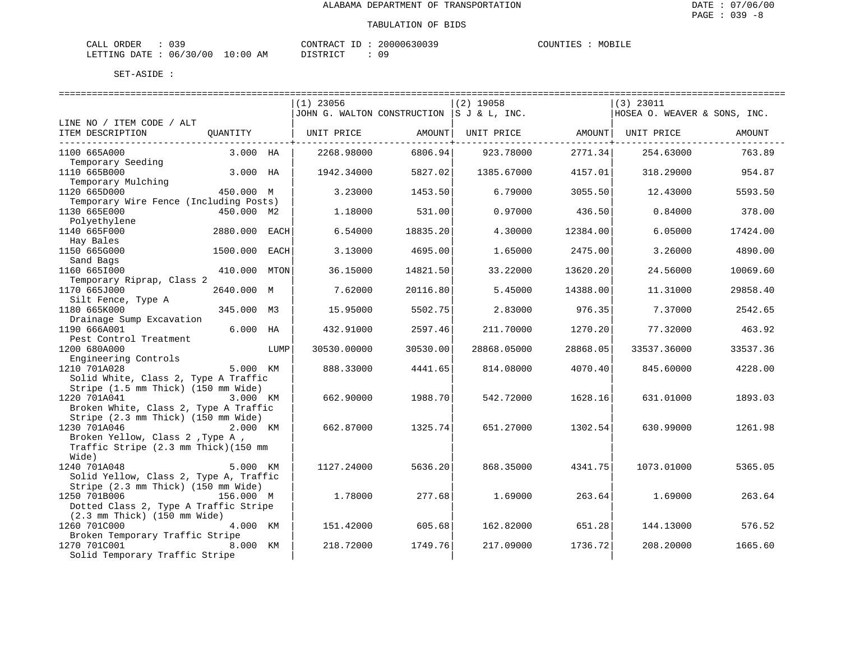| ORDER<br>CALL (               | $\sim$ $\sim$ $\sim$ |    | CONTRACT ID: | 20000630039 | COUNTIES | MOBILE |
|-------------------------------|----------------------|----|--------------|-------------|----------|--------|
| LETTING DATE : 06/30/00 10:00 |                      | AM | DISTRICT     |             |          |        |

|                                                      |               |      | $(1)$ 23056                                |                           | $(2)$ 19058 |                            | $(3)$ 23011                  |          |
|------------------------------------------------------|---------------|------|--------------------------------------------|---------------------------|-------------|----------------------------|------------------------------|----------|
|                                                      |               |      | JOHN G. WALTON CONSTRUCTION  S J & L, INC. |                           |             |                            | HOSEA O. WEAVER & SONS, INC. |          |
| LINE NO / ITEM CODE / ALT                            |               |      |                                            |                           |             |                            |                              |          |
| ITEM DESCRIPTION                                     | OUANTITY      |      | UNIT PRICE                                 | AMOUNT  <br>----------+-- | UNIT PRICE  | AMOUNT  <br>-----------+-- | UNIT PRICE                   | AMOUNT   |
| 1100 665A000                                         | 3.000 HA      |      | 2268.98000                                 | 6806.94                   | 923.78000   | 2771.34                    | 254.63000                    | 763.89   |
| Temporary Seeding                                    |               |      |                                            |                           |             |                            |                              |          |
| 1110 665B000                                         | 3.000 HA      |      | 1942.34000                                 | 5827.02                   | 1385.67000  | 4157.01                    | 318.29000                    | 954.87   |
| Temporary Mulching<br>1120 665D000                   | 450.000 M     |      | 3.23000                                    | 1453.50                   | 6.79000     | 3055.50                    | 12.43000                     | 5593.50  |
| Temporary Wire Fence (Including Posts)               |               |      |                                            |                           |             |                            |                              |          |
| 1130 665E000                                         | 450.000 M2    |      | 1.18000                                    | 531.00                    | 0.97000     | 436.50                     | 0.84000                      | 378.00   |
| Polyethylene                                         |               |      |                                            |                           |             |                            |                              |          |
| 1140 665F000                                         | 2880.000 EACH |      | 6.54000                                    | 18835.20                  | 4.30000     | 12384.00                   | 6.05000                      | 17424.00 |
| Hay Bales                                            |               |      |                                            |                           |             |                            |                              |          |
| 1150 665G000                                         | 1500.000      | EACH | 3.13000                                    | 4695.00                   | 1.65000     | 2475.00                    | 3.26000                      | 4890.00  |
| Sand Bags<br>1160 6651000                            | 410.000 MTON  |      | 36.15000                                   | 14821.50                  | 33.22000    | 13620.20                   | 24.56000                     | 10069.60 |
| Temporary Riprap, Class 2                            |               |      |                                            |                           |             |                            |                              |          |
| 1170 665J000                                         | 2640.000 M    |      | 7.62000                                    | 20116.80                  | 5.45000     | 14388.00                   | 11.31000                     | 29858.40 |
| Silt Fence, Type A                                   |               |      |                                            |                           |             |                            |                              |          |
| 1180 665K000                                         | 345.000 M3    |      | 15.95000                                   | 5502.75                   | 2.83000     | 976.35                     | 7.37000                      | 2542.65  |
| Drainage Sump Excavation                             |               |      |                                            |                           |             |                            |                              |          |
| 1190 666A001                                         | $6.000$ HA    |      | 432.91000                                  | 2597.46                   | 211.70000   | 1270.20                    | 77.32000                     | 463.92   |
| Pest Control Treatment                               |               |      |                                            |                           |             |                            |                              |          |
| 1200 680A000                                         |               | LUMP | 30530.00000                                | 30530.00                  | 28868.05000 | 28868.05                   | 33537.36000                  | 33537.36 |
| Engineering Controls                                 |               |      |                                            |                           |             |                            |                              |          |
| 1210 701A028<br>Solid White, Class 2, Type A Traffic | 5.000 KM      |      | 888.33000                                  | 4441.65                   | 814.08000   | 4070.40                    | 845.60000                    | 4228.00  |
| Stripe (1.5 mm Thick) (150 mm Wide)                  |               |      |                                            |                           |             |                            |                              |          |
| 1220 701A041                                         | 3.000 KM      |      | 662.90000                                  | 1988.70                   | 542.72000   | 1628.16                    | 631.01000                    | 1893.03  |
| Broken White, Class 2, Type A Traffic                |               |      |                                            |                           |             |                            |                              |          |
| Stripe (2.3 mm Thick) (150 mm Wide)                  |               |      |                                            |                           |             |                            |                              |          |
| 1230 701A046                                         | 2.000 KM      |      | 662.87000                                  | 1325.74                   | 651.27000   | 1302.54                    | 630.99000                    | 1261.98  |
| Broken Yellow, Class 2, Type A,                      |               |      |                                            |                           |             |                            |                              |          |
| Traffic Stripe (2.3 mm Thick) (150 mm                |               |      |                                            |                           |             |                            |                              |          |
| Wide)                                                |               |      |                                            |                           |             |                            |                              |          |
| 1240 701A048                                         | 5.000 KM      |      | 1127.24000                                 | 5636.20                   | 868.35000   | 4341.75                    | 1073.01000                   | 5365.05  |
| Solid Yellow, Class 2, Type A, Traffic               |               |      |                                            |                           |             |                            |                              |          |
| Stripe (2.3 mm Thick) (150 mm Wide)                  |               |      |                                            |                           |             |                            |                              |          |
| 1250 701B006                                         | 156.000 M     |      | 1.78000                                    | 277.68                    | 1.69000     | 263.64                     | 1.69000                      | 263.64   |
| Dotted Class 2, Type A Traffic Stripe                |               |      |                                            |                           |             |                            |                              |          |
| $(2.3 \text{ mm}$ Thick) $(150 \text{ mm}$ Wide)     |               |      |                                            |                           |             |                            |                              |          |
| 1260 701C000                                         | 4.000 KM      |      | 151.42000                                  | 605.68                    | 162.82000   | 651.28                     | 144.13000                    | 576.52   |
| Broken Temporary Traffic Stripe<br>1270 701C001      | 8.000 KM      |      | 218.72000                                  | 1749.76                   | 217.09000   | 1736.72                    | 208.20000                    | 1665.60  |
| Solid Temporary Traffic Stripe                       |               |      |                                            |                           |             |                            |                              |          |
|                                                      |               |      |                                            |                           |             |                            |                              |          |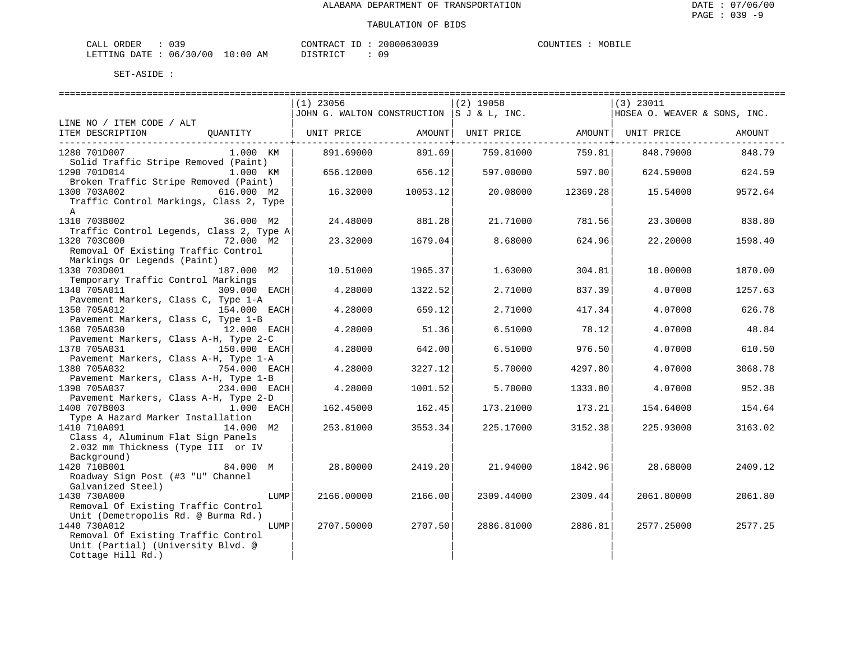| CALL ORDER                       |  |          |  | CONTRACT ID: 20000630039 | COUNTIES | MOBILE |
|----------------------------------|--|----------|--|--------------------------|----------|--------|
| LETTING DATE : 06/30/00 10:00 AM |  | DISTRICT |  |                          |          |        |

|                                          |              | ==============================            |                          |             |                         |                              |             |
|------------------------------------------|--------------|-------------------------------------------|--------------------------|-------------|-------------------------|------------------------------|-------------|
|                                          |              | $(1)$ 23056                               |                          | $(2)$ 19058 |                         | $(3)$ 23011                  |             |
|                                          |              | JOHN G. WALTON CONSTRUCTION S J & L, INC. |                          |             |                         | HOSEA O. WEAVER & SONS, INC. |             |
| LINE NO / ITEM CODE / ALT                |              |                                           |                          |             |                         |                              |             |
| ITEM DESCRIPTION                         | OUANTITY     | UNIT PRICE AMOUNT                         |                          |             |                         | UNIT PRICE AMOUNT UNIT PRICE | AMOUNT      |
| ---------------------------------        |              |                                           | -----------------+------ |             | ----------------------- |                              | ----------- |
| 1280 701D007                             | 1.000 KM     | 891.69000                                 | 891.69                   | 759.81000   | 759.81                  | 848.79000                    | 848.79      |
| Solid Traffic Stripe Removed (Paint)     |              |                                           |                          |             |                         |                              |             |
|                                          |              |                                           |                          |             |                         |                              |             |
| 1290 701D014                             | 1.000 KM     | 656.12000                                 | 656.12                   | 597.00000   | 597.00                  | 624.59000                    | 624.59      |
| Broken Traffic Stripe Removed (Paint)    |              |                                           |                          |             |                         |                              |             |
| 1300 703A002                             | 616.000 M2   | 16.32000                                  | 10053.12                 | 20.08000    | 12369.28                | 15.54000                     | 9572.64     |
| Traffic Control Markings, Class 2, Type  |              |                                           |                          |             |                         |                              |             |
| $\mathbb{A}$                             |              |                                           |                          |             |                         |                              |             |
| 1310 703B002                             | 36.000 M2    | 24.48000                                  | 881.28                   | 21.71000    | 781.56                  | 23.30000                     | 838.80      |
| Traffic Control Legends, Class 2, Type A |              |                                           |                          |             |                         |                              |             |
| 1320 703C000                             | 72.000 M2    | 23.32000                                  | 1679.04                  | 8.68000     | 624.96                  | 22.20000                     | 1598.40     |
| Removal Of Existing Traffic Control      |              |                                           |                          |             |                         |                              |             |
| Markings Or Legends (Paint)              |              |                                           |                          |             |                         |                              |             |
| 1330 703D001                             | 187.000 M2   | 10.51000                                  | 1965.37                  | 1.63000     | 304.81                  | 10.00000                     | 1870.00     |
| Temporary Traffic Control Markings       |              |                                           |                          |             |                         |                              |             |
|                                          |              |                                           |                          |             |                         |                              |             |
| 1340 705A011                             | 309.000 EACH | 4.28000                                   | 1322.52                  | 2.71000     | 837.39                  | 4.07000                      | 1257.63     |
| Pavement Markers, Class C, Type 1-A      |              |                                           |                          |             |                         |                              |             |
| 1350 705A012                             | 154.000 EACH | 4.28000                                   | 659.12                   | 2.71000     | 417.34                  | 4.07000                      | 626.78      |
| Pavement Markers, Class C, Type 1-B      |              |                                           |                          |             |                         |                              |             |
| 1360 705A030                             | 12.000 EACH  | 4.28000                                   | 51.36                    | 6.51000     | 78.12                   | 4.07000                      | 48.84       |
| Pavement Markers, Class A-H, Type 2-C    |              |                                           |                          |             |                         |                              |             |
| 1370 705A031                             | 150.000 EACH | 4.28000                                   | 642.00                   | 6.51000     | 976.50                  | 4.07000                      | 610.50      |
| Pavement Markers, Class A-H, Type 1-A    |              |                                           |                          |             |                         |                              |             |
| 1380 705A032                             | 754.000 EACH | 4.28000                                   | 3227.12                  | 5.70000     | 4297.80                 | 4.07000                      | 3068.78     |
| Pavement Markers, Class A-H, Type 1-B    |              |                                           |                          |             |                         |                              |             |
| 1390 705A037                             | 234.000 EACH | 4.28000                                   | 1001.52                  | 5,70000     | 1333.80                 | 4.07000                      | 952.38      |
| Pavement Markers, Class A-H, Type 2-D    |              |                                           |                          |             |                         |                              |             |
| 1400 707B003                             | 1.000 EACH   | 162.45000                                 | 162.45                   | 173.21000   | 173.21                  | 154.64000                    | 154.64      |
| Type A Hazard Marker Installation        |              |                                           |                          |             |                         |                              |             |
| 1410 710A091                             | 14.000 M2    | 253.81000                                 | 3553.34                  | 225.17000   | 3152.38                 | 225.93000                    | 3163.02     |
|                                          |              |                                           |                          |             |                         |                              |             |
| Class 4, Aluminum Flat Sign Panels       |              |                                           |                          |             |                         |                              |             |
| 2.032 mm Thickness (Type III or IV       |              |                                           |                          |             |                         |                              |             |
| Background)                              |              |                                           |                          |             |                         |                              |             |
| 1420 710B001                             | 84.000 M     | 28.80000                                  | 2419.20                  | 21.94000    | 1842.96                 | 28.68000                     | 2409.12     |
| Roadway Sign Post (#3 "U" Channel        |              |                                           |                          |             |                         |                              |             |
| Galvanized Steel)                        |              |                                           |                          |             |                         |                              |             |
| 1430 730A000                             | LUMP         | 2166.00000                                | 2166.00                  | 2309.44000  | 2309.44                 | 2061.80000                   | 2061.80     |
| Removal Of Existing Traffic Control      |              |                                           |                          |             |                         |                              |             |
| Unit (Demetropolis Rd. @ Burma Rd.)      |              |                                           |                          |             |                         |                              |             |
| 1440 730A012                             | LUMP         | 2707.50000                                | 2707.50                  | 2886.81000  | 2886.81                 | 2577.25000                   | 2577.25     |
| Removal Of Existing Traffic Control      |              |                                           |                          |             |                         |                              |             |
| Unit (Partial) (University Blvd. @       |              |                                           |                          |             |                         |                              |             |
| Cottage Hill Rd.)                        |              |                                           |                          |             |                         |                              |             |
|                                          |              |                                           |                          |             |                         |                              |             |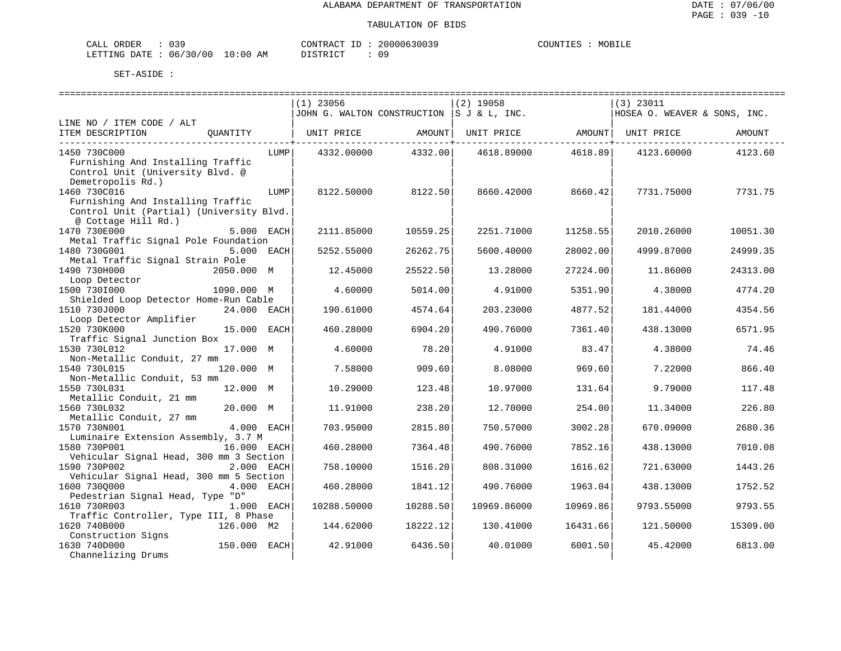| CALL ORDER                      |  |          | CONTRACT ID: 20000630039 | COUNTIES | MOBILE |
|---------------------------------|--|----------|--------------------------|----------|--------|
| LETTING DATE: 06/30/00 10:00 AM |  | DISTRICT |                          |          |        |

|                                          |              |      | $(1)$ 23056 |          | $(2)$ 19058                                |          | $(3)$ 23011                  |          |
|------------------------------------------|--------------|------|-------------|----------|--------------------------------------------|----------|------------------------------|----------|
|                                          |              |      |             |          | JOHN G. WALTON CONSTRUCTION  S J & L, INC. |          | HOSEA O. WEAVER & SONS, INC. |          |
| LINE NO / ITEM CODE / ALT                |              |      |             |          |                                            |          |                              |          |
| ITEM DESCRIPTION                         | OUANTITY     |      | UNIT PRICE  | AMOUNT   | UNIT PRICE                                 | AMOUNT   | UNIT PRICE                   | AMOUNT   |
|                                          |              |      |             |          |                                            |          |                              |          |
| 1450 730C000                             |              | LUMP | 4332.00000  | 4332.00  | 4618.89000                                 | 4618.89  | 4123.60000                   | 4123.60  |
| Furnishing And Installing Traffic        |              |      |             |          |                                            |          |                              |          |
| Control Unit (University Blvd. @         |              |      |             |          |                                            |          |                              |          |
| Demetropolis Rd.)                        |              |      |             |          |                                            |          |                              |          |
| 1460 730C016                             |              | LUMP | 8122.50000  | 8122.50  | 8660.42000                                 | 8660.42  | 7731.75000                   | 7731.75  |
|                                          |              |      |             |          |                                            |          |                              |          |
| Furnishing And Installing Traffic        |              |      |             |          |                                            |          |                              |          |
| Control Unit (Partial) (University Blvd. |              |      |             |          |                                            |          |                              |          |
| @ Cottage Hill Rd.)                      |              |      |             |          |                                            |          |                              |          |
| 1470 730E000                             | 5.000 EACH   |      | 2111.85000  | 10559.25 | 2251.71000                                 | 11258.55 | 2010.26000                   | 10051.30 |
| Metal Traffic Signal Pole Foundation     |              |      |             |          |                                            |          |                              |          |
| 1480 730G001                             | 5.000 EACH   |      | 5252.55000  | 26262.75 | 5600.40000                                 | 28002.00 | 4999.87000                   | 24999.35 |
| Metal Traffic Signal Strain Pole         |              |      |             |          |                                            |          |                              |          |
| 1490 730H000                             | 2050.000 M   |      | 12.45000    | 25522.50 | 13,28000                                   | 27224.00 | 11.86000                     | 24313.00 |
| Loop Detector                            |              |      |             |          |                                            |          |                              |          |
| 1500 7301000                             | 1090.000 M   |      | 4.60000     | 5014.00  | 4.91000                                    | 5351.90  | 4.38000                      | 4774.20  |
| Shielded Loop Detector Home-Run Cable    |              |      |             |          |                                            |          |                              |          |
| 1510 730J000                             | 24.000 EACH  |      | 190.61000   | 4574.64  | 203.23000                                  | 4877.52  | 181.44000                    | 4354.56  |
|                                          |              |      |             |          |                                            |          |                              |          |
| Loop Detector Amplifier                  |              |      |             |          |                                            |          |                              |          |
| 1520 730K000                             | 15.000 EACH  |      | 460.28000   | 6904.20  | 490.76000                                  | 7361.40  | 438.13000                    | 6571.95  |
| Traffic Signal Junction Box              |              |      |             |          |                                            |          |                              |          |
| 1530 730L012                             | 17.000 M     |      | 4.60000     | 78.20    | 4.91000                                    | 83.47    | 4.38000                      | 74.46    |
| Non-Metallic Conduit, 27 mm              |              |      |             |          |                                            |          |                              |          |
| 1540 730L015                             | 120.000 M    |      | 7.58000     | 909.60   | 8.08000                                    | 969.60   | 7.22000                      | 866.40   |
| Non-Metallic Conduit, 53 mm              |              |      |             |          |                                            |          |                              |          |
| 1550 730L031                             | 12.000 M     |      | 10.29000    | 123.48   | 10.97000                                   | 131.64   | 9.79000                      | 117.48   |
| Metallic Conduit, 21 mm                  |              |      |             |          |                                            |          |                              |          |
| 1560 730L032                             | 20.000 M     |      | 11.91000    | 238.20   | 12.70000                                   | 254.00   | 11.34000                     | 226.80   |
| Metallic Conduit, 27 mm                  |              |      |             |          |                                            |          |                              |          |
| 1570 730N001                             | 4.000 EACH   |      | 703.95000   | 2815.80  | 750.57000                                  | 3002.28  | 670.09000                    | 2680.36  |
| Luminaire Extension Assembly, 3.7 M      |              |      |             |          |                                            |          |                              |          |
| 1580 730P001                             | 16.000 EACH  |      | 460.28000   | 7364.48  | 490.76000                                  | 7852.16  | 438.13000                    | 7010.08  |
| Vehicular Signal Head, 300 mm 3 Section  |              |      |             |          |                                            |          |                              |          |
| 1590 730P002                             | 2.000 EACH   |      | 758.10000   | 1516.20  | 808.31000                                  | 1616.62  | 721.63000                    | 1443.26  |
|                                          |              |      |             |          |                                            |          |                              |          |
| Vehicular Signal Head, 300 mm 5 Section  |              |      |             |          |                                            |          |                              |          |
| 1600 730Q000                             | 4.000 EACH   |      | 460.28000   | 1841.12  | 490.76000                                  | 1963.04  | 438.13000                    | 1752.52  |
| Pedestrian Signal Head, Type "D"         |              |      |             |          |                                            |          |                              |          |
| 1610 730R003                             | 1.000 EACH   |      | 10288.50000 | 10288.50 | 10969.86000                                | 10969.86 | 9793.55000                   | 9793.55  |
| Traffic Controller, Type III, 8 Phase    |              |      |             |          |                                            |          |                              |          |
| 1620 740B000                             | 126.000 M2   |      | 144.62000   | 18222.12 | 130.41000                                  | 16431.66 | 121,50000                    | 15309.00 |
| Construction Signs                       |              |      |             |          |                                            |          |                              |          |
| 1630 740D000                             | 150.000 EACH |      | 42.91000    | 6436.50  | 40.01000                                   | 6001.50  | 45.42000                     | 6813.00  |
| Channelizing Drums                       |              |      |             |          |                                            |          |                              |          |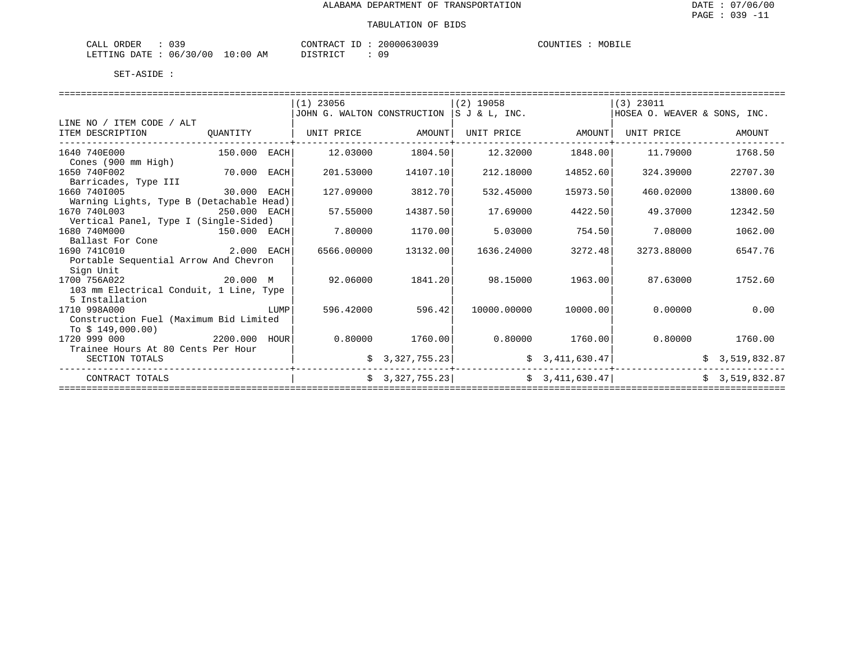| ORDER<br>CALL             | 039 |            | CONTRACT ID: | 20000630039 | COUNTIES | MOBILE |
|---------------------------|-----|------------|--------------|-------------|----------|--------|
| LETTING DATE : 06/30/00 1 |     | $10:00$ AM | DISTRICT     | 09          |          |        |

|                                          |              |      | $(1)$ 23056                 |                | $(2)$ 19058           |                | $(3)$ 23011                  |                |  |  |  |
|------------------------------------------|--------------|------|-----------------------------|----------------|-----------------------|----------------|------------------------------|----------------|--|--|--|
|                                          |              |      | JOHN G. WALTON CONSTRUCTION |                | $ S \cup \& L$ , INC. |                | HOSEA O. WEAVER & SONS, INC. |                |  |  |  |
| LINE NO / ITEM CODE / ALT                |              |      |                             |                |                       |                |                              |                |  |  |  |
| ITEM DESCRIPTION                         | OUANTITY     |      | UNIT PRICE                  | AMOUNT         | UNIT PRICE            | AMOUNT         | UNIT PRICE                   | AMOUNT         |  |  |  |
| 1640 740E000                             | 150.000 EACH |      | 12.03000                    | 1804.50        | 12.32000              | 1848.00        | 11.79000                     | 1768.50        |  |  |  |
| Cones (900 mm High)                      |              |      |                             |                |                       |                |                              |                |  |  |  |
| 1650 740F002                             | 70.000       | EACH | 201.53000                   | 14107.10       | 212.18000             | 14852.60       | 324.39000                    | 22707.30       |  |  |  |
| Barricades, Type III                     |              |      |                             |                |                       |                |                              |                |  |  |  |
| 1660 7401005                             | 30.000 EACH  |      | 127.09000                   | 3812.70        | 532.45000             | 15973.50       | 460.02000                    | 13800.60       |  |  |  |
| Warning Lights, Type B (Detachable Head) |              |      |                             |                |                       |                |                              |                |  |  |  |
| 1670 740L003<br>250.000 EACH             |              |      | 57.55000                    | 14387.50       | 17.69000              | 4422.50        | 49.37000                     | 12342.50       |  |  |  |
| Vertical Panel, Type I (Single-Sided)    |              |      |                             |                |                       |                |                              |                |  |  |  |
| 1680 740M000                             | 150.000 EACH |      | 7.80000                     | 1170.00        | 5.03000               | 754.50         | 7.08000                      | 1062.00        |  |  |  |
| Ballast For Cone                         |              |      |                             |                |                       |                |                              |                |  |  |  |
| 2.000 EACH<br>1690 741C010               |              |      | 6566.00000                  | 13132.00       | 1636.24000            | 3272.48        | 3273.88000                   | 6547.76        |  |  |  |
| Portable Sequential Arrow And Chevron    |              |      |                             |                |                       |                |                              |                |  |  |  |
| Sign Unit                                |              |      |                             |                |                       |                |                              |                |  |  |  |
| 1700 756A022                             | 20.000 M     |      | 92.06000                    | 1841.20        | 98.15000              | 1963.00        | 87.63000                     | 1752.60        |  |  |  |
| 103 mm Electrical Conduit, 1 Line, Type  |              |      |                             |                |                       |                |                              |                |  |  |  |
| 5 Installation                           |              |      |                             |                |                       |                |                              |                |  |  |  |
| 1710 998A000                             |              | LUMP | 596.42000                   | 596.42         | 10000.00000           | 10000.00       | 0.00000                      | 0.00           |  |  |  |
| Construction Fuel (Maximum Bid Limited   |              |      |                             |                |                       |                |                              |                |  |  |  |
| To $$149,000.00)$                        |              |      |                             |                |                       |                |                              |                |  |  |  |
| 2200.000<br>1720 999 000                 |              | HOUR | 0.80000                     | 1760.00        | 0.80000               | 1760.00        | 0.80000                      | 1760.00        |  |  |  |
| Trainee Hours At 80 Cents Per Hour       |              |      |                             |                |                       |                |                              |                |  |  |  |
| SECTION TOTALS                           |              |      |                             | \$3,327,755.23 |                       | \$3,411,630.47 |                              | \$3,519,832.87 |  |  |  |
| CONTRACT TOTALS                          |              |      |                             | \$3,327,755.23 |                       | \$3,411,630.47 |                              | \$3,519,832.87 |  |  |  |
|                                          |              |      |                             |                |                       |                |                              |                |  |  |  |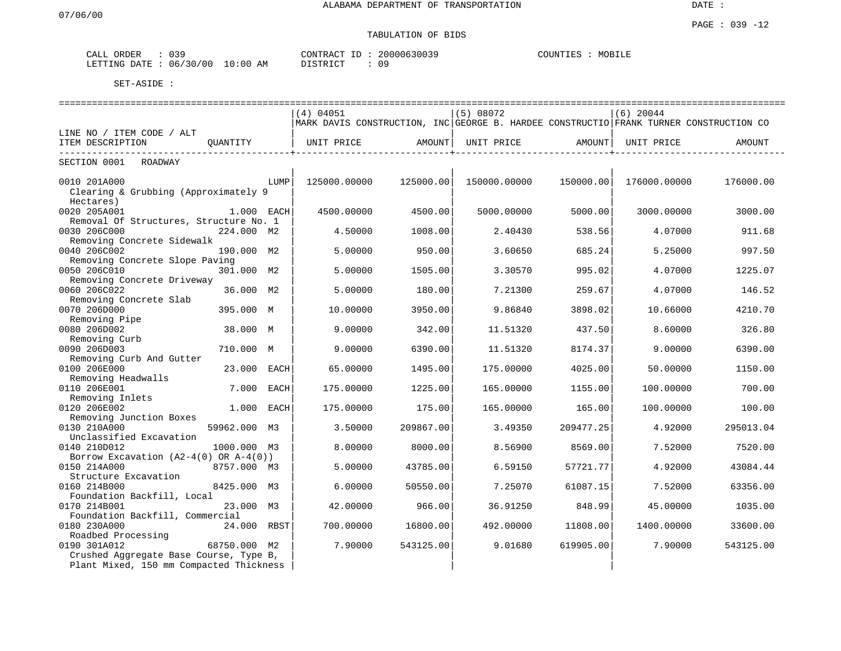# TABULATION OF BIDS

| CALL           | ORDER | 039<br>ـ د ט |               | CONTRACT              | 20000630039 | COUNTIT<br>. TR'A | MOBILL |
|----------------|-------|--------------|---------------|-----------------------|-------------|-------------------|--------|
| <b>LETTING</b> | DATE. | 06/30/00     | LO : 00<br>AM | 57000707<br>S'I'R I ( | 09          |                   |        |

|                                                          |              |             | (4) 04051                                                                              |              | (5) 08072    |                               | $(6)$ 20044  |           |  |
|----------------------------------------------------------|--------------|-------------|----------------------------------------------------------------------------------------|--------------|--------------|-------------------------------|--------------|-----------|--|
|                                                          |              |             | MARK DAVIS CONSTRUCTION, INC GEORGE B. HARDEE CONSTRUCTIO FRANK TURNER CONSTRUCTION CO |              |              |                               |              |           |  |
| LINE NO / ITEM CODE / ALT                                |              |             |                                                                                        |              |              |                               |              |           |  |
| ITEM DESCRIPTION                                         | OUANTITY     |             | UNIT PRICE                                                                             | AMOUNT       | UNIT PRICE   | AMOUNT                        | UNIT PRICE   | AMOUNT    |  |
| . <u>.</u> .<br>-------------<br>SECTION 0001<br>ROADWAY |              |             |                                                                                        | ------------ |              | . _ _ _ _ _ _ _ _ _ _ _ _ _ _ |              |           |  |
| 0010 201A000                                             |              | LUMP        | 125000.00000                                                                           | 125000.00    | 150000.00000 | 150000.00                     | 176000.00000 | 176000.00 |  |
| Clearing & Grubbing (Approximately 9                     |              |             |                                                                                        |              |              |                               |              |           |  |
| Hectares)                                                |              |             |                                                                                        |              |              |                               |              |           |  |
| 0020 205A001                                             | 1.000 EACH   |             | 4500.00000                                                                             | 4500.00      | 5000.00000   | 5000.00                       | 3000.00000   | 3000.00   |  |
| Removal Of Structures, Structure No. 1                   |              |             |                                                                                        |              |              |                               |              |           |  |
| 0030 206C000                                             | 224.000 M2   |             | 4.50000                                                                                | 1008.00      | 2.40430      | 538.56                        | 4.07000      | 911.68    |  |
| Removing Concrete Sidewalk                               |              |             |                                                                                        |              |              |                               |              |           |  |
| 0040 206C002                                             | 190.000 M2   |             | 5.00000                                                                                | 950.00       | 3.60650      | 685.24                        | 5.25000      | 997.50    |  |
| Removing Concrete Slope Paving                           |              |             |                                                                                        |              |              |                               |              |           |  |
| 0050 206C010                                             | 301.000 M2   |             | 5.00000                                                                                | 1505.00      | 3.30570      | 995.02                        | 4.07000      | 1225.07   |  |
| Removing Concrete Driveway                               |              |             |                                                                                        |              |              |                               |              |           |  |
| 0060 206C022                                             | 36.000 M2    |             | 5.00000                                                                                | 180.00       | 7.21300      | 259.67                        | 4.07000      | 146.52    |  |
| Removing Concrete Slab                                   |              |             |                                                                                        |              |              |                               |              |           |  |
| 0070 206D000                                             | 395.000 M    |             | 10.00000                                                                               | 3950.00      | 9.86840      | 3898.02                       | 10.66000     | 4210.70   |  |
| Removing Pipe                                            |              |             |                                                                                        |              |              |                               |              |           |  |
| 0080 206D002                                             | 38.000 M     |             | 9.00000                                                                                | 342.00       | 11.51320     | 437.50                        | 8.60000      | 326.80    |  |
| Removing Curb                                            |              |             |                                                                                        |              |              |                               |              |           |  |
| 0090 206D003                                             | 710.000 M    |             | 9.00000                                                                                | 6390.00      | 11.51320     | 8174.37                       | 9.00000      | 6390.00   |  |
| Removing Curb And Gutter                                 |              |             |                                                                                        |              |              |                               |              |           |  |
| 0100 206E000                                             | 23.000       | EACH        | 65.00000                                                                               | 1495.00      | 175.00000    | 4025.00                       | 50.00000     | 1150.00   |  |
| Removing Headwalls                                       |              |             |                                                                                        |              |              |                               |              |           |  |
| 0110 206E001                                             | 7.000        | <b>EACH</b> | 175.00000                                                                              | 1225.00      | 165.00000    | 1155.00                       | 100.00000    | 700.00    |  |
| Removing Inlets                                          |              |             |                                                                                        |              |              |                               |              |           |  |
| 0120 206E002                                             | 1.000        | EACH        | 175.00000                                                                              | 175.00       | 165.00000    | 165.00                        | 100.00000    | 100.00    |  |
|                                                          |              |             |                                                                                        |              |              |                               |              |           |  |
| Removing Junction Boxes<br>0130 210A000                  |              |             |                                                                                        |              |              |                               |              |           |  |
| Unclassified Excavation                                  | 59962.000    | м3          | 3.50000                                                                                | 209867.00    | 3.49350      | 209477.25                     | 4.92000      | 295013.04 |  |
|                                                          |              |             |                                                                                        |              |              |                               |              |           |  |
| 0140 210D012                                             | 1000.000 M3  |             | 8.00000                                                                                | 8000.00      | 8.56900      | 8569.00                       | 7.52000      | 7520.00   |  |
| Borrow Excavation $(A2-4(0)$ OR A-4(0))                  |              |             |                                                                                        |              |              |                               |              |           |  |
| 0150 214A000                                             | 8757.000 M3  |             | 5.00000                                                                                | 43785.00     | 6.59150      | 57721.77                      | 4.92000      | 43084.44  |  |
| Structure Excavation                                     |              |             |                                                                                        |              |              |                               |              |           |  |
| 0160 214B000                                             | 8425.000 M3  |             | 6.00000                                                                                | 50550.00     | 7.25070      | 61087.15                      | 7.52000      | 63356.00  |  |
| Foundation Backfill, Local                               |              |             |                                                                                        |              |              |                               |              |           |  |
| 0170 214B001                                             | 23.000 M3    |             | 42.00000                                                                               | 966.00       | 36.91250     | 848.99                        | 45.00000     | 1035.00   |  |
| Foundation Backfill, Commercial                          |              |             |                                                                                        |              |              |                               |              |           |  |
| 0180 230A000                                             | 24.000 RBST  |             | 700.00000                                                                              | 16800.00     | 492.00000    | 11808.00                      | 1400.00000   | 33600.00  |  |
| Roadbed Processing                                       |              |             |                                                                                        |              |              |                               |              |           |  |
| 0190 301A012                                             | 68750.000 M2 |             | 7.90000                                                                                | 543125.00    | 9.01680      | 619905.00                     | 7.90000      | 543125.00 |  |
| Crushed Aggregate Base Course, Type B,                   |              |             |                                                                                        |              |              |                               |              |           |  |
| Plant Mixed, 150 mm Compacted Thickness                  |              |             |                                                                                        |              |              |                               |              |           |  |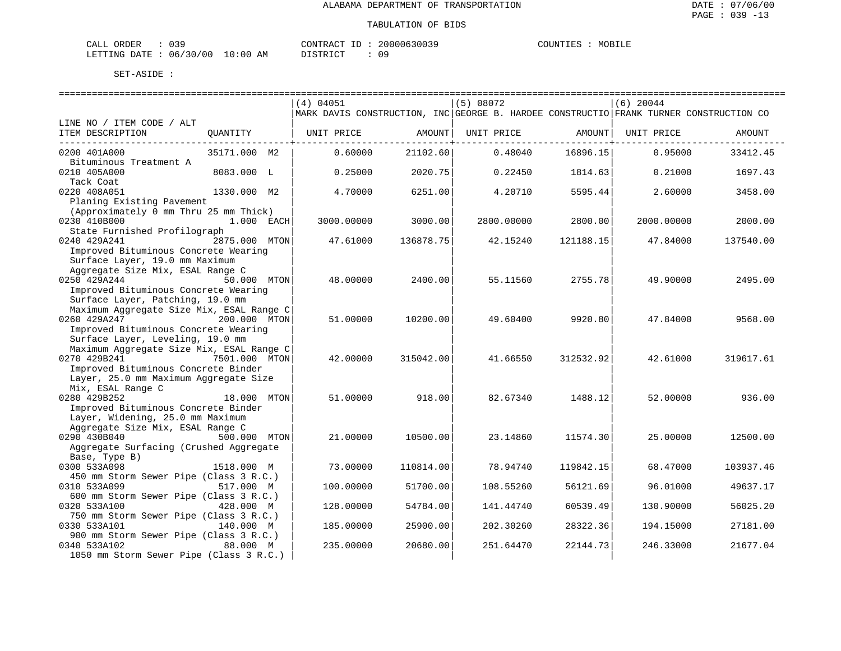| ORDER<br>CALL          | ົ່ |             | CONTRACT<br>TD. | 20000630039 | COUNTIES | MOBILE |
|------------------------|----|-------------|-----------------|-------------|----------|--------|
| LETTING DATE: 06/30/00 |    | 10:00<br>ΆM | חים דמים דת     |             |          |        |

|                                                        |               | (4) 04051  |           | (5) 08072                                                                              |            | $(6)$ 20044 |           |
|--------------------------------------------------------|---------------|------------|-----------|----------------------------------------------------------------------------------------|------------|-------------|-----------|
|                                                        |               |            |           | MARK DAVIS CONSTRUCTION, INC GEORGE B. HARDEE CONSTRUCTIO FRANK TURNER CONSTRUCTION CO |            |             |           |
| LINE NO / ITEM CODE / ALT                              |               |            |           |                                                                                        |            |             |           |
| ITEM DESCRIPTION                                       | QUANTITY      | UNIT PRICE | AMOUNT    | UNIT PRICE                                                                             | AMOUNT     | UNIT PRICE  | AMOUNT    |
|                                                        |               |            |           |                                                                                        | --------+- |             |           |
| 0200 401A000                                           | 35171.000 M2  | 0.60000    | 21102.60  | 0.48040                                                                                | 16896.15   | 0.95000     | 33412.45  |
| Bituminous Treatment A                                 |               |            |           |                                                                                        |            |             |           |
| 0210 405A000                                           | 8083.000 L    | 0.25000    | 2020.75   | 0.22450                                                                                | 1814.63    | 0.21000     | 1697.43   |
| Tack Coat                                              |               |            |           |                                                                                        |            |             |           |
| 0220 408A051                                           | 1330.000 M2   | 4.70000    | 6251.00   | 4.20710                                                                                | 5595.44    | 2.60000     | 3458.00   |
| Planing Existing Pavement                              |               |            |           |                                                                                        |            |             |           |
| (Approximately 0 mm Thru 25 mm Thick)                  |               |            |           |                                                                                        |            |             |           |
| 0230 410B000                                           | 1.000 EACH    | 3000.00000 | 3000.00   | 2800.00000                                                                             | 2800.00    | 2000.00000  | 2000.00   |
| State Furnished Profilograph                           |               |            |           |                                                                                        |            |             |           |
| 0240 429A241                                           | 2875.000 MTON | 47.61000   | 136878.75 | 42.15240                                                                               | 121188.15  | 47.84000    | 137540.00 |
| Improved Bituminous Concrete Wearing                   |               |            |           |                                                                                        |            |             |           |
| Surface Layer, 19.0 mm Maximum                         |               |            |           |                                                                                        |            |             |           |
| Aggregate Size Mix, ESAL Range C                       |               |            |           |                                                                                        |            |             |           |
| 0250 429A244                                           | 50.000 MTON   | 48.00000   | 2400.00   | 55.11560                                                                               | 2755.78    | 49.90000    | 2495.00   |
| Improved Bituminous Concrete Wearing                   |               |            |           |                                                                                        |            |             |           |
| Surface Layer, Patching, 19.0 mm                       |               |            |           |                                                                                        |            |             |           |
| Maximum Aggregate Size Mix, ESAL Range C               |               |            |           |                                                                                        |            |             |           |
| 0260 429A247                                           | 200.000 MTON  | 51,00000   | 10200.00  | 49.60400                                                                               | 9920.80    | 47.84000    | 9568.00   |
| Improved Bituminous Concrete Wearing                   |               |            |           |                                                                                        |            |             |           |
| Surface Layer, Leveling, 19.0 mm                       |               |            |           |                                                                                        |            |             |           |
| Maximum Aggregate Size Mix, ESAL Range C               |               |            |           |                                                                                        |            |             |           |
| 0270 429B241                                           | 7501.000 MTON | 42.00000   | 315042.00 | 41.66550                                                                               | 312532.92  | 42.61000    | 319617.61 |
| Improved Bituminous Concrete Binder                    |               |            |           |                                                                                        |            |             |           |
| Layer, 25.0 mm Maximum Aggregate Size                  |               |            |           |                                                                                        |            |             |           |
| Mix, ESAL Range C                                      |               |            |           |                                                                                        |            |             |           |
| 0280 429B252                                           | 18.000 MTON   | 51.00000   | 918.00    | 82.67340                                                                               | 1488.12    | 52.00000    | 936.00    |
| Improved Bituminous Concrete Binder                    |               |            |           |                                                                                        |            |             |           |
| Layer, Widening, 25.0 mm Maximum                       |               |            |           |                                                                                        |            |             |           |
| Aggregate Size Mix, ESAL Range C                       |               |            |           |                                                                                        |            |             |           |
| 0290 430B040                                           | 500.000 MTON  | 21.00000   | 10500.00  | 23.14860                                                                               | 11574.30   | 25.00000    | 12500.00  |
| Aggregate Surfacing (Crushed Aggregate                 |               |            |           |                                                                                        |            |             |           |
| Base, Type B)                                          |               |            |           |                                                                                        |            |             |           |
| 0300 533A098                                           | 1518.000 M    | 73.00000   | 110814.00 | 78.94740                                                                               | 119842.15  | 68.47000    | 103937.46 |
| 450 mm Storm Sewer Pipe (Class 3 R.C.)                 |               |            |           |                                                                                        |            |             |           |
| 0310 533A099                                           | 517.000 M     | 100.00000  | 51700.00  | 108.55260                                                                              | 56121.69   | 96.01000    | 49637.17  |
|                                                        |               |            |           |                                                                                        |            |             |           |
| 600 mm Storm Sewer Pipe (Class 3 R.C.)                 |               |            |           |                                                                                        |            |             |           |
| 0320 533A100<br>750 mm Storm Sewer Pipe (Class 3 R.C.) | 428.000 M     | 128.00000  | 54784.00  | 141.44740                                                                              | 60539.49   | 130.90000   | 56025.20  |
|                                                        |               |            |           |                                                                                        |            |             |           |
| 0330 533A101                                           | 140.000 M     | 185.00000  | 25900.00  | 202.30260                                                                              | 28322.36   | 194.15000   | 27181.00  |
| 900 mm Storm Sewer Pipe (Class 3 R.C.)                 |               |            |           |                                                                                        |            |             | 21677.04  |
| 0340 533A102                                           | 88.000 M      | 235.00000  | 20680.00  | 251.64470                                                                              | 22144.73   | 246.33000   |           |
| 1050 mm Storm Sewer Pipe (Class 3 R.C.)                |               |            |           |                                                                                        |            |             |           |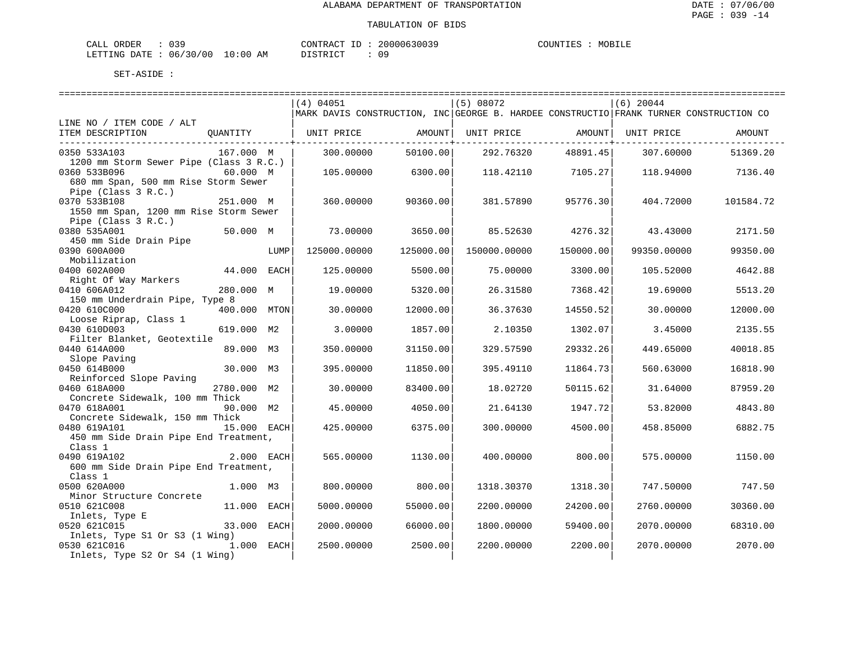| CALL<br>ORDER | n n n<br>ັບພະ |             | CONTRACT<br>$\Box$                        | 20000630039 | COUNTIES | MOBILF |
|---------------|---------------|-------------|-------------------------------------------|-------------|----------|--------|
| LETTING DATE  | 06/30/00      | 10:00<br>AΜ | TAT<br>$\sim$ $\sim$ $\sim$ $\sim$ $\sim$ |             |          |        |

|                                         |              | (4) 04051 |                                                                                        | (5) 08072 |              | $(6)$ 20044               |             |           |
|-----------------------------------------|--------------|-----------|----------------------------------------------------------------------------------------|-----------|--------------|---------------------------|-------------|-----------|
|                                         |              |           | MARK DAVIS CONSTRUCTION, INC GEORGE B. HARDEE CONSTRUCTIO FRANK TURNER CONSTRUCTION CO |           |              |                           |             |           |
| LINE NO / ITEM CODE / ALT               |              |           |                                                                                        |           |              |                           |             |           |
| ITEM DESCRIPTION                        |              |           | QUANTITY   UNIT PRICE       AMOUNT  UNIT PRICE       AMOUNT  UNIT PRICE                |           |              |                           |             | AMOUNT    |
| _____________________________________   |              |           |                                                                                        |           |              | ----------------+-------- |             |           |
| 0350 533A103                            | 167.000 M    |           | 300.00000                                                                              | 50100.00  | 292.76320    | 48891.45                  | 307.60000   | 51369.20  |
| 1200 mm Storm Sewer Pipe (Class 3 R.C.) |              |           |                                                                                        |           |              |                           |             |           |
| 0360 533B096                            | 60.000 M     |           | 105,00000                                                                              | 6300.00   | 118.42110    | 7105.27                   | 118.94000   | 7136.40   |
| 680 mm Span, 500 mm Rise Storm Sewer    |              |           |                                                                                        |           |              |                           |             |           |
| Pipe (Class 3 R.C.)                     |              |           |                                                                                        |           |              |                           |             |           |
| 0370 533B108                            | 251.000 M    |           | 360,00000                                                                              | 90360.00  | 381.57890    | 95776.30                  | 404.72000   | 101584.72 |
| 1550 mm Span, 1200 mm Rise Storm Sewer  |              |           |                                                                                        |           |              |                           |             |           |
| Pipe (Class 3 R.C.)                     |              |           |                                                                                        |           |              |                           |             |           |
| 0380 535A001                            | 50.000 M     |           | 73.00000                                                                               | 3650.00   | 85.52630     | 4276.32                   | 43.43000    | 2171.50   |
| 450 mm Side Drain Pipe                  |              |           |                                                                                        |           |              |                           |             |           |
| 0390 600A000                            |              | LUMP      | 125000.00000                                                                           | 125000.00 | 150000.00000 | 150000.00                 | 99350.00000 | 99350.00  |
| Mobilization                            |              |           |                                                                                        |           |              |                           |             |           |
| 0400 602A000                            | 44.000 EACH  |           | 125.00000                                                                              | 5500.00   | 75.00000     | 3300.00                   | 105.52000   | 4642.88   |
| Right Of Way Markers                    |              |           |                                                                                        |           |              |                           |             |           |
| 0410 606A012                            | 280.000 M    |           | 19.00000                                                                               | 5320.00   | 26.31580     | 7368.42                   | 19.69000    | 5513.20   |
| 150 mm Underdrain Pipe, Type 8          |              |           |                                                                                        |           |              |                           |             |           |
| 0420 610C000                            | 400.000 MTON |           | 30.00000                                                                               | 12000.00  | 36.37630     | 14550.52                  | 30.00000    | 12000.00  |
| Loose Riprap, Class 1                   |              |           |                                                                                        |           |              |                           |             |           |
| 0430 610D003                            | 619.000 M2   |           | 3.00000                                                                                | 1857.00   | 2.10350      | 1302.07                   | 3.45000     | 2135.55   |
| Filter Blanket, Geotextile              |              |           |                                                                                        |           |              |                           |             |           |
| 0440 614A000                            | 89.000 M3    |           | 350.00000                                                                              | 31150.00  | 329.57590    | 29332.26                  | 449.65000   | 40018.85  |
| Slope Paving                            |              |           |                                                                                        |           |              |                           |             |           |
| 0450 614B000                            | 30.000 M3    |           | 395.00000                                                                              | 11850.00  | 395.49110    | 11864.73                  | 560.63000   | 16818.90  |
| Reinforced Slope Paving                 |              |           |                                                                                        |           |              |                           |             |           |
| 0460 618A000                            | 2780.000 M2  |           | 30.00000                                                                               | 83400.00  | 18.02720     | 50115.62                  | 31.64000    | 87959.20  |
| Concrete Sidewalk, 100 mm Thick         |              |           |                                                                                        |           |              |                           |             |           |
| 0470 618A001                            | 90.000 M2    |           | 45.00000                                                                               | 4050.00   | 21.64130     | 1947.72                   | 53.82000    | 4843.80   |
| Concrete Sidewalk, 150 mm Thick         |              |           |                                                                                        |           |              |                           |             |           |
| 0480 619A101<br>15.000 EACH             |              |           | 425.00000                                                                              | 6375.00   | 300.00000    | 4500.00                   | 458.85000   | 6882.75   |
| 450 mm Side Drain Pipe End Treatment,   |              |           |                                                                                        |           |              |                           |             |           |
| Class 1                                 |              |           |                                                                                        |           |              |                           |             |           |
| 2.000 EACH<br>0490 619A102              |              |           | 565.00000                                                                              | 1130.00   | 400.00000    | 800.00                    | 575.00000   | 1150.00   |
| 600 mm Side Drain Pipe End Treatment,   |              |           |                                                                                        |           |              |                           |             |           |
| Class 1                                 |              |           |                                                                                        |           |              |                           |             |           |
| 0500 620A000                            | 1.000 M3     |           | 800.00000                                                                              | 800.00    | 1318.30370   | 1318.30                   | 747.50000   | 747.50    |
| Minor Structure Concrete                |              |           |                                                                                        |           |              |                           |             |           |
| 0510 621C008                            | 11.000 EACH  |           | 5000.00000                                                                             | 55000.00  | 2200.00000   | 24200.00                  | 2760.00000  | 30360.00  |
| Inlets, Type E                          |              |           |                                                                                        |           |              |                           |             |           |
| 0520 621C015                            | 33.000 EACH  |           | 2000.00000                                                                             | 66000.00  | 1800.00000   | 59400.00                  | 2070.00000  | 68310.00  |
| Inlets, Type S1 Or S3 (1 Wing)          |              |           |                                                                                        |           |              |                           |             |           |
| 0530 621C016                            | 1.000 EACH   |           | 2500.00000                                                                             | 2500.00   | 2200.00000   | 2200.00                   | 2070.00000  | 2070.00   |
| Inlets, Type S2 Or S4 (1 Wing)          |              |           |                                                                                        |           |              |                           |             |           |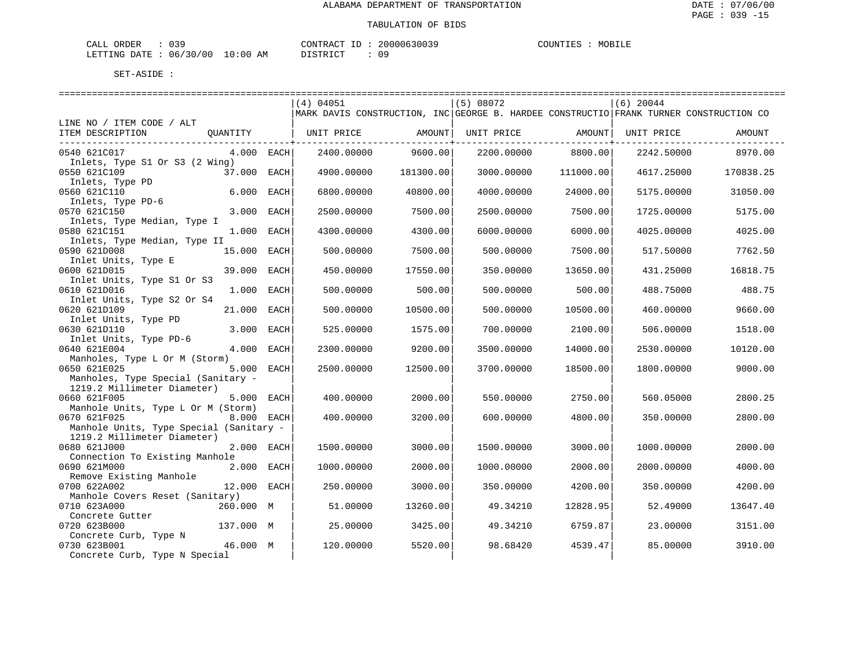| ORDER<br>CALL | n n n<br>و د ن |             | TD.<br>CONTRACT | 20000630039 | COUNTIES | MOBILE |
|---------------|----------------|-------------|-----------------|-------------|----------|--------|
| LETTING DATE  | 06/30/00       | 10:00<br>AΜ | חים דמים דת     |             |          |        |

|                                            |              | (4) 04051  |           | (5) 08072                                                                              |           | $(6)$ 20044 |           |
|--------------------------------------------|--------------|------------|-----------|----------------------------------------------------------------------------------------|-----------|-------------|-----------|
|                                            |              |            |           | MARK DAVIS CONSTRUCTION, INC GEORGE B. HARDEE CONSTRUCTIO FRANK TURNER CONSTRUCTION CO |           |             |           |
| LINE NO / ITEM CODE / ALT                  |              |            |           |                                                                                        |           |             |           |
| ITEM DESCRIPTION                           |              |            |           | UNIT PRICE AMOUNT                                                                      |           | UNIT PRICE  | AMOUNT    |
|                                            |              |            |           |                                                                                        |           |             |           |
| 0540 621C017                               | $4.000$ EACH | 2400.00000 | 9600.00   | 2200.00000 8800.00                                                                     |           | 2242.50000  | 8970.00   |
| Inlets, Type S1 Or S3 (2 Wing)             |              |            |           |                                                                                        |           |             |           |
| 0550 621C109<br>37.000 EACH                |              | 4900.00000 | 181300.00 | 3000.00000                                                                             | 111000.00 | 4617.25000  | 170838.25 |
| Inlets, Type PD                            |              |            |           |                                                                                        |           |             |           |
| 0560 621C110                               | 6.000 EACH   | 6800.00000 | 40800.00  | 4000.00000                                                                             | 24000.00  | 5175.00000  | 31050.00  |
| Inlets, Type PD-6                          |              |            |           |                                                                                        |           |             |           |
| 0570 621C150                               | 3.000 EACH   | 2500.00000 | 7500.00   | 2500.00000                                                                             | 7500.00   | 1725.00000  | 5175.00   |
| Inlets, Type Median, Type I                |              |            |           |                                                                                        |           |             |           |
| 0580 621C151                               | 1.000 EACH   | 4300.00000 | 4300.00   | 6000.00000                                                                             | 6000.00   | 4025.00000  | 4025.00   |
| Inlets, Type Median, Type II               |              |            |           |                                                                                        |           |             |           |
| 0590 621D008                               | 15.000 EACH  | 500.00000  | 7500.00   | 500.00000                                                                              | 7500.00   | 517.50000   | 7762.50   |
| Inlet Units, Type E                        |              |            |           |                                                                                        |           |             |           |
| 0600 621D015                               | 39.000 EACH  | 450.00000  | 17550.00  | 350.00000                                                                              | 13650.00  | 431.25000   | 16818.75  |
| Inlet Units, Type S1 Or S3<br>0610 621D016 | 1.000 EACH   | 500.00000  | 500.00    | 500.00000                                                                              | 500.00    | 488.75000   | 488.75    |
| Inlet Units, Type S2 Or S4                 |              |            |           |                                                                                        |           |             |           |
| 0620 621D109                               | 21.000 EACH  | 500.00000  | 10500.00  | 500.00000                                                                              | 10500.00  | 460.00000   | 9660.00   |
| Inlet Units, Type PD                       |              |            |           |                                                                                        |           |             |           |
| 0630 621D110                               | 3.000 EACH   | 525.00000  | 1575.00   | 700.00000                                                                              | 2100.00   | 506.00000   | 1518.00   |
| Inlet Units, Type PD-6                     |              |            |           |                                                                                        |           |             |           |
| 0640 621E004                               | 4.000 EACH   | 2300.00000 | 9200.00   | 3500.00000                                                                             | 14000.00  | 2530.00000  | 10120.00  |
| Manholes, Type L Or M (Storm)              |              |            |           |                                                                                        |           |             |           |
| 0650 621E025                               | 5.000 EACH   | 2500.00000 | 12500.00  | 3700.00000                                                                             | 18500.00  | 1800.00000  | 9000.00   |
| Manholes, Type Special (Sanitary -         |              |            |           |                                                                                        |           |             |           |
| 1219.2 Millimeter Diameter)                |              |            |           |                                                                                        |           |             |           |
| 0660 621F005                               | 5.000 EACH   | 400.00000  | 2000.00   | 550.00000                                                                              | 2750.00   | 560.05000   | 2800.25   |
| Manhole Units, Type L Or M (Storm)         |              |            |           |                                                                                        |           |             |           |
| 0670 621F025                               | 8.000 EACH   | 400.00000  | 3200.00   | 600.00000                                                                              | 4800.00   | 350.00000   | 2800.00   |
| Manhole Units, Type Special (Sanitary -    |              |            |           |                                                                                        |           |             |           |
| 1219.2 Millimeter Diameter)                |              |            |           |                                                                                        |           |             |           |
| 0680 621J000                               | 2.000 EACH   | 1500.00000 | 3000.00   | 1500.00000                                                                             | 3000.00   | 1000.00000  | 2000.00   |
| Connection To Existing Manhole             |              |            |           |                                                                                        |           |             |           |
| 0690 621M000                               | 2.000 EACH   | 1000.00000 | 2000.00   | 1000.00000                                                                             | 2000.00   | 2000.00000  | 4000.00   |
| Remove Existing Manhole                    |              |            |           |                                                                                        |           |             |           |
| 0700 622A002                               | 12.000 EACH  | 250.00000  | 3000.00   | 350.00000                                                                              | 4200.00   | 350.00000   | 4200.00   |
| Manhole Covers Reset (Sanitary)            |              |            |           |                                                                                        |           |             |           |
| 0710 623A000                               | 260.000 M    | 51.00000   | 13260.00  | 49.34210                                                                               | 12828.95  | 52.49000    | 13647.40  |
| Concrete Gutter                            |              |            |           |                                                                                        |           |             |           |
| 0720 623B000                               | 137.000 M    | 25.00000   | 3425.00   | 49.34210                                                                               | 6759.87   | 23.00000    | 3151.00   |
| Concrete Curb, Type N                      |              |            |           |                                                                                        |           |             |           |
| 0730 623B001                               | 46.000 M     | 120.00000  | 5520.00   | 98.68420                                                                               | 4539.47   | 85.00000    | 3910.00   |
| Concrete Curb, Type N Special              |              |            |           |                                                                                        |           |             |           |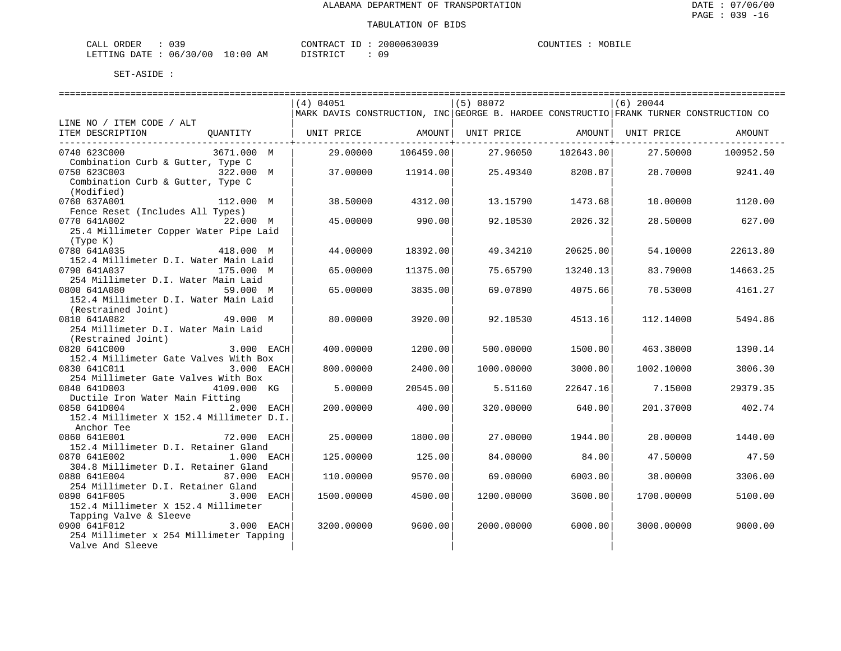| CALL<br>ORDER | n n n<br>ັບພະ |             | CONTRACT<br>$\Box$                        | 20000630039 | COUNTIES | MOBILF |
|---------------|---------------|-------------|-------------------------------------------|-------------|----------|--------|
| LETTING DATE  | 06/30/00      | 10:00<br>AΜ | TAT<br>$\sim$ $\sim$ $\sim$ $\sim$ $\sim$ |             |          |        |

|                                                               | $(4)$ 04051                                                                            |           | (5) 08072         |           | $(6)$ 20044 |           |
|---------------------------------------------------------------|----------------------------------------------------------------------------------------|-----------|-------------------|-----------|-------------|-----------|
|                                                               | MARK DAVIS CONSTRUCTION, INC GEORGE B. HARDEE CONSTRUCTIO FRANK TURNER CONSTRUCTION CO |           |                   |           |             |           |
| LINE NO / ITEM CODE / ALT<br>ITEM DESCRIPTION<br>QUANTITY     | UNIT PRICE                                                                             | AMOUNT    | UNIT PRICE AMOUNT |           | UNIT PRICE  | AMOUNT    |
|                                                               |                                                                                        |           |                   |           |             |           |
| 3671.000 M<br>0740 623C000                                    | 29,00000                                                                               | 106459.00 | 27.96050          | 102643.00 | 27.50000    | 100952.50 |
| Combination Curb & Gutter, Type C                             |                                                                                        |           |                   |           |             |           |
| 0750 623C003<br>322.000 M                                     | 37.00000                                                                               | 11914.00  | 25.49340          | 8208.87   | 28.70000    | 9241.40   |
| Combination Curb & Gutter, Type C                             |                                                                                        |           |                   |           |             |           |
| (Modified)                                                    |                                                                                        |           |                   |           |             |           |
| 0760 637A001<br>112.000 M                                     | 38.50000                                                                               | 4312.00   | 13.15790          | 1473.68   | 10.00000    | 1120.00   |
| Fence Reset (Includes All Types)                              |                                                                                        |           |                   |           |             |           |
| 0770 641A002<br>22.000 M                                      | 45.00000                                                                               | 990.00    | 92.10530          | 2026.32   | 28.50000    | 627.00    |
| 25.4 Millimeter Copper Water Pipe Laid                        |                                                                                        |           |                   |           |             |           |
| (Type K)                                                      |                                                                                        |           |                   |           |             |           |
| 0780 641A035<br>418.000 M                                     | 44.00000                                                                               | 18392.00  | 49.34210          | 20625.00  | 54.10000    | 22613.80  |
| 152.4 Millimeter D.I. Water Main Laid                         |                                                                                        |           |                   |           |             |           |
| 175.000 M<br>0790 641A037                                     | 65.00000                                                                               | 11375.00  | 75.65790          | 13240.13  | 83.79000    | 14663.25  |
| 254 Millimeter D.I. Water Main Laid                           |                                                                                        |           |                   |           |             |           |
| 0800 641A080<br>59.000 M                                      | 65.00000                                                                               | 3835.00   | 69.07890          | 4075.66   | 70.53000    | 4161.27   |
| 152.4 Millimeter D.I. Water Main Laid                         |                                                                                        |           |                   |           |             |           |
| (Restrained Joint)<br>0810 641A082<br>49.000 M                | 80,00000                                                                               | 3920.00   | 92.10530          | 4513.16   | 112,14000   | 5494.86   |
| 254 Millimeter D.I. Water Main Laid                           |                                                                                        |           |                   |           |             |           |
| (Restrained Joint)                                            |                                                                                        |           |                   |           |             |           |
| 3.000 EACH<br>0820 641C000                                    | 400.00000                                                                              | 1200.00   | 500.00000         | 1500.00   | 463.38000   | 1390.14   |
| 152.4 Millimeter Gate Valves With Box                         |                                                                                        |           |                   |           |             |           |
| 0830 641C011<br>3.000 EACH                                    | 800,00000                                                                              | 2400.00   | 1000.00000        | 3000.00   | 1002.10000  | 3006.30   |
| 254 Millimeter Gate Valves With Box                           |                                                                                        |           |                   |           |             |           |
| 0840 641D003<br>4109.000 KG                                   | 5.00000                                                                                | 20545.00  | 5.51160           | 22647.16  | 7.15000     | 29379.35  |
| Ductile Iron Water Main Fitting                               |                                                                                        |           |                   |           |             |           |
| 0850 641D004<br>2.000 EACH                                    | 200,00000                                                                              | 400.00    | 320.00000         | 640.00    | 201.37000   | 402.74    |
| 152.4 Millimeter X 152.4 Millimeter D.I.                      |                                                                                        |           |                   |           |             |           |
| Anchor Tee                                                    |                                                                                        |           |                   |           |             |           |
| 0860 641E001<br>72.000 EACH                                   | 25.00000                                                                               | 1800.00   | 27.00000          | 1944.00   | 20,00000    | 1440.00   |
| 152.4 Millimeter D.I. Retainer Gland                          |                                                                                        |           |                   |           |             |           |
| 0870 641E002<br>1.000 EACH                                    | 125.00000                                                                              | 125.00    | 84.00000          | 84.00     | 47.50000    | 47.50     |
| 304.8 Millimeter D.I. Retainer Gland                          |                                                                                        |           |                   |           |             |           |
| 0880 641E004<br>87.000<br>EACH                                | 110.00000                                                                              | 9570.00   | 69,00000          | 6003.00   | 38.00000    | 3306.00   |
| 254 Millimeter D.I. Retainer Gland                            |                                                                                        |           |                   |           |             |           |
| 0890 641F005<br>3.000<br>EACH                                 | 1500.00000                                                                             | 4500.00   | 1200.00000        | 3600.00   | 1700.00000  | 5100.00   |
| 152.4 Millimeter X 152.4 Millimeter<br>Tapping Valve & Sleeve |                                                                                        |           |                   |           |             |           |
| 0900 641F012<br>3.000 EACH                                    | 3200.00000                                                                             | 9600.00   | 2000.00000        | 6000.00   | 3000.00000  | 9000.00   |
| 254 Millimeter x 254 Millimeter Tapping                       |                                                                                        |           |                   |           |             |           |
| Valve And Sleeve                                              |                                                                                        |           |                   |           |             |           |
|                                                               |                                                                                        |           |                   |           |             |           |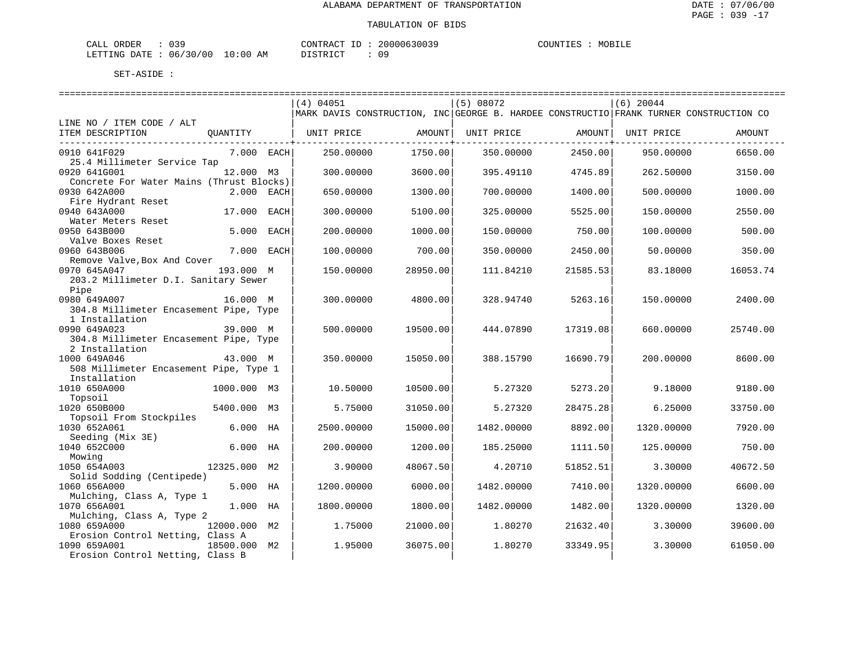| CALL | ORDER |                               |    | CONTRACT ID: | 20000630039 |  | COUNTIES | MOBILE |
|------|-------|-------------------------------|----|--------------|-------------|--|----------|--------|
|      |       | LETTING DATE : 06/30/00 10:00 | AΜ | DISTRICT     |             |  |          |        |

|                                          |              |      | (4) 04051                                                                              |          | (5) 08072  |          | $(6)$ 20044 |          |
|------------------------------------------|--------------|------|----------------------------------------------------------------------------------------|----------|------------|----------|-------------|----------|
|                                          |              |      | MARK DAVIS CONSTRUCTION, INC GEORGE B. HARDEE CONSTRUCTIO FRANK TURNER CONSTRUCTION CO |          |            |          |             |          |
| LINE NO / ITEM CODE / ALT                |              |      |                                                                                        |          |            |          |             |          |
| ITEM DESCRIPTION                         | QUANTITY     |      | UNIT PRICE                                                                             | AMOUNT   | UNIT PRICE | AMOUNT   | UNIT PRICE  | AMOUNT   |
|                                          |              |      |                                                                                        |          |            |          |             |          |
| 0910 641F029                             | 7.000 EACH   |      | 250.00000                                                                              | 1750.00  | 350.00000  | 2450.00  | 950.00000   | 6650.00  |
| 25.4 Millimeter Service Tap              |              |      |                                                                                        |          |            |          |             |          |
| 0920 641G001                             | 12.000 M3    |      | 300.00000                                                                              | 3600.00  | 395.49110  | 4745.89  | 262.50000   | 3150.00  |
| Concrete For Water Mains (Thrust Blocks) |              |      |                                                                                        |          |            |          |             |          |
| 0930 642A000                             | 2.000        | EACH | 650.00000                                                                              | 1300.00  | 700.00000  | 1400.00  | 500.00000   | 1000.00  |
| Fire Hydrant Reset                       |              |      |                                                                                        |          |            |          |             |          |
| 0940 643A000                             | 17.000       | EACH | 300.00000                                                                              | 5100.00  | 325.00000  | 5525.00  | 150.00000   | 2550.00  |
| Water Meters Reset                       |              |      |                                                                                        |          |            |          |             |          |
| 0950 643B000                             | 5.000        | EACH | 200,00000                                                                              | 1000.00  | 150.00000  | 750.00   | 100.00000   | 500.00   |
| Valve Boxes Reset                        |              |      |                                                                                        |          |            |          |             |          |
| 0960 643B006                             | 7.000        | EACH | 100.00000                                                                              | 700.00   | 350.00000  | 2450.00  | 50.00000    | 350.00   |
| Remove Valve, Box And Cover              |              |      |                                                                                        |          |            |          |             |          |
| 0970 645A047                             | 193.000 M    |      | 150.00000                                                                              | 28950.00 | 111.84210  | 21585.53 | 83.18000    | 16053.74 |
| 203.2 Millimeter D.I. Sanitary Sewer     |              |      |                                                                                        |          |            |          |             |          |
| Pipe                                     |              |      |                                                                                        |          |            |          |             |          |
| 0980 649A007                             | 16.000 M     |      | 300.00000                                                                              | 4800.00  | 328.94740  | 5263.16  | 150.00000   | 2400.00  |
|                                          |              |      |                                                                                        |          |            |          |             |          |
| 304.8 Millimeter Encasement Pipe, Type   |              |      |                                                                                        |          |            |          |             |          |
| 1 Installation<br>0990 649A023           |              |      |                                                                                        |          |            | 17319.08 |             | 25740.00 |
|                                          | 39.000 M     |      | 500.00000                                                                              | 19500.00 | 444.07890  |          | 660.00000   |          |
| 304.8 Millimeter Encasement Pipe, Type   |              |      |                                                                                        |          |            |          |             |          |
| 2 Installation                           |              |      |                                                                                        |          |            |          |             |          |
| 1000 649A046                             | 43.000 M     |      | 350.00000                                                                              | 15050.00 | 388.15790  | 16690.79 | 200.00000   | 8600.00  |
| 508 Millimeter Encasement Pipe, Type 1   |              |      |                                                                                        |          |            |          |             |          |
| Installation                             |              |      |                                                                                        |          |            |          |             |          |
| 1010 650A000                             | 1000.000 M3  |      | 10.50000                                                                               | 10500.00 | 5.27320    | 5273.20  | 9.18000     | 9180.00  |
| Topsoil                                  |              |      |                                                                                        |          |            |          |             |          |
| 1020 650B000                             | 5400.000     | M3   | 5.75000                                                                                | 31050.00 | 5.27320    | 28475.28 | 6.25000     | 33750.00 |
| Topsoil From Stockpiles                  |              |      |                                                                                        |          |            |          |             |          |
| 1030 652A061                             | 6.000        | НA   | 2500.00000                                                                             | 15000.00 | 1482.00000 | 8892.00  | 1320.00000  | 7920.00  |
| Seeding (Mix 3E)                         |              |      |                                                                                        |          |            |          |             |          |
| 1040 652C000                             | $6.000$ HA   |      | 200.00000                                                                              | 1200.00  | 185.25000  | 1111.50  | 125.00000   | 750.00   |
| Mowing                                   |              |      |                                                                                        |          |            |          |             |          |
| 1050 654A003                             | 12325.000    | М2   | 3.90000                                                                                | 48067.50 | 4.20710    | 51852.51 | 3.30000     | 40672.50 |
| Solid Sodding (Centipede)                |              |      |                                                                                        |          |            |          |             |          |
| 1060 656A000                             | 5.000 HA     |      | 1200.00000                                                                             | 6000.00  | 1482.00000 | 7410.00  | 1320.00000  | 6600.00  |
| Mulching, Class A, Type 1                |              |      |                                                                                        |          |            |          |             |          |
| 1070 656A001                             | 1.000        | HA   | 1800.00000                                                                             | 1800.00  | 1482.00000 | 1482.00  | 1320.00000  | 1320.00  |
| Mulching, Class A, Type 2                |              |      |                                                                                        |          |            |          |             |          |
| 1080 659A000                             | 12000.000 M2 |      | 1.75000                                                                                | 21000.00 | 1.80270    | 21632.40 | 3.30000     | 39600.00 |
| Erosion Control Netting, Class A         |              |      |                                                                                        |          |            |          |             |          |
| 1090 659A001                             | 18500.000 M2 |      | 1.95000                                                                                | 36075.00 | 1.80270    | 33349.95 | 3.30000     | 61050.00 |
| Erosion Control Netting, Class B         |              |      |                                                                                        |          |            |          |             |          |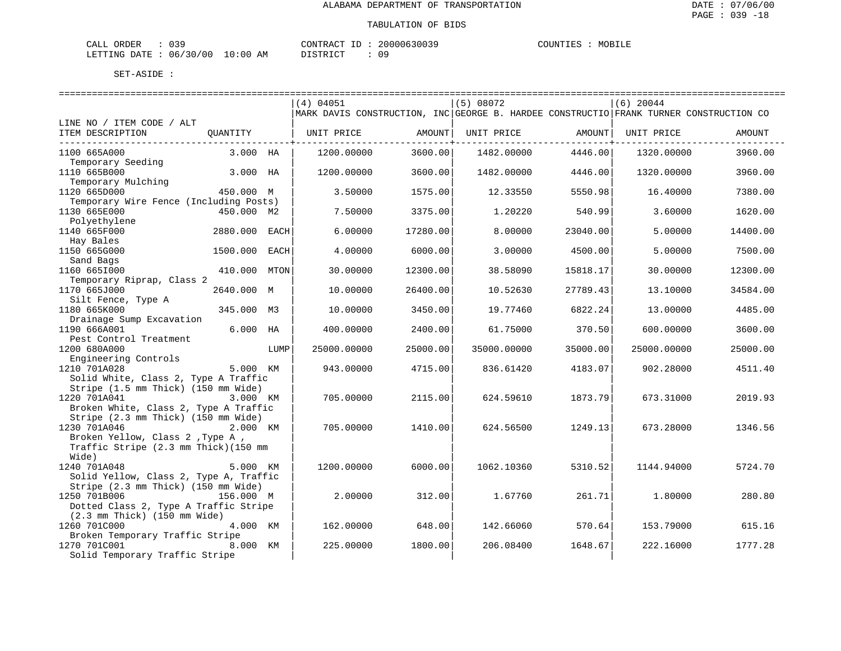| CALL | ORDER |                               |    | CONTRACT ID: | 20000630039 |  | COUNTIES | MOBILE |
|------|-------|-------------------------------|----|--------------|-------------|--|----------|--------|
|      |       | LETTING DATE : 06/30/00 10:00 | AΜ | DISTRICT     |             |  |          |        |

|                                          |              |      | (4) 04051                                                                              |          | (5) 08072   |          | $(6)$ 20044 |          |
|------------------------------------------|--------------|------|----------------------------------------------------------------------------------------|----------|-------------|----------|-------------|----------|
|                                          |              |      | MARK DAVIS CONSTRUCTION, INC GEORGE B. HARDEE CONSTRUCTIO FRANK TURNER CONSTRUCTION CO |          |             |          |             |          |
| LINE NO / ITEM CODE / ALT                |              |      |                                                                                        |          |             |          |             |          |
| ITEM DESCRIPTION                         | QUANTITY     |      | UNIT PRICE                                                                             | AMOUNT   | UNIT PRICE  | AMOUNT   | UNIT PRICE  | AMOUNT   |
|                                          |              |      |                                                                                        |          |             |          |             |          |
| 1100 665A000                             | 3.000 HA     |      | 1200.00000                                                                             | 3600.00  | 1482.00000  | 4446.00  | 1320.00000  | 3960.00  |
| Temporary Seeding                        |              |      |                                                                                        |          |             |          |             |          |
| 1110 665B000                             | 3.000 HA     |      | 1200.00000                                                                             | 3600.00  | 1482.00000  | 4446.00  | 1320.00000  | 3960.00  |
| Temporary Mulching                       |              |      |                                                                                        |          |             |          |             |          |
| 1120 665D000                             | 450.000 M    |      | 3.50000                                                                                | 1575.00  | 12.33550    | 5550.98  | 16.40000    | 7380.00  |
| Temporary Wire Fence (Including Posts)   |              |      |                                                                                        |          |             |          |             |          |
| 1130 665E000                             | 450.000 M2   |      | 7.50000                                                                                | 3375.00  | 1.20220     | 540.99   | 3.60000     | 1620.00  |
| Polyethylene                             |              |      |                                                                                        |          |             |          |             |          |
| 1140 665F000                             | 2880.000     | EACH | 6.00000                                                                                | 17280.00 | 8.00000     | 23040.00 | 5.00000     | 14400.00 |
| Hay Bales                                |              |      |                                                                                        |          |             |          |             |          |
| 1150 665G000                             | 1500.000     | EACH | 4.00000                                                                                | 6000.00  | 3.00000     | 4500.00  | 5.00000     | 7500.00  |
| Sand Bags                                |              |      |                                                                                        |          |             |          |             |          |
| 1160 6651000                             | 410.000 MTON |      | 30.00000                                                                               | 12300.00 | 38.58090    | 15818.17 | 30.00000    | 12300.00 |
| Temporary Riprap, Class 2                |              |      |                                                                                        |          |             |          |             |          |
| 1170 665J000                             | 2640.000 M   |      | 10.00000                                                                               | 26400.00 | 10.52630    | 27789.43 | 13.10000    | 34584.00 |
| Silt Fence, Type A                       |              |      |                                                                                        |          |             |          |             |          |
| 1180 665K000                             | 345.000 M3   |      | 10.00000                                                                               | 3450.00  | 19.77460    | 6822.24  | 13.00000    | 4485.00  |
|                                          |              |      |                                                                                        |          |             |          |             |          |
| Drainage Sump Excavation<br>1190 666A001 | $6.000$ HA   |      | 400.00000                                                                              | 2400.00  | 61.75000    | 370.50   | 600.00000   | 3600.00  |
|                                          |              |      |                                                                                        |          |             |          |             |          |
| Pest Control Treatment                   |              |      |                                                                                        |          |             |          |             |          |
| 1200 680A000                             |              | LUMP | 25000.00000                                                                            | 25000.00 | 35000.00000 | 35000.00 | 25000.00000 | 25000.00 |
| Engineering Controls                     |              |      |                                                                                        |          |             |          |             |          |
| 1210 701A028                             | 5.000 KM     |      | 943.00000                                                                              | 4715.00  | 836.61420   | 4183.07  | 902.28000   | 4511.40  |
| Solid White, Class 2, Type A Traffic     |              |      |                                                                                        |          |             |          |             |          |
| Stripe (1.5 mm Thick) (150 mm Wide)      |              |      |                                                                                        |          |             |          |             |          |
| 1220 701A041                             | 3.000 KM     |      | 705.00000                                                                              | 2115.00  | 624.59610   | 1873.79  | 673.31000   | 2019.93  |
| Broken White, Class 2, Type A Traffic    |              |      |                                                                                        |          |             |          |             |          |
| Stripe (2.3 mm Thick) (150 mm Wide)      |              |      |                                                                                        |          |             |          |             |          |
| 1230 701A046                             | 2.000 KM     |      | 705.00000                                                                              | 1410.00  | 624.56500   | 1249.13  | 673.28000   | 1346.56  |
| Broken Yellow, Class 2, Type A,          |              |      |                                                                                        |          |             |          |             |          |
| Traffic Stripe (2.3 mm Thick) (150 mm    |              |      |                                                                                        |          |             |          |             |          |
| Wide)                                    |              |      |                                                                                        |          |             |          |             |          |
| 1240 701A048                             | 5.000 KM     |      | 1200.00000                                                                             | 6000.00  | 1062.10360  | 5310.52  | 1144.94000  | 5724.70  |
| Solid Yellow, Class 2, Type A, Traffic   |              |      |                                                                                        |          |             |          |             |          |
| Stripe (2.3 mm Thick) (150 mm Wide)      |              |      |                                                                                        |          |             |          |             |          |
| 1250 701B006                             | 156.000 M    |      | 2,00000                                                                                | 312.00   | 1.67760     | 261.71   | 1.80000     | 280.80   |
| Dotted Class 2, Type A Traffic Stripe    |              |      |                                                                                        |          |             |          |             |          |
| $(2.3$ mm Thick) $(150$ mm Wide)         |              |      |                                                                                        |          |             |          |             |          |
| 1260 701C000                             | 4.000 KM     |      | 162.00000                                                                              | 648.00   | 142.66060   | 570.64   | 153.79000   | 615.16   |
| Broken Temporary Traffic Stripe          |              |      |                                                                                        |          |             |          |             |          |
| 1270 701C001                             | 8.000 KM     |      | 225.00000                                                                              | 1800.00  | 206.08400   | 1648.67  | 222.16000   | 1777.28  |
| Solid Temporary Traffic Stripe           |              |      |                                                                                        |          |             |          |             |          |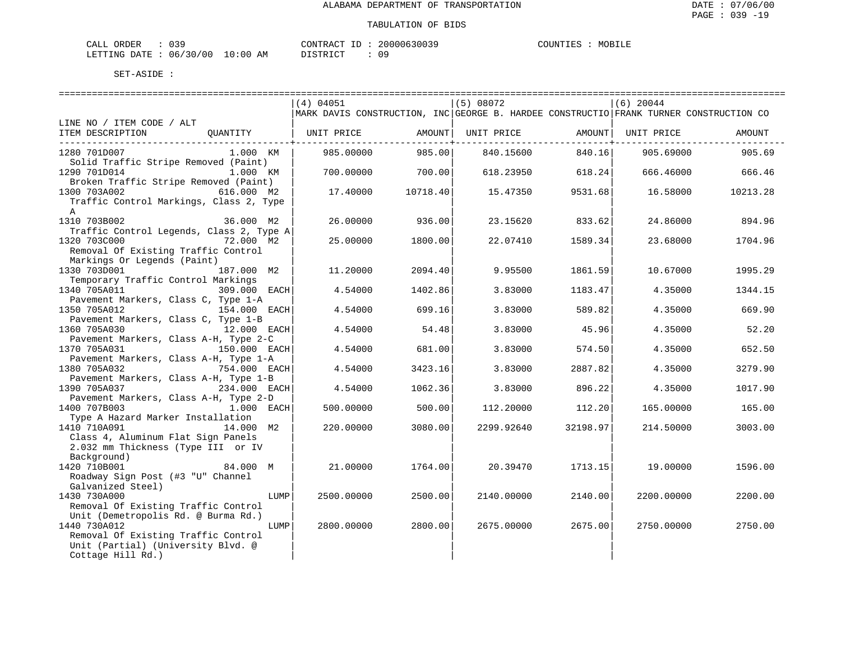| CALL ORDER | 039                              |  |          |  | CONTRACT ID: 20000630039 | COUNTIES | MOBILE |
|------------|----------------------------------|--|----------|--|--------------------------|----------|--------|
|            | LETTING DATE : 06/30/00 10:00 AM |  | DISTRICT |  |                          |          |        |

|                                          |              | (4) 04051         |                  | (5) 08072                                                                              |                  | $(6)$ 20044                    |          |
|------------------------------------------|--------------|-------------------|------------------|----------------------------------------------------------------------------------------|------------------|--------------------------------|----------|
|                                          |              |                   |                  | MARK DAVIS CONSTRUCTION, INC GEORGE B. HARDEE CONSTRUCTIO FRANK TURNER CONSTRUCTION CO |                  |                                |          |
| LINE NO / ITEM CODE / ALT                |              |                   |                  |                                                                                        |                  |                                |          |
| ITEM DESCRIPTION QUANTITY                |              | UNIT PRICE AMOUNT |                  |                                                                                        |                  | UNIT PRICE AMOUNT   UNIT PRICE | AMOUNT   |
|                                          |              |                   |                  |                                                                                        |                  |                                |          |
| 1280 701D007                             | 1.000 KM     | 985.00000         | 985.00           | 840.15600                                                                              | 840.16           | 905.69000                      | 905.69   |
| Solid Traffic Stripe Removed (Paint)     |              |                   |                  |                                                                                        |                  |                                |          |
| 1290 701D014                             | 1.000 KM     |                   | 700.00000 700.00 |                                                                                        | 618.23950 618.24 | 666.46000                      | 666.46   |
| Broken Traffic Stripe Removed (Paint)    |              |                   |                  |                                                                                        |                  |                                |          |
| 1300 703A002<br>616.000 M2               |              | 17.40000          | 10718.40         | 15.47350                                                                               | 9531.68          | 16.58000                       | 10213.28 |
| Traffic Control Markings, Class 2, Type  |              |                   |                  |                                                                                        |                  |                                |          |
| $\mathsf{A}$                             |              |                   |                  |                                                                                        |                  |                                |          |
| 1310 703B002                             | 36.000 M2    | 26.00000          | 936.00           | 23.15620                                                                               | 833.62           | 24.86000                       | 894.96   |
| Traffic Control Legends, Class 2, Type A |              |                   |                  |                                                                                        |                  |                                |          |
| 1320 703C000                             | 72.000 M2    | 25.00000          | 1800.00          | 22.07410                                                                               | 1589.34          | 23.68000                       | 1704.96  |
| Removal Of Existing Traffic Control      |              |                   |                  |                                                                                        |                  |                                |          |
| Markings Or Legends (Paint)              |              |                   |                  |                                                                                        |                  |                                |          |
| 1330 703D001                             | 187.000 M2   | 11,20000          | 2094.40          | 9.95500                                                                                | 1861.59          | 10.67000                       | 1995.29  |
| Temporary Traffic Control Markings       |              |                   |                  |                                                                                        |                  |                                |          |
| 1340 705A011                             | 309.000 EACH | 4.54000           | 1402.86          | 3.83000                                                                                | 1183.47          | 4.35000                        | 1344.15  |
| Pavement Markers, Class C, Type 1-A      |              |                   |                  |                                                                                        |                  |                                |          |
| 1350 705A012                             | 154.000 EACH | 4.54000           | 699.16           | 3.83000                                                                                | 589.82           | 4.35000                        | 669.90   |
| Pavement Markers, Class C, Type 1-B      |              |                   |                  |                                                                                        |                  |                                |          |
| 1360 705A030<br>12.000 EACH              |              | 4.54000           | 54.48            | 3.83000                                                                                | 45.96            | 4.35000                        | 52.20    |
| Pavement Markers, Class A-H, Type 2-C    |              |                   |                  |                                                                                        |                  |                                |          |
| 1370 705A031                             | 150.000 EACH | 4.54000           | 681.00           | 3.83000                                                                                | 574.50           | 4.35000                        | 652.50   |
| Pavement Markers, Class A-H, Type 1-A    |              |                   |                  |                                                                                        |                  |                                |          |
| 1380 705A032                             | 754.000 EACH | 4.54000           | 3423.16          | 3.83000                                                                                | 2887.82          | 4.35000                        | 3279.90  |
| Pavement Markers, Class A-H, Type 1-B    |              |                   |                  |                                                                                        |                  |                                |          |
| 1390 705A037                             | 234.000 EACH | 4.54000           | 1062.36          | 3.83000                                                                                | 896.22           | 4.35000                        | 1017.90  |
| Pavement Markers, Class A-H, Type 2-D    |              |                   |                  |                                                                                        |                  |                                |          |
| 1400 707B003                             | $1.000$ EACH | 500.00000         | 500.00           | 112,20000                                                                              | 112.20           | 165.00000                      | 165.00   |
| Type A Hazard Marker Installation        |              |                   |                  |                                                                                        |                  |                                |          |
| 1410 710A091<br>14.000 M2                |              |                   |                  |                                                                                        |                  |                                |          |
| Class 4, Aluminum Flat Sign Panels       |              | 220.00000         | 3080.00          | 2299.92640                                                                             | 32198.97         | 214.50000                      | 3003.00  |
| 2.032 mm Thickness (Type III or IV       |              |                   |                  |                                                                                        |                  |                                |          |
|                                          |              |                   |                  |                                                                                        |                  |                                |          |
| Background)                              |              |                   |                  |                                                                                        |                  |                                |          |
| 1420 710B001                             | 84.000 M     | 21.00000          | 1764.00          | 20.39470                                                                               | 1713.15          | 19.00000                       | 1596.00  |
| Roadway Sign Post (#3 "U" Channel        |              |                   |                  |                                                                                        |                  |                                |          |
| Galvanized Steel)                        |              |                   |                  |                                                                                        |                  |                                |          |
| 1430 730A000                             | LUMP         | 2500.00000        | 2500.00          | 2140.00000                                                                             | 2140.00          | 2200.00000                     | 2200.00  |
| Removal Of Existing Traffic Control      |              |                   |                  |                                                                                        |                  |                                |          |
| Unit (Demetropolis Rd. @ Burma Rd.)      |              |                   |                  |                                                                                        |                  |                                |          |
| 1440 730A012                             | LUMP         | 2800.00000        | 2800.00          | 2675.00000                                                                             | 2675.00          | 2750.00000                     | 2750.00  |
| Removal Of Existing Traffic Control      |              |                   |                  |                                                                                        |                  |                                |          |
| Unit (Partial) (University Blvd. @       |              |                   |                  |                                                                                        |                  |                                |          |
| Cottage Hill Rd.)                        |              |                   |                  |                                                                                        |                  |                                |          |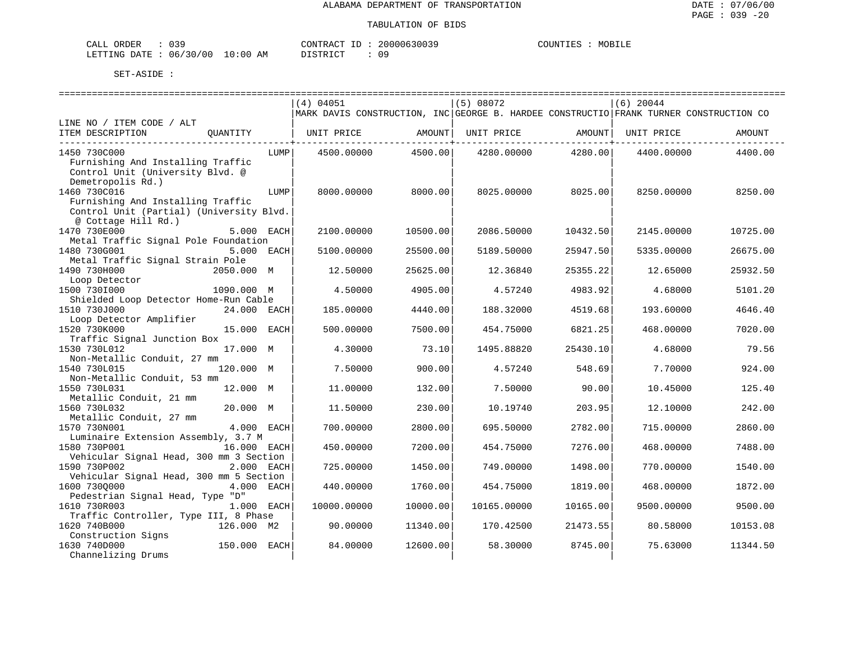| CALL | ORDER |                               |    | CONTRACT ID: | 20000630039 |  | COUNTIES | MOBILE |
|------|-------|-------------------------------|----|--------------|-------------|--|----------|--------|
|      |       | LETTING DATE : 06/30/00 10:00 | AΜ | DISTRICT     |             |  |          |        |

|                                          |              |      | (4) 04051                                                                              |               | (5) 08072   |          | $(6)$ 20044        |          |
|------------------------------------------|--------------|------|----------------------------------------------------------------------------------------|---------------|-------------|----------|--------------------|----------|
|                                          |              |      | MARK DAVIS CONSTRUCTION, INC GEORGE B. HARDEE CONSTRUCTIO FRANK TURNER CONSTRUCTION CO |               |             |          |                    |          |
| LINE NO / ITEM CODE / ALT                |              |      |                                                                                        |               |             |          |                    |          |
| ITEM DESCRIPTION                         | OUANTITY     |      | UNIT PRICE                                                                             | <b>AMOUNT</b> | UNIT PRICE  |          | AMOUNT  UNIT PRICE | AMOUNT   |
|                                          |              |      |                                                                                        |               |             |          |                    |          |
| 1450 730C000                             |              | LUMP | 4500.00000                                                                             | 4500.00       | 4280.00000  | 4280.00  | 4400.00000         | 4400.00  |
| Furnishing And Installing Traffic        |              |      |                                                                                        |               |             |          |                    |          |
| Control Unit (University Blvd. @         |              |      |                                                                                        |               |             |          |                    |          |
| Demetropolis Rd.)                        |              |      |                                                                                        |               |             |          |                    |          |
| 1460 730C016                             |              | LUMP | 8000.00000                                                                             | 8000.00       | 8025.00000  | 8025.00  | 8250.00000         | 8250.00  |
| Furnishing And Installing Traffic        |              |      |                                                                                        |               |             |          |                    |          |
| Control Unit (Partial) (University Blvd. |              |      |                                                                                        |               |             |          |                    |          |
| @ Cottage Hill Rd.)                      |              |      |                                                                                        |               |             |          |                    |          |
| 1470 730E000                             | 5.000 EACH   |      | 2100.00000                                                                             | 10500.00      | 2086.50000  | 10432.50 | 2145.00000         | 10725.00 |
| Metal Traffic Signal Pole Foundation     |              |      |                                                                                        |               |             |          |                    |          |
| 1480 730G001                             | 5.000 EACH   |      | 5100.00000                                                                             | 25500.00      | 5189.50000  | 25947.50 | 5335.00000         | 26675.00 |
| Metal Traffic Signal Strain Pole         |              |      |                                                                                        |               |             |          |                    |          |
| 1490 730H000                             | 2050.000 M   |      | 12.50000                                                                               | 25625.00      | 12.36840    | 25355.22 | 12.65000           | 25932.50 |
| Loop Detector                            |              |      |                                                                                        |               |             |          |                    |          |
| 1500 7301000                             | 1090.000 M   |      | 4.50000                                                                                | 4905.00       | 4.57240     | 4983.92  | 4.68000            | 5101.20  |
| Shielded Loop Detector Home-Run Cable    |              |      |                                                                                        |               |             |          |                    |          |
| 1510 730J000                             |              |      |                                                                                        | 4440.00       | 188.32000   |          |                    | 4646.40  |
|                                          | 24.000 EACH  |      | 185.00000                                                                              |               |             | 4519.68  | 193.60000          |          |
| Loop Detector Amplifier                  |              |      |                                                                                        |               |             |          |                    |          |
| 1520 730K000                             | 15.000 EACH  |      | 500.00000                                                                              | 7500.00       | 454.75000   | 6821.25  | 468.00000          | 7020.00  |
| Traffic Signal Junction Box              |              |      |                                                                                        |               |             |          |                    |          |
| 1530 730L012                             | 17.000 M     |      | 4.30000                                                                                | 73.10         | 1495.88820  | 25430.10 | 4.68000            | 79.56    |
| Non-Metallic Conduit, 27 mm              |              |      |                                                                                        |               |             |          |                    |          |
| 1540 730L015                             | 120.000 M    |      | 7.50000                                                                                | 900.00        | 4.57240     | 548.69   | 7.70000            | 924.00   |
| Non-Metallic Conduit, 53 mm              |              |      |                                                                                        |               |             |          |                    |          |
| 1550 730L031                             | 12.000 M     |      | 11.00000                                                                               | 132.00        | 7.50000     | 90.00    | 10.45000           | 125.40   |
| Metallic Conduit, 21 mm                  |              |      |                                                                                        |               |             |          |                    |          |
| 1560 730L032                             | 20.000 M     |      | 11.50000                                                                               | 230.00        | 10.19740    | 203.95   | 12,10000           | 242.00   |
| Metallic Conduit, 27 mm                  |              |      |                                                                                        |               |             |          |                    |          |
| 1570 730N001                             | 4.000 EACH   |      | 700.00000                                                                              | 2800.00       | 695.50000   | 2782.00  | 715.00000          | 2860.00  |
| Luminaire Extension Assembly, 3.7 M      |              |      |                                                                                        |               |             |          |                    |          |
| 1580 730P001                             | 16.000 EACH  |      | 450.00000                                                                              | 7200.00       | 454.75000   | 7276.00  | 468.00000          | 7488.00  |
| Vehicular Signal Head, 300 mm 3 Section  |              |      |                                                                                        |               |             |          |                    |          |
| 1590 730P002                             | 2.000 EACH   |      | 725.00000                                                                              | 1450.00       | 749.00000   | 1498.00  | 770.00000          | 1540.00  |
| Vehicular Signal Head, 300 mm 5 Section  |              |      |                                                                                        |               |             |          |                    |          |
| 1600 7300000                             | 4.000 EACH   |      | 440.00000                                                                              | 1760.00       | 454.75000   | 1819.00  | 468.00000          | 1872.00  |
| Pedestrian Signal Head, Type "D"         |              |      |                                                                                        |               |             |          |                    |          |
| 1610 730R003                             | 1.000 EACH   |      | 10000.00000                                                                            | 10000.00      | 10165.00000 | 10165.00 | 9500.00000         | 9500.00  |
| Traffic Controller, Type III, 8 Phase    |              |      |                                                                                        |               |             |          |                    |          |
| 1620 740B000                             | 126.000 M2   |      | 90.00000                                                                               | 11340.00      | 170.42500   | 21473.55 | 80.58000           | 10153.08 |
| Construction Signs                       |              |      |                                                                                        |               |             |          |                    |          |
| 1630 740D000                             | 150.000 EACH |      | 84.00000                                                                               | 12600.00      | 58.30000    | 8745.00  | 75.63000           | 11344.50 |
| Channelizing Drums                       |              |      |                                                                                        |               |             |          |                    |          |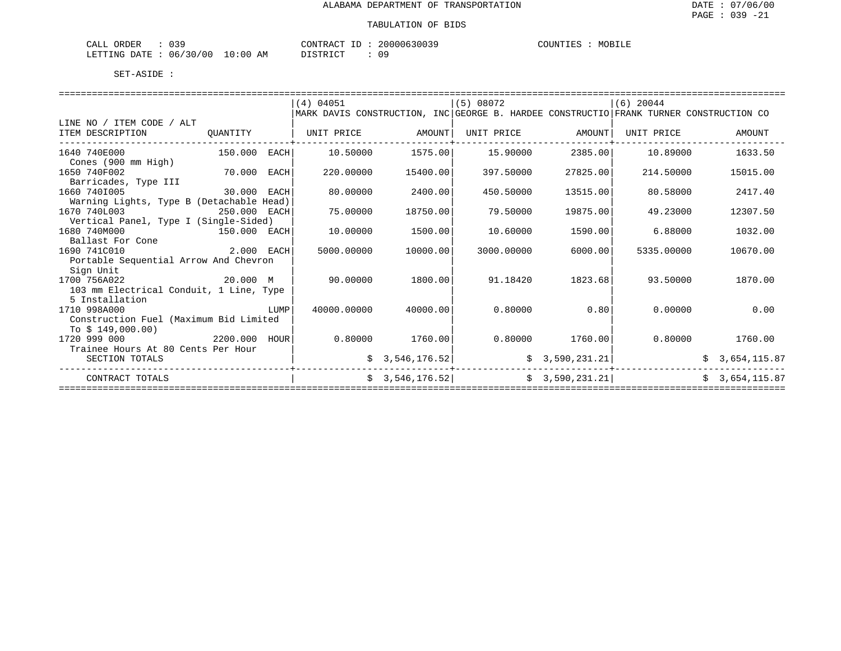| ORDER<br>$\sim$<br>للطائر<br><u>. ب ب</u> |                  | זידיזו∩י<br>$\sim$<br>$\Lambda$    | $\sim$<br>. | MOBILE<br>1 IN. |
|-------------------------------------------|------------------|------------------------------------|-------------|-----------------|
| יידי גר.<br>00'<br>U6.<br>→ NGC<br>.      | . O (<br>AM<br>ᅩ | ּחה־<br>. נ <del>וחי</del><br>---- | ח ר         |                 |

|                                          |              |      | (4) 04051                                                                              |                 | (5) 08072  |                | $(6)$ 20044 |                |  |  |
|------------------------------------------|--------------|------|----------------------------------------------------------------------------------------|-----------------|------------|----------------|-------------|----------------|--|--|
|                                          |              |      | MARK DAVIS CONSTRUCTION, INC GEORGE B. HARDEE CONSTRUCTIO FRANK TURNER CONSTRUCTION CO |                 |            |                |             |                |  |  |
| LINE NO / ITEM CODE / ALT                |              |      |                                                                                        |                 |            |                |             |                |  |  |
| ITEM DESCRIPTION                         | OUANTITY     |      | UNIT PRICE                                                                             | AMOUNT          | UNIT PRICE | AMOUNT         | UNIT PRICE  | AMOUNT         |  |  |
| 1640 740E000<br>Cones (900 mm High)      | 150.000 EACH |      | 10.50000                                                                               | 1575.00         | 15.90000   | 2385.00        | 10.89000    | 1633.50        |  |  |
| 1650 740F002                             | 70.000       | EACH | 220.00000                                                                              | 15400.00        | 397.50000  | 27825.00       | 214.50000   | 15015.00       |  |  |
| Barricades, Type III                     |              |      |                                                                                        |                 |            |                |             |                |  |  |
| 1660 7401005                             | 30.000       | EACH | 80,00000                                                                               | 2400.00         | 450.50000  | 13515.00       | 80.58000    | 2417.40        |  |  |
| Warning Lights, Type B (Detachable Head) |              |      |                                                                                        |                 |            |                |             |                |  |  |
| 1670 740L003                             | 250.000 EACH |      | 75.00000                                                                               | 18750.00        | 79.50000   | 19875.00       | 49.23000    | 12307.50       |  |  |
| Vertical Panel, Type I (Single-Sided)    |              |      |                                                                                        |                 |            |                |             |                |  |  |
| 1680 740M000                             | 150.000 EACH |      | 10.00000                                                                               | 1500.00         | 10.60000   | 1590.00        | 6.88000     | 1032.00        |  |  |
| Ballast For Cone                         |              |      |                                                                                        |                 |            |                |             |                |  |  |
| 1690 741C010                             | $2.000$ EACH |      | 5000.00000                                                                             | 10000.00        | 3000.00000 | 6000.00        | 5335.00000  | 10670.00       |  |  |
| Portable Sequential Arrow And Chevron    |              |      |                                                                                        |                 |            |                |             |                |  |  |
| Sign Unit                                |              |      |                                                                                        |                 |            |                |             |                |  |  |
| 1700 756A022                             | 20.000 M     |      | 90.00000                                                                               | 1800.00         | 91.18420   | 1823.68        | 93.50000    | 1870.00        |  |  |
| 103 mm Electrical Conduit, 1 Line, Type  |              |      |                                                                                        |                 |            |                |             |                |  |  |
| 5 Installation                           |              |      |                                                                                        |                 |            |                |             |                |  |  |
| 1710 998A000                             |              | LUMP | 40000.00000                                                                            | 40000.00        | 0.80000    | 0.80           | 0.00000     | 0.00           |  |  |
| Construction Fuel (Maximum Bid Limited   |              |      |                                                                                        |                 |            |                |             |                |  |  |
| To $$149,000.00)$                        |              |      |                                                                                        |                 |            |                |             |                |  |  |
| 1720 999 000                             | 2200.000     | HOUR | 0.80000                                                                                | 1760.00         | 0.80000    | 1760.00        | 0.80000     | 1760.00        |  |  |
| Trainee Hours At 80 Cents Per Hour       |              |      |                                                                                        |                 |            |                |             |                |  |  |
| SECTION TOTALS                           |              |      |                                                                                        | \$3,546,176.52] |            | \$3,590,231.21 |             | \$3,654,115.87 |  |  |
| CONTRACT TOTALS                          |              |      |                                                                                        | \$3,546,176.52] |            | \$3,590,231.21 |             | \$3,654,115.87 |  |  |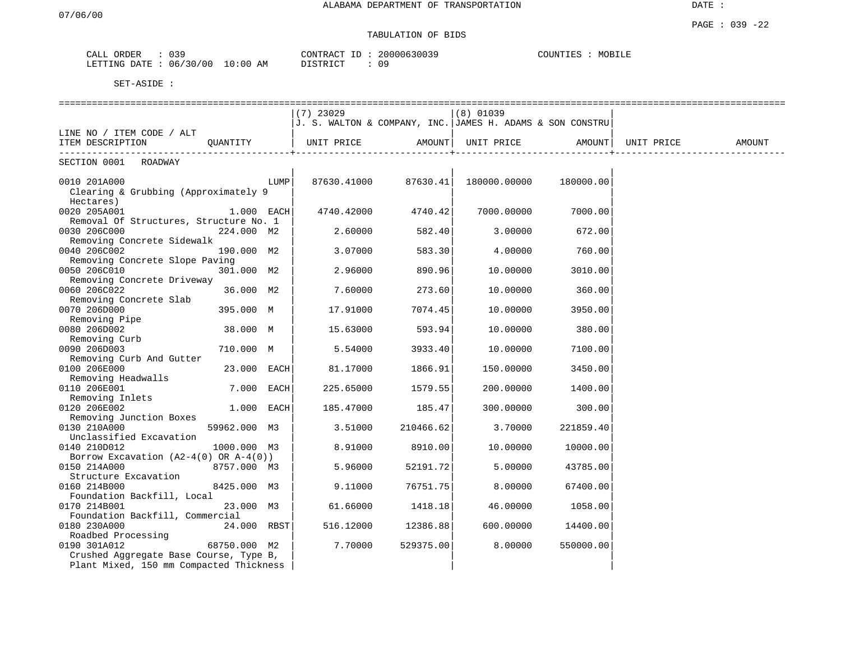# TABULATION OF BIDS

| ORDER<br>CALL | <b>U30</b> |            | CONTRACT ID | 20000630039 | COUNTIES | MOBILE |
|---------------|------------|------------|-------------|-------------|----------|--------|
| LETTING DATE  | : 06/30/00 | $10:00$ AM | DISTRICT    | 09          |          |        |

|                                            |              |      | $(7)$ 23029                                               |           | $(8)$ 01039  |                   |            |        |
|--------------------------------------------|--------------|------|-----------------------------------------------------------|-----------|--------------|-------------------|------------|--------|
|                                            |              |      | J. S. WALTON & COMPANY, INC. JAMES H. ADAMS & SON CONSTRU |           |              |                   |            |        |
| LINE NO / ITEM CODE / ALT                  |              |      |                                                           |           |              |                   |            |        |
| ITEM DESCRIPTION                           | OUANTITY     |      | UNIT PRICE                                                | AMOUNT    |              | UNIT PRICE AMOUNT | UNIT PRICE | AMOUNT |
| SECTION 0001 ROADWAY                       |              |      |                                                           |           |              |                   |            |        |
|                                            |              |      |                                                           |           |              |                   |            |        |
| 0010 201A000                               |              | LUMP | 87630.41000                                               | 87630.41  | 180000.00000 | 180000.00         |            |        |
| Clearing & Grubbing (Approximately 9       |              |      |                                                           |           |              |                   |            |        |
| Hectares)                                  |              |      |                                                           |           |              |                   |            |        |
| 0020 205A001                               | $1.000$ EACH |      | 4740.42000                                                | 4740.42   | 7000.00000   | 7000.00           |            |        |
| Removal Of Structures, Structure No. 1     |              |      |                                                           |           |              |                   |            |        |
| 0030 206C000                               | 224.000 M2   |      | 2.60000                                                   | 582.40    | 3.00000      | 672.00            |            |        |
| Removing Concrete Sidewalk                 |              |      |                                                           |           |              |                   |            |        |
| 0040 206C002                               | 190.000 M2   |      | 3.07000                                                   | 583.30    | 4.00000      | 760.00            |            |        |
| Removing Concrete Slope Paving             |              |      |                                                           |           |              |                   |            |        |
| 0050 206C010                               | 301.000 M2   |      | 2.96000                                                   | 890.96    | 10.00000     | 3010.00           |            |        |
| Removing Concrete Driveway                 |              |      |                                                           |           |              |                   |            |        |
| 0060 206C022                               | 36.000 M2    |      | 7.60000                                                   | 273.60    | 10.00000     | 360.00            |            |        |
| Removing Concrete Slab                     |              |      |                                                           |           |              |                   |            |        |
| 0070 206D000                               | 395.000 M    |      | 17.91000                                                  | 7074.45   | 10.00000     | 3950.00           |            |        |
| Removing Pipe                              |              |      |                                                           |           |              |                   |            |        |
| 0080 206D002                               | 38.000 M     |      | 15.63000                                                  | 593.94    | 10.00000     | 380.00            |            |        |
| Removing Curb                              |              |      |                                                           |           |              |                   |            |        |
| 0090 206D003                               | 710.000 M    |      | 5.54000                                                   | 3933.40   | 10.00000     | 7100.00           |            |        |
| Removing Curb And Gutter                   |              |      |                                                           |           |              |                   |            |        |
| 0100 206E000                               | 23.000 EACH  |      | 81.17000                                                  | 1866.91   | 150.00000    | 3450.00           |            |        |
| Removing Headwalls                         |              |      |                                                           |           |              |                   |            |        |
| 0110 206E001                               | 7.000 EACH   |      | 225.65000                                                 | 1579.55   | 200.00000    | 1400.00           |            |        |
| Removing Inlets                            |              |      |                                                           |           |              |                   |            |        |
| 0120 206E002                               | 1.000 EACH   |      | 185.47000                                                 | 185.47    | 300.00000    | 300.00            |            |        |
| Removing Junction Boxes                    |              |      |                                                           |           |              |                   |            |        |
| 0130 210A000                               | 59962.000 M3 |      | 3.51000                                                   | 210466.62 | 3.70000      | 221859.40         |            |        |
| Unclassified Excavation                    |              |      |                                                           |           |              |                   |            |        |
| 0140 210D012                               | 1000.000 M3  |      | 8.91000                                                   | 8910.00   | 10.00000     | 10000.00          |            |        |
| Borrow Excavation $(A2-4(0)$ OR $A-4(0)$ ) |              |      |                                                           |           |              |                   |            |        |
| 0150 214A000                               | 8757.000 M3  |      | 5.96000                                                   | 52191.72  | 5.00000      | 43785.00          |            |        |
| Structure Excavation                       |              |      |                                                           |           |              |                   |            |        |
| 0160 214B000                               | 8425.000 M3  |      | 9.11000                                                   | 76751.75  | 8,00000      | 67400.00          |            |        |
| Foundation Backfill, Local                 |              |      |                                                           |           |              |                   |            |        |
| 0170 214B001                               | 23.000 M3    |      | 61.66000                                                  | 1418.18   | 46.00000     | 1058.00           |            |        |
| Foundation Backfill, Commercial            |              |      |                                                           |           |              |                   |            |        |
| 0180 230A000                               | 24.000 RBST  |      | 516.12000                                                 | 12386.88  | 600,00000    | 14400.00          |            |        |
| Roadbed Processing                         |              |      |                                                           |           |              |                   |            |        |
| 0190 301A012                               | 68750.000 M2 |      | 7.70000                                                   | 529375.00 | 8.00000      | 550000.00         |            |        |
| Crushed Aggregate Base Course, Type B,     |              |      |                                                           |           |              |                   |            |        |
| Plant Mixed, 150 mm Compacted Thickness    |              |      |                                                           |           |              |                   |            |        |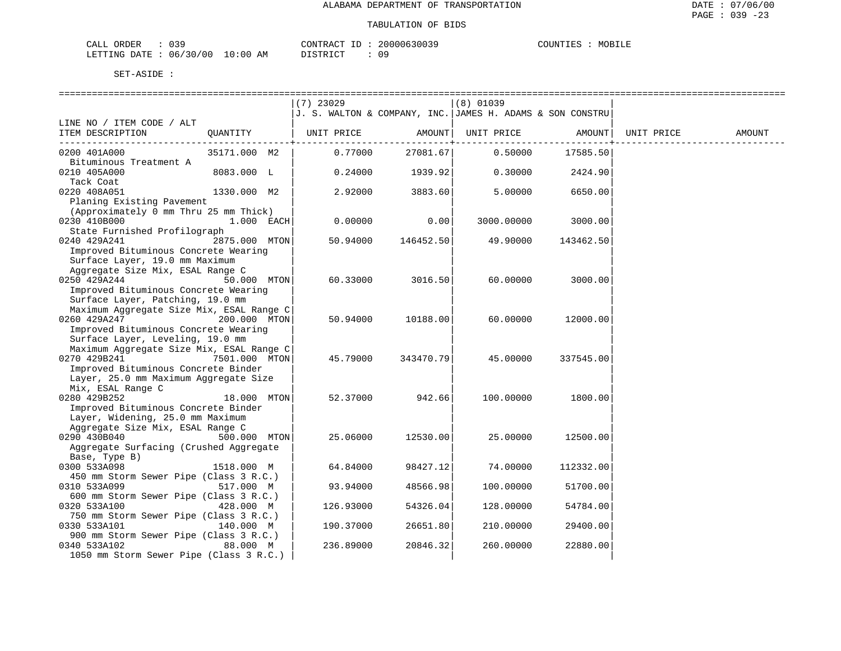### TABULATION OF BIDS

| ORDER<br>CALL (               | $\sim$ $\sim$ $\sim$ |    | CONTRACT ID: | 20000630039 | COUNTIES | MOBILE |
|-------------------------------|----------------------|----|--------------|-------------|----------|--------|
| LETTING DATE : 06/30/00 10:00 |                      | AM | DISTRICT     |             |          |        |

|                                                         |               | (7) 23029                                                     |           | $(8)$ 01039 |           |            |        |
|---------------------------------------------------------|---------------|---------------------------------------------------------------|-----------|-------------|-----------|------------|--------|
|                                                         |               | $J.$ S. WALTON & COMPANY, INC. $JAMES$ H. ADAMS & SON CONSTRU |           |             |           |            |        |
| LINE NO / ITEM CODE / ALT                               |               |                                                               |           |             |           |            |        |
| ITEM DESCRIPTION                                        | QUANTITY      | UNIT PRICE                                                    | AMOUNT    | UNIT PRICE  | AMOUNT    | UNIT PRICE | AMOUNT |
|                                                         |               |                                                               | -------+  |             | --------+ |            |        |
| 0200 401A000                                            | 35171.000 M2  | 0.77000                                                       | 27081.67  | 0.50000     | 17585.50  |            |        |
| Bituminous Treatment A                                  |               |                                                               |           |             |           |            |        |
| 0210 405A000                                            | 8083.000 L    | 0.24000                                                       | 1939.92   | 0.30000     | 2424.90   |            |        |
| Tack Coat                                               |               |                                                               |           |             |           |            |        |
| 0220 408A051                                            | 1330.000 M2   | 2.92000                                                       | 3883.60   | 5.00000     | 6650.00   |            |        |
| Planing Existing Pavement                               |               |                                                               |           |             |           |            |        |
| (Approximately 0 mm Thru 25 mm Thick)                   |               |                                                               |           |             |           |            |        |
| 0230 410B000                                            | 1.000 EACH    | 0.00000                                                       | 0.00      | 3000.00000  | 3000.00   |            |        |
| State Furnished Profilograph                            |               |                                                               |           |             |           |            |        |
| 0240 429A241                                            | 2875.000 MTON | 50.94000                                                      | 146452.50 | 49.90000    | 143462.50 |            |        |
| Improved Bituminous Concrete Wearing                    |               |                                                               |           |             |           |            |        |
| Surface Layer, 19.0 mm Maximum                          |               |                                                               |           |             |           |            |        |
| Aggregate Size Mix, ESAL Range C                        |               |                                                               |           |             |           |            |        |
| 0250 429A244                                            | 50.000 MTON   | 60.33000                                                      | 3016.50   | 60.00000    | 3000.00   |            |        |
| Improved Bituminous Concrete Wearing                    |               |                                                               |           |             |           |            |        |
| Surface Layer, Patching, 19.0 mm                        |               |                                                               |           |             |           |            |        |
| Maximum Aggregate Size Mix, ESAL Range C                |               |                                                               |           |             |           |            |        |
| 0260 429A247                                            | 200.000 MTON  | 50.94000                                                      | 10188.00  | 60.00000    | 12000.00  |            |        |
| Improved Bituminous Concrete Wearing                    |               |                                                               |           |             |           |            |        |
| Surface Layer, Leveling, 19.0 mm                        |               |                                                               |           |             |           |            |        |
| Maximum Aggregate Size Mix, ESAL Range C                |               |                                                               |           |             |           |            |        |
| 0270 429B241                                            | 7501.000 MTON | 45.79000                                                      | 343470.79 | 45.00000    | 337545.00 |            |        |
| Improved Bituminous Concrete Binder                     |               |                                                               |           |             |           |            |        |
| Layer, 25.0 mm Maximum Aggregate Size                   |               |                                                               |           |             |           |            |        |
| Mix, ESAL Range C                                       |               |                                                               |           |             |           |            |        |
| 0280 429B252                                            | 18.000 MTON   | 52.37000                                                      | 942.66    | 100.00000   | 1800.00   |            |        |
| Improved Bituminous Concrete Binder                     |               |                                                               |           |             |           |            |        |
| Layer, Widening, 25.0 mm Maximum                        |               |                                                               |           |             |           |            |        |
| Aggregate Size Mix, ESAL Range C                        |               |                                                               |           |             |           |            |        |
| 0290 430B040                                            | 500.000 MTON  | 25.06000                                                      | 12530.00  | 25,00000    | 12500.00  |            |        |
|                                                         |               |                                                               |           |             |           |            |        |
| Aggregate Surfacing (Crushed Aggregate<br>Base, Type B) |               |                                                               |           |             |           |            |        |
| 0300 533A098                                            | 1518.000 M    | 64.84000                                                      | 98427.12  | 74.00000    | 112332.00 |            |        |
| 450 mm Storm Sewer Pipe (Class 3 R.C.)                  |               |                                                               |           |             |           |            |        |
| 0310 533A099                                            | 517.000 M     | 93.94000                                                      | 48566.98  | 100.00000   | 51700.00  |            |        |
| 600 mm Storm Sewer Pipe (Class 3 R.C.)                  |               |                                                               |           |             |           |            |        |
| 0320 533A100                                            | 428.000 M     |                                                               | 54326.04  |             |           |            |        |
| 750 mm Storm Sewer Pipe (Class 3 R.C.)                  |               | 126.93000                                                     |           | 128.00000   | 54784.00  |            |        |
| 0330 533A101                                            | 140.000 M     | 190.37000                                                     | 26651.80  | 210.00000   | 29400.00  |            |        |
| 900 mm Storm Sewer Pipe (Class 3 R.C.)                  |               |                                                               |           |             |           |            |        |
| 0340 533A102                                            | 88.000 M      | 236.89000                                                     | 20846.32  | 260.00000   | 22880.00  |            |        |
|                                                         |               |                                                               |           |             |           |            |        |
| 1050 mm Storm Sewer Pipe (Class 3 R.C.)                 |               |                                                               |           |             |           |            |        |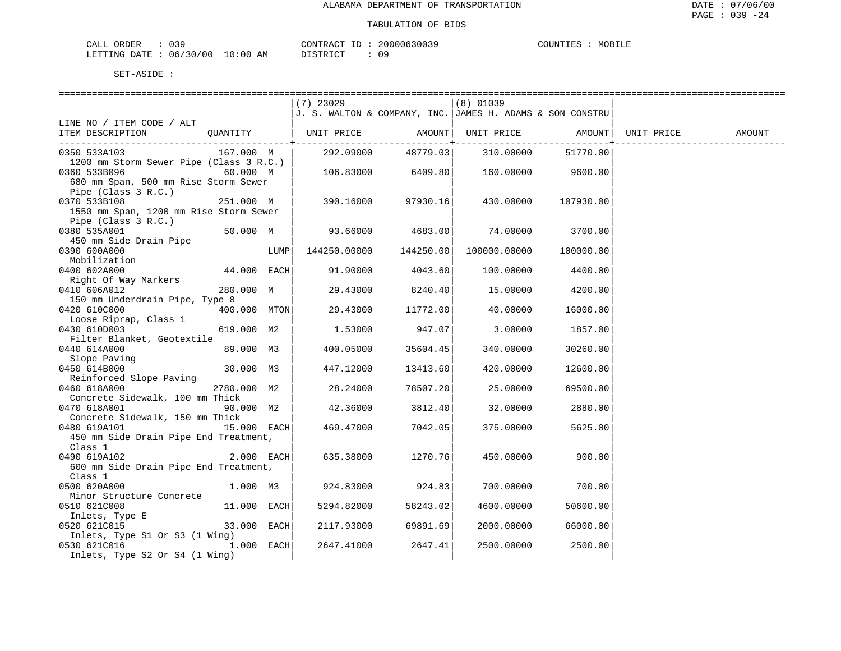| ORDER<br>CALL (               | $\sim$ $\sim$ $\sim$ |    | CONTRACT ID: | 20000630039 | COUNTIES | MOBILE |
|-------------------------------|----------------------|----|--------------|-------------|----------|--------|
| LETTING DATE : 06/30/00 10:00 |                      | AM | DISTRICT     |             |          |        |

|                                                           |              |      | $(7)$ 23029                                               |                   | (8) 01039                       |                   |            |        |
|-----------------------------------------------------------|--------------|------|-----------------------------------------------------------|-------------------|---------------------------------|-------------------|------------|--------|
|                                                           |              |      | J. S. WALTON & COMPANY, INC. JAMES H. ADAMS & SON CONSTRU |                   |                                 |                   |            |        |
| LINE NO / ITEM CODE / ALT                                 |              |      |                                                           |                   |                                 |                   |            |        |
| ITEM DESCRIPTION                                          | OUANTITY     |      | UNIT PRICE AMOUNT  UNIT PRICE AMOUNT                      |                   |                                 |                   | UNIT PRICE | AMOUNT |
|                                                           |              |      |                                                           |                   | ----------+-----------          | ----------+       |            |        |
| 0350 533A103                                              | 167.000 M    |      | 292.09000                                                 |                   | 48779.03 310.00000              | 51770.00          |            |        |
| 1200 mm Storm Sewer Pipe (Class 3 R.C.)                   |              |      |                                                           |                   |                                 |                   |            |        |
| 0360 533B096                                              | 60.000 M     |      | $106.83000$ 6409.80                                       |                   |                                 | 160.00000 9600.00 |            |        |
| 680 mm Span, 500 mm Rise Storm Sewer                      |              |      |                                                           |                   |                                 |                   |            |        |
| Pipe (Class 3 R.C.)                                       |              |      |                                                           |                   |                                 |                   |            |        |
| 0370 533B108                                              | 251.000 M    |      | 390.16000                                                 | 97930.16          | 430.00000                       | 107930.00         |            |        |
| 1550 mm Span, 1200 mm Rise Storm Sewer                    |              |      |                                                           |                   |                                 |                   |            |        |
| Pipe (Class 3 R.C.)                                       |              |      |                                                           |                   |                                 |                   |            |        |
| 0380 535A001                                              | 50.000 M     |      |                                                           |                   | $93.66000$ $4683.00$ $74.00000$ | 3700.00           |            |        |
| 450 mm Side Drain Pipe                                    |              |      |                                                           |                   |                                 |                   |            |        |
| 0390 600A000                                              |              | LUMP | 144250.00000 144250.00                                    |                   | 100000.00000 100000.00          |                   |            |        |
| Mobilization                                              |              |      |                                                           |                   |                                 |                   |            |        |
| 0400 602A000                                              | 44.000 EACH  |      | 91.90000                                                  | 4043.60           | 100.00000                       | 4400.00           |            |        |
| Right Of Way Markers                                      |              |      |                                                           |                   |                                 |                   |            |        |
| 0410 606A012                                              | 280.000 M    |      | 29.43000                                                  | 8240.40           | 15.00000                        | 4200.00           |            |        |
| 150 mm Underdrain Pipe, Type 8                            |              |      |                                                           |                   |                                 |                   |            |        |
| 0420 610C000                                              | 400.000 MTON |      |                                                           | 29.43000 11772.00 | 40.00000                        | 16000.00          |            |        |
| Loose Riprap, Class 1                                     |              |      |                                                           |                   |                                 |                   |            |        |
| 0430 610D003                                              | 619.000 M2   |      | 1.53000                                                   | 947.07            | 3.00000                         | 1857.00           |            |        |
| Filter Blanket, Geotextile                                |              |      |                                                           |                   |                                 |                   |            |        |
| 0440 614A000                                              | 89.000 M3    |      | 400.05000                                                 | 35604.45          | 340.00000                       | 30260.00          |            |        |
| ---<br>Slope Paving<br>450 614B000                        |              |      |                                                           |                   |                                 |                   |            |        |
| 0450 614B000                                              | 30.000 M3    |      | 447.12000                                                 | 13413.60          | 420.00000                       | 12600.00          |            |        |
| Reinforced Slope Paving                                   |              |      |                                                           |                   |                                 |                   |            |        |
| 0460 618A000                                              | 2780.000 M2  |      | 28.24000                                                  | 78507.20          | 25.00000                        | 69500.00          |            |        |
| Concrete Sidewalk, 100 mm Thick                           |              |      |                                                           |                   |                                 |                   |            |        |
| 0470 618A001                                              | 90.000 M2    |      | 42.36000                                                  | 3812.40           | 32.00000                        | 2880.00           |            |        |
| Concrete Sidewalk, 150 mm Thick                           |              |      |                                                           |                   |                                 |                   |            |        |
| $15.000$ EACH<br>0480 619A101                             |              |      | 469.47000                                                 | 7042.05           | 375.00000                       | 5625.00           |            |        |
| 450 mm Side Drain Pipe End Treatment,                     |              |      |                                                           |                   |                                 |                   |            |        |
| Class 1<br>$2.000$ EACH                                   |              |      |                                                           |                   |                                 |                   |            |        |
| 0490 619A102                                              |              |      | 635.38000                                                 | 1270.76           | 450.00000                       | 900.00            |            |        |
| 600 mm Side Drain Pipe End Treatment,                     |              |      |                                                           |                   |                                 |                   |            |        |
| Class 1                                                   |              |      |                                                           |                   |                                 |                   |            |        |
| 0500 620A000                                              | 1.000 M3     |      | 924.83000                                                 | 924.83            | 700.00000                       | 700.00            |            |        |
| Minor Structure Concrete                                  |              |      |                                                           |                   |                                 |                   |            |        |
| 0510 621C008                                              | 11.000 EACH  |      | 5294.82000                                                | 58243.02          | 4600.00000                      | 50600.00          |            |        |
| Inlets, Type E                                            |              |      |                                                           |                   |                                 |                   |            |        |
| 0520 621C015                                              | 33.000 EACH  |      | 2117.93000                                                | 69891.69          | 2000.00000                      | 66000.00          |            |        |
| Inlets, Type S1 Or S3 (1 Wing)<br>0530 621C016 1.000 EACH |              |      | 2647.41000                                                | 2647.41           | 2500.00000                      | 2500.00           |            |        |
|                                                           |              |      |                                                           |                   |                                 |                   |            |        |
| Inlets, Type S2 Or S4 (1 Wing)                            |              |      |                                                           |                   |                                 |                   |            |        |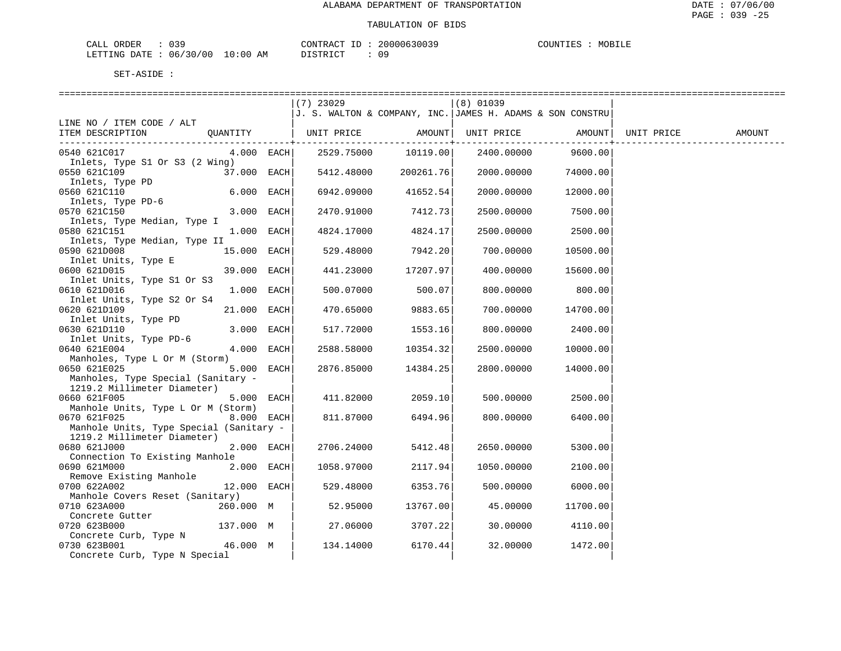| 039<br>ORDER<br>CALL (   |            | T <sub>D</sub><br>CONTRACT    | 20000630039<br>$\sim$ | MOBILF<br>COUNTIES |
|--------------------------|------------|-------------------------------|-----------------------|--------------------|
| 06/30/00<br>LETTING DATE | $10:00$ AM | <b>DISTRICT</b><br>---------- |                       |                    |

|                                                |              | $(7)$ 23029                                                     |               | $(8)$ 01039 |                    |            |        |
|------------------------------------------------|--------------|-----------------------------------------------------------------|---------------|-------------|--------------------|------------|--------|
|                                                |              | $J$ . S. WALTON & COMPANY, INC. $J$ AMES H. ADAMS & SON CONSTRU |               |             |                    |            |        |
| LINE NO / ITEM CODE / ALT                      |              |                                                                 |               |             |                    |            |        |
| ITEM DESCRIPTION                               |              | OUANTITY   UNIT PRICE                                           | AMOUNT        | UNIT PRICE  | AMOUNT             | UNIT PRICE | AMOUNT |
|                                                |              |                                                                 | -----------+- |             | .                  |            |        |
| 0540 621C017                                   | $4.000$ EACH | 2529.75000                                                      | 10119.00      |             | 2400.00000 9600.00 |            |        |
| Inlets, Type S1 Or S3 (2 Wing)<br>0550 621C109 | 37.000 EACH  | 5412.48000                                                      | 200261.76     | 2000.00000  | 74000.00           |            |        |
|                                                |              |                                                                 |               |             |                    |            |        |
| Inlets, Type PD<br>560 621C110<br>0560 621C110 | 6.000 EACH   | 6942.09000                                                      | 41652.54      | 2000.00000  | 12000.00           |            |        |
| Inlets, Type PD-6                              |              |                                                                 |               |             |                    |            |        |
| 0570 621C150                                   | 3.000 EACH   | 2470.91000                                                      | 7412.73       | 2500.00000  | 7500.00            |            |        |
| Inlets, Type Median, Type I                    |              |                                                                 |               |             |                    |            |        |
| 0580 621C151                                   | 1.000 EACH   | 4824.17000                                                      | 4824.17       | 2500.00000  | 2500.00            |            |        |
| Inlets, Type Median, Type II                   |              |                                                                 |               |             |                    |            |        |
| 0590 621D008                                   | 15.000 EACH  | 529.48000                                                       | 7942.20       | 700.00000   | 10500.00           |            |        |
| Inlet Units, Type E                            |              |                                                                 |               |             |                    |            |        |
| 0600 621D015                                   | 39.000 EACH  | 441.23000                                                       | 17207.97      | 400.00000   | 15600.00           |            |        |
| Inlet Units, Type S1 Or S3                     |              |                                                                 |               |             |                    |            |        |
| 0610 621D016                                   | 1.000 EACH   | 500.07000                                                       | 500.07        | 800.00000   | 800.00             |            |        |
| Inlet Units, Type S2 Or S4                     |              |                                                                 |               |             |                    |            |        |
| 0620 621D109                                   | 21.000 EACH  | 470.65000                                                       | 9883.65       | 700.00000   | 14700.00           |            |        |
| Inlet Units, Type PD<br>0630 621D110           | 3.000 EACH   | 517.72000                                                       | 1553.16       | 800.00000   | 2400.00            |            |        |
| Inlet Units, Type PD-6                         |              |                                                                 |               |             |                    |            |        |
| 0640 621E004                                   | 4.000 EACH   | 2588.58000                                                      | 10354.32      | 2500.00000  | 10000.00           |            |        |
| Manholes, Type L Or M (Storm)                  |              |                                                                 |               |             |                    |            |        |
| 0650 621E025                                   | 5.000 EACH   | 2876.85000                                                      | 14384.25      | 2800.00000  | 14000.00           |            |        |
| Manholes, Type Special (Sanitary -             |              |                                                                 |               |             |                    |            |        |
| 1219.2 Millimeter Diameter)                    |              |                                                                 |               |             |                    |            |        |
| 0660 621F005                                   | 5.000 EACH   | 411.82000                                                       | 2059.10       | 500.00000   | 2500.00            |            |        |
| Manhole Units, Type L Or M (Storm)             |              |                                                                 |               |             |                    |            |        |
| 0670 621F025                                   | $8.000$ EACH | 811.87000                                                       | 6494.96       | 800.00000   | 6400.00            |            |        |
| Manhole Units, Type Special (Sanitary -        |              |                                                                 |               |             |                    |            |        |
| 1219.2 Millimeter Diameter)                    |              |                                                                 |               |             |                    |            |        |
| 0680 621J000                                   | 2.000 EACH   | 2706.24000                                                      | 5412.48       | 2650.00000  | 5300.00            |            |        |
| Connection To Existing Manhole<br>0690 621M000 | 2.000 EACH   | 1058.97000                                                      | 2117.94       | 1050.00000  | 2100.00            |            |        |
| Remove Existing Manhole                        |              |                                                                 |               |             |                    |            |        |
| 0700 622A002                                   | 12.000 EACH  | 529.48000                                                       | 6353.76       | 500.00000   | 6000.00            |            |        |
| Manhole Covers Reset (Sanitary)                |              |                                                                 |               |             |                    |            |        |
| 0710 623A000<br>260.000 M                      |              | 52.95000                                                        | 13767.00      | 45.00000    | 11700.00           |            |        |
| Concrete Gutter                                |              |                                                                 |               |             |                    |            |        |
| 0720 623B000                                   | 137.000 M    | 27.06000                                                        | 3707.22       | 30.00000    | 4110.00            |            |        |
| Concrete Curb, Type N                          |              |                                                                 |               |             |                    |            |        |
| 0730 623B001                                   | 46.000 M     | 134.14000                                                       | 6170.44       | 32.00000    | 1472.00            |            |        |
| Concrete Curb, Type N Special                  |              |                                                                 |               |             |                    |            |        |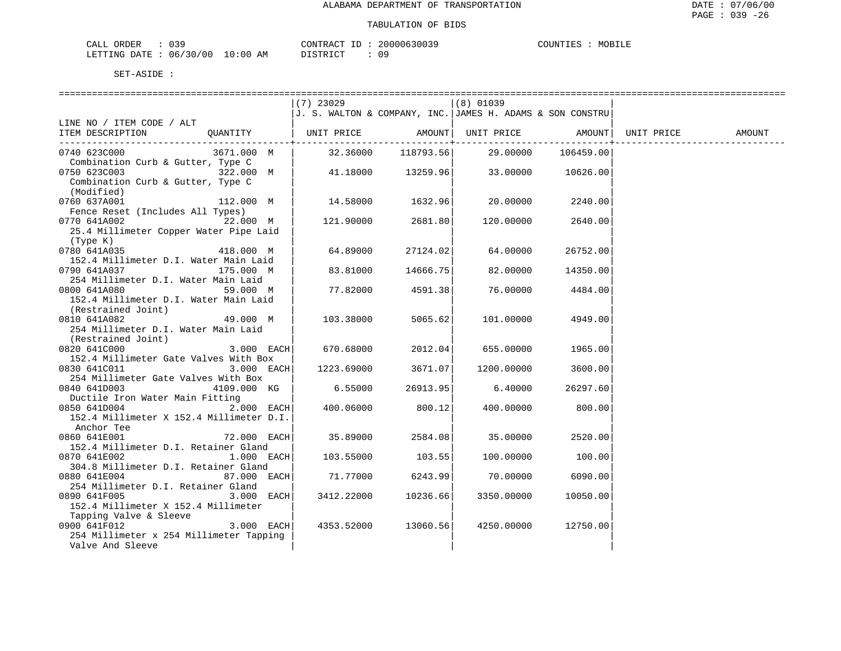| CALL ORDER             | n 3 9 |             | CONTRACT |  | 20000630039 | COUNTIES | MOBILE |
|------------------------|-------|-------------|----------|--|-------------|----------|--------|
| LETTING DATE: 06/30/00 |       | 10:00<br>AM | DISTRICT |  | 0 S         |          |        |

|                                          | $(7)$ 23029                                                     |           | (8) 01039          |           |            |        |
|------------------------------------------|-----------------------------------------------------------------|-----------|--------------------|-----------|------------|--------|
|                                          | $J$ . S. WALTON & COMPANY, INC. $J$ AMES H. ADAMS & SON CONSTRU |           |                    |           |            |        |
| LINE NO / ITEM CODE / ALT                |                                                                 |           |                    |           |            |        |
| ITEM DESCRIPTION<br>QUANTITY             | UNIT PRICE                                                      |           | AMOUNT  UNIT PRICE | AMOUNT    | UNIT PRICE | AMOUNT |
|                                          |                                                                 |           |                    |           |            |        |
| 0740 623C000<br>3671.000 M               | 32.36000                                                        | 118793.56 | 29.00000           | 106459.00 |            |        |
| Combination Curb & Gutter, Type C        |                                                                 |           |                    |           |            |        |
| 0750 623C003<br>322.000 M                | 41.18000                                                        | 13259.96  | 33.00000           | 10626.00  |            |        |
| Combination Curb & Gutter, Type C        |                                                                 |           |                    |           |            |        |
| (Modified)                               |                                                                 |           |                    |           |            |        |
| 0760 637A001<br>112.000 M                | 14.58000                                                        | 1632.96   | 20.00000           | 2240.00   |            |        |
| Fence Reset (Includes All Types)         |                                                                 |           |                    |           |            |        |
| 22.000 M<br>0770 641A002                 | 121.90000                                                       | 2681.80   | 120.00000          | 2640.00   |            |        |
| 25.4 Millimeter Copper Water Pipe Laid   |                                                                 |           |                    |           |            |        |
| (Type K)                                 |                                                                 |           |                    |           |            |        |
| 0780 641A035<br>418.000 M                | 64.89000                                                        | 27124.02  | 64.00000           | 26752.00  |            |        |
| 152.4 Millimeter D.I. Water Main Laid    |                                                                 |           |                    |           |            |        |
| 0790 641A037<br>175.000 M                | 83.81000                                                        | 14666.75  | 82.00000           | 14350.00  |            |        |
| 254 Millimeter D.I. Water Main Laid      |                                                                 |           |                    |           |            |        |
| 0800 641A080<br>59.000 M                 | 77.82000                                                        | 4591.38   | 76.00000           | 4484.00   |            |        |
| 152.4 Millimeter D.I. Water Main Laid    |                                                                 |           |                    |           |            |        |
| (Restrained Joint)                       |                                                                 |           |                    |           |            |        |
| 0810 641A082<br>49.000 M                 | 103.38000                                                       | 5065.62   | 101.00000          | 4949.00   |            |        |
| 254 Millimeter D.I. Water Main Laid      |                                                                 |           |                    |           |            |        |
| (Restrained Joint)                       |                                                                 |           |                    |           |            |        |
| 0820 641C000<br>3.000 EACH               | 670.68000                                                       | 2012.04   | 655.00000          | 1965.00   |            |        |
| 152.4 Millimeter Gate Valves With Box    |                                                                 |           |                    |           |            |        |
| 0830 641C011<br>3.000 EACH               | 1223.69000                                                      | 3671.07   | 1200.00000         | 3600.00   |            |        |
| 254 Millimeter Gate Valves With Box      |                                                                 |           |                    |           |            |        |
| 0840 641D003<br>4109.000 KG              | 6.55000                                                         | 26913.95  | 6.40000            | 26297.60  |            |        |
| Ductile Iron Water Main Fitting          |                                                                 |           |                    |           |            |        |
| 2.000 EACH<br>0850 641D004               | 400.06000                                                       | 800.12    | 400.00000          | 800.00    |            |        |
| 152.4 Millimeter X 152.4 Millimeter D.I. |                                                                 |           |                    |           |            |        |
| Anchor Tee                               |                                                                 |           |                    |           |            |        |
| 0860 641E001<br>72.000 EACH              | 35.89000                                                        | 2584.08   | 35.00000           | 2520.00   |            |        |
| 152.4 Millimeter D.I. Retainer Gland     |                                                                 |           |                    |           |            |        |
| 0870 641E002<br>1.000 EACH               | 103.55000                                                       | 103.55    | 100.00000          | 100.00    |            |        |
| 304.8 Millimeter D.I. Retainer Gland     |                                                                 |           |                    |           |            |        |
| 0880 641E004<br>87.000 EACH              | 71.77000                                                        | 6243.99   | 70.00000           | 6090.00   |            |        |
| 254 Millimeter D.I. Retainer Gland       |                                                                 |           |                    |           |            |        |
| 0890 641F005<br>3.000 EACH               | 3412.22000                                                      | 10236.66  | 3350.00000         | 10050.00  |            |        |
| 152.4 Millimeter X 152.4 Millimeter      |                                                                 |           |                    |           |            |        |
| Tapping Valve & Sleeve                   |                                                                 |           |                    |           |            |        |
| 0900 641F012<br>3.000 EACH               | 4353.52000                                                      | 13060.56  | 4250.00000         | 12750.00  |            |        |
| 254 Millimeter x 254 Millimeter Tapping  |                                                                 |           |                    |           |            |        |
| Valve And Sleeve                         |                                                                 |           |                    |           |            |        |
|                                          |                                                                 |           |                    |           |            |        |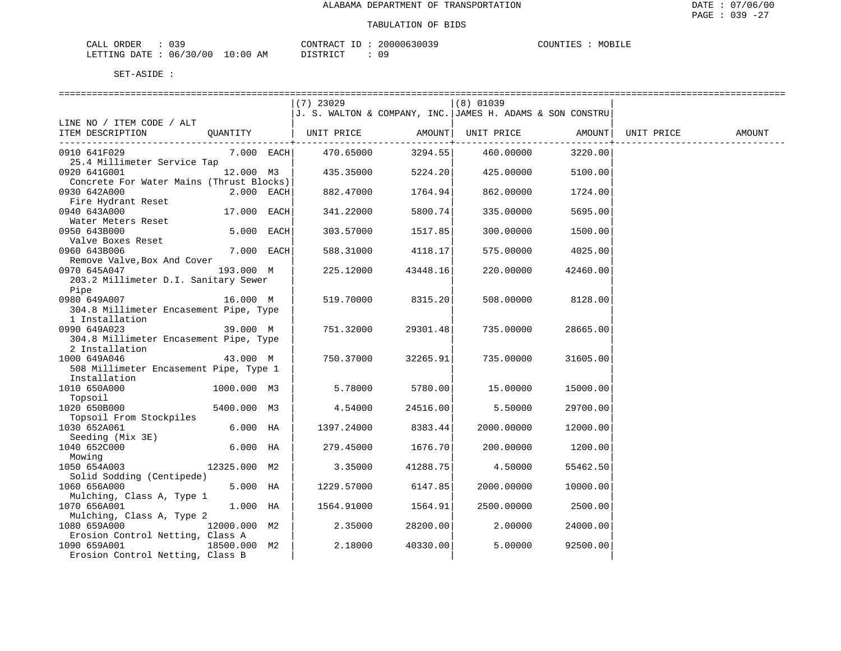MOBILE

| ORDER<br>CALL (              |  |    | CONTRACT ID                                                                                                                                  | 20000630039 | COUNTIES | MOBILE |
|------------------------------|--|----|----------------------------------------------------------------------------------------------------------------------------------------------|-------------|----------|--------|
| LETTING DATE: 06/30/00 10:00 |  | AΜ | ידי איר אידי פרי<br>-----<br>the contract of the contract of the contract of the contract of the contract of the contract of the contract of |             |          |        |

|                                          |              | $(7)$ 23029                                                     |          | (8) 01039              |              |            |        |
|------------------------------------------|--------------|-----------------------------------------------------------------|----------|------------------------|--------------|------------|--------|
|                                          |              | $J$ . S. WALTON & COMPANY, INC. $J$ AMES H. ADAMS & SON CONSTRU |          |                        |              |            |        |
| LINE NO / ITEM CODE / ALT                |              |                                                                 |          |                        |              |            |        |
| ITEM DESCRIPTION                         | QUANTITY     | UNIT PRICE                                                      |          | AMOUNT   UNIT PRICE    | AMOUNT       | UNIT PRICE | AMOUNT |
|                                          |              |                                                                 |          | ----------+----------- | -----------+ |            |        |
| 0910 641F029                             | $7.000$ EACH | 470.65000                                                       | 3294.55  | 460.00000              | 3220.00      |            |        |
| 25.4 Millimeter Service Tap              |              |                                                                 |          |                        |              |            |        |
| 0920 641G001                             | 12.000 M3    | 435.35000                                                       | 5224.20  | 425.00000              | 5100.00      |            |        |
| Concrete For Water Mains (Thrust Blocks) |              |                                                                 |          |                        |              |            |        |
| 0930 642A000                             | 2.000 EACH   | 882.47000                                                       | 1764.94  | 862.00000              | 1724.00      |            |        |
| Fire Hydrant Reset                       |              |                                                                 |          |                        |              |            |        |
| 0940 643A000                             | 17.000 EACH  | 341.22000                                                       | 5800.74  | 335.00000              | 5695.00      |            |        |
| Water Meters Reset                       |              |                                                                 |          |                        |              |            |        |
| 0950 643B000                             | 5.000 EACH   | 303.57000                                                       | 1517.85  | 300.00000              | 1500.00      |            |        |
| Valve Boxes Reset                        |              |                                                                 |          |                        |              |            |        |
| 0960 643B006                             | 7.000 EACH   | 588.31000                                                       | 4118.17  | 575.00000              | 4025.00      |            |        |
| Remove Valve, Box And Cover              |              |                                                                 |          |                        |              |            |        |
| 0970 645A047                             | 193.000 M    | 225.12000                                                       | 43448.16 | 220.00000              | 42460.00     |            |        |
| 203.2 Millimeter D.I. Sanitary Sewer     |              |                                                                 |          |                        |              |            |        |
| Pipe                                     |              |                                                                 |          |                        |              |            |        |
| 0980 649A007                             | 16.000 M     | 519.70000                                                       | 8315.20  | 508.00000              | 8128.00      |            |        |
| 304.8 Millimeter Encasement Pipe, Type   |              |                                                                 |          |                        |              |            |        |
| 1 Installation                           |              |                                                                 |          |                        |              |            |        |
| 0990 649A023                             | 39.000 M     | 751.32000                                                       | 29301.48 | 735.00000              | 28665.00     |            |        |
| 304.8 Millimeter Encasement Pipe, Type   |              |                                                                 |          |                        |              |            |        |
| 2 Installation                           |              |                                                                 |          |                        |              |            |        |
| 1000 649A046                             | 43.000 M     | 750.37000                                                       | 32265.91 | 735.00000              | 31605.00     |            |        |
| 508 Millimeter Encasement Pipe, Type 1   |              |                                                                 |          |                        |              |            |        |
| Installation                             |              |                                                                 |          |                        |              |            |        |
| 1010 650A000                             | 1000.000 M3  | 5.78000                                                         | 5780.00  | 15.00000               | 15000.00     |            |        |
| Topsoil                                  |              |                                                                 |          |                        |              |            |        |
| 1020 650B000                             | 5400.000 M3  | 4.54000                                                         | 24516.00 | 5.50000                | 29700.00     |            |        |
| Topsoil From Stockpiles                  |              |                                                                 |          |                        |              |            |        |
| 1030 652A061                             | $6.000$ HA   | 1397.24000                                                      | 8383.44  | 2000.00000             | 12000.00     |            |        |
| Seeding (Mix 3E)                         |              |                                                                 |          |                        |              |            |        |
| 1040 652C000                             | $6.000$ HA   | 279.45000                                                       | 1676.70  | 200.00000              | 1200.00      |            |        |
| Mowing                                   |              |                                                                 |          |                        |              |            |        |
| 1050 654A003                             | 12325.000 M2 | 3.35000                                                         | 41288.75 | 4.50000                | 55462.50     |            |        |
| Solid Sodding (Centipede)                |              |                                                                 |          |                        |              |            |        |
| 1060 656A000                             | 5.000 HA     | 1229.57000                                                      | 6147.85  | 2000.00000             | 10000.00     |            |        |
| Mulching, Class A, Type 1                |              |                                                                 |          |                        |              |            |        |
| 1070 656A001                             | 1.000 HA     | 1564.91000                                                      | 1564.91  | 2500.00000             | 2500.00      |            |        |
| Mulching, Class A, Type 2                |              |                                                                 |          |                        |              |            |        |
| 1080 659A000                             | 12000.000 M2 | 2.35000                                                         | 28200.00 | 2,00000                | 24000.00     |            |        |
| Erosion Control Netting, Class A         |              |                                                                 |          |                        |              |            |        |
| 1090 659A001<br>18500.000 M2             |              | 2.18000                                                         | 40330.00 | 5.00000                | 92500.00     |            |        |
| Erosion Control Netting, Class B         |              |                                                                 |          |                        |              |            |        |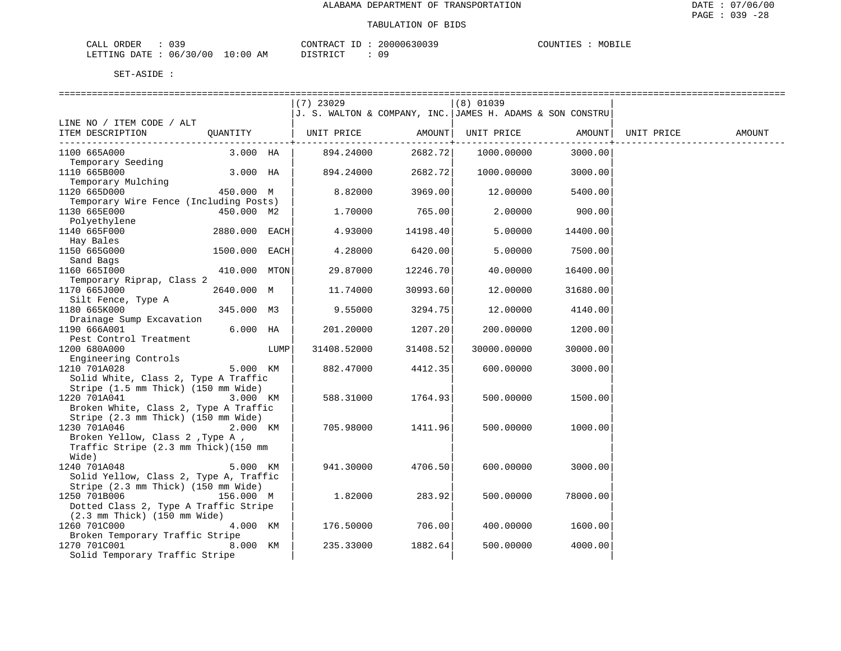| CALL ORDER<br>the contract of the contract of the contract of the contract of the contract of | 039 |            | CONTRACT ID | : 20000630039 | COUNTIES | MOBILE |
|-----------------------------------------------------------------------------------------------|-----|------------|-------------|---------------|----------|--------|
| LETTING DATE : 06/30/00                                                                       |     | ` 10:00 AM | DISTRICT    |               |          |        |

|                                                                               |               |      | $(7)$ 23029                                               |            | $(8)$ 01039 |          |            |        |
|-------------------------------------------------------------------------------|---------------|------|-----------------------------------------------------------|------------|-------------|----------|------------|--------|
|                                                                               |               |      | J. S. WALTON & COMPANY, INC. JAMES H. ADAMS & SON CONSTRU |            |             |          |            |        |
| LINE NO / ITEM CODE / ALT                                                     |               |      |                                                           |            |             |          |            |        |
| ITEM DESCRIPTION                                                              | OUANTITY      |      | UNIT PRICE                                                | AMOUNT     | UNIT PRICE  | AMOUNT   | UNIT PRICE | AMOUNT |
|                                                                               |               |      |                                                           | ---------+ |             |          |            |        |
| 1100 665A000                                                                  | 3.000 HA      |      | 894.24000                                                 | 2682.72    | 1000.00000  | 3000.00  |            |        |
| Temporary Seeding                                                             |               |      |                                                           |            |             |          |            |        |
| 1110 665B000                                                                  | 3.000 HA      |      | 894.24000                                                 | 2682.72    | 1000.00000  | 3000.00  |            |        |
| Temporary Mulching                                                            |               |      |                                                           |            |             |          |            |        |
| 1120 665D000                                                                  | 450.000 M     |      | 8.82000                                                   | 3969.00    | 12.00000    | 5400.00  |            |        |
| Temporary Wire Fence (Including Posts)<br>1130 665E000                        | 450.000 M2    |      |                                                           | 765.00     | 2.00000     | 900.00   |            |        |
| Polyethylene                                                                  |               |      | 1.70000                                                   |            |             |          |            |        |
| 1140 665F000                                                                  | 2880.000 EACH |      | 4.93000                                                   | 14198.40   | 5.00000     | 14400.00 |            |        |
| Hay Bales                                                                     |               |      |                                                           |            |             |          |            |        |
| 1150 665G000                                                                  | 1500.000      | EACH | 4.28000                                                   | 6420.00    | 5.00000     | 7500.00  |            |        |
| Sand Bags                                                                     |               |      |                                                           |            |             |          |            |        |
| 1160 6651000                                                                  | 410.000 MTON  |      | 29.87000                                                  | 12246.70   | 40.00000    | 16400.00 |            |        |
| Temporary Riprap, Class 2                                                     |               |      |                                                           |            |             |          |            |        |
| 1170 665J000                                                                  | 2640.000 M    |      | 11.74000                                                  | 30993.60   | 12.00000    | 31680.00 |            |        |
| Silt Fence, Type A                                                            |               |      |                                                           |            |             |          |            |        |
| 1180 665K000                                                                  | 345.000 M3    |      | 9.55000                                                   | 3294.75    | 12.00000    | 4140.00  |            |        |
| Drainage Sump Excavation                                                      |               |      |                                                           |            |             |          |            |        |
| 1190 666A001                                                                  | $6.000$ HA    |      | 201.20000                                                 | 1207.20    | 200.00000   | 1200.00  |            |        |
| Pest Control Treatment                                                        |               |      |                                                           |            |             |          |            |        |
| 1200 680A000                                                                  |               | LUMP | 31408.52000                                               | 31408.52   | 30000.00000 | 30000.00 |            |        |
| Engineering Controls                                                          |               |      |                                                           |            |             |          |            |        |
| 1210 701A028                                                                  | 5.000 KM      |      | 882.47000                                                 | 4412.35    | 600.00000   | 3000.00  |            |        |
| Solid White, Class 2, Type A Traffic                                          |               |      |                                                           |            |             |          |            |        |
| Stripe (1.5 mm Thick) (150 mm Wide)                                           |               |      |                                                           |            |             |          |            |        |
| 1220 701A041                                                                  | 3.000 KM      |      | 588.31000                                                 | 1764.93    | 500.00000   | 1500.00  |            |        |
| Broken White, Class 2, Type A Traffic                                         |               |      |                                                           |            |             |          |            |        |
| Stripe (2.3 mm Thick) (150 mm Wide)                                           |               |      |                                                           |            |             |          |            |        |
| 1230 701A046                                                                  | 2.000 KM      |      | 705.98000                                                 | 1411.96    | 500.00000   | 1000.00  |            |        |
| Broken Yellow, Class 2, Type A,                                               |               |      |                                                           |            |             |          |            |        |
| Traffic Stripe (2.3 mm Thick) (150 mm                                         |               |      |                                                           |            |             |          |            |        |
| Wide)<br>1240 701A048                                                         | 5.000 KM      |      | 941.30000                                                 | 4706.50    |             |          |            |        |
|                                                                               |               |      |                                                           |            | 600.00000   | 3000.00  |            |        |
| Solid Yellow, Class 2, Type A, Traffic<br>Stripe (2.3 mm Thick) (150 mm Wide) |               |      |                                                           |            |             |          |            |        |
| 1250 701B006                                                                  | 156.000 M     |      | 1.82000                                                   | 283.92     | 500.00000   | 78000.00 |            |        |
| Dotted Class 2, Type A Traffic Stripe                                         |               |      |                                                           |            |             |          |            |        |
| $(2.3 \, \text{mm} \, \text{Thick})$ $(150 \, \text{mm} \, \text{Wide})$      |               |      |                                                           |            |             |          |            |        |
| 1260 701C000                                                                  | 4.000 KM      |      | 176.50000                                                 | 706.00     | 400.00000   | 1600.00  |            |        |
| Broken Temporary Traffic Stripe                                               |               |      |                                                           |            |             |          |            |        |
| 1270 701C001                                                                  | 8.000 KM      |      | 235.33000                                                 | 1882.64    | 500.00000   | 4000.00  |            |        |
| Solid Temporary Traffic Stripe                                                |               |      |                                                           |            |             |          |            |        |
|                                                                               |               |      |                                                           |            |             |          |            |        |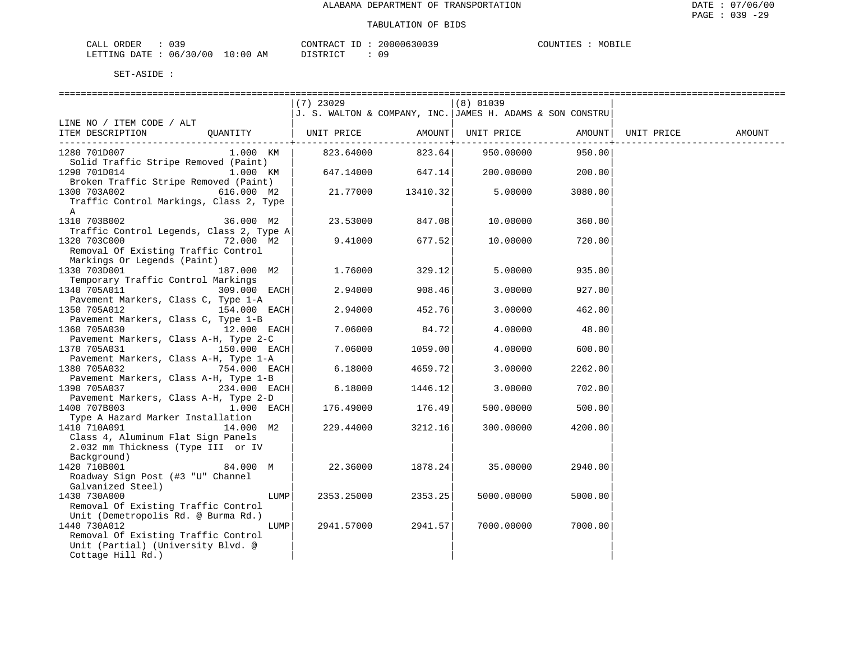| ∩RDER<br>⊺.⊺∆ר<br>---- | . U J -  |                                                                                                                                | CONTRACT | $\Box$ | 20000630039 | $\gamma$ דורורי $\gamma$ | MOBILF |
|------------------------|----------|--------------------------------------------------------------------------------------------------------------------------------|----------|--------|-------------|--------------------------|--------|
| LETTING DATE           | 06/30/00 | 10:00<br>AΜ<br>the contract of the contract of the contract of the contract of the contract of the contract of the contract of |          |        |             |                          |        |

|                                                                           | $(7)$ 23029                                               |          | $(8)$ 01039 |         |            |        |
|---------------------------------------------------------------------------|-----------------------------------------------------------|----------|-------------|---------|------------|--------|
|                                                                           | J. S. WALTON & COMPANY, INC. JAMES H. ADAMS & SON CONSTRU |          |             |         |            |        |
| LINE NO / ITEM CODE / ALT                                                 |                                                           |          |             |         |            |        |
| ITEM DESCRIPTION<br>OUANTITY                                              | UNIT PRICE                                                | AMOUNT   | UNIT PRICE  | AMOUNT  | UNIT PRICE | AMOUNT |
|                                                                           |                                                           |          |             |         |            |        |
| 1280 701D007<br>1.000 KM                                                  | 823.64000                                                 | 823.64   | 950.00000   | 950.00  |            |        |
| Solid Traffic Stripe Removed (Paint)                                      |                                                           |          |             |         |            |        |
| 1290 701D014<br>1.000 KM                                                  | 647.14000                                                 | 647.14   | 200.00000   | 200.00  |            |        |
| Broken Traffic Stripe Removed (Paint)                                     |                                                           |          |             |         |            |        |
| 1300 703A002<br>616.000 M2                                                | 21.77000                                                  | 13410.32 | 5.00000     | 3080.00 |            |        |
| Traffic Control Markings, Class 2, Type                                   |                                                           |          |             |         |            |        |
| A                                                                         |                                                           |          |             |         |            |        |
| 1310 703B002<br>36.000 M2                                                 | 23.53000                                                  | 847.08   | 10.00000    | 360.00  |            |        |
| Traffic Control Legends, Class 2, Type A                                  |                                                           |          |             |         |            |        |
| 1320 703C000<br>72.000 M2                                                 | 9.41000                                                   | 677.52   | 10.00000    | 720.00  |            |        |
| Removal Of Existing Traffic Control                                       |                                                           |          |             |         |            |        |
| Markings Or Legends (Paint)                                               |                                                           |          |             |         |            |        |
| 1330 703D001<br>187.000 M2                                                | 1.76000                                                   | 329.12   | 5.00000     | 935.00  |            |        |
| Temporary Traffic Control Markings                                        |                                                           |          |             |         |            |        |
| 1340 705A011<br>309.000 EACH                                              | 2.94000                                                   | 908.46   | 3.00000     | 927.00  |            |        |
| Pavement Markers, Class C, Type 1-A                                       |                                                           |          |             |         |            |        |
| 1350 705A012<br>154.000 EACH                                              | 2.94000                                                   | 452.76   | 3.00000     | 462.00  |            |        |
| Pavement Markers, Class C, Type 1-B                                       |                                                           |          |             |         |            |        |
| 1360 705A030<br>12.000 EACH                                               | 7.06000                                                   | 84.72    | 4.00000     | 48.00   |            |        |
| Pavement Markers, Class A-H, Type 2-C                                     |                                                           |          |             |         |            |        |
| 1370 705A031<br>150.000 EACH                                              | 7.06000                                                   | 1059.00  | 4.00000     | 600.00  |            |        |
| Pavement Markers, Class A-H, Type 1-A                                     |                                                           |          |             |         |            |        |
| 1380 705A032<br>754.000 EACH                                              | 6.18000                                                   | 4659.72  | 3.00000     | 2262.00 |            |        |
| Pavement Markers, Class A-H, Type 1-B                                     |                                                           |          |             |         |            |        |
| 1390 705A037<br>234.000 EACH                                              | 6.18000                                                   | 1446.12  | 3.00000     | 702.00  |            |        |
| Pavement Markers, Class A-H, Type 2-D                                     |                                                           |          |             |         |            |        |
| 1400 707B003<br>$1.000$ EACH                                              | 176.49000                                                 | 176.49   | 500.00000   | 500.00  |            |        |
| Type A Hazard Marker Installation                                         |                                                           |          |             |         |            |        |
| 1410 710A091<br>14.000 M2                                                 | 229.44000                                                 | 3212.16  | 300.00000   | 4200.00 |            |        |
| Class 4, Aluminum Flat Sign Panels                                        |                                                           |          |             |         |            |        |
| 2.032 mm Thickness (Type III or IV                                        |                                                           |          |             |         |            |        |
| Background)                                                               |                                                           |          |             |         |            |        |
| 1420 710B001<br>84.000 M                                                  | 22.36000                                                  | 1878.24  | 35.00000    | 2940.00 |            |        |
| Roadway Sign Post (#3 "U" Channel                                         |                                                           |          |             |         |            |        |
| Galvanized Steel)                                                         |                                                           |          |             |         |            |        |
| 1430 730A000<br>LUMP                                                      | 2353.25000                                                | 2353.25  | 5000.00000  | 5000.00 |            |        |
| Removal Of Existing Traffic Control                                       |                                                           |          |             |         |            |        |
| Unit (Demetropolis Rd. @ Burma Rd.)                                       |                                                           |          |             |         |            |        |
| 1440 730A012<br>LUMP                                                      | 2941.57000                                                | 2941.57  | 7000.00000  | 7000.00 |            |        |
| Removal Of Existing Traffic Control<br>Unit (Partial) (University Blvd. @ |                                                           |          |             |         |            |        |
| Cottage Hill Rd.)                                                         |                                                           |          |             |         |            |        |
|                                                                           |                                                           |          |             |         |            |        |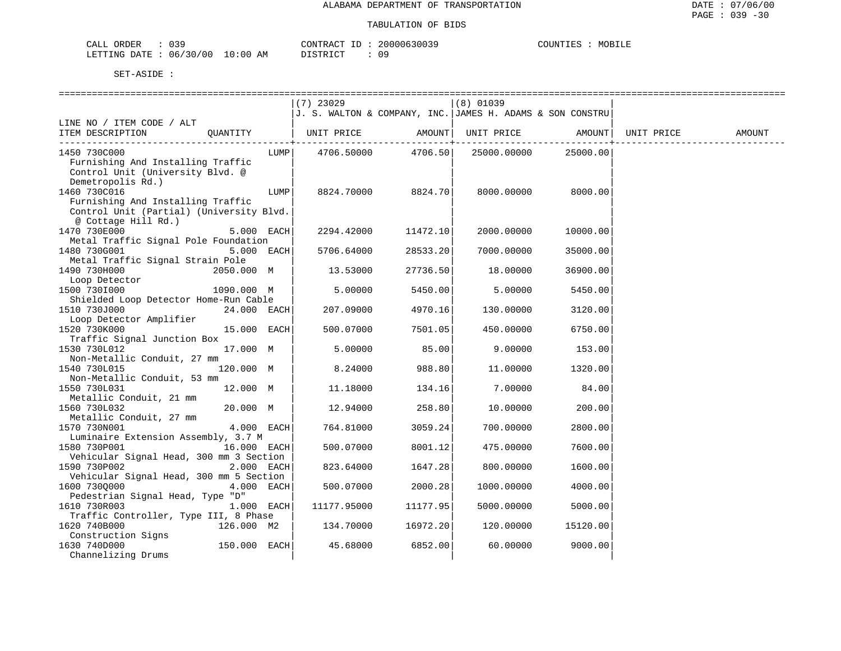MOBILE

| ORDER<br>CALL (              |  |    | CONTRACT ID:   |  | 20000630039 | COUNTIES | MOBILE |
|------------------------------|--|----|----------------|--|-------------|----------|--------|
| LETTING DATE: 06/30/00 10:00 |  | AM | חי הדי אידי את |  |             |          |        |

|                                          |                |      | $(7)$ 23029                                               |          | $(8)$ 01039 |          |            |        |
|------------------------------------------|----------------|------|-----------------------------------------------------------|----------|-------------|----------|------------|--------|
|                                          |                |      | J. S. WALTON & COMPANY, INC. JAMES H. ADAMS & SON CONSTRU |          |             |          |            |        |
| LINE NO / ITEM CODE / ALT                |                |      |                                                           |          |             |          |            |        |
| ITEM DESCRIPTION                         | OUANTITY       |      | UNIT PRICE                                                | AMOUNT   | UNIT PRICE  | AMOUNT   | UNIT PRICE | AMOUNT |
| 1450 730C000                             |                | LUMP | 4706.50000                                                | 4706.50  | 25000.00000 | 25000.00 |            |        |
| Furnishing And Installing Traffic        |                |      |                                                           |          |             |          |            |        |
| Control Unit (University Blvd. @         |                |      |                                                           |          |             |          |            |        |
|                                          |                |      |                                                           |          |             |          |            |        |
| Demetropolis Rd.)                        |                |      |                                                           |          |             |          |            |        |
| 1460 730C016                             |                | LUMP | 8824.70000                                                | 8824.70  | 8000.00000  | 8000.00  |            |        |
| Furnishing And Installing Traffic        |                |      |                                                           |          |             |          |            |        |
| Control Unit (Partial) (University Blvd. |                |      |                                                           |          |             |          |            |        |
| @ Cottage Hill Rd.)                      |                |      |                                                           |          |             |          |            |        |
| 1470 730E000                             | $5.000$ EACH   |      | 2294.42000                                                | 11472.10 | 2000.00000  | 10000.00 |            |        |
| Metal Traffic Signal Pole Foundation     |                |      |                                                           |          |             |          |            |        |
| 1480 730G001                             | $5.000$ EACH   |      | 5706.64000                                                | 28533.20 | 7000.00000  | 35000.00 |            |        |
| Metal Traffic Signal Strain Pole         |                |      |                                                           |          |             |          |            |        |
| 1490 730H000                             | 2050.000 M     |      | 13.53000                                                  | 27736.50 | 18.00000    | 36900.00 |            |        |
| Loop Detector                            |                |      |                                                           |          |             |          |            |        |
| 1500 7301000                             | 1090.000 M     |      | 5.00000                                                   | 5450.00  | 5.00000     | 5450.00  |            |        |
| Shielded Loop Detector Home-Run Cable    |                |      |                                                           |          |             |          |            |        |
| 1510 730J000                             | $24.000$ EACH  |      | 207.09000                                                 | 4970.16  | 130.00000   | 3120.00  |            |        |
| Loop Detector Amplifier                  |                |      |                                                           |          |             |          |            |        |
| 1520 730K000                             | $15.000$ EACH  |      | 500.07000                                                 | 7501.05  | 450.00000   | 6750.00  |            |        |
| Traffic Signal Junction Box              |                |      |                                                           |          |             |          |            |        |
| 1530 730L012                             | 17.000 M       |      | 5.00000                                                   | 85.00    | 9,00000     | 153.00   |            |        |
| Non-Metallic Conduit, 27 mm              |                |      |                                                           |          |             |          |            |        |
| 1540 730L015                             | 120.000 M      |      | 8.24000                                                   | 988.80   | 11,00000    | 1320.00  |            |        |
| Non-Metallic Conduit, 53 mm              |                |      |                                                           |          |             |          |            |        |
| 1550 730L031                             | 12.000 M       |      | 11.18000                                                  | 134.16   | 7.00000     | 84.00    |            |        |
| Metallic Conduit, 21 mm                  |                |      |                                                           |          |             |          |            |        |
| 1560 730L032                             | 20.000 M       |      | 12.94000                                                  | 258.80   | 10.00000    | 200.00   |            |        |
| Metallic Conduit, 27 mm                  |                |      |                                                           |          |             |          |            |        |
| 1570 730N001                             | $4.000$ EACH   |      | 764.81000                                                 | 3059.24  | 700.00000   | 2800.00  |            |        |
| Luminaire Extension Assembly, 3.7 M      |                |      |                                                           |          |             |          |            |        |
| 1580 730P001                             | 16.000 EACH    |      | 500.07000                                                 | 8001.12  | 475.00000   | 7600.00  |            |        |
| Vehicular Signal Head, 300 mm 3 Section  |                |      |                                                           |          |             |          |            |        |
| 1590 730P002                             | 2.000 EACH     |      | 823.64000                                                 | 1647.28  | 800.00000   | 1600.00  |            |        |
| Vehicular Signal Head, 300 mm 5 Section  |                |      |                                                           |          |             |          |            |        |
| 1600 7300000                             | 4.000 EACH     |      | 500.07000                                                 | 2000.28  | 1000.00000  | 4000.00  |            |        |
| Pedestrian Signal Head, Type "D"         |                |      |                                                           |          |             |          |            |        |
| 1610 730R003                             | $1.000$ EACH   |      | 11177.95000                                               | 11177.95 | 5000.00000  | 5000.00  |            |        |
| Traffic Controller, Type III, 8 Phase    |                |      |                                                           |          |             |          |            |        |
| 1620 740B000                             | 126.000 M2     |      | 134.70000                                                 | 16972.20 | 120.00000   | 15120.00 |            |        |
| Construction Signs                       |                |      |                                                           |          |             |          |            |        |
| 1630 740D000                             | $150.000$ EACH |      | 45.68000                                                  | 6852.00  | 60.00000    | 9000.00  |            |        |
| Channelizing Drums                       |                |      |                                                           |          |             |          |            |        |
|                                          |                |      |                                                           |          |             |          |            |        |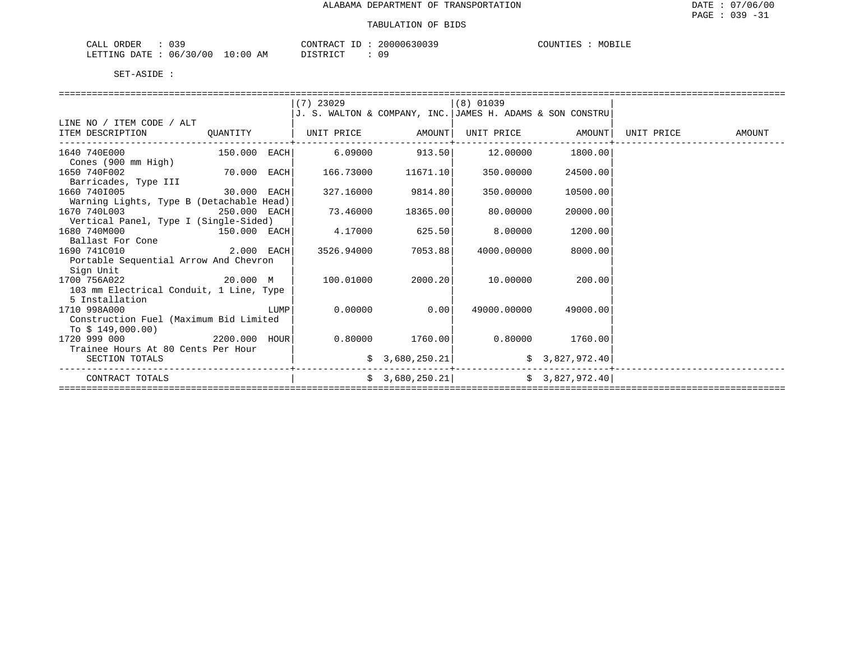| $\cap$ $\cap$<br>CALL<br>ORDER |             | CONTRACT                         | 20000630039             | COUNTIES<br>MOBILE |
|--------------------------------|-------------|----------------------------------|-------------------------|--------------------|
| 06/30/00<br>LETTING DATE       | 10:00<br>ΆM | חי היה דגודו בת<br>, , , , , , , | $^{\prime}$ $^{\prime}$ |                    |

| J. S. WALTON & COMPANY, INC. JAMES H. ADAMS & SON CONSTRU<br>LINE NO / ITEM CODE / ALT<br>ITEM DESCRIPTION<br>UNIT PRICE<br>AMOUNT<br>UNIT PRICE<br>AMOUNT<br>UNIT PRICE<br>QUANTITY<br>AMOUNT<br>1640 740E000<br>6.09000<br>913.50<br>12,00000<br>1800.00<br>150.000 EACH <br>Cones (900 mm High)<br>1650 740F002<br>70.000<br>166.73000<br>11671.10<br>350.00000<br>EACH<br>24500.00<br>Barricades, Type III<br>1660 7401005<br>9814.80<br>30.000 EACH<br>327.16000<br>350.00000<br>10500.00<br>Warning Lights, Type B (Detachable Head)<br>1670 740L003<br>73.46000<br>18365.00<br>80.00000<br>20000.00<br>250.000 EACH<br>Vertical Panel, Type I (Single-Sided)<br>1680 740M000<br>$150.000$ EACH<br>4.17000<br>625.50<br>8.00000<br>1200.00<br>Ballast For Cone<br>2.000 EACH<br>1690 741C010<br>3526.94000<br>7053.88<br>4000.00000<br>8000.00<br>Portable Sequential Arrow And Chevron<br>Sign Unit<br>1700 756A022<br>20.000 M<br>100.01000<br>2000.20<br>10.00000<br>200.00<br>103 mm Electrical Conduit, 1 Line, Type<br>5 Installation<br>1710 998A000<br>0.00000<br>0.00<br>49000.00000<br>LUMP<br>49000.00<br>Construction Fuel (Maximum Bid Limited<br>To $$149,000.00)$<br>1760.00<br>0.80000<br>1720 999 000<br>2200.000 HOUR<br>0.80000<br>1760.00<br>Trainee Hours At 80 Cents Per Hour<br>\$3,680,250.21<br>\$3,827,972.40<br>SECTION TOTALS<br>\$3,827,972.40<br>\$3,680,250.21<br>CONTRACT TOTALS |  |             |             |  |  |
|------------------------------------------------------------------------------------------------------------------------------------------------------------------------------------------------------------------------------------------------------------------------------------------------------------------------------------------------------------------------------------------------------------------------------------------------------------------------------------------------------------------------------------------------------------------------------------------------------------------------------------------------------------------------------------------------------------------------------------------------------------------------------------------------------------------------------------------------------------------------------------------------------------------------------------------------------------------------------------------------------------------------------------------------------------------------------------------------------------------------------------------------------------------------------------------------------------------------------------------------------------------------------------------------------------------------------------------------------------------------------------------------------------------------|--|-------------|-------------|--|--|
|                                                                                                                                                                                                                                                                                                                                                                                                                                                                                                                                                                                                                                                                                                                                                                                                                                                                                                                                                                                                                                                                                                                                                                                                                                                                                                                                                                                                                        |  | $(7)$ 23029 | $(8)$ 01039 |  |  |
|                                                                                                                                                                                                                                                                                                                                                                                                                                                                                                                                                                                                                                                                                                                                                                                                                                                                                                                                                                                                                                                                                                                                                                                                                                                                                                                                                                                                                        |  |             |             |  |  |
|                                                                                                                                                                                                                                                                                                                                                                                                                                                                                                                                                                                                                                                                                                                                                                                                                                                                                                                                                                                                                                                                                                                                                                                                                                                                                                                                                                                                                        |  |             |             |  |  |
|                                                                                                                                                                                                                                                                                                                                                                                                                                                                                                                                                                                                                                                                                                                                                                                                                                                                                                                                                                                                                                                                                                                                                                                                                                                                                                                                                                                                                        |  |             |             |  |  |
|                                                                                                                                                                                                                                                                                                                                                                                                                                                                                                                                                                                                                                                                                                                                                                                                                                                                                                                                                                                                                                                                                                                                                                                                                                                                                                                                                                                                                        |  |             |             |  |  |
|                                                                                                                                                                                                                                                                                                                                                                                                                                                                                                                                                                                                                                                                                                                                                                                                                                                                                                                                                                                                                                                                                                                                                                                                                                                                                                                                                                                                                        |  |             |             |  |  |
|                                                                                                                                                                                                                                                                                                                                                                                                                                                                                                                                                                                                                                                                                                                                                                                                                                                                                                                                                                                                                                                                                                                                                                                                                                                                                                                                                                                                                        |  |             |             |  |  |
|                                                                                                                                                                                                                                                                                                                                                                                                                                                                                                                                                                                                                                                                                                                                                                                                                                                                                                                                                                                                                                                                                                                                                                                                                                                                                                                                                                                                                        |  |             |             |  |  |
|                                                                                                                                                                                                                                                                                                                                                                                                                                                                                                                                                                                                                                                                                                                                                                                                                                                                                                                                                                                                                                                                                                                                                                                                                                                                                                                                                                                                                        |  |             |             |  |  |
|                                                                                                                                                                                                                                                                                                                                                                                                                                                                                                                                                                                                                                                                                                                                                                                                                                                                                                                                                                                                                                                                                                                                                                                                                                                                                                                                                                                                                        |  |             |             |  |  |
|                                                                                                                                                                                                                                                                                                                                                                                                                                                                                                                                                                                                                                                                                                                                                                                                                                                                                                                                                                                                                                                                                                                                                                                                                                                                                                                                                                                                                        |  |             |             |  |  |
|                                                                                                                                                                                                                                                                                                                                                                                                                                                                                                                                                                                                                                                                                                                                                                                                                                                                                                                                                                                                                                                                                                                                                                                                                                                                                                                                                                                                                        |  |             |             |  |  |
|                                                                                                                                                                                                                                                                                                                                                                                                                                                                                                                                                                                                                                                                                                                                                                                                                                                                                                                                                                                                                                                                                                                                                                                                                                                                                                                                                                                                                        |  |             |             |  |  |
|                                                                                                                                                                                                                                                                                                                                                                                                                                                                                                                                                                                                                                                                                                                                                                                                                                                                                                                                                                                                                                                                                                                                                                                                                                                                                                                                                                                                                        |  |             |             |  |  |
|                                                                                                                                                                                                                                                                                                                                                                                                                                                                                                                                                                                                                                                                                                                                                                                                                                                                                                                                                                                                                                                                                                                                                                                                                                                                                                                                                                                                                        |  |             |             |  |  |
|                                                                                                                                                                                                                                                                                                                                                                                                                                                                                                                                                                                                                                                                                                                                                                                                                                                                                                                                                                                                                                                                                                                                                                                                                                                                                                                                                                                                                        |  |             |             |  |  |
|                                                                                                                                                                                                                                                                                                                                                                                                                                                                                                                                                                                                                                                                                                                                                                                                                                                                                                                                                                                                                                                                                                                                                                                                                                                                                                                                                                                                                        |  |             |             |  |  |
|                                                                                                                                                                                                                                                                                                                                                                                                                                                                                                                                                                                                                                                                                                                                                                                                                                                                                                                                                                                                                                                                                                                                                                                                                                                                                                                                                                                                                        |  |             |             |  |  |
|                                                                                                                                                                                                                                                                                                                                                                                                                                                                                                                                                                                                                                                                                                                                                                                                                                                                                                                                                                                                                                                                                                                                                                                                                                                                                                                                                                                                                        |  |             |             |  |  |
|                                                                                                                                                                                                                                                                                                                                                                                                                                                                                                                                                                                                                                                                                                                                                                                                                                                                                                                                                                                                                                                                                                                                                                                                                                                                                                                                                                                                                        |  |             |             |  |  |
|                                                                                                                                                                                                                                                                                                                                                                                                                                                                                                                                                                                                                                                                                                                                                                                                                                                                                                                                                                                                                                                                                                                                                                                                                                                                                                                                                                                                                        |  |             |             |  |  |
|                                                                                                                                                                                                                                                                                                                                                                                                                                                                                                                                                                                                                                                                                                                                                                                                                                                                                                                                                                                                                                                                                                                                                                                                                                                                                                                                                                                                                        |  |             |             |  |  |
|                                                                                                                                                                                                                                                                                                                                                                                                                                                                                                                                                                                                                                                                                                                                                                                                                                                                                                                                                                                                                                                                                                                                                                                                                                                                                                                                                                                                                        |  |             |             |  |  |
|                                                                                                                                                                                                                                                                                                                                                                                                                                                                                                                                                                                                                                                                                                                                                                                                                                                                                                                                                                                                                                                                                                                                                                                                                                                                                                                                                                                                                        |  |             |             |  |  |
|                                                                                                                                                                                                                                                                                                                                                                                                                                                                                                                                                                                                                                                                                                                                                                                                                                                                                                                                                                                                                                                                                                                                                                                                                                                                                                                                                                                                                        |  |             |             |  |  |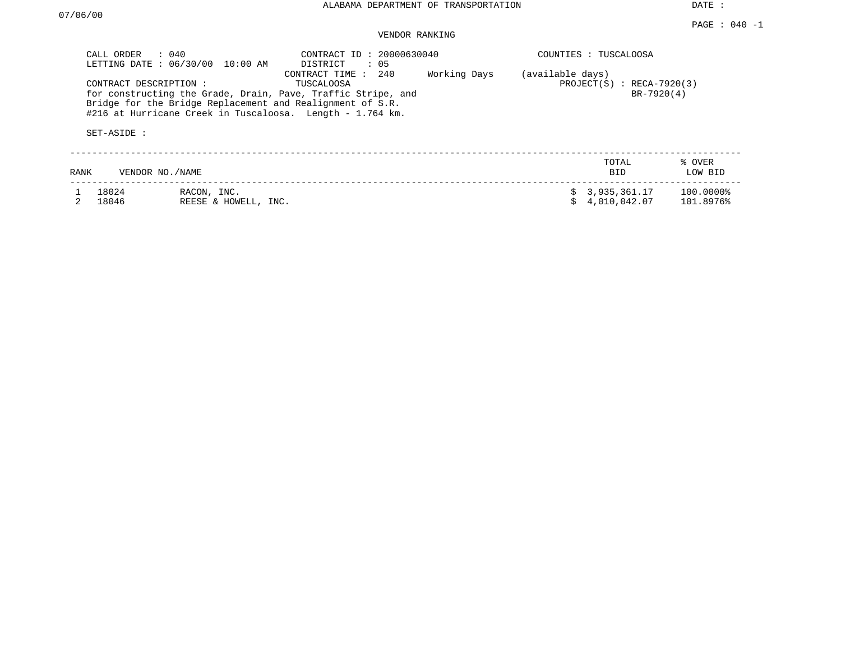DATE :

# VENDOR RANKING

| CALL ORDER : 040<br>LETTING DATE: 06/30/00 | 10:00 AM                                                  | CONTRACT ID: 20000630040<br>DISTRICT<br>: 05                                                                                                                      |              |                  | COUNTIES : TUSCALOOSA                     |                        |
|--------------------------------------------|-----------------------------------------------------------|-------------------------------------------------------------------------------------------------------------------------------------------------------------------|--------------|------------------|-------------------------------------------|------------------------|
| CONTRACT DESCRIPTION:<br>SET-ASIDE :       | Bridge for the Bridge Replacement and Realignment of S.R. | 240<br>CONTRACT TIME :<br>TUSCALOOSA<br>for constructing the Grade, Drain, Pave, Traffic Stripe, and<br>#216 at Hurricane Creek in Tuscaloosa. Length - 1.764 km. | Working Days | (available days) | $PROJECT(S)$ : RECA-7920(3)<br>BR-7920(4) |                        |
| VENDOR NO./NAME<br>RANK                    |                                                           |                                                                                                                                                                   |              |                  | TOTAL<br><b>BID</b>                       | % OVER<br>LOW BID      |
| 18024<br>18046                             | RACON, INC.<br>REESE & HOWELL, INC.                       |                                                                                                                                                                   |              |                  | 3,935,361.17<br>4,010,042.07              | 100.0000%<br>101.8976% |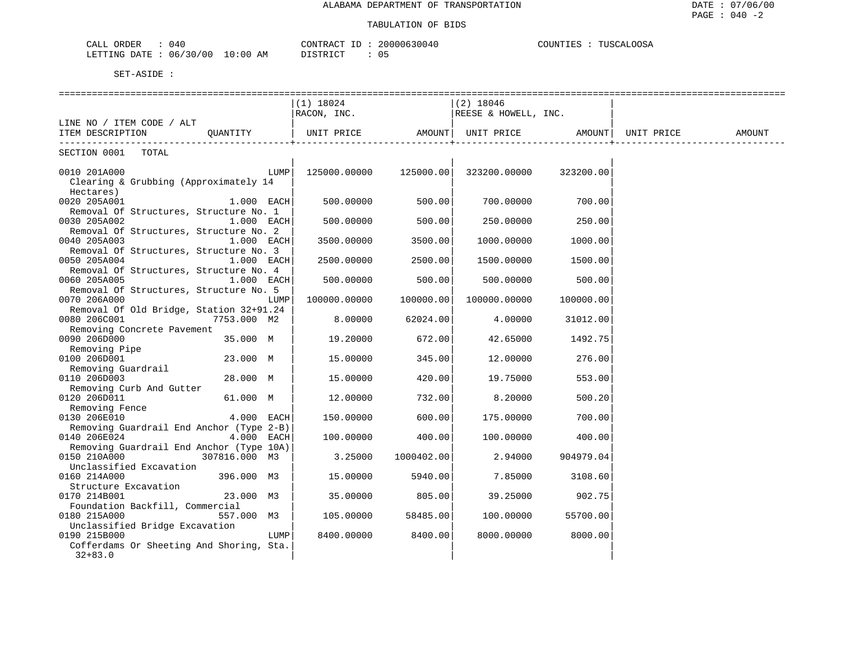| ORDER<br>CALL | 040      |             | CONTRACT       | 20000630040 | COUNTIES | TUSCALOOSA |
|---------------|----------|-------------|----------------|-------------|----------|------------|
| LETTING DATE  | 06/30/00 | 10:00<br>AM | ידת דפידים דרי | 05          |          |            |

|                                          |               |      | $(1)$ 18024       |            | (2) 18046                             |           |            |        |
|------------------------------------------|---------------|------|-------------------|------------|---------------------------------------|-----------|------------|--------|
|                                          |               |      | RACON, INC.       |            | REESE & HOWELL, INC.                  |           |            |        |
| LINE NO / ITEM CODE / ALT                |               |      |                   |            |                                       |           |            |        |
| ITEM DESCRIPTION QUANTITY                |               |      | UNIT PRICE AMOUNT |            | UNIT PRICE AMOUNT                     |           | UNIT PRICE | AMOUNT |
| ------------------------                 |               |      |                   |            |                                       |           |            |        |
| SECTION 0001 TOTAL                       |               |      |                   |            |                                       |           |            |        |
|                                          |               |      |                   |            |                                       |           |            |        |
| 0010 201A000                             |               | LUMP |                   |            | 125000.00000  125000.00  323200.00000 | 323200.00 |            |        |
| Clearing & Grubbing (Approximately 14    |               |      |                   |            |                                       |           |            |        |
| Hectares)                                |               |      |                   |            |                                       |           |            |        |
| 0020 205A001                             | $1.000$ EACH  |      | 500.00000         | 500.00     | 700.00000                             | 700.00    |            |        |
| Removal Of Structures, Structure No. 1   |               |      |                   |            |                                       |           |            |        |
| 0030 205A002                             | $1.000$ EACH  |      | 500.00000         | 500.00     | 250.00000                             | 250.00    |            |        |
| Removal Of Structures, Structure No. 2   |               |      |                   |            |                                       |           |            |        |
| 0040 205A003                             | $1.000$ EACH  |      | 3500.00000        | 3500.00    | 1000.00000                            | 1000.00   |            |        |
| Removal Of Structures, Structure No. 3   |               |      |                   |            |                                       |           |            |        |
| 0050 205A004                             | $1.000$ EACH  |      | 2500.00000        | 2500.00    | 1500.00000                            | 1500.00   |            |        |
| Removal Of Structures, Structure No. 4   |               |      |                   |            |                                       |           |            |        |
| 0060 205A005                             | $1.000$ EACH  |      | 500.00000         | 500.00     | 500.00000                             | 500.00    |            |        |
| Removal Of Structures, Structure No. 5   |               |      |                   |            |                                       |           |            |        |
| 0070 206A000                             |               | LUMP | 100000.00000      | 100000.00  | 100000.00000                          | 100000.00 |            |        |
| Removal Of Old Bridge, Station 32+91.24  |               |      |                   |            |                                       |           |            |        |
| 0080 206C001                             |               |      |                   |            |                                       |           |            |        |
| Removing Concrete Pavement               | 7753.000 M2   |      | 8.00000           | 62024.00   | 4.00000                               | 31012.00  |            |        |
|                                          |               |      |                   |            |                                       |           |            |        |
| 0090 206D000                             | 35.000 M      |      | 19.20000          | 672.00     | 42.65000                              | 1492.75   |            |        |
| Removing Pipe                            |               |      |                   |            |                                       |           |            |        |
| 0100 206D001                             | 23.000 M      |      | 15.00000          | 345.00     | 12.00000                              | 276.00    |            |        |
| Removing Guardrail                       |               |      |                   |            |                                       |           |            |        |
| 0110 206D003                             | 28.000 M      |      | 15.00000          | 420.00     | 19.75000                              | 553.00    |            |        |
| Removing Curb And Gutter                 |               |      |                   |            |                                       |           |            |        |
| 0120 206D011                             | 61.000 M      |      | 12.00000          | 732.00     | 8.20000                               | 500.20    |            |        |
| Removing Fence                           |               |      |                   |            |                                       |           |            |        |
| 0130 206E010                             | $4.000$ EACH  |      | 150.00000         | 600.00     | 175.00000                             | 700.00    |            |        |
| Removing Guardrail End Anchor (Type 2-B) |               |      |                   |            |                                       |           |            |        |
| 0140 206E024                             | 4.000 EACH    |      | 100.00000         | 400.00     | 100.00000                             | 400.00    |            |        |
| Removing Guardrail End Anchor (Type 10A) |               |      |                   |            |                                       |           |            |        |
| 0150 210A000                             | 307816.000 M3 |      | 3.25000           | 1000402.00 | 2.94000                               | 904979.04 |            |        |
| Unclassified Excavation                  |               |      |                   |            |                                       |           |            |        |
| 0160 214A000                             | 396.000 M3    |      | 15.00000          | 5940.00    | 7.85000                               | 3108.60   |            |        |
| Structure Excavation                     |               |      |                   |            |                                       |           |            |        |
| 0170 214B001                             | 23.000 M3     |      | 35.00000          | 805.00     | 39.25000                              | 902.75    |            |        |
| Foundation Backfill, Commercial          |               |      |                   |            |                                       |           |            |        |
| 0180 215A000                             | 557.000 M3    |      | 105.00000         | 58485.00   | 100.00000                             | 55700.00  |            |        |
| Unclassified Bridge Excavation           |               |      |                   |            |                                       |           |            |        |
| 0190 215B000                             |               | LUMP | 8400.00000        | 8400.00    | 8000.00000                            | 8000.00   |            |        |
| Cofferdams Or Sheeting And Shoring, Sta. |               |      |                   |            |                                       |           |            |        |
| $32 + 83.0$                              |               |      |                   |            |                                       |           |            |        |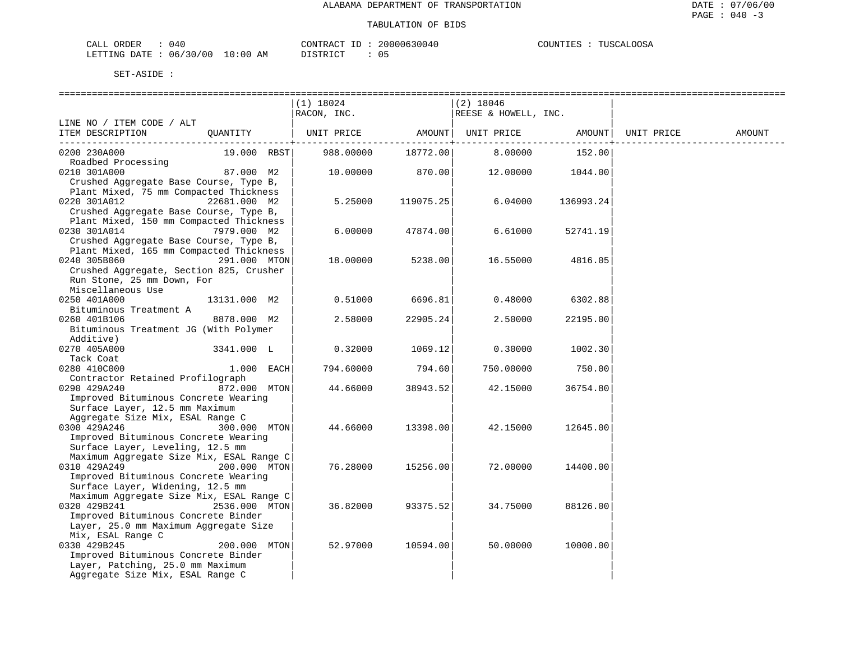| 040<br>CALL ORDER               | CONTRACT ID: 20000630040 | COUNTIES : TUSCALOOSA |
|---------------------------------|--------------------------|-----------------------|
| LETTING DATE: 06/30/00 10:00 AM | DISTRICT                 |                       |

DISTRICT : 05

|                                                        |               | (1) 18024   |           | $(2)$ 18046          |                  |            |        |
|--------------------------------------------------------|---------------|-------------|-----------|----------------------|------------------|------------|--------|
|                                                        |               | RACON, INC. |           | REESE & HOWELL, INC. |                  |            |        |
| LINE NO / ITEM CODE / ALT                              |               |             |           |                      |                  |            |        |
| ITEM DESCRIPTION                                       | OUANTITY      | UNIT PRICE  | AMOUNT    | UNIT PRICE           | AMOUNT           | UNIT PRICE | AMOUNT |
| 0200 230A000                                           | 19.000 RBST   | 988.00000   | 18772.00  | 8.00000              | 152.00           |            |        |
| Roadbed Processing                                     | $87.000$ M2   |             |           |                      |                  |            |        |
| 0210 301A000<br>Crushed Aggregate Base Course, Type B, |               | 10.00000    | 870.00    |                      | 12.00000 1044.00 |            |        |
| Plant Mixed, 75 mm Compacted Thickness                 |               |             |           |                      |                  |            |        |
| 0220 301A012                                           | 22681.000 M2  | 5.25000     | 119075.25 | 6.04000              | 136993.24        |            |        |
| Crushed Aggregate Base Course, Type B,                 |               |             |           |                      |                  |            |        |
| Plant Mixed, 150 mm Compacted Thickness                |               |             |           |                      |                  |            |        |
| 0230 301A014                                           | 7979.000 M2   | 6.00000     | 47874.00  | 6.61000              | 52741.19         |            |        |
| Crushed Aggregate Base Course, Type B,                 |               |             |           |                      |                  |            |        |
| Plant Mixed, 165 mm Compacted Thickness                |               |             |           |                      |                  |            |        |
| 0240 305B060<br>291.000 MTON                           |               | 18.00000    | 5238.00   | 16.55000             | 4816.05          |            |        |
| Crushed Aggregate, Section 825, Crusher                |               |             |           |                      |                  |            |        |
| Run Stone, 25 mm Down, For                             |               |             |           |                      |                  |            |        |
| Miscellaneous Use                                      |               |             |           |                      |                  |            |        |
| 0250 401A000                                           | 13131.000 M2  | 0.51000     | 6696.81   | 0.48000              | 6302.88          |            |        |
| Bituminous Treatment A                                 |               |             |           |                      |                  |            |        |
| 0260 401B106                                           | 8878.000 M2   | 2.58000     | 22905.24  | 2.50000              | 22195.00         |            |        |
| Bituminous Treatment JG (With Polymer                  |               |             |           |                      |                  |            |        |
| Additive)                                              |               |             |           |                      |                  |            |        |
| 0270 405A000                                           | 3341.000 L    | 0.32000     | 1069.12   | 0.30000              | 1002.30          |            |        |
| Tack Coat                                              |               |             |           |                      |                  |            |        |
| 0280 410C000                                           | $1.000$ EACH  | 794.60000   | 794.60    | 750.00000            | 750.00           |            |        |
| Contractor Retained Profilograph                       | 872.000 MTON  |             |           |                      |                  |            |        |
| 0290 429A240<br>Improved Bituminous Concrete Wearing   |               | 44.66000    | 38943.52  | 42.15000             | 36754.80         |            |        |
| Surface Layer, 12.5 mm Maximum                         |               |             |           |                      |                  |            |        |
| Aggregate Size Mix, ESAL Range C                       |               |             |           |                      |                  |            |        |
| 0300 429A246                                           | 300.000 MTON  | 44.66000    | 13398.00  | 42.15000             | 12645.00         |            |        |
| Improved Bituminous Concrete Wearing                   |               |             |           |                      |                  |            |        |
| Surface Layer, Leveling, 12.5 mm                       |               |             |           |                      |                  |            |        |
| Maximum Aggregate Size Mix, ESAL Range C               |               |             |           |                      |                  |            |        |
| 0310 429A249                                           | 200.000 MTON  | 76.28000    | 15256.00  | 72.00000             | 14400.00         |            |        |
| Improved Bituminous Concrete Wearing                   |               |             |           |                      |                  |            |        |
| Surface Layer, Widening, 12.5 mm                       |               |             |           |                      |                  |            |        |
| Maximum Aggregate Size Mix, ESAL Range C               |               |             |           |                      |                  |            |        |
| 0320 429B241                                           | 2536.000 MTON | 36.82000    | 93375.52  | 34.75000             | 88126.00         |            |        |
| Improved Bituminous Concrete Binder                    |               |             |           |                      |                  |            |        |
| Layer, 25.0 mm Maximum Aggregate Size                  |               |             |           |                      |                  |            |        |
| Mix, ESAL Range C                                      |               |             |           |                      |                  |            |        |
| 0330 429B245                                           | 200.000 MTON  | 52.97000    | 10594.00  | 50.00000             | 10000.00         |            |        |
| Improved Bituminous Concrete Binder                    |               |             |           |                      |                  |            |        |
| Layer, Patching, 25.0 mm Maximum                       |               |             |           |                      |                  |            |        |
| Aggregate Size Mix, ESAL Range C                       |               |             |           |                      |                  |            |        |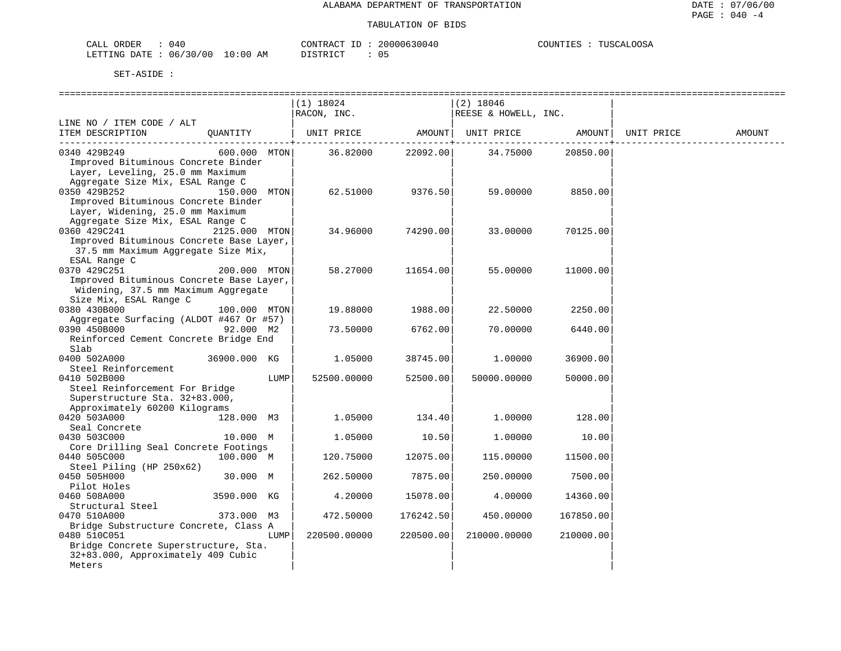| CALL ORDER                      | : 040 |          | CONTRACT ID: 20000630040 | COUNTIES : TUSCALOOSA |
|---------------------------------|-------|----------|--------------------------|-----------------------|
| LETTING DATE: 06/30/00 10:00 AM |       | DISTRICT |                          |                       |

|                                                                                                                                               |               |      | $(1)$ 18024  |           | $(2)$ 18046          |           |            |               |
|-----------------------------------------------------------------------------------------------------------------------------------------------|---------------|------|--------------|-----------|----------------------|-----------|------------|---------------|
|                                                                                                                                               |               |      | RACON, INC.  |           | REESE & HOWELL, INC. |           |            |               |
| LINE NO / ITEM CODE / ALT                                                                                                                     |               |      |              |           |                      |           |            |               |
| ITEM DESCRIPTION                                                                                                                              | OUANTITY      |      | UNIT PRICE   | AMOUNT    | UNIT PRICE           | AMOUNT    | UNIT PRICE | <b>AMOUNT</b> |
| 0340 429B249<br>Improved Bituminous Concrete Binder<br>Layer, Leveling, 25.0 mm Maximum                                                       | 600.000 MTON  |      | 36.82000     | 22092.00  | 34.75000             | 20850.00  |            |               |
| Aggregate Size Mix, ESAL Range C<br>0350 429B252<br>Improved Bituminous Concrete Binder<br>Layer, Widening, 25.0 mm Maximum                   | 150.000 MTON  |      | 62.51000     | 9376.50   | 59.00000             | 8850.00   |            |               |
| Aggregate Size Mix, ESAL Range C<br>0360 429C241<br>Improved Bituminous Concrete Base Layer,<br>37.5 mm Maximum Aggregate Size Mix,           | 2125.000 MTON |      | 34.96000     | 74290.00  | 33.00000             | 70125.00  |            |               |
| ESAL Range C<br>0370 429C251<br>Improved Bituminous Concrete Base Layer,<br>Widening, 37.5 mm Maximum Aggregate<br>Size Mix, ESAL Range C     | 200.000 MTON  |      | 58.27000     | 11654.00  | 55.00000             | 11000.00  |            |               |
| 0380 430B000                                                                                                                                  | 100.000 MTON  |      | 19.88000     | 1988.00   | 22.50000             | 2250.00   |            |               |
| Aggregate Surfacing (ALDOT #467 Or #57)<br>0390 450B000<br>Reinforced Cement Concrete Bridge End                                              | 92.000 M2     |      | 73.50000     | 6762.00   | 70,00000             | 6440.00   |            |               |
| Slab                                                                                                                                          |               |      |              |           |                      |           |            |               |
| 0400 502A000<br>Steel Reinforcement                                                                                                           | 36900.000 KG  |      | 1.05000      | 38745.00  | 1.00000              | 36900.00  |            |               |
| 0410 502B000<br>Steel Reinforcement For Bridge<br>Superstructure Sta. 32+83.000,                                                              |               | LUMP | 52500.00000  | 52500.00  | 50000.00000          | 50000.00  |            |               |
| Approximately 60200 Kilograms<br>0420 503A000                                                                                                 | 128.000 M3    |      | 1,05000      | 134.40    | 1,00000              | 128.00    |            |               |
| Seal Concrete                                                                                                                                 |               |      |              |           |                      |           |            |               |
| 0430 503C000<br>Core Drilling Seal Concrete Footings                                                                                          | 10.000 M      |      | 1.05000      | 10.50     | 1,00000              | 10.00     |            |               |
| 0440 505C000<br>Steel Piling (HP 250x62)                                                                                                      | 100.000 M     |      | 120.75000    | 12075.00  | 115.00000            | 11500.00  |            |               |
| 0450 505H000                                                                                                                                  | 30.000 M      |      | 262.50000    | 7875.00   | 250.00000            | 7500.00   |            |               |
| Pilot Holes<br>0460 508A000                                                                                                                   | 3590.000 KG   |      | 4.20000      | 15078.00  | 4.00000              | 14360.00  |            |               |
| Structural Steel<br>0470 510A000                                                                                                              | 373.000 M3    |      | 472.50000    | 176242.50 | 450.00000            | 167850.00 |            |               |
| Bridge Substructure Concrete, Class A<br>0480 510C051<br>Bridge Concrete Superstructure, Sta.<br>32+83.000, Approximately 409 Cubic<br>Meters |               | LUMP | 220500.00000 | 220500.00 | 210000.00000         | 210000.00 |            |               |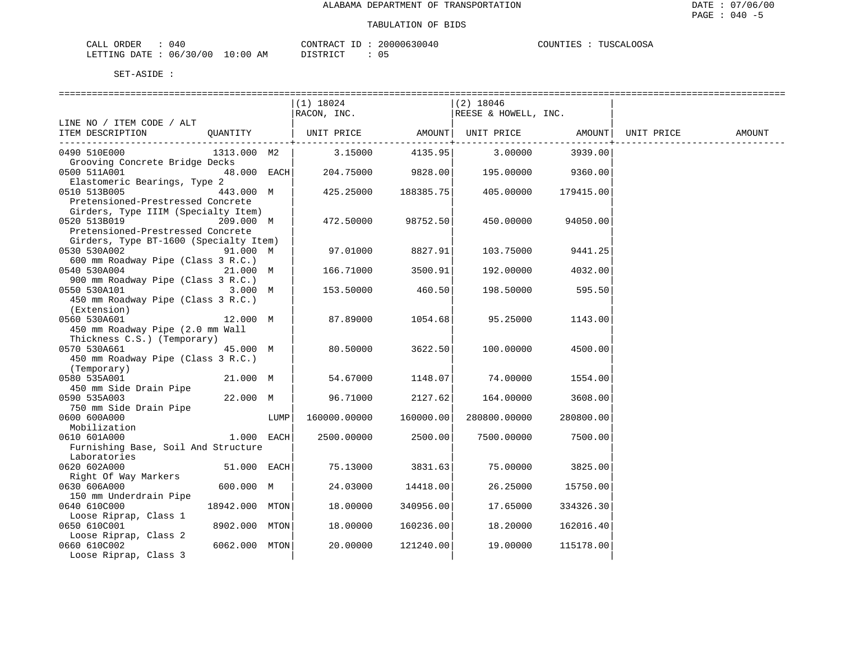| CALL ORDER                      | : 040 |          | CONTRACT ID: 20000630040 | COUNTIES : TUSCALOOSA |
|---------------------------------|-------|----------|--------------------------|-----------------------|
| LETTING DATE: 06/30/00 10:00 AM |       | DISTRICT |                          |                       |

|                                                                                                          |                |      | ==============================<br>(1) 18024                        |                    | =====================<br> (2) 18046 |                   |        |
|----------------------------------------------------------------------------------------------------------|----------------|------|--------------------------------------------------------------------|--------------------|-------------------------------------|-------------------|--------|
|                                                                                                          |                |      | $RACON$ , INC.                                                     |                    | REESE & HOWELL, INC.                |                   |        |
| LINE NO / ITEM CODE / ALT                                                                                |                |      |                                                                    |                    |                                     |                   |        |
| ITEM DESCRIPTION                                                                                         | QUANTITY       |      | UNIT PRICE   AMOUNT  UNIT PRICE   AMOUNT  UNIT PRICE               |                    |                                     |                   | AMOUNT |
| 0490 510E000<br>Grooving Concrete Bridge Decks                                                           | 1313.000 M2    |      | 3.15000                                                            |                    | 4135.95 3.00000                     | 3939.00           |        |
| 0500 511A001<br>Elastomeric Bearings, Type 2                                                             |                |      | $48.000$ $\text{EACH}$ $204.75000$ $9828.00$ $195.00000$ $9360.00$ |                    |                                     |                   |        |
| 0510 513B005<br>443.000 M<br>Pretensioned-Prestressed Concrete<br>Girders, Type IIIM (Specialty Item)    |                |      | 425.25000                                                          | 188385.75          | 405.00000 179415.00                 |                   |        |
| 209.000 M<br>0520 513B019<br>Pretensioned-Prestressed Concrete<br>Girders, Type BT-1600 (Specialty Item) |                |      |                                                                    | 472.50000 98752.50 | 450.00000                           | 94050.00          |        |
| 0530 530A002                                                                                             | 91.000 M       |      | 97.01000                                                           | 8827.91            |                                     | 103.75000 9441.25 |        |
| 600 mm Roadway Pipe (Class 3 R.C.)<br>0540 530A004<br>21.000 M<br>900 mm Roadway Pipe (Class 3 R.C.)     |                |      | 166.71000                                                          | 3500.91            | 192.00000                           | 4032.00           |        |
| 0550 530A101<br>450 mm Roadway Pipe (Class 3 R.C.)<br>(Extension)                                        | 3.000 M        |      | 153.50000                                                          | 460.50             | 198.50000                           | 595.50            |        |
| 0560 530A601<br>450 mm Roadway Pipe (2.0 mm Wall<br>Thickness C.S.) (Temporary)                          | 12.000 M       |      | 87.89000                                                           | 1054.68            | 95.25000                            | 1143.00           |        |
| 0570 530A661<br>450 mm Roadway Pipe (Class 3 R.C.)<br>(Temporary)                                        | 45.000 M       |      | 80.50000                                                           | 3622.50            | 100.00000                           | 4500.00           |        |
| 0580 535A001<br>450 mm Side Drain Pipe                                                                   | 21.000 M       |      | 54.67000                                                           |                    | 1148.07 74.00000 1554.00            |                   |        |
| 0590 535A003                                                                                             | 22.000 M       |      | 96.71000                                                           | 2127.62            | 164.00000                           | 3608.00           |        |
| 750 mm Side Drain Pipe<br>0600 600A000                                                                   |                | LUMP | 160000.00000                                                       | 160000.00          | 280800.00000                        | 280800.00         |        |
| Mobilization<br>0610 601A000<br>Furnishing Base, Soil And Structure<br>Laboratories                      | $1.000$ EACH   |      | 2500.00000                                                         | 2500.00            | 7500.00000                          | 7500.00           |        |
| 0620 602A000                                                                                             | 51.000 EACH    |      | 75.13000                                                           | 3831.63            |                                     | 75.00000 3825.00  |        |
| Right Of Way Markers<br>0630 606A000<br>150 mm Underdrain Pipe                                           | 600.000 M      |      | 24.03000                                                           | 14418.00           | 26.25000                            | 15750.00          |        |
| 0640 610C000<br>Loose Riprap, Class 1                                                                    | 18942.000 MTON |      | 18.00000                                                           | 340956.00          | 17.65000                            | 334326.30         |        |
| 0650 610C001                                                                                             | 8902.000 MTON  |      | 18,00000                                                           | 160236.00          | 18.20000                            | 162016.40         |        |
| Loose Riprap, Class 2<br>0660 610C002<br>Loose Riprap, Class 3                                           | 6062.000 MTON  |      | 20.00000                                                           | 121240.00          | 19.00000                            | 115178.00         |        |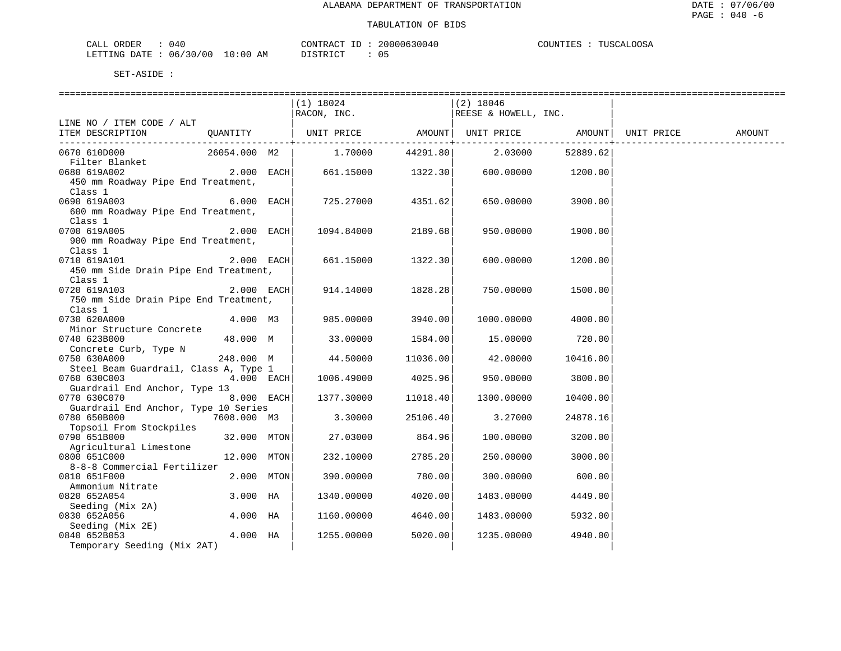| ORDER<br>CALL   | - -<br>04 U  |                        | "ONTRAL    | $\sim$ 0.000 $\sim$<br>-3004 | ∩∩S⊉<br><b>THERMAN</b><br>ו ידוחדורי<br>.<br>$\overline{a}$<br>.⊥ ≞ 2 |
|-----------------|--------------|------------------------|------------|------------------------------|-----------------------------------------------------------------------|
| DATE<br>LETTING | 30/00<br>06. | :00<br>L O<br>AΜ<br>__ | דת סידי את | ັັ                           |                                                                       |

|                                                      |              | (1) 18024<br>RACON, INC. |          | $(2)$ 18046<br>REESE & HOWELL, INC. |          |                    |        |
|------------------------------------------------------|--------------|--------------------------|----------|-------------------------------------|----------|--------------------|--------|
| LINE NO / ITEM CODE / ALT                            |              |                          |          |                                     |          |                    |        |
| ITEM DESCRIPTION                                     | QUANTITY     | UNIT PRICE               |          | AMOUNT   UNIT PRICE                 |          | AMOUNT  UNIT PRICE | AMOUNT |
| 0670 610D000                                         | 26054.000 M2 | 1.70000                  | 44291.80 | 2.03000                             | 52889.62 |                    |        |
| Filter Blanket                                       |              |                          |          |                                     |          |                    |        |
| 0680 619A002<br>450 mm Roadway Pipe End Treatment,   | $2.000$ EACH | 661.15000                | 1322.30  | 600.00000                           | 1200.00  |                    |        |
| Class 1                                              |              |                          |          |                                     |          |                    |        |
| 0690 619A003                                         | 6.000 EACH   | 725.27000                | 4351.62  | 650.00000                           | 3900.00  |                    |        |
| 600 mm Roadway Pipe End Treatment,                   |              |                          |          |                                     |          |                    |        |
| Class 1                                              |              |                          |          |                                     |          |                    |        |
| 0700 619A005                                         | 2.000 EACH   | 1094.84000               | 2189.68  | 950.00000                           | 1900.00  |                    |        |
| 900 mm Roadway Pipe End Treatment,                   |              |                          |          |                                     |          |                    |        |
| Class 1                                              |              |                          |          |                                     |          |                    |        |
| 0710 619A101                                         | 2.000 EACH   | 661.15000                | 1322.30  | 600.00000                           | 1200.00  |                    |        |
| 450 mm Side Drain Pipe End Treatment,                |              |                          |          |                                     |          |                    |        |
| Class 1                                              |              |                          |          |                                     |          |                    |        |
| 0720 619A103                                         | 2.000 EACH   | 914.14000                | 1828.28  | 750.00000                           | 1500.00  |                    |        |
| 750 mm Side Drain Pipe End Treatment,                |              |                          |          |                                     |          |                    |        |
| Class 1                                              |              |                          |          |                                     |          |                    |        |
| 0730 620A000                                         | 4.000 M3     | 985.00000                | 3940.00  | 1000.00000                          | 4000.00  |                    |        |
| Minor Structure Concrete                             |              |                          |          |                                     |          |                    |        |
| 0740 623B000                                         | 48.000 M     | 33.00000                 | 1584.00  | 15.00000                            | 720.00   |                    |        |
| Concrete Curb, Type N                                |              |                          |          |                                     |          |                    |        |
| 0750 630A000                                         | 248.000 M    | 44.50000                 | 11036.00 | 42.00000                            | 10416.00 |                    |        |
| Steel Beam Guardrail, Class A, Type 1                |              |                          |          |                                     |          |                    |        |
| 0760 630C003                                         | $4.000$ EACH | 1006.49000               | 4025.96  | 950.00000                           | 3800.00  |                    |        |
| Guardrail End Anchor, Type 13                        |              |                          |          |                                     |          |                    |        |
| 0770 630C070<br>Guardrail End Anchor, Type 10 Series | $8.000$ EACH | 1377.30000               | 11018.40 | 1300.00000                          | 10400.00 |                    |        |
| 0780 650B000                                         | 7608.000 M3  | 3.30000                  | 25106.40 | 3.27000                             | 24878.16 |                    |        |
| Topsoil From Stockpiles                              |              |                          |          |                                     |          |                    |        |
| 0790 651B000                                         | 32.000 MTON  | 27.03000                 | 864.96   | 100.00000                           | 3200.00  |                    |        |
| Agricultural Limestone                               |              |                          |          |                                     |          |                    |        |
| 0800 651C000                                         | 12.000 MTON  | 232.10000                | 2785.20  | 250.00000                           | 3000.00  |                    |        |
| 8-8-8 Commercial Fertilizer                          |              |                          |          |                                     |          |                    |        |
| 0810 651F000                                         | 2.000 MTON   | 390.00000                | 780.00   | 300.00000                           | 600.00   |                    |        |
| Ammonium Nitrate                                     |              |                          |          |                                     |          |                    |        |
| 0820 652A054                                         | 3.000 HA     | 1340.00000               | 4020.00  | 1483.00000                          | 4449.00  |                    |        |
| Seeding (Mix 2A)                                     |              |                          |          |                                     |          |                    |        |
| 0830 652A056                                         | 4.000 HA     | 1160.00000               | 4640.00  | 1483.00000                          | 5932.00  |                    |        |
| Seeding (Mix 2E)                                     |              |                          |          |                                     |          |                    |        |
| 0840 652B053                                         | 4.000 HA     | 1255.00000               | 5020.00  | 1235.00000                          | 4940.00  |                    |        |
| Temporary Seeding (Mix 2AT)                          |              |                          |          |                                     |          |                    |        |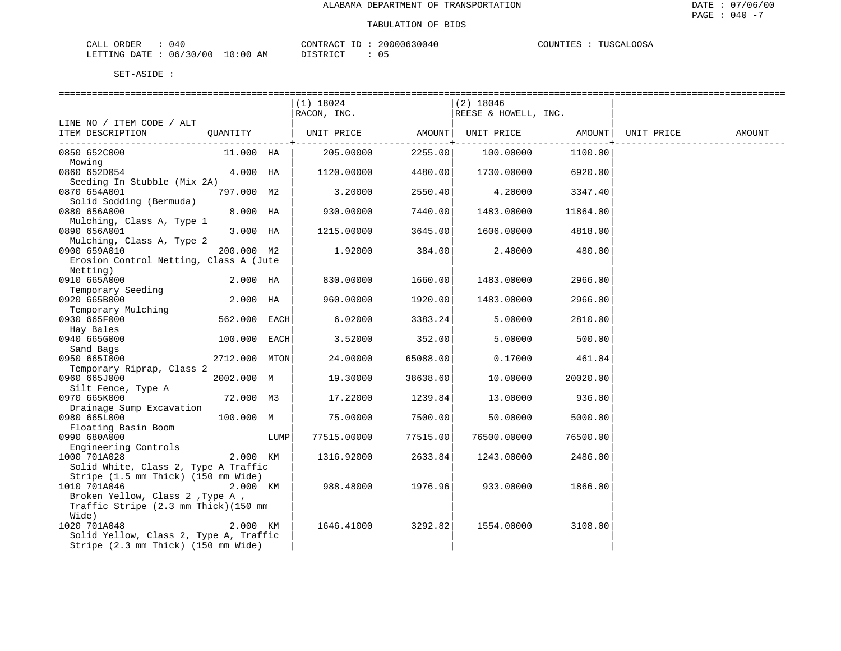| CALL ORDER                      | : 040 |          | CONTRACT ID: 20000630040 | COUNTIES : TUSCALOOSA |
|---------------------------------|-------|----------|--------------------------|-----------------------|
| LETTING DATE: 06/30/00 10:00 AM |       | DISTRICT |                          |                       |

|                                        |                |      | $(1)$ 18024                          |                | (2) 18046            |                |            |        |
|----------------------------------------|----------------|------|--------------------------------------|----------------|----------------------|----------------|------------|--------|
|                                        |                |      | RACON, INC.                          |                | REESE & HOWELL, INC. |                |            |        |
| LINE NO / ITEM CODE / ALT              |                |      |                                      |                |                      |                |            |        |
| ITEM DESCRIPTION                       | OUANTITY       |      | UNIT PRICE AMOUNT  UNIT PRICE AMOUNT |                |                      |                | UNIT PRICE | AMOUNT |
|                                        |                |      |                                      | -------------+ |                      | . <u>.</u> . 4 |            |        |
| 0850 652C000                           | 11.000 HA      |      | 205.00000                            | 2255.00        | 100.00000            | 1100.00        |            |        |
| Mowing                                 |                |      |                                      |                |                      |                |            |        |
| 0860 652D054                           | 4.000 HA       |      | 1120.00000                           | 4480.00        | 1730.00000           | 6920.00        |            |        |
| Seeding In Stubble (Mix 2A)            |                |      |                                      |                |                      |                |            |        |
| 0870 654A001                           | 797.000 M2     |      | 3.20000                              | 2550.40        | 4.20000              | 3347.40        |            |        |
| Solid Sodding (Bermuda)                |                |      |                                      |                |                      |                |            |        |
| 0880 656A000                           | 8.000 HA       |      | 930.00000                            | 7440.00        | 1483.00000           | 11864.00       |            |        |
| Mulching, Class A, Type 1              |                |      |                                      |                |                      |                |            |        |
| 0890 656A001                           | 3.000 HA       |      | 1215.00000                           | 3645.00        | 1606.00000           | 4818.00        |            |        |
| Mulching, Class A, Type 2              |                |      |                                      |                |                      |                |            |        |
| 0900 659A010                           | 200.000 M2     |      | 1.92000                              | 384.00         | 2.40000              | 480.00         |            |        |
| Erosion Control Netting, Class A (Jute |                |      |                                      |                |                      |                |            |        |
| Netting)                               |                |      |                                      |                |                      |                |            |        |
| 0910 665A000                           | 2.000 HA       |      | 830.00000                            | 1660.00        | 1483.00000           | 2966.00        |            |        |
| Temporary Seeding                      |                |      |                                      |                |                      |                |            |        |
| 0920 665B000                           | 2.000 HA       |      | 960.00000                            | 1920.00        | 1483.00000           | 2966.00        |            |        |
| Temporary Mulching                     |                |      |                                      |                |                      |                |            |        |
| 0930 665F000                           | 562.000 EACH   |      | 6.02000                              | 3383.24        | 5.00000              | 2810.00        |            |        |
| Hay Bales                              |                |      |                                      |                |                      |                |            |        |
| 0940 665G000                           | $100.000$ EACH |      | 3.52000                              | 352.00         | 5.00000              | 500.00         |            |        |
| Sand Bags                              |                |      |                                      |                |                      |                |            |        |
| 0950 6651000                           | 2712.000 MTON  |      | 24.00000                             | 65088.00       | 0.17000              | 461.04         |            |        |
| Temporary Riprap, Class 2              |                |      |                                      |                |                      |                |            |        |
| 0960 665J000                           | 2002.000 M     |      | 19.30000                             | 38638.60       | 10.00000             | 20020.00       |            |        |
| Silt Fence, Type A                     |                |      |                                      |                |                      |                |            |        |
| 0970 665K000                           | 72.000 M3      |      | 17.22000                             | 1239.84        | 13.00000             | 936.00         |            |        |
| Drainage Sump Excavation               |                |      |                                      |                |                      |                |            |        |
| 0980 665L000                           | 100.000 M      |      | 75.00000                             | 7500.00        | 50.00000             | 5000.00        |            |        |
| Floating Basin Boom                    |                |      |                                      |                |                      |                |            |        |
| 0990 680A000                           |                | LUMP | 77515.00000                          | 77515.00       | 76500.00000          | 76500.00       |            |        |
| Engineering Controls                   |                |      |                                      |                |                      |                |            |        |
| 1000 701A028                           | 2.000 KM       |      | 1316.92000                           | 2633.84        | 1243.00000           | 2486.00        |            |        |
| Solid White, Class 2, Type A Traffic   |                |      |                                      |                |                      |                |            |        |
| Stripe (1.5 mm Thick) (150 mm Wide)    |                |      |                                      |                |                      |                |            |        |
| 1010 701A046                           | 2.000 KM       |      | 988.48000                            | 1976.96        | 933.00000            | 1866.00        |            |        |
| Broken Yellow, Class 2 , Type A ,      |                |      |                                      |                |                      |                |            |        |
| Traffic Stripe (2.3 mm Thick) (150 mm  |                |      |                                      |                |                      |                |            |        |
| Wide)                                  |                |      |                                      |                |                      |                |            |        |
| 1020 701A048                           | 2.000 KM       |      | 1646.41000                           | 3292.82        | 1554.00000           | 3108.00        |            |        |
| Solid Yellow, Class 2, Type A, Traffic |                |      |                                      |                |                      |                |            |        |
| Stripe (2.3 mm Thick) (150 mm Wide)    |                |      |                                      |                |                      |                |            |        |
|                                        |                |      |                                      |                |                      |                |            |        |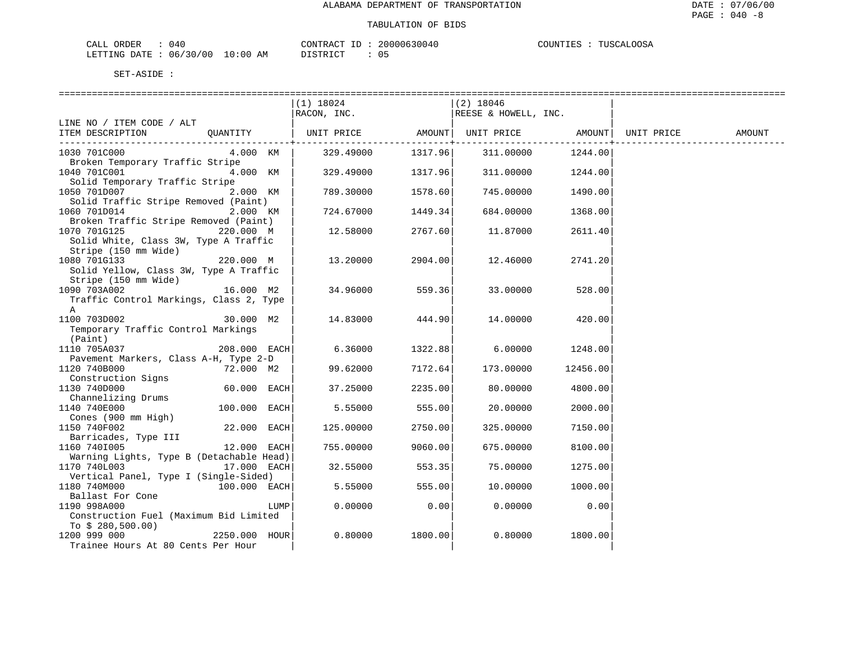| CALL ORDER                      | : 040 |          | CONTRACT ID: 20000630040 | COUNTIES : TUSCALOOSA |
|---------------------------------|-------|----------|--------------------------|-----------------------|
| LETTING DATE: 06/30/00 10:00 AM |       | DISTRICT |                          |                       |

 $CT$  : 05

|                                          |                |      | $(1)$ 18024                                     |                                                  | $(2)$ 18046          |                                   |            |        |
|------------------------------------------|----------------|------|-------------------------------------------------|--------------------------------------------------|----------------------|-----------------------------------|------------|--------|
|                                          |                |      | RACON, INC.                                     |                                                  | REESE & HOWELL, INC. |                                   |            |        |
| LINE NO / ITEM CODE / ALT                |                |      |                                                 |                                                  |                      |                                   |            |        |
| ITEM DESCRIPTION                         |                |      | QUANTITY   UNIT PRICE AMOUNT  UNIT PRICE AMOUNT |                                                  |                      |                                   | UNIT PRICE | AMOUNT |
| 1030 701C000                             | 4.000 KM       |      | 329.49000                                       | . _ _ _ _ _ _ _ _ _ _ _ + _ _ _ _ _ _<br>1317.96 |                      | -----------+<br>311.00000 1244.00 |            |        |
| Broken Temporary Traffic Stripe          |                |      |                                                 |                                                  |                      |                                   |            |        |
| 1040 701C001                             | 4.000 KM       |      | 329.49000 1317.96                               |                                                  |                      | 311.00000 1244.00                 |            |        |
| Solid Temporary Traffic Stripe           |                |      |                                                 |                                                  |                      |                                   |            |        |
| 1050 701D007                             | 2.000 KM       |      | 789.30000                                       | 1578.60                                          | 745.00000            | 1490.00                           |            |        |
| Solid Traffic Stripe Removed (Paint)     |                |      |                                                 |                                                  |                      |                                   |            |        |
| 1060 701D014                             | 2.000 KM       |      | 724.67000                                       | 1449.34                                          | 684.00000            | 1368.00                           |            |        |
| Broken Traffic Stripe Removed (Paint)    |                |      |                                                 |                                                  |                      |                                   |            |        |
| 1070 701G125                             | 220.000 M      |      | 12.58000                                        | 2767.60                                          | 11.87000             | 2611.40                           |            |        |
| Solid White, Class 3W, Type A Traffic    |                |      |                                                 |                                                  |                      |                                   |            |        |
| Stripe (150 mm Wide)                     |                |      |                                                 |                                                  |                      |                                   |            |        |
| 1080 701G133                             | 220.000 M      |      | 13.20000                                        | 2904.00                                          | 12.46000             | 2741.20                           |            |        |
| Solid Yellow, Class 3W, Type A Traffic   |                |      |                                                 |                                                  |                      |                                   |            |        |
| Stripe (150 mm Wide)                     |                |      |                                                 |                                                  |                      |                                   |            |        |
| 1090 703A002                             | 16.000 M2      |      | 34.96000                                        | 559.36                                           | 33.00000             | 528.00                            |            |        |
| Traffic Control Markings, Class 2, Type  |                |      |                                                 |                                                  |                      |                                   |            |        |
| A                                        |                |      |                                                 |                                                  |                      |                                   |            |        |
| 1100 703D002                             | 30.000 M2      |      | 14.83000                                        | 444.90                                           | 14.00000             | 420.00                            |            |        |
| Temporary Traffic Control Markings       |                |      |                                                 |                                                  |                      |                                   |            |        |
| (Paint)<br>1110 705A037                  | $208.000$ EACH |      | 6.36000                                         | 1322.88                                          | 6.00000              | 1248.00                           |            |        |
| Pavement Markers, Class A-H, Type 2-D    |                |      |                                                 |                                                  |                      |                                   |            |        |
| 1120 740B000                             | 72.000 M2      |      | 99.62000                                        | 7172.64                                          | 173.00000            | 12456.00                          |            |        |
| Construction Signs                       |                |      |                                                 |                                                  |                      |                                   |            |        |
| 1130 740D000                             | 60.000 EACH    |      | 37.25000                                        | 2235.00                                          | 80.00000             | 4800.00                           |            |        |
| Channelizing Drums                       |                |      |                                                 |                                                  |                      |                                   |            |        |
| 1140 740E000                             | 100.000 EACH   |      | 5.55000                                         | 555.00                                           | 20.00000             | 2000.00                           |            |        |
| Cones (900 mm High)                      |                |      |                                                 |                                                  |                      |                                   |            |        |
| 1150 740F002                             | 22.000 EACH    |      | 125.00000                                       | 2750.00                                          | 325.00000            | 7150.00                           |            |        |
| Barricades, Type III                     |                |      |                                                 |                                                  |                      |                                   |            |        |
| 1160 7401005                             | 12.000 EACH    |      | 755.00000                                       | 9060.00                                          | 675.00000            | 8100.00                           |            |        |
| Warning Lights, Type B (Detachable Head) |                |      |                                                 |                                                  |                      |                                   |            |        |
| 1170 740L003                             | 17.000 EACH    |      | 32.55000                                        | 553.35                                           | 75.00000             | 1275.00                           |            |        |
| Vertical Panel, Type I (Single-Sided)    |                |      |                                                 |                                                  |                      |                                   |            |        |
| 1180 740M000<br>100.000 EACH             |                |      | 5.55000                                         | 555.00                                           | 10.00000             | 1000.00                           |            |        |
| Ballast For Cone                         |                |      |                                                 |                                                  |                      |                                   |            |        |
| 1190 998A000                             |                | LUMP | 0.00000                                         | 0.00                                             | 0.00000              | 0.00                              |            |        |
| Construction Fuel (Maximum Bid Limited   |                |      |                                                 |                                                  |                      |                                   |            |        |
| To $$280,500.00)$                        |                |      |                                                 |                                                  |                      |                                   |            |        |
| 1200 999 000                             | 2250.000 HOUR  |      | 0.80000                                         | 1800.00                                          | 0.80000              | 1800.00                           |            |        |
| Trainee Hours At 80 Cents Per Hour       |                |      |                                                 |                                                  |                      |                                   |            |        |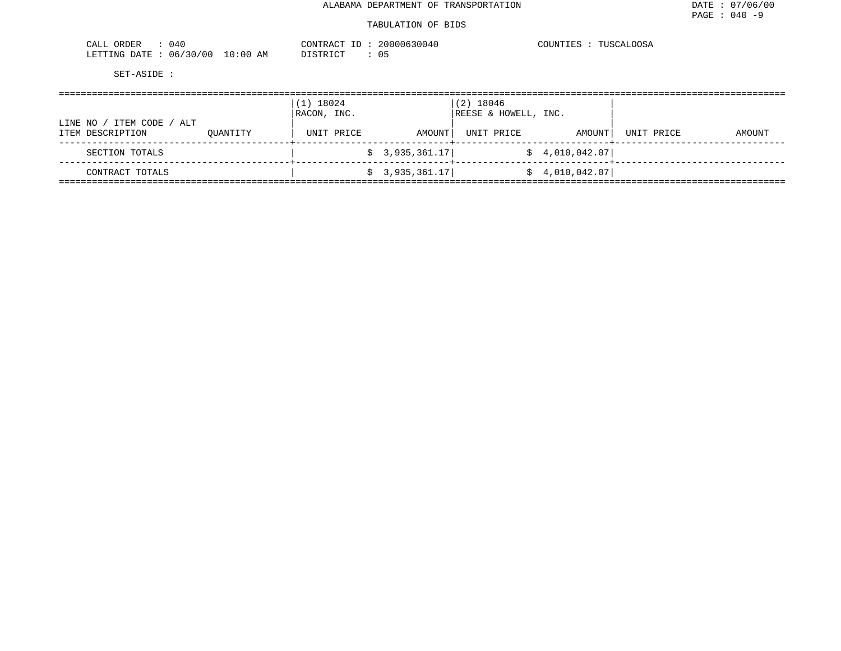#### TABULATION OF BIDS

| 040<br>ORDER                                                                                                                                                    | ירד ∧ר<br>$\sim$<br>≀ ∆ ו                | 200    | COUNTIF^<br><b>TTTC</b> |  |
|-----------------------------------------------------------------------------------------------------------------------------------------------------------------|------------------------------------------|--------|-------------------------|--|
| '00'<br>130<br><b>ETTING</b><br>DATE.<br>06/<br>the contract of the contract of the contract of the contract of the contract of the contract of the contract of | LO : 00<br>$-72$<br>AM<br>- <del>.</del> | $\sim$ |                         |  |

|                                                     |          | 18024<br>$\left( 1 \right)$<br>RACON, INC. |                | $(2)$ 18046<br>REESE & HOWELL, INC. |                 |            |        |
|-----------------------------------------------------|----------|--------------------------------------------|----------------|-------------------------------------|-----------------|------------|--------|
| ITEM CODE<br>/ ALT<br>LINE NO /<br>ITEM DESCRIPTION | OUANTITY | UNIT PRICE                                 | AMOUNT         | UNIT PRICE                          | AMOUNT          | UNIT PRICE | AMOUNT |
| SECTION TOTALS                                      |          |                                            | \$3,935,361.17 |                                     | \$4,010,042.07] |            |        |
| CONTRACT TOTALS                                     |          |                                            | \$3,935,361.17 |                                     | \$4,010,042.07] |            |        |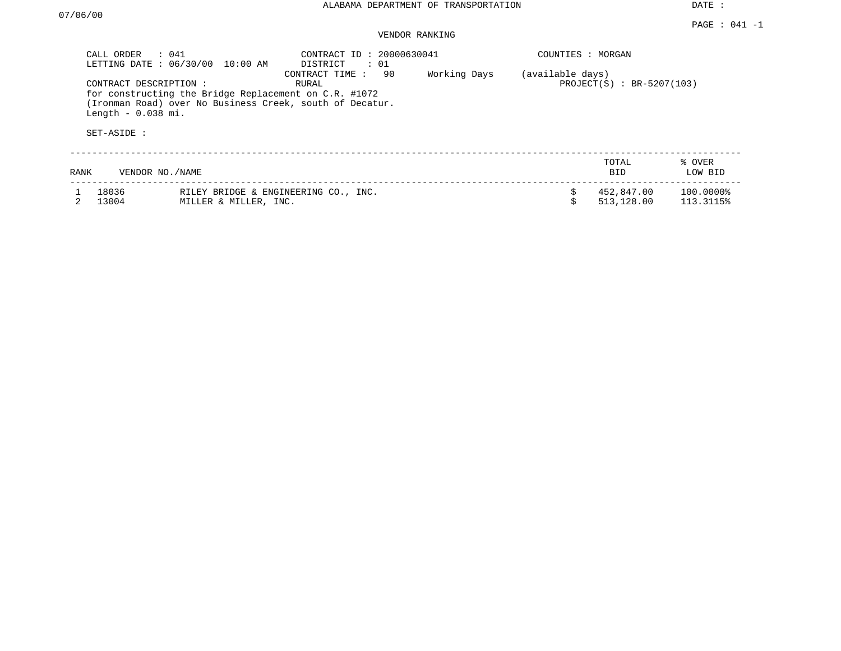DATE :

#### PAGE : 041 -1 VENDOR RANKING

|      | CALL ORDER<br>$\therefore$ 041<br>LETTING DATE: 06/30/00<br>10:00 AM                                                                                               | CONTRACT ID: 20000630041<br>DISTRICT<br>: 01 |              | COUNTIES : MORGAN |                             |                        |
|------|--------------------------------------------------------------------------------------------------------------------------------------------------------------------|----------------------------------------------|--------------|-------------------|-----------------------------|------------------------|
|      | CONTRACT DESCRIPTION :<br>for constructing the Bridge Replacement on C.R. #1072<br>(Ironman Road) over No Business Creek, south of Decatur.<br>Length $-0.038$ mi. | 90<br>CONTRACT TIME :<br>RURAL               | Working Days | (available days)  | $PROJECT(S) : BR-5207(103)$ |                        |
|      | SET-ASIDE :                                                                                                                                                        |                                              |              |                   |                             |                        |
| RANK | VENDOR NO./NAME                                                                                                                                                    |                                              |              |                   | TOTAL<br>BID                | % OVER<br>LOW BID      |
|      | 18036<br>13004<br>MILLER & MILLER, INC.                                                                                                                            | RILEY BRIDGE & ENGINEERING CO., INC.         |              |                   | 452,847.00<br>513,128.00    | 100.0000%<br>113.3115% |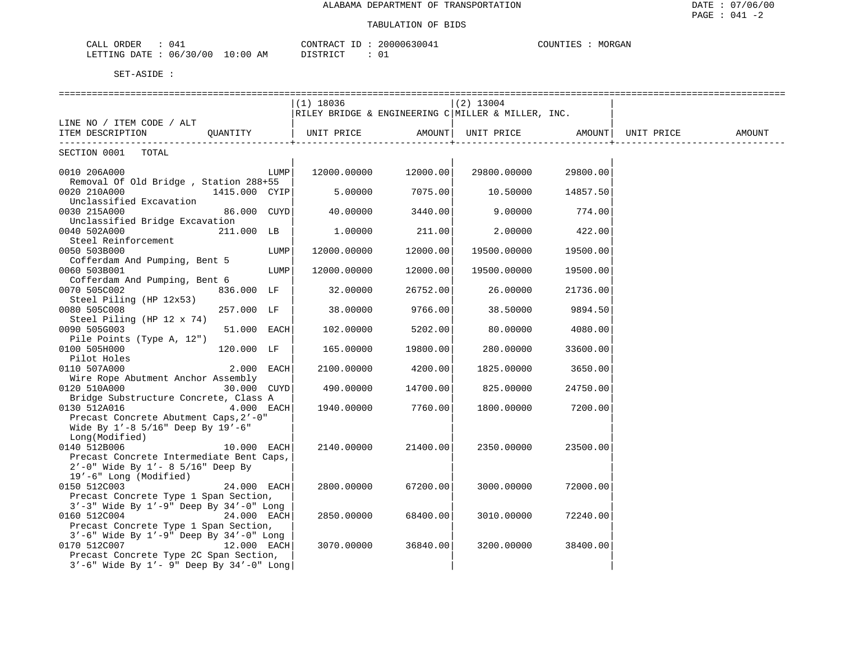## TABULATION OF BIDS

| ORDER<br>04.<br>CALL                                  | CONTRACT ID          | 20000630041 | COUNTIES<br>MORGAN |
|-------------------------------------------------------|----------------------|-------------|--------------------|
| $: 06/30/00$ $\overline{\phantom{0}}$<br>LETTING DATE | 10:00 AM<br>DISTRICT |             |                    |

|                                                                                            |            | $(1)$ 18036                                                                             |          | $(2)$ 13004                  |          |        |
|--------------------------------------------------------------------------------------------|------------|-----------------------------------------------------------------------------------------|----------|------------------------------|----------|--------|
|                                                                                            |            | RILEY BRIDGE & ENGINEERING C MILLER & MILLER, INC.                                      |          |                              |          |        |
| LINE NO / ITEM CODE / ALT                                                                  |            |                                                                                         |          |                              |          |        |
| ITEM DESCRIPTION QUANTITY                                                                  |            | UNIT PRICE                  AMOUNT    UNIT PRICE                   AMOUNT    UNIT PRICE |          |                              |          | AMOUNT |
|                                                                                            |            | ----------------------------                                                            |          | ---------------------------- |          |        |
| SECTION 0001 TOTAL                                                                         |            |                                                                                         |          |                              |          |        |
|                                                                                            |            |                                                                                         |          |                              |          |        |
| 0010 206A000                                                                               | LUMP       | 12000.00000 12000.00                                                                    |          | 29800.00000                  | 29800.00 |        |
| Removal Of Old Bridge, Station 288+55                                                      |            |                                                                                         |          |                              |          |        |
| 0020 210A000<br>1415.000 CYIP                                                              |            | 5.00000                                                                                 | 7075.00  | 10.50000                     | 14857.50 |        |
| Unclassified Excavation                                                                    |            |                                                                                         |          |                              |          |        |
| 0030 215A000<br>86.000 CUYD                                                                |            | 40.00000                                                                                | 3440.00  | 9.00000                      | 774.00   |        |
| Unclassified Bridge Excavation                                                             |            |                                                                                         |          |                              |          |        |
| 0040 502A000<br>211.000 LB                                                                 |            | 1.00000                                                                                 | 211.00   | 2.00000                      | 422.00   |        |
| Steel Reinforcement                                                                        |            |                                                                                         |          |                              |          |        |
| 0050 503B000                                                                               | LUMP       | 12000.00000                                                                             | 12000.00 | 19500.00000                  | 19500.00 |        |
| Cofferdam And Pumping, Bent 5                                                              |            |                                                                                         |          |                              |          |        |
| 0060 503B001                                                                               | LUMP       | 12000.00000                                                                             | 12000.00 | 19500.00000                  | 19500.00 |        |
| Cofferdam And Pumping, Bent 6                                                              |            |                                                                                         |          |                              |          |        |
| 0070 505C002<br>836.000 LF                                                                 |            | 32.00000                                                                                | 26752.00 | 26.00000                     | 21736.00 |        |
| Steel Piling (HP 12x53)                                                                    |            |                                                                                         |          |                              |          |        |
| 0080 505C008<br>257.000 LF                                                                 |            | 38.00000                                                                                | 9766.00  | 38.50000                     | 9894.50  |        |
| Steel Piling (HP 12 x 74)                                                                  |            |                                                                                         |          |                              |          |        |
| 0090 505G003<br>51.000 EACH                                                                |            | 102.00000                                                                               | 5202.00  | 80.00000                     | 4080.00  |        |
| Pile Points (Type A, 12")                                                                  |            |                                                                                         |          |                              |          |        |
| 0100 505H000<br>120.000 LF                                                                 |            | 165.00000                                                                               | 19800.00 | 280.00000                    | 33600.00 |        |
| Pilot Holes                                                                                |            |                                                                                         |          |                              |          |        |
| 0110 507A000                                                                               | 2.000 EACH | 2100.00000                                                                              | 4200.00  | 1825.00000                   | 3650.00  |        |
| Wire Rope Abutment Anchor Assembly                                                         |            |                                                                                         |          |                              |          |        |
| 0120 510A000<br>30.000 CUYD                                                                |            | 490.00000                                                                               | 14700.00 | 825.00000                    | 24750.00 |        |
| Bridge Substructure Concrete, Class A                                                      |            |                                                                                         |          |                              |          |        |
| 0130 512A016                                                                               | 4.000 EACH | 1940.00000                                                                              | 7760.00  | 1800.00000                   | 7200.00  |        |
| Precast Concrete Abutment Caps, 2'-0"                                                      |            |                                                                                         |          |                              |          |        |
| Wide By $1'-8$ 5/16" Deep By $19'-6$ "                                                     |            |                                                                                         |          |                              |          |        |
| Long(Modified)                                                                             |            |                                                                                         |          |                              |          |        |
| 0140 512B006<br>10.000 EACH                                                                |            | 2140.00000                                                                              | 21400.00 | 2350.00000                   | 23500.00 |        |
| Precast Concrete Intermediate Bent Caps,<br>$2'$ -0" Wide By $1'$ - 8 5/16" Deep By        |            |                                                                                         |          |                              |          |        |
| 19'-6" Long (Modified)                                                                     |            |                                                                                         |          |                              |          |        |
| 24.000 EACH                                                                                |            | 2800.00000                                                                              | 67200.00 | 3000.00000                   | 72000.00 |        |
| 0150 512C003                                                                               |            |                                                                                         |          |                              |          |        |
| Precast Concrete Type 1 Span Section,<br>$3'-3$ Wide By $1'-9$ Deep By $34'-0$ Long        |            |                                                                                         |          |                              |          |        |
| 0160 512C004<br>24.000 EACH                                                                |            | 2850.00000                                                                              | 68400.00 | 3010.00000                   | 72240.00 |        |
|                                                                                            |            |                                                                                         |          |                              |          |        |
| Precast Concrete Type 1 Span Section,<br>$3'-6$ " Wide By $1'-9$ " Deep By $34'-0$ " Long  |            |                                                                                         |          |                              |          |        |
| 0170 512C007<br>12.000 EACH                                                                |            | 3070.00000                                                                              | 36840.00 | 3200.00000                   | 38400.00 |        |
|                                                                                            |            |                                                                                         |          |                              |          |        |
| Precast Concrete Type 2C Span Section,<br>$3'-6$ " Wide By $1'-9$ " Deep By $34'-0$ " Long |            |                                                                                         |          |                              |          |        |
|                                                                                            |            |                                                                                         |          |                              |          |        |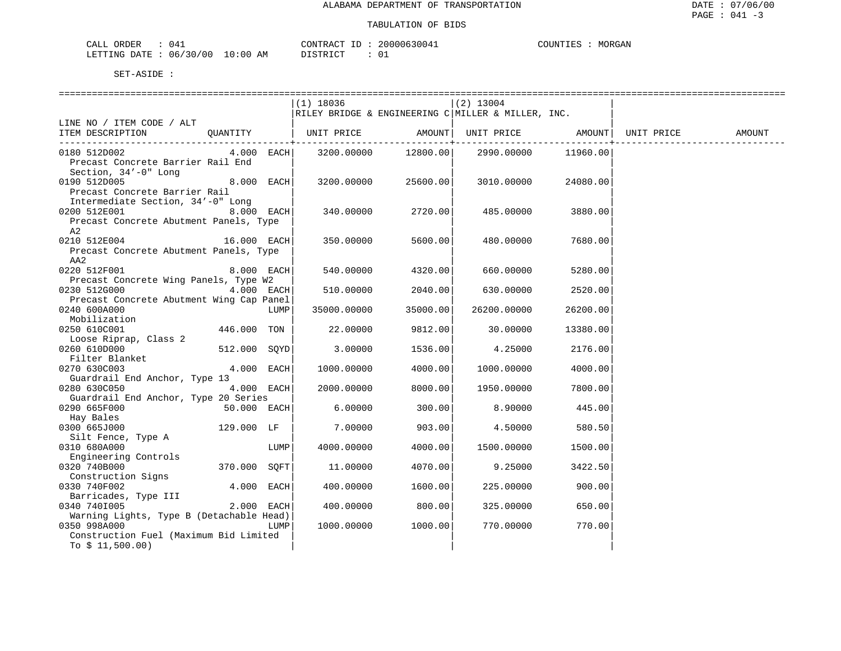| NR DER<br>CATJ<br>ᆠᄯᅺᄔ | 14            |                                                                                                                                | TONTR ACT | $- -$ | 20000630 | <b>COLINT</b> | M∩R∉∆N |
|------------------------|---------------|--------------------------------------------------------------------------------------------------------------------------------|-----------|-------|----------|---------------|--------|
| LETTING DATE           | 06/30/00<br>◡ | 10:00<br>ΑM<br>the contract of the contract of the contract of the contract of the contract of the contract of the contract of |           |       |          |               |        |

|                                               |              |              | (1) 18036   |          | $(2)$ 13004                                        |          |            |        |
|-----------------------------------------------|--------------|--------------|-------------|----------|----------------------------------------------------|----------|------------|--------|
|                                               |              |              |             |          | RILEY BRIDGE & ENGINEERING C MILLER & MILLER, INC. |          |            |        |
| LINE NO / ITEM CODE / ALT                     |              |              |             |          |                                                    |          |            |        |
| ITEM DESCRIPTION                              |              |              |             |          |                                                    |          | UNIT PRICE | AMOUNT |
|                                               |              |              |             |          |                                                    |          |            |        |
| 0180 512D002                                  | $4.000$ EACH |              | 3200.00000  |          | 12800.00 2990.00000                                | 11960.00 |            |        |
| Precast Concrete Barrier Rail End             |              |              |             |          |                                                    |          |            |        |
| Section, 34'-0" Long                          |              |              |             |          |                                                    |          |            |        |
| 0190 512D005                                  |              | 8.000 EACH   | 3200.00000  | 25600.00 | 3010.00000                                         | 24080.00 |            |        |
| Precast Concrete Barrier Rail                 |              |              |             |          |                                                    |          |            |        |
| Intermediate Section, 34'-0" Long             |              |              |             |          |                                                    |          |            |        |
| 0200 512E001                                  | 8.000 EACH   |              | 340.00000   | 2720.00  | 485.00000                                          | 3880.00  |            |        |
| Precast Concrete Abutment Panels, Type        |              |              |             |          |                                                    |          |            |        |
| A2                                            |              |              |             |          |                                                    |          |            |        |
| 0210 512E004                                  | 16.000 EACH  |              | 350.00000   | 5600.00  | 480.00000                                          | 7680.00  |            |        |
| Precast Concrete Abutment Panels, Type        |              |              |             |          |                                                    |          |            |        |
| AA2                                           |              |              |             |          |                                                    |          |            |        |
| 0220 512F001                                  |              | $8.000$ EACH | 540.00000   | 4320.00  | 660.00000                                          | 5280.00  |            |        |
| Precast Concrete Wing Panels, Type W2         |              |              |             |          |                                                    |          |            |        |
| 0230 512G000                                  | $4.000$ EACH |              | 510.00000   | 2040.00  | 630.00000                                          | 2520.00  |            |        |
| Precast Concrete Abutment Wing Cap Panel      |              |              |             |          |                                                    |          |            |        |
| 0240 600A000                                  |              | LUMP         | 35000.00000 | 35000.00 | 26200.00000                                        | 26200.00 |            |        |
| Mobilization                                  |              |              |             |          |                                                    |          |            |        |
| 0250 610C001                                  | 446.000 TON  |              | 22.00000    | 9812.00  | 30.00000                                           | 13380.00 |            |        |
| Loose Riprap, Class 2                         |              |              |             |          |                                                    |          |            |        |
| 0260 610D000                                  | 512.000 SOYD |              | 3.00000     | 1536.00  | 4.25000                                            | 2176.00  |            |        |
| Filter Blanket                                |              |              |             |          |                                                    |          |            |        |
| 0270 630C003<br>Guardrail End Anchor, Type 13 | 4.000 EACH   |              | 1000.00000  | 4000.00  | 1000.00000                                         | 4000.00  |            |        |
| 0280 630C050                                  | 4.000 EACH   |              | 2000.00000  | 8000.00  | 1950.00000                                         | 7800.00  |            |        |
| Guardrail End Anchor, Type 20 Series          |              |              |             |          |                                                    |          |            |        |
| 0290 665F000<br>50.000 EACH                   |              |              | 6.00000     | 300.00   | 8.90000                                            | 445.00   |            |        |
| Hay Bales                                     |              |              |             |          |                                                    |          |            |        |
| 0300 665J000                                  | 129.000 LF   |              | 7.00000     | 903.00   | 4.50000                                            | 580.50   |            |        |
| Silt Fence, Type A                            |              |              |             |          |                                                    |          |            |        |
| 0310 680A000                                  |              | LUMP         | 4000.00000  | 4000.00  | 1500.00000                                         | 1500.00  |            |        |
| Engineering Controls                          |              |              |             |          |                                                    |          |            |        |
| 0320 740B000                                  | 370.000 SOFT |              | 11.00000    | 4070.00  | 9.25000                                            | 3422.50  |            |        |
| Construction Signs                            |              |              |             |          |                                                    |          |            |        |
| 0330 740F002                                  | 4.000 EACH   |              | 400.00000   | 1600.00  | 225,00000                                          | 900.00   |            |        |
| Barricades, Type III                          |              |              |             |          |                                                    |          |            |        |
| 0340 7401005                                  |              | 2.000 EACH   | 400.00000   | 800.00   | 325.00000                                          | 650.00   |            |        |
| Warning Lights, Type B (Detachable Head)      |              |              |             |          |                                                    |          |            |        |
| 0350 998A000                                  |              | LUMP         | 1000.00000  | 1000.00  | 770.00000                                          | 770.00   |            |        |
| Construction Fuel (Maximum Bid Limited        |              |              |             |          |                                                    |          |            |        |
| To $$11,500.00)$                              |              |              |             |          |                                                    |          |            |        |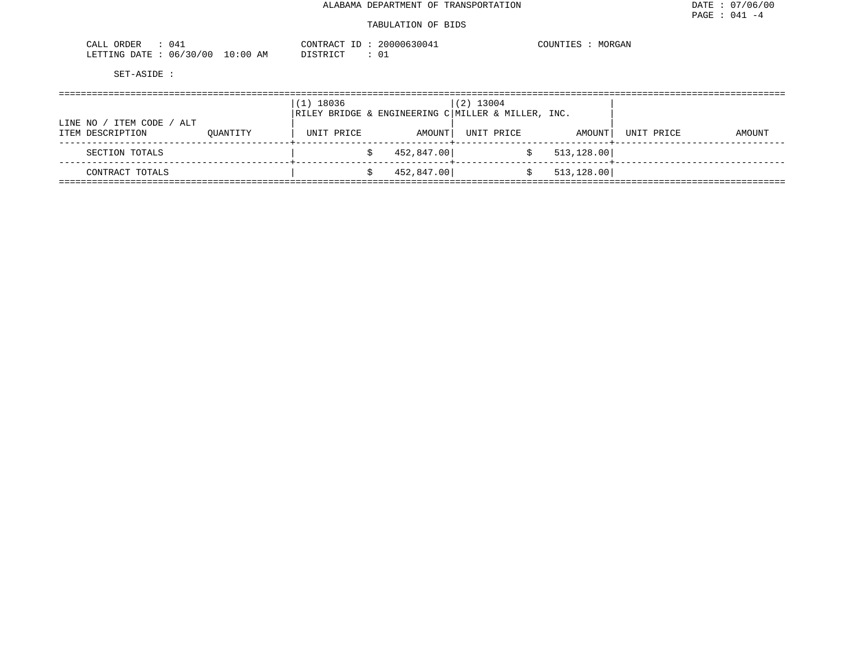#### TABULATION OF BIDS

| 041<br>$\sim$ $\sim$ $\sim$<br>ORDER<br>ىلىل |               | CONTE<br>. . አያ ጀርመ | 200006<br>3004 | MORGAN<br>COUNTIL |
|----------------------------------------------|---------------|---------------------|----------------|-------------------|
| '30/00<br>06/<br>LETTING<br>חים מ⊓           | LO : 00<br>ΑM | חי חים דרד דר       | ◡∸             |                   |

| / ITEM CODE / ALT<br>LINE NO / |          | (1) 18036  |            | $(2)$ 13004<br>$\overline{R}}$ RILEY BRIDGE & ENGINEERING C MILLER & MILLER, INC. |             |            |        |
|--------------------------------|----------|------------|------------|-----------------------------------------------------------------------------------|-------------|------------|--------|
| ITEM DESCRIPTION               | OUANTITY | UNIT PRICE | AMOUNT     | UNIT PRICE                                                                        | AMOUNT      | UNIT PRICE | AMOUNT |
| SECTION TOTALS                 |          |            | 452,847.00 |                                                                                   | 513, 128.00 |            |        |
| CONTRACT TOTALS                |          |            | 452,847.00 |                                                                                   | 513, 128.00 |            |        |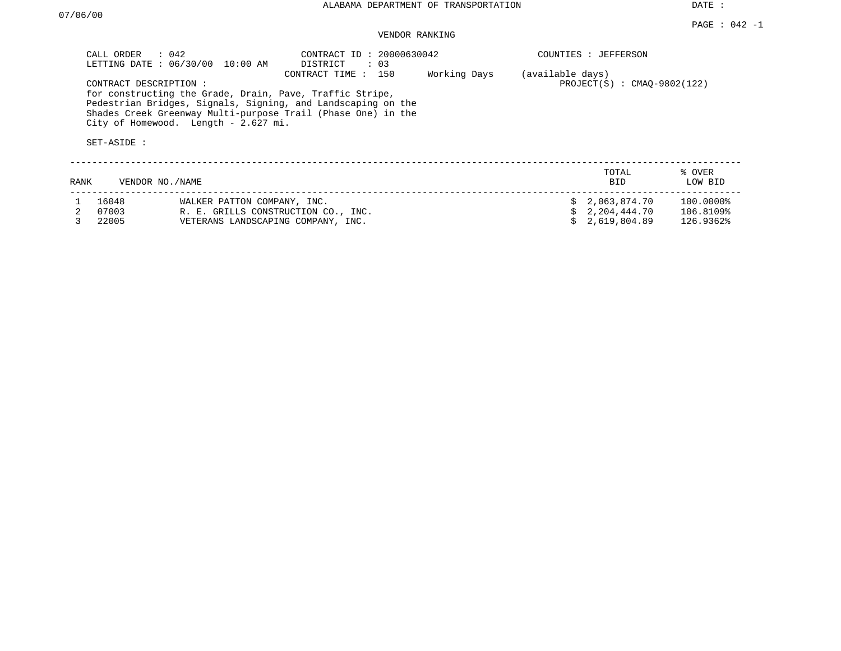DATE :

## VENDOR RANKING

| RANK<br>VENDOR NO. / NAME                                                                                                |                             | TOTAL<br><b>BID</b>                                               | % OVER<br>LOW BID |
|--------------------------------------------------------------------------------------------------------------------------|-----------------------------|-------------------------------------------------------------------|-------------------|
| Shades Creek Greenway Multi-purpose Trail (Phase One) in the<br>City of Homewood. Length - 2.627 mi.<br>SET-ASIDE:       |                             |                                                                   |                   |
| for constructing the Grade, Drain, Pave, Traffic Stripe,<br>Pedestrian Bridges, Signals, Signing, and Landscaping on the |                             |                                                                   |                   |
| CONTRACT DESCRIPTION :                                                                                                   | 150<br>CONTRACT TIME:       | Working Days<br>(available days)<br>$PROJECT(S)$ : CMAO-9802(122) |                   |
| LETTING DATE: 06/30/00<br>10:00 AM                                                                                       | DISTRICT<br>$\therefore$ 03 |                                                                   |                   |
| $\therefore$ 042<br>CALL ORDER                                                                                           | CONTRACT ID: 20000630042    | COUNTIES : JEFFERSON                                              |                   |

| 16048   | WALKER PATTON COMPANY, INC.         | \$2,063,874.70  | 100.0000% |
|---------|-------------------------------------|-----------------|-----------|
| 2 07003 | R. E. GRILLS CONSTRUCTION CO., INC. | \$ 2,204,444.70 | 106.8109% |
| 3 22005 | VETERANS LANDSCAPING COMPANY, INC.  | \$2.619.804.89  | 126.9362% |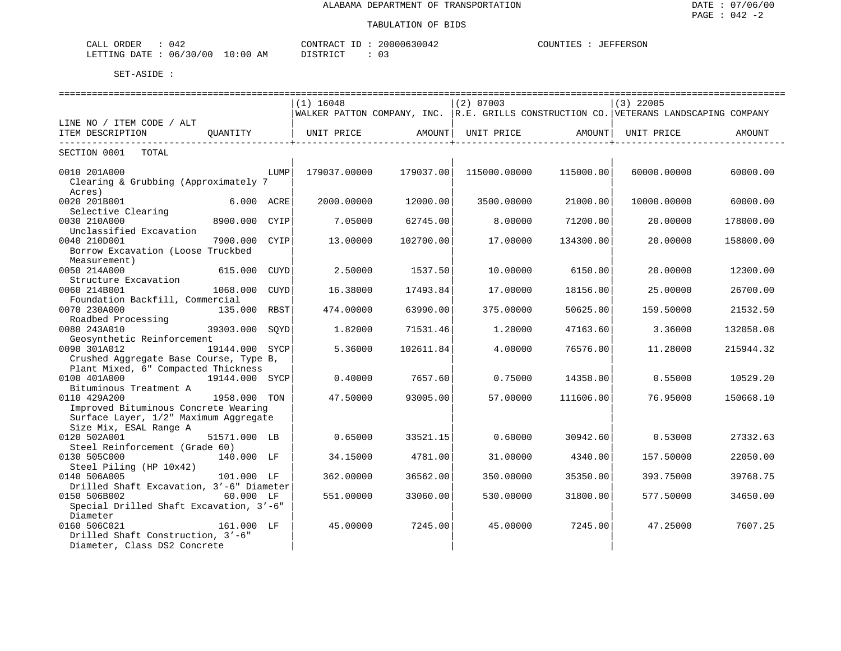| ORDER<br>042<br>لىلە:                                               |                          | $70N$ T $m$ T<br>דים גי<br>$\sim 11M$ | ᇚᆍᇷᇋ<br>יים חחחה<br>$\bigcap$<br>$\cdots$ |
|---------------------------------------------------------------------|--------------------------|---------------------------------------|-------------------------------------------|
| אורידים<br>ገለጥም<br>ິ∩∩<br>06<br>. NG-<br>- 1<br>, , ,<br>---------- | AΜ<br>፡ 0 0<br><b>LV</b> | $\sim$<br>TAT<br>STR.<br>◡ -<br>----  |                                           |

|                                                                                                                  |             | ----------------------------<br>$(1)$ 16048 |           | -----------------------------<br>$(2)$ 07003 |           | ======================<br>$(3)$ 22005<br> WALKER PATTON COMPANY, INC.  R.E. GRILLS CONSTRUCTION CO. VETERANS LANDSCAPING COMPANY |           |
|------------------------------------------------------------------------------------------------------------------|-------------|---------------------------------------------|-----------|----------------------------------------------|-----------|----------------------------------------------------------------------------------------------------------------------------------|-----------|
| LINE NO / ITEM CODE / ALT<br>ITEM DESCRIPTION<br>OUANTITY                                                        |             | UNIT PRICE                                  | AMOUNT    | UNIT PRICE                                   | AMOUNT    | UNIT PRICE                                                                                                                       | AMOUNT    |
| SECTION 0001<br>TOTAL                                                                                            |             |                                             |           |                                              |           |                                                                                                                                  |           |
| 0010 201A000<br>Clearing & Grubbing (Approximately 7<br>Acres)                                                   | LUMP        | 179037.00000                                | 179037.00 | 115000.00000                                 | 115000.00 | 60000.00000                                                                                                                      | 60000.00  |
| 6.000 ACRE<br>0020 201B001<br>Selective Clearing                                                                 |             | 2000.00000                                  | 12000.00  | 3500.00000                                   | 21000.00  | 10000.00000                                                                                                                      | 60000.00  |
| 0030 210A000<br>8900.000 CYIP<br>Unclassified Excavation                                                         |             | 7.05000                                     | 62745.00  | 8,00000                                      | 71200.00  | 20,00000                                                                                                                         | 178000.00 |
| 0040 210D001<br>7900.000<br>Borrow Excavation (Loose Truckbed<br>Measurement)                                    | CYIP        | 13.00000                                    | 102700.00 | 17.00000                                     | 134300.00 | 20.00000                                                                                                                         | 158000.00 |
| 0050 214A000<br>615.000<br>CUYD<br>Structure Excavation                                                          |             | 2.50000                                     | 1537.50   | 10.00000                                     | 6150.00   | 20.00000                                                                                                                         | 12300.00  |
| 0060 214B001<br>1068.000                                                                                         | <b>CUYD</b> | 16.38000                                    | 17493.84  | 17,00000                                     | 18156.00  | 25.00000                                                                                                                         | 26700.00  |
| Foundation Backfill, Commercial<br>0070 230A000<br>135.000 RBST                                                  |             | 474.00000                                   | 63990.00  | 375.00000                                    | 50625.00  | 159.50000                                                                                                                        | 21532.50  |
| Roadbed Processing<br>0080 243A010<br>39303.000                                                                  | SOYD        | 1.82000                                     | 71531.46  | 1,20000                                      | 47163.60  | 3.36000                                                                                                                          | 132058.08 |
| Geosynthetic Reinforcement<br>0090 301A012<br>19144.000<br>Crushed Aggregate Base Course, Type B,                | SYCP        | 5.36000                                     | 102611.84 | 4.00000                                      | 76576.00  | 11,28000                                                                                                                         | 215944.32 |
| Plant Mixed, 6" Compacted Thickness<br>0100 401A000<br>19144.000 SYCP<br>Bituminous Treatment A                  |             | 0.40000                                     | 7657.60   | 0.75000                                      | 14358.00  | 0.55000                                                                                                                          | 10529.20  |
| 0110 429A200<br>1958.000 TON<br>Improved Bituminous Concrete Wearing                                             |             | 47.50000                                    | 93005.00  | 57.00000                                     | 111606.00 | 76.95000                                                                                                                         | 150668.10 |
| Surface Layer, 1/2" Maximum Aggregate<br>Size Mix, ESAL Range A<br>0120 502A001<br>51571.000 LB                  |             | 0.65000                                     | 33521.15  | 0.60000                                      | 30942.60  | 0.53000                                                                                                                          | 27332.63  |
| Steel Reinforcement (Grade 60)<br>0130 505C000<br>140.000 LF                                                     |             | 34.15000                                    | 4781.00   | 31.00000                                     | 4340.00   | 157.50000                                                                                                                        | 22050.00  |
| Steel Piling (HP 10x42)<br>0140 506A005<br>101.000 LF                                                            |             | 362.00000                                   | 36562.00  | 350.00000                                    | 35350.00  | 393.75000                                                                                                                        | 39768.75  |
| Drilled Shaft Excavation, 3'-6" Diameter<br>0150 506B002<br>60.000 LF<br>Special Drilled Shaft Excavation, 3'-6" |             | 551.00000                                   | 33060.00  | 530.00000                                    | 31800.00  | 577.50000                                                                                                                        | 34650.00  |
| Diameter<br>0160 506C021<br>161.000 LF<br>Drilled Shaft Construction, 3'-6"<br>Diameter, Class DS2 Concrete      |             | 45.00000                                    | 7245.00   | 45.00000                                     | 7245.00   | 47.25000                                                                                                                         | 7607.25   |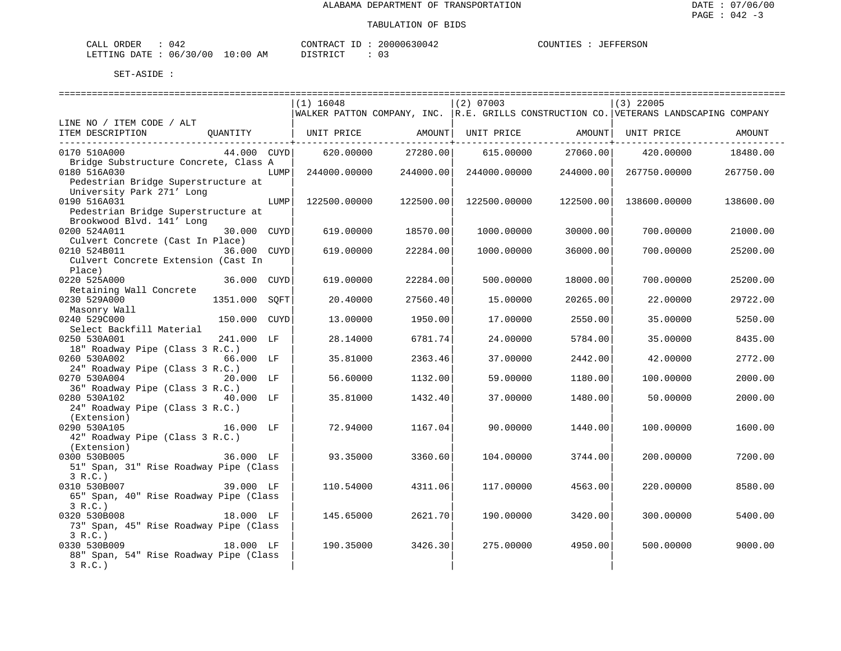| CALL ORDER                      |  |  |          | CONTRACT ID: 20000630042 |  | COUNTIES : JEFFERSON |
|---------------------------------|--|--|----------|--------------------------|--|----------------------|
| LETTING DATE: 06/30/00 10:00 AM |  |  | DISTRICT |                          |  |                      |

|                                                  |               |      | $(1)$ 16048                                                                              |                                          | $(2)$ 07003        |           | $(3)$ 22005  |           |
|--------------------------------------------------|---------------|------|------------------------------------------------------------------------------------------|------------------------------------------|--------------------|-----------|--------------|-----------|
|                                                  |               |      | WALKER PATTON COMPANY, INC. $ R.E.$ GRILLS CONSTRUCTION CO. VETERANS LANDSCAPING COMPANY |                                          |                    |           |              |           |
| LINE NO / ITEM CODE / ALT                        |               |      |                                                                                          |                                          |                    |           |              |           |
| ITEM DESCRIPTION QUANTITY                        |               |      | UNIT PRICE                  AMOUNT    UNIT PRICE                  AMOUNT    UNIT PRICE   |                                          |                    |           |              | AMOUNT    |
| 0170 510A000                                     | 44.000 CUYD   |      |                                                                                          | -----------+------<br>620.00000 27280.00 | 615.00000 27060.00 |           | 420.00000    | 18480.00  |
| Bridge Substructure Concrete, Class A            |               |      |                                                                                          |                                          |                    |           |              |           |
| 0180 516A030                                     |               | LUMP | 244000.00000                                                                             | 244000.00                                | 244000.00000       | 244000.00 | 267750.00000 | 267750.00 |
| Pedestrian Bridge Superstructure at              |               |      |                                                                                          |                                          |                    |           |              |           |
| University Park 271' Long                        |               |      |                                                                                          |                                          |                    |           |              |           |
| 0190 516A031                                     |               | LUMP | 122500.00000                                                                             | 122500.00                                | 122500.00000       | 122500.00 | 138600.00000 | 138600.00 |
| Pedestrian Bridge Superstructure at              |               |      |                                                                                          |                                          |                    |           |              |           |
| Brookwood Blvd. 141' Long                        |               |      |                                                                                          |                                          |                    |           |              |           |
| 0200 524A011<br>Culvert Concrete (Cast In Place) | 30.000 CUYD   |      | 619.00000                                                                                | 18570.00                                 | 1000.00000         | 30000.00  | 700.00000    | 21000.00  |
| 0210 524B011                                     | 36.000 CUYD   |      | 619.00000                                                                                | 22284.00                                 | 1000.00000         | 36000.00  | 700.00000    | 25200.00  |
| Culvert Concrete Extension (Cast In              |               |      |                                                                                          |                                          |                    |           |              |           |
| Place)                                           |               |      |                                                                                          |                                          |                    |           |              |           |
| 0220 525A000                                     | 36.000 CUYD   |      | 619.00000                                                                                | 22284.00                                 | 500.00000          | 18000.00  | 700.00000    | 25200.00  |
| Retaining Wall Concrete                          |               |      |                                                                                          |                                          |                    |           |              |           |
| 0230 529A000                                     | 1351.000 SOFT |      | 20.40000                                                                                 | 27560.40                                 | 15,00000           | 20265.00  | 22,00000     | 29722.00  |
| Masonry Wall                                     |               |      |                                                                                          |                                          |                    |           |              |           |
| 0240 529C000                                     | 150.000 CUYD  |      | 13.00000                                                                                 | 1950.00                                  | 17.00000           | 2550.00   | 35.00000     | 5250.00   |
| Select Backfill Material                         |               |      |                                                                                          |                                          |                    |           |              |           |
| 0250 530A001                                     | 241.000 LF    |      | 28.14000                                                                                 | 6781.74                                  | 24.00000           | 5784.00   | 35,00000     | 8435.00   |
| 18" Roadway Pipe (Class 3 R.C.)                  |               |      |                                                                                          |                                          |                    |           |              |           |
| 0260 530A002<br>24" Roadway Pipe (Class 3 R.C.)  | 66.000 LF     |      | 35.81000                                                                                 | 2363.46                                  | 37.00000           | 2442.00   | 42.00000     | 2772.00   |
| 0270 530A004                                     | 20.000 LF     |      | 56.60000                                                                                 | 1132.00                                  | 59.00000           | 1180.00   | 100.00000    | 2000.00   |
| 36" Roadway Pipe (Class 3 R.C.)                  |               |      |                                                                                          |                                          |                    |           |              |           |
| 0280 530A102                                     |               |      | 35.81000                                                                                 | 1432.40                                  | 37.00000           | 1480.00   | 50.00000     | 2000.00   |
| 24" Roadway Pipe (Class 3 R.C.)                  |               |      |                                                                                          |                                          |                    |           |              |           |
| (Extension)                                      |               |      |                                                                                          |                                          |                    |           |              |           |
| 16.000 LF<br>0290 530A105                        |               |      | 72.94000                                                                                 | 1167.04                                  | 90.00000           | 1440.00   | 100.00000    | 1600.00   |
| 42" Roadway Pipe (Class 3 R.C.)                  |               |      |                                                                                          |                                          |                    |           |              |           |
| (Extension)                                      |               |      |                                                                                          |                                          |                    |           |              |           |
| 0300 530B005                                     | 36.000 LF     |      | 93.35000                                                                                 | 3360.60                                  | 104.00000          | 3744.00   | 200.00000    | 7200.00   |
| 51" Span, 31" Rise Roadway Pipe (Class<br>3 R.C. |               |      |                                                                                          |                                          |                    |           |              |           |
| $39.000$ LF<br>0310 530B007                      |               |      | 110.54000                                                                                | 4311.06                                  | 117.00000          | 4563.00   | 220.00000    | 8580.00   |
| 65" Span, 40" Rise Roadway Pipe (Class           |               |      |                                                                                          |                                          |                    |           |              |           |
| 3 R.C.                                           |               |      |                                                                                          |                                          |                    |           |              |           |
| 18.000 LF<br>0320 530B008                        |               |      | 145.65000                                                                                | 2621.70                                  | 190.00000          | 3420.00   | 300.00000    | 5400.00   |
| 73" Span, 45" Rise Roadway Pipe (Class           |               |      |                                                                                          |                                          |                    |           |              |           |
| 3 R.C.                                           |               |      |                                                                                          |                                          |                    |           |              |           |
| 0330 530B009                                     | 18.000 LF     |      | 190.35000                                                                                | 3426.30                                  | 275.00000          | 4950.00   | 500.00000    | 9000.00   |
| 88" Span, 54" Rise Roadway Pipe (Class           |               |      |                                                                                          |                                          |                    |           |              |           |
| 3 R.C.                                           |               |      |                                                                                          |                                          |                    |           |              |           |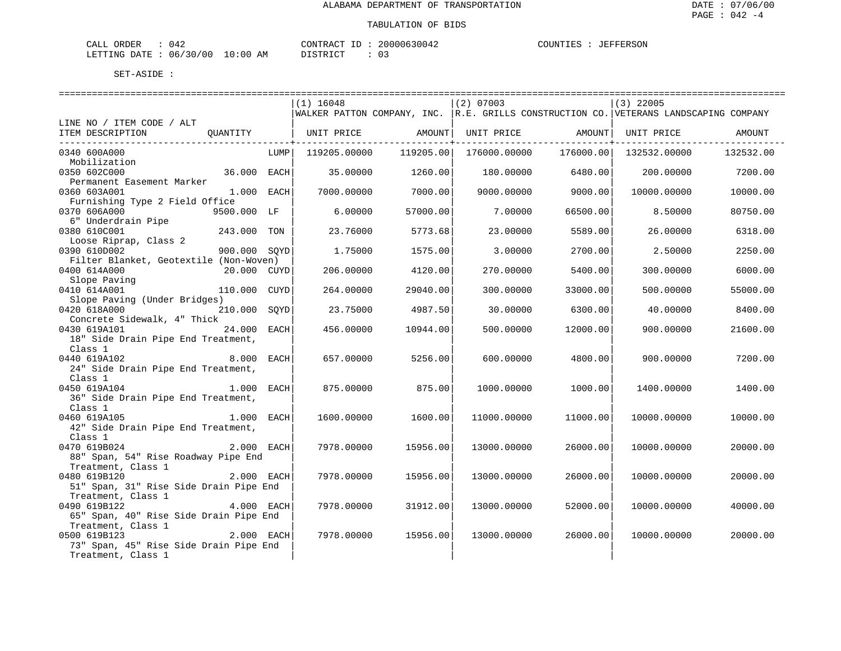| CALL ORDER                       |  | CONTRACT ID | 20000630042 | COUNTIES | JEFFERSON |
|----------------------------------|--|-------------|-------------|----------|-----------|
| LETTING DATE : 06/30/00 10:00 AM |  | DISTRICT    |             |          |           |

|                                        |              |      | ==============================                                                            |           | ==============================                                                                          |                           | ================================ |           |
|----------------------------------------|--------------|------|-------------------------------------------------------------------------------------------|-----------|---------------------------------------------------------------------------------------------------------|---------------------------|----------------------------------|-----------|
|                                        |              |      | $(1)$ 16048                                                                               |           | $(2)$ 07003                                                                                             |                           | $(3)$ 22005                      |           |
|                                        |              |      | WALKER PATTON COMPANY, INC.   R.E. GRILLS CONSTRUCTION CO.   VETERANS LANDSCAPING COMPANY |           |                                                                                                         |                           |                                  |           |
| LINE NO / ITEM CODE / ALT              |              |      |                                                                                           |           |                                                                                                         |                           |                                  |           |
| ITEM DESCRIPTION OUANTITY              |              |      |                                                                                           |           | UNIT PRICE                AMOUNT    UNIT PRICE               AMOUNT    UNIT PRICE                AMOUNT |                           |                                  |           |
| -------------------------------        |              |      |                                                                                           |           |                                                                                                         | ------------------+------ |                                  |           |
| 0340 600A000                           |              | LUMP | 119205.00000                                                                              | 119205.00 | 176000.00000                                                                                            | 176000.00                 | 132532.00000                     | 132532.00 |
| Mobilization                           |              |      |                                                                                           |           |                                                                                                         |                           |                                  |           |
| 0350 602C000                           | 36.000 EACH  |      | 35.00000                                                                                  | 1260.00   | 180.00000                                                                                               | 6480.00                   | 200.00000                        | 7200.00   |
| Permanent Easement Marker              |              |      |                                                                                           |           |                                                                                                         |                           |                                  |           |
| 0360 603A001                           | $1.000$ EACH |      | 7000.00000                                                                                | 7000.00   | 9000.00000                                                                                              | 9000.00                   | 10000.00000                      | 10000.00  |
| Furnishing Type 2 Field Office         |              |      |                                                                                           |           |                                                                                                         |                           |                                  |           |
| 0370 606A000                           | 9500.000 LF  |      | 6.00000                                                                                   | 57000.00  | 7.00000                                                                                                 | 66500.00                  | 8.50000                          | 80750.00  |
|                                        |              |      |                                                                                           |           |                                                                                                         |                           |                                  |           |
| 6" Underdrain Pipe                     |              |      |                                                                                           |           |                                                                                                         |                           |                                  |           |
| 0380 610C001                           | 243.000 TON  |      | 23.76000                                                                                  | 5773.68   | 23.00000                                                                                                | 5589.00                   | 26.00000                         | 6318.00   |
| Loose Riprap, Class 2                  |              |      |                                                                                           |           |                                                                                                         |                           |                                  |           |
| 0390 610D002                           | 900.000 SOYD |      | 1.75000                                                                                   | 1575.00   | 3.00000                                                                                                 | 2700.00                   | 2.50000                          | 2250.00   |
| Filter Blanket, Geotextile (Non-Woven) |              |      |                                                                                           |           |                                                                                                         |                           |                                  |           |
| 0400 614A000                           | 20.000 CUYD  |      | 206.00000                                                                                 | 4120.00   | 270,00000                                                                                               | 5400.00                   | 300,00000                        | 6000.00   |
| Slope Paving                           |              |      |                                                                                           |           |                                                                                                         |                           |                                  |           |
| 0410 614A001                           | 110.000 CUYD |      | 264.00000                                                                                 | 29040.00  | 300.00000                                                                                               | 33000.00                  | 500.00000                        | 55000.00  |
| Slope Paving (Under Bridges)           |              |      |                                                                                           |           |                                                                                                         |                           |                                  |           |
| 0420 618A000                           | 210.000 SOYD |      | 23.75000                                                                                  | 4987.50   | 30.00000                                                                                                | 6300.00                   | 40.00000                         | 8400.00   |
| Concrete Sidewalk, 4" Thick            |              |      |                                                                                           |           |                                                                                                         |                           |                                  |           |
| 24.000 EACH<br>0430 619A101            |              |      | 456.00000                                                                                 | 10944.00  | 500.00000                                                                                               | 12000.00                  | 900.00000                        | 21600.00  |
| 18" Side Drain Pipe End Treatment,     |              |      |                                                                                           |           |                                                                                                         |                           |                                  |           |
| Class 1                                |              |      |                                                                                           |           |                                                                                                         |                           |                                  |           |
| 8.000 EACH<br>0440 619A102             |              |      | 657.00000                                                                                 | 5256.00   | 600,00000                                                                                               | 4800.00                   | 900,00000                        | 7200.00   |
| 24" Side Drain Pipe End Treatment,     |              |      |                                                                                           |           |                                                                                                         |                           |                                  |           |
| Class 1                                |              |      |                                                                                           |           |                                                                                                         |                           |                                  |           |
| 0450 619A104                           | 1.000 EACH   |      | 875,00000                                                                                 | 875.00    | 1000.00000                                                                                              | 1000.00                   | 1400.00000                       | 1400.00   |
| 36" Side Drain Pipe End Treatment,     |              |      |                                                                                           |           |                                                                                                         |                           |                                  |           |
| Class 1                                |              |      |                                                                                           |           |                                                                                                         |                           |                                  |           |
| 1.000 EACH<br>0460 619A105             |              |      | 1600.00000                                                                                | 1600.00   | 11000.00000                                                                                             | 11000.00                  | 10000.00000                      | 10000.00  |
| 42" Side Drain Pipe End Treatment,     |              |      |                                                                                           |           |                                                                                                         |                           |                                  |           |
| Class 1                                |              |      |                                                                                           |           |                                                                                                         |                           |                                  |           |
| 0470 619B024                           | 2.000 EACH   |      | 7978.00000                                                                                | 15956.00  | 13000.00000                                                                                             | 26000.00                  | 10000.00000                      | 20000.00  |
| 88" Span, 54" Rise Roadway Pipe End    |              |      |                                                                                           |           |                                                                                                         |                           |                                  |           |
| Treatment, Class 1                     |              |      |                                                                                           |           |                                                                                                         |                           |                                  |           |
| 0480 619B120                           | 2.000 EACH   |      | 7978.00000                                                                                | 15956.00  | 13000.00000                                                                                             | 26000.00                  | 10000.00000                      | 20000.00  |
|                                        |              |      |                                                                                           |           |                                                                                                         |                           |                                  |           |
| 51" Span, 31" Rise Side Drain Pipe End |              |      |                                                                                           |           |                                                                                                         |                           |                                  |           |
| Treatment, Class 1                     |              |      |                                                                                           |           |                                                                                                         |                           |                                  |           |
| 0490 619B122                           | 4.000 EACH   |      | 7978.00000                                                                                | 31912.00  | 13000.00000                                                                                             | 52000.00                  | 10000.00000                      | 40000.00  |
| 65" Span, 40" Rise Side Drain Pipe End |              |      |                                                                                           |           |                                                                                                         |                           |                                  |           |
| Treatment, Class 1                     |              |      |                                                                                           |           |                                                                                                         |                           |                                  |           |
| 0500 619B123                           | $2.000$ EACH |      | 7978.00000                                                                                | 15956.00  | 13000.00000                                                                                             | 26000.00                  | 10000.00000                      | 20000.00  |
| 73" Span, 45" Rise Side Drain Pipe End |              |      |                                                                                           |           |                                                                                                         |                           |                                  |           |
| Treatment, Class 1                     |              |      |                                                                                           |           |                                                                                                         |                           |                                  |           |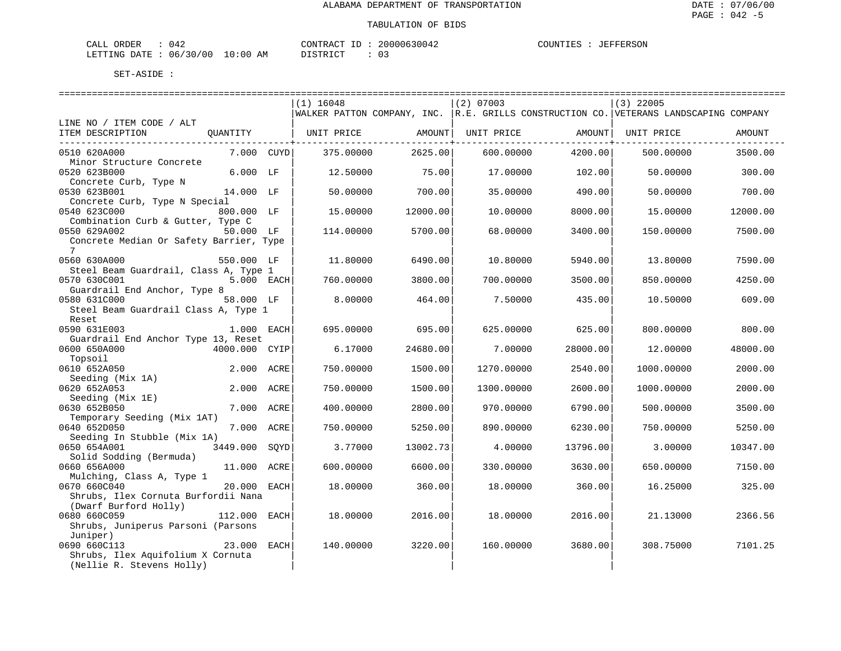| CALL ORDER                       |  | CONTRACT ID | 20000630042 | COUNTIES | JEFFERSON |
|----------------------------------|--|-------------|-------------|----------|-----------|
| LETTING DATE : 06/30/00 10:00 AM |  | DISTRICT    |             |          |           |

|                                                                |               |      | $(1)$ 16048<br>WALKER PATTON COMPANY, INC. R.E. GRILLS CONSTRUCTION CO. VETERANS LANDSCAPING COMPANY |          | $(2)$ 07003 |          | $(3)$ 22005 |          |
|----------------------------------------------------------------|---------------|------|------------------------------------------------------------------------------------------------------|----------|-------------|----------|-------------|----------|
| LINE NO / ITEM CODE / ALT                                      |               |      |                                                                                                      |          |             |          |             |          |
| ITEM DESCRIPTION                                               | QUANTITY      |      | UNIT PRICE                                                                                           | AMOUNT   | UNIT PRICE  | AMOUNT   | UNIT PRICE  | AMOUNT   |
| 0510 620A000<br>Minor Structure Concrete                       | 7.000 CUYD    |      | 375.00000                                                                                            | 2625.00  | 600.00000   | 4200.00  | 500.00000   | 3500.00  |
| 0520 623B000<br>Concrete Curb, Type N                          | 6.000 LF      |      | 12.50000                                                                                             | 75.00    | 17.00000    | 102.00   | 50.00000    | 300.00   |
| 0530 623B001<br>Concrete Curb, Type N Special                  | 14.000 LF     |      | 50.00000                                                                                             | 700.00   | 35.00000    | 490.00   | 50.00000    | 700.00   |
| 0540 623C000<br>Combination Curb & Gutter, Type C              | 800.000 LF    |      | 15.00000                                                                                             | 12000.00 | 10.00000    | 8000.00  | 15.00000    | 12000.00 |
| 0550 629A002<br>Concrete Median Or Safety Barrier, Type        | 50.000 LF     |      | 114,00000                                                                                            | 5700.00  | 68,00000    | 3400.00  | 150.00000   | 7500.00  |
| 7<br>0560 630A000                                              | 550.000 LF    |      | 11.80000                                                                                             | 6490.00  | 10.80000    | 5940.00  | 13.80000    | 7590.00  |
| Steel Beam Guardrail, Class A, Type 1<br>0570 630C001          | 5.000 EACH    |      | 760.00000                                                                                            | 3800.00  | 700.00000   | 3500.00  | 850.00000   | 4250.00  |
| Guardrail End Anchor, Type 8<br>0580 631C000                   | 58.000 LF     |      | 8.00000                                                                                              | 464.00   | 7.50000     | 435.00   | 10.50000    | 609.00   |
| Steel Beam Guardrail Class A, Type 1<br>Reset                  |               |      |                                                                                                      |          |             |          |             |          |
| 0590 631E003<br>Guardrail End Anchor Type 13, Reset            | 1.000 EACH    |      | 695.00000                                                                                            | 695.00   | 625.00000   | 625.00   | 800.00000   | 800.00   |
| 0600 650A000                                                   | 4000.000 CYIP |      | 6.17000                                                                                              | 24680.00 | 7.00000     | 28000.00 | 12.00000    | 48000.00 |
| Topsoil<br>0610 652A050                                        | 2.000 ACRE    |      | 750.00000                                                                                            | 1500.00  | 1270.00000  | 2540.00  | 1000.00000  | 2000.00  |
| Seeding (Mix 1A)<br>0620 652A053                               | 2.000 ACRE    |      | 750.00000                                                                                            | 1500.00  | 1300.00000  | 2600.00  | 1000.00000  | 2000.00  |
| Seeding (Mix 1E)<br>0630 652B050                               | 7.000 ACRE    |      | 400.00000                                                                                            | 2800.00  | 970.00000   | 6790.00  | 500.00000   | 3500.00  |
| Temporary Seeding (Mix 1AT)<br>0640 652D050                    | 7.000 ACRE    |      | 750.00000                                                                                            | 5250.00  | 890.00000   | 6230.00  | 750.00000   | 5250.00  |
| Seeding In Stubble (Mix 1A)<br>0650 654A001                    | 3449.000      | SOYD | 3.77000                                                                                              | 13002.73 | 4.00000     | 13796.00 | 3.00000     | 10347.00 |
| Solid Sodding (Bermuda)<br>0660 656A000                        | 11.000 ACRE   |      | 600.00000                                                                                            | 6600.00  | 330.00000   | 3630.00  | 650.00000   | 7150.00  |
| Mulching, Class A, Type 1<br>0670 660C040                      | 20.000 EACH   |      | 18.00000                                                                                             | 360.00   | 18.00000    | 360.00   | 16.25000    | 325.00   |
| Shrubs, Ilex Cornuta Burfordii Nana<br>(Dwarf Burford Holly)   |               |      |                                                                                                      |          |             |          |             |          |
| 0680 660C059<br>Shrubs, Juniperus Parsoni (Parsons             | 112.000       | EACH | 18.00000                                                                                             | 2016.00  | 18.00000    | 2016.00  | 21.13000    | 2366.56  |
| Juniper)<br>0690 660C113                                       | 23.000        | EACH | 140.00000                                                                                            | 3220.00  | 160.00000   | 3680.00  | 308.75000   | 7101.25  |
| Shrubs, Ilex Aquifolium X Cornuta<br>(Nellie R. Stevens Holly) |               |      |                                                                                                      |          |             |          |             |          |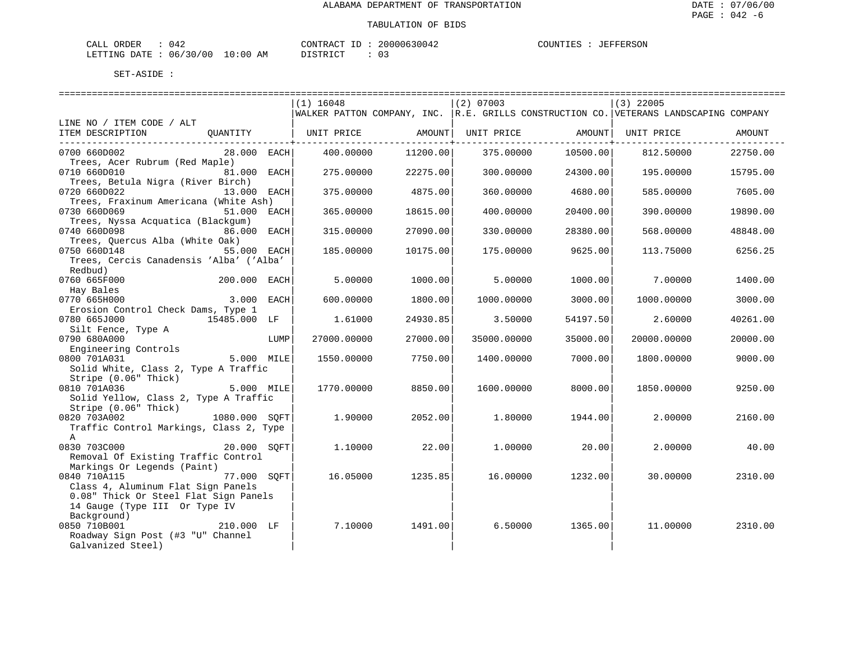| 042<br>CALL ORDER               | CONTRACT ID: 20000630042 | COUNTIES : JEFFERSON |
|---------------------------------|--------------------------|----------------------|
| LETTING DATE: 06/30/00 10:00 AM | DISTRICT                 |                      |

|                                               |               |      | $(1)$ 16048                                                                               |                            | $(2)$ 07003 |                       | (3) 22005                      |          |
|-----------------------------------------------|---------------|------|-------------------------------------------------------------------------------------------|----------------------------|-------------|-----------------------|--------------------------------|----------|
|                                               |               |      | WALKER PATTON COMPANY, INC.   R.E. GRILLS CONSTRUCTION CO.   VETERANS LANDSCAPING COMPANY |                            |             |                       |                                |          |
| LINE NO / ITEM CODE / ALT                     |               |      |                                                                                           |                            |             |                       |                                |          |
| ITEM DESCRIPTION QUANTITY   UNIT PRICE AMOUNT |               |      |                                                                                           | -----------------+-------- |             | ------------------+-- | UNIT PRICE AMOUNT   UNIT PRICE | AMOUNT   |
| 0700 660D002                                  | $28.000$ EACH |      | 400.00000                                                                                 | 11200.00                   | 375.00000   | 10500.00              | 812.50000                      | 22750.00 |
| Trees, Acer Rubrum (Red Maple)                |               |      |                                                                                           |                            |             |                       |                                |          |
| 0710 660D010                                  | 81.000 EACH   |      | 275.00000                                                                                 | 22275.00                   | 300.00000   | 24300.00              | 195.00000                      | 15795.00 |
| Trees, Betula Nigra (River Birch)             |               |      |                                                                                           |                            |             |                       |                                |          |
| 0720 660D022                                  | 13.000 EACH   |      | 375.00000                                                                                 | 4875.00                    | 360.00000   | 4680.00               | 585.00000                      | 7605.00  |
| Trees, Fraxinum Americana (White Ash)         |               |      |                                                                                           |                            |             |                       |                                |          |
| 0730 660D069                                  | 51.000 EACH   |      | 365.00000                                                                                 | 18615.00                   | 400.00000   | 20400.00              | 390.00000                      | 19890.00 |
| Trees, Nyssa Acquatica (Blackqum)             |               |      |                                                                                           |                            |             |                       |                                |          |
| 0740 660D098                                  | 86.000 EACH   |      | 315.00000                                                                                 | 27090.00                   | 330.00000   | 28380.00              | 568,00000                      | 48848.00 |
| Trees, Quercus Alba (White Oak)               |               |      |                                                                                           |                            |             |                       |                                |          |
| 0750 660D148<br>55.000 EACH                   |               |      | 185.00000                                                                                 | 10175.00                   | 175.00000   | 9625.00               | 113.75000                      | 6256.25  |
| Trees, Cercis Canadensis 'Alba' ('Alba'       |               |      |                                                                                           |                            |             |                       |                                |          |
| Redbud)                                       |               |      |                                                                                           |                            |             |                       |                                |          |
| 0760 665F000<br>200.000 EACH                  |               |      | 5.00000                                                                                   | 1000.00                    | 5.00000     | 1000.00               | 7.00000                        | 1400.00  |
| Hay Bales                                     |               |      |                                                                                           |                            |             |                       |                                |          |
| 0770 665H000                                  | 3.000 EACH    |      | 600.00000                                                                                 | 1800.00                    | 1000.00000  | 3000.00               | 1000.00000                     | 3000.00  |
| Erosion Control Check Dams, Type 1            |               |      |                                                                                           |                            |             |                       |                                |          |
| 0780 665J000                                  | 15485.000 LF  |      | 1.61000                                                                                   | 24930.85                   | 3.50000     | 54197.50              | 2.60000                        | 40261.00 |
| Silt Fence, Type A<br>0790 680A000            |               |      |                                                                                           |                            |             |                       |                                |          |
| Engineering Controls                          |               | LUMP | 27000.00000                                                                               | 27000.00                   | 35000.00000 | 35000.00              | 20000.00000                    | 20000.00 |
| 0800 701A031                                  | 5.000 MILE    |      | 1550.00000                                                                                | 7750.00                    | 1400.00000  | 7000.00               | 1800.00000                     | 9000.00  |
| Solid White, Class 2, Type A Traffic          |               |      |                                                                                           |                            |             |                       |                                |          |
| Stripe (0.06" Thick)                          |               |      |                                                                                           |                            |             |                       |                                |          |
| 5.000 MILE<br>0810 701A036                    |               |      | 1770.00000                                                                                | 8850.00                    | 1600.00000  | 8000.00               | 1850.00000                     | 9250.00  |
| Solid Yellow, Class 2, Type A Traffic         |               |      |                                                                                           |                            |             |                       |                                |          |
| Stripe (0.06" Thick)                          |               |      |                                                                                           |                            |             |                       |                                |          |
| 0820 703A002                                  | 1080.000 SOFT |      | 1.90000                                                                                   | 2052.00                    | 1,80000     | 1944.00               | 2,00000                        | 2160.00  |
| Traffic Control Markings, Class 2, Type       |               |      |                                                                                           |                            |             |                       |                                |          |
| $\mathbb{A}$                                  |               |      |                                                                                           |                            |             |                       |                                |          |
| 0830 703C000                                  | 20.000 SOFT   |      | 1,10000                                                                                   | 22.00                      | 1,00000     | 20.00                 | 2,00000                        | 40.00    |
| Removal Of Existing Traffic Control           |               |      |                                                                                           |                            |             |                       |                                |          |
| Markings Or Legends (Paint)                   |               |      |                                                                                           |                            |             |                       |                                |          |
| 0840 710A115                                  | 77.000 SOFT   |      | 16.05000                                                                                  | 1235.85                    | 16.00000    | 1232.001              | 30.00000                       | 2310.00  |
| Class 4, Aluminum Flat Sign Panels            |               |      |                                                                                           |                            |             |                       |                                |          |
| 0.08" Thick Or Steel Flat Sign Panels         |               |      |                                                                                           |                            |             |                       |                                |          |
| 14 Gauge (Type III Or Type IV                 |               |      |                                                                                           |                            |             |                       |                                |          |
| Background)                                   |               |      |                                                                                           |                            |             |                       |                                |          |
| 0850 710B001                                  | 210.000 LF    |      | 7.10000                                                                                   | 1491.00                    | 6.50000     | 1365.00               | 11,00000                       | 2310.00  |
| Roadway Sign Post (#3 "U" Channel             |               |      |                                                                                           |                            |             |                       |                                |          |
| Galvanized Steel)                             |               |      |                                                                                           |                            |             |                       |                                |          |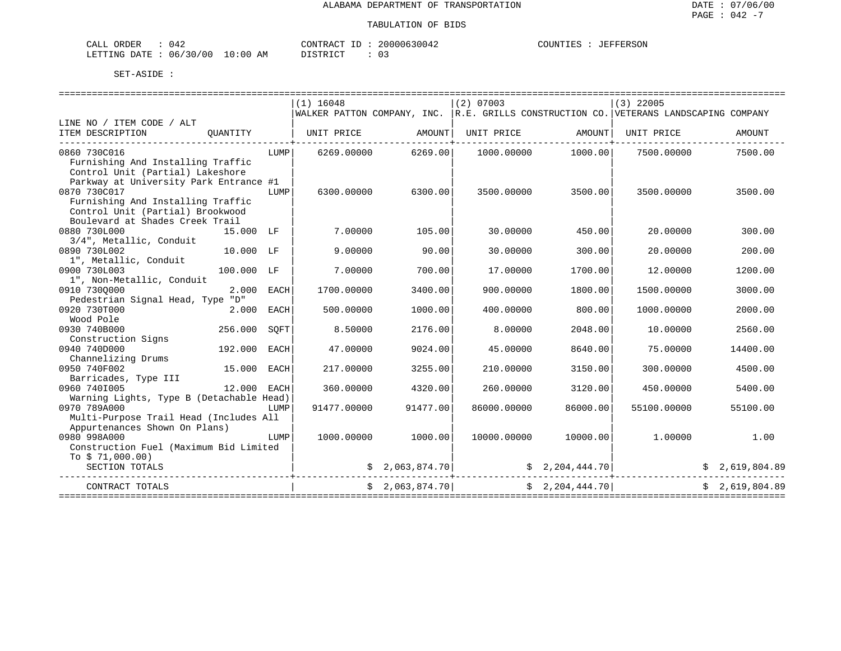| CALL ORDER                       | 042 | CONTRACT ID: | 20000630042 | COUNTIES | JEFFERSON |
|----------------------------------|-----|--------------|-------------|----------|-----------|
| LETTING DATE : 06/30/00 10:00 AM |     | DISTRICT     |             |          |           |

|                                                                                                                                                                    |              |      | $(1)$ 16048                                                                                                                                                                                                                                                                                                                                                                                                                                                                                                                                               |                 | $(2)$ 07003 |                      | $(3)$ 22005                                                                           |                                                                                                                    |
|--------------------------------------------------------------------------------------------------------------------------------------------------------------------|--------------|------|-----------------------------------------------------------------------------------------------------------------------------------------------------------------------------------------------------------------------------------------------------------------------------------------------------------------------------------------------------------------------------------------------------------------------------------------------------------------------------------------------------------------------------------------------------------|-----------------|-------------|----------------------|---------------------------------------------------------------------------------------|--------------------------------------------------------------------------------------------------------------------|
|                                                                                                                                                                    |              |      |                                                                                                                                                                                                                                                                                                                                                                                                                                                                                                                                                           |                 |             |                      | WALKER PATTON COMPANY, INC. R.E. GRILLS CONSTRUCTION CO. VETERANS LANDSCAPING COMPANY |                                                                                                                    |
| LINE NO / ITEM CODE / ALT                                                                                                                                          |              |      |                                                                                                                                                                                                                                                                                                                                                                                                                                                                                                                                                           |                 |             |                      |                                                                                       |                                                                                                                    |
| ITEM DESCRIPTION                                                                                                                                                   |              |      | $\begin{array}{c c c c c} \hline \text{QUANT} & \text{UNIT} & \text{UNIT} & \text{UNIT} & \text{UNIT} & \text{UNIT} & \text{UNIT} & \text{UNIT} & \text{UNIT} & \text{UNIT} & \text{UNIT} & \text{UNIT} & \text{UNIT} & \text{UNIT} & \text{UNIT} & \text{UNIT} & \text{Matrix} & \text{Matrix} & \text{Matrix} & \text{Matrix} & \text{Matrix} & \text{Matrix} & \text{Matrix} & \text{Matrix} & \text{Matrix} & \text{Matrix} & \text{Matrix} & \text{Matrix} & \text{Matrix} & \text{Matrix} & \text{Matrix} & \text{Matrix} & \text{Matrix} & \text{$ |                 |             |                      |                                                                                       | AMOUNT                                                                                                             |
| 0860 730C016<br>Furnishing And Installing Traffic<br>Control Unit (Partial) Lakeshore                                                                              |              | LUMP | 6269.00000                                                                                                                                                                                                                                                                                                                                                                                                                                                                                                                                                | 6269.00         | 1000.00000  | 1000.00              | 7500.00000                                                                            | 7500.00                                                                                                            |
| Parkway at University Park Entrance #1<br>0870 730C017<br>Furnishing And Installing Traffic<br>Control Unit (Partial) Brookwood<br>Boulevard at Shades Creek Trail |              | LUMP | 6300.00000                                                                                                                                                                                                                                                                                                                                                                                                                                                                                                                                                | 6300.00         | 3500.00000  | 3500.00              | 3500.00000                                                                            | 3500.00                                                                                                            |
| 0880 730L000<br>3/4", Metallic, Conduit                                                                                                                            | 15.000 LF    |      | 7.00000                                                                                                                                                                                                                                                                                                                                                                                                                                                                                                                                                   | 105.00          | 30,00000    | 450.00               | 20,00000                                                                              | 300.00                                                                                                             |
| 0890 730L002<br>1", Metallic, Conduit                                                                                                                              | $10.000$ LF  |      | 9,00000                                                                                                                                                                                                                                                                                                                                                                                                                                                                                                                                                   | 90.00           | 30,00000    | 300.00               | 20.00000                                                                              | 200.00                                                                                                             |
| 0900 730L003<br>1", Non-Metallic, Conduit                                                                                                                          | 100.000 LF   |      | 7.00000                                                                                                                                                                                                                                                                                                                                                                                                                                                                                                                                                   | 700.00          | 17.00000    | 1700.00              | 12.00000                                                                              | 1200.00                                                                                                            |
| 0910 7300000<br>Pedestrian Signal Head, Type "D"                                                                                                                   | 2.000 EACH   |      | 1700.00000                                                                                                                                                                                                                                                                                                                                                                                                                                                                                                                                                | 3400.00         | 900.00000   | 1800.00              | 1500.00000                                                                            | 3000.00                                                                                                            |
| 0920 730T000<br>Wood Pole                                                                                                                                          | 2.000 EACH   |      | 500.00000                                                                                                                                                                                                                                                                                                                                                                                                                                                                                                                                                 | 1000.00         | 400.00000   | 800.00               | 1000.00000                                                                            | 2000.00                                                                                                            |
| 0930 740B000<br>Construction Signs                                                                                                                                 | 256.000      | SOFT | 8.50000                                                                                                                                                                                                                                                                                                                                                                                                                                                                                                                                                   | 2176.00         | 8,00000     | 2048.00              | 10.00000                                                                              | 2560.00                                                                                                            |
| 0940 740D000<br>Channelizing Drums                                                                                                                                 | 192.000 EACH |      | 47.00000                                                                                                                                                                                                                                                                                                                                                                                                                                                                                                                                                  | 9024.00         | 45.00000    | 8640.00              | 75.00000                                                                              | 14400.00                                                                                                           |
| 0950 740F002<br>Barricades, Type III                                                                                                                               | 15.000 EACH  |      | 217,00000                                                                                                                                                                                                                                                                                                                                                                                                                                                                                                                                                 | 3255.00         | 210,00000   | 3150.00              | 300,00000                                                                             | 4500.00                                                                                                            |
| 0960 7401005<br>Warning Lights, Type B (Detachable Head)                                                                                                           | 12.000 EACH  |      | 360.00000                                                                                                                                                                                                                                                                                                                                                                                                                                                                                                                                                 | 4320.00         | 260.00000   | 3120.00              | 450.00000                                                                             | 5400.00                                                                                                            |
| 0970 789A000<br>Multi-Purpose Trail Head (Includes All<br>Appurtenances Shown On Plans)                                                                            |              | LUMP | 91477.00000                                                                                                                                                                                                                                                                                                                                                                                                                                                                                                                                               | 91477.00        | 86000.00000 | 86000.00             | 55100.00000                                                                           | 55100.00                                                                                                           |
| 0980 998A000<br>Construction Fuel (Maximum Bid Limited<br>To $$71,000.00)$                                                                                         |              | LUMP | 1000.00000                                                                                                                                                                                                                                                                                                                                                                                                                                                                                                                                                | 1000.00         |             | 10000.00000 10000.00 | $1.00000$ 1.00                                                                        |                                                                                                                    |
| SECTION TOTALS                                                                                                                                                     |              |      |                                                                                                                                                                                                                                                                                                                                                                                                                                                                                                                                                           |                 |             |                      |                                                                                       | $\frac{1}{2}$ \$ 2,063,874.70 $\left  \begin{array}{ccc} 2 & 2.204 & 444 & 70 \end{array} \right $ \$ 2,619,804.89 |
| CONTRACT TOTALS                                                                                                                                                    |              |      |                                                                                                                                                                                                                                                                                                                                                                                                                                                                                                                                                           | \$2,063,874.70] |             | \$2,204,444.70]      |                                                                                       | \$2.619.804.89                                                                                                     |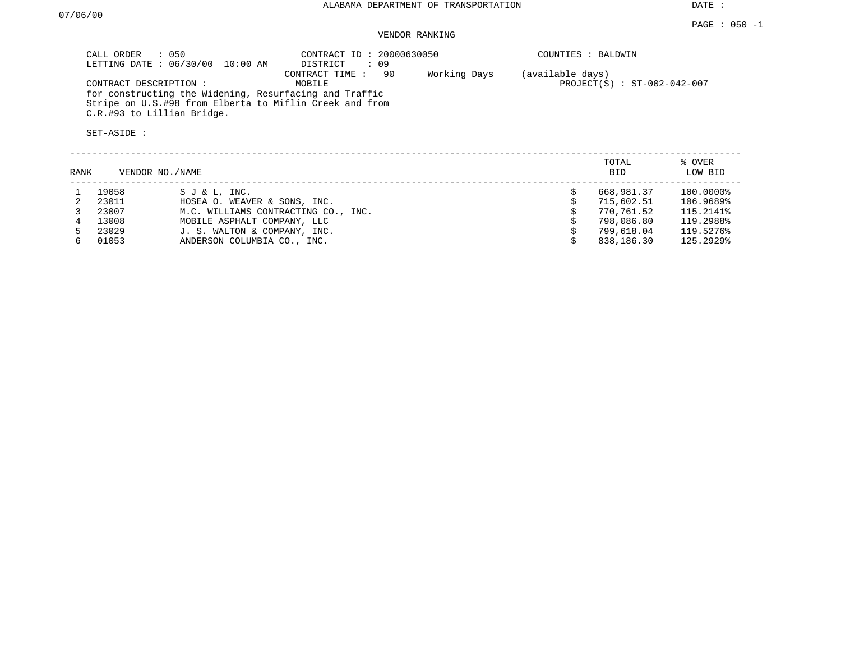## VENDOR RANKING

| CALL ORDER : 050<br>LETTING DATE : 06/30/00 10:00 AM                            | CONTRACT ID: 20000630050<br>: 09<br>DISTRICT | COUNTIES : BALDWIN            |
|---------------------------------------------------------------------------------|----------------------------------------------|-------------------------------|
|                                                                                 | -90<br>Working Days<br>CONTRACT TIME :       | (available days)              |
| CONTRACT DESCRIPTION:<br>for constructing the Widening, Resurfacing and Traffic | MOBILE                                       | $PROJECT(S) : ST-002-042-007$ |
| Stripe on U.S.#98 from Elberta to Miflin Creek and from                         |                                              |                               |
| C.R.#93 to Lillian Bridge.                                                      |                                              |                               |
| SET-ASIDE:                                                                      |                                              |                               |

| RANK |       | VENDOR NO./NAME                     | TOTAL<br><b>BID</b> | % OVER<br>LOW BID |
|------|-------|-------------------------------------|---------------------|-------------------|
|      | 19058 | SJ & L, INC.                        | 668,981.37          | 100.0000%         |
|      | 23011 | HOSEA O. WEAVER & SONS, INC.        | 715,602.51          | 106.9689%         |
|      | 23007 | M.C. WILLIAMS CONTRACTING CO., INC. | 770,761.52          | 115.2141%         |
|      | 13008 | MOBILE ASPHALT COMPANY, LLC         | 798,086.80          | 119.2988%         |
| 5.   | 23029 | J. S. WALTON & COMPANY, INC.        | 799,618.04          | 119.5276%         |
|      | 01053 | ANDERSON COLUMBIA CO., INC.         | 838,186.30          | 125.2929%         |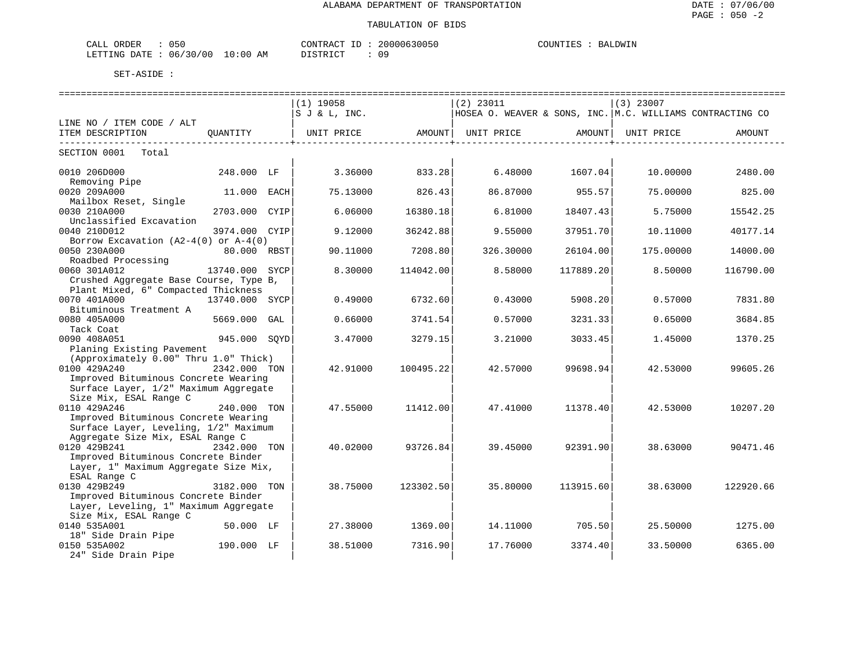### TABULATION OF BIDS

| CALL ORDER                      | 050 | CONTRACT ID : | 20000630050 | COUNTIES | BALDWIN |
|---------------------------------|-----|---------------|-------------|----------|---------|
| LETTING DATE: 06/30/00 10:00 AM |     | DISTRICT      | n a         |          |         |

|                                          |                |     | ============================ |                     |                                                           |                                       |             |           |
|------------------------------------------|----------------|-----|------------------------------|---------------------|-----------------------------------------------------------|---------------------------------------|-------------|-----------|
|                                          |                |     | $(1)$ 19058                  |                     | $(2)$ 23011                                               |                                       | $(3)$ 23007 |           |
|                                          |                |     | S J & L, INC.                |                     | HOSEA O. WEAVER & SONS, INC. M.C. WILLIAMS CONTRACTING CO |                                       |             |           |
| LINE NO / ITEM CODE / ALT                |                |     |                              |                     |                                                           |                                       |             |           |
| ITEM DESCRIPTION                         | OUANTITY       |     | UNIT PRICE                   |                     | AMOUNT   UNIT PRICE AMOUNT                                |                                       | UNIT PRICE  | AMOUNT    |
| SECTION 0001 Total                       |                |     |                              | ---------------+--- |                                                           | . _ _ _ _ _ _ _ _ _ _ _ _ _ _ _ _ _ _ |             |           |
| 0010 206D000                             | 248.000 LF     |     | 3.36000                      | 833.28              | 6.48000                                                   | 1607.04                               | 10.00000    | 2480.00   |
| Removing Pipe                            |                |     |                              |                     |                                                           |                                       |             |           |
| 0020 209A000                             | 11.000 EACH    |     | 75.13000                     | 826.43              | 86.87000                                                  | 955.57                                | 75.00000    | 825.00    |
| Mailbox Reset, Single                    |                |     |                              |                     |                                                           |                                       |             |           |
| 0030 210A000                             | 2703.000 CYIP  |     | 6.06000                      | 16380.18            | 6.81000                                                   | 18407.43                              | 5.75000     | 15542.25  |
| Unclassified Excavation                  |                |     |                              |                     |                                                           |                                       |             |           |
| 0040 210D012                             | 3974.000 CYIP  |     | 9.12000                      | 36242.88            | 9.55000                                                   | 37951.70                              | 10.11000    | 40177.14  |
| Borrow Excavation $(A2-4(0)$ or $A-4(0)$ |                |     |                              |                     |                                                           |                                       |             |           |
| 0050 230A000                             | 80.000 RBST    |     | 90.11000                     | 7208.80             | 326.30000                                                 | 26104.00                              | 175.00000   | 14000.00  |
| Roadbed Processing                       |                |     |                              |                     |                                                           |                                       |             |           |
| 0060 301A012                             | 13740.000 SYCP |     | 8.30000                      | 114042.00           | 8.58000                                                   | 117889.20                             | 8.50000     | 116790.00 |
| Crushed Aggregate Base Course, Type B,   |                |     |                              |                     |                                                           |                                       |             |           |
| Plant Mixed, 6" Compacted Thickness      |                |     |                              |                     |                                                           |                                       |             |           |
| 0070 401A000                             | 13740.000 SYCP |     | 0.49000                      | 6732.60             | 0.43000                                                   | 5908.20                               | 0.57000     | 7831.80   |
| Bituminous Treatment A                   |                |     |                              |                     |                                                           |                                       |             |           |
| 0080 405A000                             | 5669.000       | GAL | 0.66000                      | 3741.54             | 0.57000                                                   | 3231.33                               | 0.65000     | 3684.85   |
| Tack Coat<br>0090 408A051                | 945.000 SOYD   |     | 3.47000                      | 3279.15             | 3.21000                                                   | 3033.45                               | 1.45000     | 1370.25   |
| Planing Existing Pavement                |                |     |                              |                     |                                                           |                                       |             |           |
| (Approximately 0.00" Thru 1.0" Thick)    |                |     |                              |                     |                                                           |                                       |             |           |
| 0100 429A240                             | 2342.000 TON   |     | 42.91000                     | 100495.22           | 42.57000                                                  | 99698.94                              | 42.53000    | 99605.26  |
| Improved Bituminous Concrete Wearing     |                |     |                              |                     |                                                           |                                       |             |           |
| Surface Layer, 1/2" Maximum Aggregate    |                |     |                              |                     |                                                           |                                       |             |           |
| Size Mix, ESAL Range C                   |                |     |                              |                     |                                                           |                                       |             |           |
| 0110 429A246                             | 240.000 TON    |     | 47.55000                     | 11412.00            | 47.41000                                                  | 11378.40                              | 42.53000    | 10207.20  |
| Improved Bituminous Concrete Wearing     |                |     |                              |                     |                                                           |                                       |             |           |
| Surface Layer, Leveling, 1/2" Maximum    |                |     |                              |                     |                                                           |                                       |             |           |
| Aggregate Size Mix, ESAL Range C         |                |     |                              |                     |                                                           |                                       |             |           |
| 0120 429B241                             | 2342.000 TON   |     | 40.02000                     | 93726.84            | 39.45000                                                  | 92391.90                              | 38.63000    | 90471.46  |
| Improved Bituminous Concrete Binder      |                |     |                              |                     |                                                           |                                       |             |           |
| Layer, 1" Maximum Aggregate Size Mix,    |                |     |                              |                     |                                                           |                                       |             |           |
| ESAL Range C                             |                |     |                              |                     |                                                           |                                       |             |           |
| 0130 429B249                             | 3182.000 TON   |     | 38.75000                     | 123302.50           | 35.80000                                                  | 113915.60                             | 38.63000    | 122920.66 |
| Improved Bituminous Concrete Binder      |                |     |                              |                     |                                                           |                                       |             |           |
| Layer, Leveling, 1" Maximum Aggregate    |                |     |                              |                     |                                                           |                                       |             |           |
| Size Mix, ESAL Range C                   |                |     |                              |                     |                                                           |                                       |             |           |
| 0140 535A001                             | 50.000 LF      |     | 27.38000                     | 1369.00             | 14.11000                                                  | 705.50                                | 25.50000    | 1275.00   |
| 18" Side Drain Pipe                      |                |     |                              |                     |                                                           |                                       |             |           |
| 0150 535A002                             | 190.000 LF     |     | 38.51000                     | 7316.90             | 17.76000                                                  | 3374.40                               | 33.50000    | 6365.00   |
| 24" Side Drain Pipe                      |                |     |                              |                     |                                                           |                                       |             |           |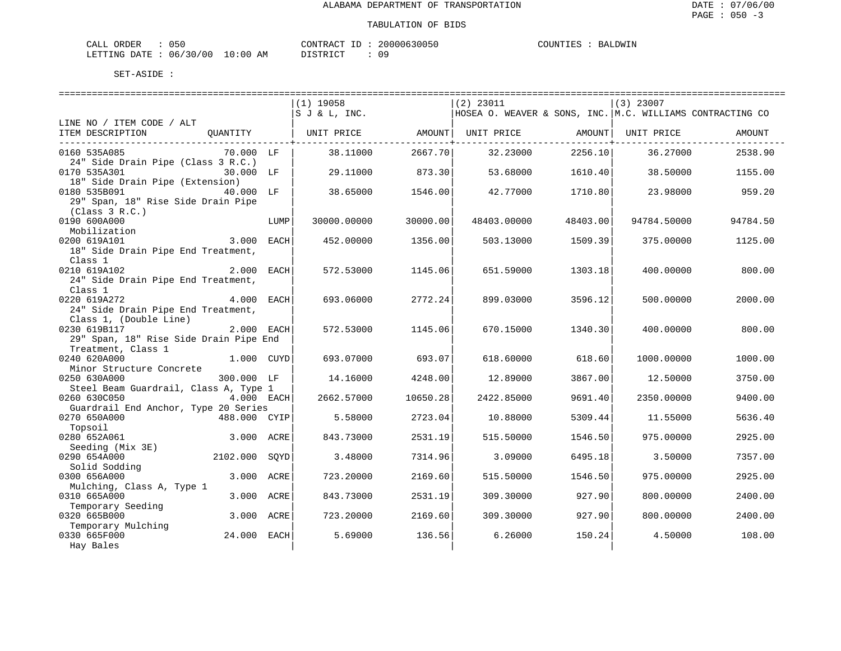| ORDER<br>CALI | $\sim$ $\sim$ $\sim$<br>いっい |               | CONTRAC,   | $- -$ | 20000630050 | COUNTIES | IT.DMTN<br>НA. |
|---------------|-----------------------------|---------------|------------|-------|-------------|----------|----------------|
| LETTING DATE  | 06/30/00                    | LO : 00<br>AΜ | DICTOR TOP |       | nα          |          |                |

| ====================                   |              |      |                                                |          |                                                           |          |                    |          |
|----------------------------------------|--------------|------|------------------------------------------------|----------|-----------------------------------------------------------|----------|--------------------|----------|
|                                        |              |      | $(1)$ 19058                                    |          | $(2)$ 23011                                               |          | $(3)$ 23007        |          |
|                                        |              |      | S J & L, INC.                                  |          | HOSEA O. WEAVER & SONS, INC. M.C. WILLIAMS CONTRACTING CO |          |                    |          |
| LINE NO / ITEM CODE / ALT              |              |      |                                                |          |                                                           |          |                    |          |
| ITEM DESCRIPTION                       |              |      | OUANTITY   UNIT PRICE       AMOUNT  UNIT PRICE |          |                                                           |          | AMOUNT  UNIT PRICE | AMOUNT   |
|                                        |              |      |                                                |          |                                                           |          |                    |          |
| 0160 535A085                           | 70.000 LF    |      | 38.11000                                       | 2667.70  | 32.23000                                                  | 2256.10  | 36.27000           | 2538.90  |
| 24" Side Drain Pipe (Class 3 R.C.)     |              |      |                                                |          |                                                           |          |                    |          |
| 0170 535A301                           | 30.000 LF    |      | 29.11000                                       | 873.30   | 53.68000                                                  | 1610.40  | 38.50000           | 1155.00  |
| 18" Side Drain Pipe (Extension)        |              |      |                                                |          |                                                           |          |                    |          |
| 0180 535B091                           | 40.000 LF    |      | 38.65000                                       | 1546.00  | 42.77000                                                  | 1710.80  | 23.98000           | 959.20   |
| 29" Span, 18" Rise Side Drain Pipe     |              |      |                                                |          |                                                           |          |                    |          |
| (Class 3 R.C.)                         |              |      |                                                |          |                                                           |          |                    |          |
| 0190 600A000                           |              | LUMP | 30000.00000                                    | 30000.00 | 48403.00000                                               | 48403.00 | 94784.50000        | 94784.50 |
| Mobilization                           |              |      |                                                |          |                                                           |          |                    |          |
| 0200 619A101                           | 3.000 EACH   |      | 452.00000                                      | 1356.00  | 503.13000                                                 | 1509.39  | 375,00000          | 1125.00  |
| 18" Side Drain Pipe End Treatment,     |              |      |                                                |          |                                                           |          |                    |          |
| Class 1                                |              |      |                                                |          |                                                           |          |                    |          |
| 0210 619A102                           | 2.000 EACH   |      | 572.53000                                      | 1145.06  | 651.59000                                                 | 1303.18  | 400.00000          | 800.00   |
| 24" Side Drain Pipe End Treatment,     |              |      |                                                |          |                                                           |          |                    |          |
| Class 1                                |              |      |                                                |          |                                                           |          |                    |          |
| 0220 619A272                           | 4.000 EACH   |      | 693.06000                                      | 2772.24  | 899.03000                                                 | 3596.12  | 500.00000          | 2000.00  |
| 24" Side Drain Pipe End Treatment,     |              |      |                                                |          |                                                           |          |                    |          |
| Class 1, (Double Line)                 |              |      |                                                |          |                                                           |          |                    |          |
| 0230 619B117                           | 2.000 EACH   |      | 572.53000                                      | 1145.06  | 670.15000                                                 | 1340.30  | 400.00000          | 800.00   |
| 29" Span, 18" Rise Side Drain Pipe End |              |      |                                                |          |                                                           |          |                    |          |
| Treatment, Class 1                     |              |      |                                                |          |                                                           |          |                    |          |
| 0240 620A000                           | 1.000 CUYD   |      | 693.07000                                      | 693.07   | 618.60000                                                 | 618.60   | 1000.00000         | 1000.00  |
| Minor Structure Concrete               |              |      |                                                |          |                                                           |          |                    |          |
| 0250 630A000                           | 300.000 LF   |      | 14.16000                                       | 4248.00  | 12.89000                                                  | 3867.00  | 12.50000           | 3750.00  |
| Steel Beam Guardrail, Class A, Type 1  |              |      |                                                |          |                                                           |          |                    |          |
| 0260 630C050                           | $4.000$ EACH |      | 2662.57000                                     | 10650.28 | 2422.85000                                                | 9691.40  | 2350.00000         | 9400.00  |
| Guardrail End Anchor, Type 20 Series   |              |      |                                                |          |                                                           |          |                    |          |
| 0270 650A000                           | 488.000 CYIP |      | 5.58000                                        | 2723.04  | 10.88000                                                  | 5309.44  | 11.55000           | 5636.40  |
| Topsoil                                |              |      |                                                |          |                                                           |          |                    |          |
| 0280 652A061                           | 3.000 ACRE   |      | 843.73000                                      | 2531.19  | 515.50000                                                 | 1546.50  | 975.00000          | 2925.00  |
| Seeding (Mix 3E)                       |              |      |                                                |          |                                                           |          |                    |          |
| 0290 654A000                           | 2102.000     | SOYD | 3.48000                                        | 7314.96  | 3.09000                                                   | 6495.18  | 3.50000            | 7357.00  |
| Solid Sodding                          |              |      |                                                |          |                                                           |          |                    |          |
| 0300 656A000                           | 3.000 ACRE   |      | 723.20000                                      | 2169.60  | 515.50000                                                 | 1546.50  | 975,00000          | 2925.00  |
| Mulching, Class A, Type 1              |              |      |                                                |          |                                                           |          |                    |          |
| 0310 665A000                           | 3.000 ACRE   |      | 843.73000                                      | 2531.19  | 309.30000                                                 | 927.90   | 800.00000          | 2400.00  |
| Temporary Seeding                      |              |      |                                                |          |                                                           |          |                    |          |
| 0320 665B000                           | 3.000 ACRE   |      | 723.20000                                      | 2169.60  | 309.30000                                                 | 927.90   | 800,00000          | 2400.00  |
| Temporary Mulching                     |              |      |                                                |          |                                                           |          |                    |          |
| 0330 665F000                           | 24.000 EACH  |      | 5.69000                                        | 136.56   | 6.26000                                                   | 150.24   | 4.50000            | 108.00   |
| Hay Bales                              |              |      |                                                |          |                                                           |          |                    |          |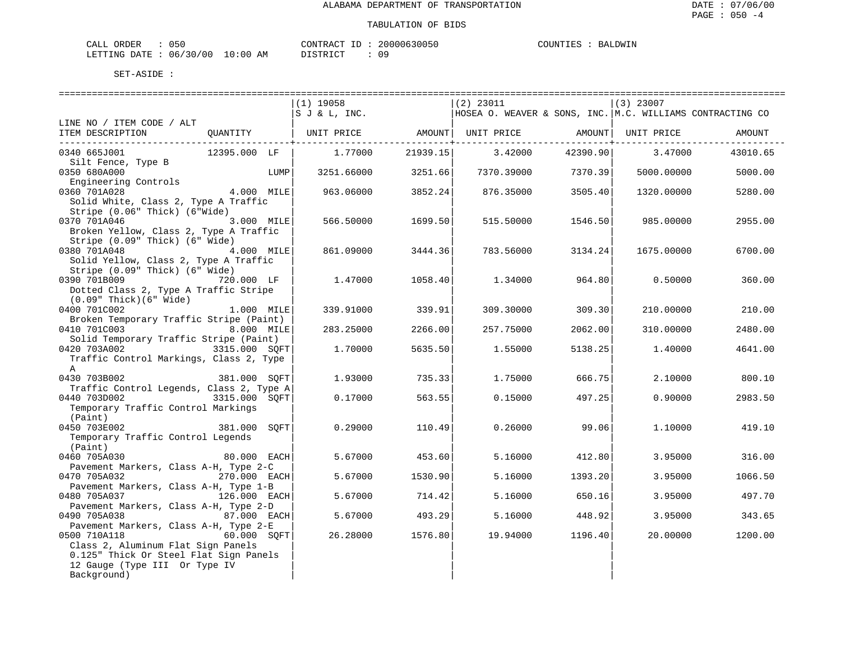| CALL ORDER                      | 050 | CONTRACT<br>' ID | 20000630050 | COUNTIES | BALDWIN |
|---------------------------------|-----|------------------|-------------|----------|---------|
| LETTING DATE: 06/30/00 10:00 AM |     | DISTRICT         | 09          |          |         |

| =======================                  |               |                             |          |                                                                      |                  |             |          |
|------------------------------------------|---------------|-----------------------------|----------|----------------------------------------------------------------------|------------------|-------------|----------|
|                                          |               | $(1)$ 19058                 |          | $(2)$ 23011                                                          |                  | $(3)$ 23007 |          |
|                                          |               | $ S \cup \& L, \text{INC.}$ |          | HOSEA O. WEAVER & SONS, INC. $M.C.$ WILLIAMS CONTRACTING CO          |                  |             |          |
| LINE NO / ITEM CODE / ALT                |               |                             |          |                                                                      |                  |             |          |
| ITEM DESCRIPTION                         | OUANTITY      |                             |          | UNIT PRICE           AMOUNT  UNIT PRICE           AMOUNT  UNIT PRICE |                  |             | AMOUNT   |
|                                          |               |                             |          |                                                                      |                  |             |          |
| 0340 665J001                             | 12395.000 LF  | 1.77000                     | 21939.15 |                                                                      | 3.42000 42390.90 | 3.47000     | 43010.65 |
| Silt Fence, Type B                       |               |                             |          |                                                                      |                  |             |          |
| 0350 680A000                             |               | 3251.66000<br>LUMP          | 3251.66  | 7370.39000                                                           | 7370.39          | 5000.00000  | 5000.00  |
| Engineering Controls                     |               |                             |          |                                                                      |                  |             |          |
| 0360 701A028                             | 4.000 MILE    | 963.06000                   | 3852.24  | 876.35000                                                            | 3505.40          | 1320.00000  | 5280.00  |
| Solid White, Class 2, Type A Traffic     |               |                             |          |                                                                      |                  |             |          |
| Stripe (0.06" Thick) (6"Wide)            |               |                             |          |                                                                      |                  |             |          |
| 0370 701A046                             | 3.000 MILE    | 566.50000                   | 1699.50  | 515.50000                                                            | 1546.50          | 985.00000   | 2955.00  |
| Broken Yellow, Class 2, Type A Traffic   |               |                             |          |                                                                      |                  |             |          |
| Stripe (0.09" Thick) (6" Wide)           |               |                             |          |                                                                      |                  |             |          |
| 0380 701A048                             | 4.000 MILE    | 861.09000                   | 3444.36  | 783.56000                                                            | 3134.24          | 1675.00000  | 6700.00  |
| Solid Yellow, Class 2, Type A Traffic    |               |                             |          |                                                                      |                  |             |          |
| Stripe (0.09" Thick) (6" Wide)           |               |                             |          |                                                                      |                  |             |          |
| 0390 701B009                             | 720.000 LF    | 1.47000                     | 1058.40  | 1.34000                                                              | 964.80           | 0.50000     | 360.00   |
| Dotted Class 2, Type A Traffic Stripe    |               |                             |          |                                                                      |                  |             |          |
| $(0.09"$ Thick $)(6"$ Wide               |               |                             |          |                                                                      |                  |             |          |
| 0400 701C002                             | 1.000 MILE    | 339.91000                   | 339.91   | 309.30000                                                            | 309.30           | 210.00000   | 210.00   |
| Broken Temporary Traffic Stripe (Paint)  |               |                             |          |                                                                      |                  |             |          |
| 0410 701C003                             | 8.000 MILE    | 283.25000                   | 2266.00  | 257.75000                                                            | 2062.00          | 310.00000   | 2480.00  |
| Solid Temporary Traffic Stripe (Paint)   |               |                             |          |                                                                      |                  |             |          |
| 0420 703A002                             | 3315.000 SQFT | 1,70000                     | 5635.50  | 1.55000                                                              | 5138.25          | 1,40000     | 4641.00  |
| Traffic Control Markings, Class 2, Type  |               |                             |          |                                                                      |                  |             |          |
| $\mathbb{A}$                             |               |                             |          |                                                                      |                  |             |          |
| 0430 703B002                             | 381.000 SOFT  | 1.93000                     | 735.33   | 1.75000                                                              | 666.75           | 2.10000     | 800.10   |
| Traffic Control Legends, Class 2, Type A |               |                             |          |                                                                      |                  |             |          |
| 0440 703D002                             | 3315.000 SOFT | 0.17000                     | 563.55   | 0.15000                                                              | 497.25           | 0.90000     | 2983.50  |
| Temporary Traffic Control Markings       |               |                             |          |                                                                      |                  |             |          |
| (Paint)                                  |               |                             |          |                                                                      |                  |             |          |
| 0450 703E002                             | 381.000 SOFT  | 0.29000                     | 110.49   | 0.26000                                                              | 99.06            | 1,10000     | 419.10   |
| Temporary Traffic Control Legends        |               |                             |          |                                                                      |                  |             |          |
| (Paint)                                  |               |                             |          |                                                                      |                  |             |          |
| 0460 705A030                             | 80.000 EACH   | 5.67000                     | 453.60   | 5.16000                                                              | 412.80           | 3.95000     | 316.00   |
| Pavement Markers, Class A-H, Type 2-C    |               |                             |          |                                                                      |                  |             |          |
| 0470 705A032                             | 270.000 EACH  | 5.67000                     | 1530.90  | 5.16000                                                              | 1393.20          | 3.95000     | 1066.50  |
| Pavement Markers, Class A-H, Type 1-B    |               |                             |          |                                                                      |                  |             |          |
| 0480 705A037                             | 126.000 EACH  | 5.67000                     | 714.42   | 5.16000                                                              | 650.16           | 3.95000     | 497.70   |
| Pavement Markers, Class A-H, Type 2-D    |               |                             |          |                                                                      |                  |             |          |
| 0490 705A038                             | 87.000 EACH   | 5.67000                     | 493.29   | 5.16000                                                              | 448.92           | 3.95000     | 343.65   |
| Pavement Markers, Class A-H, Type 2-E    |               |                             |          |                                                                      |                  |             |          |
| 0500 710A118                             | 60.000 SOFT   | 26.28000                    | 1576.80  | 19.94000                                                             | 1196.40          | 20.00000    | 1200.00  |
| Class 2, Aluminum Flat Sign Panels       |               |                             |          |                                                                      |                  |             |          |
| 0.125" Thick Or Steel Flat Sign Panels   |               |                             |          |                                                                      |                  |             |          |
| 12 Gauge (Type III Or Type IV            |               |                             |          |                                                                      |                  |             |          |
| Background)                              |               |                             |          |                                                                      |                  |             |          |
|                                          |               |                             |          |                                                                      |                  |             |          |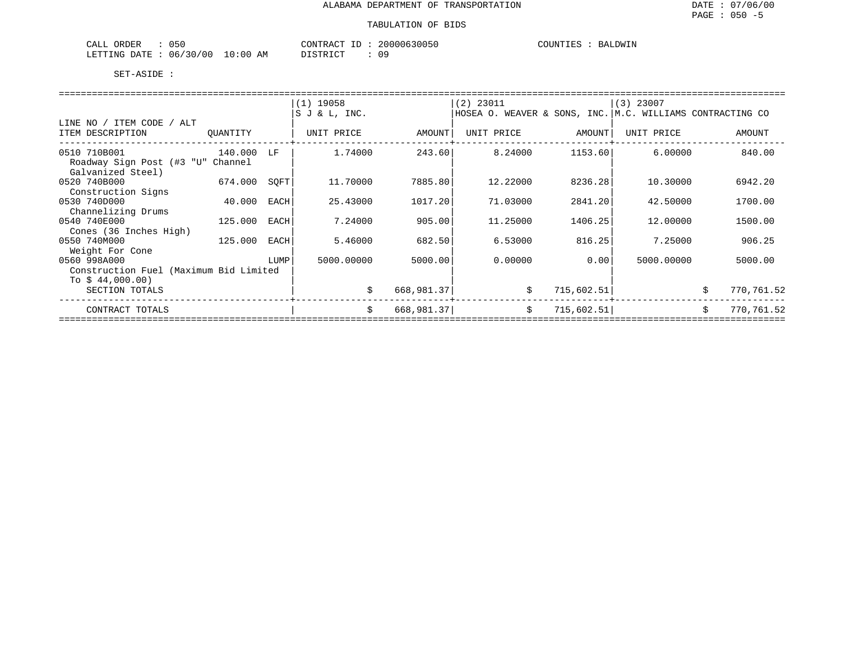| 050<br>CALL<br>ORDER        |             | CONTRACT<br>$-1$<br>⊥ப  | 20000630050 | COUNTIES<br><b>BALDWIN</b> |
|-----------------------------|-------------|-------------------------|-------------|----------------------------|
| 06/30/00<br>LETTING<br>DATE | 10:00<br>ΆM | ידי איד פידי פור<br>--- | 09          |                            |

|                                                                            |          |      | $(1)$ 19058<br>SJ & L, INC. |            | $(2)$ 23011<br>HOSEA O. WEAVER & SONS, INC. M.C. WILLIAMS CONTRACTING CO |            | $(3)$ 23007 |    |            |
|----------------------------------------------------------------------------|----------|------|-----------------------------|------------|--------------------------------------------------------------------------|------------|-------------|----|------------|
| LINE NO / ITEM CODE / ALT<br>ITEM DESCRIPTION                              | OUANTITY |      | UNIT PRICE                  | AMOUNT     | UNIT PRICE                                                               | AMOUNT     | UNIT PRICE  |    | AMOUNT     |
| 0510 710B001<br>Roadway Sign Post (#3 "U" Channel                          | 140.000  | LF   | 1.74000                     | 243.60     | 8.24000                                                                  | 1153.60    | 6,00000     |    | 840.00     |
| Galvanized Steel)<br>0520 740B000<br>Construction Signs                    | 674.000  | SOFT | 11.70000                    | 7885.80    | 12,22000                                                                 | 8236.28    | 10.30000    |    | 6942.20    |
| 0530 740D000<br>Channelizing Drums                                         | 40.000   | EACH | 25.43000                    | 1017.20    | 71.03000                                                                 | 2841.20    | 42.50000    |    | 1700.00    |
| 0540 740E000<br>Cones (36 Inches High)                                     | 125.000  | EACH | 7.24000                     | 905.00     | 11,25000                                                                 | 1406.25    | 12,00000    |    | 1500.00    |
| 0550 740M000<br>Weight For Cone                                            | 125.000  | EACH | 5.46000                     | 682.50     | 6.53000                                                                  | 816.25     | 7.25000     |    | 906.25     |
| 0560 998A000<br>Construction Fuel (Maximum Bid Limited<br>To $$44,000.00)$ |          | LUMP | 5000.00000                  | 5000.00    | 0.00000                                                                  | 0.00       | 5000.00000  |    | 5000.00    |
| SECTION TOTALS                                                             |          |      | \$                          | 668,981.37 | \$                                                                       | 715,602.51 |             | \$ | 770,761.52 |
| CONTRACT TOTALS                                                            |          |      | Ŝ.                          | 668,981.37 | \$                                                                       | 715,602.51 |             | Ŝ. | 770,761.52 |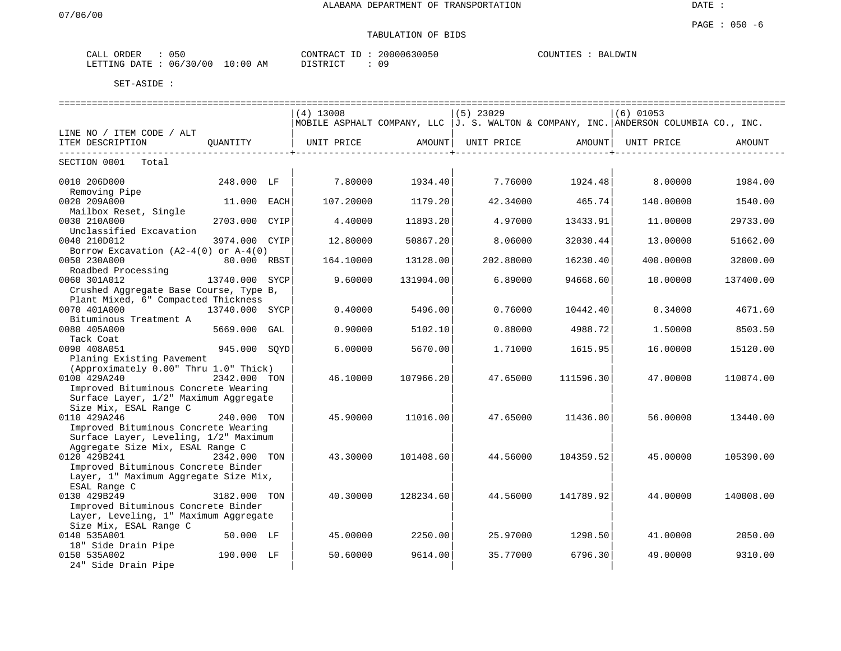# TABULATION OF BIDS

| 050<br>ORDER<br>CALL     |             | 20000630050<br>CONTRACT | COUNTIES<br>BALDWIN |
|--------------------------|-------------|-------------------------|---------------------|
| 06/30/00<br>LETTING DATE | 10:00<br>AΜ |                         |                     |

|                                                                               |                |      | ============================== |           | ============================== |                               | ----------------------------------                                                    |           |
|-------------------------------------------------------------------------------|----------------|------|--------------------------------|-----------|--------------------------------|-------------------------------|---------------------------------------------------------------------------------------|-----------|
|                                                                               |                |      | $(4)$ 13008                    |           | $(5)$ 23029                    |                               | $(6)$ 01053                                                                           |           |
|                                                                               |                |      |                                |           |                                |                               | MOBILE ASPHALT COMPANY, LLC  J. S. WALTON & COMPANY, INC. ANDERSON COLUMBIA CO., INC. |           |
| LINE NO / ITEM CODE / ALT                                                     |                |      |                                |           |                                |                               |                                                                                       |           |
| ITEM DESCRIPTION<br>. <u>.</u> .                                              | OUANTITY       |      | UNIT PRICE                     | AMOUNT    | UNIT PRICE                     | AMOUNT  <br>----------------+ | UNIT PRICE                                                                            | AMOUNT    |
| SECTION 0001<br>Total                                                         |                |      |                                |           |                                |                               |                                                                                       |           |
| 0010 206D000<br>Removing Pipe                                                 | 248.000 LF     |      | 7.80000                        | 1934.40   | 7.76000                        | 1924.48                       | 8,00000                                                                               | 1984.00   |
| 0020 209A000                                                                  | 11.000 EACH    |      | 107.20000                      | 1179.20   | 42.34000                       | 465.74                        | 140.00000                                                                             | 1540.00   |
| Mailbox Reset, Single                                                         |                |      |                                |           |                                |                               |                                                                                       |           |
| 0030 210A000                                                                  | 2703.000 CYIP  |      | 4.40000                        | 11893.20  | 4.97000                        | 13433.91                      | 11,00000                                                                              | 29733.00  |
| Unclassified Excavation                                                       |                |      |                                |           |                                |                               |                                                                                       |           |
| 0040 210D012                                                                  | 3974.000 CYIP  |      | 12.80000                       | 50867.20  | 8.06000                        | 32030.44                      | 13.00000                                                                              | 51662.00  |
| Borrow Excavation $(A2-4(0)$ or $A-4(0)$                                      |                |      |                                |           |                                |                               |                                                                                       |           |
| 0050 230A000                                                                  | 80.000 RBST    |      | 164.10000                      | 13128.00  | 202.88000                      | 16230.40                      | 400.00000                                                                             | 32000.00  |
| Roadbed Processing                                                            |                |      |                                |           |                                |                               |                                                                                       |           |
| 0060 301A012                                                                  | 13740.000      | SYCP | 9.60000                        | 131904.00 | 6.89000                        | 94668.60                      | 10.00000                                                                              | 137400.00 |
| Crushed Aggregate Base Course, Type B,<br>Plant Mixed, 6" Compacted Thickness |                |      |                                |           |                                |                               |                                                                                       |           |
| 0070 401A000                                                                  | 13740.000 SYCP |      | 0.40000                        | 5496.00   | 0.76000                        | 10442.40                      | 0.34000                                                                               | 4671.60   |
| Bituminous Treatment A                                                        |                |      |                                |           |                                |                               |                                                                                       |           |
| 0080 405A000                                                                  | 5669.000       | GAL  | 0.90000                        | 5102.10   | 0.88000                        | 4988.72                       | 1,50000                                                                               | 8503.50   |
| Tack Coat                                                                     |                |      |                                |           |                                |                               |                                                                                       |           |
| 0090 408A051                                                                  | 945.000 SOYD   |      | 6.00000                        | 5670.00   | 1.71000                        | 1615.95                       | 16.00000                                                                              | 15120.00  |
| Planing Existing Pavement                                                     |                |      |                                |           |                                |                               |                                                                                       |           |
| (Approximately 0.00" Thru 1.0" Thick)                                         |                |      |                                |           |                                |                               |                                                                                       |           |
| 0100 429A240                                                                  | 2342.000 TON   |      | 46.10000                       | 107966.20 | 47.65000                       | 111596.30                     | 47.00000                                                                              | 110074.00 |
| Improved Bituminous Concrete Wearing                                          |                |      |                                |           |                                |                               |                                                                                       |           |
| Surface Layer, 1/2" Maximum Aggregate                                         |                |      |                                |           |                                |                               |                                                                                       |           |
| Size Mix, ESAL Range C                                                        |                |      |                                |           |                                |                               |                                                                                       |           |
| 0110 429A246                                                                  | 240.000 TON    |      | 45.90000                       | 11016.00  | 47.65000                       | 11436.00                      | 56.00000                                                                              | 13440.00  |
| Improved Bituminous Concrete Wearing                                          |                |      |                                |           |                                |                               |                                                                                       |           |
| Surface Layer, Leveling, 1/2" Maximum                                         |                |      |                                |           |                                |                               |                                                                                       |           |
| Aggregate Size Mix, ESAL Range C                                              |                |      |                                |           |                                |                               |                                                                                       |           |
| 0120 429B241                                                                  | 2342.000 TON   |      | 43.30000                       | 101408.60 | 44.56000                       | 104359.52                     | 45,00000                                                                              | 105390.00 |
| Improved Bituminous Concrete Binder                                           |                |      |                                |           |                                |                               |                                                                                       |           |
| Layer, 1" Maximum Aggregate Size Mix,<br>ESAL Range C                         |                |      |                                |           |                                |                               |                                                                                       |           |
| 0130 429B249                                                                  | 3182.000 TON   |      | 40.30000                       | 128234.60 | 44.56000                       | 141789.921                    | 44.00000                                                                              | 140008.00 |
| Improved Bituminous Concrete Binder                                           |                |      |                                |           |                                |                               |                                                                                       |           |
| Layer, Leveling, 1" Maximum Aggregate                                         |                |      |                                |           |                                |                               |                                                                                       |           |
| Size Mix, ESAL Range C                                                        |                |      |                                |           |                                |                               |                                                                                       |           |
| 0140 535A001                                                                  | 50.000 LF      |      | 45.00000                       | 2250.00   | 25.97000                       | 1298.50                       | 41,00000                                                                              | 2050.00   |
| 18" Side Drain Pipe                                                           |                |      |                                |           |                                |                               |                                                                                       |           |
| 0150 535A002                                                                  | 190.000 LF     |      | 50.60000                       | 9614.00   | 35.77000                       | 6796.30                       | 49.00000                                                                              | 9310.00   |
| 24" Side Drain Pipe                                                           |                |      |                                |           |                                |                               |                                                                                       |           |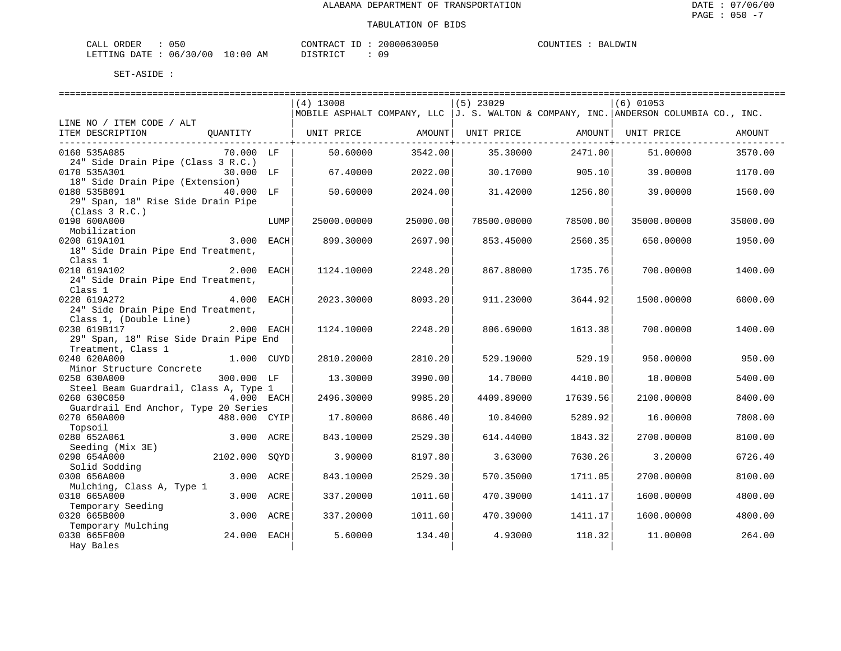| ORDER<br>$\sim$ $ -$<br>CALI | いっし      |               | ONTRACT | TD. | 20000630050 | COUNTIES | LDWIN<br>BA. |
|------------------------------|----------|---------------|---------|-----|-------------|----------|--------------|
| LETTING DATE                 | 06/30/00 | LO : 00<br>ΆM | ּ. אידי |     | n a         |          |              |

|                                            |      | $(4)$ 13008 |          | $(5)$ 23029 |          | $(6)$ 01053                                                                              |          |
|--------------------------------------------|------|-------------|----------|-------------|----------|------------------------------------------------------------------------------------------|----------|
|                                            |      |             |          |             |          | MOBILE ASPHALT COMPANY, LLC   J. S. WALTON & COMPANY, INC.   ANDERSON COLUMBIA CO., INC. |          |
| LINE NO / ITEM CODE / ALT                  |      |             |          |             |          |                                                                                          |          |
| ITEM DESCRIPTION<br>QUANTITY               |      | UNIT PRICE  | AMOUNT   | UNIT PRICE  |          | AMOUNT   UNIT PRICE                                                                      | AMOUNT   |
| 0160 535A085<br>70.000 LF                  |      | 50.60000    | 3542.00  | 35.30000    | 2471.00  | 51,00000                                                                                 | 3570.00  |
| 24" Side Drain Pipe (Class 3 R.C.)         |      |             |          |             |          |                                                                                          |          |
| 0170 535A301<br>30.000 LF                  |      | 67.40000    | 2022.00  | 30.17000    | 905.10   | 39.00000                                                                                 | 1170.00  |
| 18" Side Drain Pipe (Extension)            |      |             |          |             |          |                                                                                          |          |
| 0180 535B091<br>40.000 LF                  |      | 50.60000    | 2024.00  | 31.42000    | 1256.80  | 39,00000                                                                                 | 1560.00  |
| 29" Span, 18" Rise Side Drain Pipe         |      |             |          |             |          |                                                                                          |          |
| (Class 3 R.C.)                             |      |             |          |             |          |                                                                                          |          |
| 0190 600A000                               | LUMP | 25000.00000 | 25000.00 | 78500.00000 | 78500.00 | 35000.00000                                                                              | 35000.00 |
| Mobilization<br>0200 619A101<br>3.000 EACH |      | 899.30000   | 2697.90  | 853.45000   | 2560.35  | 650.00000                                                                                | 1950.00  |
| 18" Side Drain Pipe End Treatment,         |      |             |          |             |          |                                                                                          |          |
| Class 1                                    |      |             |          |             |          |                                                                                          |          |
| 0210 619A102<br>2.000                      | EACH | 1124.10000  | 2248.20  | 867.88000   | 1735.76  | 700.00000                                                                                | 1400.00  |
| 24" Side Drain Pipe End Treatment,         |      |             |          |             |          |                                                                                          |          |
| Class 1                                    |      |             |          |             |          |                                                                                          |          |
| 0220 619A272<br>4.000 EACH                 |      | 2023.30000  | 8093.20  | 911.23000   | 3644.92  | 1500.00000                                                                               | 6000.00  |
| 24" Side Drain Pipe End Treatment,         |      |             |          |             |          |                                                                                          |          |
| Class 1, (Double Line)                     |      |             |          |             |          |                                                                                          |          |
| 0230 619B117<br>2.000 EACH                 |      | 1124.10000  | 2248.20  | 806.69000   | 1613.38  | 700.00000                                                                                | 1400.00  |
| 29" Span, 18" Rise Side Drain Pipe End     |      |             |          |             |          |                                                                                          |          |
| Treatment, Class 1<br>0240 620A000         |      |             |          |             |          |                                                                                          |          |
| 1.000 CUYD<br>Minor Structure Concrete     |      | 2810.20000  | 2810.20  | 529.19000   | 529.19   | 950.00000                                                                                | 950.00   |
| 0250 630A000<br>300.000 LF                 |      | 13.30000    | 3990.00  | 14.70000    | 4410.00  | 18,00000                                                                                 | 5400.00  |
| Steel Beam Guardrail, Class A, Type 1      |      |             |          |             |          |                                                                                          |          |
| 0260 630C050<br>$4.000$ EACH               |      | 2496.30000  | 9985.20  | 4409.89000  | 17639.56 | 2100.00000                                                                               | 8400.00  |
| Guardrail End Anchor, Type 20 Series       |      |             |          |             |          |                                                                                          |          |
| 0270 650A000<br>488.000 CYIP               |      | 17.80000    | 8686.40  | 10.84000    | 5289.92  | 16.00000                                                                                 | 7808.00  |
| Topsoil                                    |      |             |          |             |          |                                                                                          |          |
| 0280 652A061<br>3.000 ACRE                 |      | 843.10000   | 2529.30  | 614.44000   | 1843.32  | 2700.00000                                                                               | 8100.00  |
| Seeding (Mix 3E)                           |      |             |          |             |          |                                                                                          |          |
| 2102.000<br>0290 654A000                   | SOYD | 3.90000     | 8197.80  | 3.63000     | 7630.26  | 3.20000                                                                                  | 6726.40  |
| Solid Sodding<br>0300 656A000<br>3.000     | ACRE | 843.10000   | 2529.30  | 570.35000   | 1711.05  | 2700.00000                                                                               | 8100.00  |
| Mulching, Class A, Type 1                  |      |             |          |             |          |                                                                                          |          |
| 0310 665A000<br>3.000                      | ACRE | 337.20000   | 1011.60  | 470.39000   | 1411.17  | 1600.00000                                                                               | 4800.00  |
| Temporary Seeding                          |      |             |          |             |          |                                                                                          |          |
| 0320 665B000<br>3.000 ACRE                 |      | 337.20000   | 1011.60  | 470.39000   | 1411.17  | 1600.00000                                                                               | 4800.00  |
| Temporary Mulching                         |      |             |          |             |          |                                                                                          |          |
| 0330 665F000<br>24.000 EACH                |      | 5.60000     | 134.40   | 4.93000     | 118.32   | 11,00000                                                                                 | 264.00   |
| Hay Bales                                  |      |             |          |             |          |                                                                                          |          |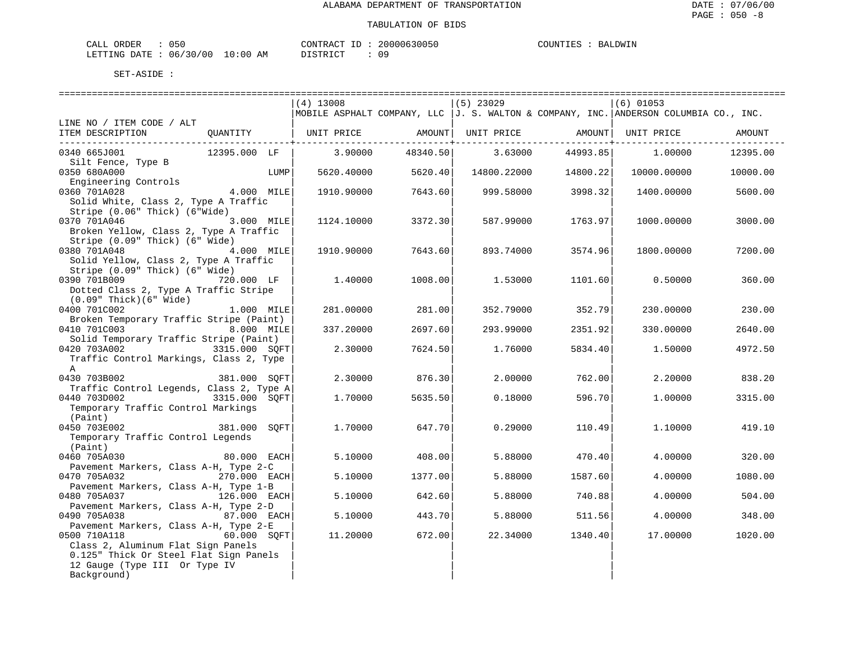| ORDER<br>CALI          | $\sim$ $ \prime$<br>いっし |                      | $- -$<br>ONTRAC | 2000<br>`0630056 | COUNTIES | JDWIN<br><b>BA</b> |
|------------------------|-------------------------|----------------------|-----------------|------------------|----------|--------------------|
| <b>DATE</b><br>LETTING | 06/30/<br>' N N         | $\sim$<br>АM<br>0:00 | <b>BED</b>      | nα               |          |                    |

|                                                                              |               | $(4)$ 13008 |          | (5) 23029   |                    | $(6)$ 01053                                                                              |          |
|------------------------------------------------------------------------------|---------------|-------------|----------|-------------|--------------------|------------------------------------------------------------------------------------------|----------|
|                                                                              |               |             |          |             |                    | MOBILE ASPHALT COMPANY, LLC   J. S. WALTON & COMPANY, INC.   ANDERSON COLUMBIA CO., INC. |          |
| LINE NO / ITEM CODE / ALT                                                    |               |             |          |             |                    |                                                                                          |          |
| ITEM DESCRIPTION                                                             |               |             |          |             |                    | QUANTITY   UNIT PRICE         AMOUNT   UNIT PRICE           AMOUNT   UNIT PRICE          | AMOUNT   |
| 0340 665J001                                                                 | 12395.000 LF  | 3.90000     | 48340.50 |             | $3.63000$ 44993.85 | 1.00000                                                                                  | 12395.00 |
| Silt Fence, Type B                                                           |               |             |          |             |                    |                                                                                          |          |
| 0350 680A000                                                                 | LUMP          | 5620.40000  | 5620.40  | 14800.22000 | 14800.22           | 10000.00000                                                                              | 10000.00 |
| Engineering Controls                                                         |               |             |          |             |                    |                                                                                          |          |
| 0360 701A028<br>Solid White, Class 2, Type A Traffic                         | 4.000 MILE    | 1910.90000  | 7643.60  | 999.58000   | 3998.32            | 1400.00000                                                                               | 5600.00  |
| Stripe (0.06" Thick) (6"Wide)                                                |               |             |          |             |                    |                                                                                          |          |
| 0370 701A046 3.000 MILE                                                      |               | 1124.10000  | 3372.30  | 587.99000   | 1763.97            | 1000.00000                                                                               | 3000.00  |
| Broken Yellow, Class 2, Type A Traffic                                       |               |             |          |             |                    |                                                                                          |          |
| Stripe (0.09" Thick) (6" Wide)                                               |               |             |          |             |                    |                                                                                          |          |
| 0380 701A048<br>4.000 MILE                                                   |               | 1910.90000  | 7643.60  | 893.74000   | 3574.96            | 1800.00000                                                                               | 7200.00  |
| Solid Yellow, Class 2, Type A Traffic                                        |               |             |          |             |                    |                                                                                          |          |
| Stripe (0.09" Thick) (6" Wide)                                               |               |             |          |             |                    |                                                                                          |          |
| 0390 701B009                                                                 | 720.000 LF    | 1.40000     | 1008.00  | 1.53000     | 1101.60            | 0.50000                                                                                  | 360.00   |
| Dotted Class 2, Type A Traffic Stripe                                        |               |             |          |             |                    |                                                                                          |          |
| $(0.09"$ Thick $)(6"$ Wide $)$                                               |               |             |          |             |                    |                                                                                          |          |
| 0400 701C002                                                                 | 1.000 MILE    | 281.00000   | 281.00   | 352.79000   | 352.79             | 230.00000                                                                                | 230.00   |
| Broken Temporary Traffic Stripe (Paint)                                      |               |             |          |             |                    |                                                                                          |          |
| 0410 701C003                                                                 | 8.000 MILE    | 337.20000   | 2697.60  | 293.99000   | 2351.92            | 330,00000                                                                                | 2640.00  |
| Solid Temporary Traffic Stripe (Paint)                                       |               |             |          |             |                    |                                                                                          |          |
| 0420 703A002                                                                 | 3315.000 SOFT | 2.30000     | 7624.50  | 1.76000     | 5834.40            | 1.50000                                                                                  | 4972.50  |
| Traffic Control Markings, Class 2, Type                                      |               |             |          |             |                    |                                                                                          |          |
| $\mathsf{A}$<br>0430 703B002                                                 |               | 2.30000     |          | 2,00000     |                    |                                                                                          | 838.20   |
| Traffic Control Legends, Class 2, Type A                                     | 381.000 SOFT  |             | 876.30   |             | 762.00             | 2,20000                                                                                  |          |
| 0440 703D002                                                                 | 3315.000 SQFT | 1,70000     | 5635.50  | 0.18000     | 596.70             | 1,00000                                                                                  | 3315.00  |
| Temporary Traffic Control Markings                                           |               |             |          |             |                    |                                                                                          |          |
| (Paint)                                                                      |               |             |          |             |                    |                                                                                          |          |
| 0450 703E002                                                                 | 381.000 SOFT  | 1,70000     | 647.70   | 0.29000     | 110.49             | 1,10000                                                                                  | 419.10   |
| Temporary Traffic Control Legends                                            |               |             |          |             |                    |                                                                                          |          |
| (Paint)                                                                      |               |             |          |             |                    |                                                                                          |          |
| 0460 705A030                                                                 | 80.000 EACH   | 5.10000     | 408.00   | 5.88000     | 470.40             | 4.00000                                                                                  | 320.00   |
| Pavement Markers, Class A-H, Type 2-C                                        |               |             |          |             |                    |                                                                                          |          |
| 0470 705A032                                                                 | 270.000 EACH  | 5.10000     | 1377.00  | 5.88000     | 1587.60            | 4.00000                                                                                  | 1080.00  |
| Pavement Markers, Class A-H, Type 1-B                                        |               |             |          |             |                    |                                                                                          |          |
| 0480 705A037                                                                 | 126.000 EACH  | 5.10000     | 642.60   | 5.88000     | 740.88             | 4.00000                                                                                  | 504.00   |
| Pavement Markers, Class A-H, Type 2-D                                        |               |             |          |             |                    |                                                                                          |          |
| 0490 705A038                                                                 | 87.000 EACH   | 5.10000     | 443.70   | 5.88000     | 511.56             | 4.00000                                                                                  | 348.00   |
| Pavement Markers, Class A-H, Type 2-E                                        |               |             |          |             |                    |                                                                                          |          |
| 0500 710A118                                                                 | 60.000 SOFT   | 11,20000    | 672.00   | 22.34000    | 1340.40            | 17.00000                                                                                 | 1020.00  |
| Class 2, Aluminum Flat Sign Panels<br>0.125" Thick Or Steel Flat Sign Panels |               |             |          |             |                    |                                                                                          |          |
| 12 Gauge (Type III Or Type IV                                                |               |             |          |             |                    |                                                                                          |          |
| Background)                                                                  |               |             |          |             |                    |                                                                                          |          |
|                                                                              |               |             |          |             |                    |                                                                                          |          |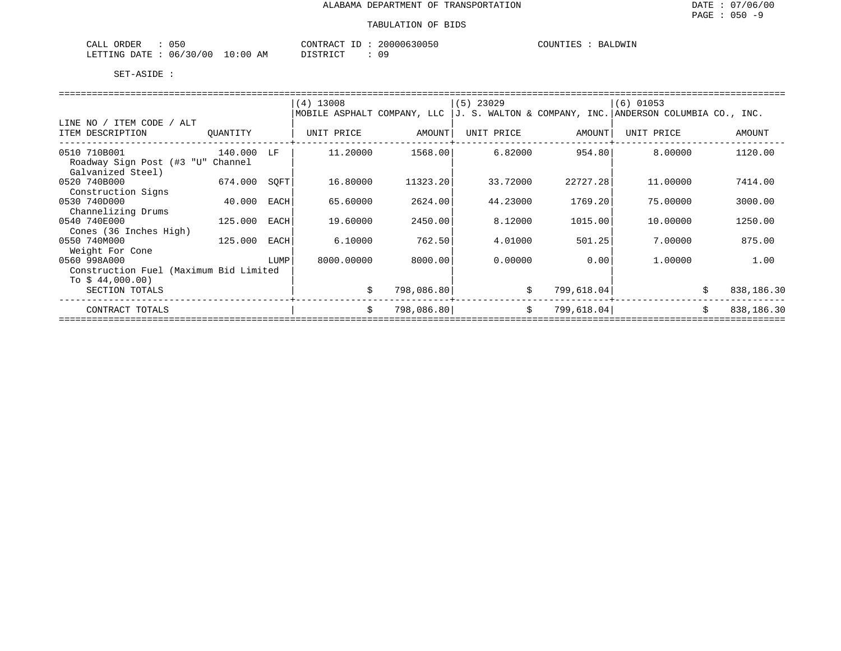| $\cap$ $\cap$<br>ORDER<br>CALL<br>050   | 20000630050<br>CONTRACT<br>محاسب     | COUNTIES<br>BALDWIN |
|-----------------------------------------|--------------------------------------|---------------------|
| 10:00<br>06/30/00<br>LETTING DATE<br>ΑM | 09<br>חי חים דרו<br><i>ມ</i> ⊥ມ⊥ນ⊥ບ⊥ |                     |

|                                                   |          |      | $(4)$ 13008                 |            | $(5)$ 23029 |            | $(6)$ 01053                                                |                  |
|---------------------------------------------------|----------|------|-----------------------------|------------|-------------|------------|------------------------------------------------------------|------------------|
|                                                   |          |      | MOBILE ASPHALT COMPANY, LLC |            |             |            | $J. S. WALTON & COMPANY, INC. ANDERSON COLUMBIA CO., INC.$ |                  |
| ITEM CODE / ALT<br>LINE NO                        |          |      |                             |            |             |            |                                                            |                  |
| ITEM DESCRIPTION                                  | QUANTITY |      | UNIT PRICE                  | AMOUNT     | UNIT PRICE  | AMOUNT     | UNIT PRICE                                                 | AMOUNT           |
| 0510 710B001<br>Roadway Sign Post (#3 "U" Channel | 140.000  | LF   | 11,20000                    | 1568.00    | 6.82000     | 954.80     | 8.00000                                                    | 1120.00          |
| Galvanized Steel)                                 |          |      |                             |            |             |            |                                                            |                  |
| 0520 740B000                                      | 674.000  | SOFT | 16.80000                    | 11323.20   | 33.72000    | 22727.28   | 11,00000                                                   | 7414.00          |
| Construction Signs                                |          |      |                             |            |             |            |                                                            |                  |
| 0530 740D000                                      | 40.000   | EACH | 65.60000                    | 2624.00    | 44.23000    | 1769.20    | 75,00000                                                   | 3000.00          |
| Channelizing Drums<br>0540 740E000                | 125.000  | EACH | 19.60000                    | 2450.00    | 8.12000     | 1015.00    | 10.00000                                                   | 1250.00          |
| Cones (36 Inches High)                            |          |      |                             |            |             |            |                                                            |                  |
| 0550 740M000                                      | 125.000  | EACH | 6.10000                     | 762.50     | 4.01000     | 501.25     | 7.00000                                                    | 875.00           |
| Weight For Cone                                   |          |      |                             |            |             |            |                                                            |                  |
| 0560 998A000                                      |          | LUMP | 8000.00000                  | 8000.00    | 0.00000     | 0.001      | 1,00000                                                    | 1.00             |
| Construction Fuel (Maximum Bid Limited            |          |      |                             |            |             |            |                                                            |                  |
| To $$44,000.00)$                                  |          |      |                             |            |             |            |                                                            |                  |
| SECTION TOTALS                                    |          |      | Ŝ.                          | 798,086.80 | \$          | 799,618.04 |                                                            | \$<br>838,186.30 |
| CONTRACT TOTALS                                   |          |      | Ŝ.                          | 798,086.80 | \$          | 799,618.04 |                                                            | 838,186.30<br>Ś. |
|                                                   |          |      |                             |            |             |            |                                                            |                  |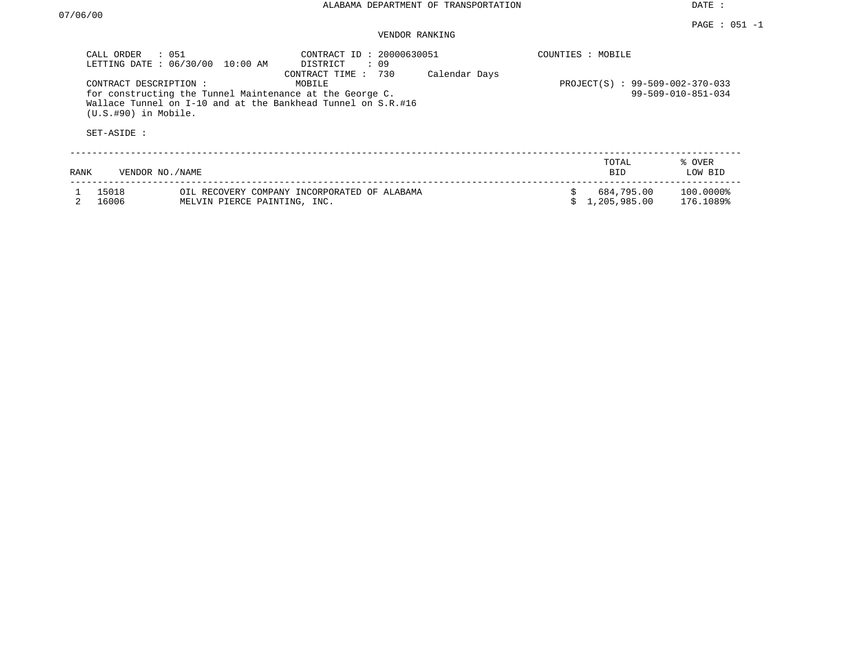DATE :

### PAGE : 051 -1 VENDOR RANKING

| CALL ORDER<br>LETTING DATE: 06/30/00             | : 051<br>10:00 AM                                                                                                        | CONTRACT ID: 20000630051<br>: 09<br>DISTRICT<br>730<br>CONTRACT TIME: | Calendar Days | COUNTIES : MOBILE |                            |                        |
|--------------------------------------------------|--------------------------------------------------------------------------------------------------------------------------|-----------------------------------------------------------------------|---------------|-------------------|----------------------------|------------------------|
| CONTRACT DESCRIPTION:<br>$(U.S.$ #90) in Mobile. | for constructing the Tunnel Maintenance at the George C.<br>Wallace Tunnel on I-10 and at the Bankhead Tunnel on S.R.#16 | PROJECT(S) : 99-509-002-370-033<br>$99 - 509 - 010 - 851 - 034$       |               |                   |                            |                        |
| SET-ASIDE :                                      |                                                                                                                          |                                                                       |               |                   |                            |                        |
| RANK                                             | VENDOR NO./NAME                                                                                                          |                                                                       |               |                   | TOTAL<br><b>BID</b>        | % OVER<br>LOW BID      |
| 15018<br>16006                                   | MELVIN PIERCE PAINTING, INC.                                                                                             | OIL RECOVERY COMPANY INCORPORATED OF ALABAMA                          |               |                   | 684,795.00<br>1,205,985.00 | 100.0000%<br>176.1089% |